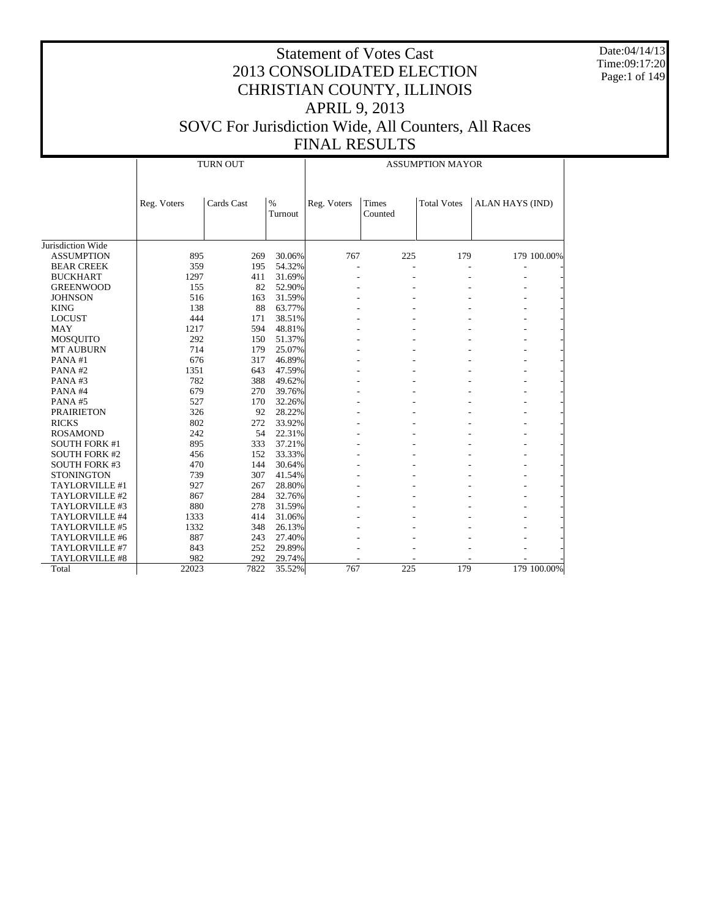Date:04/14/13 Time:09:17:20 Page:1 of 149

|                      |             | <b>TURN OUT</b> |                 | <b>ASSUMPTION MAYOR</b> |                  |                    |                 |             |  |
|----------------------|-------------|-----------------|-----------------|-------------------------|------------------|--------------------|-----------------|-------------|--|
|                      | Reg. Voters | Cards Cast      | $\%$<br>Turnout | Reg. Voters             | Times<br>Counted | <b>Total Votes</b> | ALAN HAYS (IND) |             |  |
|                      |             |                 |                 |                         |                  |                    |                 |             |  |
| Jurisdiction Wide    |             |                 |                 |                         |                  |                    |                 |             |  |
| <b>ASSUMPTION</b>    | 895         | 269             | 30.06%          | 767                     | 225              | 179                |                 | 179 100.00% |  |
| <b>BEAR CREEK</b>    | 359         | 195             | 54.32%          |                         |                  |                    |                 |             |  |
| <b>BUCKHART</b>      | 1297        | 411             | 31.69%          |                         |                  |                    |                 |             |  |
| <b>GREENWOOD</b>     | 155         | 82              | 52.90%          |                         |                  |                    |                 |             |  |
| <b>JOHNSON</b>       | 516         | 163             | 31.59%          |                         |                  |                    |                 |             |  |
| <b>KING</b>          | 138         | 88              | 63.77%          |                         |                  |                    |                 |             |  |
| <b>LOCUST</b>        | 444         | 171             | 38.51%          |                         |                  |                    |                 |             |  |
| <b>MAY</b>           | 1217        | 594             | 48.81%          |                         |                  |                    |                 |             |  |
| <b>MOSQUITO</b>      | 292         | 150             | 51.37%          |                         |                  |                    |                 |             |  |
| <b>MT AUBURN</b>     | 714         | 179             | 25.07%          |                         |                  |                    |                 |             |  |
| PANA#1               | 676         | 317             | 46.89%          |                         |                  |                    |                 |             |  |
| PANA#2               | 1351        | 643             | 47.59%          |                         |                  |                    |                 |             |  |
| PANA#3               | 782         | 388             | 49.62%          |                         |                  |                    |                 |             |  |
| PANA#4               | 679         | 270             | 39.76%          |                         |                  |                    |                 |             |  |
| PANA#5               | 527         | 170             | 32.26%          |                         |                  |                    |                 |             |  |
| <b>PRAIRIETON</b>    | 326         | 92              | 28.22%          |                         |                  |                    |                 |             |  |
| <b>RICKS</b>         | 802         | 272             | 33.92%          |                         |                  |                    |                 |             |  |
| <b>ROSAMOND</b>      | 242         | 54              | 22.31%          |                         |                  |                    |                 |             |  |
| <b>SOUTH FORK #1</b> | 895         | 333             | 37.21%          |                         |                  |                    |                 |             |  |
| <b>SOUTH FORK #2</b> | 456         | 152             | 33.33%          |                         |                  |                    |                 |             |  |
| <b>SOUTH FORK #3</b> | 470         | 144             | 30.64%          |                         |                  |                    |                 |             |  |
| <b>STONINGTON</b>    | 739         | 307             | 41.54%          |                         |                  |                    |                 |             |  |
| TAYLORVILLE #1       | 927         | 267             | 28.80%          |                         |                  |                    |                 |             |  |
| TAYLORVILLE #2       | 867         | 284             | 32.76%          |                         |                  |                    |                 |             |  |
| TAYLORVILLE #3       | 880         | 278             | 31.59%          |                         |                  |                    |                 |             |  |
| TAYLORVILLE #4       | 1333        | 414             | 31.06%          |                         |                  |                    |                 |             |  |
| TAYLORVILLE #5       | 1332        | 348             | 26.13%          |                         |                  |                    |                 |             |  |
| TAYLORVILLE #6       | 887         | 243             | 27.40%          |                         |                  |                    |                 |             |  |
| TAYLORVILLE #7       | 843         | 252             | 29.89%          |                         |                  |                    |                 |             |  |
| TAYLORVILLE #8       | 982         | 292             | 29.74%          |                         |                  |                    |                 |             |  |
| Total                | 22023       | 7822            | 35.52%          | 767                     | 225              | 179                |                 | 179 100.00% |  |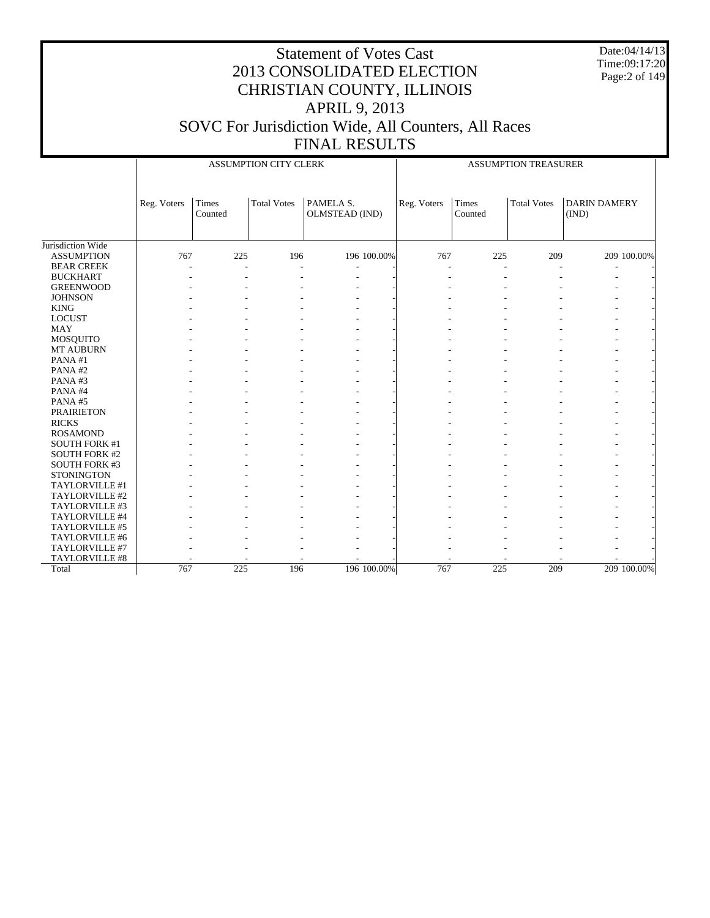Date:04/14/13 Time:09:17:20 Page:2 of 149

|                      |             |                  | ASSUMPTION CITY CLERK |                             | <b>ASSUMPTION TREASURER</b> |                  |                    |                              |  |
|----------------------|-------------|------------------|-----------------------|-----------------------------|-----------------------------|------------------|--------------------|------------------------------|--|
|                      | Reg. Voters | Times<br>Counted | <b>Total Votes</b>    | PAMELA S.<br>OLMSTEAD (IND) | Reg. Voters                 | Times<br>Counted | <b>Total Votes</b> | <b>DARIN DAMERY</b><br>(IND) |  |
| Jurisdiction Wide    |             |                  |                       |                             |                             |                  |                    |                              |  |
| <b>ASSUMPTION</b>    | 767         | 225              | 196                   | 196 100.00%                 | 767                         | 225              | 209                | 209 100.00%                  |  |
| <b>BEAR CREEK</b>    |             |                  | L,                    |                             |                             |                  |                    |                              |  |
| <b>BUCKHART</b>      |             |                  |                       |                             |                             |                  |                    |                              |  |
| <b>GREENWOOD</b>     |             |                  |                       |                             |                             |                  |                    |                              |  |
| <b>JOHNSON</b>       |             |                  |                       |                             |                             |                  |                    |                              |  |
| <b>KING</b>          |             |                  |                       |                             |                             |                  |                    |                              |  |
| <b>LOCUST</b>        |             |                  |                       |                             |                             |                  |                    |                              |  |
| <b>MAY</b>           |             |                  |                       |                             |                             |                  |                    |                              |  |
| MOSQUITO             |             |                  |                       |                             |                             |                  |                    |                              |  |
| <b>MT AUBURN</b>     |             |                  |                       |                             |                             |                  |                    |                              |  |
| PANA#1               |             |                  |                       |                             |                             |                  |                    |                              |  |
| PANA#2               |             |                  |                       |                             |                             |                  |                    |                              |  |
| PANA#3               |             |                  |                       |                             |                             |                  |                    |                              |  |
| PANA#4               |             |                  |                       |                             |                             |                  |                    |                              |  |
| PANA#5               |             |                  |                       |                             |                             |                  |                    |                              |  |
| <b>PRAIRIETON</b>    |             |                  |                       |                             |                             |                  |                    |                              |  |
| <b>RICKS</b>         |             |                  |                       |                             |                             |                  |                    |                              |  |
| <b>ROSAMOND</b>      |             |                  |                       |                             |                             |                  |                    |                              |  |
| <b>SOUTH FORK #1</b> |             |                  |                       |                             |                             |                  |                    |                              |  |
| <b>SOUTH FORK #2</b> |             |                  |                       |                             |                             |                  |                    |                              |  |
| <b>SOUTH FORK #3</b> |             |                  |                       |                             |                             |                  |                    |                              |  |
| <b>STONINGTON</b>    |             |                  |                       |                             |                             |                  |                    |                              |  |
| TAYLORVILLE #1       |             |                  |                       |                             |                             |                  |                    |                              |  |
| TAYLORVILLE #2       |             |                  |                       |                             |                             |                  |                    |                              |  |
| TAYLORVILLE #3       |             |                  |                       |                             |                             |                  |                    |                              |  |
| TAYLORVILLE #4       |             |                  |                       |                             |                             |                  |                    |                              |  |
| TAYLORVILLE #5       |             |                  |                       |                             |                             |                  |                    |                              |  |
| TAYLORVILLE #6       |             |                  |                       |                             |                             |                  |                    |                              |  |
| TAYLORVILLE #7       |             |                  |                       |                             |                             |                  |                    |                              |  |
| TAYLORVILLE #8       |             |                  |                       |                             |                             |                  |                    |                              |  |
| Total                | 767         | 225              | 196                   | 196 100.00%                 | 767                         | 225              | 209                | 209 100.00%                  |  |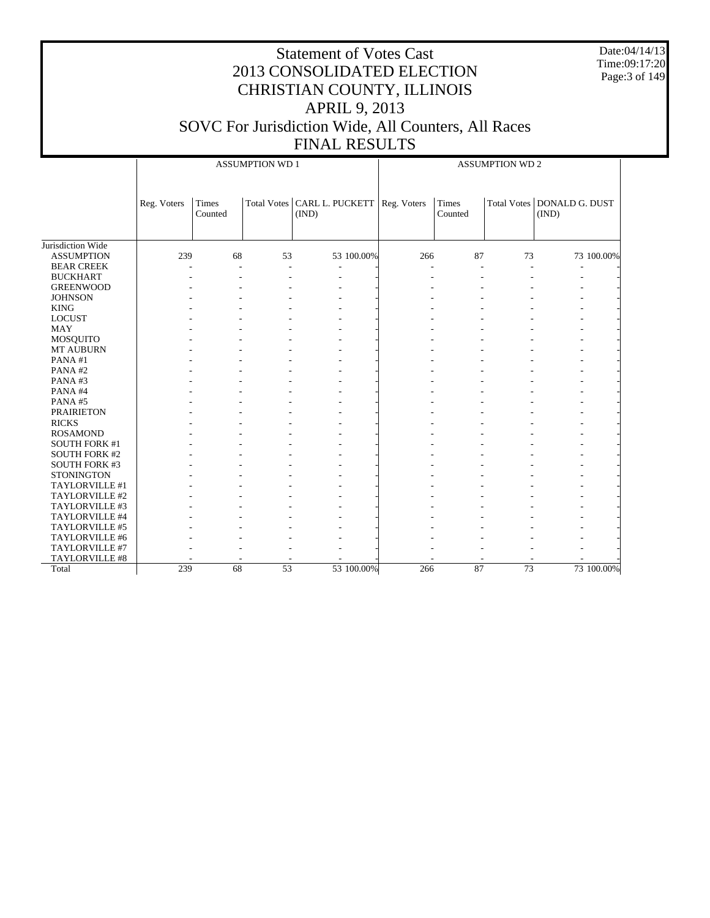Date:04/14/13 Time:09:17:20 Page:3 of 149

|                      |             |                  | <b>ASSUMPTION WD 1</b> |                                                      | <b>ASSUMPTION WD 2</b> |                         |                 |                                     |  |
|----------------------|-------------|------------------|------------------------|------------------------------------------------------|------------------------|-------------------------|-----------------|-------------------------------------|--|
|                      | Reg. Voters | Times<br>Counted |                        | Total Votes   CARL L. PUCKETT   Reg. Voters<br>(IND) |                        | <b>Times</b><br>Counted |                 | Total Votes DONALD G. DUST<br>(IND) |  |
| Jurisdiction Wide    |             |                  |                        |                                                      |                        |                         |                 |                                     |  |
| <b>ASSUMPTION</b>    | 239         | 68               | 53                     | 53 100.00%                                           | 266                    | 87                      | 73              | 73 100.00%                          |  |
| <b>BEAR CREEK</b>    |             | L.               | ٠                      |                                                      | $\overline{a}$         |                         | ÷               |                                     |  |
| <b>BUCKHART</b>      |             |                  |                        |                                                      |                        |                         |                 |                                     |  |
| <b>GREENWOOD</b>     |             |                  |                        |                                                      |                        |                         |                 |                                     |  |
| <b>JOHNSON</b>       |             |                  |                        |                                                      |                        |                         |                 |                                     |  |
| <b>KING</b>          |             |                  |                        |                                                      |                        |                         |                 |                                     |  |
| <b>LOCUST</b>        |             |                  |                        |                                                      |                        |                         |                 |                                     |  |
| <b>MAY</b>           |             |                  |                        |                                                      |                        |                         |                 |                                     |  |
| <b>MOSQUITO</b>      |             |                  |                        |                                                      |                        |                         |                 |                                     |  |
| MT AUBURN            |             |                  |                        |                                                      |                        |                         |                 |                                     |  |
| PANA#1               |             |                  |                        |                                                      |                        |                         |                 |                                     |  |
| PANA#2               |             |                  |                        |                                                      |                        |                         |                 |                                     |  |
| PANA#3               |             |                  |                        |                                                      |                        |                         |                 |                                     |  |
| PANA#4               |             |                  |                        |                                                      |                        |                         |                 |                                     |  |
| PANA#5               |             |                  |                        |                                                      |                        |                         |                 |                                     |  |
| <b>PRAIRIETON</b>    |             |                  |                        |                                                      |                        |                         |                 |                                     |  |
| <b>RICKS</b>         |             |                  |                        |                                                      |                        |                         |                 |                                     |  |
| <b>ROSAMOND</b>      |             |                  |                        |                                                      |                        |                         |                 |                                     |  |
| <b>SOUTH FORK #1</b> |             |                  |                        |                                                      |                        |                         |                 |                                     |  |
| <b>SOUTH FORK #2</b> |             |                  |                        |                                                      |                        |                         |                 |                                     |  |
| <b>SOUTH FORK #3</b> |             |                  |                        |                                                      |                        |                         |                 |                                     |  |
| <b>STONINGTON</b>    |             |                  |                        |                                                      |                        |                         |                 |                                     |  |
| TAYLORVILLE #1       |             |                  |                        |                                                      |                        |                         |                 |                                     |  |
| TAYLORVILLE #2       |             |                  |                        |                                                      |                        |                         |                 |                                     |  |
| TAYLORVILLE #3       |             |                  |                        |                                                      |                        |                         |                 |                                     |  |
| TAYLORVILLE #4       |             |                  |                        |                                                      |                        |                         |                 |                                     |  |
| TAYLORVILLE #5       |             |                  |                        |                                                      |                        |                         |                 |                                     |  |
| TAYLORVILLE #6       |             |                  |                        |                                                      |                        |                         |                 |                                     |  |
| TAYLORVILLE #7       |             |                  |                        |                                                      |                        |                         |                 |                                     |  |
| TAYLORVILLE #8       |             |                  |                        |                                                      |                        |                         |                 |                                     |  |
| Total                | 239         | 68               | $\overline{53}$        | 53 100.00%                                           | 266                    | 87                      | $\overline{73}$ | 73 100.00%                          |  |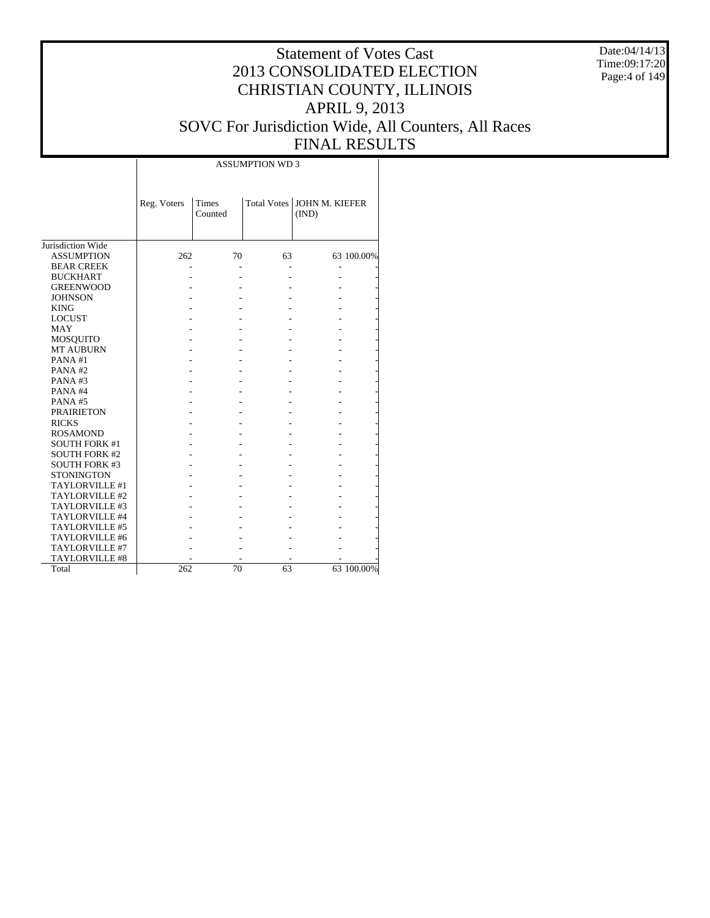Date:04/14/13 Time:09:17:20 Page:4 of 149

# Statement of Votes Cast 2013 CONSOLIDATED ELECTION CHRISTIAN COUNTY, ILLINOIS APRIL 9, 2013 SOVC For Jurisdiction Wide, All Counters, All Races FINAL RESULTS

|                      |             |                         | <b>ASSUMPTION WD3</b> |                                |            |
|----------------------|-------------|-------------------------|-----------------------|--------------------------------|------------|
|                      | Reg. Voters | <b>Times</b><br>Counted | <b>Total Votes</b>    | <b>JOHN M. KIEFER</b><br>(IND) |            |
| Jurisdiction Wide    |             |                         |                       |                                |            |
| <b>ASSUMPTION</b>    | 262         | 70                      | 63                    |                                | 63 100.00% |
| <b>BEAR CREEK</b>    |             |                         |                       |                                |            |
| <b>BUCKHART</b>      |             |                         |                       |                                |            |
| <b>GREENWOOD</b>     |             |                         |                       |                                |            |
| <b>JOHNSON</b>       |             |                         |                       |                                |            |
| <b>KING</b>          |             |                         |                       |                                |            |
| <b>LOCUST</b>        |             |                         |                       |                                |            |
| <b>MAY</b>           |             |                         |                       |                                |            |
| <b>MOSQUITO</b>      |             |                         |                       |                                |            |
| <b>MT AUBURN</b>     |             |                         |                       |                                |            |
| PANA#1               |             |                         |                       |                                |            |
| PANA#2               |             |                         |                       |                                |            |
| PANA#3               |             |                         |                       |                                |            |
| PANA#4               |             |                         |                       |                                |            |
| PANA#5               |             |                         |                       |                                |            |
| <b>PRAIRIETON</b>    |             |                         |                       |                                |            |
| <b>RICKS</b>         |             |                         |                       |                                |            |
| <b>ROSAMOND</b>      |             |                         |                       |                                |            |
| <b>SOUTH FORK #1</b> |             |                         |                       |                                |            |
| <b>SOUTH FORK #2</b> |             |                         |                       |                                |            |
| <b>SOUTH FORK #3</b> |             |                         |                       |                                |            |
| <b>STONINGTON</b>    |             |                         |                       |                                |            |
| TAYLORVILLE #1       |             |                         |                       |                                |            |
| TAYLORVILLE #2       |             |                         |                       |                                |            |
| TAYLORVILLE #3       |             |                         |                       |                                |            |
| TAYLORVILLE #4       |             |                         |                       |                                |            |
| TAYLORVILLE #5       |             |                         |                       |                                |            |
| TAYLORVILLE #6       |             |                         |                       |                                |            |
| TAYLORVILLE #7       |             |                         |                       |                                |            |
| TAYLORVILLE #8       |             |                         |                       |                                |            |
| Total                | 262         | 70                      | 63                    |                                | 63 100.00% |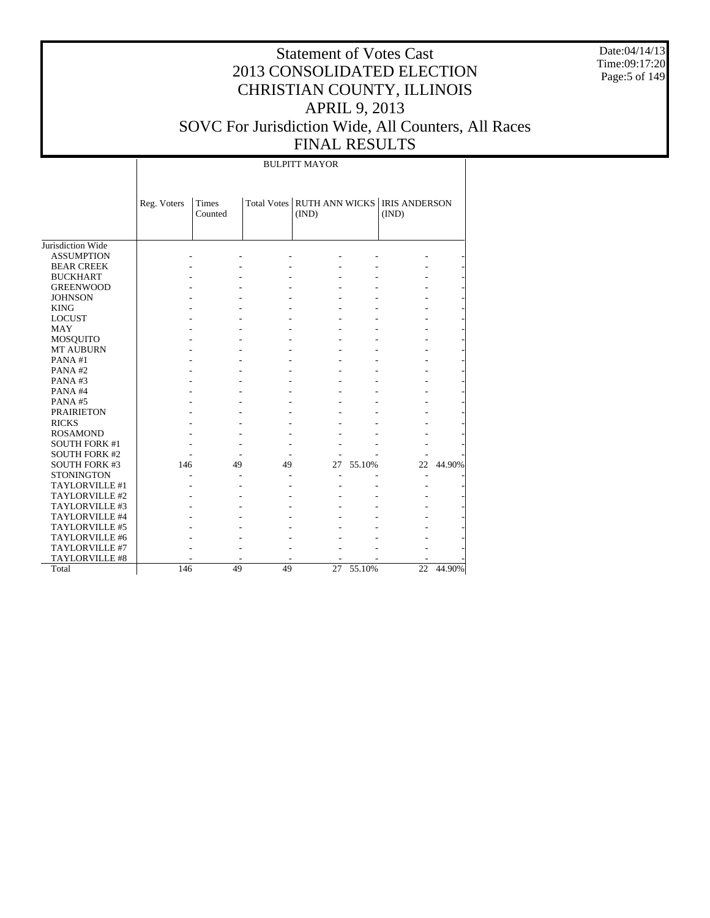Date:04/14/13 Time:09:17:20 Page:5 of 149

# Statement of Votes Cast 2013 CONSOLIDATED ELECTION CHRISTIAN COUNTY, ILLINOIS APRIL 9, 2013 SOVC For Jurisdiction Wide, All Counters, All Races FINAL RESULTS

BULPITT MAYOR

|                      | Reg. Voters | <b>Times</b><br>Counted |    | Total Votes RUTH ANN WICKS   IRIS ANDERSON<br>(IND) |        | (IND) |        |
|----------------------|-------------|-------------------------|----|-----------------------------------------------------|--------|-------|--------|
| Jurisdiction Wide    |             |                         |    |                                                     |        |       |        |
| <b>ASSUMPTION</b>    |             |                         |    |                                                     |        |       |        |
| <b>BEAR CREEK</b>    |             |                         |    |                                                     |        |       |        |
| <b>BUCKHART</b>      |             |                         |    |                                                     |        |       |        |
| <b>GREENWOOD</b>     |             |                         |    |                                                     |        |       |        |
| <b>JOHNSON</b>       |             |                         |    |                                                     |        |       |        |
| <b>KING</b>          |             |                         |    |                                                     |        |       |        |
| <b>LOCUST</b>        |             |                         |    |                                                     |        |       |        |
| <b>MAY</b>           |             |                         |    |                                                     |        |       |        |
| <b>MOSQUITO</b>      |             |                         |    |                                                     |        |       |        |
| <b>MT AUBURN</b>     |             |                         |    |                                                     |        |       |        |
| PANA#1               |             |                         |    |                                                     |        |       |        |
| PANA#2               |             |                         |    |                                                     |        |       |        |
| PANA#3               |             |                         |    |                                                     |        |       |        |
| PANA#4               |             |                         |    |                                                     |        |       |        |
| PANA#5               |             |                         |    |                                                     |        |       |        |
| <b>PRAIRIETON</b>    |             |                         |    |                                                     |        |       |        |
| <b>RICKS</b>         |             |                         |    |                                                     |        |       |        |
| <b>ROSAMOND</b>      |             |                         |    |                                                     |        |       |        |
| <b>SOUTH FORK #1</b> |             |                         |    |                                                     |        |       |        |
| <b>SOUTH FORK #2</b> |             |                         |    |                                                     |        |       |        |
| <b>SOUTH FORK #3</b> | 146         | 49                      | 49 | 27                                                  | 55.10% | 22    | 44.90% |
| <b>STONINGTON</b>    |             |                         |    |                                                     |        |       |        |
| TAYLORVILLE #1       |             |                         |    |                                                     |        |       |        |
| TAYLORVILLE #2       |             |                         |    |                                                     |        |       |        |
| TAYLORVILLE #3       |             |                         |    |                                                     |        |       |        |
| TAYLORVILLE #4       |             |                         |    |                                                     |        |       |        |
| TAYLORVILLE #5       |             |                         |    |                                                     |        |       |        |
| TAYLORVILLE #6       |             |                         |    |                                                     |        |       |        |
| TAYLORVILLE #7       |             |                         |    |                                                     |        |       |        |
| TAYLORVILLE #8       |             |                         |    |                                                     |        |       |        |
| Total                | 146         | 49                      | 49 | 27                                                  | 55.10% | 22    | 44.90% |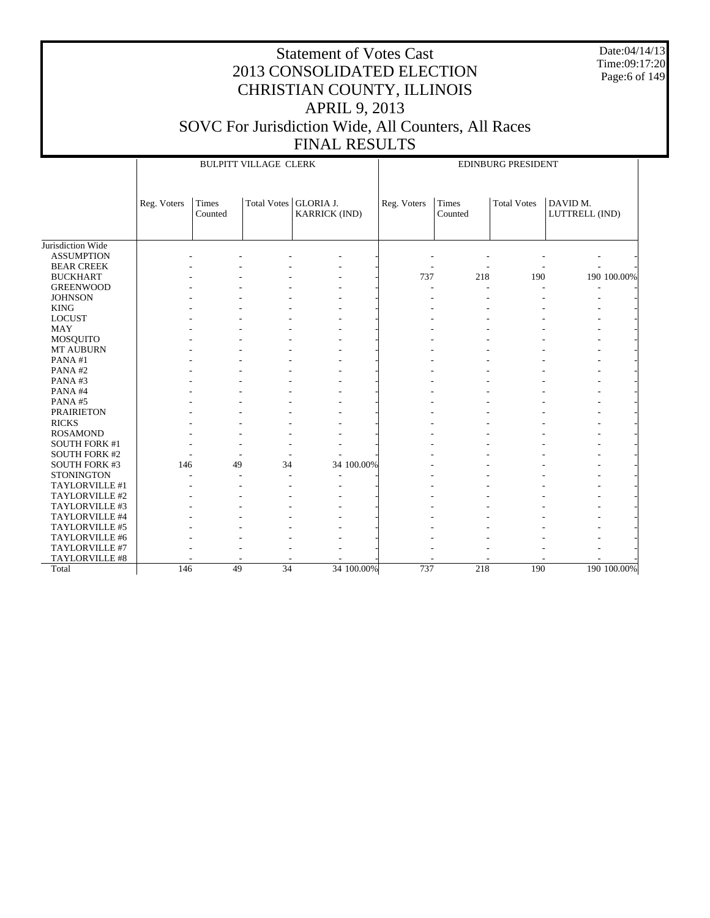Date:04/14/13 Time:09:17:20 Page:6 of 149

|                      |             |                         | <b>BULPITT VILLAGE CLERK</b> |                                          | EDINBURG PRESIDENT |                  |                    |                            |             |  |
|----------------------|-------------|-------------------------|------------------------------|------------------------------------------|--------------------|------------------|--------------------|----------------------------|-------------|--|
|                      | Reg. Voters | <b>Times</b><br>Counted | <b>Total Votes</b>           | <b>GLORIA J.</b><br><b>KARRICK (IND)</b> | Reg. Voters        | Times<br>Counted | <b>Total Votes</b> | DAVID M.<br>LUTTRELL (IND) |             |  |
| Jurisdiction Wide    |             |                         |                              |                                          |                    |                  |                    |                            |             |  |
| <b>ASSUMPTION</b>    |             |                         |                              |                                          |                    |                  |                    |                            |             |  |
| <b>BEAR CREEK</b>    |             |                         |                              |                                          |                    |                  |                    |                            |             |  |
| <b>BUCKHART</b>      |             |                         |                              |                                          | 737                | 218              | 190                |                            | 190 100.00% |  |
| <b>GREENWOOD</b>     |             |                         |                              |                                          |                    |                  |                    |                            |             |  |
| <b>JOHNSON</b>       |             |                         |                              |                                          |                    |                  |                    |                            |             |  |
| <b>KING</b>          |             |                         |                              |                                          |                    |                  |                    |                            |             |  |
| <b>LOCUST</b>        |             |                         |                              |                                          |                    |                  |                    |                            |             |  |
| <b>MAY</b>           |             |                         |                              |                                          |                    |                  |                    |                            |             |  |
| MOSQUITO             |             |                         |                              |                                          |                    |                  |                    |                            |             |  |
| <b>MT AUBURN</b>     |             |                         |                              |                                          |                    |                  |                    |                            |             |  |
| PANA#1               |             |                         |                              |                                          |                    |                  |                    |                            |             |  |
| PANA#2               |             |                         |                              |                                          |                    |                  |                    |                            |             |  |
| PANA#3               |             |                         |                              |                                          |                    |                  |                    |                            |             |  |
| PANA#4               |             |                         |                              |                                          |                    |                  |                    |                            |             |  |
| PANA#5               |             |                         |                              |                                          |                    |                  |                    |                            |             |  |
| <b>PRAIRIETON</b>    |             |                         |                              |                                          |                    |                  |                    |                            |             |  |
| <b>RICKS</b>         |             |                         |                              |                                          |                    |                  |                    |                            |             |  |
| <b>ROSAMOND</b>      |             |                         |                              |                                          |                    |                  |                    |                            |             |  |
| <b>SOUTH FORK #1</b> |             |                         |                              |                                          |                    |                  |                    |                            |             |  |
| <b>SOUTH FORK #2</b> |             |                         |                              |                                          |                    |                  |                    |                            |             |  |
| <b>SOUTH FORK #3</b> | 146         | 49                      | 34                           | 34 100.00%                               |                    |                  |                    |                            |             |  |
| <b>STONINGTON</b>    |             |                         |                              |                                          |                    |                  |                    |                            |             |  |
| TAYLORVILLE #1       |             |                         |                              |                                          |                    |                  |                    |                            |             |  |
| TAYLORVILLE #2       |             |                         |                              |                                          |                    |                  |                    |                            |             |  |
| TAYLORVILLE #3       |             |                         |                              |                                          |                    |                  |                    |                            |             |  |
| TAYLORVILLE #4       |             |                         |                              |                                          |                    |                  |                    |                            |             |  |
| TAYLORVILLE #5       |             |                         |                              |                                          |                    |                  |                    |                            |             |  |
| TAYLORVILLE #6       |             |                         |                              |                                          |                    |                  |                    |                            |             |  |
| TAYLORVILLE #7       |             |                         |                              |                                          |                    |                  |                    |                            |             |  |
| TAYLORVILLE #8       |             |                         |                              |                                          |                    |                  |                    |                            |             |  |
| Total                | 146         | 49                      | 34                           | 34 100.00%                               | 737                | 218              | 190                |                            | 190 100.00% |  |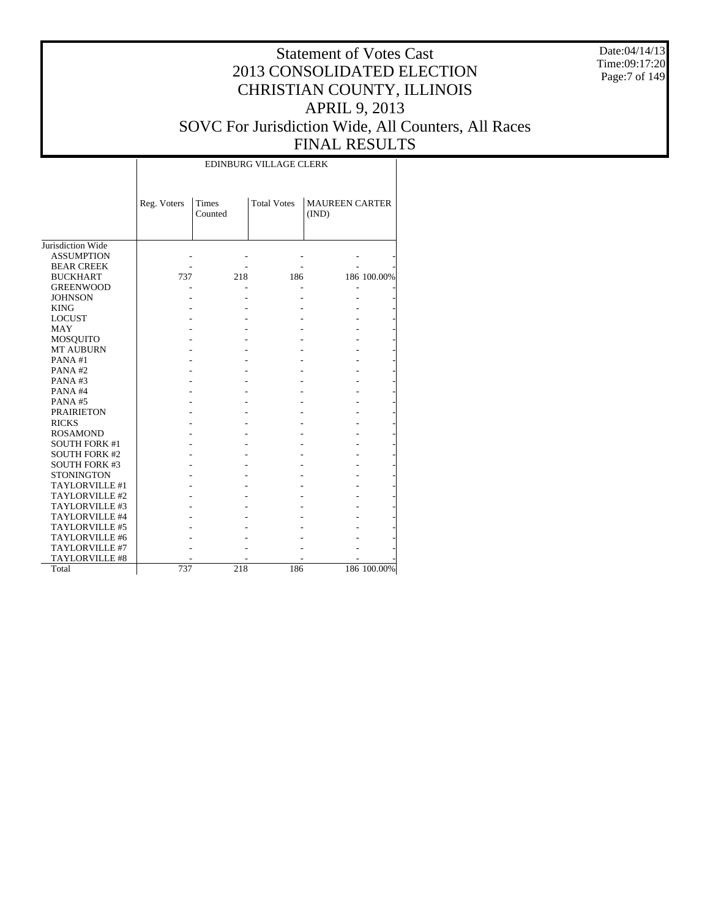Date:04/14/13 Time:09:17:20 Page:7 of 149

#### Statement of Votes Cast 2013 CONSOLIDATED ELECTION CHRISTIAN COUNTY, ILLINOIS APRIL 9, 2013 SOVC For Jurisdiction Wide, All Counters, All Races FINAL RESULTS

Jurisdiction Wide ASSUMPTION BEAR CREEK BUCKHART GREENWOOD JOHNSON KING LOCUST MAY MOSQUITO MT AUBURN PANA #1 PANA #2 PANA #3 PANA #4 PANA #5 PRAIRIETON RICKS ROSAMOND SOUTH FORK #1 SOUTH FORK #2 SOUTH FORK #3 **STONINGTON**  TAYLORVILLE #1 TAYLORVILLE #2 TAYLORVILLE #3 TAYLORVILLE #4 TAYLORVILLE #5 TAYLORVILLE #6 TAYLORVILLE #7 TAYLORVILLE #8 Total Reg. Voters | Times Counted Total Votes | MAUREEN CARTER (IND) EDINBURG VILLAGE CLERK - - - - - - - - - - 737 218 186 186 100.00% - - - - - - - - - - - - - - - - - - - - - - - - - - - - - - - - - - - - - - - - - - - - - - - - - - - - - - - - - - - - - - - - - - - - - - - - - - - - - - - - - - - - - - - - - - - - - - - - - - - - - - - - - - - - - - - - - - - - - - - - - - - - - - - - - - - - - - - 737 218 186 186 100.00%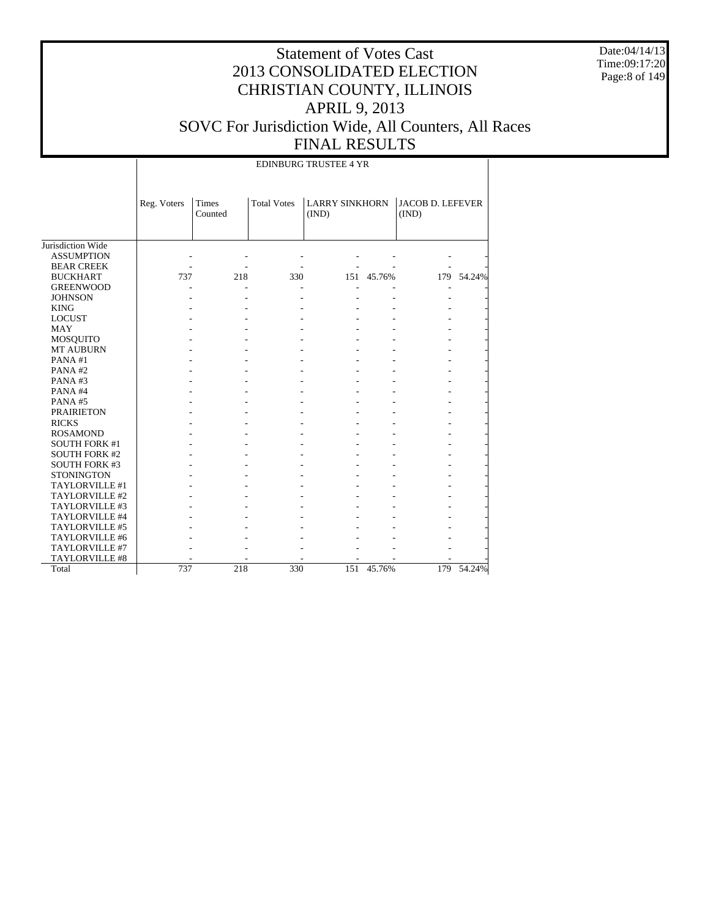Date:04/14/13 Time:09:17:20 Page:8 of 149

#### Statement of Votes Cast 2013 CONSOLIDATED ELECTION CHRISTIAN COUNTY, ILLINOIS APRIL 9, 2013 SOVC For Jurisdiction Wide, All Counters, All Races FINAL RESULTS

Jurisdiction Wide ASSUMPTION BEAR CREEK BUCKHART GREENWOOD JOHNSON KING LOCUST MAY MOSQUITO MT AUBURN PANA #1 PANA #2 PANA #3 PANA #4 PANA #5 PRAIRIETON RICKS ROSAMOND SOUTH FORK #1 SOUTH FORK #2 SOUTH FORK #3 **STONINGTON**  TAYLORVILLE #1 TAYLORVILLE #2 TAYLORVILLE #3 TAYLORVILLE #4 TAYLORVILLE #5 TAYLORVILLE #6 TAYLORVILLE #7 TAYLORVILLE #8 Total Reg. Voters | Times Counted Total Votes | LARRY SINKHORN | JACOB D. LEFEVER (IND) (IND) EDINBURG TRUSTEE 4 YR - - - - - - - - - - - - - - 737 218 330 151 45.76% 179 54.24% - - - - - - - - - - - - - - - - - - - - - - - - - - - - - - - - - - - - - - - - - - - - - - - - - - - - - - - - - - - - - - - - - - - - - - - - - - - - - - - - - - - - - - - - - - - - - - - - - - - - - - - - - - - - - - - - - - - - - - - - - - - - - - - - - - - - - - - - - - - - - - - - - - - - - - - - - - - - - - - - - - - - - - - - - - - - - - - - - - - - - - - - - - - - - 737 218 330 151 45.76% 179 54.24%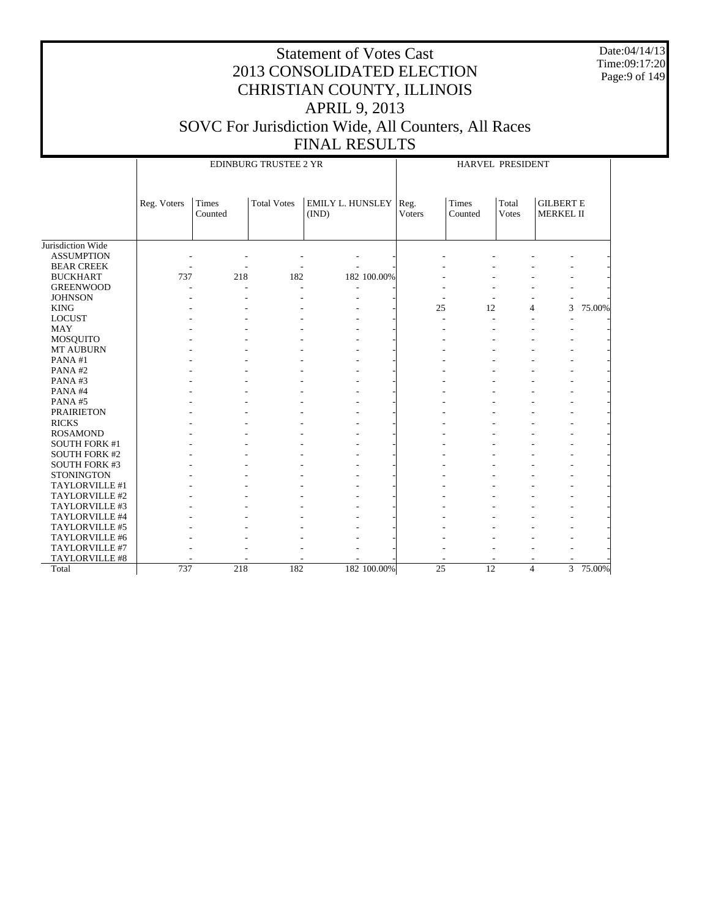Date:04/14/13 Time:09:17:20 Page:9 of 149

|                      |             |                  | EDINBURG TRUSTEE 2 YR |                           | HARVEL PRESIDENT      |                  |                       |                                      |          |  |
|----------------------|-------------|------------------|-----------------------|---------------------------|-----------------------|------------------|-----------------------|--------------------------------------|----------|--|
|                      | Reg. Voters | Times<br>Counted | <b>Total Votes</b>    | EMILY L. HUNSLEY<br>(IND) | Reg.<br><b>Voters</b> | Times<br>Counted | Total<br><b>Votes</b> | <b>GILBERT E</b><br><b>MERKEL II</b> |          |  |
| Jurisdiction Wide    |             |                  |                       |                           |                       |                  |                       |                                      |          |  |
| <b>ASSUMPTION</b>    |             |                  |                       |                           |                       |                  |                       |                                      |          |  |
| <b>BEAR CREEK</b>    |             |                  |                       |                           |                       |                  |                       |                                      |          |  |
| <b>BUCKHART</b>      | 737         | 218              | 182                   | 182 100.00%               |                       |                  |                       |                                      |          |  |
| <b>GREENWOOD</b>     |             |                  |                       |                           |                       |                  |                       |                                      |          |  |
| <b>JOHNSON</b>       |             |                  |                       |                           |                       |                  |                       |                                      |          |  |
| <b>KING</b>          |             |                  |                       |                           | 25                    | 12               | $\overline{4}$        | 3                                    | 75.00%   |  |
| <b>LOCUST</b>        |             |                  |                       |                           |                       |                  |                       |                                      |          |  |
| <b>MAY</b>           |             |                  |                       |                           |                       |                  |                       |                                      |          |  |
| <b>MOSQUITO</b>      |             |                  |                       |                           |                       |                  |                       |                                      |          |  |
| MT AUBURN            |             |                  |                       |                           |                       |                  |                       |                                      |          |  |
| PANA#1               |             |                  |                       |                           |                       |                  |                       |                                      |          |  |
| PANA#2               |             |                  |                       |                           |                       |                  |                       |                                      |          |  |
| PANA#3               |             |                  |                       |                           |                       |                  |                       |                                      |          |  |
| PANA#4               |             |                  |                       |                           |                       |                  |                       |                                      |          |  |
| PANA#5               |             |                  |                       |                           |                       |                  |                       |                                      |          |  |
| <b>PRAIRIETON</b>    |             |                  |                       |                           |                       |                  |                       |                                      |          |  |
| <b>RICKS</b>         |             |                  |                       |                           |                       |                  |                       |                                      |          |  |
| <b>ROSAMOND</b>      |             |                  |                       |                           |                       |                  |                       |                                      |          |  |
| <b>SOUTH FORK #1</b> |             |                  |                       |                           |                       |                  |                       |                                      |          |  |
| <b>SOUTH FORK #2</b> |             |                  |                       |                           |                       |                  |                       |                                      |          |  |
| <b>SOUTH FORK #3</b> |             |                  |                       |                           |                       |                  |                       |                                      |          |  |
| <b>STONINGTON</b>    |             |                  |                       |                           |                       |                  |                       |                                      |          |  |
| TAYLORVILLE #1       |             |                  |                       |                           |                       |                  |                       |                                      |          |  |
| TAYLORVILLE #2       |             |                  |                       |                           |                       |                  |                       |                                      |          |  |
| TAYLORVILLE #3       |             |                  |                       |                           |                       |                  |                       |                                      |          |  |
| TAYLORVILLE #4       |             |                  |                       |                           |                       |                  |                       |                                      |          |  |
| TAYLORVILLE #5       |             |                  |                       |                           |                       |                  |                       |                                      |          |  |
| TAYLORVILLE #6       |             |                  |                       |                           |                       |                  |                       |                                      |          |  |
| TAYLORVILLE #7       |             |                  |                       |                           |                       |                  |                       |                                      |          |  |
| TAYLORVILLE #8       |             |                  |                       |                           |                       |                  |                       |                                      |          |  |
| Total                | 737         | 218              | 182                   | 182 100.00%               | $\overline{25}$       | 12               | $\overline{4}$        |                                      | 3 75.00% |  |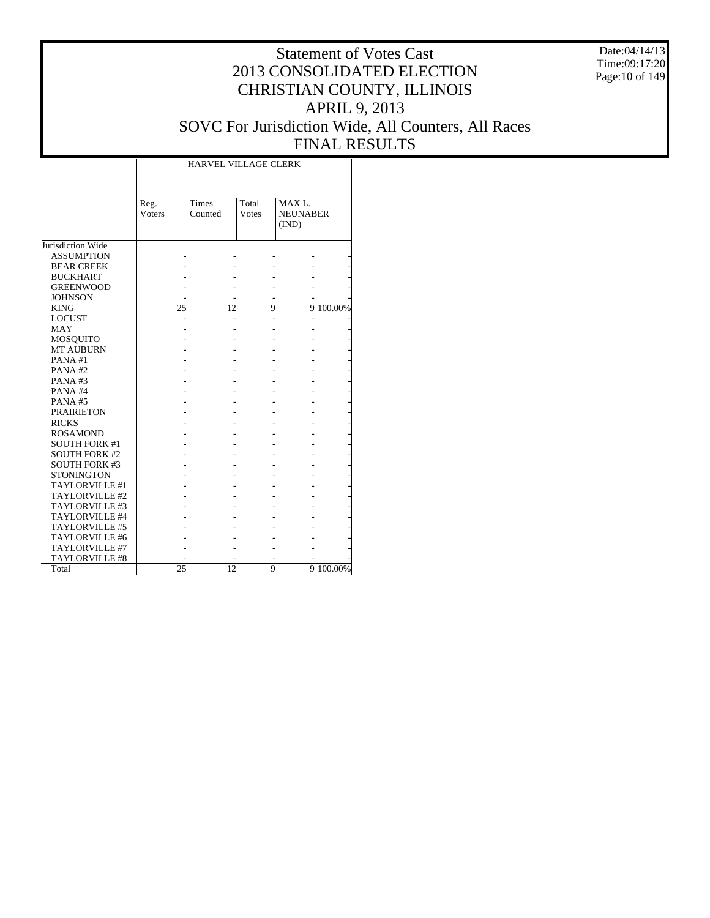Date:04/14/13 Time:09:17:20 Page:10 of 149

|                       |                | <b>HARVEL VILLAGE CLERK</b> |                |                                              |           |
|-----------------------|----------------|-----------------------------|----------------|----------------------------------------------|-----------|
|                       | Reg.<br>Voters | Times<br>Counted            | Total<br>Votes | MAX <sub>L</sub><br><b>NEUNABER</b><br>(IND) |           |
| Jurisdiction Wide     |                |                             |                |                                              |           |
| <b>ASSUMPTION</b>     |                |                             |                |                                              |           |
| <b>BEAR CREEK</b>     |                |                             |                |                                              |           |
| <b>BUCKHART</b>       |                |                             |                |                                              |           |
| <b>GREENWOOD</b>      |                |                             |                |                                              |           |
| <b>JOHNSON</b>        |                |                             |                |                                              |           |
| <b>KING</b>           | 25             | 12                          | 9              |                                              | 9 100.00% |
| <b>LOCUST</b>         |                |                             |                |                                              |           |
| <b>MAY</b>            |                |                             |                |                                              |           |
| <b>MOSQUITO</b>       |                |                             |                |                                              |           |
| <b>MT AUBURN</b>      |                |                             |                |                                              |           |
| PANA#1                |                |                             |                |                                              |           |
| PANA#2                |                |                             |                |                                              |           |
| PANA#3                |                |                             |                |                                              |           |
| PANA#4                |                |                             |                |                                              |           |
| PANA#5                |                |                             |                |                                              |           |
| <b>PRAIRIETON</b>     |                |                             |                |                                              |           |
| <b>RICKS</b>          |                |                             |                |                                              |           |
| <b>ROSAMOND</b>       |                |                             |                |                                              |           |
| <b>SOUTH FORK #1</b>  |                |                             |                |                                              |           |
| <b>SOUTH FORK #2</b>  |                |                             |                |                                              |           |
| <b>SOUTH FORK #3</b>  |                |                             |                |                                              |           |
| <b>STONINGTON</b>     |                |                             |                |                                              |           |
| TAYLORVILLE #1        |                |                             |                |                                              |           |
| TAYLORVILLE #2        |                |                             |                |                                              |           |
| TAYLORVILLE #3        |                |                             |                |                                              |           |
| TAYLORVILLE #4        |                |                             |                |                                              |           |
| TAYLORVILLE #5        |                |                             |                |                                              |           |
| TAYLORVILLE #6        |                |                             |                |                                              |           |
| TAYLORVILLE #7        |                |                             |                |                                              |           |
| <b>TAYLORVILLE #8</b> |                |                             |                |                                              |           |
| Total                 | 25             | 12                          | 9              |                                              | 9 100.00% |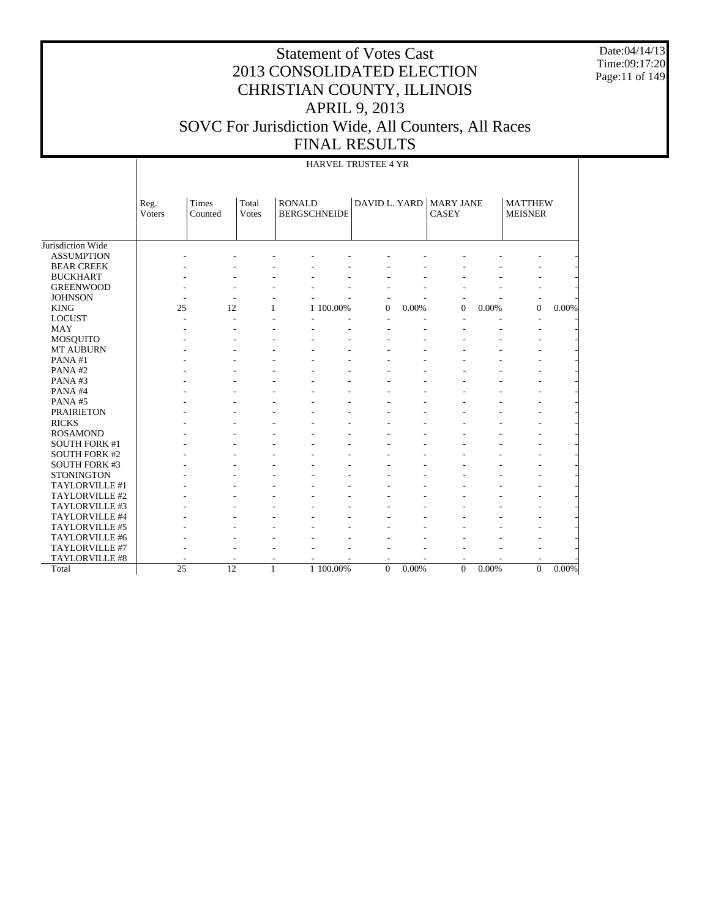Date:04/14/13 Time:09:17:20 Page:11 of 149

|                       |                       | <b>HARVEL TRUSTEE 4 YR</b> |                |                                      |                        |          |       |                                         |          |                                  |          |  |
|-----------------------|-----------------------|----------------------------|----------------|--------------------------------------|------------------------|----------|-------|-----------------------------------------|----------|----------------------------------|----------|--|
|                       | Reg.<br><b>Voters</b> | <b>Times</b><br>Counted    | Total<br>Votes | <b>RONALD</b><br><b>BERGSCHNEIDE</b> |                        |          |       | DAVID L. YARD MARY JANE<br><b>CASEY</b> |          | <b>MATTHEW</b><br><b>MEISNER</b> |          |  |
| Jurisdiction Wide     |                       |                            |                |                                      |                        |          |       |                                         |          |                                  |          |  |
| <b>ASSUMPTION</b>     |                       |                            |                |                                      |                        |          |       |                                         |          |                                  |          |  |
| <b>BEAR CREEK</b>     |                       |                            |                |                                      |                        |          |       |                                         |          |                                  |          |  |
| <b>BUCKHART</b>       |                       |                            |                |                                      |                        |          |       |                                         |          |                                  |          |  |
| <b>GREENWOOD</b>      |                       |                            |                |                                      |                        |          |       |                                         |          |                                  |          |  |
| <b>JOHNSON</b>        |                       |                            |                |                                      |                        |          |       |                                         |          |                                  |          |  |
| <b>KING</b>           | 25                    | 12                         | $\mathbf{1}$   |                                      | 1 100.00%              | $\theta$ | 0.00% | $\overline{0}$                          | 0.00%    | $\overline{0}$                   | 0.00%    |  |
| <b>LOCUST</b>         |                       | $\overline{\phantom{a}}$   |                |                                      |                        | L,       |       | L,                                      |          |                                  |          |  |
| <b>MAY</b>            |                       |                            |                |                                      |                        |          |       |                                         |          |                                  |          |  |
| MOSQUITO              |                       |                            |                |                                      |                        |          |       |                                         |          |                                  |          |  |
| <b>MT AUBURN</b>      |                       |                            |                |                                      |                        |          |       |                                         |          |                                  |          |  |
| PANA#1                |                       |                            |                |                                      |                        |          |       |                                         |          |                                  |          |  |
| PANA#2                |                       |                            |                |                                      |                        |          |       |                                         |          |                                  |          |  |
| PANA#3                |                       |                            |                |                                      |                        |          |       |                                         |          |                                  |          |  |
| PANA#4                |                       |                            |                |                                      |                        |          |       |                                         |          |                                  |          |  |
| PANA#5                |                       |                            |                |                                      |                        |          |       |                                         |          |                                  |          |  |
| <b>PRAIRIETON</b>     |                       |                            |                |                                      |                        |          |       |                                         |          |                                  |          |  |
| <b>RICKS</b>          |                       |                            |                |                                      |                        |          |       |                                         |          |                                  |          |  |
| <b>ROSAMOND</b>       |                       |                            |                |                                      |                        |          |       |                                         |          |                                  |          |  |
| <b>SOUTH FORK #1</b>  |                       |                            |                |                                      |                        |          |       |                                         |          |                                  |          |  |
| <b>SOUTH FORK #2</b>  |                       |                            |                |                                      |                        |          |       |                                         |          |                                  |          |  |
| <b>SOUTH FORK #3</b>  |                       |                            |                |                                      |                        |          |       |                                         |          |                                  |          |  |
| <b>STONINGTON</b>     |                       |                            |                |                                      |                        |          |       |                                         |          |                                  |          |  |
| TAYLORVILLE #1        |                       |                            |                |                                      |                        |          |       |                                         |          |                                  |          |  |
| TAYLORVILLE #2        |                       |                            |                |                                      |                        |          |       |                                         |          |                                  |          |  |
| TAYLORVILLE #3        |                       |                            |                |                                      |                        |          |       |                                         |          |                                  |          |  |
| TAYLORVILLE #4        |                       |                            |                |                                      |                        |          |       |                                         |          |                                  |          |  |
| TAYLORVILLE #5        |                       |                            |                |                                      |                        |          |       |                                         |          |                                  |          |  |
| TAYLORVILLE #6        |                       |                            |                |                                      |                        |          |       |                                         |          |                                  |          |  |
| TAYLORVILLE #7        |                       |                            |                |                                      |                        |          |       |                                         |          |                                  |          |  |
| <b>TAYLORVILLE #8</b> |                       |                            |                |                                      |                        |          |       |                                         |          |                                  |          |  |
| Total                 | 25                    | 12                         | 1              |                                      | $1\overline{100.00\%}$ | $\Omega$ | 0.00% | $\overline{0}$                          | $0.00\%$ | $\Omega$                         | $0.00\%$ |  |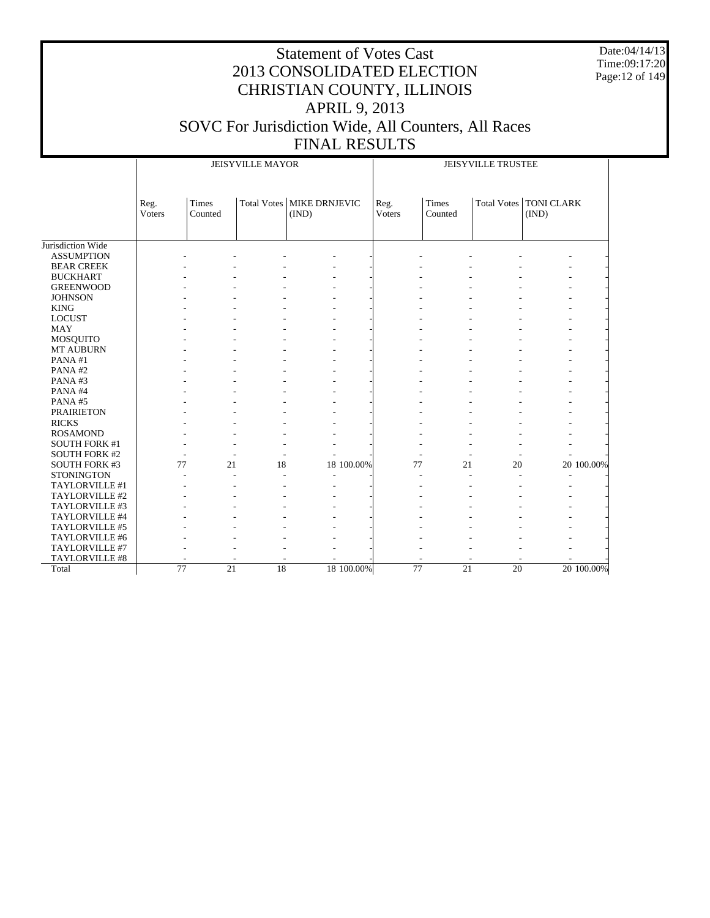Date:04/14/13 Time:09:17:20 Page:12 of 149

|                       |                |                                    | <b>JEISYVILLE MAYOR</b> |                                      | JEISYVILLE TRUSTEE |                  |                                    |                                   |  |  |
|-----------------------|----------------|------------------------------------|-------------------------|--------------------------------------|--------------------|------------------|------------------------------------|-----------------------------------|--|--|
|                       | Reg.<br>Voters | Times<br>Counted                   |                         | Total Votes   MIKE DRNJEVIC<br>(IND) | Reg.<br>Voters     | Times<br>Counted |                                    | Total Votes   TONI CLARK<br>(IND) |  |  |
|                       |                |                                    |                         |                                      |                    |                  |                                    |                                   |  |  |
| Jurisdiction Wide     |                |                                    |                         |                                      |                    |                  |                                    |                                   |  |  |
| <b>ASSUMPTION</b>     |                |                                    |                         |                                      |                    |                  |                                    |                                   |  |  |
| <b>BEAR CREEK</b>     |                |                                    |                         |                                      |                    |                  |                                    |                                   |  |  |
| <b>BUCKHART</b>       |                |                                    |                         |                                      |                    |                  |                                    |                                   |  |  |
| <b>GREENWOOD</b>      |                |                                    |                         |                                      |                    |                  |                                    |                                   |  |  |
| <b>JOHNSON</b>        |                |                                    |                         |                                      |                    |                  |                                    |                                   |  |  |
| <b>KING</b>           |                |                                    |                         |                                      |                    |                  |                                    |                                   |  |  |
| <b>LOCUST</b>         |                |                                    |                         |                                      |                    |                  |                                    |                                   |  |  |
| MAY                   |                |                                    |                         |                                      |                    |                  |                                    |                                   |  |  |
| <b>MOSQUITO</b>       |                |                                    |                         |                                      |                    |                  |                                    |                                   |  |  |
| MT AUBURN             |                |                                    |                         |                                      |                    |                  |                                    |                                   |  |  |
| PANA#1                |                |                                    |                         |                                      |                    |                  |                                    |                                   |  |  |
| PANA#2                |                |                                    |                         |                                      |                    |                  |                                    |                                   |  |  |
| PANA#3                |                |                                    |                         |                                      |                    |                  |                                    |                                   |  |  |
| PANA#4                |                |                                    |                         |                                      |                    |                  |                                    |                                   |  |  |
| PANA#5                |                |                                    |                         |                                      |                    |                  |                                    |                                   |  |  |
| <b>PRAIRIETON</b>     |                |                                    |                         |                                      |                    |                  |                                    |                                   |  |  |
| <b>RICKS</b>          |                |                                    |                         |                                      |                    |                  |                                    |                                   |  |  |
| <b>ROSAMOND</b>       |                |                                    |                         |                                      |                    |                  |                                    |                                   |  |  |
| <b>SOUTH FORK #1</b>  |                |                                    |                         |                                      |                    |                  |                                    |                                   |  |  |
| <b>SOUTH FORK #2</b>  |                |                                    |                         |                                      |                    |                  |                                    |                                   |  |  |
| <b>SOUTH FORK #3</b>  |                | 77<br>21                           | 18                      | 18 100.00%                           |                    | 77               | 21<br>20                           | 20 100.00%                        |  |  |
| <b>STONINGTON</b>     |                |                                    |                         |                                      |                    |                  |                                    |                                   |  |  |
| TAYLORVILLE #1        |                |                                    |                         |                                      |                    |                  |                                    |                                   |  |  |
| TAYLORVILLE #2        |                |                                    |                         |                                      |                    |                  |                                    |                                   |  |  |
| TAYLORVILLE #3        |                |                                    |                         |                                      |                    |                  |                                    |                                   |  |  |
| TAYLORVILLE #4        |                |                                    |                         |                                      |                    |                  |                                    |                                   |  |  |
| TAYLORVILLE #5        |                |                                    |                         |                                      |                    |                  |                                    |                                   |  |  |
| TAYLORVILLE #6        |                |                                    |                         |                                      |                    |                  |                                    |                                   |  |  |
| TAYLORVILLE #7        |                |                                    |                         |                                      |                    |                  |                                    |                                   |  |  |
| <b>TAYLORVILLE #8</b> |                |                                    |                         |                                      |                    |                  |                                    |                                   |  |  |
| Total                 |                | $\overline{77}$<br>$\overline{21}$ | $\overline{18}$         | 18 100.00%                           |                    | $\overline{77}$  | $\overline{21}$<br>$\overline{20}$ | 20 100.00%                        |  |  |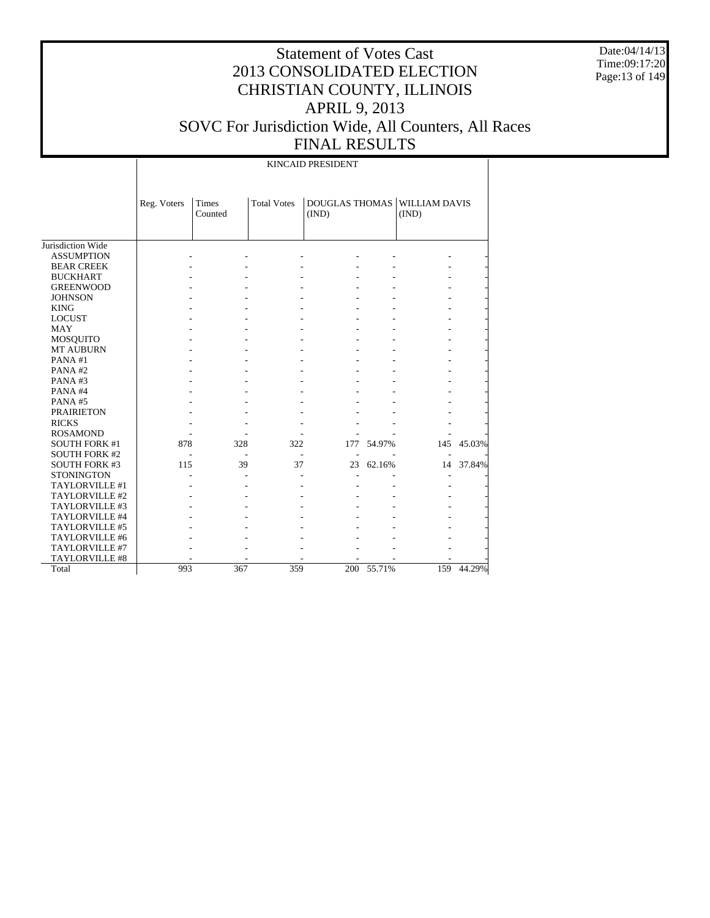Date:04/14/13 Time:09:17:20 Page:13 of 149

#### Statement of Votes Cast 2013 CONSOLIDATED ELECTION CHRISTIAN COUNTY, ILLINOIS APRIL 9, 2013 SOVC For Jurisdiction Wide, All Counters, All Races FINAL RESULTS

Jurisdiction Wide ASSUMPTION BEAR CREEK BUCKHART GREENWOOD **JOHNSON**  KING LOCUST MAY MOSQUITO MT AUBURN PANA #1 PANA #2 PANA #3 PANA #4 PANA #5 PRAIRIETON RICKS ROSAMOND SOUTH FORK #1 SOUTH FORK #2 SOUTH FORK #3 STONINGTON TAYLORVILLE #1 TAYLORVILLE #2 TAYLORVILLE #3 TAYLORVILLE #4 TAYLORVILLE #5 TAYLORVILLE #6 TAYLORVILLE #7 TAYLORVILLE #8 Total Reg. Voters Times Counted Total Votes | DOUGLAS THOMAS | WILLIAM DAVIS (IND) (IND) KINCAID PRESIDENT - - - - - - - - - - - - - - - - - - - - - - - - - - - - - - - - - - - - - - - - - - - - - - - - - - - - - - - - - - - - - - - - - - - - - - - - - - - - - - - - - - - - - - - - - - - - - - - - - - - - - - - - - - - - - - - - - - - - - - - - - - - - - - 878 328 322 177 54.97% 145 45.03% - - - - - - - 115 39 37 23 62.16% 14 37.84% - - - - - - - - - - - - - - - - - - - - - - - - - - - - - - - - - - - - - - - - - - - - - - - - - - - - - - - - - - - - - - - 993 367 359 200 55.71% 159 44.29%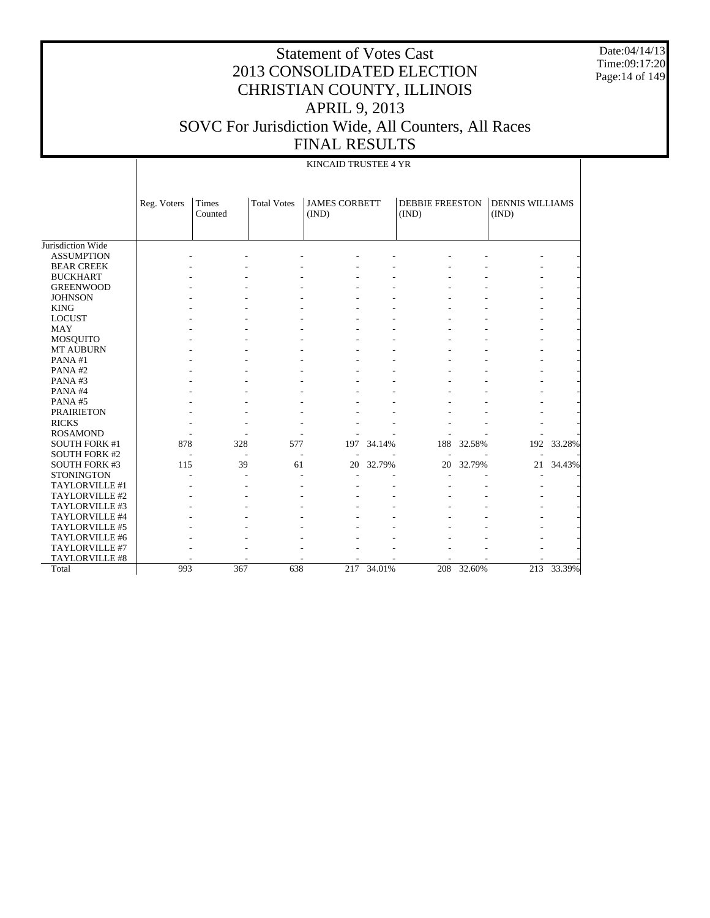Date:04/14/13 Time:09:17:20 Page:14 of 149

|                       |             | KINCAID TRUSTEE 4 YR |                    |                               |        |                                 |        |                                 |        |  |  |  |
|-----------------------|-------------|----------------------|--------------------|-------------------------------|--------|---------------------------------|--------|---------------------------------|--------|--|--|--|
|                       | Reg. Voters | Times<br>Counted     | <b>Total Votes</b> | <b>JAMES CORBETT</b><br>(IND) |        | <b>DEBBIE FREESTON</b><br>(IND) |        | <b>DENNIS WILLIAMS</b><br>(IND) |        |  |  |  |
| Jurisdiction Wide     |             |                      |                    |                               |        |                                 |        |                                 |        |  |  |  |
| <b>ASSUMPTION</b>     |             |                      |                    |                               |        |                                 |        |                                 |        |  |  |  |
| <b>BEAR CREEK</b>     |             |                      |                    |                               |        |                                 |        |                                 |        |  |  |  |
| <b>BUCKHART</b>       |             |                      |                    |                               |        |                                 |        |                                 |        |  |  |  |
| <b>GREENWOOD</b>      |             |                      |                    |                               |        |                                 |        |                                 |        |  |  |  |
| <b>JOHNSON</b>        |             |                      |                    |                               |        |                                 |        |                                 |        |  |  |  |
| <b>KING</b>           |             |                      |                    |                               |        |                                 |        |                                 |        |  |  |  |
| <b>LOCUST</b>         |             |                      |                    |                               |        |                                 |        |                                 |        |  |  |  |
| <b>MAY</b>            |             |                      |                    |                               |        |                                 |        |                                 |        |  |  |  |
| <b>MOSQUITO</b>       |             |                      |                    |                               |        |                                 |        |                                 |        |  |  |  |
| <b>MT AUBURN</b>      |             |                      |                    |                               |        |                                 |        |                                 |        |  |  |  |
| PANA#1                |             |                      |                    |                               |        |                                 |        |                                 |        |  |  |  |
| PANA#2                |             |                      |                    |                               |        |                                 |        |                                 |        |  |  |  |
| PANA#3                |             |                      |                    |                               |        |                                 |        |                                 |        |  |  |  |
| PANA#4                |             |                      |                    |                               |        |                                 |        |                                 |        |  |  |  |
| PANA#5                |             |                      |                    |                               |        |                                 |        |                                 |        |  |  |  |
| <b>PRAIRIETON</b>     |             |                      |                    |                               |        |                                 |        |                                 |        |  |  |  |
| <b>RICKS</b>          |             |                      |                    |                               |        |                                 |        |                                 |        |  |  |  |
| <b>ROSAMOND</b>       |             |                      |                    |                               |        |                                 |        |                                 |        |  |  |  |
| <b>SOUTH FORK #1</b>  | 878         | 328                  | 577                | 197                           | 34.14% | 188                             | 32.58% | 192                             | 33.28% |  |  |  |
| <b>SOUTH FORK #2</b>  |             |                      |                    |                               |        |                                 |        |                                 |        |  |  |  |
| <b>SOUTH FORK #3</b>  | 115         | 39                   | 61                 | 20                            | 32.79% | 20                              | 32.79% | 21                              | 34.43% |  |  |  |
| <b>STONINGTON</b>     |             |                      |                    |                               |        |                                 |        |                                 |        |  |  |  |
| TAYLORVILLE #1        |             |                      |                    |                               |        |                                 |        |                                 |        |  |  |  |
| TAYLORVILLE #2        |             |                      |                    |                               |        |                                 |        |                                 |        |  |  |  |
| TAYLORVILLE #3        |             |                      |                    |                               |        |                                 |        |                                 |        |  |  |  |
| TAYLORVILLE #4        |             |                      |                    |                               |        |                                 |        |                                 |        |  |  |  |
| TAYLORVILLE #5        |             |                      |                    |                               |        |                                 |        |                                 |        |  |  |  |
| TAYLORVILLE #6        |             |                      |                    |                               |        |                                 |        |                                 |        |  |  |  |
| TAYLORVILLE #7        |             |                      |                    |                               |        |                                 |        |                                 |        |  |  |  |
| <b>TAYLORVILLE #8</b> |             |                      |                    |                               |        |                                 |        |                                 |        |  |  |  |
| Total                 | 993         | 367                  | 638                | 217                           | 34.01% | 208                             | 32.60% | 213                             | 33.39% |  |  |  |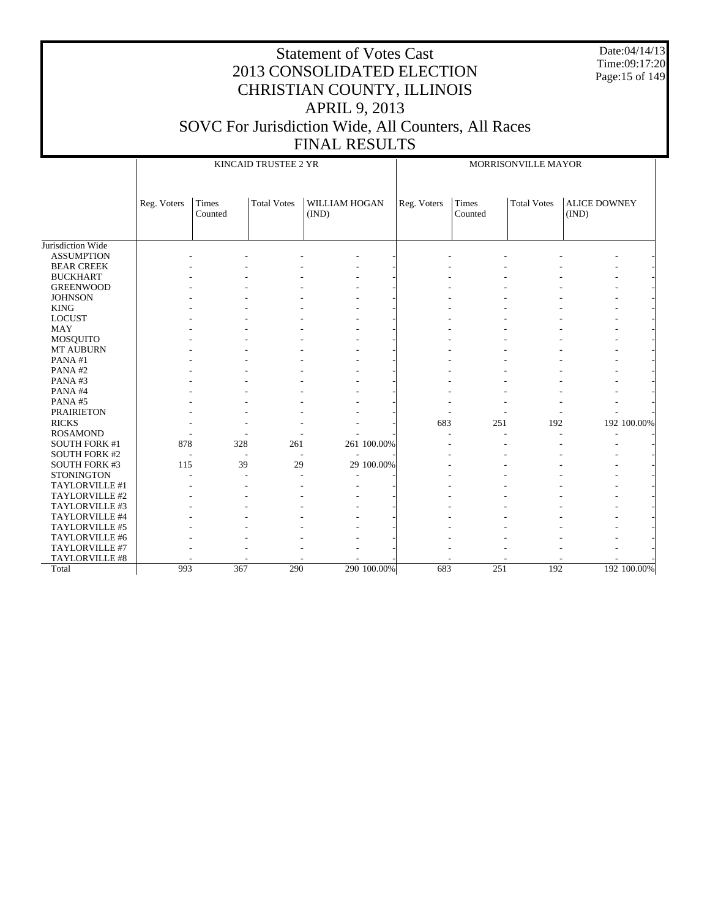Date:04/14/13 Time:09:17:20 Page:15 of 149

|                      |             |                  | KINCAID TRUSTEE 2 YR |                        |             | MORRISONVILLE MAYOR |                  |                    |                              |             |  |
|----------------------|-------------|------------------|----------------------|------------------------|-------------|---------------------|------------------|--------------------|------------------------------|-------------|--|
|                      | Reg. Voters | Times<br>Counted | <b>Total Votes</b>   | WILLIAM HOGAN<br>(IND) |             | Reg. Voters         | Times<br>Counted | <b>Total Votes</b> | <b>ALICE DOWNEY</b><br>(IND) |             |  |
| Jurisdiction Wide    |             |                  |                      |                        |             |                     |                  |                    |                              |             |  |
| <b>ASSUMPTION</b>    |             |                  |                      |                        |             |                     |                  |                    |                              |             |  |
| <b>BEAR CREEK</b>    |             |                  |                      |                        |             |                     |                  |                    |                              |             |  |
| <b>BUCKHART</b>      |             |                  |                      |                        |             |                     |                  |                    |                              |             |  |
| <b>GREENWOOD</b>     |             |                  |                      |                        |             |                     |                  |                    |                              |             |  |
| <b>JOHNSON</b>       |             |                  |                      |                        |             |                     |                  |                    |                              |             |  |
| <b>KING</b>          |             |                  |                      |                        |             |                     |                  |                    |                              |             |  |
| <b>LOCUST</b>        |             |                  |                      |                        |             |                     |                  |                    | $\overline{\phantom{a}}$     |             |  |
| <b>MAY</b>           |             |                  |                      |                        |             |                     |                  |                    |                              |             |  |
| MOSQUITO             |             |                  |                      |                        |             |                     |                  |                    |                              |             |  |
| MT AUBURN            |             |                  |                      |                        |             |                     |                  |                    |                              |             |  |
| PANA#1               |             |                  |                      |                        |             |                     |                  |                    |                              |             |  |
| PANA#2               |             |                  |                      |                        |             |                     |                  |                    |                              |             |  |
| PANA#3               |             |                  |                      |                        |             |                     |                  |                    |                              |             |  |
| PANA#4               |             |                  |                      |                        |             |                     |                  |                    |                              |             |  |
| PANA#5               |             |                  |                      |                        |             |                     |                  |                    |                              |             |  |
| <b>PRAIRIETON</b>    |             |                  |                      |                        |             |                     |                  |                    |                              |             |  |
| <b>RICKS</b>         |             |                  |                      |                        |             | 683                 | 251              | 192                |                              | 192 100.00% |  |
| <b>ROSAMOND</b>      |             |                  |                      |                        |             |                     |                  |                    | ۰                            |             |  |
| SOUTH FORK #1        | 878         | 328              | 261                  |                        | 261 100.00% |                     |                  |                    |                              |             |  |
| <b>SOUTH FORK #2</b> |             |                  |                      |                        |             |                     |                  |                    |                              |             |  |
| <b>SOUTH FORK #3</b> | 115         | 39               | 29                   |                        | 29 100.00%  |                     |                  |                    |                              |             |  |
| <b>STONINGTON</b>    |             |                  | ٠                    |                        |             |                     |                  |                    |                              |             |  |
| TAYLORVILLE #1       |             |                  |                      |                        |             |                     |                  |                    |                              |             |  |
| TAYLORVILLE #2       |             |                  |                      |                        |             |                     |                  |                    |                              |             |  |
| TAYLORVILLE #3       |             |                  |                      |                        |             |                     |                  |                    |                              |             |  |
| TAYLORVILLE #4       |             |                  |                      |                        |             |                     |                  |                    |                              |             |  |
| TAYLORVILLE #5       |             |                  |                      |                        |             |                     |                  |                    |                              |             |  |
| TAYLORVILLE #6       |             |                  |                      |                        |             |                     |                  |                    |                              |             |  |
| TAYLORVILLE #7       |             |                  |                      |                        |             |                     |                  |                    |                              |             |  |
| TAYLORVILLE #8       |             |                  |                      |                        |             |                     |                  |                    |                              |             |  |
| Total                | 993         | 367              | 290                  |                        | 290 100.00% | 683                 | 251              | 192                |                              | 192 100.00% |  |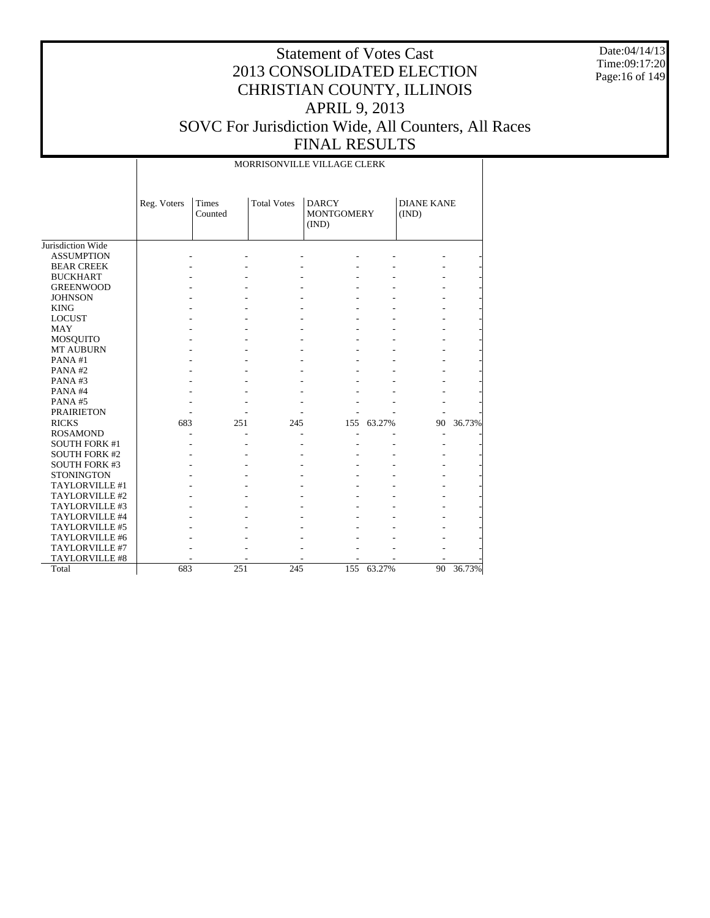Date:04/14/13 Time:09:17:20 Page:16 of 149

|                      |             |                  |                    | MORRISONVILLE VILLAGE CLERK                |        |                            |        |
|----------------------|-------------|------------------|--------------------|--------------------------------------------|--------|----------------------------|--------|
|                      | Reg. Voters | Times<br>Counted | <b>Total Votes</b> | <b>DARCY</b><br><b>MONTGOMERY</b><br>(IND) |        | <b>DIANE KANE</b><br>(IND) |        |
| Jurisdiction Wide    |             |                  |                    |                                            |        |                            |        |
| <b>ASSUMPTION</b>    |             |                  |                    |                                            |        |                            |        |
| <b>BEAR CREEK</b>    |             |                  |                    |                                            |        |                            |        |
| <b>BUCKHART</b>      |             |                  |                    |                                            |        |                            |        |
| <b>GREENWOOD</b>     |             |                  |                    |                                            |        |                            |        |
| <b>JOHNSON</b>       |             |                  |                    |                                            |        |                            |        |
| <b>KING</b>          |             |                  |                    |                                            |        |                            |        |
| <b>LOCUST</b>        |             |                  |                    |                                            |        |                            |        |
| <b>MAY</b>           |             |                  |                    |                                            |        |                            |        |
| <b>MOSQUITO</b>      |             |                  |                    |                                            |        |                            |        |
| <b>MT AUBURN</b>     |             |                  |                    |                                            |        |                            |        |
| PANA#1               |             |                  |                    |                                            |        |                            |        |
| PANA#2               |             |                  |                    |                                            |        |                            |        |
| PANA#3               |             |                  |                    |                                            |        |                            |        |
| PANA#4               |             |                  |                    |                                            |        |                            |        |
| PANA#5               |             |                  |                    |                                            |        |                            |        |
| <b>PRAIRIETON</b>    |             |                  |                    |                                            |        |                            |        |
| <b>RICKS</b>         | 683         | 251              | 245                | 155                                        | 63.27% | 90                         | 36.73% |
| <b>ROSAMOND</b>      |             |                  |                    |                                            |        | L,                         |        |
| <b>SOUTH FORK #1</b> |             |                  |                    |                                            |        |                            |        |
| <b>SOUTH FORK #2</b> |             |                  |                    |                                            |        |                            |        |
| <b>SOUTH FORK #3</b> |             |                  |                    |                                            |        |                            |        |
| <b>STONINGTON</b>    |             |                  |                    |                                            |        |                            |        |
| TAYLORVILLE #1       |             |                  |                    |                                            |        |                            |        |
| TAYLORVILLE #2       |             |                  |                    |                                            |        |                            |        |
| TAYLORVILLE #3       |             |                  |                    |                                            |        |                            |        |
| TAYLORVILLE #4       |             |                  |                    |                                            |        |                            |        |
| TAYLORVILLE #5       |             |                  |                    |                                            |        |                            |        |
| TAYLORVILLE #6       |             |                  |                    |                                            |        |                            |        |
| TAYLORVILLE #7       |             |                  |                    |                                            |        |                            |        |
| TAYLORVILLE #8       |             |                  |                    |                                            |        |                            |        |
| Total                | 683         | 251              | 245                | 155                                        | 63.27% | 90                         | 36.73% |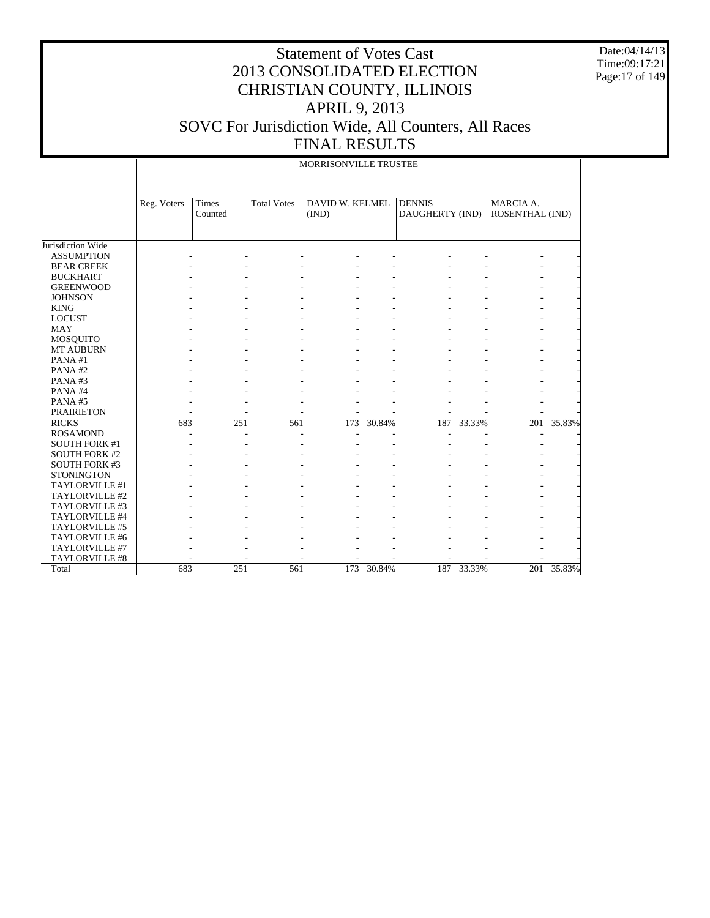Date:04/14/13 Time:09:17:21 Page:17 of 149

|                      |             | MORRISONVILLE TRUSTEE |                    |                          |        |                                  |        |                              |        |  |  |  |  |
|----------------------|-------------|-----------------------|--------------------|--------------------------|--------|----------------------------------|--------|------------------------------|--------|--|--|--|--|
|                      | Reg. Voters | Times<br>Counted      | <b>Total Votes</b> | DAVID W. KELMEL<br>(IND) |        | <b>DENNIS</b><br>DAUGHERTY (IND) |        | MARCIA A.<br>ROSENTHAL (IND) |        |  |  |  |  |
|                      |             |                       |                    |                          |        |                                  |        |                              |        |  |  |  |  |
| Jurisdiction Wide    |             |                       |                    |                          |        |                                  |        |                              |        |  |  |  |  |
| <b>ASSUMPTION</b>    |             |                       |                    |                          |        |                                  |        |                              |        |  |  |  |  |
| <b>BEAR CREEK</b>    |             |                       |                    |                          |        |                                  |        |                              |        |  |  |  |  |
| <b>BUCKHART</b>      |             |                       |                    |                          |        |                                  |        |                              |        |  |  |  |  |
| <b>GREENWOOD</b>     |             |                       |                    |                          |        |                                  |        |                              |        |  |  |  |  |
| <b>JOHNSON</b>       |             |                       |                    |                          |        |                                  |        |                              |        |  |  |  |  |
| <b>KING</b>          |             |                       |                    |                          |        |                                  |        |                              |        |  |  |  |  |
| <b>LOCUST</b>        |             |                       |                    |                          |        |                                  |        |                              |        |  |  |  |  |
| <b>MAY</b>           |             |                       |                    |                          |        |                                  |        |                              |        |  |  |  |  |
| <b>MOSQUITO</b>      |             |                       |                    |                          |        |                                  |        |                              |        |  |  |  |  |
| MT AUBURN            |             |                       |                    |                          |        |                                  |        |                              |        |  |  |  |  |
| PANA#1               |             |                       |                    |                          |        |                                  |        |                              |        |  |  |  |  |
| PANA#2               |             |                       |                    |                          |        |                                  |        |                              |        |  |  |  |  |
| PANA#3               |             |                       |                    |                          |        |                                  |        |                              |        |  |  |  |  |
| PANA#4               |             |                       |                    |                          |        |                                  |        |                              |        |  |  |  |  |
| PANA#5               |             |                       |                    |                          |        |                                  |        |                              |        |  |  |  |  |
| <b>PRAIRIETON</b>    |             |                       |                    |                          |        |                                  |        |                              |        |  |  |  |  |
| <b>RICKS</b>         | 683         | 251                   | 561                | 173                      | 30.84% | 187                              | 33.33% | 201                          | 35.83% |  |  |  |  |
| <b>ROSAMOND</b>      |             |                       |                    |                          |        |                                  |        | $\overline{a}$               |        |  |  |  |  |
| <b>SOUTH FORK #1</b> |             |                       |                    |                          |        |                                  |        |                              |        |  |  |  |  |
| <b>SOUTH FORK #2</b> |             |                       |                    |                          |        |                                  |        |                              |        |  |  |  |  |
| <b>SOUTH FORK #3</b> |             |                       |                    |                          |        |                                  |        |                              |        |  |  |  |  |
| <b>STONINGTON</b>    |             |                       |                    |                          |        |                                  |        |                              |        |  |  |  |  |
| TAYLORVILLE #1       |             |                       |                    |                          |        |                                  |        |                              |        |  |  |  |  |
| TAYLORVILLE #2       |             |                       |                    |                          |        |                                  |        |                              |        |  |  |  |  |
| TAYLORVILLE #3       |             |                       |                    |                          |        |                                  |        |                              |        |  |  |  |  |
| TAYLORVILLE #4       |             |                       |                    |                          |        |                                  |        |                              |        |  |  |  |  |
| TAYLORVILLE #5       |             |                       |                    |                          |        |                                  |        |                              |        |  |  |  |  |
| TAYLORVILLE #6       |             |                       |                    |                          |        |                                  |        |                              |        |  |  |  |  |
| TAYLORVILLE #7       |             |                       |                    |                          |        |                                  |        |                              |        |  |  |  |  |
| TAYLORVILLE #8       |             |                       |                    |                          |        |                                  |        |                              |        |  |  |  |  |
| Total                | 683         | 251                   | 561                | 173                      | 30.84% | 187                              | 33.33% | 201                          | 35.83% |  |  |  |  |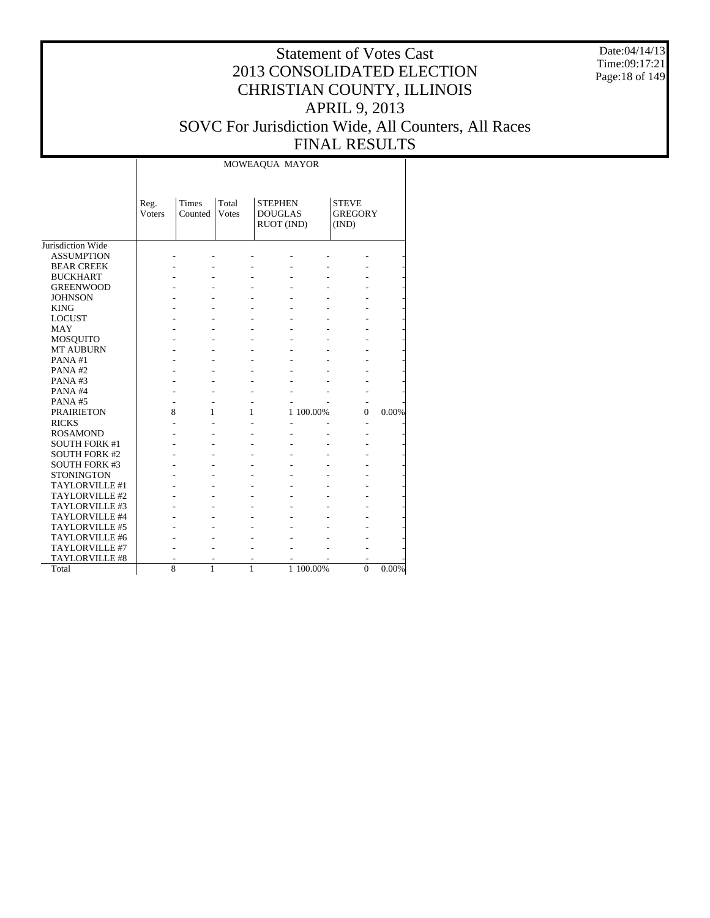Date:04/14/13 Time:09:17:21 Page:18 of 149

|                      |                       |                         |                       | MOWEAQUA MAYOR                                 |           |                                         |       |
|----------------------|-----------------------|-------------------------|-----------------------|------------------------------------------------|-----------|-----------------------------------------|-------|
|                      | Reg.<br><b>Voters</b> | <b>Times</b><br>Counted | Total<br><b>Votes</b> | <b>STEPHEN</b><br><b>DOUGLAS</b><br>RUOT (IND) |           | <b>STEVE</b><br><b>GREGORY</b><br>(IND) |       |
| Jurisdiction Wide    |                       |                         |                       |                                                |           |                                         |       |
| <b>ASSUMPTION</b>    |                       |                         |                       |                                                |           |                                         |       |
| <b>BEAR CREEK</b>    |                       |                         |                       |                                                |           |                                         |       |
| <b>BUCKHART</b>      |                       |                         |                       |                                                |           |                                         |       |
| <b>GREENWOOD</b>     |                       |                         |                       |                                                |           |                                         |       |
| <b>JOHNSON</b>       |                       |                         |                       |                                                |           |                                         |       |
| <b>KING</b>          |                       |                         |                       |                                                |           |                                         |       |
| <b>LOCUST</b>        |                       |                         |                       |                                                |           |                                         |       |
| <b>MAY</b>           |                       |                         |                       |                                                |           |                                         |       |
| <b>MOSQUITO</b>      |                       |                         |                       |                                                |           |                                         |       |
| <b>MT AUBURN</b>     |                       |                         |                       |                                                |           |                                         |       |
| PANA#1               |                       |                         |                       |                                                |           |                                         |       |
| PANA#2               |                       |                         |                       |                                                |           |                                         |       |
| PANA#3               |                       |                         |                       |                                                |           |                                         |       |
| PANA#4               |                       |                         |                       |                                                |           |                                         |       |
| PANA#5               |                       |                         |                       |                                                |           |                                         |       |
| <b>PRAIRIETON</b>    | 8                     | 1                       | 1                     |                                                | 1 100.00% | $\overline{0}$                          | 0.00% |
| <b>RICKS</b>         |                       |                         |                       |                                                |           |                                         |       |
| <b>ROSAMOND</b>      |                       |                         |                       |                                                |           |                                         |       |
| <b>SOUTH FORK #1</b> |                       |                         |                       |                                                |           |                                         |       |
| <b>SOUTH FORK #2</b> |                       |                         |                       |                                                |           |                                         |       |
| <b>SOUTH FORK #3</b> |                       |                         |                       |                                                |           |                                         |       |
| <b>STONINGTON</b>    |                       |                         |                       |                                                |           |                                         |       |
| TAYLORVILLE #1       |                       |                         |                       |                                                |           |                                         |       |
| TAYLORVILLE #2       |                       |                         |                       |                                                |           |                                         |       |
| TAYLORVILLE #3       |                       |                         |                       |                                                |           |                                         |       |
| TAYLORVILLE #4       |                       |                         |                       |                                                |           |                                         |       |
| TAYLORVILLE #5       |                       |                         |                       |                                                |           |                                         |       |
| TAYLORVILLE #6       |                       |                         |                       |                                                |           |                                         |       |
| TAYLORVILLE #7       |                       |                         |                       |                                                |           |                                         |       |
| TAYLORVILLE #8       |                       |                         |                       |                                                |           |                                         |       |
| Total                | $\overline{8}$        | $\mathbf{1}$            | 1                     |                                                | 1 100.00% | $\Omega$                                | 0.00% |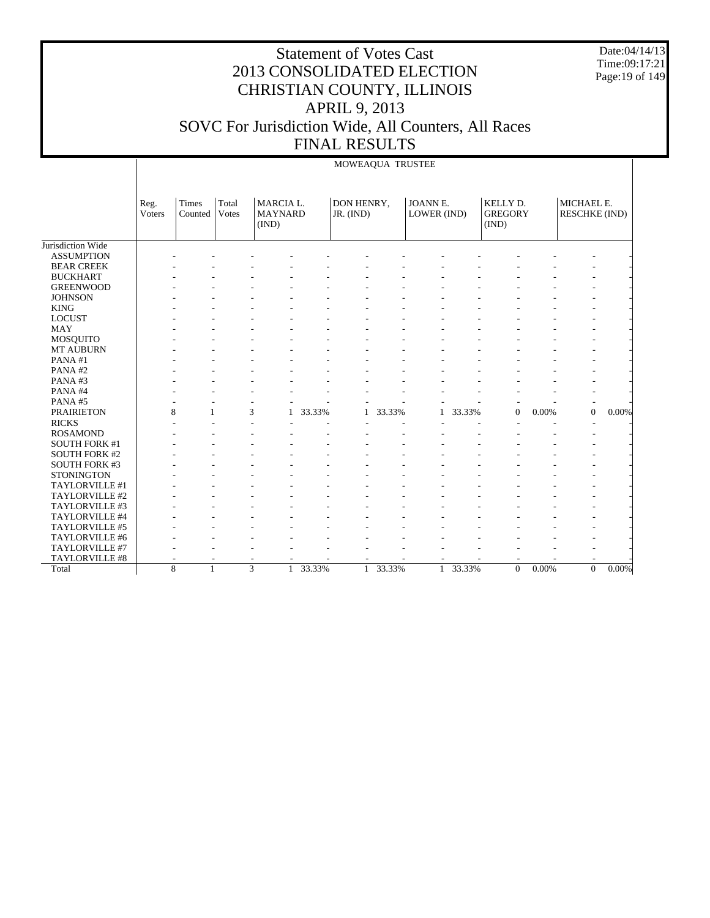Date:04/14/13 Time:09:17:21 Page:19 of 149

|                      |                |                   |                |                                      |        | MOWEAQUA TRUSTEE        |        |                         |        |                                     |          |                                    |          |
|----------------------|----------------|-------------------|----------------|--------------------------------------|--------|-------------------------|--------|-------------------------|--------|-------------------------------------|----------|------------------------------------|----------|
|                      | Reg.<br>Voters | Times<br>Counted  | Total<br>Votes | MARCIA L.<br><b>MAYNARD</b><br>(IND) |        | DON HENRY,<br>JR. (IND) |        | JOANN E.<br>LOWER (IND) |        | KELLY D.<br><b>GREGORY</b><br>(IND) |          | MICHAEL E.<br><b>RESCHKE (IND)</b> |          |
| Jurisdiction Wide    |                |                   |                |                                      |        |                         |        |                         |        |                                     |          |                                    |          |
| <b>ASSUMPTION</b>    |                |                   |                |                                      |        |                         |        |                         |        |                                     |          |                                    |          |
| <b>BEAR CREEK</b>    |                |                   |                |                                      |        |                         |        |                         |        |                                     |          |                                    |          |
| <b>BUCKHART</b>      |                |                   |                |                                      |        |                         |        |                         |        |                                     |          |                                    |          |
| <b>GREENWOOD</b>     |                |                   |                |                                      |        |                         |        |                         |        |                                     |          |                                    |          |
| <b>JOHNSON</b>       |                |                   |                |                                      |        |                         |        |                         |        |                                     |          |                                    |          |
| <b>KING</b>          |                |                   |                |                                      |        |                         |        |                         |        |                                     |          |                                    |          |
| <b>LOCUST</b>        |                |                   |                |                                      |        |                         |        |                         |        |                                     |          |                                    |          |
| <b>MAY</b>           |                |                   |                |                                      |        |                         |        |                         |        |                                     |          |                                    |          |
| <b>MOSQUITO</b>      |                |                   |                |                                      |        |                         |        |                         |        |                                     |          |                                    |          |
| <b>MT AUBURN</b>     |                |                   |                |                                      |        |                         |        |                         |        |                                     |          |                                    |          |
| PANA#1               |                |                   |                |                                      |        |                         |        |                         |        |                                     |          |                                    |          |
| PANA#2               |                |                   |                |                                      |        |                         |        |                         |        |                                     |          |                                    |          |
| PANA#3               |                |                   |                |                                      |        |                         |        |                         |        |                                     |          |                                    |          |
| PANA#4               |                |                   |                |                                      |        |                         |        |                         |        |                                     |          |                                    |          |
| PANA#5               |                |                   |                |                                      |        |                         |        |                         |        |                                     |          |                                    |          |
| <b>PRAIRIETON</b>    |                | 8                 |                | 3<br>1                               | 33.33% | $\mathbf{1}$            | 33.33% | 1                       | 33.33% | $\overline{0}$                      | 0.00%    | $\overline{0}$                     | $0.00\%$ |
| <b>RICKS</b>         |                |                   |                |                                      |        |                         |        |                         |        |                                     |          |                                    |          |
| <b>ROSAMOND</b>      |                |                   |                |                                      |        |                         |        |                         |        |                                     |          |                                    |          |
| <b>SOUTH FORK #1</b> |                |                   |                |                                      |        |                         |        |                         |        |                                     |          |                                    |          |
| <b>SOUTH FORK #2</b> |                |                   |                |                                      |        |                         |        |                         |        |                                     |          |                                    |          |
| <b>SOUTH FORK #3</b> |                |                   |                |                                      |        |                         |        |                         |        |                                     |          |                                    |          |
| <b>STONINGTON</b>    |                |                   |                |                                      |        |                         |        |                         |        |                                     |          |                                    |          |
| TAYLORVILLE #1       |                |                   |                |                                      |        |                         |        |                         |        |                                     |          |                                    |          |
| TAYLORVILLE #2       |                |                   |                |                                      |        |                         |        |                         |        |                                     |          |                                    |          |
| TAYLORVILLE #3       |                |                   |                |                                      |        |                         |        |                         |        |                                     |          |                                    |          |
| TAYLORVILLE #4       |                |                   |                |                                      |        |                         |        |                         |        |                                     |          |                                    |          |
| TAYLORVILLE #5       |                |                   |                |                                      |        |                         |        |                         |        |                                     |          |                                    |          |
| TAYLORVILLE #6       |                |                   |                |                                      |        |                         |        |                         |        |                                     |          |                                    |          |
| TAYLORVILLE #7       |                |                   |                |                                      |        |                         |        |                         |        |                                     |          |                                    |          |
| TAYLORVILLE #8       |                |                   |                |                                      |        |                         |        |                         |        |                                     |          |                                    |          |
| Total                |                | 8<br>$\mathbf{1}$ |                | $\overline{3}$<br>$\mathbf{1}$       | 33.33% | $\mathbf{1}$            | 33.33% | $\mathbf{1}$            | 33.33% | $\mathbf{0}$                        | $0.00\%$ | $\overline{0}$                     | $0.00\%$ |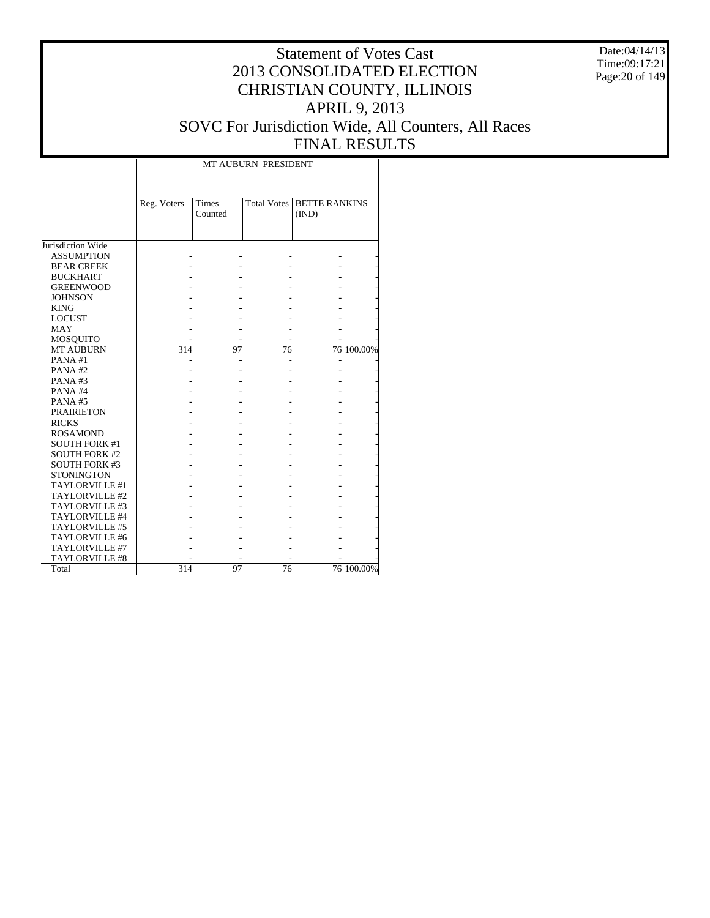Date:04/14/13 Time:09:17:21 Page:20 of 149

# Statement of Votes Cast 2013 CONSOLIDATED ELECTION CHRISTIAN COUNTY, ILLINOIS APRIL 9, 2013 SOVC For Jurisdiction Wide, All Counters, All Races FINAL RESULTS

Τ

|                       | Reg. Voters | <b>Times</b><br>Counted | <b>Total Votes</b> | <b>BETTE RANKINS</b><br>(IND) |            |
|-----------------------|-------------|-------------------------|--------------------|-------------------------------|------------|
| Jurisdiction Wide     |             |                         |                    |                               |            |
| <b>ASSUMPTION</b>     |             |                         |                    |                               |            |
| <b>BEAR CREEK</b>     |             |                         |                    |                               |            |
| <b>BUCKHART</b>       |             |                         |                    |                               |            |
| <b>GREENWOOD</b>      |             |                         |                    |                               |            |
| <b>JOHNSON</b>        |             |                         |                    |                               |            |
| <b>KING</b>           |             |                         |                    |                               |            |
| <b>LOCUST</b>         |             |                         |                    |                               |            |
| MAY                   |             |                         |                    |                               |            |
| MOSQUITO              |             |                         |                    |                               |            |
| <b>MT AUBURN</b>      | 314         | 97                      | 76                 |                               | 76 100.00% |
| PANA#1                |             |                         |                    |                               |            |
| PANA#2                |             |                         |                    |                               |            |
| PANA#3                |             |                         |                    |                               |            |
| PANA#4                |             |                         |                    |                               |            |
| <b>PANA#5</b>         |             |                         |                    |                               |            |
| <b>PRAIRIETON</b>     |             |                         |                    |                               |            |
| <b>RICKS</b>          |             |                         |                    |                               |            |
| <b>ROSAMOND</b>       |             |                         |                    |                               |            |
| <b>SOUTH FORK #1</b>  |             |                         |                    |                               |            |
| <b>SOUTH FORK #2</b>  |             |                         |                    |                               |            |
| <b>SOUTH FORK #3</b>  |             |                         |                    |                               |            |
| <b>STONINGTON</b>     |             |                         |                    |                               |            |
| TAYLORVILLE #1        |             |                         |                    |                               |            |
| TAYLORVILLE #2        |             |                         |                    |                               |            |
| TAYLORVILLE #3        |             |                         |                    |                               |            |
| TAYLORVILLE #4        |             |                         |                    |                               |            |
| TAYLORVILLE #5        |             |                         |                    |                               |            |
| TAYLORVILLE #6        |             |                         |                    |                               |            |
| TAYLORVILLE #7        |             |                         |                    |                               |            |
| <b>TAYLORVILLE #8</b> |             |                         |                    |                               |            |
| Total                 | 314         | 97                      | 76                 |                               | 76 100.00% |

 $\overline{\phantom{a}}$ 

MT AUBURN PRESIDENT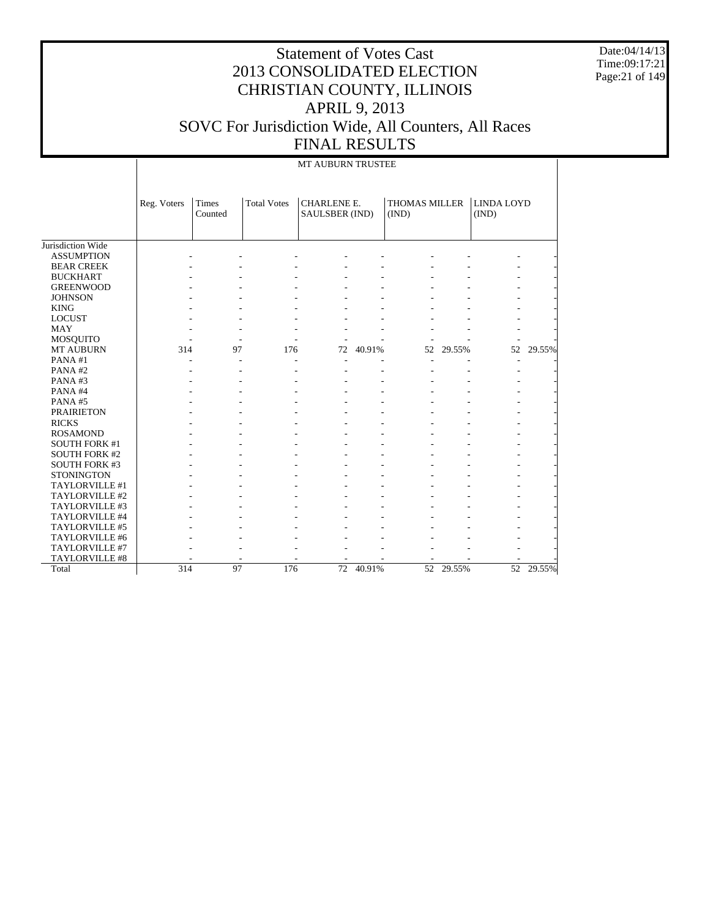Date:04/14/13 Time:09:17:21 Page:21 of 149

|                       |             | MT AUBURN TRUSTEE |                    |                                      |        |                               |           |                            |           |  |  |  |  |
|-----------------------|-------------|-------------------|--------------------|--------------------------------------|--------|-------------------------------|-----------|----------------------------|-----------|--|--|--|--|
|                       | Reg. Voters | Times<br>Counted  | <b>Total Votes</b> | <b>CHARLENE E.</b><br>SAULSBER (IND) |        | <b>THOMAS MILLER</b><br>(IND) |           | <b>LINDA LOYD</b><br>(IND) |           |  |  |  |  |
| Jurisdiction Wide     |             |                   |                    |                                      |        |                               |           |                            |           |  |  |  |  |
| <b>ASSUMPTION</b>     |             |                   |                    |                                      |        |                               |           |                            |           |  |  |  |  |
| <b>BEAR CREEK</b>     |             |                   |                    |                                      |        |                               |           |                            |           |  |  |  |  |
| <b>BUCKHART</b>       |             |                   |                    |                                      |        |                               |           |                            |           |  |  |  |  |
| <b>GREENWOOD</b>      |             |                   |                    |                                      |        |                               |           |                            |           |  |  |  |  |
| <b>JOHNSON</b>        |             |                   |                    |                                      |        |                               |           |                            |           |  |  |  |  |
| <b>KING</b>           |             |                   |                    |                                      |        |                               |           |                            |           |  |  |  |  |
| <b>LOCUST</b>         |             |                   |                    |                                      |        |                               |           |                            |           |  |  |  |  |
| <b>MAY</b>            |             |                   |                    |                                      |        |                               |           |                            |           |  |  |  |  |
| <b>MOSQUITO</b>       |             |                   |                    |                                      |        |                               |           |                            |           |  |  |  |  |
| <b>MT AUBURN</b>      | 314         | 97                | 176                | 72                                   | 40.91% | 52                            | 29.55%    | 52                         | 29.55%    |  |  |  |  |
| PANA#1                |             |                   | ٠                  | ٠                                    |        |                               |           | ٠                          |           |  |  |  |  |
| PANA#2                |             |                   |                    |                                      |        |                               |           |                            |           |  |  |  |  |
| PANA#3                |             |                   |                    |                                      |        |                               |           |                            |           |  |  |  |  |
| PANA#4                |             |                   |                    |                                      |        |                               |           |                            |           |  |  |  |  |
| PANA#5                |             |                   |                    |                                      |        |                               |           |                            |           |  |  |  |  |
| <b>PRAIRIETON</b>     |             |                   |                    |                                      |        |                               |           |                            |           |  |  |  |  |
| <b>RICKS</b>          |             |                   |                    |                                      |        |                               |           |                            |           |  |  |  |  |
| <b>ROSAMOND</b>       |             |                   |                    |                                      |        |                               |           |                            |           |  |  |  |  |
| <b>SOUTH FORK #1</b>  |             |                   |                    |                                      |        |                               |           |                            |           |  |  |  |  |
| <b>SOUTH FORK #2</b>  |             |                   |                    |                                      |        |                               |           |                            |           |  |  |  |  |
| <b>SOUTH FORK #3</b>  |             |                   |                    |                                      |        |                               |           |                            |           |  |  |  |  |
| <b>STONINGTON</b>     |             |                   |                    |                                      |        |                               |           |                            |           |  |  |  |  |
| TAYLORVILLE #1        |             |                   |                    |                                      |        |                               |           |                            |           |  |  |  |  |
| TAYLORVILLE #2        |             |                   |                    |                                      |        |                               |           |                            |           |  |  |  |  |
| TAYLORVILLE #3        |             |                   |                    |                                      |        |                               |           |                            |           |  |  |  |  |
| TAYLORVILLE #4        |             |                   |                    |                                      |        |                               |           |                            |           |  |  |  |  |
| TAYLORVILLE #5        |             |                   |                    |                                      |        |                               |           |                            |           |  |  |  |  |
| TAYLORVILLE #6        |             |                   |                    |                                      |        |                               |           |                            |           |  |  |  |  |
| TAYLORVILLE #7        |             |                   |                    |                                      |        |                               |           |                            |           |  |  |  |  |
| <b>TAYLORVILLE #8</b> |             |                   |                    |                                      |        |                               |           |                            |           |  |  |  |  |
| Total                 | 314         | 97                | 176                | $\overline{72}$                      | 40.91% |                               | 52 29.55% |                            | 52 29.55% |  |  |  |  |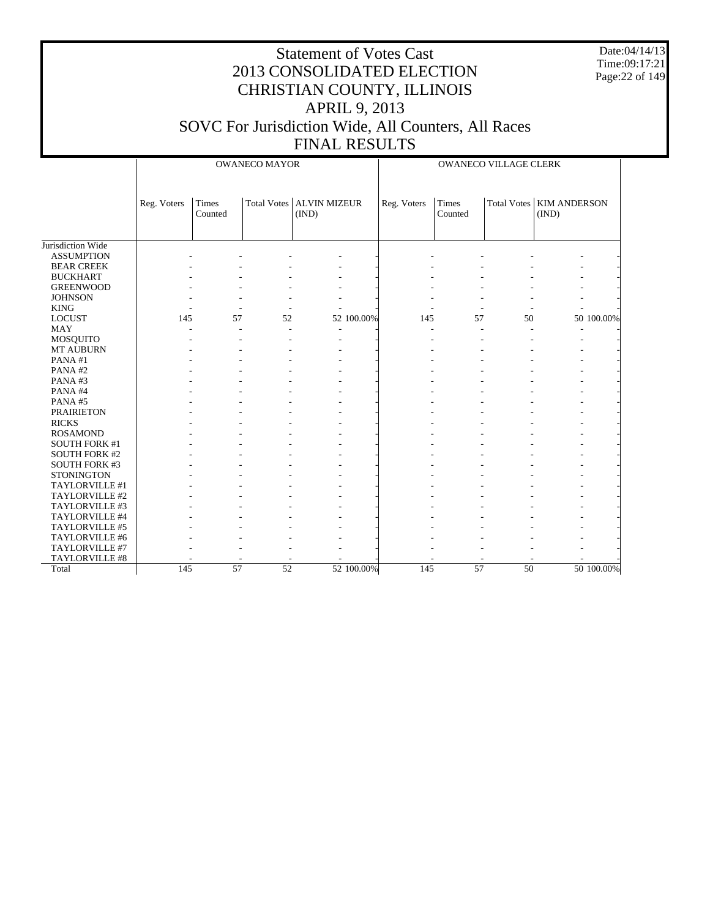Date:04/14/13 Time:09:17:21 Page:22 of 149

|                               |             |                  | <b>OWANECO MAYOR</b>       |       |            | <b>OWANECO VILLAGE CLERK</b> |                  |          |                                     |            |
|-------------------------------|-------------|------------------|----------------------------|-------|------------|------------------------------|------------------|----------|-------------------------------------|------------|
|                               | Reg. Voters | Times<br>Counted | Total Votes   ALVIN MIZEUR | (IND) |            | Reg. Voters                  | Times<br>Counted |          | Total Votes   KIM ANDERSON<br>(IND) |            |
| Jurisdiction Wide             |             |                  |                            |       |            |                              |                  |          |                                     |            |
| <b>ASSUMPTION</b>             |             |                  |                            |       |            |                              |                  |          |                                     |            |
| <b>BEAR CREEK</b>             |             |                  |                            |       |            |                              |                  |          |                                     |            |
| <b>BUCKHART</b>               |             |                  |                            |       |            |                              |                  |          |                                     |            |
| <b>GREENWOOD</b>              |             |                  |                            |       |            |                              |                  |          |                                     |            |
|                               |             |                  |                            |       |            |                              |                  |          |                                     |            |
| <b>JOHNSON</b><br><b>KING</b> |             |                  |                            |       |            |                              |                  |          |                                     |            |
| <b>LOCUST</b>                 | 145         | 57               | 52                         |       | 52 100.00% | 145                          | 57               | 50       |                                     | 50 100.00% |
| <b>MAY</b>                    |             |                  |                            |       |            | ÷,                           | ÷,               |          |                                     |            |
|                               |             |                  |                            |       |            |                              |                  |          |                                     |            |
| MOSQUITO<br>MT AUBURN         |             |                  |                            |       |            |                              |                  |          |                                     |            |
| PANA#1                        |             |                  |                            |       |            |                              |                  |          |                                     |            |
| PANA#2                        |             |                  |                            |       |            |                              |                  |          |                                     |            |
| PANA#3                        |             |                  |                            |       |            |                              |                  |          |                                     |            |
| PANA#4                        |             |                  |                            |       |            |                              |                  |          |                                     |            |
| PANA#5                        |             |                  |                            |       |            |                              |                  |          |                                     |            |
| <b>PRAIRIETON</b>             |             |                  |                            |       |            |                              |                  |          |                                     |            |
| <b>RICKS</b>                  |             |                  |                            |       |            |                              |                  |          |                                     |            |
| <b>ROSAMOND</b>               |             |                  |                            |       |            |                              |                  |          |                                     |            |
| <b>SOUTH FORK #1</b>          |             |                  |                            |       |            |                              |                  |          |                                     |            |
| <b>SOUTH FORK #2</b>          |             |                  |                            |       |            |                              |                  |          |                                     |            |
| <b>SOUTH FORK #3</b>          |             |                  |                            |       |            |                              |                  |          |                                     |            |
| <b>STONINGTON</b>             |             |                  |                            |       |            |                              |                  |          |                                     |            |
| TAYLORVILLE #1                |             |                  |                            |       |            |                              |                  |          |                                     |            |
| TAYLORVILLE #2                |             |                  |                            |       |            |                              |                  |          |                                     |            |
| TAYLORVILLE #3                |             |                  |                            |       |            |                              |                  |          |                                     |            |
| TAYLORVILLE #4                |             |                  |                            |       |            |                              |                  |          |                                     |            |
| TAYLORVILLE #5                |             |                  |                            |       |            |                              |                  |          |                                     |            |
| TAYLORVILLE #6                |             |                  |                            |       |            |                              |                  |          |                                     |            |
| TAYLORVILLE #7                |             |                  |                            |       |            |                              |                  |          |                                     |            |
| TAYLORVILLE #8                |             |                  |                            |       |            |                              |                  |          |                                     |            |
| Total                         | 145         | $\overline{57}$  | $\overline{52}$            |       | 52 100.00% | 145                          | $\overline{57}$  | $50^{-}$ |                                     | 50 100.00% |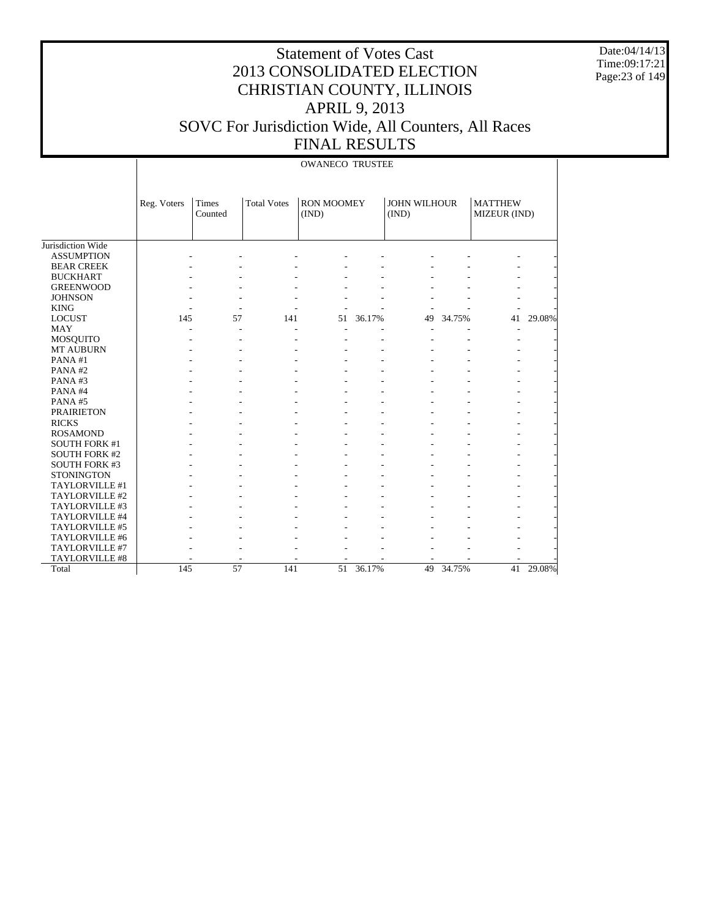Date:04/14/13 Time:09:17:21 Page:23 of 149

|                      |             |                  |                    | <b>OWANECO TRUSTEE</b>     |        |                              |        |                                |        |
|----------------------|-------------|------------------|--------------------|----------------------------|--------|------------------------------|--------|--------------------------------|--------|
|                      | Reg. Voters | Times<br>Counted | <b>Total Votes</b> | <b>RON MOOMEY</b><br>(IND) |        | <b>JOHN WILHOUR</b><br>(IND) |        | <b>MATTHEW</b><br>MIZEUR (IND) |        |
| Jurisdiction Wide    |             |                  |                    |                            |        |                              |        |                                |        |
| <b>ASSUMPTION</b>    |             |                  |                    |                            |        |                              |        |                                |        |
| <b>BEAR CREEK</b>    |             |                  |                    |                            |        |                              |        |                                |        |
| <b>BUCKHART</b>      |             |                  |                    |                            |        |                              |        |                                |        |
| <b>GREENWOOD</b>     |             |                  |                    |                            |        |                              |        |                                |        |
| <b>JOHNSON</b>       |             |                  |                    |                            |        |                              |        |                                |        |
| <b>KING</b>          |             |                  |                    |                            |        |                              |        |                                |        |
| <b>LOCUST</b>        | 145         | 57               | 141                | 51                         | 36.17% | 49                           | 34.75% | 41                             | 29.08% |
| <b>MAY</b>           |             |                  |                    |                            |        |                              |        |                                |        |
| MOSQUITO             |             |                  |                    |                            |        |                              |        |                                |        |
| <b>MT AUBURN</b>     |             |                  |                    |                            |        |                              |        |                                |        |
| PANA#1               |             |                  |                    |                            |        |                              |        |                                |        |
| PANA#2               |             |                  |                    |                            |        |                              |        |                                |        |
| PANA#3               |             |                  |                    |                            |        |                              |        |                                |        |
| PANA#4               |             |                  |                    |                            |        |                              |        |                                |        |
| PANA#5               |             |                  |                    |                            |        |                              |        |                                |        |
| <b>PRAIRIETON</b>    |             |                  |                    |                            |        |                              |        |                                |        |
| <b>RICKS</b>         |             |                  |                    |                            |        |                              |        |                                |        |
| <b>ROSAMOND</b>      |             |                  |                    |                            |        |                              |        |                                |        |
| <b>SOUTH FORK #1</b> |             |                  |                    |                            |        |                              |        |                                |        |
| <b>SOUTH FORK #2</b> |             |                  |                    |                            |        |                              |        |                                |        |
| <b>SOUTH FORK #3</b> |             |                  |                    |                            |        |                              |        |                                |        |
| <b>STONINGTON</b>    |             |                  |                    |                            |        |                              |        |                                |        |
| TAYLORVILLE #1       |             |                  |                    |                            |        |                              |        |                                |        |
| TAYLORVILLE #2       |             |                  |                    |                            |        |                              |        |                                |        |
| TAYLORVILLE #3       |             |                  |                    |                            |        |                              |        |                                |        |
| TAYLORVILLE #4       |             |                  |                    |                            |        |                              |        |                                |        |
| TAYLORVILLE #5       |             |                  |                    |                            |        |                              |        |                                |        |
| TAYLORVILLE #6       |             |                  |                    |                            |        |                              |        |                                |        |
| TAYLORVILLE #7       |             |                  |                    |                            |        |                              |        |                                |        |
| TAYLORVILLE #8       |             |                  |                    |                            |        |                              |        |                                |        |
| Total                | 145         | 57               | 141                | 51                         | 36.17% | 49                           | 34.75% | 41                             | 29.08% |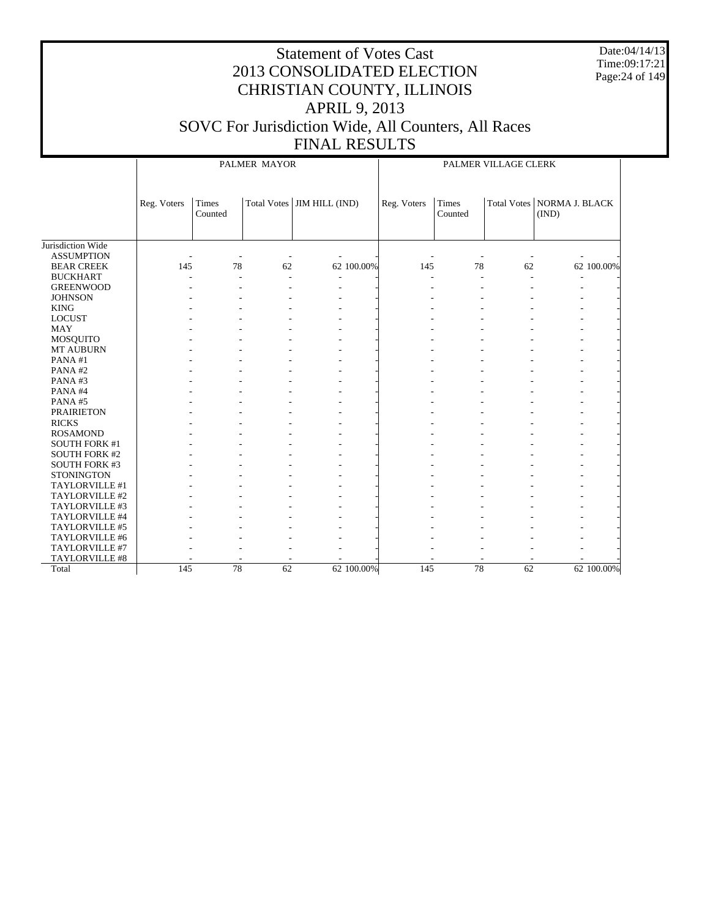Date:04/14/13 Time:09:17:21 Page:24 of 149

|                      |             |                  | PALMER MAYOR       |                | PALMER VILLAGE CLERK |                  |    |                                       |            |
|----------------------|-------------|------------------|--------------------|----------------|----------------------|------------------|----|---------------------------------------|------------|
|                      | Reg. Voters | Times<br>Counted | <b>Total Votes</b> | JIM HILL (IND) | Reg. Voters          | Times<br>Counted |    | Total Votes   NORMA J. BLACK<br>(IND) |            |
| Jurisdiction Wide    |             |                  |                    |                |                      |                  |    |                                       |            |
| <b>ASSUMPTION</b>    |             |                  |                    |                |                      |                  |    |                                       |            |
| <b>BEAR CREEK</b>    | 145         | 78               | 62                 | 62 100.00%     | 145                  | 78               | 62 |                                       | 62 100.00% |
| <b>BUCKHART</b>      |             |                  |                    | $\overline{a}$ |                      |                  |    |                                       |            |
| <b>GREENWOOD</b>     |             |                  |                    |                |                      |                  |    |                                       |            |
| <b>JOHNSON</b>       |             |                  |                    |                |                      |                  |    |                                       |            |
| <b>KING</b>          |             |                  |                    |                |                      |                  |    |                                       |            |
| <b>LOCUST</b>        |             |                  |                    |                |                      |                  |    |                                       |            |
| <b>MAY</b>           |             |                  |                    |                |                      |                  |    |                                       |            |
| MOSQUITO             |             |                  |                    |                |                      |                  |    |                                       |            |
| MT AUBURN            |             |                  |                    |                |                      |                  |    |                                       |            |
| PANA#1               |             |                  |                    |                |                      |                  |    |                                       |            |
| PANA#2               |             |                  |                    |                |                      |                  |    |                                       |            |
| PANA#3               |             |                  |                    |                |                      |                  |    |                                       |            |
| PANA#4               |             |                  |                    |                |                      |                  |    |                                       |            |
| PANA#5               |             |                  |                    |                |                      |                  |    |                                       |            |
| <b>PRAIRIETON</b>    |             |                  |                    |                |                      |                  |    |                                       |            |
| <b>RICKS</b>         |             |                  |                    |                |                      |                  |    |                                       |            |
| <b>ROSAMOND</b>      |             |                  |                    |                |                      |                  |    |                                       |            |
| <b>SOUTH FORK #1</b> |             |                  |                    |                |                      |                  |    |                                       |            |
| <b>SOUTH FORK #2</b> |             |                  |                    |                |                      |                  |    |                                       |            |
| <b>SOUTH FORK #3</b> |             |                  |                    |                |                      |                  |    |                                       |            |
| <b>STONINGTON</b>    |             |                  |                    |                |                      |                  |    |                                       |            |
| TAYLORVILLE #1       |             |                  |                    |                |                      |                  |    |                                       |            |
| TAYLORVILLE #2       |             |                  |                    |                |                      |                  |    |                                       |            |
| TAYLORVILLE #3       |             |                  |                    |                |                      |                  |    |                                       |            |
| TAYLORVILLE #4       |             |                  |                    |                |                      |                  |    |                                       |            |
| TAYLORVILLE #5       |             |                  |                    |                |                      |                  |    |                                       |            |
| TAYLORVILLE #6       |             |                  |                    |                |                      |                  |    |                                       |            |
| TAYLORVILLE #7       |             |                  |                    |                |                      |                  |    |                                       |            |
| TAYLORVILLE #8       |             |                  |                    |                |                      |                  |    |                                       |            |
| Total                | 145         | 78               | 62                 | 62 100.00%     | 145                  | 78               | 62 |                                       | 62 100.00% |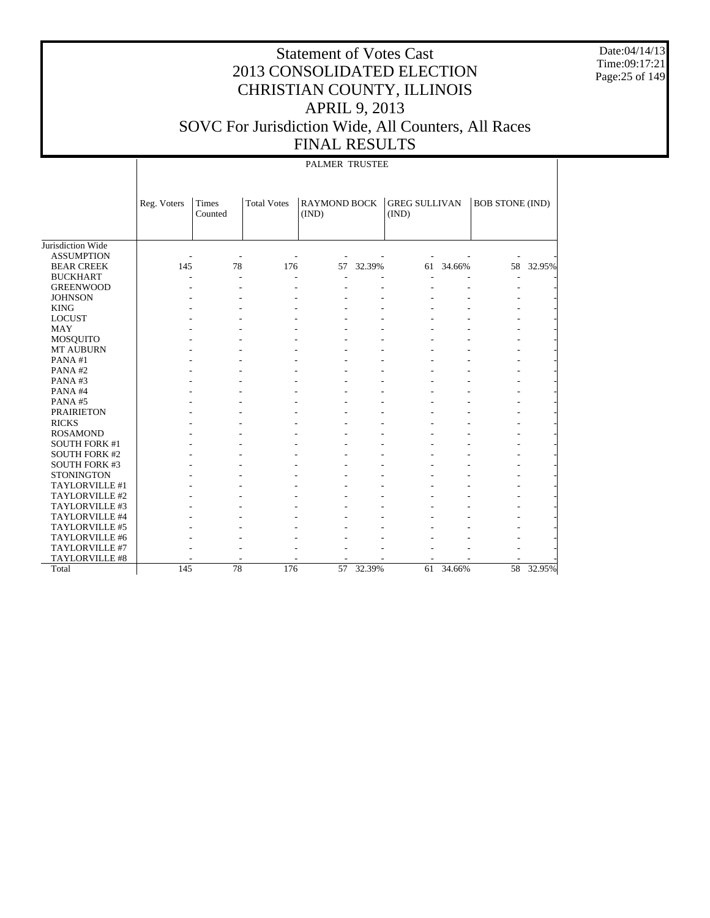Date:04/14/13 Time:09:17:21 Page:25 of 149

|                      |             |                  |                    | PALMER TRUSTEE               |        |                               |        |                        |           |
|----------------------|-------------|------------------|--------------------|------------------------------|--------|-------------------------------|--------|------------------------|-----------|
|                      | Reg. Voters | Times<br>Counted | <b>Total Votes</b> | <b>RAYMOND BOCK</b><br>(IND) |        | <b>GREG SULLIVAN</b><br>(IND) |        | <b>BOB STONE (IND)</b> |           |
| Jurisdiction Wide    |             |                  |                    |                              |        |                               |        |                        |           |
| <b>ASSUMPTION</b>    |             |                  |                    |                              |        |                               |        |                        |           |
| <b>BEAR CREEK</b>    | 145         | 78               | 176                | 57                           | 32.39% | 61                            | 34.66% | 58                     | 32.95%    |
| <b>BUCKHART</b>      |             | ٠                | ÷,                 |                              |        |                               |        |                        |           |
| <b>GREENWOOD</b>     |             |                  |                    |                              |        |                               |        |                        |           |
| <b>JOHNSON</b>       |             |                  |                    |                              |        |                               |        |                        |           |
| <b>KING</b>          |             |                  |                    |                              |        |                               |        |                        |           |
| <b>LOCUST</b>        |             |                  |                    |                              |        |                               |        |                        |           |
| <b>MAY</b>           |             |                  |                    |                              |        |                               |        |                        |           |
| MOSQUITO             |             |                  |                    |                              |        |                               |        |                        |           |
| MT AUBURN            |             |                  |                    |                              |        |                               |        |                        |           |
| PANA#1               |             |                  |                    |                              |        |                               |        |                        |           |
| PANA#2               |             |                  |                    |                              |        |                               |        |                        |           |
| PANA#3               |             |                  |                    |                              |        |                               |        |                        |           |
| PANA#4               |             |                  |                    |                              |        |                               |        |                        |           |
| PANA#5               |             |                  |                    |                              |        |                               |        |                        |           |
| <b>PRAIRIETON</b>    |             |                  |                    |                              |        |                               |        |                        |           |
| <b>RICKS</b>         |             |                  |                    |                              |        |                               |        |                        |           |
| <b>ROSAMOND</b>      |             |                  |                    |                              |        |                               |        |                        |           |
| <b>SOUTH FORK #1</b> |             |                  |                    |                              |        |                               |        |                        |           |
| <b>SOUTH FORK #2</b> |             |                  |                    |                              |        |                               |        |                        |           |
| <b>SOUTH FORK #3</b> |             |                  |                    |                              |        |                               |        |                        |           |
| <b>STONINGTON</b>    |             |                  |                    |                              |        |                               |        |                        |           |
| TAYLORVILLE #1       |             |                  |                    |                              |        |                               |        |                        |           |
| TAYLORVILLE #2       |             |                  |                    |                              |        |                               |        |                        |           |
| TAYLORVILLE #3       |             |                  |                    |                              |        |                               |        |                        |           |
| TAYLORVILLE #4       |             |                  |                    |                              |        |                               |        |                        |           |
| TAYLORVILLE #5       |             |                  |                    |                              |        |                               |        |                        |           |
| TAYLORVILLE #6       |             |                  |                    |                              |        |                               |        |                        |           |
| TAYLORVILLE #7       |             |                  |                    |                              |        |                               |        |                        |           |
| TAYLORVILLE #8       |             |                  |                    |                              |        |                               |        |                        |           |
| Total                | 145         | 78               | 176                | 57                           | 32.39% | 61                            | 34.66% |                        | 58 32.95% |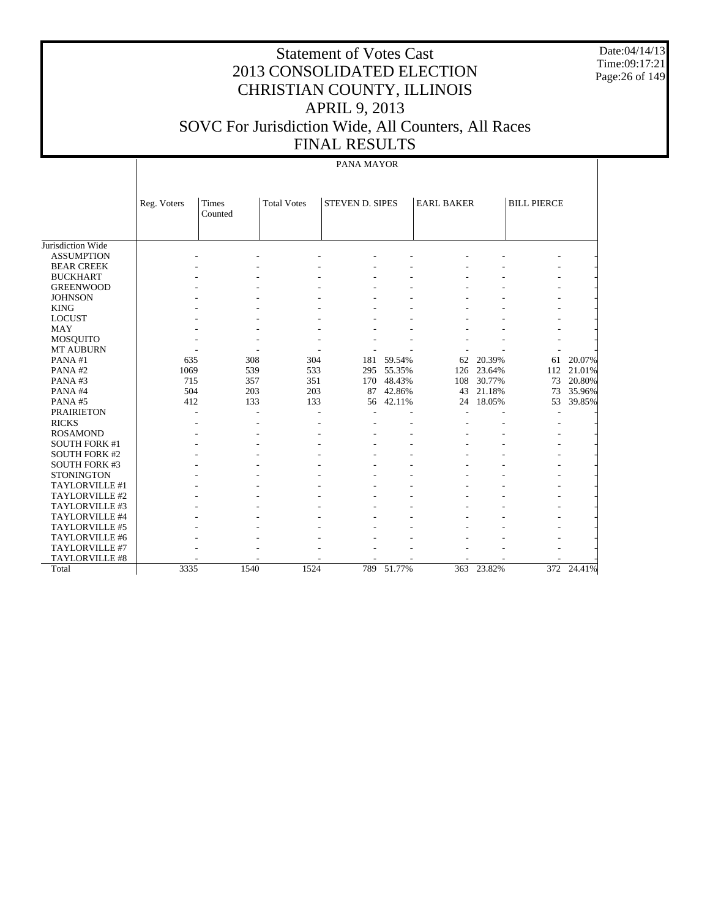Date:04/14/13 Time:09:17:21 Page:26 of 149

# Statement of Votes Cast 2013 CONSOLIDATED ELECTION CHRISTIAN COUNTY, ILLINOIS APRIL 9, 2013 SOVC For Jurisdiction Wide, All Counters, All Races FINAL RESULTS

#### PANA MAYOR

|                      | Reg. Voters | <b>Times</b> | <b>Total Votes</b> | <b>STEVEN D. SIPES</b> |            | <b>EARL BAKER</b> |            | <b>BILL PIERCE</b> |        |
|----------------------|-------------|--------------|--------------------|------------------------|------------|-------------------|------------|--------------------|--------|
|                      |             | Counted      |                    |                        |            |                   |            |                    |        |
|                      |             |              |                    |                        |            |                   |            |                    |        |
|                      |             |              |                    |                        |            |                   |            |                    |        |
| Jurisdiction Wide    |             |              |                    |                        |            |                   |            |                    |        |
| <b>ASSUMPTION</b>    |             |              |                    |                        |            |                   |            |                    |        |
| <b>BEAR CREEK</b>    |             |              |                    |                        |            |                   |            |                    |        |
| <b>BUCKHART</b>      |             |              |                    |                        |            |                   |            |                    |        |
| <b>GREENWOOD</b>     |             |              |                    |                        |            |                   |            |                    |        |
| <b>JOHNSON</b>       |             |              |                    |                        |            |                   |            |                    |        |
| <b>KING</b>          |             |              |                    |                        |            |                   |            |                    |        |
| <b>LOCUST</b>        |             |              |                    |                        |            |                   |            |                    |        |
| <b>MAY</b>           |             |              |                    |                        |            |                   |            |                    |        |
| MOSQUITO             |             |              |                    |                        |            |                   |            |                    |        |
| <b>MT AUBURN</b>     |             |              |                    |                        |            |                   |            |                    |        |
| PANA#1               | 635         | 308          | 304                | 181                    | 59.54%     | 62                | 20.39%     | 61                 | 20.07% |
| PANA#2               | 1069        | 539          | 533                | 295                    | 55.35%     | 126               | 23.64%     | 112                | 21.01% |
| PANA#3               | 715         | 357          | 351                | 170                    | 48.43%     | 108               | 30.77%     | 73                 | 20.80% |
| PANA#4               | 504         | 203          | 203                | 87                     | 42.86%     | 43                | 21.18%     | 73                 | 35.96% |
| PANA#5               | 412         | 133          | 133                | 56                     | 42.11%     | 24                | 18.05%     | 53                 | 39.85% |
| <b>PRAIRIETON</b>    |             |              |                    |                        |            |                   |            |                    |        |
| <b>RICKS</b>         |             |              |                    |                        |            |                   |            |                    |        |
| <b>ROSAMOND</b>      |             |              |                    |                        |            |                   |            |                    |        |
| <b>SOUTH FORK #1</b> |             |              |                    |                        |            |                   |            |                    |        |
| <b>SOUTH FORK #2</b> |             |              |                    |                        |            |                   |            |                    |        |
| <b>SOUTH FORK #3</b> |             |              |                    |                        |            |                   |            |                    |        |
| <b>STONINGTON</b>    |             |              |                    |                        |            |                   |            |                    |        |
| TAYLORVILLE #1       |             |              |                    |                        |            |                   |            |                    |        |
| TAYLORVILLE #2       |             |              |                    |                        |            |                   |            |                    |        |
| TAYLORVILLE #3       |             |              |                    |                        |            |                   |            |                    |        |
| TAYLORVILLE #4       |             |              |                    |                        |            |                   |            |                    |        |
| TAYLORVILLE #5       |             |              |                    |                        |            |                   |            |                    |        |
| TAYLORVILLE #6       |             |              |                    |                        |            |                   |            |                    |        |
| TAYLORVILLE #7       |             |              |                    |                        |            |                   |            |                    |        |
| TAYLORVILLE #8       |             |              |                    |                        |            |                   |            |                    |        |
| Total                | 3335        | 1540         | 1524               |                        | 789 51.77% |                   | 363 23.82% | 372                | 24.41% |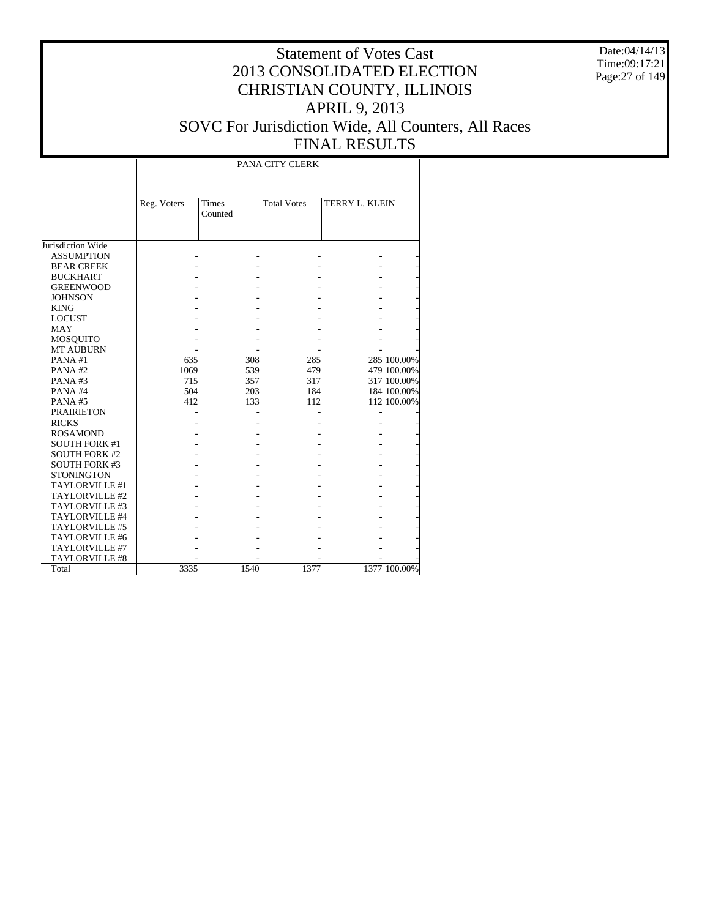Date:04/14/13 Time:09:17:21 Page:27 of 149

# Statement of Votes Cast 2013 CONSOLIDATED ELECTION CHRISTIAN COUNTY, ILLINOIS APRIL 9, 2013 SOVC For Jurisdiction Wide, All Counters, All Races FINAL RESULTS

PANA CITY CLERK

|                      | Reg. Voters | Times<br>Counted | <b>Total Votes</b> | TERRY L. KLEIN |              |
|----------------------|-------------|------------------|--------------------|----------------|--------------|
|                      |             |                  |                    |                |              |
| Jurisdiction Wide    |             |                  |                    |                |              |
| <b>ASSUMPTION</b>    |             |                  |                    |                |              |
| <b>BEAR CREEK</b>    |             |                  |                    |                |              |
| <b>BUCKHART</b>      |             |                  |                    |                |              |
| <b>GREENWOOD</b>     |             |                  |                    |                |              |
| <b>JOHNSON</b>       |             |                  |                    |                |              |
| <b>KING</b>          |             |                  |                    |                |              |
| <b>LOCUST</b>        |             |                  |                    |                |              |
| <b>MAY</b>           |             |                  |                    |                |              |
| <b>MOSQUITO</b>      |             |                  |                    |                |              |
| <b>MT AUBURN</b>     |             |                  |                    |                |              |
| PANA#1               | 635         | 308              | 285                |                | 285 100.00%  |
| PANA#2               | 1069        | 539              | 479                |                | 479 100.00%  |
| PANA#3               | 715         | 357              | 317                |                | 317 100.00%  |
| PANA#4               | 504         | 203              | 184                |                | 184 100.00%  |
| PANA#5               | 412         | 133              | 112                |                | 112 100.00%  |
| <b>PRAIRIETON</b>    |             |                  |                    |                |              |
| <b>RICKS</b>         |             |                  |                    |                |              |
| <b>ROSAMOND</b>      |             |                  |                    |                |              |
| <b>SOUTH FORK #1</b> |             |                  |                    |                |              |
| <b>SOUTH FORK #2</b> |             |                  |                    |                |              |
| <b>SOUTH FORK #3</b> |             |                  |                    |                |              |
| <b>STONINGTON</b>    |             |                  |                    |                |              |
| TAYLORVILLE #1       |             |                  |                    |                |              |
| TAYLORVILLE #2       |             |                  |                    |                |              |
| TAYLORVILLE #3       |             |                  |                    |                |              |
| TAYLORVILLE #4       |             |                  |                    |                |              |
| TAYLORVILLE #5       |             |                  |                    |                |              |
| TAYLORVILLE #6       |             |                  |                    |                |              |
| TAYLORVILLE #7       |             |                  |                    |                |              |
| TAYLORVILLE #8       |             |                  |                    |                |              |
| Total                | 3335        | 1540             | 1377               |                | 1377 100.00% |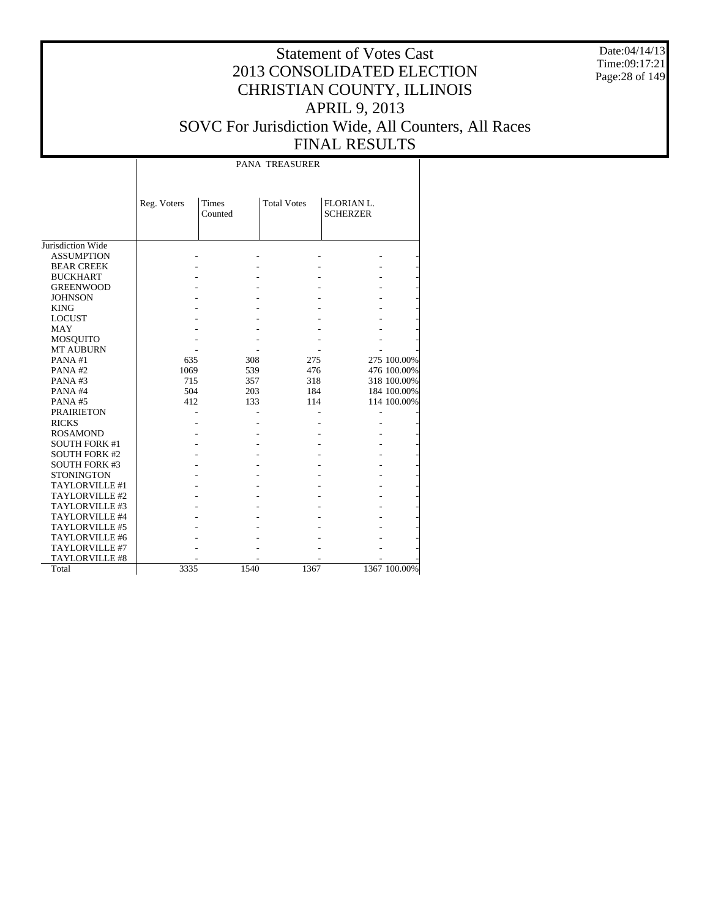Date:04/14/13 Time:09:17:21 Page:28 of 149

|                      |             | <b>PANA TREASURER</b>   |                    |                               |              |  |  |  |  |  |  |
|----------------------|-------------|-------------------------|--------------------|-------------------------------|--------------|--|--|--|--|--|--|
|                      | Reg. Voters | <b>Times</b><br>Counted | <b>Total Votes</b> | FLORIAN L.<br><b>SCHERZER</b> |              |  |  |  |  |  |  |
| Jurisdiction Wide    |             |                         |                    |                               |              |  |  |  |  |  |  |
| <b>ASSUMPTION</b>    |             |                         |                    |                               |              |  |  |  |  |  |  |
| <b>BEAR CREEK</b>    |             |                         |                    |                               |              |  |  |  |  |  |  |
| <b>BUCKHART</b>      |             |                         |                    |                               |              |  |  |  |  |  |  |
| <b>GREENWOOD</b>     |             |                         |                    |                               |              |  |  |  |  |  |  |
| <b>JOHNSON</b>       |             |                         |                    |                               |              |  |  |  |  |  |  |
| <b>KING</b>          |             |                         |                    |                               |              |  |  |  |  |  |  |
| <b>LOCUST</b>        |             |                         |                    |                               |              |  |  |  |  |  |  |
| <b>MAY</b>           |             |                         |                    |                               |              |  |  |  |  |  |  |
| <b>MOSQUITO</b>      |             |                         |                    |                               |              |  |  |  |  |  |  |
| <b>MT AUBURN</b>     |             |                         |                    |                               |              |  |  |  |  |  |  |
| PANA#1               | 635         | 308                     | 275                |                               | 275 100.00%  |  |  |  |  |  |  |
| PANA#2               | 1069        | 539                     | 476                |                               | 476 100.00%  |  |  |  |  |  |  |
| PANA#3               | 715         | 357                     | 318                |                               | 318 100.00%  |  |  |  |  |  |  |
| PANA#4               | 504         | 203                     | 184                |                               | 184 100.00%  |  |  |  |  |  |  |
| PANA#5               | 412         | 133                     | 114                |                               | 114 100.00%  |  |  |  |  |  |  |
| <b>PRAIRIETON</b>    |             |                         |                    |                               |              |  |  |  |  |  |  |
| <b>RICKS</b>         |             |                         |                    |                               |              |  |  |  |  |  |  |
| <b>ROSAMOND</b>      |             |                         |                    |                               |              |  |  |  |  |  |  |
| <b>SOUTH FORK #1</b> |             |                         |                    |                               |              |  |  |  |  |  |  |
| <b>SOUTH FORK #2</b> |             |                         |                    |                               |              |  |  |  |  |  |  |
| <b>SOUTH FORK #3</b> |             |                         |                    |                               |              |  |  |  |  |  |  |
| <b>STONINGTON</b>    |             |                         |                    |                               |              |  |  |  |  |  |  |
| TAYLORVILLE #1       |             |                         |                    |                               |              |  |  |  |  |  |  |
| TAYLORVILLE #2       |             |                         |                    |                               |              |  |  |  |  |  |  |
| TAYLORVILLE #3       |             |                         |                    |                               |              |  |  |  |  |  |  |
| TAYLORVILLE #4       |             |                         |                    |                               |              |  |  |  |  |  |  |
| TAYLORVILLE #5       |             |                         |                    |                               |              |  |  |  |  |  |  |
| TAYLORVILLE #6       |             |                         |                    |                               |              |  |  |  |  |  |  |
| TAYLORVILLE #7       |             |                         |                    |                               |              |  |  |  |  |  |  |
| TAYLORVILLE #8       |             |                         |                    |                               |              |  |  |  |  |  |  |
| Total                | 3335        | 1540                    | 1367               |                               | 1367 100.00% |  |  |  |  |  |  |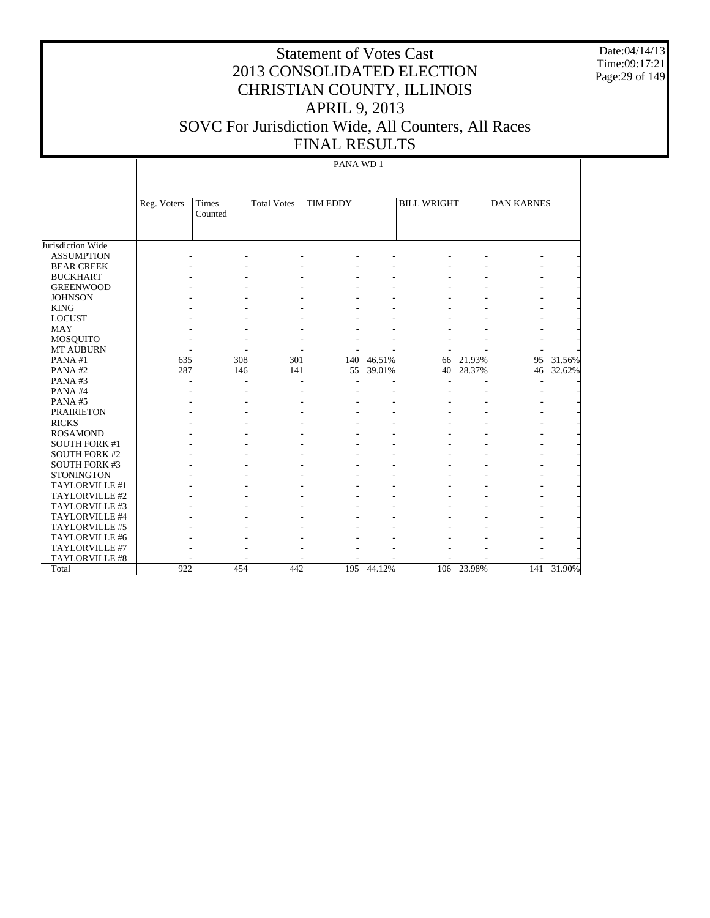Date:04/14/13 Time:09:17:21 Page:29 of 149

# Statement of Votes Cast 2013 CONSOLIDATED ELECTION CHRISTIAN COUNTY, ILLINOIS APRIL 9, 2013 SOVC For Jurisdiction Wide, All Counters, All Races FINAL RESULTS

#### PANA WD 1

|                      | Reg. Voters | Times<br>Counted | <b>Total Votes</b> | TIM EDDY |        | <b>BILL WRIGHT</b> |            | <b>DAN KARNES</b> |        |
|----------------------|-------------|------------------|--------------------|----------|--------|--------------------|------------|-------------------|--------|
|                      |             |                  |                    |          |        |                    |            |                   |        |
| Jurisdiction Wide    |             |                  |                    |          |        |                    |            |                   |        |
| <b>ASSUMPTION</b>    |             |                  |                    |          |        |                    |            |                   |        |
| <b>BEAR CREEK</b>    |             |                  |                    |          |        |                    |            |                   |        |
| <b>BUCKHART</b>      |             |                  |                    |          |        |                    |            |                   |        |
| <b>GREENWOOD</b>     |             |                  |                    |          |        |                    |            |                   |        |
| <b>JOHNSON</b>       |             |                  |                    |          |        |                    |            |                   |        |
| <b>KING</b>          |             |                  |                    |          |        |                    |            |                   |        |
| <b>LOCUST</b>        |             |                  |                    |          |        |                    |            |                   |        |
| <b>MAY</b>           |             |                  |                    |          |        |                    |            |                   |        |
| <b>MOSQUITO</b>      |             |                  |                    |          |        |                    |            |                   |        |
| <b>MT AUBURN</b>     |             |                  |                    |          |        |                    |            |                   |        |
| PANA#1               | 635         | 308              | 301                | 140      | 46.51% | 66                 | 21.93%     | 95                | 31.56% |
| PANA#2               | 287         | 146              | 141                | 55       | 39.01% | 40                 | 28.37%     | 46                | 32.62% |
| PANA#3               |             | $\overline{a}$   |                    |          |        |                    |            |                   |        |
| PANA#4               |             |                  |                    |          |        |                    |            |                   |        |
| PANA#5               |             |                  |                    |          |        |                    |            |                   |        |
| <b>PRAIRIETON</b>    |             |                  |                    |          |        |                    |            |                   |        |
| <b>RICKS</b>         |             |                  |                    |          |        |                    |            |                   |        |
| <b>ROSAMOND</b>      |             |                  |                    |          |        |                    |            |                   |        |
| <b>SOUTH FORK #1</b> |             |                  |                    |          |        |                    |            |                   |        |
| <b>SOUTH FORK #2</b> |             |                  |                    |          |        |                    |            |                   |        |
| SOUTH FORK #3        |             |                  |                    |          |        |                    |            |                   |        |
| <b>STONINGTON</b>    |             |                  |                    |          |        |                    |            |                   |        |
| TAYLORVILLE #1       |             |                  |                    |          |        |                    |            |                   |        |
| TAYLORVILLE #2       |             |                  |                    |          |        |                    |            |                   |        |
| TAYLORVILLE #3       |             |                  |                    |          |        |                    |            |                   |        |
| TAYLORVILLE #4       |             |                  |                    |          |        |                    |            |                   |        |
| TAYLORVILLE #5       |             |                  |                    |          |        |                    |            |                   |        |
| TAYLORVILLE #6       |             |                  |                    |          |        |                    |            |                   |        |
| TAYLORVILLE #7       |             |                  |                    |          |        |                    |            |                   |        |
| TAYLORVILLE #8       |             |                  |                    |          |        |                    |            |                   |        |
| Total                | 922         | 454              | 442                | 195      | 44.12% |                    | 106 23.98% | 141               | 31.90% |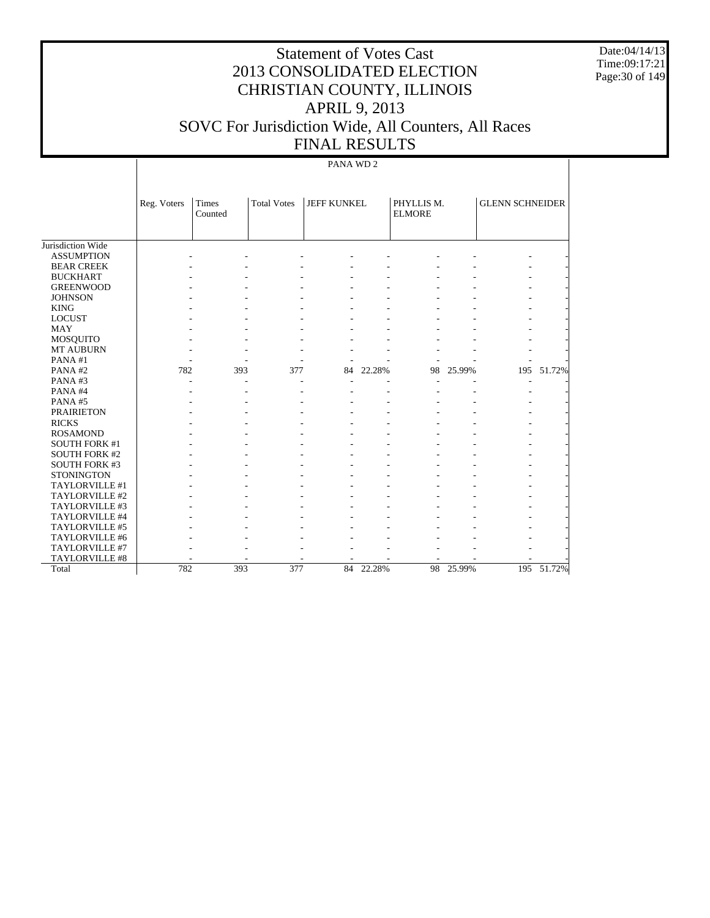Date:04/14/13 Time:09:17:21 Page:30 of 149

# Statement of Votes Cast 2013 CONSOLIDATED ELECTION CHRISTIAN COUNTY, ILLINOIS APRIL 9, 2013 SOVC For Jurisdiction Wide, All Counters, All Races FINAL RESULTS

#### PANA WD 2

|                      | Reg. Voters | <b>Times</b> | <b>Total Votes</b> | <b>JEFF KUNKEL</b> |           | PHYLLIS M.    |           | <b>GLENN SCHNEIDER</b> |            |
|----------------------|-------------|--------------|--------------------|--------------------|-----------|---------------|-----------|------------------------|------------|
|                      |             | Counted      |                    |                    |           | <b>ELMORE</b> |           |                        |            |
|                      |             |              |                    |                    |           |               |           |                        |            |
|                      |             |              |                    |                    |           |               |           |                        |            |
| Jurisdiction Wide    |             |              |                    |                    |           |               |           |                        |            |
| <b>ASSUMPTION</b>    |             |              |                    |                    |           |               |           |                        |            |
| <b>BEAR CREEK</b>    |             |              |                    |                    |           |               |           |                        |            |
| <b>BUCKHART</b>      |             |              |                    |                    |           |               |           |                        |            |
| <b>GREENWOOD</b>     |             |              |                    |                    |           |               |           |                        |            |
| <b>JOHNSON</b>       |             |              |                    |                    |           |               |           |                        |            |
| <b>KING</b>          |             |              |                    |                    |           |               |           |                        |            |
| <b>LOCUST</b>        |             |              |                    |                    |           |               |           |                        |            |
| <b>MAY</b>           |             |              |                    |                    |           |               |           |                        |            |
| MOSQUITO             |             |              |                    |                    |           |               |           |                        |            |
| <b>MT AUBURN</b>     |             |              |                    |                    |           |               |           |                        |            |
| PANA#1               |             |              |                    |                    |           |               |           |                        |            |
| PANA#2               | 782         | 393          | 377                | 84                 | 22.28%    | 98            | 25.99%    |                        | 195 51.72% |
| PANA#3               |             |              |                    |                    |           |               |           |                        |            |
| PANA#4               |             |              |                    |                    |           |               |           |                        |            |
| PANA#5               |             |              |                    |                    |           |               |           |                        |            |
| <b>PRAIRIETON</b>    |             |              |                    |                    |           |               |           |                        |            |
| <b>RICKS</b>         |             |              |                    |                    |           |               |           |                        |            |
| <b>ROSAMOND</b>      |             |              |                    |                    |           |               |           |                        |            |
| <b>SOUTH FORK #1</b> |             |              |                    |                    |           |               |           |                        |            |
| <b>SOUTH FORK #2</b> |             |              |                    |                    |           |               |           |                        |            |
| <b>SOUTH FORK #3</b> |             |              |                    |                    |           |               |           |                        |            |
| <b>STONINGTON</b>    |             |              |                    |                    |           |               |           |                        |            |
| TAYLORVILLE #1       |             |              |                    |                    |           |               |           |                        |            |
| TAYLORVILLE #2       |             |              |                    |                    |           |               |           |                        |            |
| TAYLORVILLE #3       |             |              |                    |                    |           |               |           |                        |            |
| TAYLORVILLE #4       |             |              |                    |                    |           |               |           |                        |            |
| TAYLORVILLE #5       |             |              |                    |                    |           |               |           |                        |            |
| TAYLORVILLE #6       |             |              |                    |                    |           |               |           |                        |            |
| TAYLORVILLE #7       |             |              |                    |                    |           |               |           |                        |            |
| TAYLORVILLE #8       |             |              |                    |                    |           |               |           |                        |            |
| Total                | 782         | 393          | 377                |                    | 84 22.28% |               | 98 25.99% |                        | 195 51.72% |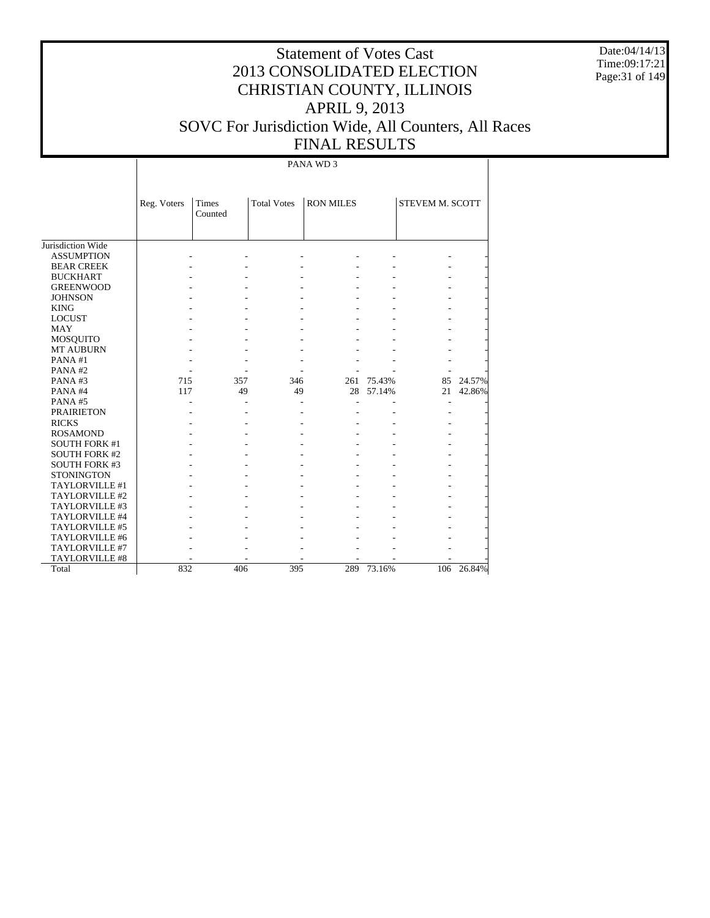Date:04/14/13 Time:09:17:21 Page:31 of 149

# Statement of Votes Cast 2013 CONSOLIDATED ELECTION CHRISTIAN COUNTY, ILLINOIS APRIL 9, 2013 SOVC For Jurisdiction Wide, All Counters, All Races FINAL RESULTS

PANA WD 3

|                       | Reg. Voters | <b>Times</b><br>Counted | <b>Total Votes</b> | <b>RON MILES</b> |        | <b>STEVEM M. SCOTT</b> |        |
|-----------------------|-------------|-------------------------|--------------------|------------------|--------|------------------------|--------|
| Jurisdiction Wide     |             |                         |                    |                  |        |                        |        |
| <b>ASSUMPTION</b>     |             |                         |                    |                  |        |                        |        |
| <b>BEAR CREEK</b>     |             |                         |                    |                  |        |                        |        |
| <b>BUCKHART</b>       |             |                         |                    |                  |        |                        |        |
| <b>GREENWOOD</b>      |             |                         |                    |                  |        |                        |        |
| <b>JOHNSON</b>        |             |                         |                    |                  |        |                        |        |
| <b>KING</b>           |             |                         |                    |                  |        |                        |        |
| <b>LOCUST</b>         |             |                         |                    |                  |        |                        |        |
| <b>MAY</b>            |             |                         |                    |                  |        |                        |        |
| <b>MOSQUITO</b>       |             |                         |                    |                  |        |                        |        |
| <b>MT AUBURN</b>      |             |                         |                    |                  |        |                        |        |
| PANA#1                |             |                         |                    |                  |        |                        |        |
| PANA#2                |             |                         |                    |                  |        |                        |        |
| PANA#3                | 715         | 357                     | 346                | 261              | 75.43% | 85                     | 24.57% |
| PANA#4                | 117         | 49                      | 49                 | 28               | 57.14% | 21                     | 42.86% |
| PANA#5                |             |                         |                    |                  |        | ٠                      |        |
| <b>PRAIRIETON</b>     |             |                         |                    |                  |        |                        |        |
| <b>RICKS</b>          |             |                         |                    |                  |        |                        |        |
| <b>ROSAMOND</b>       |             |                         |                    |                  |        |                        |        |
| <b>SOUTH FORK #1</b>  |             |                         |                    |                  |        |                        |        |
| <b>SOUTH FORK #2</b>  |             |                         |                    |                  |        |                        |        |
| <b>SOUTH FORK #3</b>  |             |                         |                    |                  |        |                        |        |
| <b>STONINGTON</b>     |             |                         |                    |                  |        |                        |        |
| TAYLORVILLE #1        |             |                         |                    |                  |        |                        |        |
| TAYLORVILLE #2        |             |                         |                    |                  |        |                        |        |
| TAYLORVILLE #3        |             |                         |                    |                  |        |                        |        |
| TAYLORVILLE #4        |             |                         |                    |                  |        |                        |        |
| TAYLORVILLE #5        |             |                         |                    |                  |        |                        |        |
| TAYLORVILLE #6        |             |                         |                    |                  |        |                        |        |
| TAYLORVILLE #7        |             |                         |                    |                  |        |                        |        |
| <b>TAYLORVILLE #8</b> |             |                         |                    |                  |        |                        |        |
| Total                 | 832         | 406                     | 395                | 289              | 73.16% | 106                    | 26.84% |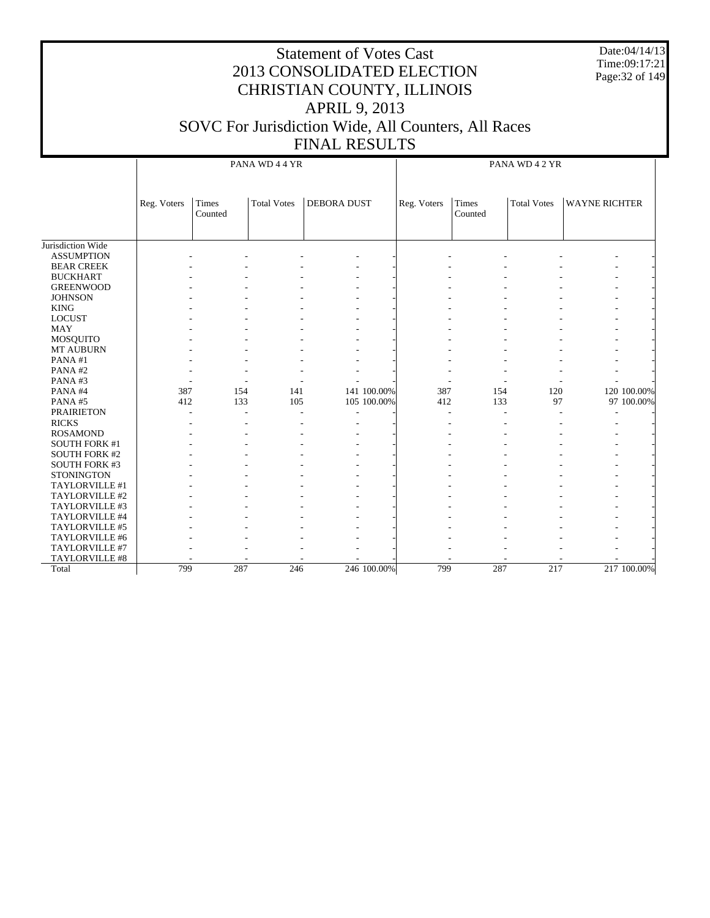Date:04/14/13 Time:09:17:21 Page:32 of 149

|                      |             |                  | PANA WD 4 4 YR     |                    | PANA WD 4 2 YR |             |                  |                    |                      |             |
|----------------------|-------------|------------------|--------------------|--------------------|----------------|-------------|------------------|--------------------|----------------------|-------------|
|                      | Reg. Voters | Times<br>Counted | <b>Total Votes</b> | <b>DEBORA DUST</b> |                | Reg. Voters | Times<br>Counted | <b>Total Votes</b> | <b>WAYNE RICHTER</b> |             |
| Jurisdiction Wide    |             |                  |                    |                    |                |             |                  |                    |                      |             |
| <b>ASSUMPTION</b>    |             |                  |                    |                    |                |             |                  |                    |                      |             |
| <b>BEAR CREEK</b>    |             |                  |                    |                    |                |             |                  |                    |                      |             |
| <b>BUCKHART</b>      |             |                  |                    |                    |                |             |                  |                    |                      |             |
| <b>GREENWOOD</b>     |             |                  |                    |                    |                |             |                  |                    |                      |             |
| <b>JOHNSON</b>       |             |                  |                    |                    |                |             |                  |                    |                      |             |
| <b>KING</b>          |             |                  |                    |                    |                |             |                  |                    |                      |             |
| <b>LOCUST</b>        |             |                  |                    |                    |                |             |                  |                    |                      |             |
| <b>MAY</b>           |             |                  |                    |                    |                |             |                  |                    |                      |             |
| <b>MOSQUITO</b>      |             |                  |                    |                    |                |             |                  |                    |                      |             |
| MT AUBURN            |             |                  |                    |                    |                |             |                  |                    |                      |             |
| PANA#1               |             |                  |                    |                    |                |             |                  |                    |                      |             |
| PANA#2               |             |                  |                    |                    |                |             |                  |                    |                      |             |
| PANA#3               |             |                  |                    |                    |                |             |                  |                    |                      |             |
| PANA#4               | 387         | 154              | 141                |                    | 141 100.00%    | 387         | 154              | 120                |                      | 120 100.00% |
| PANA#5               | 412         | 133              | 105                |                    | 105 100.00%    | 412         | 133              | 97                 |                      | 97 100.00%  |
| <b>PRAIRIETON</b>    |             |                  |                    |                    |                |             |                  |                    |                      |             |
| <b>RICKS</b>         |             |                  |                    |                    |                |             |                  |                    |                      |             |
| <b>ROSAMOND</b>      |             |                  |                    |                    |                |             |                  |                    |                      |             |
| <b>SOUTH FORK #1</b> |             |                  |                    |                    |                |             |                  |                    |                      |             |
| <b>SOUTH FORK #2</b> |             |                  |                    |                    |                |             |                  |                    |                      |             |
| <b>SOUTH FORK #3</b> |             |                  |                    |                    |                |             |                  |                    |                      |             |
| <b>STONINGTON</b>    |             |                  |                    |                    |                |             |                  |                    |                      |             |
| TAYLORVILLE #1       |             |                  |                    |                    |                |             |                  |                    |                      |             |
| TAYLORVILLE #2       |             |                  |                    |                    |                |             |                  |                    |                      |             |
| TAYLORVILLE #3       |             |                  |                    |                    |                |             |                  |                    |                      |             |
| TAYLORVILLE #4       |             |                  |                    |                    |                |             |                  |                    |                      |             |
| TAYLORVILLE #5       |             |                  |                    |                    |                |             |                  |                    |                      |             |
| TAYLORVILLE #6       |             |                  |                    |                    |                |             |                  |                    |                      |             |
| TAYLORVILLE #7       |             |                  |                    |                    |                |             |                  |                    |                      |             |
| TAYLORVILLE #8       |             |                  |                    |                    |                |             |                  |                    |                      |             |
| Total                | 799         | 287              | 246                |                    | 246 100.00%    | 799         | 287              | 217                |                      | 217 100.00% |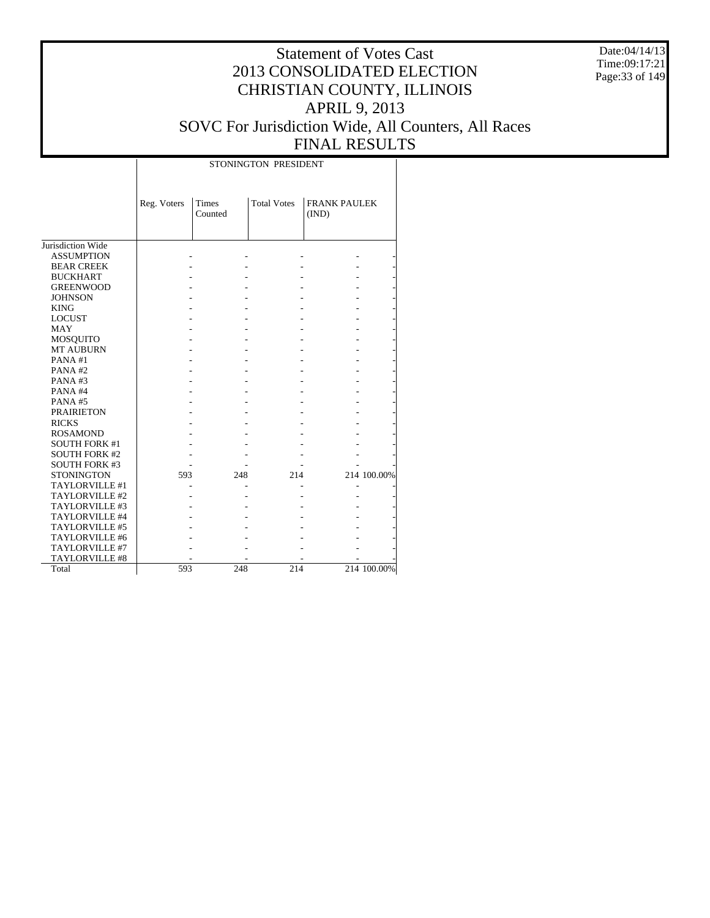Date:04/14/13 Time:09:17:21 Page:33 of 149

#### Statement of Votes Cast 2013 CONSOLIDATED ELECTION CHRISTIAN COUNTY, ILLINOIS APRIL 9, 2013 SOVC For Jurisdiction Wide, All Counters, All Races FINAL RESULTS

|                      |             | STONINGTON PRESIDENT |     |                    |                              |             |  |  |  |  |  |
|----------------------|-------------|----------------------|-----|--------------------|------------------------------|-------------|--|--|--|--|--|
|                      | Reg. Voters | Times<br>Counted     |     | <b>Total Votes</b> | <b>FRANK PAULEK</b><br>(IND) |             |  |  |  |  |  |
| Jurisdiction Wide    |             |                      |     |                    |                              |             |  |  |  |  |  |
| <b>ASSUMPTION</b>    |             |                      |     |                    |                              |             |  |  |  |  |  |
| <b>BEAR CREEK</b>    |             |                      |     |                    |                              |             |  |  |  |  |  |
| <b>BUCKHART</b>      |             |                      |     |                    |                              |             |  |  |  |  |  |
| <b>GREENWOOD</b>     |             |                      |     |                    |                              |             |  |  |  |  |  |
| <b>JOHNSON</b>       |             |                      |     |                    |                              |             |  |  |  |  |  |
| <b>KING</b>          |             |                      |     |                    |                              |             |  |  |  |  |  |
| <b>LOCUST</b>        |             |                      |     |                    |                              |             |  |  |  |  |  |
| <b>MAY</b>           |             |                      |     |                    |                              |             |  |  |  |  |  |
| <b>MOSQUITO</b>      |             |                      |     |                    |                              |             |  |  |  |  |  |
| <b>MT AUBURN</b>     |             |                      |     |                    |                              |             |  |  |  |  |  |
| PANA#1               |             |                      |     |                    |                              |             |  |  |  |  |  |
| PANA#2               |             |                      |     |                    |                              |             |  |  |  |  |  |
| PANA#3               |             |                      |     |                    |                              |             |  |  |  |  |  |
| PANA#4               |             |                      |     |                    |                              |             |  |  |  |  |  |
| PANA#5               |             |                      |     |                    |                              |             |  |  |  |  |  |
| <b>PRAIRIETON</b>    |             |                      |     |                    |                              |             |  |  |  |  |  |
| <b>RICKS</b>         |             |                      |     |                    |                              |             |  |  |  |  |  |
| <b>ROSAMOND</b>      |             |                      |     |                    |                              |             |  |  |  |  |  |
| <b>SOUTH FORK #1</b> |             |                      |     |                    |                              |             |  |  |  |  |  |
| <b>SOUTH FORK #2</b> |             |                      |     |                    |                              |             |  |  |  |  |  |
| <b>SOUTH FORK #3</b> |             |                      |     |                    |                              |             |  |  |  |  |  |
| <b>STONINGTON</b>    | 593         |                      | 248 | 214                |                              | 214 100.00% |  |  |  |  |  |
| TAYLORVILLE #1       |             |                      |     |                    |                              |             |  |  |  |  |  |
| TAYLORVILLE #2       |             |                      |     |                    |                              |             |  |  |  |  |  |
| TAYLORVILLE #3       |             |                      |     |                    |                              |             |  |  |  |  |  |
| TAYLORVILLE #4       |             |                      |     |                    |                              |             |  |  |  |  |  |
| TAYLORVILLE #5       |             |                      |     |                    |                              |             |  |  |  |  |  |
| TAYLORVILLE #6       |             |                      |     |                    |                              |             |  |  |  |  |  |
| TAYLORVILLE #7       |             |                      |     |                    |                              |             |  |  |  |  |  |
| TAYLORVILLE #8       |             |                      |     |                    |                              |             |  |  |  |  |  |
| Total                | 593         |                      | 248 | 214                |                              | 214 100.00% |  |  |  |  |  |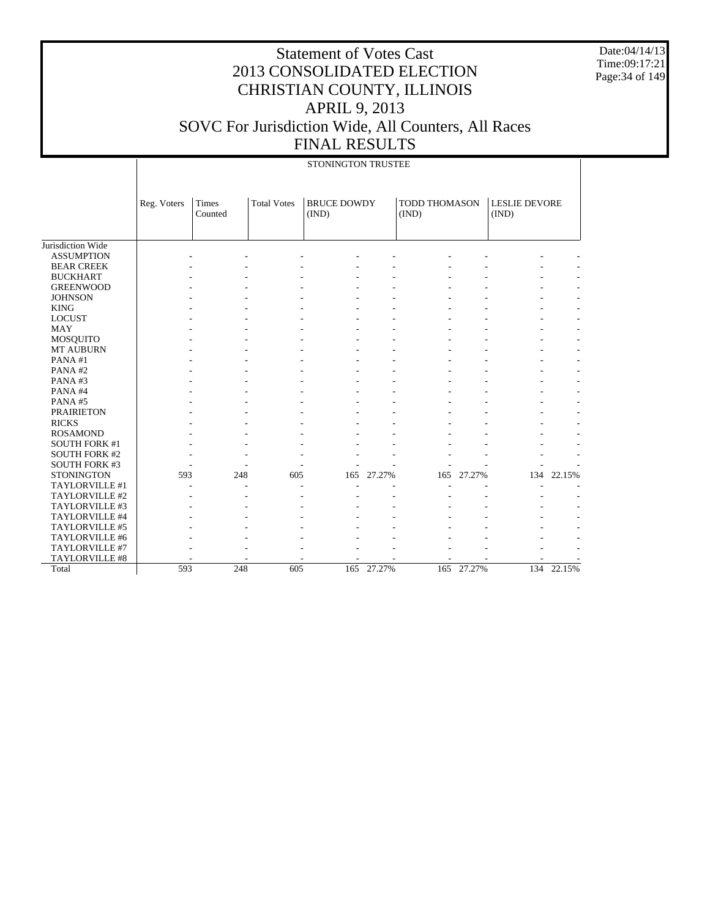Date:04/14/13 Time:09:17:21 Page:34 of 149

|                      | STONINGTON TRUSTEE |                  |                    |                             |        |                               |        |                               |            |  |
|----------------------|--------------------|------------------|--------------------|-----------------------------|--------|-------------------------------|--------|-------------------------------|------------|--|
|                      | Reg. Voters        | Times<br>Counted | <b>Total Votes</b> | <b>BRUCE DOWDY</b><br>(IND) |        | <b>TODD THOMASON</b><br>(IND) |        | <b>LESLIE DEVORE</b><br>(IND) |            |  |
| Jurisdiction Wide    |                    |                  |                    |                             |        |                               |        |                               |            |  |
| <b>ASSUMPTION</b>    |                    |                  |                    |                             |        |                               |        |                               |            |  |
| <b>BEAR CREEK</b>    |                    |                  |                    |                             |        |                               |        |                               |            |  |
| <b>BUCKHART</b>      |                    |                  |                    |                             |        |                               |        |                               |            |  |
| <b>GREENWOOD</b>     |                    |                  |                    |                             |        |                               |        |                               |            |  |
| <b>JOHNSON</b>       |                    |                  |                    |                             |        |                               |        |                               |            |  |
| <b>KING</b>          |                    |                  |                    |                             |        |                               |        |                               |            |  |
| <b>LOCUST</b>        |                    |                  |                    |                             |        |                               |        |                               |            |  |
| <b>MAY</b>           |                    |                  |                    |                             |        |                               |        |                               |            |  |
| MOSQUITO             |                    |                  |                    |                             |        |                               |        |                               |            |  |
| <b>MT AUBURN</b>     |                    |                  |                    |                             |        |                               |        |                               |            |  |
| PANA#1               |                    |                  |                    |                             |        |                               |        |                               |            |  |
| PANA#2               |                    |                  |                    |                             |        |                               |        |                               |            |  |
| PANA#3               |                    |                  |                    |                             |        |                               |        |                               |            |  |
| PANA#4               |                    |                  |                    |                             |        |                               |        |                               |            |  |
| PANA#5               |                    |                  |                    |                             |        |                               |        |                               |            |  |
| <b>PRAIRIETON</b>    |                    |                  |                    |                             |        |                               |        |                               |            |  |
| <b>RICKS</b>         |                    |                  |                    |                             |        |                               |        |                               |            |  |
| <b>ROSAMOND</b>      |                    |                  |                    |                             |        |                               |        |                               |            |  |
| <b>SOUTH FORK #1</b> |                    |                  |                    |                             |        |                               |        |                               |            |  |
| <b>SOUTH FORK #2</b> |                    |                  |                    |                             |        |                               |        |                               |            |  |
| <b>SOUTH FORK #3</b> |                    |                  |                    |                             |        |                               |        |                               |            |  |
| <b>STONINGTON</b>    | 593                | 248              | 605                | 165                         | 27.27% | 165                           | 27.27% | 134                           | 22.15%     |  |
| TAYLORVILLE #1       |                    |                  |                    |                             |        |                               |        |                               |            |  |
| TAYLORVILLE #2       |                    |                  |                    |                             |        |                               |        |                               |            |  |
| TAYLORVILLE #3       |                    |                  |                    |                             |        |                               |        |                               |            |  |
| TAYLORVILLE #4       |                    |                  |                    |                             |        |                               |        |                               |            |  |
| TAYLORVILLE #5       |                    |                  |                    |                             |        |                               |        |                               |            |  |
| TAYLORVILLE #6       |                    |                  |                    |                             |        |                               |        |                               |            |  |
| TAYLORVILLE #7       |                    |                  |                    |                             |        |                               |        |                               |            |  |
| TAYLORVILLE #8       |                    |                  |                    |                             |        |                               |        |                               |            |  |
| Total                | 593                | 248              | 605                | 165                         | 27.27% | 165                           | 27.27% |                               | 134 22.15% |  |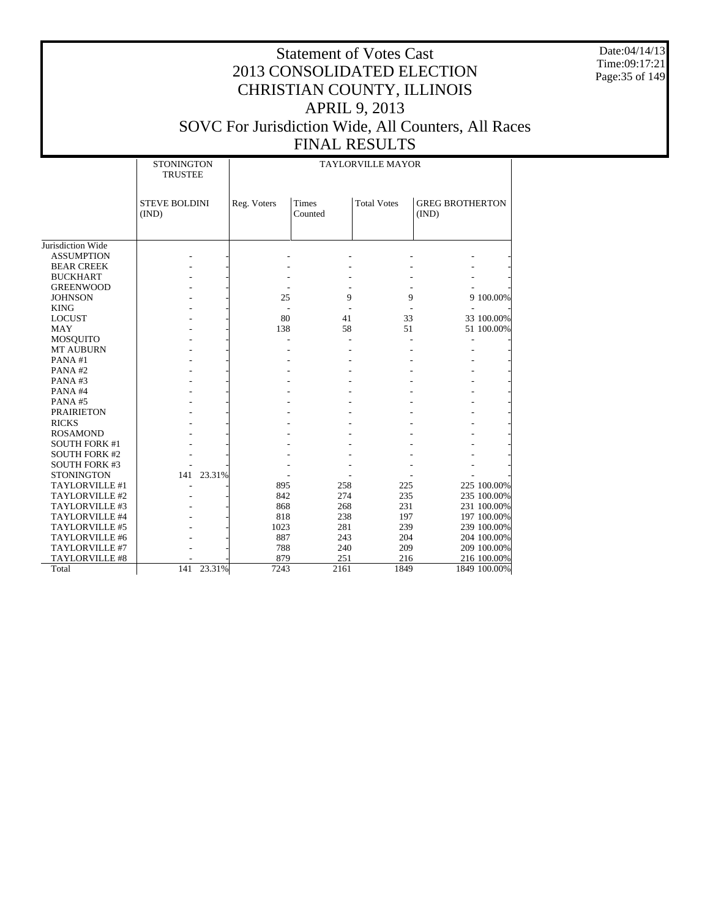Date:04/14/13 Time:09:17:21 Page:35 of 149

|                      | <b>STONINGTON</b><br><b>TRUSTEE</b> |            | <b>TAYLORVILLE MAYOR</b> |                         |                    |                                 |  |  |  |
|----------------------|-------------------------------------|------------|--------------------------|-------------------------|--------------------|---------------------------------|--|--|--|
|                      | <b>STEVE BOLDINI</b><br>(IND)       |            | Reg. Voters              | <b>Times</b><br>Counted | <b>Total Votes</b> | <b>GREG BROTHERTON</b><br>(IND) |  |  |  |
| Jurisdiction Wide    |                                     |            |                          |                         |                    |                                 |  |  |  |
| <b>ASSUMPTION</b>    |                                     |            |                          |                         |                    |                                 |  |  |  |
| <b>BEAR CREEK</b>    |                                     |            |                          |                         |                    |                                 |  |  |  |
| <b>BUCKHART</b>      |                                     |            |                          |                         |                    |                                 |  |  |  |
| <b>GREENWOOD</b>     |                                     |            |                          |                         |                    |                                 |  |  |  |
| <b>JOHNSON</b>       |                                     |            | 25                       | 9                       | 9                  | 9 100.00%                       |  |  |  |
| <b>KING</b>          |                                     |            |                          |                         |                    |                                 |  |  |  |
| <b>LOCUST</b>        |                                     |            | 80                       | 41                      | 33                 | 33 100.00%                      |  |  |  |
| <b>MAY</b>           |                                     |            | 138                      | 58                      | 51                 | 51 100.00%                      |  |  |  |
| <b>MOSQUITO</b>      |                                     |            |                          |                         |                    |                                 |  |  |  |
| <b>MT AUBURN</b>     |                                     |            |                          |                         |                    |                                 |  |  |  |
| PANA#1               |                                     |            |                          |                         |                    |                                 |  |  |  |
| PANA#2               |                                     |            |                          |                         |                    |                                 |  |  |  |
| PANA#3               |                                     |            |                          |                         |                    |                                 |  |  |  |
| PANA#4               |                                     |            |                          |                         |                    |                                 |  |  |  |
| PANA#5               |                                     |            |                          |                         |                    |                                 |  |  |  |
| <b>PRAIRIETON</b>    |                                     |            |                          |                         |                    |                                 |  |  |  |
| <b>RICKS</b>         |                                     |            |                          |                         |                    |                                 |  |  |  |
| <b>ROSAMOND</b>      |                                     |            |                          |                         |                    |                                 |  |  |  |
| <b>SOUTH FORK #1</b> |                                     |            |                          |                         |                    |                                 |  |  |  |
| <b>SOUTH FORK #2</b> |                                     |            |                          |                         |                    |                                 |  |  |  |
| <b>SOUTH FORK #3</b> |                                     |            |                          |                         |                    |                                 |  |  |  |
| <b>STONINGTON</b>    |                                     | 141 23.31% |                          |                         |                    |                                 |  |  |  |
| TAYLORVILLE #1       |                                     |            | 895                      | 258                     | 225                | 225 100.00%                     |  |  |  |
| TAYLORVILLE #2       |                                     |            | 842                      | 274                     | 235                | 235 100.00%                     |  |  |  |
| TAYLORVILLE #3       |                                     |            | 868                      | 268                     | 231                | 231 100.00%                     |  |  |  |
| TAYLORVILLE #4       |                                     |            | 818                      | 238                     | 197                | 197 100.00%                     |  |  |  |
| TAYLORVILLE #5       |                                     |            | 1023                     | 281                     | 239                | 239 100.00%                     |  |  |  |
| TAYLORVILLE #6       |                                     |            | 887                      | 243                     | 204                | 204 100.00%                     |  |  |  |
| TAYLORVILLE #7       |                                     |            | 788                      | 240                     | 209                | 209 100.00%                     |  |  |  |
| TAYLORVILLE #8       |                                     |            | 879                      | 251                     | 216                | 216 100.00%                     |  |  |  |
| Total                | 141                                 | 23.31%     | 7243                     | 2161                    | 1849               | 1849 100.00%                    |  |  |  |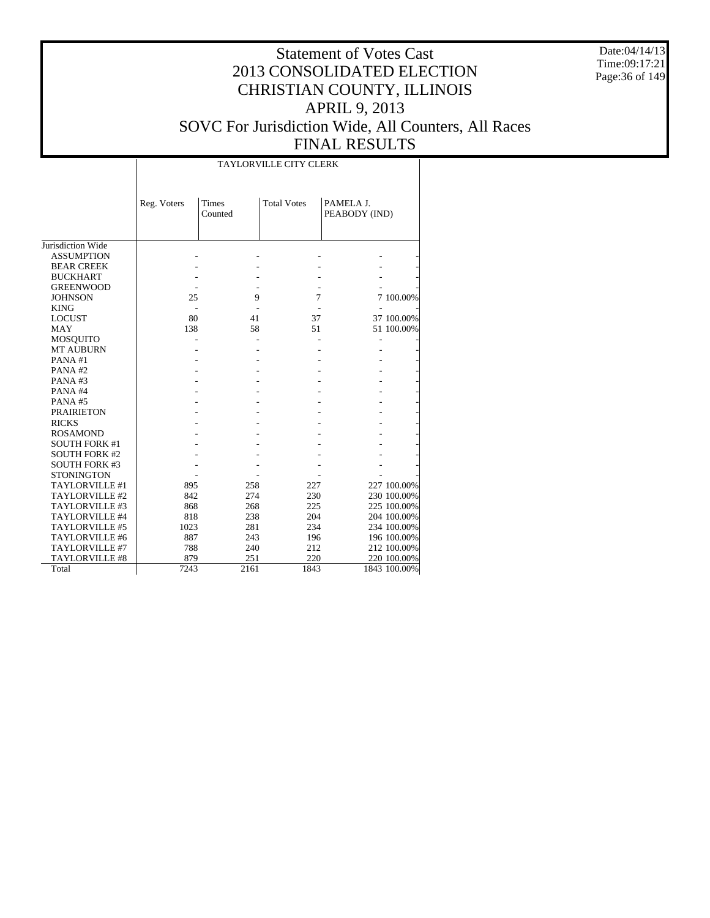Date:04/14/13 Time:09:17:21 Page:36 of 149

|                       |             | <b>TAYLORVILLE CITY CLERK</b> |                    |                            |              |  |  |  |  |  |  |
|-----------------------|-------------|-------------------------------|--------------------|----------------------------|--------------|--|--|--|--|--|--|
|                       | Reg. Voters | Times<br>Counted              | <b>Total Votes</b> | PAMELA J.<br>PEABODY (IND) |              |  |  |  |  |  |  |
| Jurisdiction Wide     |             |                               |                    |                            |              |  |  |  |  |  |  |
| <b>ASSUMPTION</b>     |             |                               |                    |                            |              |  |  |  |  |  |  |
| <b>BEAR CREEK</b>     |             |                               |                    |                            |              |  |  |  |  |  |  |
| <b>BUCKHART</b>       |             |                               |                    |                            |              |  |  |  |  |  |  |
| <b>GREENWOOD</b>      |             |                               |                    |                            |              |  |  |  |  |  |  |
| <b>JOHNSON</b>        | 25          | 9                             | 7                  |                            | 7 100.00%    |  |  |  |  |  |  |
| <b>KING</b>           |             |                               |                    |                            |              |  |  |  |  |  |  |
| <b>LOCUST</b>         | 80          | 41                            | 37                 |                            | 37 100.00%   |  |  |  |  |  |  |
| <b>MAY</b>            | 138         | 58                            | 51                 |                            | 51 100.00%   |  |  |  |  |  |  |
| MOSQUITO              |             |                               |                    |                            |              |  |  |  |  |  |  |
| <b>MT AUBURN</b>      |             |                               |                    |                            |              |  |  |  |  |  |  |
| PANA#1                |             |                               |                    |                            |              |  |  |  |  |  |  |
| PANA#2                |             |                               |                    |                            |              |  |  |  |  |  |  |
| PANA#3                |             |                               |                    |                            |              |  |  |  |  |  |  |
| PANA#4                |             |                               |                    |                            |              |  |  |  |  |  |  |
| PANA#5                |             |                               |                    |                            |              |  |  |  |  |  |  |
| <b>PRAIRIETON</b>     |             |                               |                    |                            |              |  |  |  |  |  |  |
| <b>RICKS</b>          |             |                               |                    |                            |              |  |  |  |  |  |  |
| <b>ROSAMOND</b>       |             |                               |                    |                            |              |  |  |  |  |  |  |
| <b>SOUTH FORK #1</b>  |             |                               |                    |                            |              |  |  |  |  |  |  |
| <b>SOUTH FORK #2</b>  |             |                               |                    |                            |              |  |  |  |  |  |  |
| <b>SOUTH FORK #3</b>  |             |                               |                    |                            |              |  |  |  |  |  |  |
| <b>STONINGTON</b>     |             |                               |                    |                            |              |  |  |  |  |  |  |
| TAYLORVILLE #1        | 895         | 258                           | 227                |                            | 227 100.00%  |  |  |  |  |  |  |
| TAYLORVILLE #2        | 842         | 274                           | 230                |                            | 230 100.00%  |  |  |  |  |  |  |
| TAYLORVILLE #3        | 868         | 268                           | 225                |                            | 225 100.00%  |  |  |  |  |  |  |
| TAYLORVILLE #4        | 818         | 238                           | 204                |                            | 204 100.00%  |  |  |  |  |  |  |
| TAYLORVILLE #5        | 1023        | 281                           | 234                |                            | 234 100.00%  |  |  |  |  |  |  |
| TAYLORVILLE #6        | 887         | 243                           | 196                |                            | 196 100.00%  |  |  |  |  |  |  |
| TAYLORVILLE #7        | 788         | 240                           | 212                |                            | 212 100.00%  |  |  |  |  |  |  |
| <b>TAYLORVILLE #8</b> | 879         | 251                           | 220                |                            | 220 100.00%  |  |  |  |  |  |  |
| Total                 | 7243        | 2161                          | 1843               |                            | 1843 100.00% |  |  |  |  |  |  |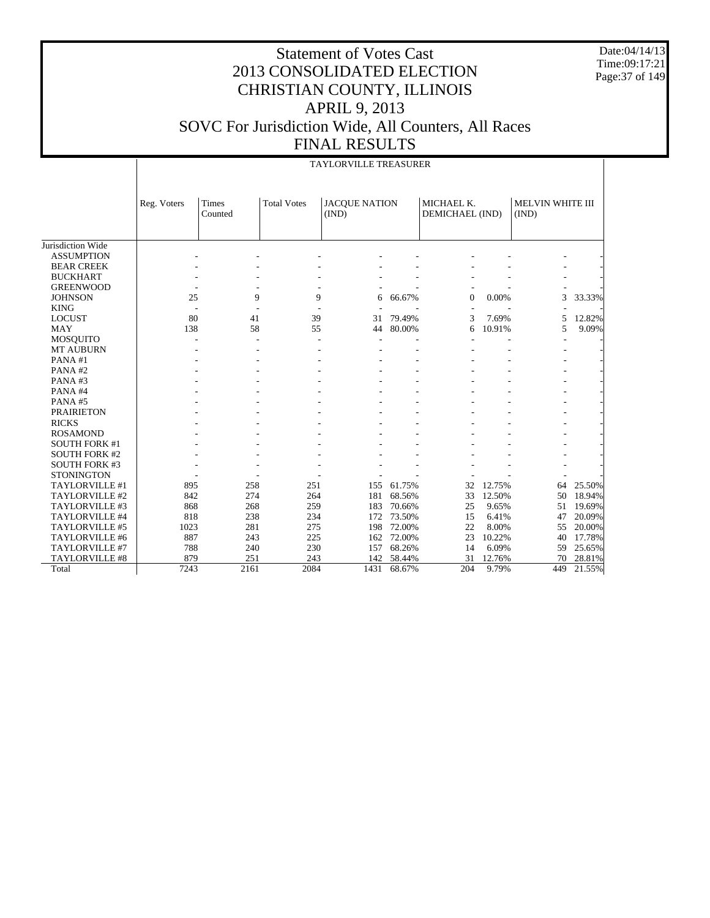Date:04/14/13 Time:09:17:21 Page:37 of 149

#### Statement of Votes Cast 2013 CONSOLIDATED ELECTION CHRISTIAN COUNTY, ILLINOIS APRIL 9, 2013 SOVC For Jurisdiction Wide, All Counters, All Races FINAL RESULTS

|                      |             |                         |                    | <b>TAYLORVILLE TREASURER</b>  |        |                               |        |                                  |        |
|----------------------|-------------|-------------------------|--------------------|-------------------------------|--------|-------------------------------|--------|----------------------------------|--------|
|                      | Reg. Voters | <b>Times</b><br>Counted | <b>Total Votes</b> | <b>JACQUE NATION</b><br>(IND) |        | MICHAEL K.<br>DEMICHAEL (IND) |        | <b>MELVIN WHITE III</b><br>(IND) |        |
|                      |             |                         |                    |                               |        |                               |        |                                  |        |
| Jurisdiction Wide    |             |                         |                    |                               |        |                               |        |                                  |        |
| <b>ASSUMPTION</b>    |             |                         |                    |                               |        |                               |        |                                  |        |
| <b>BEAR CREEK</b>    |             |                         |                    |                               |        |                               |        |                                  |        |
| <b>BUCKHART</b>      |             |                         |                    |                               |        |                               |        |                                  |        |
| <b>GREENWOOD</b>     |             |                         |                    |                               |        |                               |        |                                  |        |
| <b>JOHNSON</b>       | 25          | 9                       | 9                  | 6                             | 66.67% | $\theta$                      | 0.00%  | 3                                | 33.33% |
| <b>KING</b>          |             |                         |                    |                               |        |                               |        |                                  |        |
| <b>LOCUST</b>        | 80          | 41                      | 39                 | 31                            | 79.49% | 3                             | 7.69%  | 5                                | 12.82% |
| <b>MAY</b>           | 138         | 58                      | 55                 | 44                            | 80.00% | 6                             | 10.91% | 5                                | 9.09%  |
| <b>MOSQUITO</b>      |             |                         |                    |                               |        |                               |        |                                  |        |
| <b>MT AUBURN</b>     |             |                         |                    |                               |        |                               |        |                                  |        |
| PANA#1               |             |                         |                    |                               |        |                               |        |                                  |        |
| PANA#2               |             |                         |                    |                               |        |                               |        |                                  |        |
| PANA#3               |             |                         |                    |                               |        |                               |        |                                  |        |
| PANA#4               |             |                         |                    |                               |        |                               |        |                                  |        |
| PANA#5               |             |                         |                    |                               |        |                               |        |                                  |        |
| <b>PRAIRIETON</b>    |             |                         |                    |                               |        |                               |        |                                  |        |
| <b>RICKS</b>         |             |                         |                    |                               |        |                               |        |                                  |        |
| <b>ROSAMOND</b>      |             |                         |                    |                               |        |                               |        |                                  |        |
| <b>SOUTH FORK #1</b> |             |                         |                    |                               |        |                               |        |                                  |        |
| <b>SOUTH FORK #2</b> |             |                         |                    |                               |        |                               |        |                                  |        |
| <b>SOUTH FORK #3</b> |             |                         |                    |                               |        |                               |        |                                  |        |
| <b>STONINGTON</b>    |             |                         |                    |                               |        |                               |        |                                  |        |
| TAYLORVILLE #1       | 895         | 258                     | 251                | 155                           | 61.75% | 32                            | 12.75% | 64                               | 25.50% |
| TAYLORVILLE #2       | 842         | 274                     | 264                | 181                           | 68.56% | 33                            | 12.50% | 50                               | 18.94% |
| TAYLORVILLE #3       | 868         | 268                     | 259                | 183                           | 70.66% | 25                            | 9.65%  | 51                               | 19.69% |
| TAYLORVILLE #4       | 818         | 238                     | 234                | 172                           | 73.50% | 15                            | 6.41%  | 47                               | 20.09% |
| TAYLORVILLE #5       | 1023        | 281                     | 275                | 198                           | 72.00% | 22                            | 8.00%  | 55                               | 20.00% |
| TAYLORVILLE #6       | 887         | 243                     | 225                | 162                           | 72.00% | 23                            | 10.22% | 40                               | 17.78% |
| TAYLORVILLE #7       | 788         | 240                     | 230                | 157                           | 68.26% | 14                            | 6.09%  | 59                               | 25.65% |
| TAYLORVILLE #8       | 879         | 251                     | 243                | 142                           | 58.44% | 31                            | 12.76% | 70                               | 28.81% |
| Total                | 7243        | 2161                    | 2084               | 1431                          | 68.67% | 204                           | 9.79%  | 449                              | 21.55% |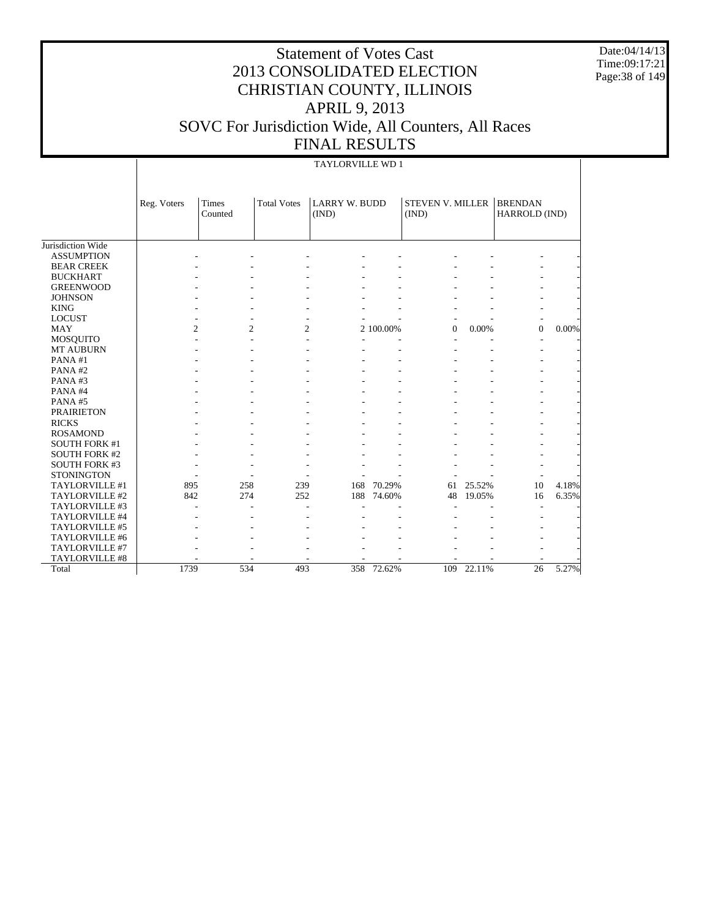Date:04/14/13 Time:09:17:21 Page:38 of 149

# Statement of Votes Cast 2013 CONSOLIDATED ELECTION CHRISTIAN COUNTY, ILLINOIS APRIL 9, 2013 SOVC For Jurisdiction Wide, All Counters, All Races FINAL RESULTS

#### TAYLORVILLE WD 1

|                      | Reg. Voters    | <b>Times</b><br>Counted | <b>Total Votes</b> | <b>LARRY W. BUDD</b><br>(IND) |           | <b>STEVEN V. MILLER</b><br>(IND) |        | <b>BRENDAN</b><br>HARROLD (IND) |       |
|----------------------|----------------|-------------------------|--------------------|-------------------------------|-----------|----------------------------------|--------|---------------------------------|-------|
|                      |                |                         |                    |                               |           |                                  |        |                                 |       |
| Jurisdiction Wide    |                |                         |                    |                               |           |                                  |        |                                 |       |
| <b>ASSUMPTION</b>    |                |                         |                    |                               |           |                                  |        |                                 |       |
| <b>BEAR CREEK</b>    |                |                         |                    |                               |           |                                  |        |                                 |       |
| <b>BUCKHART</b>      |                |                         |                    |                               |           |                                  |        |                                 |       |
| <b>GREENWOOD</b>     |                |                         |                    |                               |           |                                  |        |                                 |       |
| <b>JOHNSON</b>       |                |                         |                    |                               |           |                                  |        |                                 |       |
| <b>KING</b>          |                |                         |                    |                               |           |                                  |        |                                 |       |
| <b>LOCUST</b>        |                |                         |                    |                               |           |                                  |        |                                 |       |
| <b>MAY</b>           | $\overline{c}$ | $\overline{c}$          |                    | 2                             | 2 100.00% | $\mathbf{0}$                     | 0.00%  | $\overline{0}$                  | 0.00% |
| <b>MOSQUITO</b>      |                |                         |                    |                               |           |                                  |        |                                 |       |
| <b>MT AUBURN</b>     |                |                         |                    |                               |           |                                  |        |                                 |       |
| PANA#1               |                |                         |                    |                               |           |                                  |        |                                 |       |
| PANA#2               |                |                         |                    |                               |           |                                  |        |                                 |       |
| PANA#3               |                |                         |                    |                               |           |                                  |        |                                 |       |
| PANA#4               |                |                         |                    |                               |           |                                  |        |                                 |       |
| PANA#5               |                |                         |                    |                               |           |                                  |        |                                 |       |
| <b>PRAIRIETON</b>    |                |                         |                    |                               |           |                                  |        |                                 |       |
| <b>RICKS</b>         |                |                         |                    |                               |           |                                  |        |                                 |       |
| <b>ROSAMOND</b>      |                |                         |                    |                               |           |                                  |        |                                 |       |
| <b>SOUTH FORK #1</b> |                |                         |                    |                               |           |                                  |        |                                 |       |
| <b>SOUTH FORK #2</b> |                |                         |                    |                               |           |                                  |        |                                 |       |
| <b>SOUTH FORK #3</b> |                |                         |                    |                               |           |                                  |        |                                 |       |
| <b>STONINGTON</b>    |                |                         |                    |                               |           |                                  |        |                                 |       |
| TAYLORVILLE #1       | 895            | 258                     | 239                | 168                           | 70.29%    | 61                               | 25.52% | 10                              | 4.18% |
| TAYLORVILLE #2       | 842            | 274                     | 252                | 188                           | 74.60%    | 48                               | 19.05% | 16                              | 6.35% |
| TAYLORVILLE #3       |                |                         |                    |                               |           |                                  |        |                                 |       |
| TAYLORVILLE #4       |                |                         |                    |                               |           |                                  |        |                                 |       |
| TAYLORVILLE #5       |                |                         |                    |                               |           |                                  |        |                                 |       |
| TAYLORVILLE #6       |                |                         |                    |                               |           |                                  |        |                                 |       |
| TAYLORVILLE #7       |                |                         |                    |                               |           |                                  |        |                                 |       |
| TAYLORVILLE #8       |                |                         |                    |                               |           |                                  |        |                                 |       |
| Total                | 1739           | 534                     | 493                | 358                           | 72.62%    | 109                              | 22.11% | 26                              | 5.27% |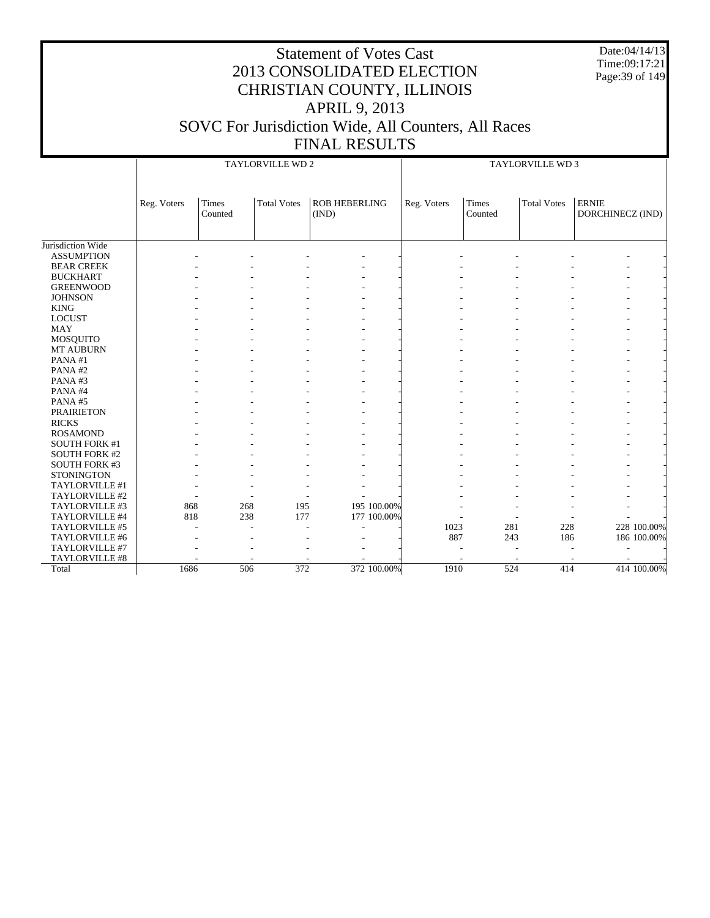| <b>Statement of Votes Cast</b>                                                 | Date:04/14/13<br>Time:09:17:21<br>2013 CONSOLIDATED ELECTION<br>Page: 39 of 149<br><b>CHRISTIAN COUNTY, ILLINOIS</b><br><b>APRIL 9, 2013</b><br><b>DVC For Jurisdiction Wide, All Counters, All Races</b><br><b>FINAL RESULTS</b><br><b>TAYLORVILLE WD 2</b><br><b>TAYLORVILLE WD 3</b> |                                  |  |  |  |  |  |
|--------------------------------------------------------------------------------|-----------------------------------------------------------------------------------------------------------------------------------------------------------------------------------------------------------------------------------------------------------------------------------------|----------------------------------|--|--|--|--|--|
|                                                                                |                                                                                                                                                                                                                                                                                         |                                  |  |  |  |  |  |
| <b>Times</b><br><b>ROB HEBERLING</b><br><b>Total Votes</b><br>(IND)<br>Counted | <b>Total Votes</b><br>Times<br>Reg. Voters<br>Counted                                                                                                                                                                                                                                   | <b>ERNIE</b><br>DORCHINECZ (IND) |  |  |  |  |  |
|                                                                                |                                                                                                                                                                                                                                                                                         |                                  |  |  |  |  |  |
|                                                                                |                                                                                                                                                                                                                                                                                         |                                  |  |  |  |  |  |

| Jurisdiction Wide    |      |     |     |             |      |     |     |             |
|----------------------|------|-----|-----|-------------|------|-----|-----|-------------|
| <b>ASSUMPTION</b>    |      |     |     |             |      |     |     |             |
| <b>BEAR CREEK</b>    |      |     |     |             |      |     |     |             |
| <b>BUCKHART</b>      |      |     |     |             |      |     |     |             |
| <b>GREENWOOD</b>     |      |     |     |             |      |     |     |             |
| <b>JOHNSON</b>       |      |     |     |             |      |     |     |             |
| <b>KING</b>          |      |     |     |             |      |     |     |             |
| <b>LOCUST</b>        |      |     |     |             |      |     |     |             |
| <b>MAY</b>           |      |     |     |             |      |     |     |             |
| MOSQUITO             |      |     |     |             |      |     |     |             |
| MT AUBURN            |      |     |     |             |      |     |     |             |
| PANA#1               |      |     |     |             |      |     |     |             |
| PANA#2               |      |     |     |             |      |     |     |             |
| PANA#3               |      |     |     |             |      |     |     |             |
| PANA#4               |      |     |     |             |      |     |     |             |
| PANA#5               |      |     |     |             |      |     |     |             |
| <b>PRAIRIETON</b>    |      |     |     |             |      |     |     |             |
| <b>RICKS</b>         |      |     |     |             |      |     |     |             |
| <b>ROSAMOND</b>      |      |     |     |             |      |     |     |             |
| <b>SOUTH FORK #1</b> |      |     |     |             |      |     |     |             |
| <b>SOUTH FORK #2</b> |      |     |     |             |      |     |     |             |
| <b>SOUTH FORK #3</b> |      |     |     |             |      |     |     |             |
| <b>STONINGTON</b>    |      |     |     |             |      |     |     |             |
| TAYLORVILLE #1       |      |     |     |             |      |     |     |             |
| TAYLORVILLE #2       |      |     |     |             |      |     |     |             |
| TAYLORVILLE #3       | 868  | 268 | 195 | 195 100.00% |      |     |     |             |
| TAYLORVILLE #4       | 818  | 238 | 177 | 177 100.00% |      |     |     |             |
| TAYLORVILLE #5       |      |     |     |             | 1023 | 281 | 228 | 228 100.00% |
| TAYLORVILLE #6       |      |     |     |             | 887  | 243 | 186 | 186 100.00% |
| TAYLORVILLE #7       |      |     |     |             |      |     |     |             |
| TAYLORVILLE #8       |      |     |     |             |      |     |     |             |
| Total                | 1686 | 506 | 372 | 372 100.00% | 1910 | 524 | 414 | 414 100.00% |

SOVC

Reg. Voters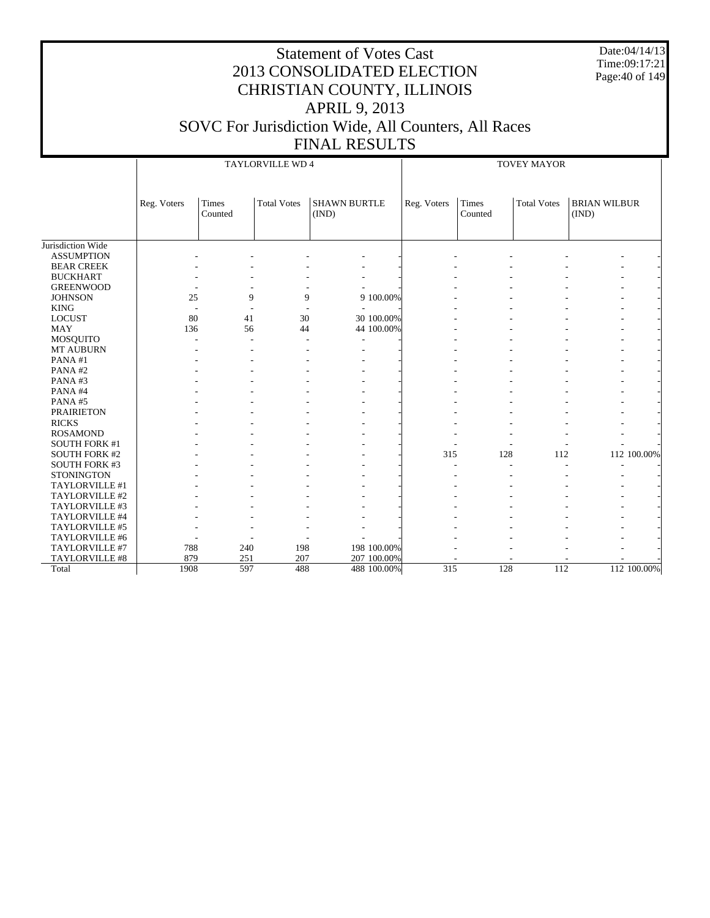Date:04/14/13 Time:09:17:21 Page:40 of 149

|                      | <b>TOVEY MAYOR</b><br><b>TAYLORVILLE WD 4</b> |                         |                    |                              |             |             |                         |                    |                              |  |
|----------------------|-----------------------------------------------|-------------------------|--------------------|------------------------------|-------------|-------------|-------------------------|--------------------|------------------------------|--|
|                      | Reg. Voters                                   | <b>Times</b><br>Counted | <b>Total Votes</b> | <b>SHAWN BURTLE</b><br>(IND) |             | Reg. Voters | <b>Times</b><br>Counted | <b>Total Votes</b> | <b>BRIAN WILBUR</b><br>(IND) |  |
| Jurisdiction Wide    |                                               |                         |                    |                              |             |             |                         |                    |                              |  |
| <b>ASSUMPTION</b>    |                                               |                         |                    |                              |             |             |                         |                    |                              |  |
| <b>BEAR CREEK</b>    |                                               |                         |                    |                              |             |             |                         |                    |                              |  |
| <b>BUCKHART</b>      |                                               |                         |                    |                              |             |             |                         |                    |                              |  |
| <b>GREENWOOD</b>     |                                               |                         |                    |                              |             |             |                         |                    |                              |  |
| <b>JOHNSON</b>       | 25                                            | 9                       | 9                  |                              | 9 100.00%   |             |                         |                    |                              |  |
| <b>KING</b>          |                                               |                         |                    |                              |             |             |                         |                    |                              |  |
| <b>LOCUST</b>        | 80                                            | 41                      | 30                 |                              | 30 100.00%  |             |                         |                    |                              |  |
| <b>MAY</b>           | 136                                           | 56                      | 44                 |                              | 44 100.00%  |             |                         |                    |                              |  |
| <b>MOSQUITO</b>      |                                               | ÷.                      |                    |                              |             |             |                         |                    |                              |  |
| MT AUBURN            |                                               |                         |                    |                              |             |             |                         |                    |                              |  |
| PANA#1               |                                               |                         |                    |                              |             |             |                         |                    |                              |  |
| PANA#2               |                                               |                         |                    |                              |             |             |                         |                    |                              |  |
| PANA#3               |                                               |                         |                    |                              |             |             |                         |                    |                              |  |
| PANA#4               |                                               |                         |                    |                              |             |             |                         |                    |                              |  |
| PANA#5               |                                               |                         |                    |                              |             |             |                         |                    |                              |  |
| <b>PRAIRIETON</b>    |                                               |                         |                    |                              |             |             |                         |                    |                              |  |
| <b>RICKS</b>         |                                               |                         |                    |                              |             |             |                         |                    |                              |  |
| <b>ROSAMOND</b>      |                                               |                         |                    |                              |             |             |                         |                    |                              |  |
| <b>SOUTH FORK #1</b> |                                               |                         |                    |                              |             |             |                         |                    |                              |  |
| <b>SOUTH FORK #2</b> |                                               |                         |                    |                              |             | 315         | 128                     | 112                | 112 100.00%                  |  |
| <b>SOUTH FORK #3</b> |                                               |                         |                    |                              |             |             |                         |                    |                              |  |
| <b>STONINGTON</b>    |                                               |                         |                    |                              |             |             |                         |                    |                              |  |
| TAYLORVILLE #1       |                                               |                         |                    |                              |             |             |                         |                    |                              |  |
| TAYLORVILLE #2       |                                               |                         |                    |                              |             |             |                         |                    |                              |  |
| TAYLORVILLE #3       |                                               |                         |                    |                              |             |             |                         |                    |                              |  |
| TAYLORVILLE #4       |                                               |                         |                    |                              |             |             |                         |                    |                              |  |
| TAYLORVILLE #5       |                                               |                         |                    |                              |             |             |                         |                    |                              |  |
| TAYLORVILLE #6       |                                               |                         |                    |                              |             |             |                         |                    |                              |  |
| TAYLORVILLE #7       | 788                                           | 240                     | 198                |                              | 198 100.00% |             |                         |                    |                              |  |
| TAYLORVILLE #8       | 879                                           | 251                     | 207                |                              | 207 100.00% |             |                         |                    |                              |  |
| Total                | 1908                                          | 597                     | 488                |                              | 488 100.00% | 315         | 128                     | 112                | 112 100.00%                  |  |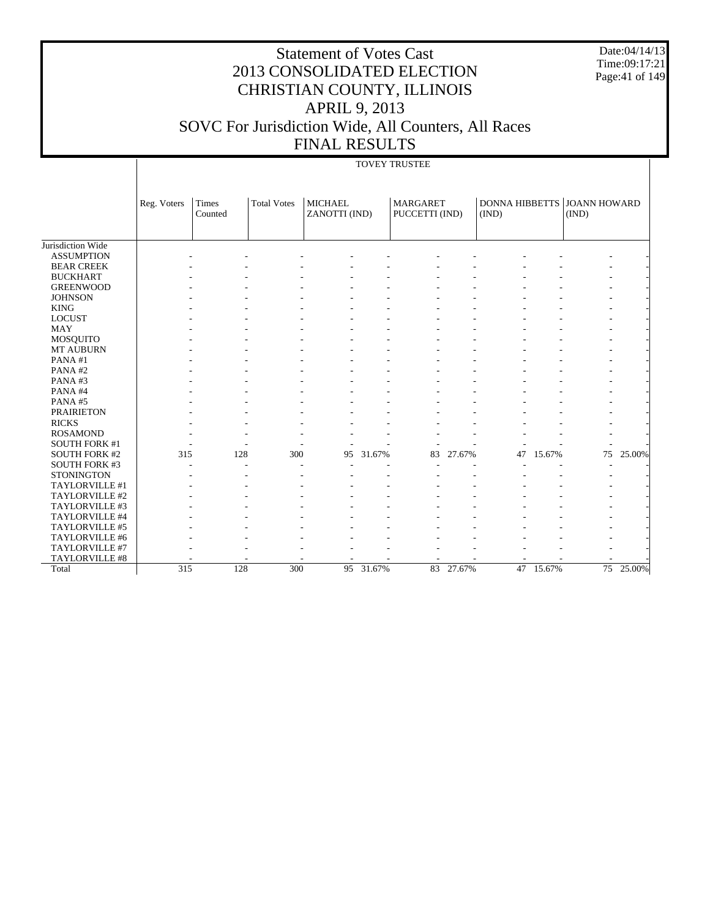Date:04/14/13 Time:09:17:21 Page:41 of 149

#### Statement of Votes Cast 2013 CONSOLIDATED ELECTION CHRISTIAN COUNTY, ILLINOIS APRIL 9, 2013 SOVC For Jurisdiction Wide, All Counters, All Races FINAL RESULTS

#### TOVEY TRUSTEE

|                       | Reg. Voters | Times<br>Counted | <b>Total Votes</b> | <b>MICHAEL</b><br>ZANOTTI (IND) |        | <b>MARGARET</b><br>PUCCETTI (IND) |        | (IND) |        | DONNA HIBBETTS JOANN HOWARD<br>(IND) |        |
|-----------------------|-------------|------------------|--------------------|---------------------------------|--------|-----------------------------------|--------|-------|--------|--------------------------------------|--------|
|                       |             |                  |                    |                                 |        |                                   |        |       |        |                                      |        |
| Jurisdiction Wide     |             |                  |                    |                                 |        |                                   |        |       |        |                                      |        |
| <b>ASSUMPTION</b>     |             |                  |                    |                                 |        |                                   |        |       |        |                                      |        |
| <b>BEAR CREEK</b>     |             |                  |                    |                                 |        |                                   |        |       |        |                                      |        |
| <b>BUCKHART</b>       |             |                  |                    |                                 |        |                                   |        |       |        |                                      |        |
| <b>GREENWOOD</b>      |             |                  |                    |                                 |        |                                   |        |       |        |                                      |        |
| <b>JOHNSON</b>        |             |                  |                    |                                 |        |                                   |        |       |        |                                      |        |
| <b>KING</b>           |             |                  |                    |                                 |        |                                   |        |       |        |                                      |        |
| <b>LOCUST</b>         |             |                  |                    |                                 |        |                                   |        |       |        |                                      |        |
| <b>MAY</b>            |             |                  |                    |                                 |        |                                   |        |       |        |                                      |        |
| <b>MOSQUITO</b>       |             |                  |                    |                                 |        |                                   |        |       |        |                                      |        |
| MT AUBURN             |             |                  |                    |                                 |        |                                   |        |       |        |                                      |        |
| PANA#1                |             |                  |                    |                                 |        |                                   |        |       |        |                                      |        |
| PANA#2                |             |                  |                    |                                 |        |                                   |        |       |        |                                      |        |
| PANA#3                |             |                  |                    |                                 |        |                                   |        |       |        |                                      |        |
| PANA#4                |             |                  |                    |                                 |        |                                   |        |       |        |                                      |        |
| PANA#5                |             |                  |                    |                                 |        |                                   |        |       |        |                                      |        |
| <b>PRAIRIETON</b>     |             |                  |                    |                                 |        |                                   |        |       |        |                                      |        |
| <b>RICKS</b>          |             |                  |                    |                                 |        |                                   |        |       |        |                                      |        |
| <b>ROSAMOND</b>       |             |                  |                    |                                 |        |                                   |        |       |        |                                      |        |
| <b>SOUTH FORK #1</b>  |             |                  |                    |                                 |        |                                   |        |       |        |                                      |        |
| <b>SOUTH FORK #2</b>  | 315         | 128              | 300                | 95                              | 31.67% | 83                                | 27.67% | 47    | 15.67% | 75                                   | 25.00% |
| <b>SOUTH FORK #3</b>  |             |                  |                    |                                 |        |                                   |        |       |        |                                      |        |
| <b>STONINGTON</b>     |             |                  |                    |                                 |        |                                   |        |       |        |                                      |        |
| TAYLORVILLE #1        |             |                  |                    |                                 |        |                                   |        |       |        |                                      |        |
| TAYLORVILLE #2        |             |                  |                    |                                 |        |                                   |        |       |        |                                      |        |
| TAYLORVILLE #3        |             |                  |                    |                                 |        |                                   |        |       |        |                                      |        |
| TAYLORVILLE #4        |             |                  |                    |                                 |        |                                   |        |       |        |                                      |        |
| TAYLORVILLE #5        |             |                  |                    |                                 |        |                                   |        |       |        |                                      |        |
| TAYLORVILLE #6        |             |                  |                    |                                 |        |                                   |        |       |        |                                      |        |
| TAYLORVILLE #7        |             |                  |                    |                                 |        |                                   |        |       |        |                                      |        |
| <b>TAYLORVILLE #8</b> |             |                  |                    |                                 |        |                                   |        |       |        |                                      |        |
| Total                 | 315         | 128              | 300                | 95                              | 31.67% | 83                                | 27.67% | 47    | 15.67% | 75                                   | 25.00% |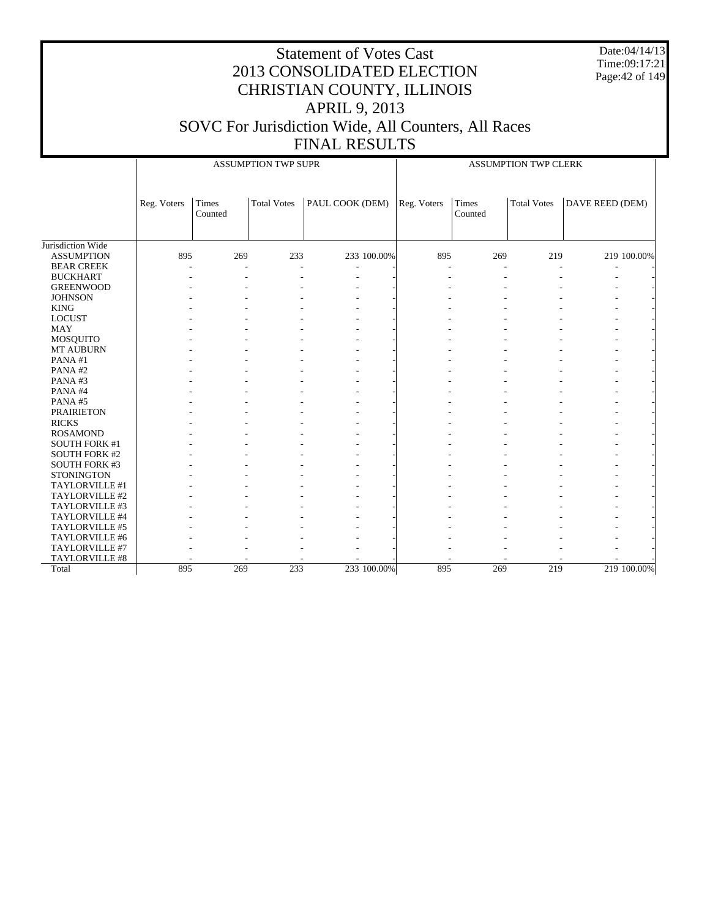Date:04/14/13 Time:09:17:21 Page:42 of 149

|                      |             | <b>ASSUMPTION TWP SUPR</b><br>ASSUMPTION TWP CLERK |                    |                 |             |                         |                    |                          |
|----------------------|-------------|----------------------------------------------------|--------------------|-----------------|-------------|-------------------------|--------------------|--------------------------|
|                      | Reg. Voters | Times<br>Counted                                   | <b>Total Votes</b> | PAUL COOK (DEM) | Reg. Voters | <b>Times</b><br>Counted | <b>Total Votes</b> | DAVE REED (DEM)          |
| Jurisdiction Wide    |             |                                                    |                    |                 |             |                         |                    |                          |
| <b>ASSUMPTION</b>    | 895         | 269                                                | 233                | 233 100.00%     | 895         | 269                     | 219                | 219 100.00%              |
| <b>BEAR CREEK</b>    |             |                                                    | ÷.                 |                 |             |                         |                    |                          |
| <b>BUCKHART</b>      |             |                                                    |                    |                 |             |                         |                    |                          |
| <b>GREENWOOD</b>     |             |                                                    |                    |                 |             |                         |                    |                          |
| <b>JOHNSON</b>       |             |                                                    |                    |                 |             |                         |                    |                          |
| <b>KING</b>          |             |                                                    |                    |                 |             |                         |                    |                          |
| <b>LOCUST</b>        |             |                                                    |                    |                 |             |                         |                    |                          |
| <b>MAY</b>           |             |                                                    |                    |                 |             |                         |                    |                          |
| MOSQUITO             |             |                                                    |                    |                 |             |                         |                    |                          |
| MT AUBURN            |             |                                                    |                    |                 |             |                         |                    |                          |
| PANA#1               |             |                                                    |                    |                 |             |                         |                    |                          |
| PANA#2               |             |                                                    |                    |                 |             |                         |                    |                          |
| PANA#3               |             |                                                    |                    |                 |             |                         |                    |                          |
| PANA#4               |             |                                                    |                    |                 |             |                         |                    |                          |
| PANA#5               |             |                                                    |                    |                 |             |                         |                    | $\overline{\phantom{a}}$ |
| <b>PRAIRIETON</b>    |             |                                                    |                    |                 |             |                         |                    |                          |
| <b>RICKS</b>         |             |                                                    |                    |                 |             |                         |                    |                          |
| <b>ROSAMOND</b>      |             |                                                    |                    |                 |             |                         |                    |                          |
| <b>SOUTH FORK #1</b> |             |                                                    |                    |                 |             |                         |                    |                          |
| <b>SOUTH FORK #2</b> |             |                                                    |                    |                 |             |                         |                    |                          |
| SOUTH FORK #3        |             |                                                    |                    |                 |             |                         |                    |                          |
| <b>STONINGTON</b>    |             |                                                    |                    |                 |             |                         |                    |                          |
| TAYLORVILLE #1       |             |                                                    |                    |                 |             |                         |                    |                          |
| TAYLORVILLE #2       |             |                                                    |                    |                 |             |                         |                    |                          |
| TAYLORVILLE #3       |             |                                                    |                    |                 |             |                         |                    |                          |
| TAYLORVILLE #4       |             |                                                    |                    |                 |             |                         |                    |                          |
| TAYLORVILLE #5       |             |                                                    |                    |                 |             |                         |                    |                          |
| TAYLORVILLE #6       |             |                                                    |                    |                 |             |                         |                    |                          |
| TAYLORVILLE #7       |             |                                                    |                    |                 |             |                         |                    |                          |
| TAYLORVILLE #8       |             |                                                    |                    |                 |             |                         |                    |                          |
| Total                | 895         | 269                                                | 233                | 233 100.00%     | 895         | 269                     | 219                | 219 100.00%              |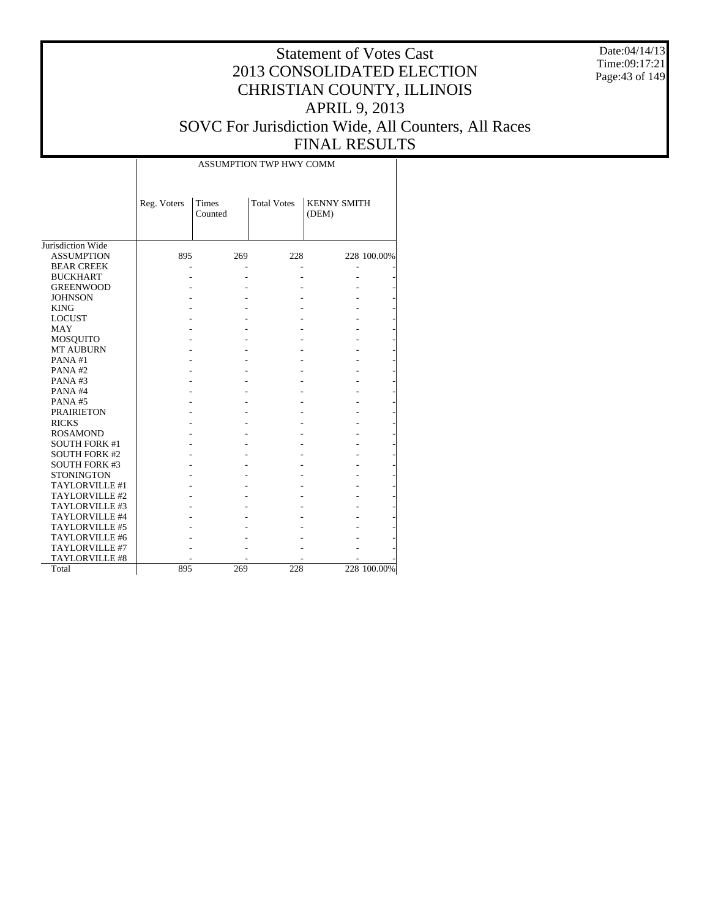Date:04/14/13 Time:09:17:21 Page:43 of 149

|                      |             |                         | ASSUMPTION TWP HWY COMM |                             |             |
|----------------------|-------------|-------------------------|-------------------------|-----------------------------|-------------|
|                      | Reg. Voters | <b>Times</b><br>Counted | <b>Total Votes</b>      | <b>KENNY SMITH</b><br>(DEM) |             |
| Jurisdiction Wide    |             |                         |                         |                             |             |
| <b>ASSUMPTION</b>    | 895         | 269                     | 228                     |                             | 228 100.00% |
| <b>BEAR CREEK</b>    |             |                         |                         |                             |             |
| <b>BUCKHART</b>      |             |                         |                         |                             |             |
| <b>GREENWOOD</b>     |             |                         |                         |                             |             |
| <b>JOHNSON</b>       |             |                         |                         |                             |             |
| <b>KING</b>          |             |                         |                         |                             |             |
| <b>LOCUST</b>        |             |                         |                         |                             |             |
| <b>MAY</b>           |             |                         |                         |                             |             |
| MOSQUITO             |             |                         |                         |                             |             |
| <b>MT AUBURN</b>     |             |                         |                         |                             |             |
| PANA#1               |             |                         |                         |                             |             |
| PANA#2               |             |                         |                         |                             |             |
| PANA#3               |             |                         |                         |                             |             |
| PANA#4               |             |                         |                         |                             |             |
| PANA#5               |             |                         |                         |                             |             |
| <b>PRAIRIETON</b>    |             |                         |                         |                             |             |
| <b>RICKS</b>         |             |                         |                         |                             |             |
| <b>ROSAMOND</b>      |             |                         |                         |                             |             |
| <b>SOUTH FORK #1</b> |             |                         |                         |                             |             |
| <b>SOUTH FORK #2</b> |             |                         |                         |                             |             |
| <b>SOUTH FORK #3</b> |             |                         |                         |                             |             |
| <b>STONINGTON</b>    |             |                         |                         |                             |             |
| TAYLORVILLE #1       |             |                         |                         |                             |             |
| TAYLORVILLE #2       |             |                         |                         |                             |             |
| TAYLORVILLE #3       |             |                         |                         |                             |             |
| TAYLORVILLE #4       |             |                         |                         |                             |             |
| TAYLORVILLE #5       |             |                         |                         |                             |             |
| TAYLORVILLE #6       |             |                         |                         |                             |             |
| TAYLORVILLE #7       |             |                         |                         |                             |             |
| TAYLORVILLE #8       |             |                         |                         |                             |             |
| Total                | 895         | 269                     | 228                     |                             | 228 100.00% |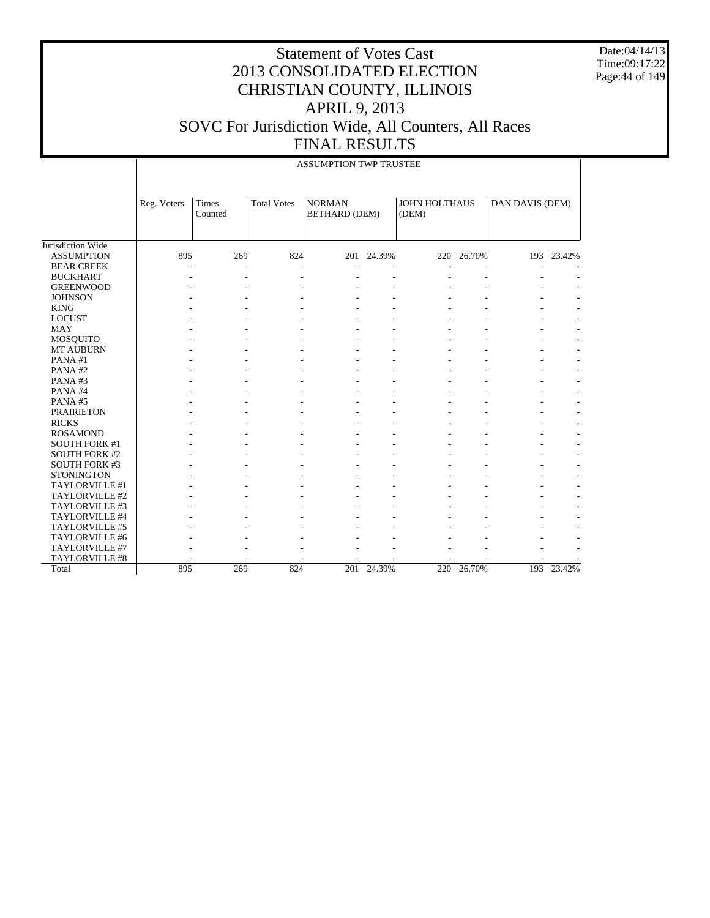Date:04/14/13 Time:09:17:22 Page:44 of 149

|                      |             |                  |                    | <b>ASSUMPTION TWP TRUSTEE</b>         |            |                        |            |                 |            |
|----------------------|-------------|------------------|--------------------|---------------------------------------|------------|------------------------|------------|-----------------|------------|
|                      | Reg. Voters | Times<br>Counted | <b>Total Votes</b> | <b>NORMAN</b><br><b>BETHARD (DEM)</b> |            | JOHN HOLTHAUS<br>(DEM) |            | DAN DAVIS (DEM) |            |
| Jurisdiction Wide    |             |                  |                    |                                       |            |                        |            |                 |            |
| <b>ASSUMPTION</b>    | 895         | 269              | 824                |                                       | 201 24.39% |                        | 220 26.70% |                 | 193 23.42% |
| <b>BEAR CREEK</b>    |             | ÷,               |                    |                                       |            |                        |            |                 |            |
| <b>BUCKHART</b>      |             |                  |                    |                                       |            |                        |            |                 |            |
| <b>GREENWOOD</b>     |             |                  |                    |                                       |            |                        |            |                 |            |
| <b>JOHNSON</b>       |             |                  |                    |                                       |            |                        |            |                 |            |
| <b>KING</b>          |             |                  |                    |                                       |            |                        |            |                 |            |
| <b>LOCUST</b>        |             |                  |                    |                                       |            |                        |            |                 |            |
| <b>MAY</b>           |             |                  |                    |                                       |            |                        |            |                 |            |
| MOSQUITO             |             |                  |                    |                                       |            |                        |            |                 |            |
| MT AUBURN            |             |                  |                    |                                       |            |                        |            |                 |            |
| PANA#1               |             |                  |                    |                                       |            |                        |            |                 |            |
| PANA#2               |             |                  |                    |                                       |            |                        |            |                 |            |
| PANA#3               |             |                  |                    |                                       |            |                        |            |                 |            |
| PANA#4               |             |                  |                    |                                       |            |                        |            |                 |            |
| PANA#5               |             |                  |                    |                                       |            |                        |            |                 |            |
| <b>PRAIRIETON</b>    |             |                  |                    |                                       |            |                        |            |                 |            |
| <b>RICKS</b>         |             |                  |                    |                                       |            |                        |            |                 |            |
| <b>ROSAMOND</b>      |             |                  |                    |                                       |            |                        |            |                 |            |
| <b>SOUTH FORK #1</b> |             |                  |                    |                                       |            |                        |            |                 |            |
| <b>SOUTH FORK #2</b> |             |                  |                    |                                       |            |                        |            |                 |            |
| <b>SOUTH FORK #3</b> |             |                  |                    |                                       |            |                        |            |                 |            |
| <b>STONINGTON</b>    |             |                  |                    |                                       |            |                        |            |                 |            |
| TAYLORVILLE #1       |             |                  |                    |                                       |            |                        |            |                 |            |
| TAYLORVILLE #2       |             |                  |                    |                                       |            |                        |            |                 |            |
| TAYLORVILLE #3       |             |                  |                    |                                       |            |                        |            |                 |            |
| TAYLORVILLE #4       |             |                  |                    |                                       |            |                        |            |                 |            |
| TAYLORVILLE #5       |             |                  |                    |                                       |            |                        |            |                 |            |
| TAYLORVILLE #6       |             |                  |                    |                                       |            |                        |            |                 |            |
| TAYLORVILLE #7       |             |                  |                    |                                       |            |                        |            |                 |            |
| TAYLORVILLE #8       |             |                  |                    |                                       |            |                        |            |                 |            |
| Total                | 895         | 269              | 824                | 201                                   | 24.39%     | 220                    | 26.70%     | 193             | 23.42%     |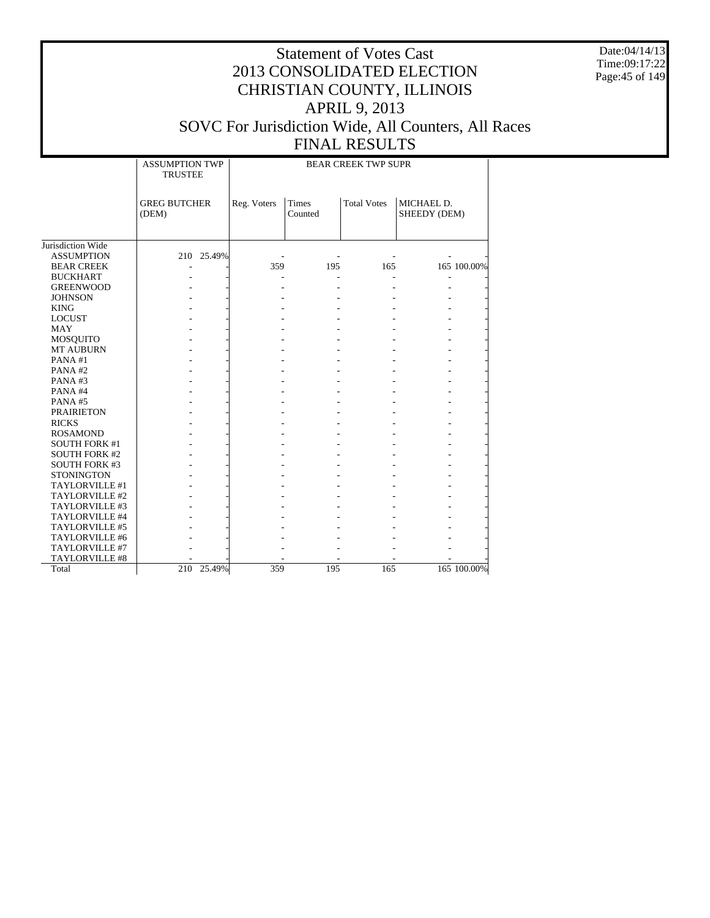Date:04/14/13 Time:09:17:22 Page:45 of 149

|                      | <b>ASSUMPTION TWP</b><br><b>TRUSTEE</b> |            | <b>BEAR CREEK TWP SUPR</b> |                         |                    |                            |             |
|----------------------|-----------------------------------------|------------|----------------------------|-------------------------|--------------------|----------------------------|-------------|
|                      | <b>GREG BUTCHER</b><br>(DEM)            |            | Reg. Voters                | <b>Times</b><br>Counted | <b>Total Votes</b> | MICHAEL D.<br>SHEEDY (DEM) |             |
| Jurisdiction Wide    |                                         |            |                            |                         |                    |                            |             |
| <b>ASSUMPTION</b>    |                                         | 210 25.49% |                            |                         |                    |                            |             |
| <b>BEAR CREEK</b>    |                                         |            | 359                        | 195                     | 165                |                            | 165 100.00% |
| <b>BUCKHART</b>      |                                         |            |                            | ä,                      |                    |                            |             |
| <b>GREENWOOD</b>     |                                         |            |                            |                         |                    |                            |             |
| <b>JOHNSON</b>       |                                         |            |                            |                         |                    |                            |             |
| <b>KING</b>          |                                         |            |                            |                         |                    |                            |             |
| <b>LOCUST</b>        |                                         |            |                            |                         |                    |                            |             |
| <b>MAY</b>           |                                         |            |                            |                         |                    |                            |             |
| <b>MOSQUITO</b>      |                                         |            |                            |                         |                    |                            |             |
| <b>MT AUBURN</b>     |                                         |            |                            |                         |                    |                            |             |
| PANA#1               |                                         |            |                            |                         |                    |                            |             |
| PANA#2               |                                         |            |                            |                         |                    |                            |             |
| PANA#3               |                                         |            |                            |                         |                    |                            |             |
| PANA#4               |                                         |            |                            |                         |                    |                            |             |
| PANA#5               |                                         |            |                            |                         |                    |                            |             |
| <b>PRAIRIETON</b>    |                                         |            |                            |                         |                    |                            |             |
| <b>RICKS</b>         |                                         |            |                            |                         |                    |                            |             |
| <b>ROSAMOND</b>      |                                         |            |                            |                         |                    |                            |             |
| <b>SOUTH FORK #1</b> |                                         |            |                            |                         |                    |                            |             |
| <b>SOUTH FORK #2</b> |                                         |            |                            |                         |                    |                            |             |
| <b>SOUTH FORK #3</b> |                                         |            |                            |                         |                    |                            |             |
| <b>STONINGTON</b>    |                                         |            |                            |                         |                    |                            |             |
| TAYLORVILLE #1       |                                         |            |                            |                         |                    |                            |             |
| TAYLORVILLE #2       |                                         |            |                            |                         |                    |                            |             |
| TAYLORVILLE #3       |                                         |            |                            |                         |                    |                            |             |
| TAYLORVILLE #4       |                                         |            |                            |                         |                    |                            |             |
| TAYLORVILLE #5       |                                         |            |                            |                         |                    |                            |             |
| TAYLORVILLE #6       |                                         |            |                            |                         |                    |                            |             |
| TAYLORVILLE #7       |                                         |            |                            |                         |                    |                            |             |
| TAYLORVILLE #8       |                                         |            |                            |                         |                    |                            |             |
| Total                | 210                                     | 25.49%     | 359                        | 195                     | 165                |                            | 165 100.00% |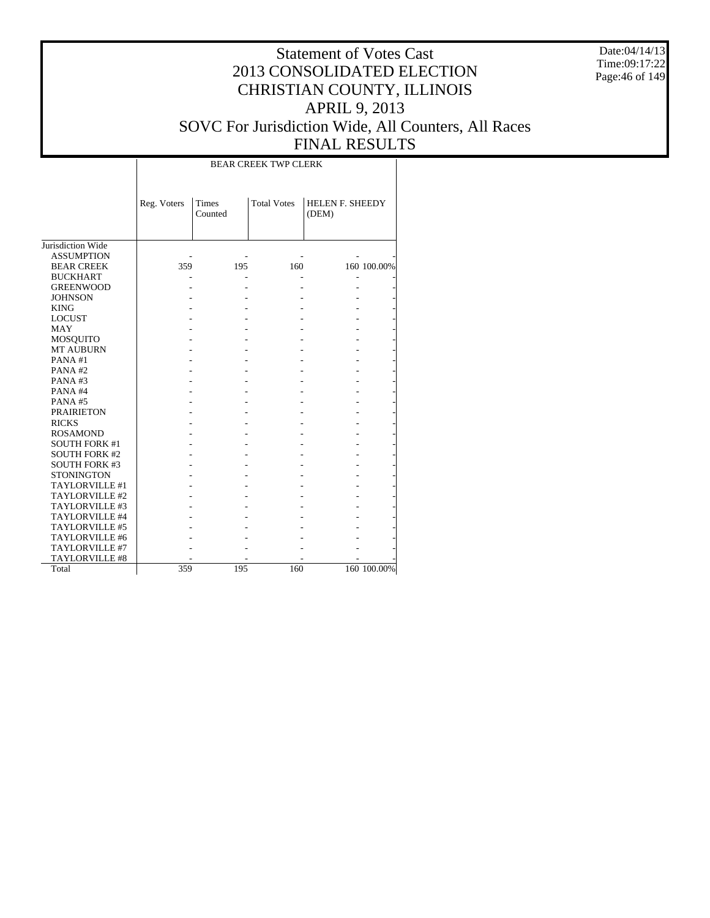Date:04/14/13 Time:09:17:22 Page:46 of 149

|                      |             |                  | <b>BEAR CREEK TWP CLERK</b> |                          |             |
|----------------------|-------------|------------------|-----------------------------|--------------------------|-------------|
|                      | Reg. Voters | Times<br>Counted | <b>Total Votes</b>          | HELEN F. SHEEDY<br>(DEM) |             |
| Jurisdiction Wide    |             |                  |                             |                          |             |
| <b>ASSUMPTION</b>    |             |                  |                             |                          |             |
| <b>BEAR CREEK</b>    | 359         | 195              | 160                         |                          | 160 100.00% |
| <b>BUCKHART</b>      |             |                  |                             |                          |             |
| <b>GREENWOOD</b>     |             |                  |                             |                          |             |
| <b>JOHNSON</b>       |             |                  |                             |                          |             |
| <b>KING</b>          |             |                  |                             |                          |             |
| <b>LOCUST</b>        |             |                  |                             |                          |             |
| MAY                  |             |                  |                             |                          |             |
| <b>MOSQUITO</b>      |             |                  |                             |                          |             |
| <b>MT AUBURN</b>     |             |                  |                             |                          |             |
| PANA#1               |             |                  |                             |                          |             |
| PANA#2               |             |                  |                             |                          |             |
| PANA#3               |             |                  |                             |                          |             |
| PANA#4               |             |                  |                             |                          |             |
| PANA#5               |             |                  |                             |                          |             |
| <b>PRAIRIETON</b>    |             |                  |                             |                          |             |
| <b>RICKS</b>         |             |                  |                             |                          |             |
| <b>ROSAMOND</b>      |             |                  |                             |                          |             |
| <b>SOUTH FORK #1</b> |             |                  |                             |                          |             |
| <b>SOUTH FORK #2</b> |             |                  |                             |                          |             |
| <b>SOUTH FORK #3</b> |             |                  |                             |                          |             |
| <b>STONINGTON</b>    |             |                  |                             |                          |             |
| TAYLORVILLE #1       |             |                  |                             |                          |             |
| TAYLORVILLE #2       |             |                  |                             |                          |             |
| TAYLORVILLE #3       |             |                  |                             |                          |             |
| TAYLORVILLE #4       |             |                  |                             |                          |             |
| TAYLORVILLE #5       |             |                  |                             |                          |             |
| TAYLORVILLE #6       |             |                  |                             |                          |             |
| TAYLORVILLE #7       |             |                  |                             |                          |             |
| TAYLORVILLE #8       |             |                  |                             |                          |             |
| Total                | 359         | 195              | 160                         |                          | 160 100.00% |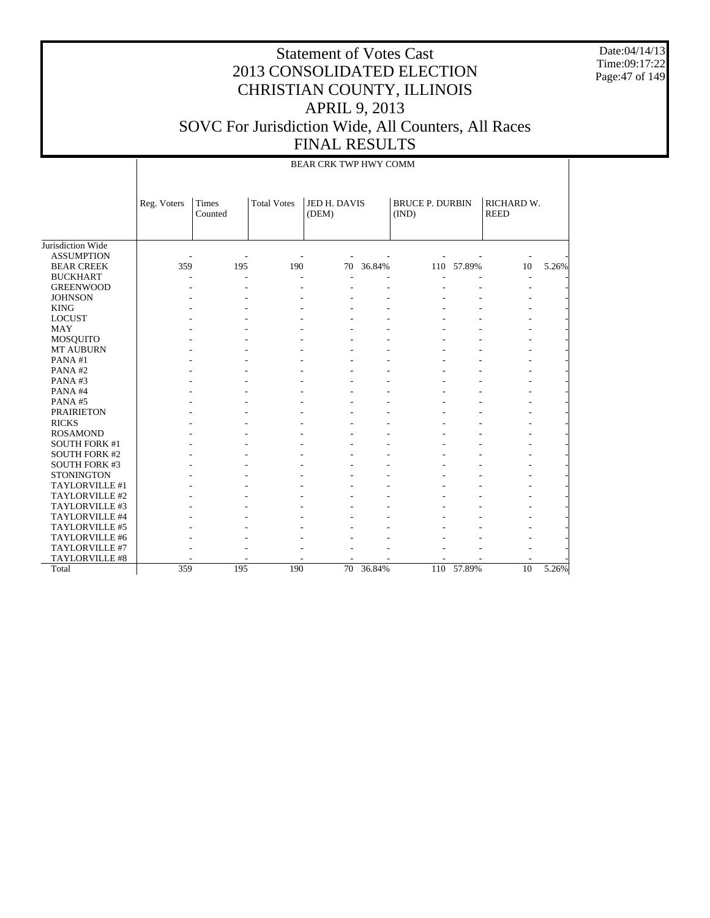Date:04/14/13 Time:09:17:22 Page:47 of 149

|                       |             |                  |                    | BEAR CRK TWP HWY COMM |        |                                 |            |                           |       |
|-----------------------|-------------|------------------|--------------------|-----------------------|--------|---------------------------------|------------|---------------------------|-------|
|                       | Reg. Voters | Times<br>Counted | <b>Total Votes</b> | JED H. DAVIS<br>(DEM) |        | <b>BRUCE P. DURBIN</b><br>(IND) |            | RICHARD W.<br><b>REED</b> |       |
| Jurisdiction Wide     |             |                  |                    |                       |        |                                 |            |                           |       |
| <b>ASSUMPTION</b>     |             |                  |                    |                       |        |                                 |            |                           |       |
| <b>BEAR CREEK</b>     | 359         | 195              | 190                | 70                    | 36.84% |                                 | 110 57.89% | 10                        | 5.26% |
| <b>BUCKHART</b>       |             | $\overline{a}$   | $\overline{a}$     |                       |        |                                 |            |                           |       |
| <b>GREENWOOD</b>      |             |                  |                    |                       |        |                                 |            |                           |       |
| <b>JOHNSON</b>        |             |                  |                    |                       |        |                                 |            |                           |       |
| <b>KING</b>           |             |                  |                    |                       |        |                                 |            |                           |       |
| <b>LOCUST</b>         |             |                  |                    |                       |        |                                 |            |                           |       |
| <b>MAY</b>            |             |                  |                    |                       |        |                                 |            |                           |       |
| MOSQUITO              |             |                  |                    |                       |        |                                 |            |                           |       |
| MT AUBURN             |             |                  |                    |                       |        |                                 |            |                           |       |
| PANA#1                |             |                  |                    |                       |        |                                 |            |                           |       |
| PANA#2                |             |                  |                    |                       |        |                                 |            |                           |       |
| PANA#3                |             |                  |                    |                       |        |                                 |            |                           |       |
| PANA#4                |             |                  |                    |                       |        |                                 |            |                           |       |
| PANA#5                |             |                  |                    |                       |        |                                 |            |                           |       |
| <b>PRAIRIETON</b>     |             |                  |                    |                       |        |                                 |            |                           |       |
| <b>RICKS</b>          |             |                  |                    |                       |        |                                 |            |                           |       |
| <b>ROSAMOND</b>       |             |                  |                    |                       |        |                                 |            |                           |       |
| <b>SOUTH FORK #1</b>  |             |                  |                    |                       |        |                                 |            |                           |       |
| <b>SOUTH FORK #2</b>  |             |                  |                    |                       |        |                                 |            |                           |       |
| <b>SOUTH FORK #3</b>  |             |                  |                    |                       |        |                                 |            |                           |       |
| <b>STONINGTON</b>     |             |                  |                    |                       |        |                                 |            |                           |       |
| TAYLORVILLE #1        |             |                  |                    |                       |        |                                 |            |                           |       |
| TAYLORVILLE #2        |             |                  |                    |                       |        |                                 |            |                           |       |
| TAYLORVILLE #3        |             |                  |                    |                       |        |                                 |            |                           |       |
| TAYLORVILLE #4        |             |                  |                    |                       |        |                                 |            |                           |       |
| TAYLORVILLE #5        |             |                  |                    |                       |        |                                 |            |                           |       |
| TAYLORVILLE #6        |             |                  |                    |                       |        |                                 |            |                           |       |
| TAYLORVILLE #7        |             |                  |                    |                       |        |                                 |            |                           |       |
| <b>TAYLORVILLE #8</b> |             |                  |                    |                       |        |                                 |            |                           |       |
| Total                 | 359         | 195              | 190                | 70                    | 36.84% |                                 | 110 57.89% | 10                        | 5.26% |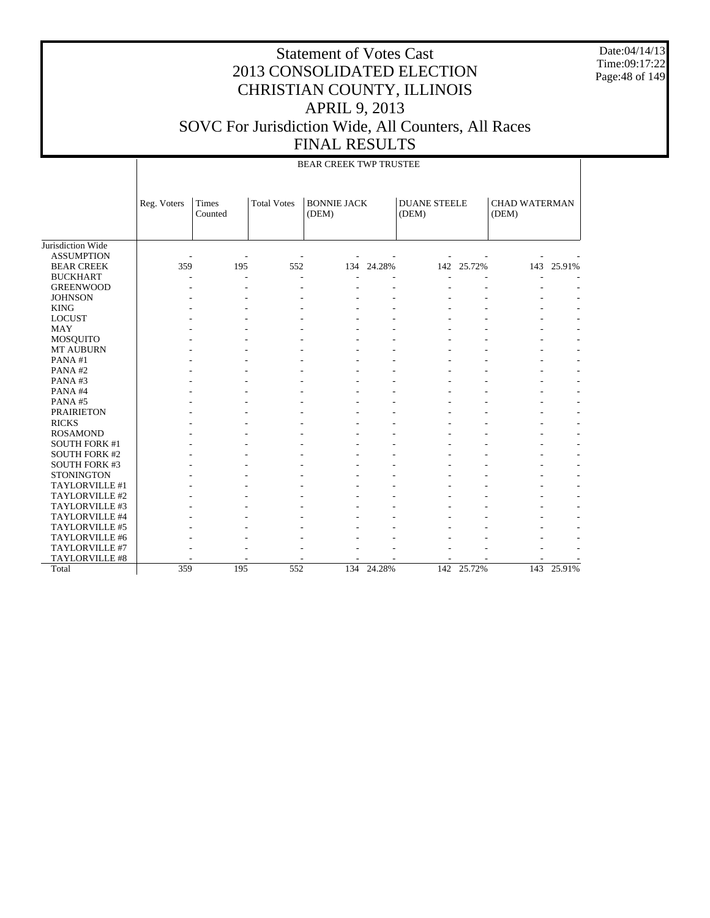Date:04/14/13 Time:09:17:22 Page:48 of 149

|                      |             | BEAR CREEK TWP TRUSTEE |                    |                             |            |                              |            |                               |            |  |  |  |  |  |
|----------------------|-------------|------------------------|--------------------|-----------------------------|------------|------------------------------|------------|-------------------------------|------------|--|--|--|--|--|
|                      | Reg. Voters | Times<br>Counted       | <b>Total Votes</b> | <b>BONNIE JACK</b><br>(DEM) |            | <b>DUANE STEELE</b><br>(DEM) |            | <b>CHAD WATERMAN</b><br>(DEM) |            |  |  |  |  |  |
| Jurisdiction Wide    |             |                        |                    |                             |            |                              |            |                               |            |  |  |  |  |  |
| <b>ASSUMPTION</b>    |             |                        |                    |                             |            |                              |            |                               |            |  |  |  |  |  |
| <b>BEAR CREEK</b>    | 359         | 195                    | 552                | 134                         | 24.28%     | 142                          | 25.72%     | 143                           | 25.91%     |  |  |  |  |  |
| <b>BUCKHART</b>      |             | L,                     | L,                 |                             |            | L,                           |            |                               |            |  |  |  |  |  |
| <b>GREENWOOD</b>     |             |                        | $\overline{a}$     |                             |            |                              |            |                               |            |  |  |  |  |  |
| <b>JOHNSON</b>       |             |                        |                    |                             |            |                              |            |                               |            |  |  |  |  |  |
| <b>KING</b>          |             |                        |                    |                             |            |                              |            |                               |            |  |  |  |  |  |
| <b>LOCUST</b>        |             |                        |                    |                             |            |                              |            |                               |            |  |  |  |  |  |
| <b>MAY</b>           |             |                        |                    |                             |            |                              |            |                               |            |  |  |  |  |  |
| MOSQUITO             |             |                        |                    |                             |            |                              |            |                               |            |  |  |  |  |  |
| MT AUBURN            |             |                        |                    |                             |            |                              |            |                               |            |  |  |  |  |  |
| PANA#1               |             |                        |                    |                             |            |                              |            |                               |            |  |  |  |  |  |
| PANA#2               |             |                        |                    |                             |            |                              |            |                               |            |  |  |  |  |  |
| PANA#3               |             |                        |                    |                             |            |                              |            |                               |            |  |  |  |  |  |
| PANA#4               |             |                        |                    |                             |            |                              |            |                               |            |  |  |  |  |  |
| PANA#5               |             |                        |                    |                             |            |                              |            |                               |            |  |  |  |  |  |
| <b>PRAIRIETON</b>    |             |                        |                    |                             |            |                              |            |                               |            |  |  |  |  |  |
| <b>RICKS</b>         |             |                        |                    |                             |            |                              |            |                               |            |  |  |  |  |  |
| <b>ROSAMOND</b>      |             |                        |                    |                             |            |                              |            |                               |            |  |  |  |  |  |
| <b>SOUTH FORK #1</b> |             |                        |                    |                             |            |                              |            |                               |            |  |  |  |  |  |
| <b>SOUTH FORK #2</b> |             |                        |                    |                             |            |                              |            |                               |            |  |  |  |  |  |
| <b>SOUTH FORK #3</b> |             |                        |                    |                             |            |                              |            |                               |            |  |  |  |  |  |
| <b>STONINGTON</b>    |             |                        |                    |                             |            |                              |            |                               |            |  |  |  |  |  |
| TAYLORVILLE #1       |             |                        |                    |                             |            |                              |            |                               |            |  |  |  |  |  |
| TAYLORVILLE #2       |             |                        |                    |                             |            |                              |            |                               |            |  |  |  |  |  |
| TAYLORVILLE #3       |             |                        |                    |                             |            |                              |            |                               |            |  |  |  |  |  |
| TAYLORVILLE #4       |             |                        |                    |                             |            |                              |            |                               |            |  |  |  |  |  |
| TAYLORVILLE #5       |             |                        |                    |                             |            |                              |            |                               |            |  |  |  |  |  |
| TAYLORVILLE #6       |             |                        |                    |                             |            |                              |            |                               |            |  |  |  |  |  |
| TAYLORVILLE #7       |             |                        |                    |                             |            |                              |            |                               |            |  |  |  |  |  |
| TAYLORVILLE #8       |             |                        |                    |                             |            |                              |            |                               |            |  |  |  |  |  |
| Total                | 359         | 195                    | 552                |                             | 134 24.28% |                              | 142 25.72% |                               | 143 25.91% |  |  |  |  |  |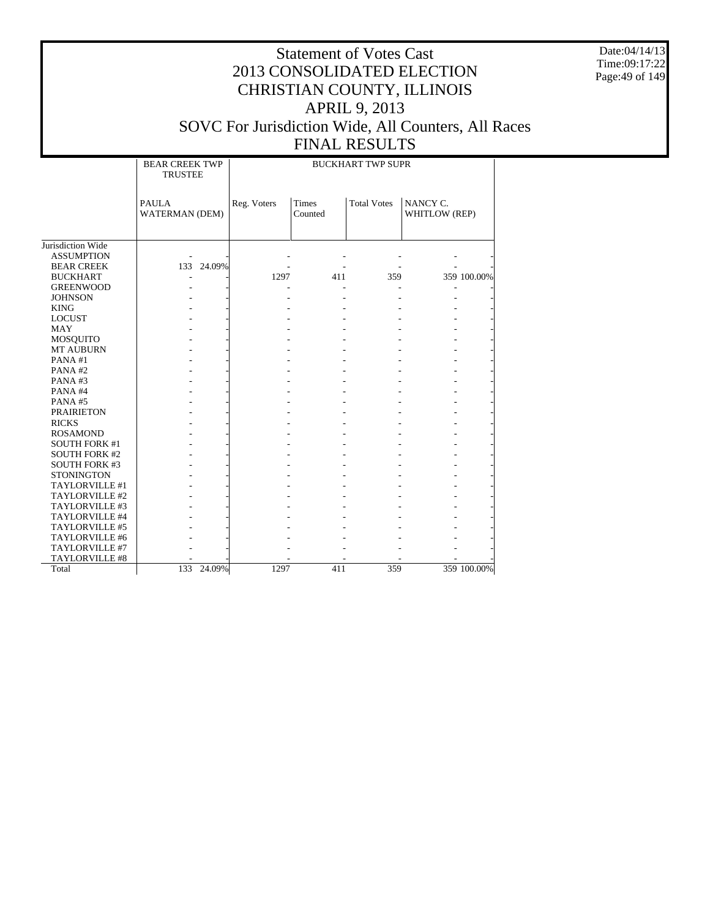Date:04/14/13 Time:09:17:22 Page:49 of 149

|                       | <b>BEAR CREEK TWP</b><br><b>TRUSTEE</b> |             |                         | <b>BUCKHART TWP SUPR</b> |                           |
|-----------------------|-----------------------------------------|-------------|-------------------------|--------------------------|---------------------------|
|                       | <b>PAULA</b><br><b>WATERMAN (DEM)</b>   | Reg. Voters | <b>Times</b><br>Counted | <b>Total Votes</b>       | NANCY C.<br>WHITLOW (REP) |
| Jurisdiction Wide     |                                         |             |                         |                          |                           |
| <b>ASSUMPTION</b>     |                                         |             |                         |                          |                           |
| <b>BEAR CREEK</b>     | 133 24.09%                              |             |                         |                          |                           |
| <b>BUCKHART</b>       |                                         | 1297        | 411                     | 359                      | 359 100.00%               |
| <b>GREENWOOD</b>      |                                         |             |                         |                          |                           |
| <b>JOHNSON</b>        |                                         |             |                         |                          |                           |
| <b>KING</b>           |                                         |             |                         |                          |                           |
| <b>LOCUST</b>         |                                         |             |                         |                          |                           |
| <b>MAY</b>            |                                         |             |                         |                          |                           |
| MOSQUITO              |                                         |             |                         |                          |                           |
| <b>MT AUBURN</b>      |                                         |             |                         |                          |                           |
| PANA#1                |                                         |             |                         |                          |                           |
| PANA#2                |                                         |             |                         |                          |                           |
| PANA#3                |                                         |             |                         |                          |                           |
| PANA#4                |                                         |             |                         |                          |                           |
| PANA#5                |                                         |             |                         |                          |                           |
| <b>PRAIRIETON</b>     |                                         |             |                         |                          |                           |
| <b>RICKS</b>          |                                         |             |                         |                          |                           |
| <b>ROSAMOND</b>       |                                         |             |                         |                          |                           |
| <b>SOUTH FORK #1</b>  |                                         |             |                         |                          |                           |
| <b>SOUTH FORK #2</b>  |                                         |             |                         |                          |                           |
| <b>SOUTH FORK #3</b>  |                                         |             |                         |                          |                           |
| <b>STONINGTON</b>     |                                         |             |                         |                          |                           |
| TAYLORVILLE #1        |                                         |             |                         |                          |                           |
| TAYLORVILLE #2        |                                         |             |                         |                          |                           |
| TAYLORVILLE #3        |                                         |             |                         |                          |                           |
| TAYLORVILLE #4        |                                         |             |                         |                          |                           |
| TAYLORVILLE #5        |                                         |             |                         |                          |                           |
| TAYLORVILLE #6        |                                         |             |                         |                          |                           |
| TAYLORVILLE #7        |                                         |             |                         |                          |                           |
| <b>TAYLORVILLE #8</b> |                                         |             |                         |                          |                           |
| Total                 | 133 24.09%                              | 1297        | 411                     | 359                      | 359 100.00%               |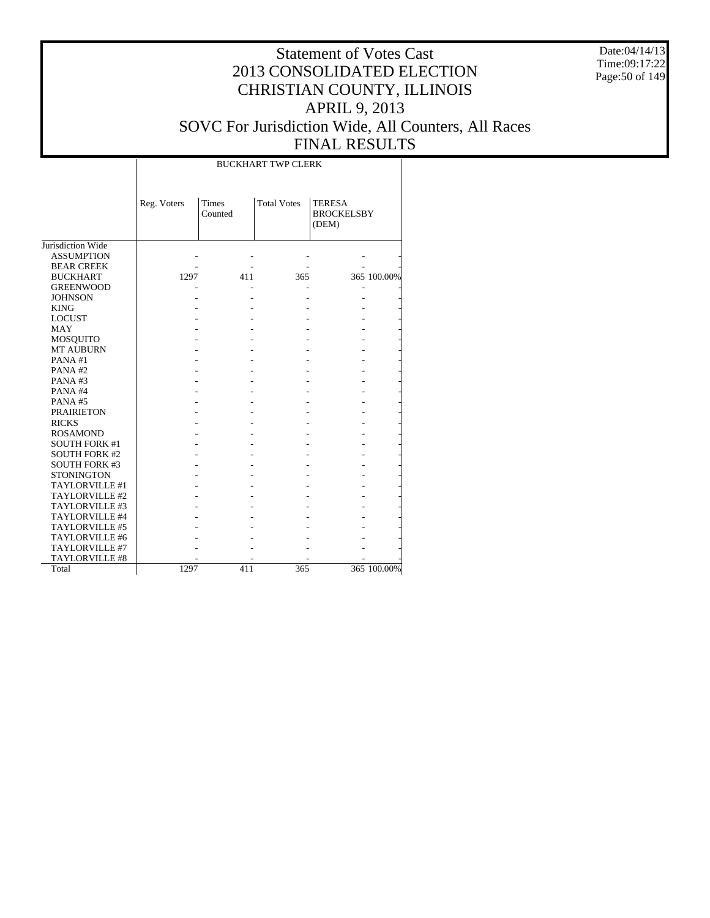Date:04/14/13 Time:09:17:22 Page:50 of 149

#### Statement of Votes Cast 2013 CONSOLIDATED ELECTION CHRISTIAN COUNTY, ILLINOIS APRIL 9, 2013 SOVC For Jurisdiction Wide, All Counters, All Races FINAL RESULTS

Jurisdiction Wide ASSUMPTION BEAR CREEK BUCKHART GREENWOOD JOHNSON KING LOCUST MAY MOSQUITO MT AUBURN PANA #1 PANA #2 PANA #3 PANA #4 PANA #5 PRAIRIETON RICKS ROSAMOND SOUTH FORK #1 SOUTH FORK #2 SOUTH FORK #3 **STONINGTON**  TAYLORVILLE #1 TAYLORVILLE #2 TAYLORVILLE #3 TAYLORVILLE #4 TAYLORVILLE #5 TAYLORVILLE #6 TAYLORVILLE #7 TAYLORVILLE #8 Total Reg. Voters Times Counted Total Votes | TERESA **BROCKELSBY** (DEM) BUCKHART TWP CLERK - - - - - - - - - - 1297 411 365 365 100.00% - - - - - - - - - - - - - - - - - - - - - - - - - - - - - - - - - - - - - - - - - - - - - - - - - - - - - - - - - - - - - - - - - - - - - - - - - - - - - - - - - - - - - - - - - - - - - - - - - - - - - - - - - - - - - - - - - - - - - - - - - - - - - - - - - - - - - - - 1297 411 365 365 100.00%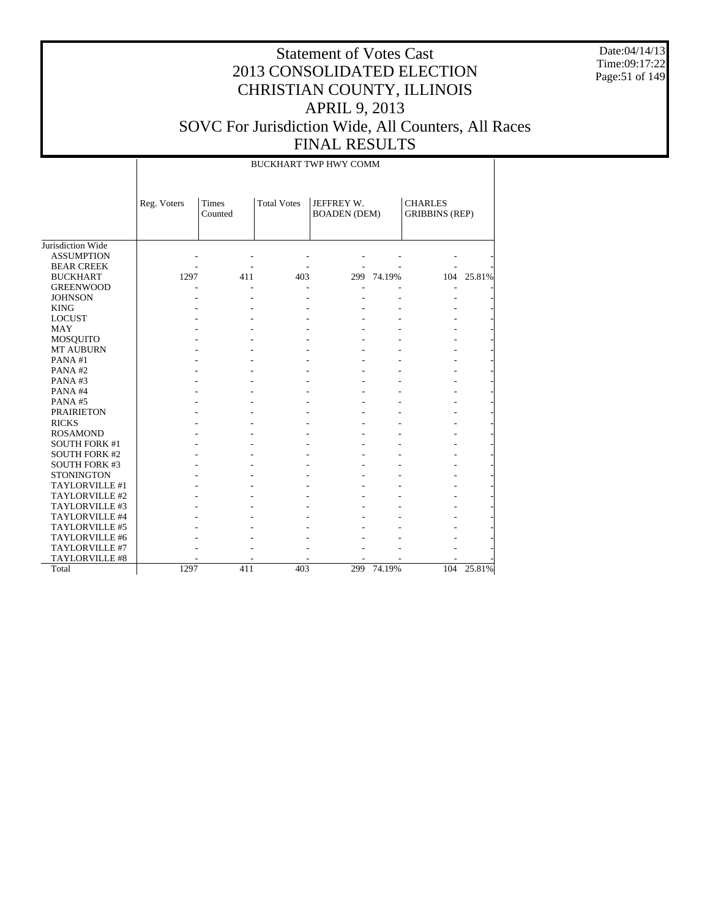Date:04/14/13 Time:09:17:22 Page:51 of 149

|                      |             | BUCKHART TWP HWY COMM |                    |                                   |            |                                         |            |  |  |  |  |  |  |
|----------------------|-------------|-----------------------|--------------------|-----------------------------------|------------|-----------------------------------------|------------|--|--|--|--|--|--|
|                      | Reg. Voters | Times<br>Counted      | <b>Total Votes</b> | JEFFREY W.<br><b>BOADEN</b> (DEM) |            | <b>CHARLES</b><br><b>GRIBBINS (REP)</b> |            |  |  |  |  |  |  |
| Jurisdiction Wide    |             |                       |                    |                                   |            |                                         |            |  |  |  |  |  |  |
| <b>ASSUMPTION</b>    |             |                       |                    |                                   |            |                                         |            |  |  |  |  |  |  |
| <b>BEAR CREEK</b>    |             |                       |                    |                                   |            |                                         |            |  |  |  |  |  |  |
| <b>BUCKHART</b>      | 1297        | 411                   | 403                |                                   | 299 74.19% |                                         | 104 25.81% |  |  |  |  |  |  |
| <b>GREENWOOD</b>     |             |                       |                    |                                   |            | L,                                      |            |  |  |  |  |  |  |
| <b>JOHNSON</b>       |             |                       |                    |                                   |            |                                         |            |  |  |  |  |  |  |
| <b>KING</b>          |             |                       |                    |                                   |            |                                         |            |  |  |  |  |  |  |
| <b>LOCUST</b>        |             |                       |                    |                                   |            |                                         |            |  |  |  |  |  |  |
| <b>MAY</b>           |             |                       |                    |                                   |            |                                         |            |  |  |  |  |  |  |
| MOSQUITO             |             |                       |                    |                                   |            |                                         |            |  |  |  |  |  |  |
| <b>MT AUBURN</b>     |             |                       |                    |                                   |            |                                         |            |  |  |  |  |  |  |
| PANA#1               |             |                       |                    |                                   |            |                                         |            |  |  |  |  |  |  |
| PANA#2               |             |                       |                    |                                   |            |                                         |            |  |  |  |  |  |  |
| PANA#3               |             |                       |                    |                                   |            |                                         |            |  |  |  |  |  |  |
| PANA#4               |             |                       |                    |                                   |            |                                         |            |  |  |  |  |  |  |
| PANA#5               |             |                       |                    |                                   |            |                                         |            |  |  |  |  |  |  |
| <b>PRAIRIETON</b>    |             |                       |                    |                                   |            |                                         |            |  |  |  |  |  |  |
| <b>RICKS</b>         |             |                       |                    |                                   |            |                                         |            |  |  |  |  |  |  |
| <b>ROSAMOND</b>      |             |                       |                    |                                   |            |                                         |            |  |  |  |  |  |  |
| <b>SOUTH FORK #1</b> |             |                       |                    |                                   |            |                                         |            |  |  |  |  |  |  |
| <b>SOUTH FORK #2</b> |             |                       |                    |                                   |            |                                         |            |  |  |  |  |  |  |
| <b>SOUTH FORK #3</b> |             |                       |                    |                                   |            |                                         |            |  |  |  |  |  |  |
| <b>STONINGTON</b>    |             |                       |                    |                                   |            |                                         |            |  |  |  |  |  |  |
| TAYLORVILLE #1       |             |                       |                    |                                   |            |                                         |            |  |  |  |  |  |  |
| TAYLORVILLE #2       |             |                       |                    |                                   |            |                                         |            |  |  |  |  |  |  |
| TAYLORVILLE #3       |             |                       |                    |                                   |            |                                         |            |  |  |  |  |  |  |
| TAYLORVILLE #4       |             |                       |                    |                                   |            |                                         |            |  |  |  |  |  |  |
| TAYLORVILLE #5       |             |                       |                    |                                   |            |                                         |            |  |  |  |  |  |  |
| TAYLORVILLE #6       |             |                       |                    |                                   |            |                                         |            |  |  |  |  |  |  |
| TAYLORVILLE #7       |             |                       |                    |                                   |            |                                         |            |  |  |  |  |  |  |
| TAYLORVILLE #8       |             |                       |                    |                                   |            |                                         |            |  |  |  |  |  |  |
| Total                | 1297        | 411                   | 403                | 299                               | 74.19%     | 104                                     | 25.81%     |  |  |  |  |  |  |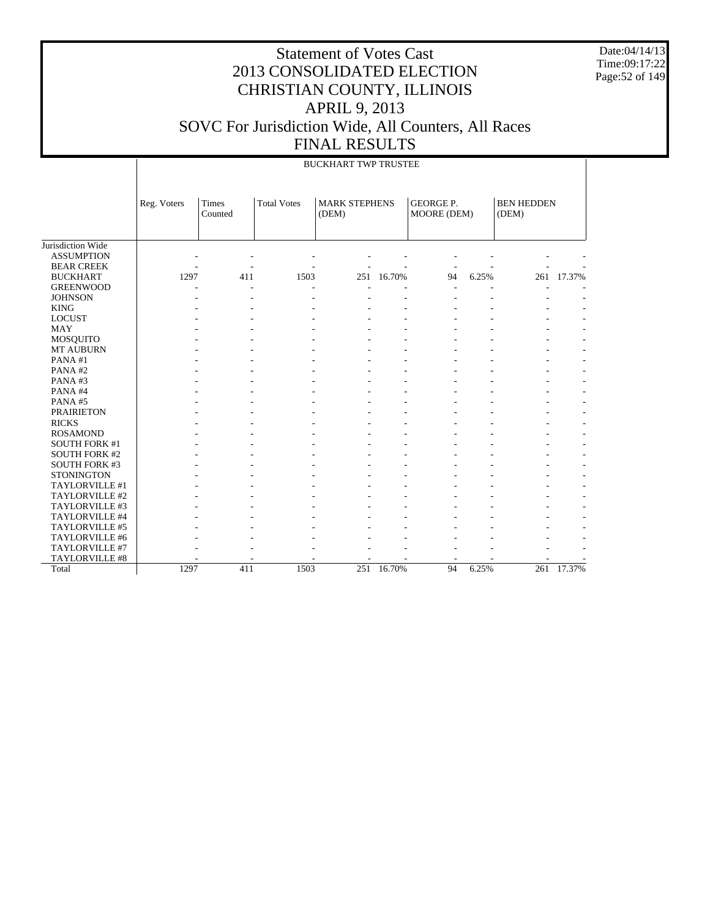Date:04/14/13 Time:09:17:22 Page:52 of 149

|                      | <b>BUCKHART TWP TRUSTEE</b> |                  |                    |                               |            |                                 |       |                            |            |  |  |
|----------------------|-----------------------------|------------------|--------------------|-------------------------------|------------|---------------------------------|-------|----------------------------|------------|--|--|
|                      | Reg. Voters                 | Times<br>Counted | <b>Total Votes</b> | <b>MARK STEPHENS</b><br>(DEM) |            | <b>GEORGE P.</b><br>MOORE (DEM) |       | <b>BEN HEDDEN</b><br>(DEM) |            |  |  |
| Jurisdiction Wide    |                             |                  |                    |                               |            |                                 |       |                            |            |  |  |
| <b>ASSUMPTION</b>    |                             |                  |                    |                               |            |                                 |       |                            |            |  |  |
| <b>BEAR CREEK</b>    |                             |                  |                    |                               |            |                                 |       |                            |            |  |  |
| <b>BUCKHART</b>      | 1297                        | 411              | 1503               |                               | 251 16.70% | 94                              | 6.25% |                            | 261 17.37% |  |  |
| <b>GREENWOOD</b>     |                             |                  |                    |                               |            |                                 |       |                            |            |  |  |
| <b>JOHNSON</b>       |                             |                  |                    |                               |            |                                 |       |                            |            |  |  |
| <b>KING</b>          |                             |                  |                    |                               |            |                                 |       |                            |            |  |  |
| <b>LOCUST</b>        |                             |                  |                    |                               |            |                                 |       |                            |            |  |  |
| <b>MAY</b>           |                             |                  |                    |                               |            |                                 |       |                            |            |  |  |
| MOSQUITO             |                             |                  |                    |                               |            |                                 |       |                            |            |  |  |
| MT AUBURN            |                             |                  |                    |                               |            |                                 |       |                            |            |  |  |
| PANA#1               |                             |                  |                    |                               |            |                                 |       |                            |            |  |  |
| PANA#2               |                             |                  |                    |                               |            |                                 |       |                            |            |  |  |
| PANA#3               |                             |                  |                    |                               |            |                                 |       |                            |            |  |  |
| PANA#4               |                             |                  |                    |                               |            |                                 |       |                            |            |  |  |
| PANA#5               |                             |                  |                    |                               |            |                                 |       |                            |            |  |  |
| <b>PRAIRIETON</b>    |                             |                  |                    |                               |            |                                 |       |                            |            |  |  |
| <b>RICKS</b>         |                             |                  |                    |                               |            |                                 |       |                            |            |  |  |
| <b>ROSAMOND</b>      |                             |                  |                    |                               |            |                                 |       |                            |            |  |  |
| <b>SOUTH FORK #1</b> |                             |                  |                    |                               |            |                                 |       |                            |            |  |  |
| <b>SOUTH FORK #2</b> |                             |                  |                    |                               |            |                                 |       |                            |            |  |  |
| <b>SOUTH FORK #3</b> |                             |                  |                    |                               |            |                                 |       |                            |            |  |  |
| <b>STONINGTON</b>    |                             |                  |                    |                               |            |                                 |       |                            |            |  |  |
| TAYLORVILLE #1       |                             |                  |                    |                               |            |                                 |       |                            |            |  |  |
| TAYLORVILLE #2       |                             |                  |                    |                               |            |                                 |       |                            |            |  |  |
| TAYLORVILLE #3       |                             |                  |                    |                               |            |                                 |       |                            |            |  |  |
| TAYLORVILLE #4       |                             |                  |                    |                               |            |                                 |       |                            |            |  |  |
| TAYLORVILLE #5       |                             |                  |                    |                               |            |                                 |       |                            |            |  |  |
| TAYLORVILLE #6       |                             |                  |                    |                               |            |                                 |       |                            |            |  |  |
| TAYLORVILLE #7       |                             |                  |                    |                               |            |                                 |       |                            |            |  |  |
| TAYLORVILLE #8       |                             |                  |                    |                               |            |                                 |       |                            |            |  |  |
| Total                | 1297                        | 411              | 1503               | 251                           | 16.70%     | 94                              | 6.25% | 261                        | 17.37%     |  |  |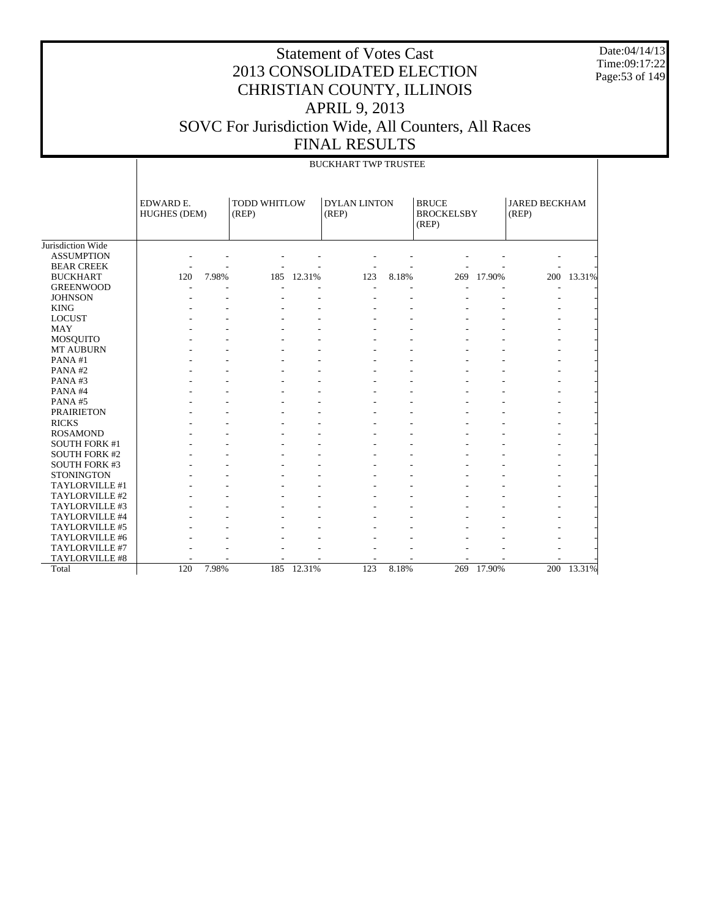Date:04/14/13 Time:09:17:22 Page:53 of 149

|                      |                                  | <b>BUCKHART TWP TRUSTEE</b> |       |                              |     |                     |                                            |        |                               |            |  |  |  |
|----------------------|----------------------------------|-----------------------------|-------|------------------------------|-----|---------------------|--------------------------------------------|--------|-------------------------------|------------|--|--|--|
|                      | EDWARD E.<br><b>HUGHES (DEM)</b> |                             | (REP) | <b>TODD WHITLOW</b><br>(REP) |     | <b>DYLAN LINTON</b> | <b>BRUCE</b><br><b>BROCKELSBY</b><br>(REP) |        | <b>JARED BECKHAM</b><br>(REP) |            |  |  |  |
| Jurisdiction Wide    |                                  |                             |       |                              |     |                     |                                            |        |                               |            |  |  |  |
| <b>ASSUMPTION</b>    |                                  |                             |       |                              |     |                     |                                            |        |                               |            |  |  |  |
| <b>BEAR CREEK</b>    |                                  |                             |       |                              |     |                     |                                            |        |                               |            |  |  |  |
| <b>BUCKHART</b>      | 120                              | 7.98%                       | 185   | 12.31%                       | 123 | 8.18%               | 269                                        | 17.90% |                               | 200 13.31% |  |  |  |
| <b>GREENWOOD</b>     |                                  |                             |       |                              |     |                     |                                            |        |                               |            |  |  |  |
| <b>JOHNSON</b>       |                                  |                             |       |                              |     |                     |                                            |        |                               |            |  |  |  |
| <b>KING</b>          |                                  |                             |       |                              |     |                     |                                            |        |                               |            |  |  |  |
| <b>LOCUST</b>        |                                  |                             |       |                              |     |                     |                                            |        |                               |            |  |  |  |
| <b>MAY</b>           |                                  |                             |       |                              |     |                     |                                            |        |                               |            |  |  |  |
| <b>MOSQUITO</b>      |                                  |                             |       |                              |     |                     |                                            |        |                               |            |  |  |  |
| <b>MT AUBURN</b>     |                                  |                             |       |                              |     |                     |                                            |        |                               |            |  |  |  |
| PANA#1               |                                  |                             |       |                              |     |                     |                                            |        |                               |            |  |  |  |
| PANA#2               |                                  |                             |       |                              |     |                     |                                            |        |                               |            |  |  |  |
| PANA#3               |                                  |                             |       |                              |     |                     |                                            |        |                               |            |  |  |  |
| PANA#4               |                                  |                             |       |                              |     |                     |                                            |        |                               |            |  |  |  |
| PANA#5               |                                  |                             |       |                              |     |                     |                                            |        |                               |            |  |  |  |
| <b>PRAIRIETON</b>    |                                  |                             |       |                              |     |                     |                                            |        |                               |            |  |  |  |
| <b>RICKS</b>         |                                  |                             |       |                              |     |                     |                                            |        |                               |            |  |  |  |
| <b>ROSAMOND</b>      |                                  |                             |       |                              |     |                     |                                            |        |                               |            |  |  |  |
| <b>SOUTH FORK #1</b> |                                  |                             |       |                              |     |                     |                                            |        |                               |            |  |  |  |
| <b>SOUTH FORK #2</b> |                                  |                             |       |                              |     |                     |                                            |        |                               |            |  |  |  |
| <b>SOUTH FORK #3</b> |                                  |                             |       |                              |     |                     |                                            |        |                               |            |  |  |  |
| <b>STONINGTON</b>    |                                  |                             |       |                              |     |                     |                                            |        |                               |            |  |  |  |
| TAYLORVILLE #1       |                                  |                             |       |                              |     |                     |                                            |        |                               |            |  |  |  |
| TAYLORVILLE #2       |                                  |                             |       |                              |     |                     |                                            |        |                               |            |  |  |  |
| TAYLORVILLE #3       |                                  |                             |       |                              |     |                     |                                            |        |                               |            |  |  |  |
| TAYLORVILLE #4       |                                  |                             |       |                              |     |                     |                                            |        |                               |            |  |  |  |
| TAYLORVILLE #5       |                                  |                             |       |                              |     |                     |                                            |        |                               |            |  |  |  |
| TAYLORVILLE #6       |                                  |                             |       |                              |     |                     |                                            |        |                               |            |  |  |  |
| TAYLORVILLE #7       |                                  |                             |       |                              |     |                     |                                            |        |                               |            |  |  |  |
| TAYLORVILLE #8       |                                  |                             |       |                              |     |                     |                                            |        |                               |            |  |  |  |
| Total                | 120                              | 7.98%                       | 185   | 12.31%                       | 123 | 8.18%               | 269                                        | 17.90% |                               | 200 13.31% |  |  |  |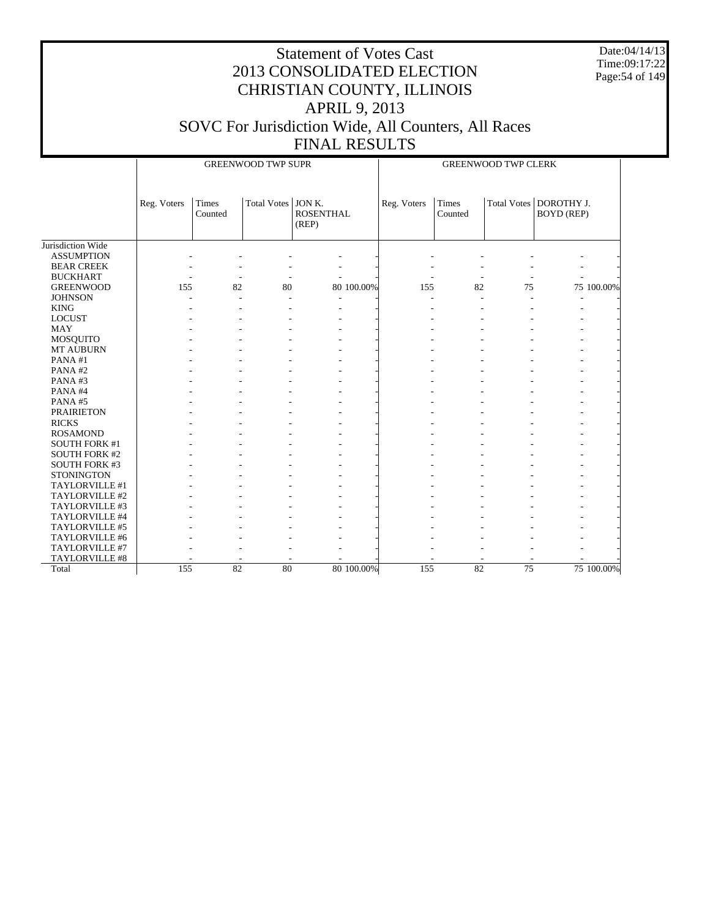Date:04/14/13 Time:09:17:22 Page:54 of 149

|                      |             |         | <b>GREENWOOD TWP SUPR</b> |                  | <b>GREENWOOD TWP CLERK</b> |             |         |    |                          |            |
|----------------------|-------------|---------|---------------------------|------------------|----------------------------|-------------|---------|----|--------------------------|------------|
|                      | Reg. Voters | Times   | Total Votes   JON K.      |                  |                            | Reg. Voters | Times   |    | Total Votes   DOROTHY J. |            |
|                      |             | Counted |                           | <b>ROSENTHAL</b> |                            |             | Counted |    | <b>BOYD</b> (REP)        |            |
|                      |             |         |                           | (REP)            |                            |             |         |    |                          |            |
|                      |             |         |                           |                  |                            |             |         |    |                          |            |
| Jurisdiction Wide    |             |         |                           |                  |                            |             |         |    |                          |            |
| <b>ASSUMPTION</b>    |             |         |                           |                  |                            |             |         |    |                          |            |
| <b>BEAR CREEK</b>    |             |         |                           |                  |                            |             |         |    |                          |            |
| <b>BUCKHART</b>      |             | ٠       |                           |                  |                            |             |         |    |                          |            |
| <b>GREENWOOD</b>     | 155         | 82      | 80                        |                  | 80 100.00%                 | 155         | 82      | 75 |                          | 75 100.00% |
| <b>JOHNSON</b>       |             |         |                           |                  |                            |             |         |    |                          |            |
| <b>KING</b>          |             |         |                           |                  |                            |             |         |    |                          |            |
| <b>LOCUST</b>        |             |         |                           |                  |                            |             |         |    |                          |            |
| <b>MAY</b>           |             |         |                           |                  |                            |             |         |    |                          |            |
| MOSQUITO             |             |         |                           |                  |                            |             |         |    |                          |            |
| MT AUBURN            |             |         |                           |                  |                            |             |         |    |                          |            |
| PANA#1               |             |         |                           |                  |                            |             |         |    |                          |            |
| PANA#2               |             |         |                           |                  |                            |             |         |    |                          |            |
| PANA#3               |             |         |                           |                  |                            |             |         |    |                          |            |
| PANA#4               |             |         |                           |                  |                            |             |         |    |                          |            |
| PANA#5               |             |         |                           |                  |                            |             |         |    |                          |            |
| <b>PRAIRIETON</b>    |             |         |                           |                  |                            |             |         |    |                          |            |
| <b>RICKS</b>         |             |         |                           |                  |                            |             |         |    |                          |            |
| <b>ROSAMOND</b>      |             |         |                           |                  |                            |             |         |    |                          |            |
| <b>SOUTH FORK #1</b> |             |         |                           |                  |                            |             |         |    |                          |            |
| <b>SOUTH FORK #2</b> |             |         |                           |                  |                            |             |         |    |                          |            |
| <b>SOUTH FORK #3</b> |             |         |                           |                  |                            |             |         |    |                          |            |
| <b>STONINGTON</b>    |             |         |                           |                  |                            |             |         |    |                          |            |
| TAYLORVILLE #1       |             |         |                           |                  |                            |             |         |    |                          |            |
| TAYLORVILLE #2       |             |         |                           |                  |                            |             |         |    |                          |            |
| TAYLORVILLE #3       |             |         |                           |                  |                            |             |         |    |                          |            |
| TAYLORVILLE #4       |             |         |                           |                  |                            |             |         |    |                          |            |
| TAYLORVILLE #5       |             |         |                           |                  |                            |             |         |    |                          |            |
| TAYLORVILLE #6       |             |         |                           |                  |                            |             |         |    |                          |            |
| TAYLORVILLE #7       |             |         |                           |                  |                            |             |         |    |                          |            |
| TAYLORVILLE #8       |             |         |                           |                  |                            |             |         |    |                          |            |
| Total                | 155         | 82      | 80                        |                  | 80 100.00%                 | 155         | 82      | 75 |                          | 75 100.00% |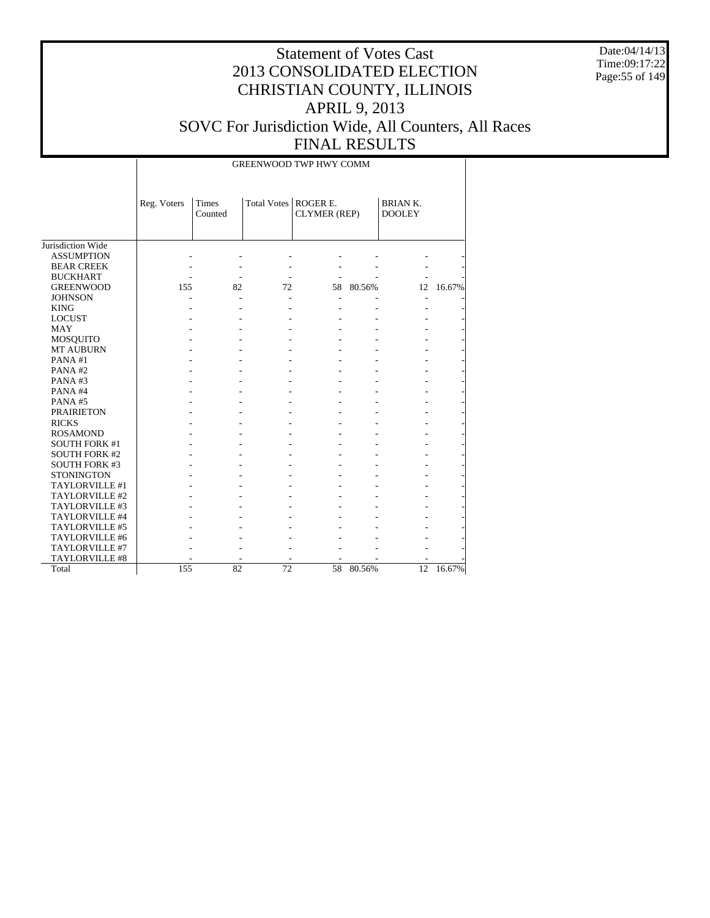Date:04/14/13 Time:09:17:22 Page:55 of 149

#### Statement of Votes Cast 2013 CONSOLIDATED ELECTION CHRISTIAN COUNTY, ILLINOIS APRIL 9, 2013 SOVC For Jurisdiction Wide, All Counters, All Races FINAL RESULTS

Jurisdiction Wide ASSUMPTION BEAR CREEK BUCKHART GREENWOOD **JOHNSON**  KING LOCUST MAY MOSQUITO MT AUBURN PANA #1 PANA #2 PANA #3 PANA #4 PANA #5 PRAIRIETON RICKS ROSAMOND SOUTH FORK #1 SOUTH FORK #2 SOUTH FORK #3 **STONINGTON**  TAYLORVILLE #1 TAYLORVILLE #2 TAYLORVILLE #3 TAYLORVILLE #4 TAYLORVILLE #5 TAYLORVILLE #6 TAYLORVILLE #7 TAYLORVILLE #8 Total Reg. Voters | Times Counted Total Votes | ROGER E. CLYMER (REP) BRIAN K. DOOLEY GREENWOOD TWP HWY COMM - - - - - - - - - - - - - - - - - - - - - 155 82 72 58 80.56% 12 16.67% - - - - - - - - - - - - - - - - - - - - - - - - - - - - - - - - - - - - - - - - - - - - - - - - - - - - - - - - - - - - - - - - - - - - - - - - - - - - - - - - - - - - - - - - - - - - - - - - - - - - - - - - - - - - - - - - - - - - - - - - - - - - - - - - - - - - - - - - - - - - - - - - - - - - - - - - - - - - - - - - - - - - - - - - - - - - - - - - - - - - - - 155 82 72 58 80.56% 12 16.67%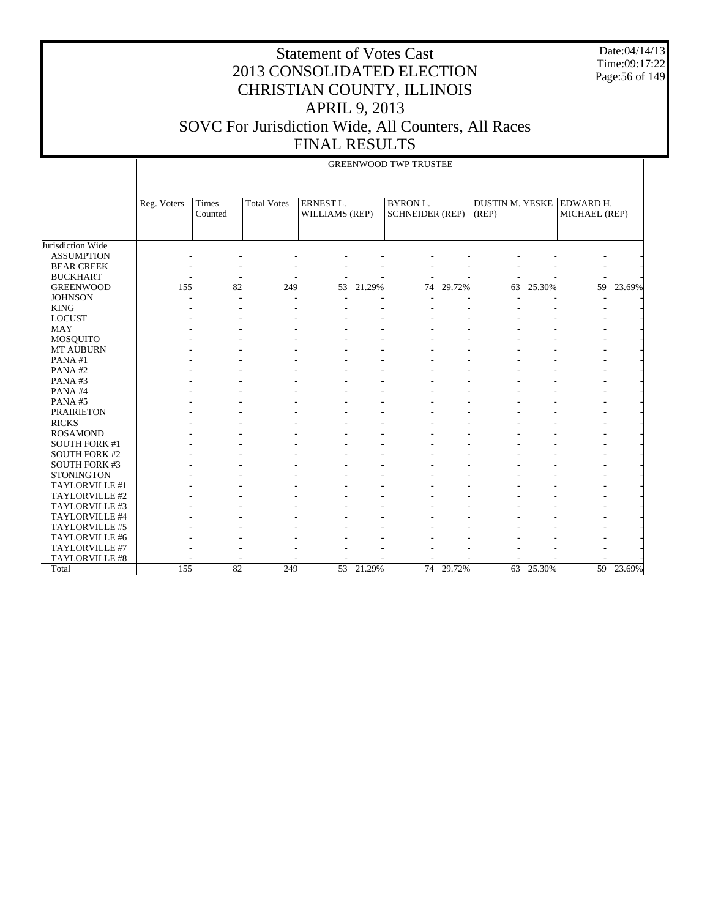Date:04/14/13 Time:09:17:22 Page:56 of 149

|                      |             | <b>GREENWOOD TWP TRUSTEE</b> |                    |                                    |        |                                           |        |                                 |        |                            |        |  |  |  |
|----------------------|-------------|------------------------------|--------------------|------------------------------------|--------|-------------------------------------------|--------|---------------------------------|--------|----------------------------|--------|--|--|--|
|                      | Reg. Voters | Times<br>Counted             | <b>Total Votes</b> | <b>ERNEST L.</b><br>WILLIAMS (REP) |        | <b>BYRON L.</b><br><b>SCHNEIDER (REP)</b> |        | <b>DUSTIN M. YESKE</b><br>(REP) |        | EDWARD H.<br>MICHAEL (REP) |        |  |  |  |
| Jurisdiction Wide    |             |                              |                    |                                    |        |                                           |        |                                 |        |                            |        |  |  |  |
| <b>ASSUMPTION</b>    |             |                              |                    |                                    |        |                                           |        |                                 |        |                            |        |  |  |  |
| <b>BEAR CREEK</b>    |             |                              |                    |                                    |        |                                           |        |                                 |        |                            |        |  |  |  |
| <b>BUCKHART</b>      |             |                              |                    |                                    |        |                                           |        |                                 |        |                            |        |  |  |  |
| <b>GREENWOOD</b>     | 155         | 82                           | 249                | 53                                 | 21.29% | 74                                        | 29.72% | 63                              | 25.30% | 59                         | 23.69% |  |  |  |
| <b>JOHNSON</b>       |             |                              |                    |                                    |        |                                           |        |                                 |        |                            |        |  |  |  |
| <b>KING</b>          |             |                              |                    |                                    |        |                                           |        |                                 |        |                            |        |  |  |  |
| <b>LOCUST</b>        |             |                              |                    |                                    |        |                                           |        |                                 |        |                            |        |  |  |  |
| <b>MAY</b>           |             |                              |                    |                                    |        |                                           |        |                                 |        |                            |        |  |  |  |
| <b>MOSQUITO</b>      |             |                              |                    |                                    |        |                                           |        |                                 |        |                            |        |  |  |  |
| MT AUBURN            |             |                              |                    |                                    |        |                                           |        |                                 |        |                            |        |  |  |  |
| PANA#1               |             |                              |                    |                                    |        |                                           |        |                                 |        |                            |        |  |  |  |
| PANA#2               |             |                              |                    |                                    |        |                                           |        |                                 |        |                            |        |  |  |  |
| PANA#3               |             |                              |                    |                                    |        |                                           |        |                                 |        |                            |        |  |  |  |
| PANA#4               |             |                              |                    |                                    |        |                                           |        |                                 |        |                            |        |  |  |  |
| PANA#5               |             |                              |                    |                                    |        |                                           |        |                                 |        |                            |        |  |  |  |
| <b>PRAIRIETON</b>    |             |                              |                    |                                    |        |                                           |        |                                 |        |                            |        |  |  |  |
| <b>RICKS</b>         |             |                              |                    |                                    |        |                                           |        |                                 |        |                            |        |  |  |  |
| <b>ROSAMOND</b>      |             |                              |                    |                                    |        |                                           |        |                                 |        |                            |        |  |  |  |
| <b>SOUTH FORK #1</b> |             |                              |                    |                                    |        |                                           |        |                                 |        |                            |        |  |  |  |
| <b>SOUTH FORK #2</b> |             |                              |                    |                                    |        |                                           |        |                                 |        |                            |        |  |  |  |
| <b>SOUTH FORK #3</b> |             |                              |                    |                                    |        |                                           |        |                                 |        |                            |        |  |  |  |
| <b>STONINGTON</b>    |             |                              |                    |                                    |        |                                           |        |                                 |        |                            |        |  |  |  |
| TAYLORVILLE #1       |             |                              |                    |                                    |        |                                           |        |                                 |        |                            |        |  |  |  |
| TAYLORVILLE #2       |             |                              |                    |                                    |        |                                           |        |                                 |        |                            |        |  |  |  |
| TAYLORVILLE #3       |             |                              |                    |                                    |        |                                           |        |                                 |        |                            |        |  |  |  |
| TAYLORVILLE #4       |             |                              |                    |                                    |        |                                           |        |                                 |        |                            |        |  |  |  |
| TAYLORVILLE #5       |             |                              |                    |                                    |        |                                           |        |                                 |        |                            |        |  |  |  |
| TAYLORVILLE #6       |             |                              |                    |                                    |        |                                           |        |                                 |        |                            |        |  |  |  |
| TAYLORVILLE #7       |             |                              |                    |                                    |        |                                           |        |                                 |        |                            |        |  |  |  |
| TAYLORVILLE #8       |             |                              |                    |                                    |        |                                           |        |                                 |        |                            |        |  |  |  |
| Total                | 155         | 82                           | 249                | 53                                 | 21.29% | 74                                        | 29.72% | 63                              | 25.30% | 59                         | 23.69% |  |  |  |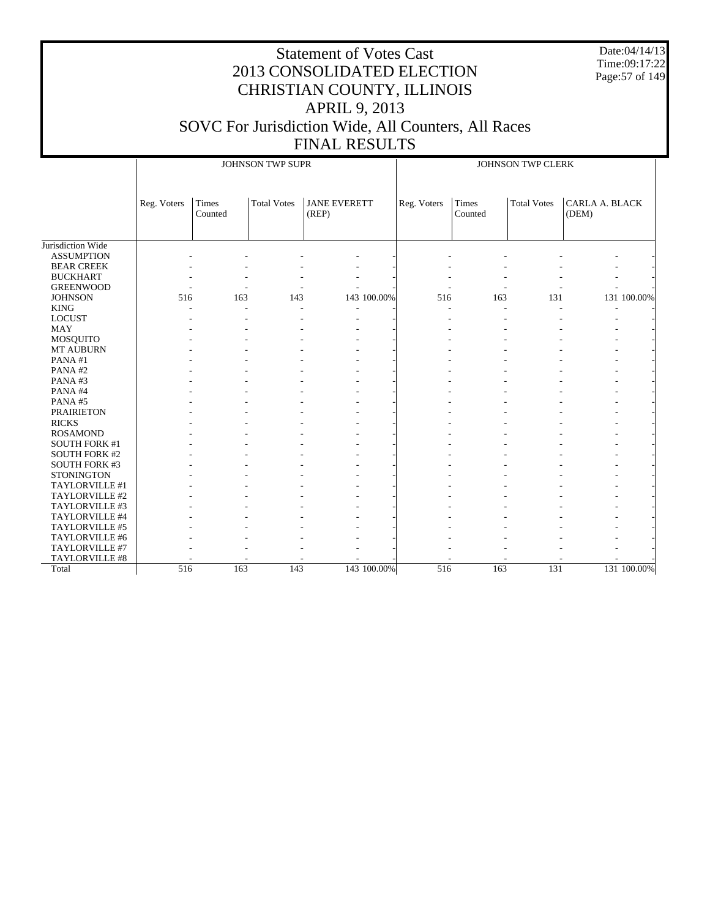Date:04/14/13 Time:09:17:22 Page:57 of 149

|                      |             |                  | JOHNSON TWP SUPR   |                              |             |             |                  | JOHNSON TWP CLERK  |                                |             |
|----------------------|-------------|------------------|--------------------|------------------------------|-------------|-------------|------------------|--------------------|--------------------------------|-------------|
|                      | Reg. Voters | Times<br>Counted | <b>Total Votes</b> | <b>JANE EVERETT</b><br>(REP) |             | Reg. Voters | Times<br>Counted | <b>Total Votes</b> | <b>CARLA A. BLACK</b><br>(DEM) |             |
| Jurisdiction Wide    |             |                  |                    |                              |             |             |                  |                    |                                |             |
| <b>ASSUMPTION</b>    |             |                  |                    |                              |             |             |                  |                    |                                |             |
| <b>BEAR CREEK</b>    |             |                  |                    |                              |             |             |                  |                    |                                |             |
| <b>BUCKHART</b>      |             |                  |                    |                              |             |             |                  |                    |                                |             |
| <b>GREENWOOD</b>     |             |                  |                    |                              |             |             |                  |                    |                                |             |
| <b>JOHNSON</b>       | 516         | 163              | 143                |                              | 143 100.00% | 516         | 163              | 131                |                                | 131 100.00% |
| <b>KING</b>          |             |                  |                    |                              |             |             |                  |                    |                                |             |
| <b>LOCUST</b>        |             |                  |                    |                              |             |             |                  |                    |                                |             |
| <b>MAY</b>           |             |                  |                    |                              |             |             |                  |                    |                                |             |
| <b>MOSQUITO</b>      |             |                  |                    |                              |             |             |                  |                    |                                |             |
| MT AUBURN            |             |                  |                    |                              |             |             |                  |                    |                                |             |
| PANA#1               |             |                  |                    |                              |             |             |                  |                    |                                |             |
| PANA#2               |             |                  |                    |                              |             |             |                  |                    |                                |             |
| PANA#3               |             |                  |                    |                              |             |             |                  |                    |                                |             |
| PANA#4               |             |                  |                    |                              |             |             |                  |                    |                                |             |
| PANA#5               |             |                  |                    |                              |             |             |                  |                    |                                |             |
| <b>PRAIRIETON</b>    |             |                  |                    |                              |             |             |                  |                    |                                |             |
| <b>RICKS</b>         |             |                  |                    |                              |             |             |                  |                    |                                |             |
| <b>ROSAMOND</b>      |             |                  |                    |                              |             |             |                  |                    |                                |             |
| <b>SOUTH FORK #1</b> |             |                  |                    |                              |             |             |                  |                    |                                |             |
| <b>SOUTH FORK #2</b> |             |                  |                    |                              |             |             |                  |                    |                                |             |
| <b>SOUTH FORK #3</b> |             |                  |                    |                              |             |             |                  |                    |                                |             |
| <b>STONINGTON</b>    |             |                  |                    |                              |             |             |                  |                    |                                |             |
| TAYLORVILLE #1       |             |                  |                    |                              |             |             |                  |                    |                                |             |
| TAYLORVILLE #2       |             |                  |                    |                              |             |             |                  |                    |                                |             |
| TAYLORVILLE #3       |             |                  |                    |                              |             |             |                  |                    |                                |             |
| TAYLORVILLE #4       |             |                  |                    |                              |             |             |                  |                    |                                |             |
| TAYLORVILLE #5       |             |                  |                    |                              |             |             |                  |                    |                                |             |
| TAYLORVILLE #6       |             |                  |                    |                              |             |             |                  |                    |                                |             |
| TAYLORVILLE #7       |             |                  |                    |                              |             |             |                  |                    |                                |             |
| TAYLORVILLE #8       |             |                  |                    |                              |             |             |                  |                    |                                |             |
| Total                | 516         | 163              | 143                |                              | 143 100.00% | 516         | 163              | 131                |                                | 131 100.00% |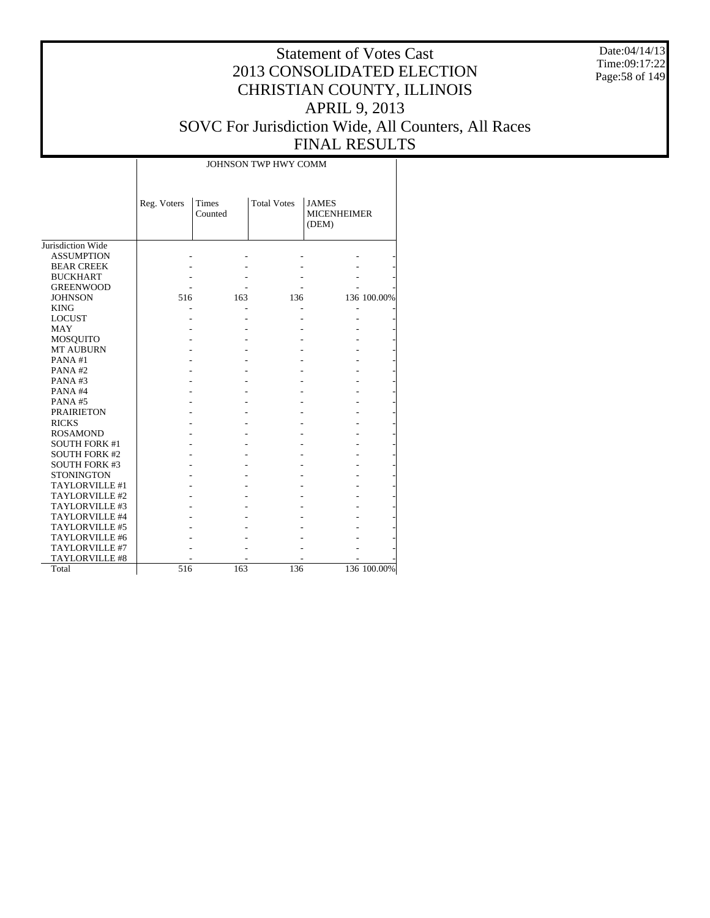Date:04/14/13 Time:09:17:22 Page:58 of 149

#### Statement of Votes Cast 2013 CONSOLIDATED ELECTION CHRISTIAN COUNTY, ILLINOIS APRIL 9, 2013 SOVC For Jurisdiction Wide, All Counters, All Races FINAL RESULTS

|                      |             |                  | JOHNSON TWP HWY COMM |                                             |             |
|----------------------|-------------|------------------|----------------------|---------------------------------------------|-------------|
|                      | Reg. Voters | Times<br>Counted | <b>Total Votes</b>   | <b>JAMES</b><br><b>MICENHEIMER</b><br>(DEM) |             |
| Jurisdiction Wide    |             |                  |                      |                                             |             |
| <b>ASSUMPTION</b>    |             |                  |                      |                                             |             |
| <b>BEAR CREEK</b>    |             |                  |                      |                                             |             |
| <b>BUCKHART</b>      |             |                  |                      |                                             |             |
| <b>GREENWOOD</b>     |             |                  |                      |                                             |             |
| <b>JOHNSON</b>       | 516         | 163              | 136                  |                                             | 136 100.00% |
| <b>KING</b>          |             |                  |                      |                                             |             |
| <b>LOCUST</b>        |             |                  |                      |                                             |             |
| MAY                  |             |                  |                      |                                             |             |
| <b>MOSQUITO</b>      |             |                  |                      |                                             |             |
| <b>MT AUBURN</b>     |             |                  |                      |                                             |             |
| PANA#1               |             |                  |                      |                                             |             |
| PANA#2               |             |                  |                      |                                             |             |
| PANA#3               |             |                  |                      |                                             |             |
| PANA#4               |             |                  |                      |                                             |             |
| PANA#5               |             |                  |                      |                                             |             |
| <b>PRAIRIETON</b>    |             |                  |                      |                                             |             |
| <b>RICKS</b>         |             |                  |                      |                                             |             |
| <b>ROSAMOND</b>      |             |                  |                      |                                             |             |
| <b>SOUTH FORK #1</b> |             |                  |                      |                                             |             |
| <b>SOUTH FORK #2</b> |             |                  |                      |                                             |             |
| <b>SOUTH FORK #3</b> |             |                  |                      |                                             |             |
| <b>STONINGTON</b>    |             |                  |                      |                                             |             |
| TAYLORVILLE #1       |             |                  |                      |                                             |             |
| TAYLORVILLE #2       |             |                  |                      |                                             |             |
| TAYLORVILLE #3       |             |                  |                      |                                             |             |
| TAYLORVILLE #4       |             |                  |                      |                                             |             |
| TAYLORVILLE #5       |             |                  |                      |                                             |             |
| TAYLORVILLE #6       |             |                  |                      |                                             |             |
| TAYLORVILLE #7       |             |                  |                      |                                             |             |
| TAYLORVILLE #8       |             |                  |                      |                                             |             |
| Total                | 516         | 163              | 136                  |                                             | 136 100.00% |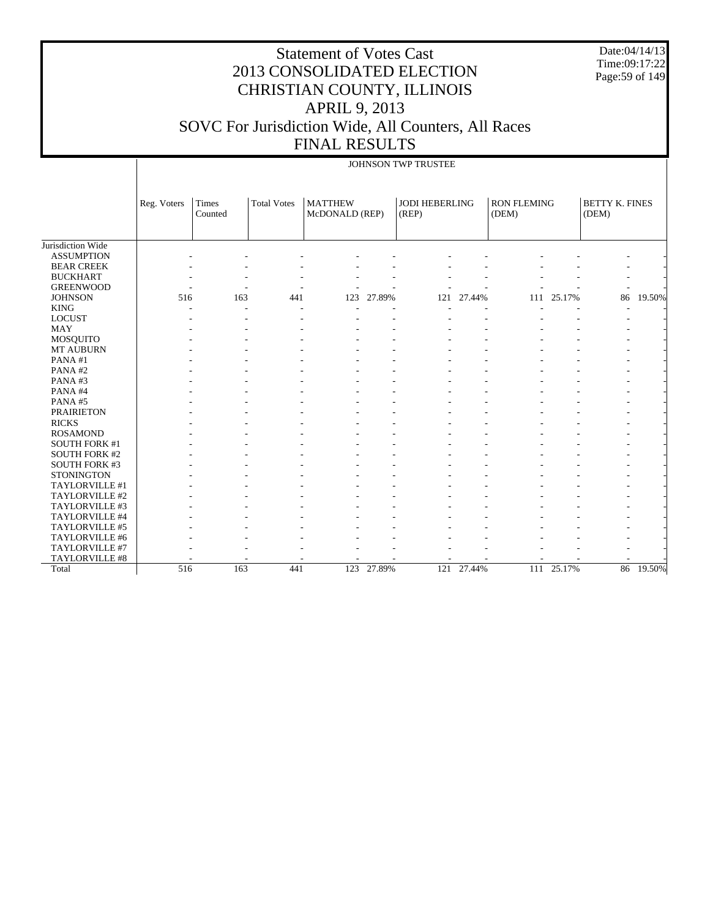# Statement of Votes Cast 2013 CONSOLIDATED ELECTION CHRISTIAN COUNTY, ILLINOIS APRIL 9, 2013 SOVC For Jurisdiction Wide, All Counters, All Races FINAL RESULTS

Date:04/14/13 Time:09:17:22 Page:59 of 149

|                      |             |                  |                    |                                  |            | JOHNSON TWP TRUSTEE            |            |                             |        |                                |        |
|----------------------|-------------|------------------|--------------------|----------------------------------|------------|--------------------------------|------------|-----------------------------|--------|--------------------------------|--------|
|                      | Reg. Voters | Times<br>Counted | <b>Total Votes</b> | <b>MATTHEW</b><br>McDONALD (REP) |            | <b>JODI HEBERLING</b><br>(REP) |            | <b>RON FLEMING</b><br>(DEM) |        | <b>BETTY K. FINES</b><br>(DEM) |        |
| Jurisdiction Wide    |             |                  |                    |                                  |            |                                |            |                             |        |                                |        |
| <b>ASSUMPTION</b>    |             |                  |                    |                                  |            |                                |            |                             |        |                                |        |
| <b>BEAR CREEK</b>    |             |                  |                    |                                  |            |                                |            |                             |        |                                |        |
| <b>BUCKHART</b>      |             |                  |                    |                                  |            |                                |            |                             |        |                                |        |
| <b>GREENWOOD</b>     |             |                  |                    |                                  |            |                                |            |                             |        |                                |        |
| <b>JOHNSON</b>       | 516         | 163              | 441                | 123                              | 27.89%     | 121                            | 27.44%     | 111                         | 25.17% | 86                             | 19.50% |
| <b>KING</b>          |             | ٠                |                    |                                  |            |                                |            |                             |        |                                |        |
| <b>LOCUST</b>        |             |                  |                    |                                  |            |                                |            |                             |        |                                |        |
| <b>MAY</b>           |             |                  |                    |                                  |            |                                |            |                             |        |                                |        |
| MOSQUITO             |             |                  |                    |                                  |            |                                |            |                             |        |                                |        |
| MT AUBURN            |             |                  |                    |                                  |            |                                |            |                             |        |                                |        |
| PANA#1               |             |                  |                    |                                  |            |                                |            |                             |        |                                |        |
| PANA#2               |             |                  |                    |                                  |            |                                |            |                             |        |                                |        |
| PANA#3               |             |                  |                    |                                  |            |                                |            |                             |        |                                |        |
| PANA#4               |             |                  |                    |                                  |            |                                |            |                             |        |                                |        |
| PANA#5               |             |                  |                    |                                  |            |                                |            |                             |        |                                |        |
| <b>PRAIRIETON</b>    |             |                  |                    |                                  |            |                                |            |                             |        |                                |        |
| <b>RICKS</b>         |             |                  |                    |                                  |            |                                |            |                             |        |                                |        |
| <b>ROSAMOND</b>      |             |                  |                    |                                  |            |                                |            |                             |        |                                |        |
| <b>SOUTH FORK #1</b> |             |                  |                    |                                  |            |                                |            |                             |        |                                |        |
| <b>SOUTH FORK #2</b> |             |                  |                    |                                  |            |                                |            |                             |        |                                |        |
| <b>SOUTH FORK #3</b> |             |                  |                    |                                  |            |                                |            |                             |        |                                |        |
| <b>STONINGTON</b>    |             |                  |                    |                                  |            |                                |            |                             |        |                                |        |
| TAYLORVILLE #1       |             |                  |                    |                                  |            |                                |            |                             |        |                                |        |
| TAYLORVILLE #2       |             |                  |                    |                                  |            |                                |            |                             |        |                                |        |
| TAYLORVILLE #3       |             |                  |                    |                                  |            |                                |            |                             |        |                                |        |
| TAYLORVILLE #4       |             |                  |                    |                                  |            |                                |            |                             |        |                                |        |
| TAYLORVILLE #5       |             |                  |                    |                                  |            |                                |            |                             |        |                                |        |
| TAYLORVILLE #6       |             |                  |                    |                                  |            |                                |            |                             |        |                                |        |
| TAYLORVILLE #7       |             |                  |                    |                                  |            |                                |            |                             |        |                                |        |
| TAYLORVILLE #8       |             |                  |                    |                                  |            |                                |            |                             |        |                                |        |
| Total                | 516         | 163              | 441                |                                  | 123 27.89% |                                | 121 27.44% | 111                         | 25.17% | 86                             | 19.50% |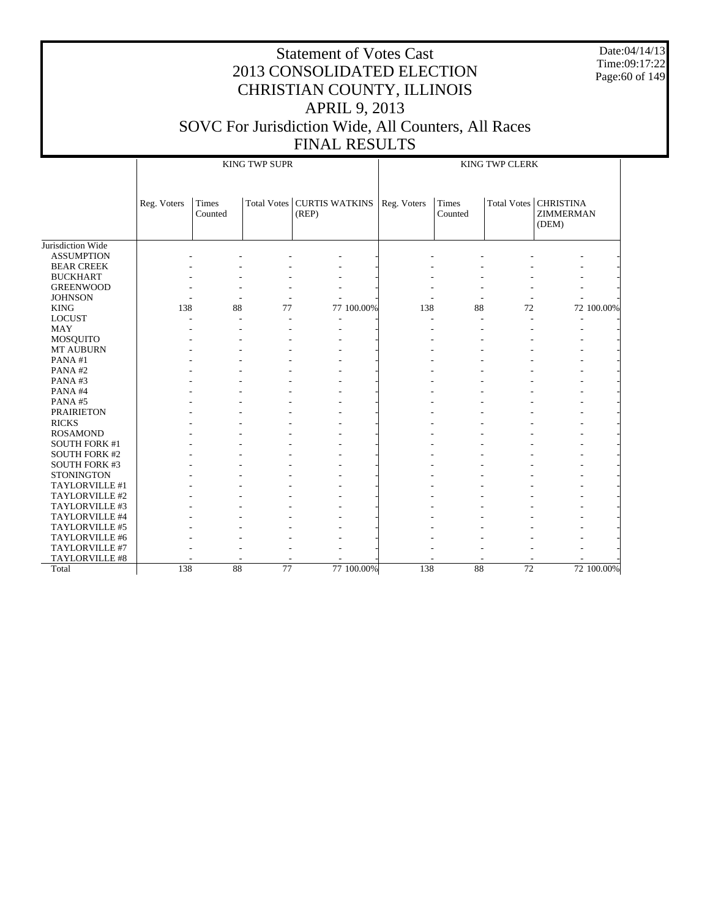Date:04/14/13 Time:09:17:22 Page:60 of 149

|                      |             |                  | <b>KING TWP SUPR</b> |                                       |            | <b>KING TWP CLERK</b> |                  |                 |                                               |            |  |
|----------------------|-------------|------------------|----------------------|---------------------------------------|------------|-----------------------|------------------|-----------------|-----------------------------------------------|------------|--|
|                      | Reg. Voters | Times<br>Counted |                      | Total Votes   CURTIS WATKINS<br>(REP) |            | Reg. Voters           | Times<br>Counted |                 | Total Votes   CHRISTINA<br>ZIMMERMAN<br>(DEM) |            |  |
| Jurisdiction Wide    |             |                  |                      |                                       |            |                       |                  |                 |                                               |            |  |
| <b>ASSUMPTION</b>    |             |                  |                      |                                       |            |                       |                  |                 |                                               |            |  |
| <b>BEAR CREEK</b>    |             |                  |                      |                                       |            |                       |                  |                 |                                               |            |  |
| <b>BUCKHART</b>      |             |                  |                      |                                       |            |                       |                  |                 |                                               |            |  |
| <b>GREENWOOD</b>     |             |                  |                      |                                       |            |                       |                  |                 |                                               |            |  |
| <b>JOHNSON</b>       |             |                  |                      |                                       |            |                       |                  |                 |                                               |            |  |
| <b>KING</b>          | 138         | 88               | 77                   |                                       | 77 100.00% | 138                   | 88               | 72              |                                               | 72 100.00% |  |
| <b>LOCUST</b>        |             |                  |                      |                                       |            |                       |                  | ٠               |                                               |            |  |
| <b>MAY</b>           |             |                  |                      |                                       |            |                       |                  |                 |                                               |            |  |
| <b>MOSQUITO</b>      |             |                  |                      |                                       |            |                       |                  |                 |                                               |            |  |
| <b>MT AUBURN</b>     |             |                  |                      |                                       |            |                       |                  |                 |                                               |            |  |
| PANA#1               |             |                  |                      |                                       |            |                       |                  |                 |                                               |            |  |
| PANA#2               |             |                  |                      |                                       |            |                       |                  |                 |                                               |            |  |
| PANA#3               |             |                  |                      |                                       |            |                       |                  |                 |                                               |            |  |
| PANA#4               |             |                  |                      |                                       |            |                       |                  |                 |                                               |            |  |
| PANA#5               |             |                  |                      |                                       |            |                       |                  |                 |                                               |            |  |
| <b>PRAIRIETON</b>    |             |                  |                      |                                       |            |                       |                  |                 |                                               |            |  |
| <b>RICKS</b>         |             |                  |                      |                                       |            |                       |                  |                 |                                               |            |  |
| <b>ROSAMOND</b>      |             |                  |                      |                                       |            |                       |                  |                 |                                               |            |  |
| <b>SOUTH FORK #1</b> |             |                  |                      |                                       |            |                       |                  |                 |                                               |            |  |
| <b>SOUTH FORK #2</b> |             |                  |                      |                                       |            |                       |                  |                 |                                               |            |  |
| <b>SOUTH FORK #3</b> |             |                  |                      |                                       |            |                       |                  |                 |                                               |            |  |
| <b>STONINGTON</b>    |             |                  |                      |                                       |            |                       |                  |                 |                                               |            |  |
| TAYLORVILLE #1       |             |                  |                      |                                       |            |                       |                  |                 |                                               |            |  |
| TAYLORVILLE #2       |             |                  |                      |                                       |            |                       |                  |                 |                                               |            |  |
| TAYLORVILLE #3       |             |                  |                      |                                       |            |                       |                  |                 |                                               |            |  |
| TAYLORVILLE #4       |             |                  |                      |                                       |            |                       |                  |                 |                                               |            |  |
| TAYLORVILLE #5       |             |                  |                      |                                       |            |                       |                  |                 |                                               |            |  |
| TAYLORVILLE #6       |             |                  |                      |                                       |            |                       |                  |                 |                                               |            |  |
| TAYLORVILLE #7       |             |                  |                      |                                       |            |                       |                  |                 |                                               |            |  |
| TAYLORVILLE #8       |             |                  |                      |                                       |            |                       |                  |                 |                                               |            |  |
| Total                | 138         | 88               | 77                   |                                       | 77 100.00% | 138                   | 88               | $\overline{72}$ |                                               | 72 100.00% |  |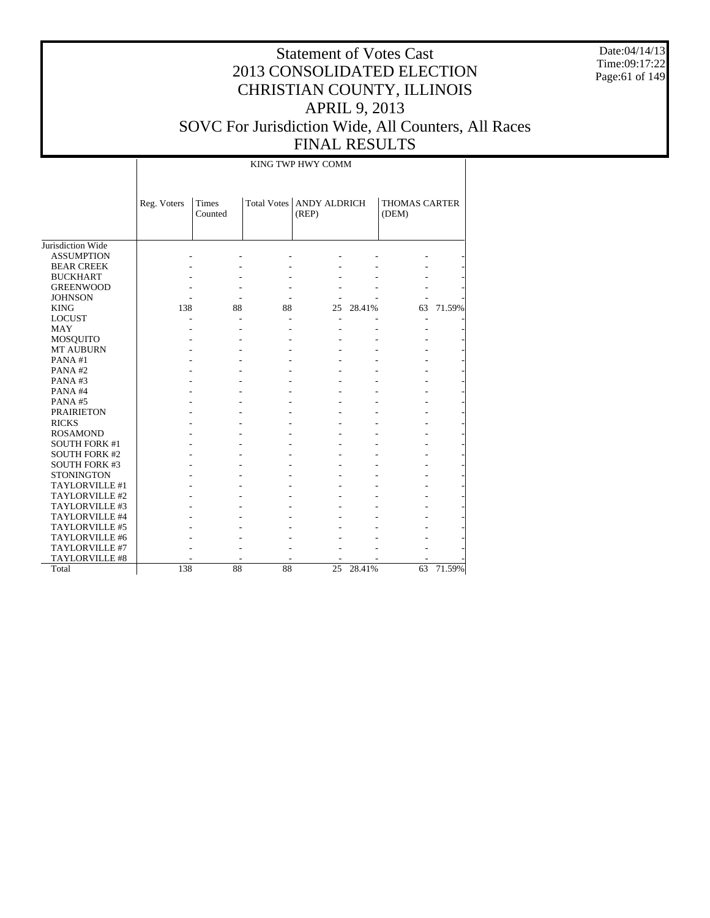Date:04/14/13 Time:09:17:22 Page:61 of 149

# Statement of Votes Cast 2013 CONSOLIDATED ELECTION CHRISTIAN COUNTY, ILLINOIS APRIL 9, 2013 SOVC For Jurisdiction Wide, All Counters, All Races FINAL RESULTS

#### KING TWP HWY COMM

|                      | Reg. Voters | <b>Times</b><br>Counted | <b>Total Votes</b> | <b>ANDY ALDRICH</b><br>(REP) |        | <b>THOMAS CARTER</b><br>(DEM) |        |
|----------------------|-------------|-------------------------|--------------------|------------------------------|--------|-------------------------------|--------|
| Jurisdiction Wide    |             |                         |                    |                              |        |                               |        |
| <b>ASSUMPTION</b>    |             |                         |                    |                              |        |                               |        |
| <b>BEAR CREEK</b>    |             |                         |                    |                              |        |                               |        |
| <b>BUCKHART</b>      |             |                         |                    |                              |        |                               |        |
| <b>GREENWOOD</b>     |             |                         |                    |                              |        |                               |        |
| <b>JOHNSON</b>       |             |                         |                    |                              |        |                               |        |
| <b>KING</b>          | 138         | 88                      | 88                 | 25                           | 28.41% | 63                            | 71.59% |
| <b>LOCUST</b>        |             |                         |                    |                              |        | ٠                             |        |
| MAY                  |             |                         |                    |                              |        |                               |        |
| <b>MOSQUITO</b>      |             |                         |                    |                              |        |                               |        |
| <b>MT AUBURN</b>     |             |                         |                    |                              |        |                               |        |
| PANA#1               |             |                         |                    |                              |        |                               |        |
| PANA#2               |             |                         |                    |                              |        |                               |        |
| PANA#3               |             |                         |                    |                              |        |                               |        |
| PANA#4               |             |                         |                    |                              |        |                               |        |
| PANA#5               |             |                         |                    |                              |        |                               |        |
| <b>PRAIRIETON</b>    |             |                         |                    |                              |        |                               |        |
| <b>RICKS</b>         |             |                         |                    |                              |        |                               |        |
| <b>ROSAMOND</b>      |             |                         |                    |                              |        |                               |        |
| <b>SOUTH FORK #1</b> |             |                         |                    |                              |        |                               |        |
| <b>SOUTH FORK #2</b> |             |                         |                    |                              |        |                               |        |
| <b>SOUTH FORK #3</b> |             |                         |                    |                              |        |                               |        |
| <b>STONINGTON</b>    |             |                         |                    |                              |        |                               |        |
| TAYLORVILLE #1       |             |                         |                    |                              |        |                               |        |
| TAYLORVILLE #2       |             |                         |                    |                              |        |                               |        |
| TAYLORVILLE #3       |             |                         |                    |                              |        |                               |        |
| TAYLORVILLE #4       |             |                         |                    |                              |        |                               |        |
| TAYLORVILLE #5       |             |                         |                    |                              |        |                               |        |
| TAYLORVILLE #6       |             |                         |                    |                              |        |                               |        |
| TAYLORVILLE #7       |             |                         |                    |                              |        |                               |        |
| TAYLORVILLE #8       |             |                         |                    |                              |        |                               |        |
| Total                | 138         | 88                      | 88                 | 25                           | 28.41% | 63                            | 71.59% |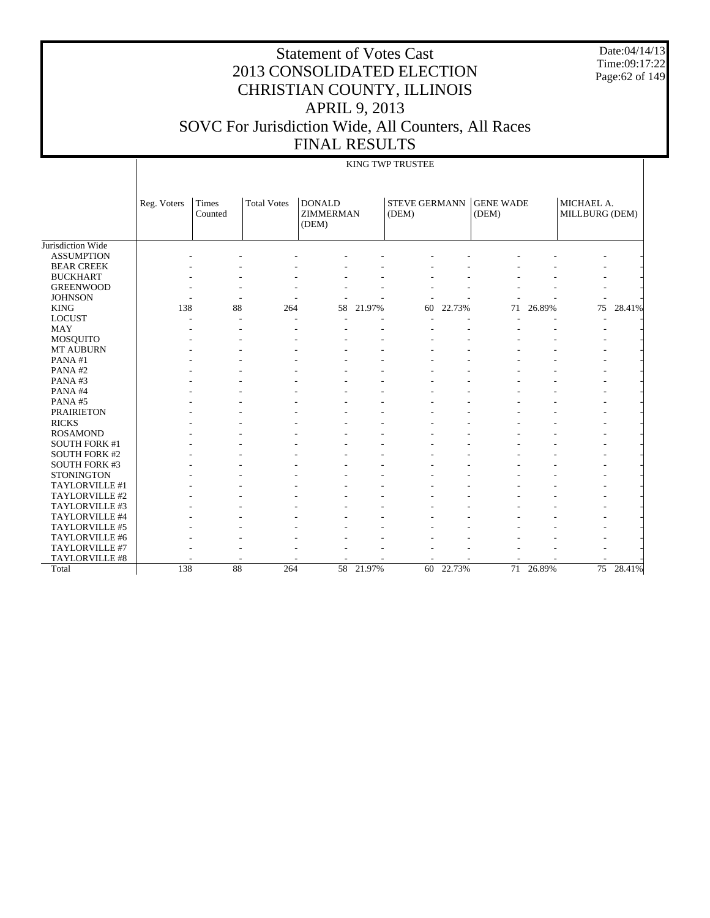Date:04/14/13 Time:09:17:22 Page:62 of 149

# Statement of Votes Cast 2013 CONSOLIDATED ELECTION CHRISTIAN COUNTY, ILLINOIS APRIL 9, 2013 SOVC For Jurisdiction Wide, All Counters, All Races FINAL RESULTS

#### KING TWP TRUSTEE

|                      | Reg. Voters | Times<br>Counted | <b>Total Votes</b> | <b>DONALD</b><br><b>ZIMMERMAN</b><br>(DEM) |        | <b>STEVE GERMANN</b><br>(DEM) |           | <b>GENE WADE</b><br>(DEM) |           | MICHAEL A.<br>MILLBURG (DEM) |        |
|----------------------|-------------|------------------|--------------------|--------------------------------------------|--------|-------------------------------|-----------|---------------------------|-----------|------------------------------|--------|
| Jurisdiction Wide    |             |                  |                    |                                            |        |                               |           |                           |           |                              |        |
| <b>ASSUMPTION</b>    |             |                  |                    |                                            |        |                               |           |                           |           |                              |        |
| <b>BEAR CREEK</b>    |             |                  |                    |                                            |        |                               |           |                           |           |                              |        |
| <b>BUCKHART</b>      |             |                  |                    |                                            |        |                               |           |                           |           |                              |        |
| <b>GREENWOOD</b>     |             |                  |                    |                                            |        |                               |           |                           |           |                              |        |
| <b>JOHNSON</b>       |             |                  |                    |                                            |        |                               |           |                           |           |                              |        |
| <b>KING</b>          | 138         | 88               | 264                | 58                                         | 21.97% | 60                            | 22.73%    | 71                        | 26.89%    | 75                           | 28.41% |
| <b>LOCUST</b>        |             |                  | ٠                  |                                            |        |                               |           |                           |           |                              |        |
| <b>MAY</b>           |             |                  |                    |                                            |        |                               |           |                           |           |                              |        |
| <b>MOSQUITO</b>      |             |                  |                    |                                            |        |                               |           |                           |           |                              |        |
| <b>MT AUBURN</b>     |             |                  |                    |                                            |        |                               |           |                           |           |                              |        |
| PANA#1               |             |                  |                    |                                            |        |                               |           |                           |           |                              |        |
| PANA#2               |             |                  |                    |                                            |        |                               |           |                           |           |                              |        |
| PANA#3               |             |                  |                    |                                            |        |                               |           |                           |           |                              |        |
| PANA#4               |             |                  |                    |                                            |        |                               |           |                           |           |                              |        |
| PANA#5               |             |                  |                    |                                            |        |                               |           |                           |           |                              |        |
| <b>PRAIRIETON</b>    |             |                  |                    |                                            |        |                               |           |                           |           |                              |        |
| <b>RICKS</b>         |             |                  |                    |                                            |        |                               |           |                           |           |                              |        |
| <b>ROSAMOND</b>      |             |                  |                    |                                            |        |                               |           |                           |           |                              |        |
| <b>SOUTH FORK #1</b> |             |                  |                    |                                            |        |                               |           |                           |           |                              |        |
| <b>SOUTH FORK #2</b> |             |                  |                    |                                            |        |                               |           |                           |           |                              |        |
| <b>SOUTH FORK #3</b> |             |                  |                    |                                            |        |                               |           |                           |           |                              |        |
| <b>STONINGTON</b>    |             |                  |                    |                                            |        |                               |           |                           |           |                              |        |
| TAYLORVILLE #1       |             |                  |                    |                                            |        |                               |           |                           |           | $\overline{\phantom{a}}$     |        |
| TAYLORVILLE #2       |             |                  |                    |                                            |        |                               |           |                           |           |                              |        |
| TAYLORVILLE #3       |             |                  |                    |                                            |        |                               |           |                           |           |                              |        |
| TAYLORVILLE #4       |             |                  |                    |                                            |        |                               |           |                           |           |                              |        |
| TAYLORVILLE #5       |             |                  |                    |                                            |        |                               |           |                           |           |                              |        |
| TAYLORVILLE #6       |             |                  |                    |                                            |        |                               |           |                           |           |                              |        |
| TAYLORVILLE #7       |             |                  |                    |                                            |        |                               |           |                           |           |                              |        |
| TAYLORVILLE #8       |             |                  | ۰                  |                                            |        |                               |           |                           |           |                              |        |
| Total                | 138         | 88               | 264                | 58                                         | 21.97% |                               | 60 22.73% |                           | 71 26.89% | 75                           | 28.41% |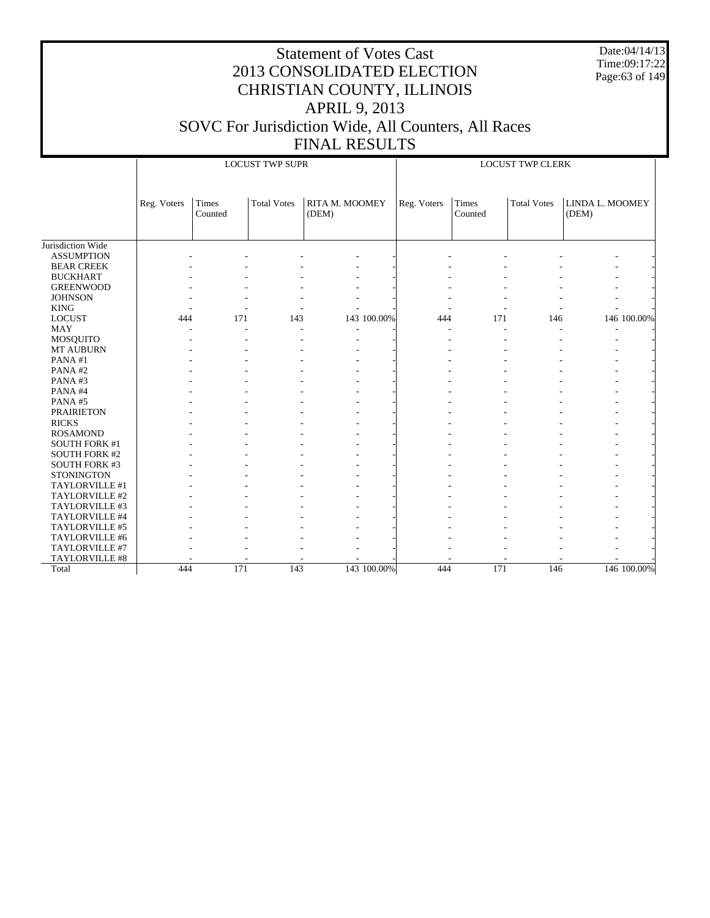Date:04/14/13 Time:09:17:22 Page:63 of 149

|                      |             |                  | <b>LOCUST TWP SUPR</b> |                                |             | <b>LOCUST TWP CLERK</b> |                  |                    |                          |             |  |
|----------------------|-------------|------------------|------------------------|--------------------------------|-------------|-------------------------|------------------|--------------------|--------------------------|-------------|--|
|                      | Reg. Voters | Times<br>Counted | <b>Total Votes</b>     | <b>RITA M. MOOMEY</b><br>(DEM) |             | Reg. Voters             | Times<br>Counted | <b>Total Votes</b> | LINDA L. MOOMEY<br>(DEM) |             |  |
| Jurisdiction Wide    |             |                  |                        |                                |             |                         |                  |                    |                          |             |  |
| <b>ASSUMPTION</b>    |             |                  |                        |                                |             |                         |                  |                    |                          |             |  |
| <b>BEAR CREEK</b>    |             |                  |                        |                                |             |                         |                  |                    |                          |             |  |
| <b>BUCKHART</b>      |             |                  |                        |                                |             |                         |                  |                    |                          |             |  |
| <b>GREENWOOD</b>     |             |                  |                        |                                |             |                         |                  |                    |                          |             |  |
| <b>JOHNSON</b>       |             |                  |                        |                                |             |                         |                  |                    |                          |             |  |
| <b>KING</b>          |             |                  |                        |                                |             |                         |                  |                    |                          |             |  |
| <b>LOCUST</b>        | 444         | 171              | 143                    |                                | 143 100.00% | 444                     | 171              | 146                |                          | 146 100.00% |  |
| MAY                  |             |                  | ÷                      |                                |             |                         |                  |                    |                          |             |  |
| MOSQUITO             |             |                  |                        |                                |             |                         |                  |                    |                          |             |  |
| <b>MT AUBURN</b>     |             |                  |                        |                                |             |                         |                  |                    |                          |             |  |
| PANA#1               |             |                  |                        |                                |             |                         |                  |                    |                          |             |  |
| PANA#2               |             |                  |                        |                                |             |                         |                  |                    |                          |             |  |
| PANA#3               |             |                  |                        |                                |             |                         |                  |                    |                          |             |  |
| PANA#4               |             |                  |                        |                                |             |                         |                  |                    |                          |             |  |
| PANA#5               |             |                  |                        |                                |             |                         |                  |                    |                          |             |  |
| <b>PRAIRIETON</b>    |             |                  |                        |                                |             |                         |                  |                    |                          |             |  |
| <b>RICKS</b>         |             |                  |                        |                                |             |                         |                  |                    |                          |             |  |
| <b>ROSAMOND</b>      |             |                  |                        |                                |             |                         |                  |                    |                          |             |  |
| <b>SOUTH FORK #1</b> |             |                  |                        |                                |             |                         |                  |                    |                          |             |  |
| <b>SOUTH FORK #2</b> |             |                  |                        |                                |             |                         |                  |                    |                          |             |  |
| <b>SOUTH FORK #3</b> |             |                  |                        |                                |             |                         |                  |                    |                          |             |  |
| <b>STONINGTON</b>    |             |                  |                        |                                |             |                         |                  |                    |                          |             |  |
| TAYLORVILLE #1       |             |                  |                        |                                |             |                         |                  |                    |                          |             |  |
| TAYLORVILLE #2       |             |                  |                        |                                |             |                         |                  |                    |                          |             |  |
| TAYLORVILLE #3       |             |                  |                        |                                |             |                         |                  |                    |                          |             |  |
| TAYLORVILLE #4       |             |                  |                        |                                |             |                         |                  |                    |                          |             |  |
| TAYLORVILLE #5       |             |                  |                        |                                |             |                         |                  |                    |                          |             |  |
| TAYLORVILLE #6       |             |                  |                        |                                |             |                         |                  |                    |                          |             |  |
| TAYLORVILLE #7       |             |                  |                        |                                |             |                         |                  |                    |                          |             |  |
| TAYLORVILLE #8       |             |                  |                        |                                |             |                         |                  |                    |                          |             |  |
| Total                | 444         | 171              | 143                    |                                | 143 100.00% | 444                     | 171              | 146                |                          | 146 100.00% |  |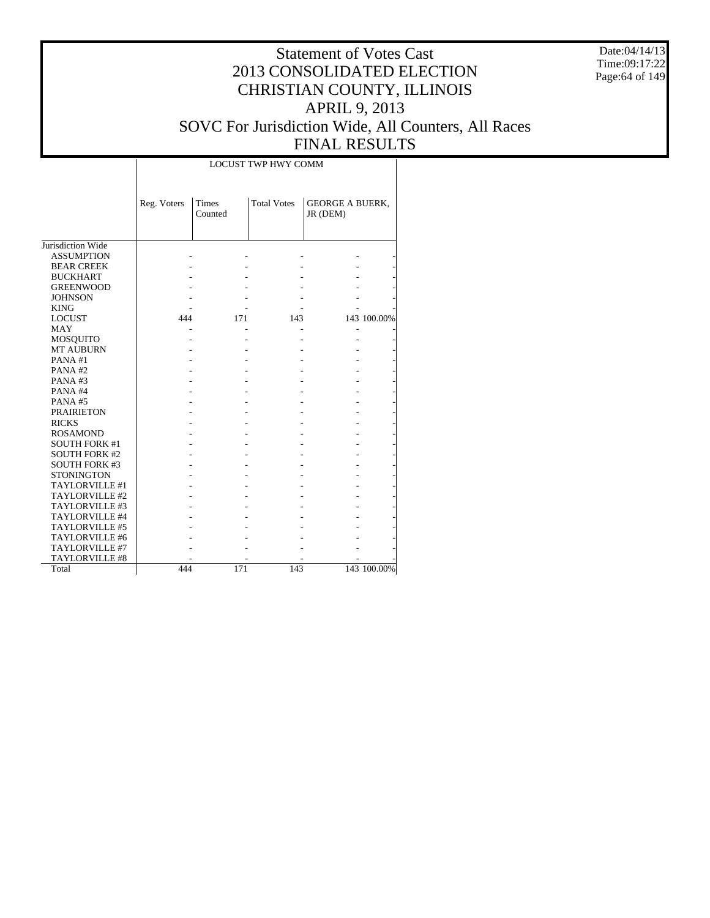Date:04/14/13 Time:09:17:22 Page:64 of 149

#### Statement of Votes Cast 2013 CONSOLIDATED ELECTION CHRISTIAN COUNTY, ILLINOIS APRIL 9, 2013 SOVC For Jurisdiction Wide, All Counters, All Races FINAL RESULTS

|                      |             |                  | <b>LOCUST TWP HWY COMM</b> |                                    |             |
|----------------------|-------------|------------------|----------------------------|------------------------------------|-------------|
|                      | Reg. Voters | Times<br>Counted | <b>Total Votes</b>         | <b>GEORGE A BUERK,</b><br>JR (DEM) |             |
| Jurisdiction Wide    |             |                  |                            |                                    |             |
| <b>ASSUMPTION</b>    |             |                  |                            |                                    |             |
| <b>BEAR CREEK</b>    |             |                  |                            |                                    |             |
| <b>BUCKHART</b>      |             |                  |                            |                                    |             |
| <b>GREENWOOD</b>     |             |                  |                            |                                    |             |
| <b>JOHNSON</b>       |             |                  |                            |                                    |             |
| <b>KING</b>          |             |                  |                            |                                    |             |
| <b>LOCUST</b>        | 444         | 171              | 143                        |                                    | 143 100.00% |
| <b>MAY</b>           |             |                  |                            |                                    |             |
| <b>MOSQUITO</b>      |             |                  |                            |                                    |             |
| <b>MT AUBURN</b>     |             |                  |                            |                                    |             |
| PANA#1               |             |                  |                            |                                    |             |
| PANA#2               |             |                  |                            |                                    |             |
| PANA#3               |             |                  |                            |                                    |             |
| PANA#4               |             |                  |                            |                                    |             |
| PANA#5               |             |                  |                            |                                    |             |
| <b>PRAIRIETON</b>    |             |                  |                            |                                    |             |
| <b>RICKS</b>         |             |                  |                            |                                    |             |
| <b>ROSAMOND</b>      |             |                  |                            |                                    |             |
| <b>SOUTH FORK #1</b> |             |                  |                            |                                    |             |
| <b>SOUTH FORK #2</b> |             |                  |                            |                                    |             |
| <b>SOUTH FORK #3</b> |             |                  |                            |                                    |             |
| <b>STONINGTON</b>    |             |                  |                            |                                    |             |
| TAYLORVILLE #1       |             |                  |                            |                                    |             |
| TAYLORVILLE #2       |             |                  |                            |                                    |             |
| TAYLORVILLE #3       |             |                  |                            |                                    |             |
| TAYLORVILLE #4       |             |                  |                            |                                    |             |
| TAYLORVILLE #5       |             |                  |                            |                                    |             |
| TAYLORVILLE #6       |             |                  |                            |                                    |             |
| TAYLORVILLE #7       |             |                  |                            |                                    |             |
| TAYLORVILLE #8       |             |                  |                            |                                    |             |
| Total                | 444         | 171              | 143                        |                                    | 143 100.00% |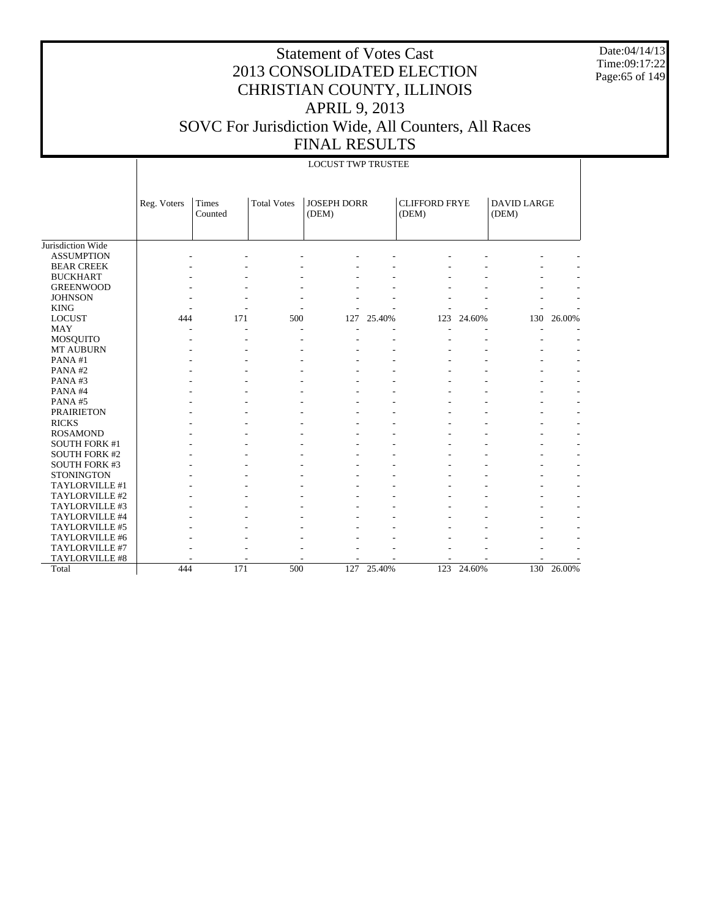Date:04/14/13 Time:09:17:22 Page:65 of 149

|                      |             | <b>LOCUST TWP TRUSTEE</b> |                    |                             |        |                               |        |                             |            |  |  |  |
|----------------------|-------------|---------------------------|--------------------|-----------------------------|--------|-------------------------------|--------|-----------------------------|------------|--|--|--|
|                      | Reg. Voters | Times<br>Counted          | <b>Total Votes</b> | <b>JOSEPH DORR</b><br>(DEM) |        | <b>CLIFFORD FRYE</b><br>(DEM) |        | <b>DAVID LARGE</b><br>(DEM) |            |  |  |  |
| Jurisdiction Wide    |             |                           |                    |                             |        |                               |        |                             |            |  |  |  |
| <b>ASSUMPTION</b>    |             |                           |                    |                             |        |                               |        |                             |            |  |  |  |
| <b>BEAR CREEK</b>    |             |                           |                    |                             |        |                               |        |                             |            |  |  |  |
| <b>BUCKHART</b>      |             |                           |                    |                             |        |                               |        |                             |            |  |  |  |
| <b>GREENWOOD</b>     |             |                           |                    |                             |        |                               |        |                             |            |  |  |  |
| <b>JOHNSON</b>       |             |                           |                    |                             |        |                               |        |                             |            |  |  |  |
| <b>KING</b>          |             |                           |                    |                             |        |                               |        |                             |            |  |  |  |
| <b>LOCUST</b>        | 444         | 171                       | 500                | 127                         | 25.40% | 123                           | 24.60% | 130                         | 26.00%     |  |  |  |
| <b>MAY</b>           |             |                           |                    |                             |        |                               |        |                             |            |  |  |  |
| MOSQUITO             |             |                           |                    |                             |        |                               |        |                             |            |  |  |  |
| MT AUBURN            |             |                           |                    |                             |        |                               |        |                             |            |  |  |  |
| PANA#1               |             |                           |                    |                             |        |                               |        |                             |            |  |  |  |
| PANA#2               |             |                           |                    |                             |        |                               |        |                             |            |  |  |  |
| PANA#3               |             |                           |                    |                             |        |                               |        |                             |            |  |  |  |
| PANA#4               |             |                           |                    |                             |        |                               |        |                             |            |  |  |  |
| PANA#5               |             |                           |                    |                             |        |                               |        |                             |            |  |  |  |
| <b>PRAIRIETON</b>    |             |                           |                    |                             |        |                               |        |                             |            |  |  |  |
| <b>RICKS</b>         |             |                           |                    |                             |        |                               |        |                             |            |  |  |  |
| <b>ROSAMOND</b>      |             |                           |                    |                             |        |                               |        |                             |            |  |  |  |
| <b>SOUTH FORK #1</b> |             |                           |                    |                             |        |                               |        |                             |            |  |  |  |
| <b>SOUTH FORK #2</b> |             |                           |                    |                             |        |                               |        |                             |            |  |  |  |
| <b>SOUTH FORK #3</b> |             |                           |                    |                             |        |                               |        |                             |            |  |  |  |
| <b>STONINGTON</b>    |             |                           |                    |                             |        |                               |        |                             |            |  |  |  |
| TAYLORVILLE #1       |             |                           |                    |                             |        |                               |        |                             |            |  |  |  |
| TAYLORVILLE #2       |             |                           |                    |                             |        |                               |        |                             |            |  |  |  |
| TAYLORVILLE #3       |             |                           |                    |                             |        |                               |        |                             |            |  |  |  |
| TAYLORVILLE #4       |             |                           |                    |                             |        |                               |        |                             |            |  |  |  |
| TAYLORVILLE #5       |             |                           |                    |                             |        |                               |        |                             |            |  |  |  |
| TAYLORVILLE #6       |             |                           |                    |                             |        |                               |        |                             |            |  |  |  |
| TAYLORVILLE #7       |             |                           |                    |                             |        |                               |        |                             |            |  |  |  |
| TAYLORVILLE #8       |             |                           |                    |                             |        |                               |        |                             |            |  |  |  |
| Total                | 444         | 171                       | 500                | 127                         | 25.40% | 123                           | 24.60% |                             | 130 26.00% |  |  |  |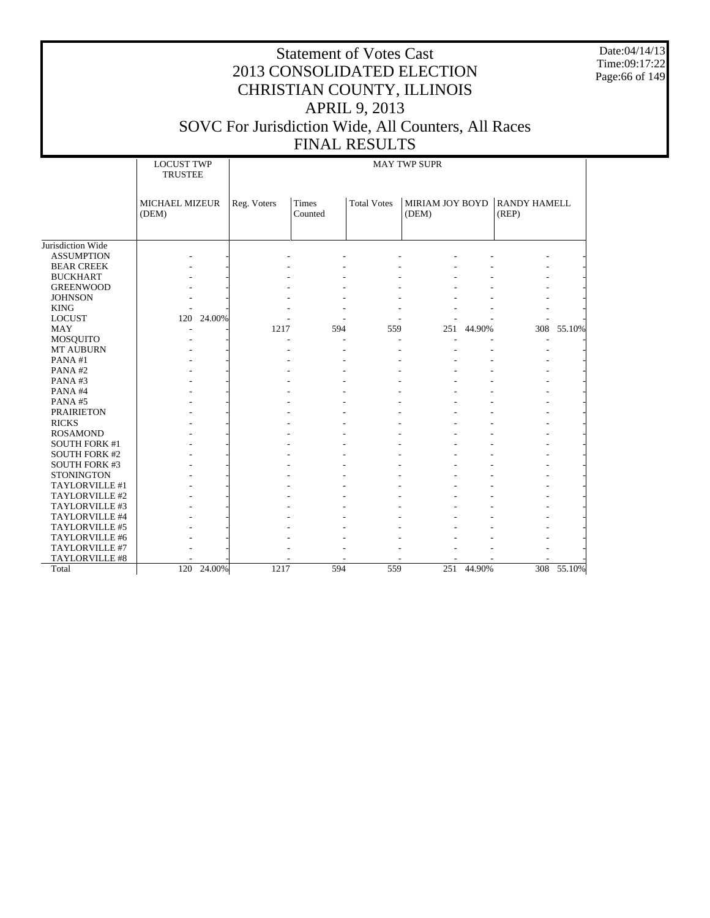Date:04/14/13 Time:09:17:22 Page:66 of 149

|                      | <b>LOCUST TWP</b><br><b>TRUSTEE</b> |            | <b>MAY TWP SUPR</b> |                  |                    |                          |            |                              |            |  |
|----------------------|-------------------------------------|------------|---------------------|------------------|--------------------|--------------------------|------------|------------------------------|------------|--|
|                      |                                     |            |                     |                  |                    |                          |            |                              |            |  |
|                      | <b>MICHAEL MIZEUR</b><br>(DEM)      |            | Reg. Voters         | Times<br>Counted | <b>Total Votes</b> | MIRIAM JOY BOYD<br>(DEM) |            | <b>RANDY HAMELL</b><br>(REP) |            |  |
|                      |                                     |            |                     |                  |                    |                          |            |                              |            |  |
| Jurisdiction Wide    |                                     |            |                     |                  |                    |                          |            |                              |            |  |
| <b>ASSUMPTION</b>    |                                     |            |                     |                  |                    |                          |            |                              |            |  |
| <b>BEAR CREEK</b>    |                                     |            |                     |                  |                    |                          |            |                              |            |  |
| <b>BUCKHART</b>      |                                     |            |                     |                  |                    |                          |            |                              |            |  |
| <b>GREENWOOD</b>     |                                     |            |                     |                  |                    |                          |            |                              |            |  |
| <b>JOHNSON</b>       |                                     |            |                     |                  |                    |                          |            |                              |            |  |
| <b>KING</b>          |                                     |            |                     |                  |                    |                          |            |                              |            |  |
| <b>LOCUST</b>        |                                     | 120 24.00% |                     |                  |                    |                          |            |                              |            |  |
| <b>MAY</b>           |                                     |            | 1217                | 594              | 559                |                          | 251 44.90% |                              | 308 55.10% |  |
| <b>MOSQUITO</b>      |                                     |            |                     |                  |                    |                          |            |                              |            |  |
| MT AUBURN            |                                     |            |                     |                  |                    |                          |            |                              |            |  |
| PANA#1               |                                     |            |                     |                  |                    |                          |            |                              |            |  |
| PANA#2               |                                     |            |                     |                  |                    |                          |            |                              |            |  |
| PANA#3               |                                     |            |                     |                  |                    |                          |            |                              |            |  |
| PANA#4               |                                     |            |                     |                  |                    |                          |            |                              |            |  |
| PANA#5               |                                     |            |                     |                  |                    |                          |            |                              |            |  |
| <b>PRAIRIETON</b>    |                                     |            |                     |                  |                    |                          |            |                              |            |  |
| <b>RICKS</b>         |                                     |            |                     |                  |                    |                          |            |                              |            |  |
| <b>ROSAMOND</b>      |                                     |            |                     |                  |                    |                          |            |                              |            |  |
| <b>SOUTH FORK #1</b> |                                     |            |                     |                  |                    |                          |            |                              |            |  |
| <b>SOUTH FORK #2</b> |                                     |            |                     |                  |                    |                          |            |                              |            |  |
| <b>SOUTH FORK #3</b> |                                     |            |                     |                  |                    |                          |            |                              |            |  |
| <b>STONINGTON</b>    |                                     |            |                     |                  |                    |                          |            |                              |            |  |
| TAYLORVILLE #1       |                                     |            |                     |                  |                    |                          |            |                              |            |  |
| TAYLORVILLE #2       |                                     |            |                     |                  |                    |                          |            |                              |            |  |
| TAYLORVILLE #3       |                                     |            |                     |                  |                    |                          |            |                              |            |  |
| TAYLORVILLE #4       |                                     |            |                     |                  |                    |                          |            |                              |            |  |
| TAYLORVILLE #5       |                                     |            |                     |                  |                    |                          |            |                              |            |  |
| TAYLORVILLE #6       |                                     |            |                     |                  |                    |                          |            |                              |            |  |
| TAYLORVILLE #7       |                                     |            |                     |                  |                    |                          |            |                              |            |  |
| TAYLORVILLE #8       |                                     |            |                     |                  |                    |                          |            |                              |            |  |
| Total                | 120                                 | 24.00%     | 1217                | 594              | 559                | 251                      | 44.90%     |                              | 308 55.10% |  |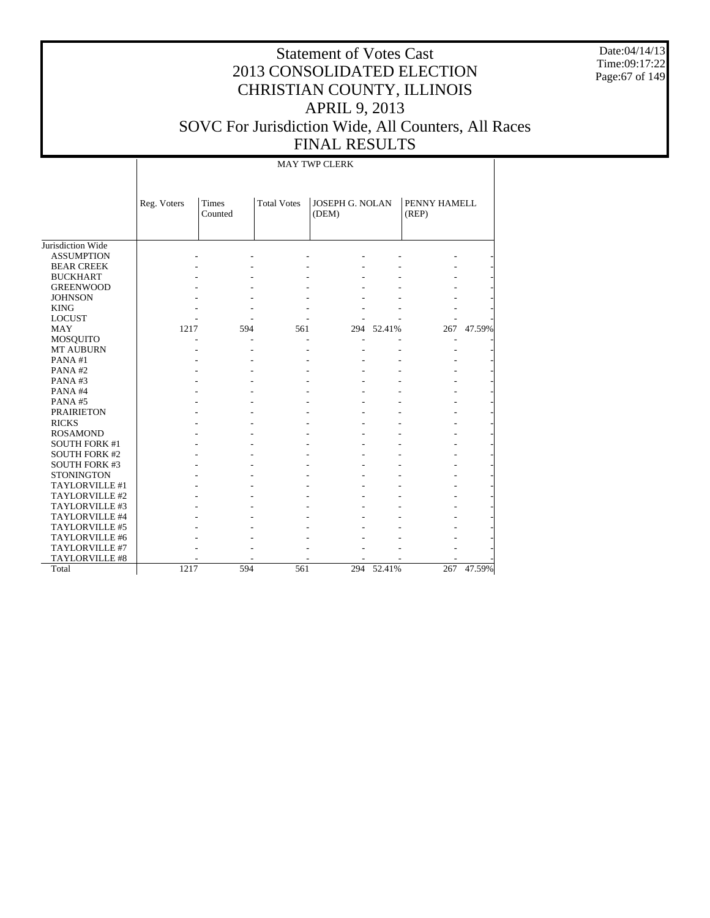Date:04/14/13 Time:09:17:22 Page:67 of 149

# Statement of Votes Cast 2013 CONSOLIDATED ELECTION CHRISTIAN COUNTY, ILLINOIS APRIL 9, 2013 SOVC For Jurisdiction Wide, All Counters, All Races FINAL RESULTS

MAY TWP CLERK

|                      | Reg. Voters | Times<br>Counted | <b>Total Votes</b> | JOSEPH G. NOLAN<br>(DEM) |            | PENNY HAMELL<br>(REP) |            |
|----------------------|-------------|------------------|--------------------|--------------------------|------------|-----------------------|------------|
|                      |             |                  |                    |                          |            |                       |            |
| Jurisdiction Wide    |             |                  |                    |                          |            |                       |            |
| <b>ASSUMPTION</b>    |             |                  |                    |                          |            |                       |            |
| <b>BEAR CREEK</b>    |             |                  |                    |                          |            |                       |            |
| <b>BUCKHART</b>      |             |                  |                    |                          |            |                       |            |
| <b>GREENWOOD</b>     |             |                  |                    |                          |            |                       |            |
| <b>JOHNSON</b>       |             |                  |                    |                          |            |                       |            |
| <b>KING</b>          |             |                  |                    |                          |            |                       |            |
| <b>LOCUST</b>        |             |                  |                    |                          |            |                       |            |
| <b>MAY</b>           | 1217        | 594              | 561                | 294                      | 52.41%     | 267                   | 47.59%     |
| <b>MOSQUITO</b>      |             |                  |                    |                          |            |                       |            |
| <b>MT AUBURN</b>     |             |                  |                    |                          |            |                       |            |
| PANA#1               |             |                  |                    |                          |            |                       |            |
| PANA#2               |             |                  |                    |                          |            |                       |            |
| PANA#3               |             |                  |                    |                          |            |                       |            |
| PANA#4               |             |                  |                    |                          |            |                       |            |
| PANA#5               |             |                  |                    |                          |            |                       |            |
| <b>PRAIRIETON</b>    |             |                  |                    |                          |            |                       |            |
| <b>RICKS</b>         |             |                  |                    |                          |            |                       |            |
| <b>ROSAMOND</b>      |             |                  |                    |                          |            |                       |            |
| <b>SOUTH FORK #1</b> |             |                  |                    |                          |            |                       |            |
| <b>SOUTH FORK #2</b> |             |                  |                    |                          |            |                       |            |
| <b>SOUTH FORK #3</b> |             |                  |                    |                          |            |                       |            |
| <b>STONINGTON</b>    |             |                  |                    |                          |            |                       |            |
| TAYLORVILLE #1       |             |                  |                    |                          |            |                       |            |
| TAYLORVILLE #2       |             |                  |                    |                          |            |                       |            |
| TAYLORVILLE #3       |             |                  |                    |                          |            |                       |            |
| TAYLORVILLE #4       |             |                  |                    |                          |            |                       |            |
| TAYLORVILLE #5       |             |                  |                    |                          |            |                       |            |
| TAYLORVILLE #6       |             |                  |                    |                          |            |                       |            |
| TAYLORVILLE #7       |             |                  |                    |                          |            |                       |            |
| TAYLORVILLE #8       |             |                  |                    |                          |            |                       |            |
| Total                | 1217        | 594              | 561                |                          | 294 52.41% |                       | 267 47.59% |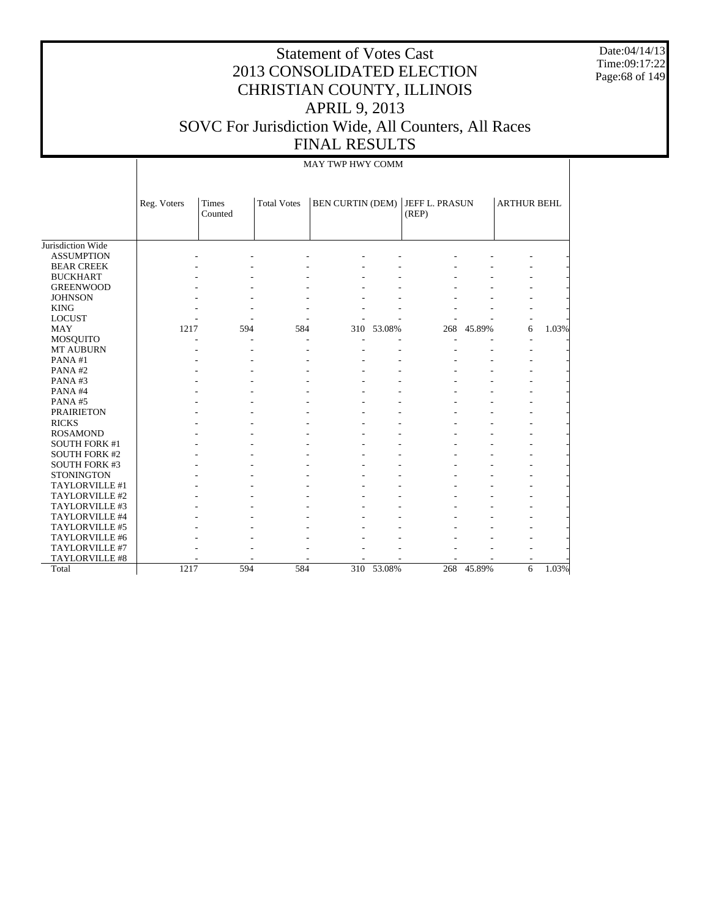Date:04/14/13 Time:09:17:22 Page:68 of 149

# Statement of Votes Cast 2013 CONSOLIDATED ELECTION CHRISTIAN COUNTY, ILLINOIS APRIL 9, 2013 SOVC For Jurisdiction Wide, All Counters, All Races FINAL RESULTS

#### MAY TWP HWY COMM

|                      | Reg. Voters | <b>Times</b> | <b>Total Votes</b> | <b>BEN CURTIN (DEM)</b> |        | JEFF L. PRASUN |        | <b>ARTHUR BEHL</b> |       |
|----------------------|-------------|--------------|--------------------|-------------------------|--------|----------------|--------|--------------------|-------|
|                      |             | Counted      |                    |                         |        | (REP)          |        |                    |       |
|                      |             |              |                    |                         |        |                |        |                    |       |
|                      |             |              |                    |                         |        |                |        |                    |       |
| Jurisdiction Wide    |             |              |                    |                         |        |                |        |                    |       |
| <b>ASSUMPTION</b>    |             |              |                    |                         |        |                |        |                    |       |
| <b>BEAR CREEK</b>    |             |              |                    |                         |        |                |        |                    |       |
| <b>BUCKHART</b>      |             |              |                    |                         |        |                |        |                    |       |
| <b>GREENWOOD</b>     |             |              |                    |                         |        |                |        |                    |       |
| <b>JOHNSON</b>       |             |              |                    |                         |        |                |        |                    |       |
| <b>KING</b>          |             |              |                    |                         |        |                |        |                    |       |
| <b>LOCUST</b>        |             |              |                    |                         |        |                |        |                    |       |
| <b>MAY</b>           | 1217        | 594          | 584                | 310                     | 53.08% | 268            | 45.89% | 6                  | 1.03% |
| <b>MOSQUITO</b>      |             |              |                    |                         |        |                |        |                    |       |
| MT AUBURN            |             |              |                    |                         |        |                |        |                    |       |
| PANA#1               |             |              |                    |                         |        |                |        |                    |       |
| PANA#2               |             |              |                    |                         |        |                |        |                    |       |
| PANA#3               |             |              |                    |                         |        |                |        |                    |       |
| PANA#4               |             |              |                    |                         |        |                |        |                    |       |
| PANA#5               |             |              |                    |                         |        |                |        |                    |       |
| <b>PRAIRIETON</b>    |             |              |                    |                         |        |                |        |                    |       |
| <b>RICKS</b>         |             |              |                    |                         |        |                |        |                    |       |
| <b>ROSAMOND</b>      |             |              |                    |                         |        |                |        |                    |       |
| <b>SOUTH FORK #1</b> |             |              |                    |                         |        |                |        |                    |       |
| <b>SOUTH FORK #2</b> |             |              |                    |                         |        |                |        |                    |       |
| <b>SOUTH FORK #3</b> |             |              |                    |                         |        |                |        |                    |       |
| <b>STONINGTON</b>    |             |              |                    |                         |        |                |        |                    |       |
| TAYLORVILLE #1       |             |              |                    |                         |        |                |        |                    |       |
| TAYLORVILLE #2       |             |              |                    |                         |        |                |        |                    |       |
| TAYLORVILLE #3       |             |              |                    |                         |        |                |        |                    |       |
| TAYLORVILLE #4       |             |              |                    |                         |        |                |        |                    |       |
| TAYLORVILLE #5       |             |              |                    |                         |        |                |        |                    |       |
| TAYLORVILLE #6       |             |              |                    |                         |        |                |        |                    |       |
| TAYLORVILLE #7       |             |              |                    |                         |        |                |        |                    |       |
| TAYLORVILLE #8       |             |              |                    |                         |        |                |        |                    |       |
| Total                | 1217        | 594          | 584                | 310                     | 53.08% | 268            | 45.89% | 6                  | 1.03% |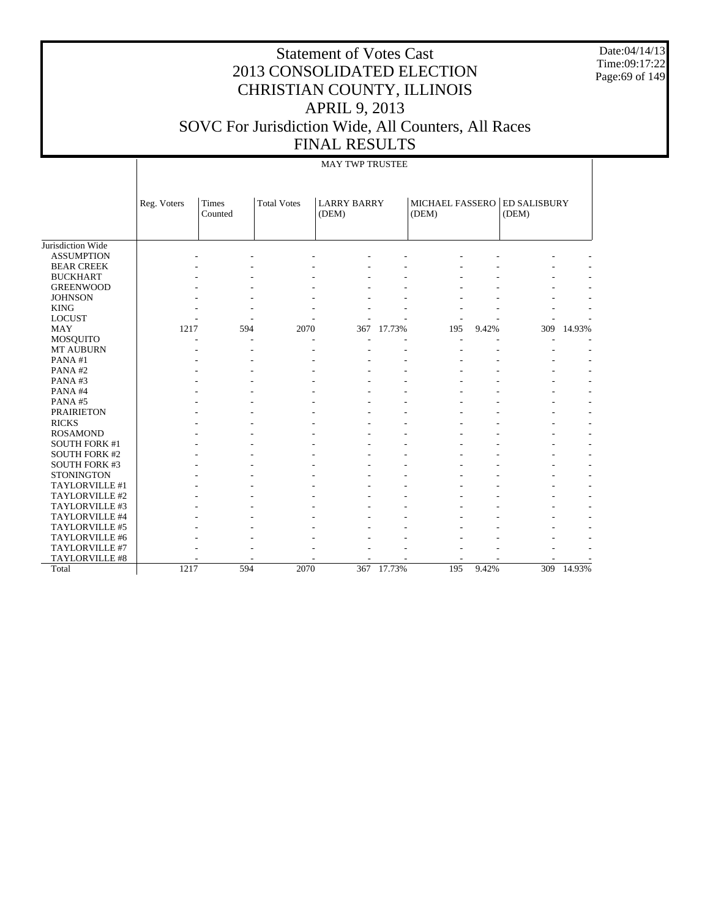Date:04/14/13 Time:09:17:22 Page:69 of 149

# Statement of Votes Cast 2013 CONSOLIDATED ELECTION CHRISTIAN COUNTY, ILLINOIS APRIL 9, 2013 SOVC For Jurisdiction Wide, All Counters, All Races FINAL RESULTS

#### MAY TWP TRUSTEE

|                      | Reg. Voters | <b>Times</b><br>Counted | <b>Total Votes</b> | <b>LARRY BARRY</b><br>(DEM) |            | (DEM) |       | MICHAEL FASSERO ED SALISBURY<br>(DEM) |        |
|----------------------|-------------|-------------------------|--------------------|-----------------------------|------------|-------|-------|---------------------------------------|--------|
|                      |             |                         |                    |                             |            |       |       |                                       |        |
| Jurisdiction Wide    |             |                         |                    |                             |            |       |       |                                       |        |
| <b>ASSUMPTION</b>    |             |                         |                    |                             |            |       |       |                                       |        |
| <b>BEAR CREEK</b>    |             |                         |                    |                             |            |       |       |                                       |        |
| <b>BUCKHART</b>      |             |                         |                    |                             |            |       |       |                                       |        |
| <b>GREENWOOD</b>     |             |                         |                    |                             |            |       |       |                                       |        |
| <b>JOHNSON</b>       |             |                         |                    |                             |            |       |       |                                       |        |
| <b>KING</b>          |             |                         |                    |                             |            |       |       |                                       |        |
| <b>LOCUST</b>        | ٠           |                         |                    |                             |            |       |       |                                       |        |
| <b>MAY</b>           | 1217        | 594                     | 2070               | 367                         | 17.73%     | 195   | 9.42% | 309                                   | 14.93% |
| <b>MOSQUITO</b>      |             | ٠                       |                    |                             |            | ۰     |       |                                       |        |
| MT AUBURN            |             |                         |                    |                             |            |       |       |                                       |        |
| PANA#1               |             |                         |                    |                             |            |       |       |                                       |        |
| PANA#2               |             |                         |                    |                             |            |       |       |                                       |        |
| PANA#3               |             |                         |                    |                             |            |       |       |                                       |        |
| PANA#4               |             |                         |                    |                             |            |       |       |                                       |        |
| PANA#5               |             |                         |                    |                             |            |       |       |                                       |        |
| <b>PRAIRIETON</b>    |             |                         |                    |                             |            |       |       |                                       |        |
| <b>RICKS</b>         |             |                         |                    |                             |            |       |       |                                       | ۰      |
| <b>ROSAMOND</b>      |             |                         |                    |                             |            |       |       |                                       | ۰      |
| <b>SOUTH FORK #1</b> |             |                         |                    |                             |            |       |       |                                       | ٠      |
| <b>SOUTH FORK #2</b> |             |                         |                    |                             |            |       |       |                                       | ٠      |
| SOUTH FORK #3        |             |                         |                    |                             |            |       |       |                                       | ۰      |
| <b>STONINGTON</b>    |             |                         |                    |                             |            |       |       |                                       | ۰      |
| TAYLORVILLE #1       |             |                         |                    |                             |            |       |       |                                       |        |
| TAYLORVILLE #2       |             |                         |                    |                             |            |       |       |                                       |        |
| TAYLORVILLE #3       |             |                         |                    |                             |            |       |       |                                       |        |
| TAYLORVILLE #4       |             |                         |                    |                             |            |       |       |                                       |        |
| TAYLORVILLE #5       |             |                         |                    |                             |            |       |       |                                       |        |
| TAYLORVILLE #6       |             |                         |                    |                             |            |       |       |                                       |        |
| TAYLORVILLE #7       |             |                         |                    |                             |            |       |       |                                       |        |
| TAYLORVILLE #8       |             |                         |                    |                             |            |       |       |                                       |        |
| Total                | 1217        | 594                     | 2070               |                             | 367 17.73% | 195   | 9.42% | 309                                   | 14.93% |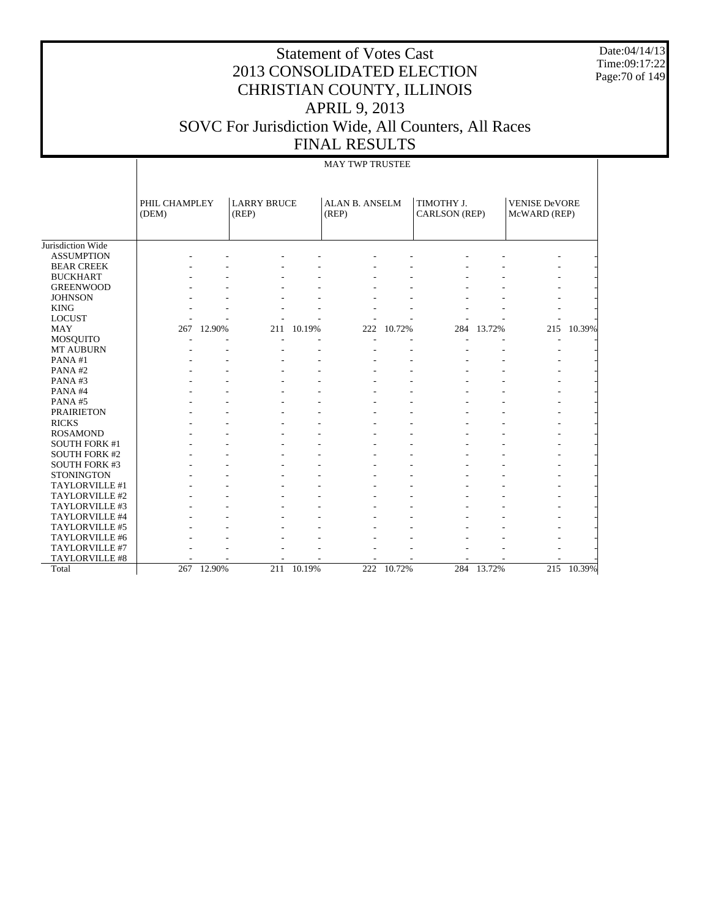Date:04/14/13 Time:09:17:22 Page:70 of 149

# Statement of Votes Cast 2013 CONSOLIDATED ELECTION CHRISTIAN COUNTY, ILLINOIS APRIL 9, 2013 SOVC For Jurisdiction Wide, All Counters, All Races FINAL RESULTS

#### MAY TWP TRUSTEE

|                      | PHIL CHAMPLEY<br>(DEM) |            | <b>LARRY BRUCE</b><br>(REP) |            | <b>ALAN B. ANSELM</b><br>(REP) |        | TIMOTHY J.<br>CARLSON (REP) |            |     |        | <b>VENISE DeVORE</b><br>McWARD (REP) |  |
|----------------------|------------------------|------------|-----------------------------|------------|--------------------------------|--------|-----------------------------|------------|-----|--------|--------------------------------------|--|
| Jurisdiction Wide    |                        |            |                             |            |                                |        |                             |            |     |        |                                      |  |
| <b>ASSUMPTION</b>    |                        |            |                             |            |                                |        |                             |            |     |        |                                      |  |
| <b>BEAR CREEK</b>    |                        |            |                             |            |                                |        |                             |            |     |        |                                      |  |
| <b>BUCKHART</b>      |                        |            |                             |            |                                |        |                             |            |     |        |                                      |  |
| <b>GREENWOOD</b>     |                        |            |                             |            |                                |        |                             |            |     |        |                                      |  |
| <b>JOHNSON</b>       |                        |            |                             |            |                                |        |                             |            |     |        |                                      |  |
| <b>KING</b>          |                        |            |                             |            |                                |        |                             |            |     |        |                                      |  |
| <b>LOCUST</b>        |                        |            |                             |            |                                |        |                             |            |     |        |                                      |  |
| <b>MAY</b>           | 267                    | 12.90%     | 211                         | 10.19%     | 222                            | 10.72% | 284                         | 13.72%     | 215 | 10.39% |                                      |  |
| <b>MOSQUITO</b>      |                        |            |                             |            |                                |        |                             |            |     |        |                                      |  |
| <b>MT AUBURN</b>     |                        |            |                             |            |                                |        |                             |            |     |        |                                      |  |
| PANA#1               |                        |            |                             |            |                                |        |                             |            |     |        |                                      |  |
| PANA#2               |                        |            |                             |            |                                |        |                             |            |     |        |                                      |  |
| PANA#3               |                        |            |                             |            |                                |        |                             |            |     |        |                                      |  |
| PANA#4               |                        |            |                             |            |                                |        |                             |            |     |        |                                      |  |
| PANA#5               |                        |            |                             |            |                                |        |                             |            |     |        |                                      |  |
| <b>PRAIRIETON</b>    |                        |            |                             |            |                                |        |                             |            |     |        |                                      |  |
| <b>RICKS</b>         |                        |            |                             |            |                                |        |                             |            |     |        |                                      |  |
| <b>ROSAMOND</b>      |                        |            |                             |            |                                |        |                             |            |     |        |                                      |  |
| <b>SOUTH FORK #1</b> |                        |            |                             |            |                                |        |                             |            |     |        |                                      |  |
| <b>SOUTH FORK #2</b> |                        |            |                             |            |                                |        |                             |            |     |        |                                      |  |
| <b>SOUTH FORK #3</b> |                        |            |                             |            |                                |        |                             |            |     |        |                                      |  |
| <b>STONINGTON</b>    |                        |            |                             |            |                                |        |                             |            |     |        |                                      |  |
| TAYLORVILLE #1       |                        |            |                             |            |                                |        |                             |            |     |        |                                      |  |
| TAYLORVILLE #2       |                        |            |                             |            |                                |        |                             |            |     |        |                                      |  |
| TAYLORVILLE #3       |                        |            |                             |            |                                |        |                             |            |     |        |                                      |  |
| TAYLORVILLE #4       |                        |            |                             |            |                                |        |                             |            |     |        |                                      |  |
| TAYLORVILLE #5       |                        |            |                             |            |                                |        |                             |            |     |        |                                      |  |
| TAYLORVILLE #6       |                        |            |                             |            |                                |        |                             |            |     |        |                                      |  |
| TAYLORVILLE #7       |                        |            |                             |            |                                |        |                             |            |     |        |                                      |  |
| TAYLORVILLE #8       |                        |            |                             |            |                                |        |                             |            |     |        |                                      |  |
| Total                |                        | 267 12.90% |                             | 211 10.19% | 222                            | 10.72% |                             | 284 13.72% | 215 | 10.39% |                                      |  |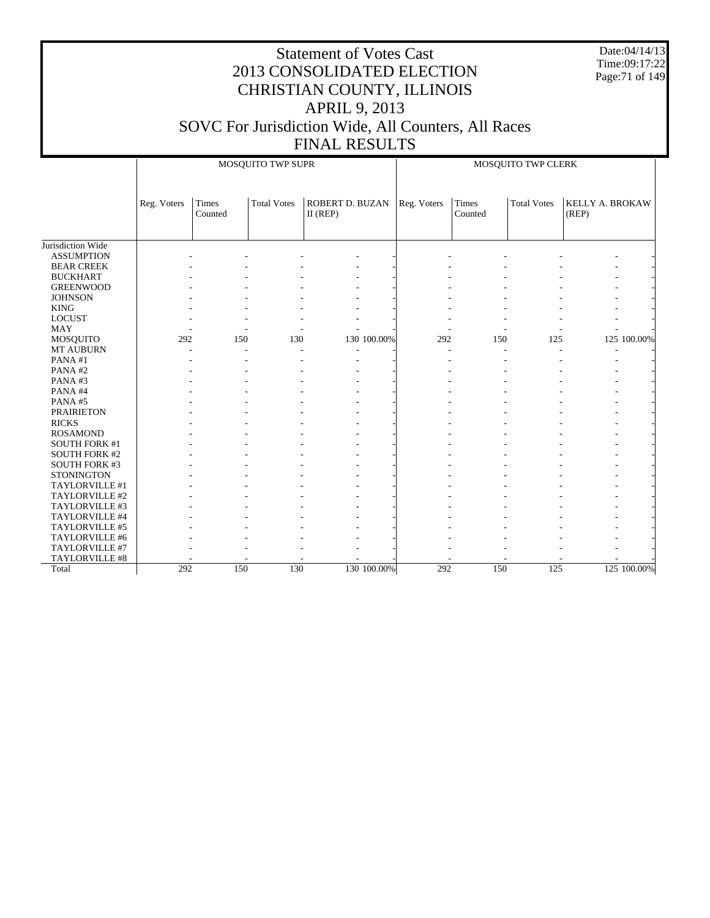Date:04/14/13 Time:09:17:22 Page:71 of 149

|                      |             |                  | MOSQUITO TWP SUPR  |                               |             | MOSQUITO TWP CLERK |                  |                    |                          |             |  |
|----------------------|-------------|------------------|--------------------|-------------------------------|-------------|--------------------|------------------|--------------------|--------------------------|-------------|--|
|                      | Reg. Voters | Times<br>Counted | <b>Total Votes</b> | ROBERT D. BUZAN<br>$II$ (REP) |             | Reg. Voters        | Times<br>Counted | <b>Total Votes</b> | KELLY A. BROKAW<br>(REP) |             |  |
| Jurisdiction Wide    |             |                  |                    |                               |             |                    |                  |                    |                          |             |  |
| <b>ASSUMPTION</b>    |             |                  |                    |                               |             |                    |                  |                    |                          |             |  |
| <b>BEAR CREEK</b>    |             |                  |                    |                               |             |                    |                  |                    |                          |             |  |
| <b>BUCKHART</b>      |             |                  |                    |                               |             |                    |                  |                    |                          |             |  |
| <b>GREENWOOD</b>     |             |                  |                    |                               |             |                    |                  |                    |                          |             |  |
| <b>JOHNSON</b>       |             |                  |                    |                               |             |                    |                  |                    |                          |             |  |
| <b>KING</b>          |             |                  |                    |                               |             |                    |                  |                    |                          |             |  |
| <b>LOCUST</b>        |             |                  |                    |                               |             |                    |                  |                    |                          |             |  |
| <b>MAY</b>           |             |                  |                    |                               |             |                    |                  |                    |                          |             |  |
| MOSQUITO             | 292         | 150              | 130                |                               | 130 100.00% | 292                | 150              | 125                |                          | 125 100.00% |  |
| MT AUBURN            |             |                  |                    |                               |             |                    |                  |                    |                          |             |  |
| PANA#1               |             |                  |                    |                               |             |                    |                  |                    |                          |             |  |
| PANA#2               |             |                  |                    |                               |             |                    |                  |                    |                          |             |  |
| PANA#3               |             |                  |                    |                               |             |                    |                  |                    |                          |             |  |
| PANA#4               |             |                  |                    |                               |             |                    |                  |                    |                          |             |  |
| PANA#5               |             |                  |                    |                               |             |                    |                  |                    |                          |             |  |
| <b>PRAIRIETON</b>    |             |                  |                    |                               |             |                    |                  |                    |                          |             |  |
| <b>RICKS</b>         |             |                  |                    |                               |             |                    |                  |                    |                          |             |  |
| <b>ROSAMOND</b>      |             |                  |                    |                               |             |                    |                  |                    |                          |             |  |
| <b>SOUTH FORK #1</b> |             |                  |                    |                               |             |                    |                  |                    |                          |             |  |
| <b>SOUTH FORK #2</b> |             |                  |                    |                               |             |                    |                  |                    |                          |             |  |
| <b>SOUTH FORK #3</b> |             |                  |                    |                               |             |                    |                  |                    |                          |             |  |
| <b>STONINGTON</b>    |             |                  |                    |                               |             |                    |                  |                    |                          |             |  |
| TAYLORVILLE #1       |             |                  |                    |                               |             |                    |                  |                    |                          |             |  |
| TAYLORVILLE #2       |             |                  |                    |                               |             |                    |                  |                    |                          |             |  |
| TAYLORVILLE #3       |             |                  |                    |                               |             |                    |                  |                    |                          |             |  |
| TAYLORVILLE #4       |             |                  |                    |                               |             |                    |                  |                    |                          |             |  |
| TAYLORVILLE #5       |             |                  |                    |                               |             |                    |                  |                    |                          |             |  |
| TAYLORVILLE #6       |             |                  |                    |                               |             |                    |                  |                    |                          |             |  |
| TAYLORVILLE #7       |             |                  |                    |                               |             |                    |                  |                    |                          |             |  |
| TAYLORVILLE #8       |             |                  |                    |                               |             |                    |                  |                    |                          |             |  |
| Total                | 292         | 150              | 130                |                               | 130 100.00% | 292                | 150              | 125                |                          | 125 100.00% |  |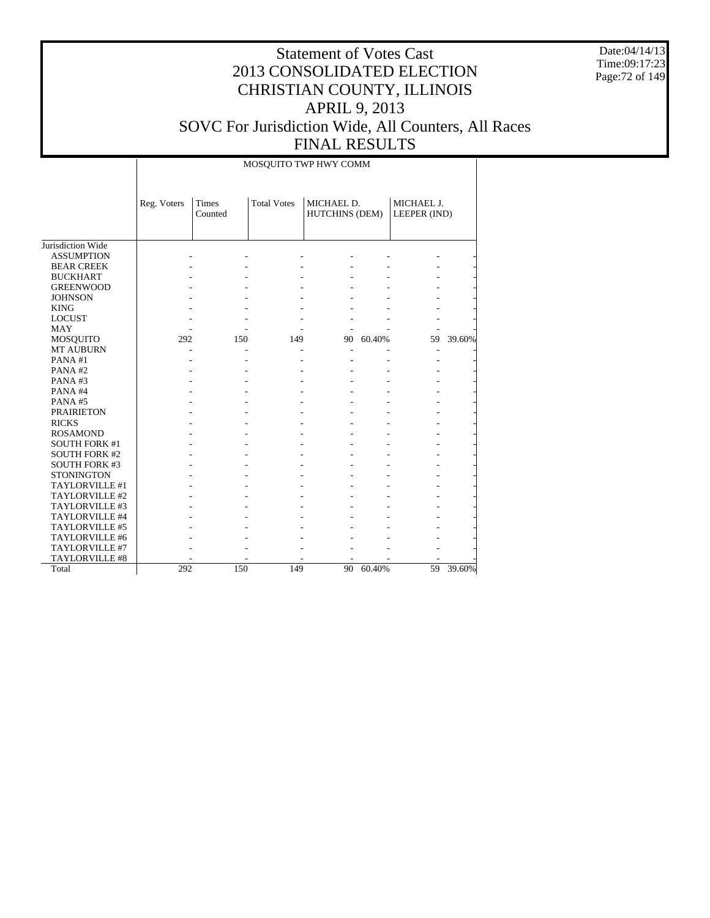Date:04/14/13 Time:09:17:23 Page:72 of 149

|                      |             |                  | MOSQUITO TWP HWY COMM |                              |        |                            |        |
|----------------------|-------------|------------------|-----------------------|------------------------------|--------|----------------------------|--------|
|                      | Reg. Voters | Times<br>Counted | <b>Total Votes</b>    | MICHAEL D.<br>HUTCHINS (DEM) |        | MICHAEL J.<br>LEEPER (IND) |        |
| Jurisdiction Wide    |             |                  |                       |                              |        |                            |        |
| <b>ASSUMPTION</b>    |             |                  |                       |                              |        |                            |        |
| <b>BEAR CREEK</b>    |             |                  |                       |                              |        |                            |        |
| <b>BUCKHART</b>      |             |                  |                       |                              |        |                            |        |
| <b>GREENWOOD</b>     |             |                  |                       |                              |        |                            |        |
| <b>JOHNSON</b>       |             |                  |                       |                              |        |                            |        |
| <b>KING</b>          |             |                  |                       |                              |        |                            |        |
| <b>LOCUST</b>        |             |                  |                       |                              |        |                            |        |
| MAY                  |             |                  |                       |                              |        |                            |        |
| MOSQUITO             | 292         | 150              | 149                   | 90                           | 60.40% | 59                         | 39.60% |
| <b>MT AUBURN</b>     |             |                  |                       |                              |        | ٠                          |        |
| PANA#1               |             |                  |                       |                              |        |                            |        |
| PANA#2               |             |                  |                       |                              |        |                            |        |
| PANA#3               |             |                  |                       |                              |        |                            |        |
| PANA#4               |             |                  |                       |                              |        |                            |        |
| PANA#5               |             |                  |                       |                              |        |                            |        |
| <b>PRAIRIETON</b>    |             |                  |                       |                              |        |                            |        |
| <b>RICKS</b>         |             |                  |                       |                              |        |                            |        |
| <b>ROSAMOND</b>      |             |                  |                       |                              |        |                            |        |
| <b>SOUTH FORK #1</b> |             |                  |                       |                              |        |                            |        |
| <b>SOUTH FORK #2</b> |             |                  |                       |                              |        |                            |        |
| <b>SOUTH FORK #3</b> |             |                  |                       |                              |        |                            |        |
| <b>STONINGTON</b>    |             |                  |                       |                              |        |                            |        |
| TAYLORVILLE #1       |             |                  |                       |                              |        |                            |        |
| TAYLORVILLE #2       |             |                  |                       |                              |        |                            |        |
| TAYLORVILLE #3       |             |                  |                       |                              |        |                            |        |
| TAYLORVILLE #4       |             |                  |                       |                              |        |                            |        |
| TAYLORVILLE #5       |             |                  |                       |                              |        |                            |        |
| TAYLORVILLE #6       |             |                  |                       |                              |        |                            |        |
| TAYLORVILLE #7       |             |                  |                       |                              |        |                            |        |
| TAYLORVILLE #8       |             |                  |                       |                              |        |                            |        |
| Total                | 292         | 150              | 149                   | 90                           | 60.40% | 59                         | 39.60% |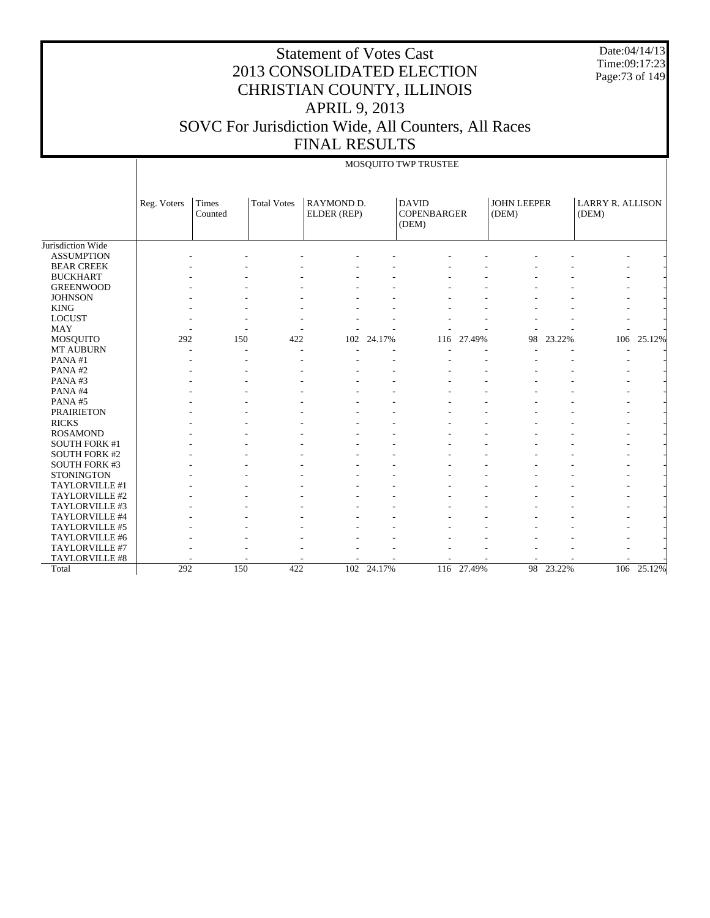Date:04/14/13 Time:09:17:23 Page:73 of 149

#### Statement of Votes Cast 2013 CONSOLIDATED ELECTION CHRISTIAN COUNTY, ILLINOIS APRIL 9, 2013 SOVC For Jurisdiction Wide, All Counters, All Races FINAL RESULTS

#### MOSQUITO TWP TRUSTEE

|                       | Reg. Voters | <b>Times</b><br>Counted | <b>Total Votes</b> | RAYMOND D.<br>ELDER (REP) |            | <b>DAVID</b><br><b>COPENBARGER</b><br>(DEM) |            | <b>JOHN LEEPER</b><br>(DEM) |           | <b>LARRY R. ALLISON</b><br>(DEM) |        |
|-----------------------|-------------|-------------------------|--------------------|---------------------------|------------|---------------------------------------------|------------|-----------------------------|-----------|----------------------------------|--------|
| Jurisdiction Wide     |             |                         |                    |                           |            |                                             |            |                             |           |                                  |        |
| <b>ASSUMPTION</b>     |             |                         |                    |                           |            |                                             |            |                             |           |                                  |        |
| <b>BEAR CREEK</b>     |             |                         |                    |                           |            |                                             |            |                             |           |                                  |        |
| <b>BUCKHART</b>       |             |                         |                    |                           |            |                                             |            |                             |           |                                  |        |
| <b>GREENWOOD</b>      |             |                         |                    |                           |            |                                             |            |                             |           |                                  |        |
| <b>JOHNSON</b>        |             |                         |                    |                           |            |                                             |            |                             |           |                                  |        |
| <b>KING</b>           |             |                         |                    |                           |            |                                             |            |                             |           |                                  |        |
| <b>LOCUST</b>         |             |                         |                    |                           |            |                                             |            |                             |           |                                  |        |
| MAY                   |             |                         |                    |                           |            |                                             |            |                             |           |                                  |        |
| <b>MOSQUITO</b>       | 292         | 150                     | 422                | 102                       | 24.17%     | 116                                         | 27.49%     | 98                          | 23.22%    | 106                              | 25.12% |
| <b>MT AUBURN</b>      |             |                         |                    |                           |            |                                             |            |                             |           |                                  |        |
| PANA#1                |             |                         |                    |                           |            |                                             |            |                             |           |                                  |        |
| PANA#2                |             |                         |                    |                           |            |                                             |            |                             |           |                                  |        |
| PANA#3                |             |                         |                    |                           |            |                                             |            |                             |           |                                  |        |
| PANA#4                |             |                         |                    |                           |            |                                             |            |                             |           |                                  |        |
| PANA#5                |             |                         |                    |                           |            |                                             |            |                             |           |                                  |        |
| <b>PRAIRIETON</b>     |             |                         |                    |                           |            |                                             |            |                             |           |                                  |        |
| <b>RICKS</b>          |             |                         |                    |                           |            |                                             |            |                             |           |                                  |        |
| <b>ROSAMOND</b>       |             |                         |                    |                           |            |                                             |            |                             |           |                                  |        |
| <b>SOUTH FORK #1</b>  |             |                         |                    |                           |            |                                             |            |                             |           |                                  |        |
| <b>SOUTH FORK #2</b>  |             |                         |                    |                           |            |                                             |            |                             |           |                                  |        |
| <b>SOUTH FORK #3</b>  |             |                         |                    |                           |            |                                             |            |                             |           |                                  |        |
| <b>STONINGTON</b>     |             |                         |                    |                           |            |                                             |            |                             |           |                                  |        |
| TAYLORVILLE #1        |             |                         |                    |                           |            |                                             |            |                             |           |                                  |        |
| TAYLORVILLE #2        |             |                         |                    |                           |            |                                             |            |                             |           |                                  |        |
| TAYLORVILLE #3        |             |                         |                    |                           |            |                                             |            |                             |           |                                  |        |
| TAYLORVILLE #4        |             |                         |                    |                           |            |                                             |            |                             |           |                                  |        |
| TAYLORVILLE #5        |             |                         |                    |                           |            |                                             |            |                             |           |                                  |        |
| TAYLORVILLE #6        |             |                         |                    |                           |            |                                             |            |                             |           |                                  |        |
| TAYLORVILLE #7        |             |                         |                    |                           |            |                                             |            |                             |           |                                  |        |
| <b>TAYLORVILLE #8</b> |             |                         |                    |                           |            |                                             |            |                             |           |                                  |        |
| Total                 | 292         | 150                     | 422                |                           | 102 24.17% |                                             | 116 27.49% |                             | 98 23.22% | 106                              | 25.12% |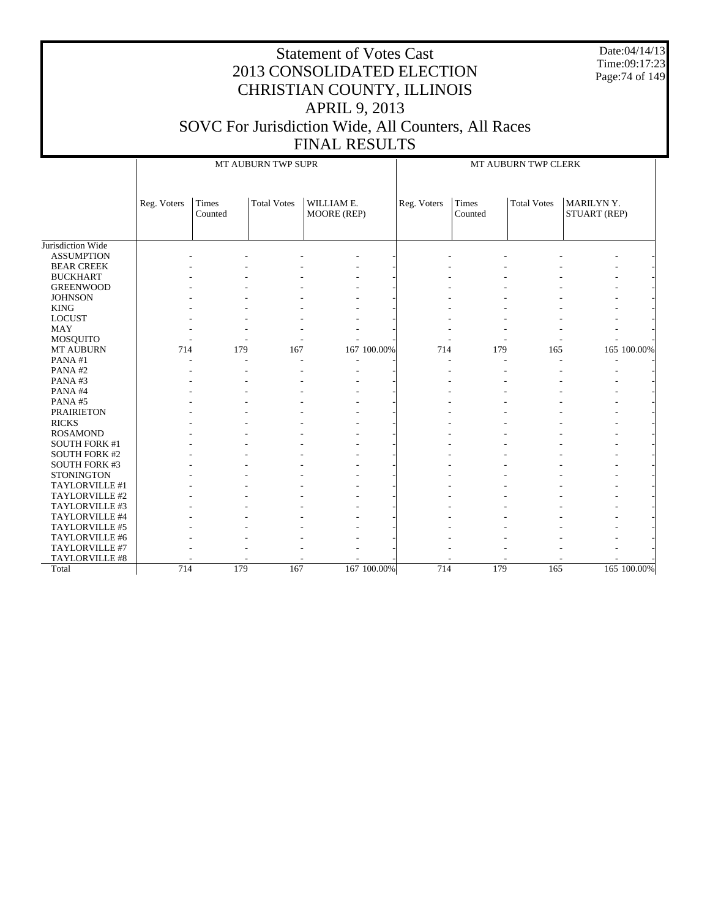Date:04/14/13 Time:09:17:23 Page:74 of 149

|                      |             |                  | MT AUBURN TWP SUPR |                           |             |             |                  | MT AUBURN TWP CLERK |                           |             |
|----------------------|-------------|------------------|--------------------|---------------------------|-------------|-------------|------------------|---------------------|---------------------------|-------------|
|                      | Reg. Voters | Times<br>Counted | <b>Total Votes</b> | WILLIAM E.<br>MOORE (REP) |             | Reg. Voters | Times<br>Counted | <b>Total Votes</b>  | MARILYNY.<br>STUART (REP) |             |
| Jurisdiction Wide    |             |                  |                    |                           |             |             |                  |                     |                           |             |
| <b>ASSUMPTION</b>    |             |                  |                    |                           |             |             |                  |                     |                           |             |
| <b>BEAR CREEK</b>    |             |                  |                    |                           |             |             |                  |                     |                           |             |
| <b>BUCKHART</b>      |             |                  |                    |                           |             |             |                  |                     |                           |             |
| <b>GREENWOOD</b>     |             |                  |                    |                           |             |             |                  |                     |                           |             |
| <b>JOHNSON</b>       |             |                  |                    |                           |             |             |                  |                     |                           |             |
| <b>KING</b>          |             |                  |                    |                           |             |             |                  |                     |                           |             |
| <b>LOCUST</b>        |             |                  |                    |                           |             |             |                  |                     |                           |             |
| <b>MAY</b>           |             |                  |                    |                           |             |             |                  |                     |                           |             |
| MOSQUITO             |             |                  |                    |                           |             |             |                  |                     |                           |             |
| MT AUBURN            | 714         | 179              | 167                |                           | 167 100.00% | 714         | 179              | 165                 |                           | 165 100.00% |
| PANA#1               |             |                  |                    |                           |             |             |                  |                     |                           |             |
| PANA#2               |             |                  |                    |                           |             |             |                  |                     |                           |             |
| PANA#3               |             |                  |                    |                           |             |             |                  |                     |                           |             |
| PANA#4               |             |                  |                    |                           |             |             |                  |                     |                           |             |
| PANA#5               |             |                  |                    |                           |             |             |                  |                     |                           |             |
| <b>PRAIRIETON</b>    |             |                  |                    |                           |             |             |                  |                     |                           |             |
| <b>RICKS</b>         |             |                  |                    |                           |             |             |                  |                     |                           |             |
| <b>ROSAMOND</b>      |             |                  |                    |                           |             |             |                  |                     |                           |             |
| <b>SOUTH FORK #1</b> |             |                  |                    |                           |             |             |                  |                     |                           |             |
| <b>SOUTH FORK #2</b> |             |                  |                    |                           |             |             |                  |                     |                           |             |
| <b>SOUTH FORK #3</b> |             |                  |                    |                           |             |             |                  |                     |                           |             |
| <b>STONINGTON</b>    |             |                  |                    |                           |             |             |                  |                     |                           |             |
| TAYLORVILLE #1       |             |                  |                    |                           |             |             |                  |                     |                           |             |
| TAYLORVILLE #2       |             |                  |                    |                           |             |             |                  |                     |                           |             |
| TAYLORVILLE #3       |             |                  |                    |                           |             |             |                  |                     |                           |             |
| TAYLORVILLE #4       |             |                  |                    |                           |             |             |                  |                     |                           |             |
| TAYLORVILLE #5       |             |                  |                    |                           |             |             |                  |                     |                           |             |
| TAYLORVILLE #6       |             |                  |                    |                           |             |             |                  |                     |                           |             |
| TAYLORVILLE #7       |             |                  |                    |                           |             |             |                  |                     |                           |             |
| TAYLORVILLE #8       |             |                  |                    |                           |             |             |                  |                     |                           |             |
| Total                | 714         | 179              | 167                |                           | 167 100.00% | 714         | 179              | 165                 |                           | 165 100.00% |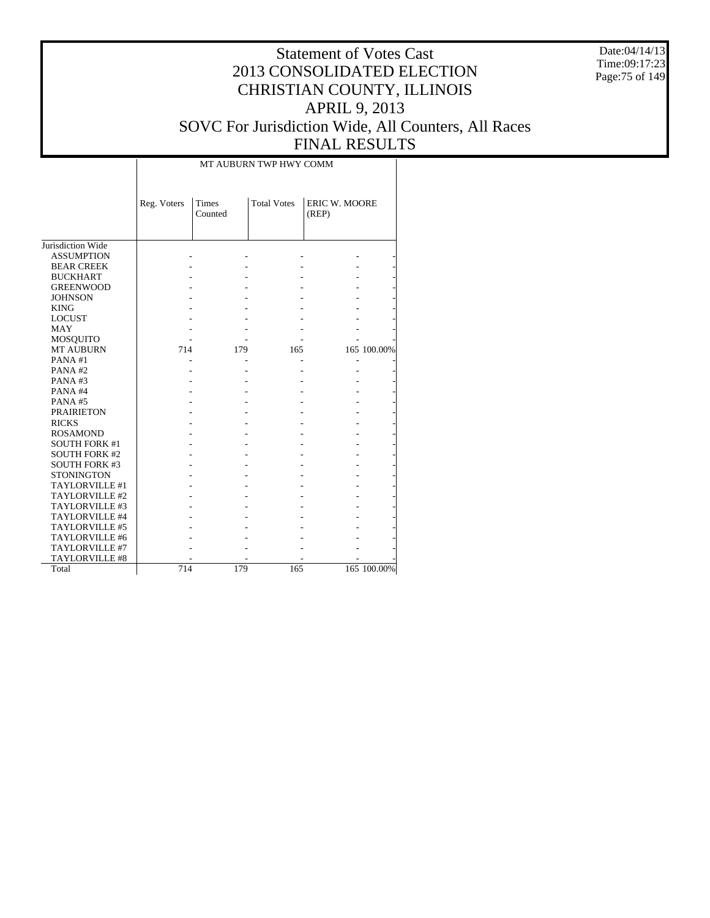Date:04/14/13 Time:09:17:23 Page:75 of 149

|                      |             | MT AUBURN TWP HWY COMM |                    |                               |             |  |  |  |  |  |  |  |
|----------------------|-------------|------------------------|--------------------|-------------------------------|-------------|--|--|--|--|--|--|--|
|                      | Reg. Voters | Times<br>Counted       | <b>Total Votes</b> | <b>ERIC W. MOORE</b><br>(REP) |             |  |  |  |  |  |  |  |
| Jurisdiction Wide    |             |                        |                    |                               |             |  |  |  |  |  |  |  |
| <b>ASSUMPTION</b>    |             |                        |                    |                               |             |  |  |  |  |  |  |  |
|                      |             |                        |                    |                               |             |  |  |  |  |  |  |  |
| <b>BEAR CREEK</b>    |             |                        |                    |                               |             |  |  |  |  |  |  |  |
| <b>BUCKHART</b>      |             |                        |                    |                               |             |  |  |  |  |  |  |  |
| <b>GREENWOOD</b>     |             |                        |                    |                               |             |  |  |  |  |  |  |  |
| <b>JOHNSON</b>       |             |                        |                    |                               |             |  |  |  |  |  |  |  |
| <b>KING</b>          |             |                        |                    |                               |             |  |  |  |  |  |  |  |
| <b>LOCUST</b>        |             |                        |                    |                               |             |  |  |  |  |  |  |  |
| <b>MAY</b>           |             |                        |                    |                               |             |  |  |  |  |  |  |  |
| <b>MOSQUITO</b>      |             |                        |                    |                               |             |  |  |  |  |  |  |  |
| <b>MT AUBURN</b>     | 714         | 179                    | 165                |                               | 165 100.00% |  |  |  |  |  |  |  |
| PANA#1               |             |                        |                    |                               |             |  |  |  |  |  |  |  |
| PANA#2               |             |                        |                    |                               |             |  |  |  |  |  |  |  |
| PANA#3               |             |                        |                    |                               |             |  |  |  |  |  |  |  |
| PANA#4               |             |                        |                    |                               |             |  |  |  |  |  |  |  |
| PANA#5               |             |                        |                    |                               |             |  |  |  |  |  |  |  |
| <b>PRAIRIETON</b>    |             |                        |                    |                               |             |  |  |  |  |  |  |  |
| <b>RICKS</b>         |             |                        |                    |                               |             |  |  |  |  |  |  |  |
| <b>ROSAMOND</b>      |             |                        |                    |                               |             |  |  |  |  |  |  |  |
| <b>SOUTH FORK #1</b> |             |                        |                    |                               |             |  |  |  |  |  |  |  |
| <b>SOUTH FORK #2</b> |             |                        |                    |                               |             |  |  |  |  |  |  |  |
| <b>SOUTH FORK #3</b> |             |                        |                    |                               |             |  |  |  |  |  |  |  |
| <b>STONINGTON</b>    |             |                        |                    |                               |             |  |  |  |  |  |  |  |
| TAYLORVILLE #1       |             |                        |                    |                               |             |  |  |  |  |  |  |  |
| TAYLORVILLE #2       |             |                        |                    |                               |             |  |  |  |  |  |  |  |
| TAYLORVILLE #3       |             |                        |                    |                               |             |  |  |  |  |  |  |  |
| TAYLORVILLE #4       |             |                        |                    |                               |             |  |  |  |  |  |  |  |
| TAYLORVILLE #5       |             |                        |                    |                               |             |  |  |  |  |  |  |  |
| TAYLORVILLE #6       |             |                        |                    |                               |             |  |  |  |  |  |  |  |
| TAYLORVILLE #7       |             |                        |                    |                               |             |  |  |  |  |  |  |  |
| TAYLORVILLE #8       |             |                        |                    |                               |             |  |  |  |  |  |  |  |
| Total                | 714         | 179                    | 165                |                               | 165 100.00% |  |  |  |  |  |  |  |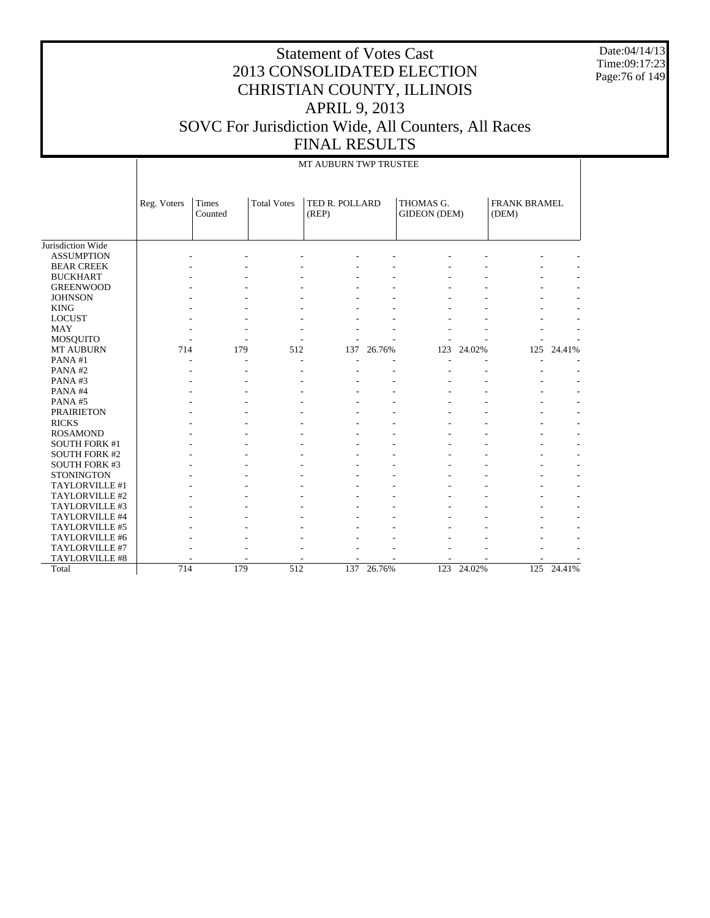Date:04/14/13 Time:09:17:23 Page:76 of 149

|                      |             |                  |                    | MT AUBURN TWP TRUSTEE   |        |                           |            |                       |            |
|----------------------|-------------|------------------|--------------------|-------------------------|--------|---------------------------|------------|-----------------------|------------|
|                      | Reg. Voters | Times<br>Counted | <b>Total Votes</b> | TED R. POLLARD<br>(REP) |        | THOMAS G.<br>GIDEON (DEM) |            | FRANK BRAMEL<br>(DEM) |            |
| Jurisdiction Wide    |             |                  |                    |                         |        |                           |            |                       |            |
| <b>ASSUMPTION</b>    |             |                  |                    |                         |        |                           |            |                       |            |
| <b>BEAR CREEK</b>    |             |                  |                    |                         |        |                           |            |                       |            |
| <b>BUCKHART</b>      |             |                  |                    |                         |        |                           |            |                       |            |
| <b>GREENWOOD</b>     |             |                  |                    |                         |        |                           |            |                       |            |
| <b>JOHNSON</b>       |             |                  |                    |                         |        |                           |            |                       |            |
| <b>KING</b>          |             |                  |                    |                         |        |                           |            |                       |            |
| <b>LOCUST</b>        |             |                  |                    |                         |        |                           |            |                       |            |
| <b>MAY</b>           |             |                  |                    |                         |        |                           |            |                       |            |
| <b>MOSQUITO</b>      |             |                  |                    |                         |        |                           |            |                       |            |
| <b>MT AUBURN</b>     | 714         | 179              | 512                | 137                     | 26.76% |                           | 123 24.02% | 125                   | 24.41%     |
| PANA#1               |             |                  |                    |                         |        |                           |            |                       |            |
| PANA#2               |             |                  |                    |                         |        |                           |            |                       |            |
| PANA#3               |             |                  | $\overline{a}$     |                         |        |                           |            |                       |            |
| PANA#4               |             |                  |                    |                         |        |                           |            |                       |            |
| PANA#5               |             |                  |                    |                         |        |                           |            |                       |            |
| <b>PRAIRIETON</b>    |             |                  |                    |                         |        |                           |            |                       |            |
| <b>RICKS</b>         |             |                  |                    |                         |        |                           |            |                       |            |
| <b>ROSAMOND</b>      |             |                  |                    |                         |        |                           |            |                       |            |
| <b>SOUTH FORK #1</b> |             |                  |                    |                         |        |                           |            |                       |            |
| <b>SOUTH FORK #2</b> |             |                  |                    |                         |        |                           |            |                       |            |
| <b>SOUTH FORK #3</b> |             |                  |                    |                         |        |                           |            |                       |            |
| <b>STONINGTON</b>    |             |                  |                    |                         |        |                           |            |                       |            |
| TAYLORVILLE #1       |             |                  |                    |                         |        |                           |            |                       |            |
| TAYLORVILLE #2       |             |                  |                    |                         |        |                           |            |                       |            |
| TAYLORVILLE #3       |             |                  |                    |                         |        |                           |            |                       |            |
| TAYLORVILLE #4       |             |                  |                    |                         |        |                           |            |                       |            |
| TAYLORVILLE #5       |             |                  |                    |                         |        |                           |            |                       |            |
| TAYLORVILLE #6       |             |                  |                    |                         |        |                           |            |                       |            |
| TAYLORVILLE #7       |             |                  |                    |                         |        |                           |            |                       |            |
| TAYLORVILLE #8       |             |                  |                    |                         |        |                           |            |                       |            |
| Total                | 714         | 179              | 512                | 137                     | 26.76% | 123                       | 24.02%     |                       | 125 24.41% |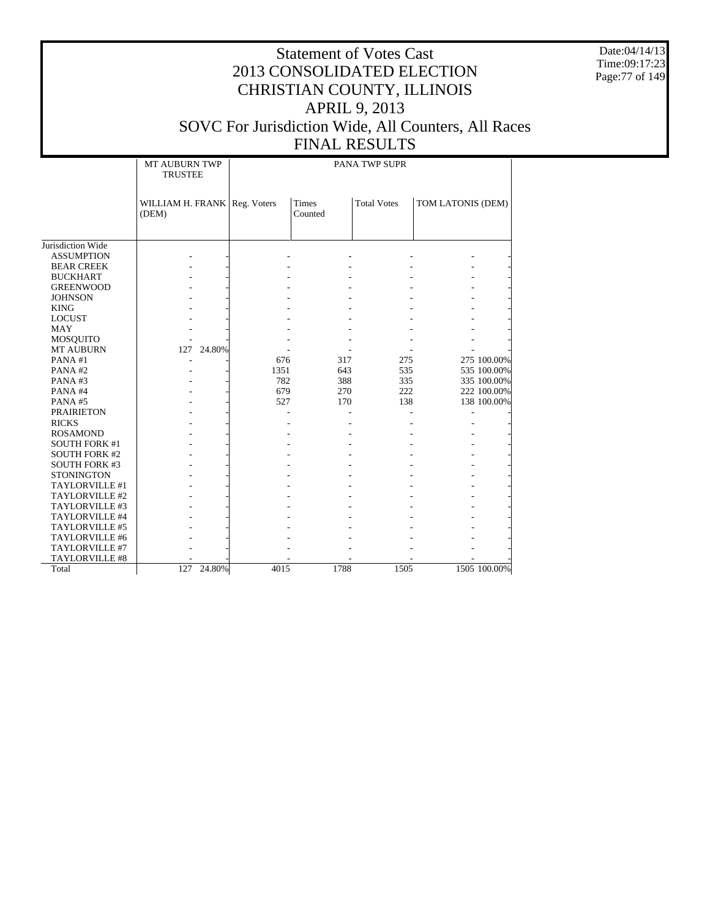Date:04/14/13 Time:09:17:23 Page:77 of 149

#### Statement of Votes Cast 2013 CONSOLIDATED ELECTION CHRISTIAN COUNTY, ILLINOIS APRIL 9, 2013 SOVC For Jurisdiction Wide, All Counters, All Races FINAL RESULTS

# PANA TWP SUPR

|                      | <b>MT AUBURN TWP</b><br><b>TRUSTEE</b>  |      |                  | PANA TWP SUPR      |                   |  |  |  |  |  |  |  |
|----------------------|-----------------------------------------|------|------------------|--------------------|-------------------|--|--|--|--|--|--|--|
|                      | WILLIAM H. FRANK   Reg. Voters<br>(DEM) |      | Times<br>Counted | <b>Total Votes</b> | TOM LATONIS (DEM) |  |  |  |  |  |  |  |
|                      |                                         |      |                  |                    |                   |  |  |  |  |  |  |  |
| Jurisdiction Wide    |                                         |      |                  |                    |                   |  |  |  |  |  |  |  |
| <b>ASSUMPTION</b>    |                                         |      |                  |                    |                   |  |  |  |  |  |  |  |
| <b>BEAR CREEK</b>    |                                         |      |                  |                    |                   |  |  |  |  |  |  |  |
| <b>BUCKHART</b>      |                                         |      |                  |                    |                   |  |  |  |  |  |  |  |
| <b>GREENWOOD</b>     |                                         |      |                  |                    |                   |  |  |  |  |  |  |  |
| <b>JOHNSON</b>       |                                         |      |                  |                    |                   |  |  |  |  |  |  |  |
| <b>KING</b>          |                                         |      |                  |                    |                   |  |  |  |  |  |  |  |
| <b>LOCUST</b>        |                                         |      |                  |                    |                   |  |  |  |  |  |  |  |
| <b>MAY</b>           |                                         |      |                  |                    |                   |  |  |  |  |  |  |  |
| <b>MOSQUITO</b>      |                                         |      |                  |                    |                   |  |  |  |  |  |  |  |
| <b>MT AUBURN</b>     | 24.80%<br>127                           |      |                  |                    |                   |  |  |  |  |  |  |  |
| PANA#1               |                                         | 676  | 317              | 275                | 275 100.00%       |  |  |  |  |  |  |  |
| PANA#2               |                                         | 1351 | 643              | 535                | 535 100.00%       |  |  |  |  |  |  |  |
| PANA#3               |                                         | 782  | 388              | 335                | 335 100.00%       |  |  |  |  |  |  |  |
| PANA#4               |                                         | 679  | 270              | 222                | 222 100.00%       |  |  |  |  |  |  |  |
| PANA#5               |                                         | 527  | 170              | 138                | 138 100.00%       |  |  |  |  |  |  |  |
| <b>PRAIRIETON</b>    |                                         |      |                  |                    |                   |  |  |  |  |  |  |  |
| <b>RICKS</b>         |                                         |      |                  |                    |                   |  |  |  |  |  |  |  |
| <b>ROSAMOND</b>      |                                         |      |                  |                    |                   |  |  |  |  |  |  |  |
| <b>SOUTH FORK #1</b> |                                         |      |                  |                    |                   |  |  |  |  |  |  |  |
| <b>SOUTH FORK #2</b> |                                         |      |                  |                    |                   |  |  |  |  |  |  |  |
| <b>SOUTH FORK #3</b> |                                         |      |                  |                    |                   |  |  |  |  |  |  |  |
| <b>STONINGTON</b>    |                                         |      |                  |                    |                   |  |  |  |  |  |  |  |
| TAYLORVILLE #1       |                                         |      |                  |                    |                   |  |  |  |  |  |  |  |
| TAYLORVILLE #2       |                                         |      |                  |                    |                   |  |  |  |  |  |  |  |
| TAYLORVILLE #3       |                                         |      |                  |                    |                   |  |  |  |  |  |  |  |
| TAYLORVILLE #4       |                                         |      |                  |                    |                   |  |  |  |  |  |  |  |
| TAYLORVILLE #5       |                                         |      |                  |                    |                   |  |  |  |  |  |  |  |
| TAYLORVILLE #6       |                                         |      |                  |                    |                   |  |  |  |  |  |  |  |
| TAYLORVILLE #7       |                                         |      |                  |                    |                   |  |  |  |  |  |  |  |
| TAYLORVILLE #8       |                                         |      |                  |                    |                   |  |  |  |  |  |  |  |
| Total                | 127 24.80%                              | 4015 | 1788             | 1505               | 1505 100.00%      |  |  |  |  |  |  |  |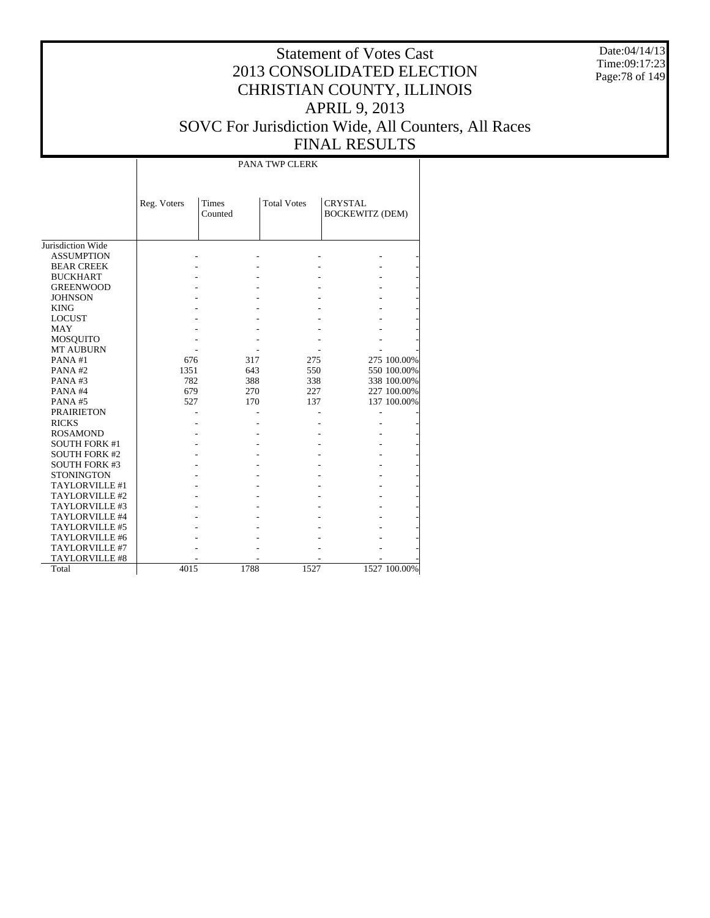Date:04/14/13 Time:09:17:23 Page:78 of 149

#### Statement of Votes Cast 2013 CONSOLIDATED ELECTION CHRISTIAN COUNTY, ILLINOIS APRIL 9, 2013 SOVC For Jurisdiction Wide, All Counters, All Races FINAL RESULTS

PANA TWP CLERK

|                      | Reg. Voters | <b>Times</b><br>Counted | <b>Total Votes</b> | <b>CRYSTAL</b><br><b>BOCKEWITZ (DEM)</b> |              |
|----------------------|-------------|-------------------------|--------------------|------------------------------------------|--------------|
|                      |             |                         |                    |                                          |              |
| Jurisdiction Wide    |             |                         |                    |                                          |              |
| <b>ASSUMPTION</b>    |             |                         |                    |                                          |              |
| <b>BEAR CREEK</b>    |             |                         |                    |                                          |              |
| <b>BUCKHART</b>      |             |                         |                    |                                          |              |
| <b>GREENWOOD</b>     |             |                         |                    |                                          |              |
| <b>JOHNSON</b>       |             |                         |                    |                                          |              |
| <b>KING</b>          |             |                         |                    |                                          |              |
| <b>LOCUST</b>        |             |                         |                    |                                          |              |
| <b>MAY</b>           |             |                         |                    |                                          |              |
| <b>MOSQUITO</b>      |             |                         |                    |                                          |              |
| <b>MT AUBURN</b>     |             |                         |                    |                                          |              |
| PANA#1               | 676         | 317                     | 275                |                                          | 275 100.00%  |
| PANA#2               | 1351        | 643                     | 550                |                                          | 550 100.00%  |
| PANA#3               | 782         | 388                     | 338                |                                          | 338 100.00%  |
| PANA#4               | 679         | 270                     | 227                |                                          | 227 100.00%  |
| <b>PANA#5</b>        | 527         | 170                     | 137                |                                          | 137 100.00%  |
| <b>PRAIRIETON</b>    |             |                         |                    |                                          |              |
| <b>RICKS</b>         |             |                         |                    |                                          |              |
| <b>ROSAMOND</b>      |             |                         |                    |                                          |              |
| <b>SOUTH FORK #1</b> |             |                         |                    |                                          |              |
| <b>SOUTH FORK #2</b> |             |                         |                    |                                          |              |
| <b>SOUTH FORK #3</b> |             |                         |                    |                                          |              |
| <b>STONINGTON</b>    |             |                         |                    |                                          |              |
| TAYLORVILLE #1       |             |                         |                    |                                          |              |
| TAYLORVILLE #2       |             |                         |                    |                                          |              |
| TAYLORVILLE #3       |             |                         |                    |                                          |              |
| TAYLORVILLE #4       |             |                         |                    |                                          |              |
| TAYLORVILLE #5       |             |                         |                    |                                          |              |
| TAYLORVILLE #6       |             |                         |                    |                                          |              |
| TAYLORVILLE #7       |             |                         |                    |                                          |              |
| TAYLORVILLE #8       |             |                         |                    |                                          |              |
| Total                | 4015        | 1788                    | 1527               |                                          | 1527 100.00% |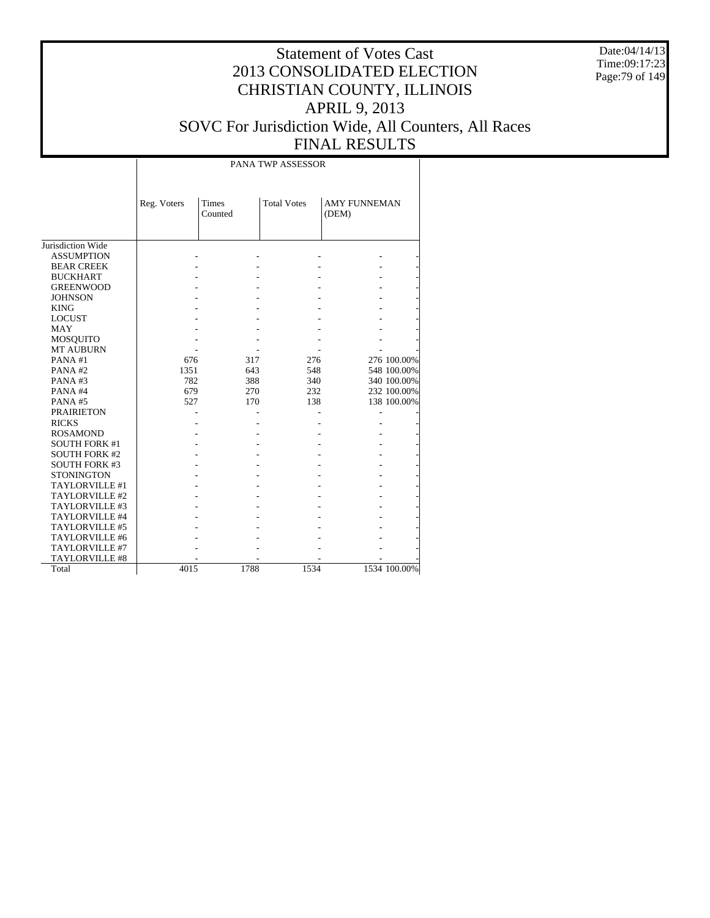Date:04/14/13 Time:09:17:23 Page:79 of 149

|                      |             |                         | PANA TWP ASSESSOR  |                              |              |
|----------------------|-------------|-------------------------|--------------------|------------------------------|--------------|
|                      | Reg. Voters | <b>Times</b><br>Counted | <b>Total Votes</b> | <b>AMY FUNNEMAN</b><br>(DEM) |              |
| Jurisdiction Wide    |             |                         |                    |                              |              |
| <b>ASSUMPTION</b>    |             |                         |                    |                              |              |
| <b>BEAR CREEK</b>    |             |                         |                    |                              |              |
| <b>BUCKHART</b>      |             |                         |                    |                              |              |
| <b>GREENWOOD</b>     |             |                         |                    |                              |              |
| <b>JOHNSON</b>       |             |                         |                    |                              |              |
| <b>KING</b>          |             |                         |                    |                              |              |
| <b>LOCUST</b>        |             |                         |                    |                              |              |
| MAY                  |             |                         |                    |                              |              |
| <b>MOSQUITO</b>      |             |                         |                    |                              |              |
| <b>MT AUBURN</b>     |             |                         |                    |                              |              |
| PANA#1               | 676         | 317                     | 276                |                              | 276 100.00%  |
| PANA#2               | 1351        | 643                     | 548                |                              | 548 100.00%  |
| PANA#3               | 782         | 388                     | 340                |                              | 340 100.00%  |
| PANA#4               | 679         | 270                     | 232                |                              | 232 100.00%  |
| PANA#5               | 527         | 170                     | 138                |                              | 138 100.00%  |
| <b>PRAIRIETON</b>    |             |                         |                    |                              |              |
| <b>RICKS</b>         |             |                         |                    |                              |              |
| <b>ROSAMOND</b>      |             |                         |                    |                              |              |
| <b>SOUTH FORK #1</b> |             |                         |                    |                              |              |
| <b>SOUTH FORK #2</b> |             |                         |                    |                              |              |
| <b>SOUTH FORK #3</b> |             |                         |                    |                              |              |
| <b>STONINGTON</b>    |             |                         |                    |                              |              |
| TAYLORVILLE #1       |             |                         |                    |                              |              |
| TAYLORVILLE #2       |             |                         |                    |                              |              |
| TAYLORVILLE #3       |             |                         |                    |                              |              |
| TAYLORVILLE #4       |             |                         |                    |                              |              |
| TAYLORVILLE #5       |             |                         |                    |                              |              |
| TAYLORVILLE #6       |             |                         |                    |                              |              |
| TAYLORVILLE #7       |             |                         |                    |                              |              |
| TAYLORVILLE #8       |             |                         |                    |                              |              |
| Total                | 4015        | 1788                    | 1534               |                              | 1534 100.00% |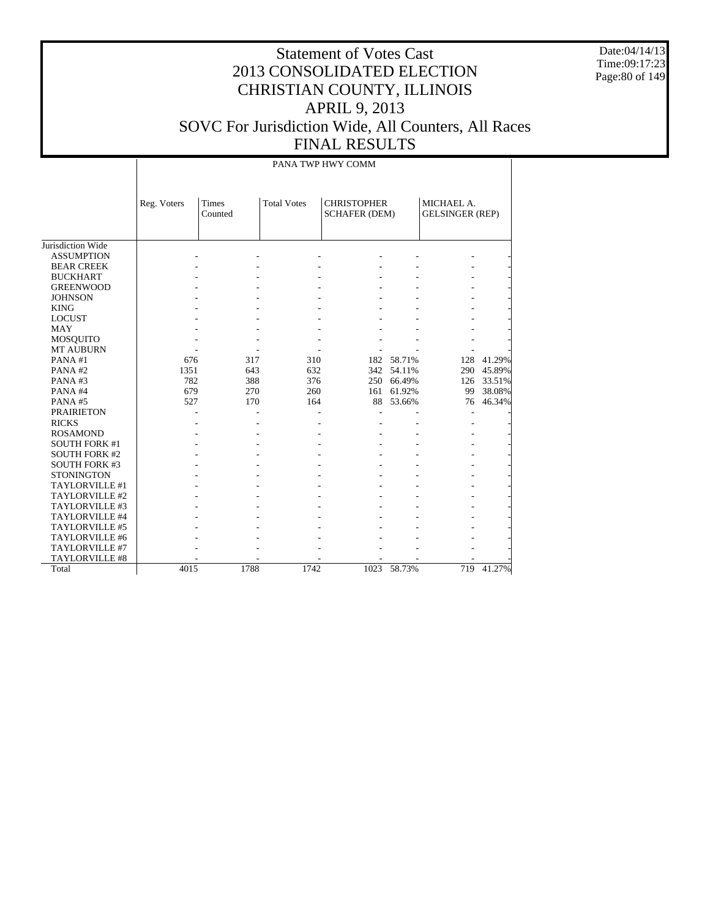Date:04/14/13 Time:09:17:23 Page:80 of 149

|                      |             |                  |                    | PANA TWP HWY COMM                          |            |                                      |        |  |
|----------------------|-------------|------------------|--------------------|--------------------------------------------|------------|--------------------------------------|--------|--|
|                      | Reg. Voters | Times<br>Counted | <b>Total Votes</b> | <b>CHRISTOPHER</b><br><b>SCHAFER (DEM)</b> |            | MICHAEL A.<br><b>GELSINGER (REP)</b> |        |  |
| Jurisdiction Wide    |             |                  |                    |                                            |            |                                      |        |  |
| <b>ASSUMPTION</b>    |             |                  |                    |                                            |            |                                      |        |  |
| <b>BEAR CREEK</b>    |             |                  |                    |                                            |            |                                      |        |  |
| <b>BUCKHART</b>      |             |                  |                    |                                            |            |                                      |        |  |
| <b>GREENWOOD</b>     |             |                  |                    |                                            |            |                                      |        |  |
| <b>JOHNSON</b>       |             |                  |                    |                                            |            |                                      |        |  |
| <b>KING</b>          |             |                  |                    |                                            |            |                                      |        |  |
| <b>LOCUST</b>        |             |                  |                    |                                            |            |                                      |        |  |
| <b>MAY</b>           |             |                  |                    |                                            |            |                                      |        |  |
| <b>MOSQUITO</b>      |             |                  |                    |                                            |            |                                      |        |  |
| <b>MT AUBURN</b>     |             |                  |                    |                                            |            |                                      |        |  |
| PANA#1               | 676         | 317              | 310                | 182                                        | 58.71%     | 128                                  | 41.29% |  |
| PANA#2               | 1351        | 643              | 632                |                                            | 342 54.11% | 290                                  | 45.89% |  |
| PANA#3               | 782         | 388              | 376                |                                            | 250 66.49% | 126                                  | 33.51% |  |
| PANA#4               | 679         | 270              | 260                |                                            | 161 61.92% | 99                                   | 38.08% |  |
| PANA#5               | 527         | 170              | 164                |                                            | 88 53.66%  | 76                                   | 46.34% |  |
| <b>PRAIRIETON</b>    |             |                  |                    |                                            |            |                                      |        |  |
| <b>RICKS</b>         |             |                  |                    |                                            |            |                                      |        |  |
| <b>ROSAMOND</b>      |             |                  |                    |                                            |            |                                      |        |  |
| <b>SOUTH FORK #1</b> |             |                  |                    |                                            |            |                                      |        |  |
| <b>SOUTH FORK #2</b> |             |                  |                    |                                            |            |                                      |        |  |
| <b>SOUTH FORK #3</b> |             |                  |                    |                                            |            |                                      |        |  |
| <b>STONINGTON</b>    |             |                  |                    |                                            |            |                                      |        |  |
| TAYLORVILLE #1       |             |                  |                    |                                            |            |                                      |        |  |
| TAYLORVILLE #2       |             |                  |                    |                                            |            |                                      |        |  |
| TAYLORVILLE #3       |             |                  |                    |                                            |            |                                      |        |  |
| TAYLORVILLE #4       |             |                  |                    |                                            |            |                                      |        |  |
| TAYLORVILLE #5       |             |                  |                    |                                            |            |                                      |        |  |
| TAYLORVILLE #6       |             |                  |                    |                                            |            |                                      |        |  |
| TAYLORVILLE #7       |             |                  |                    |                                            |            |                                      |        |  |
| TAYLORVILLE #8       |             |                  |                    |                                            |            |                                      |        |  |
| Total                | 4015        | 1788             | 1742               | 1023                                       | 58.73%     | 719                                  | 41.27% |  |
|                      |             |                  |                    |                                            |            |                                      |        |  |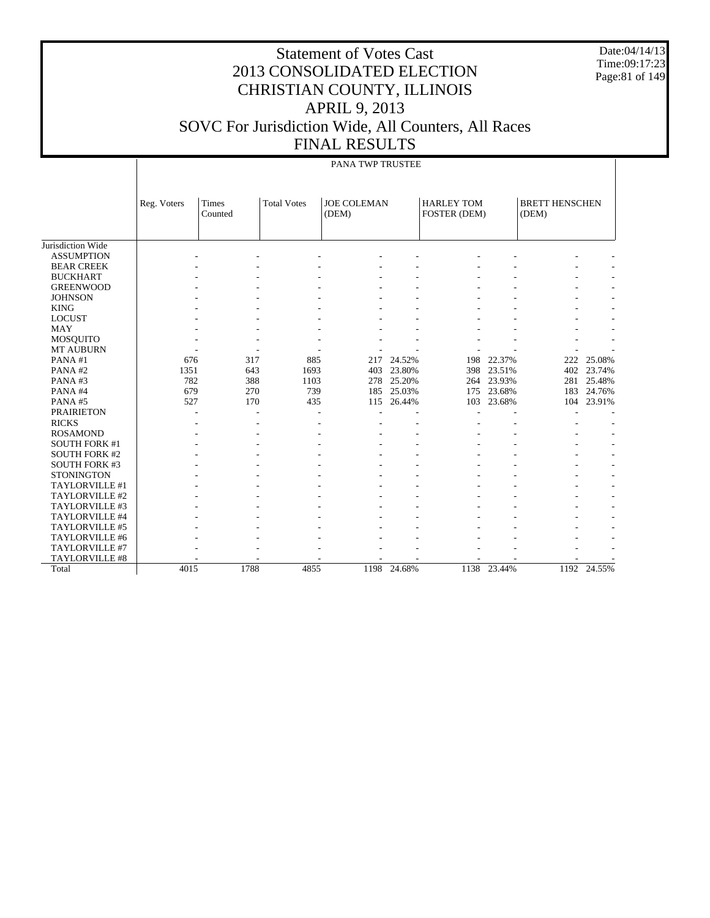Date:04/14/13 Time:09:17:23 Page:81 of 149

#### Statement of Votes Cast 2013 CONSOLIDATED ELECTION CHRISTIAN COUNTY, ILLINOIS APRIL 9, 2013 SOVC For Jurisdiction Wide, All Counters, All Races FINAL RESULTS

#### PANA TWP TRUSTEE

|                      | Reg. Voters | <b>Times</b><br>Counted | <b>Total Votes</b> | <b>JOE COLEMAN</b><br>(DEM) |        | <b>HARLEY TOM</b><br>FOSTER (DEM) |        | <b>BRETT HENSCHEN</b><br>(DEM) |        |
|----------------------|-------------|-------------------------|--------------------|-----------------------------|--------|-----------------------------------|--------|--------------------------------|--------|
|                      |             |                         |                    |                             |        |                                   |        |                                |        |
| Jurisdiction Wide    |             |                         |                    |                             |        |                                   |        |                                |        |
| <b>ASSUMPTION</b>    |             |                         |                    |                             |        |                                   |        |                                |        |
| <b>BEAR CREEK</b>    |             |                         |                    |                             |        |                                   |        |                                |        |
| <b>BUCKHART</b>      |             |                         |                    |                             |        |                                   |        |                                |        |
| <b>GREENWOOD</b>     |             |                         |                    |                             |        |                                   |        |                                |        |
| <b>JOHNSON</b>       |             |                         |                    |                             |        |                                   |        |                                |        |
| <b>KING</b>          |             |                         |                    |                             |        |                                   |        |                                |        |
| <b>LOCUST</b>        |             |                         |                    |                             |        |                                   |        |                                |        |
| <b>MAY</b>           |             |                         |                    |                             |        |                                   |        |                                |        |
| <b>MOSQUITO</b>      |             |                         |                    |                             |        |                                   |        |                                |        |
| <b>MT AUBURN</b>     |             |                         |                    |                             |        |                                   |        |                                |        |
| PANA#1               | 676         | 317                     | 885                | 217                         | 24.52% | 198                               | 22.37% | 222                            | 25.08% |
| PANA#2               | 1351        | 643                     | 1693               | 403                         | 23.80% | 398                               | 23.51% | 402                            | 23.74% |
| PANA#3               | 782         | 388                     | 1103               | 278                         | 25.20% | 264                               | 23.93% | 281                            | 25.48% |
| PANA#4               | 679         | 270                     | 739                | 185                         | 25.03% | 175                               | 23.68% | 183                            | 24.76% |
| PANA#5               | 527         | 170                     | 435                | 115                         | 26.44% | 103                               | 23.68% | 104                            | 23.91% |
| <b>PRAIRIETON</b>    |             |                         |                    |                             |        |                                   |        |                                |        |
| <b>RICKS</b>         |             |                         |                    |                             |        |                                   |        |                                |        |
| <b>ROSAMOND</b>      |             |                         |                    |                             |        |                                   |        |                                |        |
| <b>SOUTH FORK #1</b> |             |                         |                    |                             |        |                                   |        |                                |        |
| <b>SOUTH FORK #2</b> |             |                         |                    |                             |        |                                   |        |                                |        |
| <b>SOUTH FORK #3</b> |             |                         |                    |                             |        |                                   |        |                                |        |
| <b>STONINGTON</b>    |             |                         |                    |                             |        |                                   |        |                                |        |
| TAYLORVILLE #1       |             |                         |                    |                             |        |                                   |        |                                |        |
| TAYLORVILLE #2       |             |                         |                    |                             |        |                                   |        |                                |        |
| TAYLORVILLE #3       |             |                         |                    |                             |        |                                   |        |                                |        |
| TAYLORVILLE #4       |             |                         |                    |                             |        |                                   |        |                                |        |
| TAYLORVILLE #5       |             |                         |                    |                             |        |                                   |        |                                |        |
| TAYLORVILLE #6       |             |                         |                    |                             |        |                                   |        |                                |        |
| TAYLORVILLE #7       |             |                         |                    |                             |        |                                   |        |                                |        |
| TAYLORVILLE #8       |             |                         |                    |                             |        |                                   |        |                                |        |
| Total                | 4015        | 1788                    | 4855               | 1198                        | 24.68% | 1138                              | 23.44% | 1192                           | 24.55% |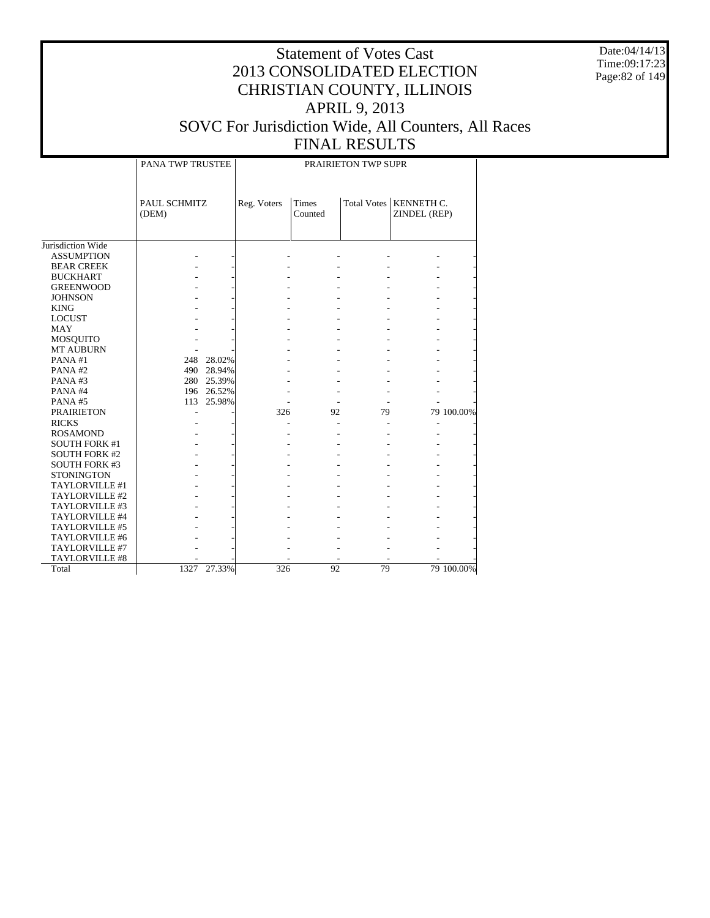Date:04/14/13 Time:09:17:23 Page:82 of 149

#### Statement of Votes Cast 2013 CONSOLIDATED ELECTION CHRISTIAN COUNTY, ILLINOIS APRIL 9, 2013 SOVC For Jurisdiction Wide, All Counters, All Races FINAL RESULTS

### PRAIRIETON TWP SUPR

Τ

|                      | PANA TWP TRUSTEE      |            |             |                         | PRAIRIETON TWP SUPR |                                          |            |
|----------------------|-----------------------|------------|-------------|-------------------------|---------------------|------------------------------------------|------------|
|                      | PAUL SCHMITZ<br>(DEM) |            | Reg. Voters | <b>Times</b><br>Counted |                     | Total Votes   KENNETH C.<br>ZINDEL (REP) |            |
| Jurisdiction Wide    |                       |            |             |                         |                     |                                          |            |
| <b>ASSUMPTION</b>    |                       |            |             |                         |                     |                                          |            |
| <b>BEAR CREEK</b>    |                       |            |             |                         |                     |                                          |            |
| <b>BUCKHART</b>      |                       |            |             |                         |                     |                                          |            |
| <b>GREENWOOD</b>     |                       |            |             |                         |                     |                                          |            |
| <b>JOHNSON</b>       |                       |            |             |                         |                     |                                          |            |
| <b>KING</b>          |                       |            |             |                         |                     |                                          |            |
| <b>LOCUST</b>        |                       |            |             |                         |                     |                                          |            |
| <b>MAY</b>           |                       |            |             |                         |                     |                                          |            |
| <b>MOSQUITO</b>      |                       |            |             |                         |                     |                                          |            |
| <b>MT AUBURN</b>     |                       |            |             |                         |                     |                                          |            |
| PANA $#1$            | 248                   | 28.02%     |             |                         |                     |                                          |            |
| PANA#2               |                       | 490 28.94% |             |                         |                     |                                          |            |
| PANA#3               |                       | 280 25.39% |             |                         |                     |                                          |            |
| PANA#4               |                       | 196 26.52% |             |                         |                     |                                          |            |
| PANA#5               | 113                   | 25.98%     |             |                         |                     |                                          |            |
| <b>PRAIRIETON</b>    |                       |            | 326         | 92                      | 79                  |                                          | 79 100.00% |
| <b>RICKS</b>         |                       |            |             |                         |                     |                                          |            |
| <b>ROSAMOND</b>      |                       |            |             |                         |                     |                                          |            |
| <b>SOUTH FORK #1</b> |                       |            |             |                         |                     |                                          |            |
| <b>SOUTH FORK #2</b> |                       |            |             |                         |                     |                                          |            |
| <b>SOUTH FORK #3</b> |                       |            |             |                         |                     |                                          |            |
| <b>STONINGTON</b>    |                       |            |             |                         |                     |                                          |            |
| TAYLORVILLE #1       |                       |            |             |                         |                     |                                          |            |
| TAYLORVILLE #2       |                       |            |             |                         |                     |                                          |            |
| TAYLORVILLE #3       |                       |            |             |                         |                     |                                          |            |
| TAYLORVILLE #4       |                       |            |             |                         |                     |                                          |            |
| TAYLORVILLE #5       |                       |            |             |                         |                     |                                          |            |
| TAYLORVILLE #6       |                       |            |             |                         |                     |                                          |            |
| TAYLORVILLE #7       |                       |            |             |                         |                     |                                          |            |
| TAYLORVILLE #8       |                       |            |             |                         |                     |                                          |            |
| Total                | 1327                  | 27.33%     | 326         | 92                      | 79                  |                                          | 79 100.00% |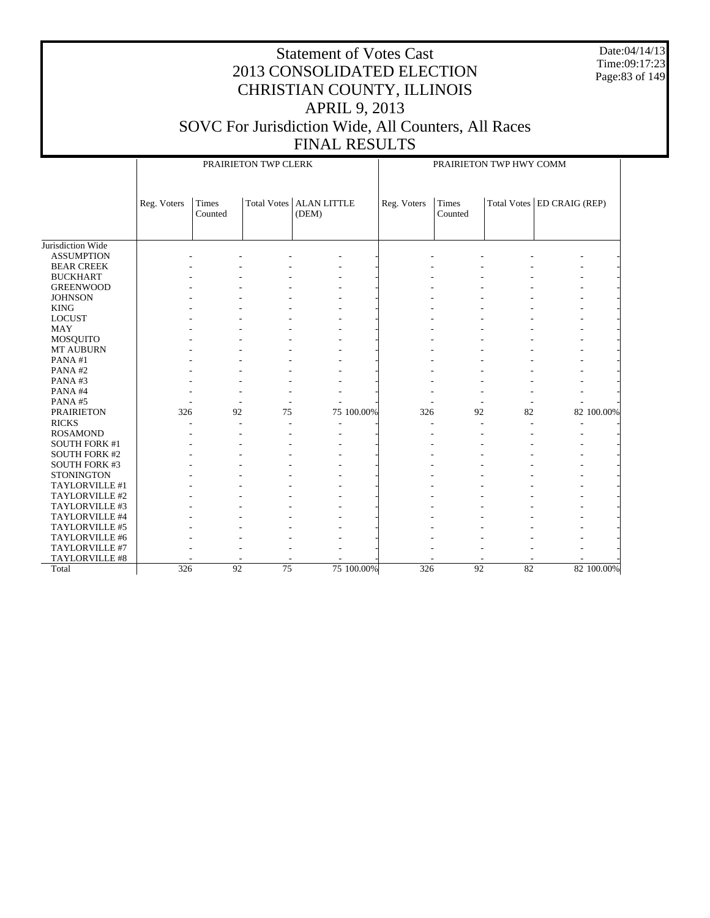Date:04/14/13 Time:09:17:23 Page:83 of 149

|                      |             |                         | PRAIRIETON TWP CLERK |                             |            | PRAIRIETON TWP HWY COMM |                  |    |                              |            |  |
|----------------------|-------------|-------------------------|----------------------|-----------------------------|------------|-------------------------|------------------|----|------------------------------|------------|--|
|                      | Reg. Voters | <b>Times</b><br>Counted | Total Votes          | <b>ALAN LITTLE</b><br>(DEM) |            | Reg. Voters             | Times<br>Counted |    | Total Votes   ED CRAIG (REP) |            |  |
| Jurisdiction Wide    |             |                         |                      |                             |            |                         |                  |    |                              |            |  |
| <b>ASSUMPTION</b>    |             |                         |                      |                             |            |                         |                  |    |                              |            |  |
| <b>BEAR CREEK</b>    |             |                         |                      |                             |            |                         |                  |    |                              |            |  |
| <b>BUCKHART</b>      |             |                         |                      |                             |            |                         |                  |    |                              |            |  |
| <b>GREENWOOD</b>     |             |                         |                      |                             |            |                         |                  |    |                              |            |  |
| <b>JOHNSON</b>       |             |                         |                      |                             |            |                         |                  |    |                              |            |  |
| <b>KING</b>          |             |                         |                      |                             |            |                         |                  |    |                              |            |  |
| <b>LOCUST</b>        |             |                         |                      |                             |            |                         |                  |    |                              |            |  |
| <b>MAY</b>           |             |                         |                      |                             |            |                         |                  |    |                              |            |  |
| <b>MOSQUITO</b>      |             |                         |                      |                             |            |                         |                  |    |                              |            |  |
| MT AUBURN            |             |                         |                      |                             |            |                         |                  |    |                              |            |  |
| PANA#1               |             |                         |                      |                             |            |                         |                  |    |                              |            |  |
| PANA#2               |             |                         |                      |                             |            |                         |                  |    |                              |            |  |
| PANA#3               |             |                         |                      |                             |            |                         |                  |    |                              |            |  |
| PANA#4               |             |                         |                      |                             |            |                         |                  |    |                              |            |  |
| PANA#5               |             |                         |                      |                             |            |                         |                  |    |                              |            |  |
| <b>PRAIRIETON</b>    | 326         | 92                      | 75                   |                             | 75 100.00% | 326                     | 92               | 82 |                              | 82 100.00% |  |
| <b>RICKS</b>         |             |                         |                      |                             |            | $\overline{a}$          |                  |    | $\overline{a}$               |            |  |
| <b>ROSAMOND</b>      |             |                         |                      |                             |            |                         |                  |    |                              |            |  |
| <b>SOUTH FORK #1</b> |             |                         |                      |                             |            |                         |                  |    |                              |            |  |
| <b>SOUTH FORK #2</b> |             |                         |                      |                             |            |                         |                  |    |                              |            |  |
| <b>SOUTH FORK #3</b> |             |                         |                      |                             |            |                         |                  |    |                              |            |  |
| <b>STONINGTON</b>    |             |                         |                      |                             |            |                         |                  |    |                              |            |  |
| TAYLORVILLE #1       |             |                         |                      |                             |            |                         |                  |    |                              |            |  |
| TAYLORVILLE #2       |             |                         |                      |                             |            |                         |                  |    |                              |            |  |
| TAYLORVILLE #3       |             |                         |                      |                             |            |                         |                  |    |                              |            |  |
| TAYLORVILLE #4       |             |                         |                      |                             |            |                         |                  |    |                              |            |  |
| TAYLORVILLE #5       |             |                         |                      |                             |            |                         |                  |    |                              |            |  |
| TAYLORVILLE #6       |             |                         |                      |                             |            |                         |                  |    |                              |            |  |
| TAYLORVILLE #7       |             |                         |                      |                             |            |                         |                  |    |                              |            |  |
| TAYLORVILLE #8       |             |                         |                      |                             |            |                         |                  |    |                              |            |  |
| Total                | 326         | 92                      | $\overline{75}$      |                             | 75 100.00% | 326                     | 92               | 82 |                              | 82 100.00% |  |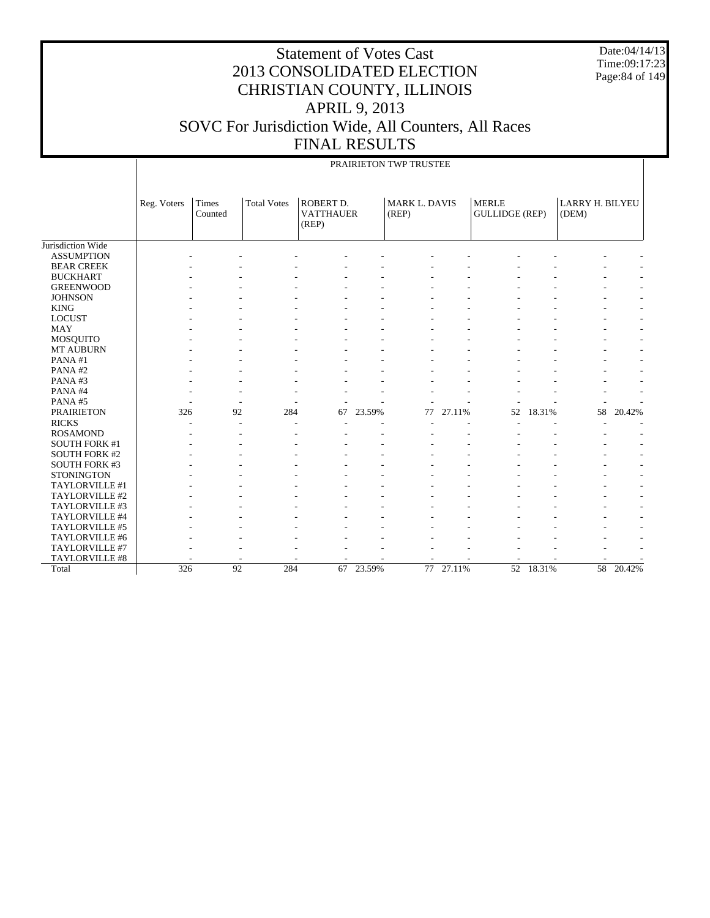Date:04/14/13 Time:09:17:23 Page:84 of 149

|                      |             |                  |                    |                                               |           | PRAIRIETON TWP TRUSTEE |        |                                       |           |                          |        |
|----------------------|-------------|------------------|--------------------|-----------------------------------------------|-----------|------------------------|--------|---------------------------------------|-----------|--------------------------|--------|
|                      | Reg. Voters | Times<br>Counted | <b>Total Votes</b> | <b>ROBERT D.</b><br><b>VATTHAUER</b><br>(REP) |           | MARK L. DAVIS<br>(REP) |        | <b>MERLE</b><br><b>GULLIDGE (REP)</b> |           | LARRY H. BILYEU<br>(DEM) |        |
| Jurisdiction Wide    |             |                  |                    |                                               |           |                        |        |                                       |           |                          |        |
| <b>ASSUMPTION</b>    |             |                  |                    |                                               |           |                        |        |                                       |           |                          |        |
| <b>BEAR CREEK</b>    |             |                  |                    |                                               |           |                        |        |                                       |           |                          |        |
| <b>BUCKHART</b>      |             |                  |                    |                                               |           |                        |        |                                       |           |                          |        |
| <b>GREENWOOD</b>     |             |                  |                    |                                               |           |                        |        |                                       |           |                          |        |
| <b>JOHNSON</b>       |             |                  |                    |                                               |           |                        |        |                                       |           |                          |        |
| <b>KING</b>          |             |                  |                    |                                               |           |                        |        |                                       |           |                          |        |
| <b>LOCUST</b>        |             |                  |                    |                                               |           |                        |        |                                       |           |                          |        |
| <b>MAY</b>           |             |                  |                    |                                               |           |                        |        |                                       |           |                          |        |
| MOSQUITO             |             |                  |                    |                                               |           |                        |        |                                       |           |                          |        |
| MT AUBURN            |             |                  |                    |                                               |           |                        |        |                                       |           |                          |        |
| PANA#1               |             |                  |                    |                                               |           |                        |        |                                       |           |                          |        |
| PANA#2               |             |                  |                    |                                               |           |                        |        |                                       |           |                          |        |
| PANA#3               |             |                  |                    |                                               |           |                        |        |                                       |           |                          |        |
| PANA#4               |             |                  |                    |                                               |           |                        |        |                                       |           |                          |        |
| PANA#5               |             |                  |                    |                                               |           |                        |        |                                       |           |                          |        |
| <b>PRAIRIETON</b>    | 326         | 92               | 284                | 67                                            | 23.59%    | 77                     | 27.11% | 52                                    | 18.31%    | 58                       | 20.42% |
| <b>RICKS</b>         |             |                  |                    |                                               |           |                        |        |                                       |           |                          |        |
| <b>ROSAMOND</b>      |             |                  |                    |                                               |           |                        |        |                                       |           |                          |        |
| <b>SOUTH FORK #1</b> |             |                  |                    |                                               |           |                        |        |                                       |           |                          |        |
| <b>SOUTH FORK #2</b> |             |                  |                    |                                               |           |                        |        |                                       |           |                          |        |
| <b>SOUTH FORK #3</b> |             |                  |                    |                                               |           |                        |        |                                       |           |                          |        |
| <b>STONINGTON</b>    |             |                  |                    |                                               |           |                        |        |                                       |           |                          |        |
| TAYLORVILLE #1       |             |                  |                    |                                               |           |                        |        |                                       |           |                          |        |
| TAYLORVILLE #2       |             |                  |                    |                                               |           |                        |        |                                       |           |                          |        |
| TAYLORVILLE #3       |             |                  |                    |                                               |           |                        |        |                                       |           |                          |        |
| TAYLORVILLE #4       |             |                  |                    |                                               |           |                        |        |                                       |           |                          |        |
| TAYLORVILLE #5       |             |                  |                    |                                               |           |                        |        |                                       |           |                          |        |
| TAYLORVILLE #6       |             |                  |                    |                                               |           |                        |        |                                       |           |                          |        |
| TAYLORVILLE #7       |             |                  |                    |                                               |           |                        |        |                                       |           |                          |        |
| TAYLORVILLE #8       |             |                  |                    |                                               |           |                        |        |                                       |           |                          |        |
| Total                | 326         | 92               | 284                |                                               | 67 23.59% | 77                     | 27.11% |                                       | 52 18.31% | $\overline{58}$          | 20.42% |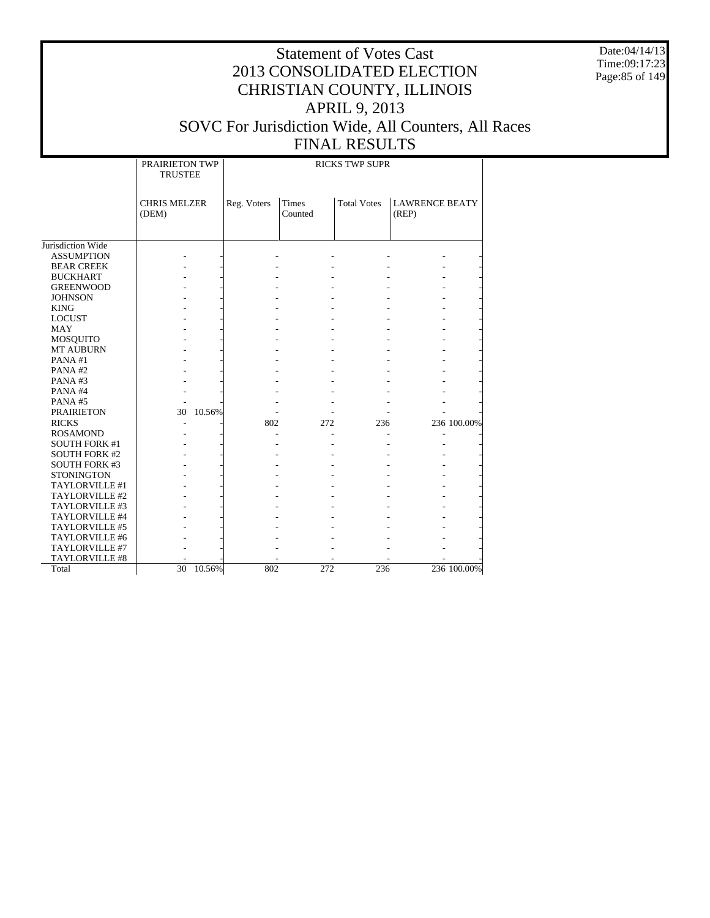Date:04/14/13 Time:09:17:23 Page:85 of 149

# Statement of Votes Cast 2013 CONSOLIDATED ELECTION CHRISTIAN COUNTY, ILLINOIS APRIL 9, 2013 SOVC For Jurisdiction Wide, All Counters, All Races

#### FINAL RESULTS PRAIRIETON TWP TRUSTEE RICKS TWP SUPR

|                      | <b>CHRIS MELZER</b><br>(DEM) |        | Reg. Voters | <b>Times</b><br>Counted | <b>Total Votes</b> | <b>LAWRENCE BEATY</b><br>(REP) |             |
|----------------------|------------------------------|--------|-------------|-------------------------|--------------------|--------------------------------|-------------|
|                      |                              |        |             |                         |                    |                                |             |
| Jurisdiction Wide    |                              |        |             |                         |                    |                                |             |
| <b>ASSUMPTION</b>    |                              |        |             |                         |                    |                                |             |
| <b>BEAR CREEK</b>    |                              |        |             |                         |                    |                                |             |
| <b>BUCKHART</b>      |                              |        |             |                         |                    |                                |             |
| <b>GREENWOOD</b>     |                              |        |             |                         |                    |                                |             |
| <b>JOHNSON</b>       |                              |        |             |                         |                    |                                |             |
| <b>KING</b>          |                              |        |             |                         |                    |                                |             |
| <b>LOCUST</b>        |                              |        |             |                         |                    |                                |             |
| <b>MAY</b>           |                              |        |             |                         |                    |                                |             |
| MOSQUITO             |                              |        |             |                         |                    |                                |             |
| MT AUBURN            |                              |        |             |                         |                    |                                |             |
| PANA#1               |                              |        |             |                         |                    |                                |             |
| PANA#2               |                              |        |             |                         |                    |                                |             |
| PANA#3               |                              |        |             |                         |                    |                                |             |
| PANA#4               |                              |        |             |                         |                    |                                |             |
| PANA#5               |                              |        |             |                         |                    |                                |             |
| <b>PRAIRIETON</b>    | 30                           | 10.56% |             |                         |                    |                                |             |
| <b>RICKS</b>         |                              |        | 802         | 272                     | 236                |                                | 236 100.00% |
| <b>ROSAMOND</b>      |                              |        |             |                         |                    |                                |             |
| <b>SOUTH FORK #1</b> |                              |        |             |                         |                    |                                |             |
| <b>SOUTH FORK #2</b> |                              |        |             |                         |                    |                                |             |
| <b>SOUTH FORK #3</b> |                              |        |             |                         |                    |                                |             |
| <b>STONINGTON</b>    |                              |        |             |                         |                    |                                |             |
| TAYLORVILLE #1       |                              |        |             |                         |                    |                                |             |
| TAYLORVILLE #2       |                              |        |             |                         |                    |                                |             |
| TAYLORVILLE #3       |                              |        |             |                         |                    |                                |             |
| TAYLORVILLE #4       |                              |        |             |                         |                    |                                |             |
| TAYLORVILLE #5       |                              |        |             |                         |                    |                                |             |
| TAYLORVILLE #6       |                              |        |             |                         |                    |                                |             |
| TAYLORVILLE #7       |                              |        |             |                         |                    |                                |             |
| TAYLORVILLE #8       |                              |        |             |                         |                    |                                |             |
| Total                | 30                           | 10.56% | 802         | 272                     | 236                |                                | 236 100.00% |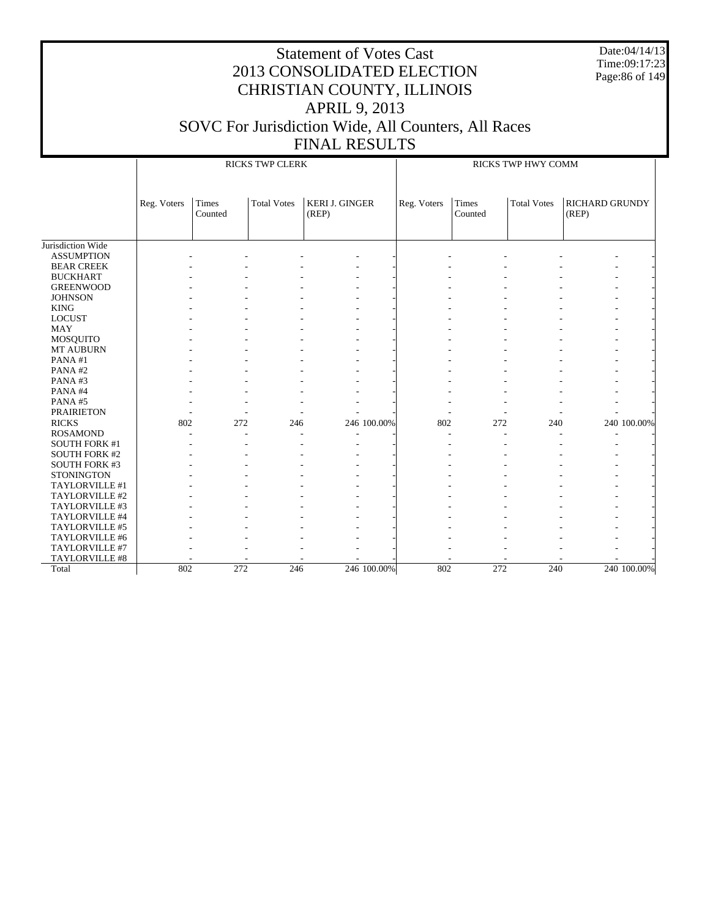Date:04/14/13 Time:09:17:23 Page:86 of 149

|                      |             |                  | <b>RICKS TWP CLERK</b> |                                |             |             |                  | RICKS TWP HWY COMM |                                |             |
|----------------------|-------------|------------------|------------------------|--------------------------------|-------------|-------------|------------------|--------------------|--------------------------------|-------------|
|                      | Reg. Voters | Times<br>Counted | <b>Total Votes</b>     | <b>KERI J. GINGER</b><br>(REP) |             | Reg. Voters | Times<br>Counted | <b>Total Votes</b> | <b>RICHARD GRUNDY</b><br>(REP) |             |
| Jurisdiction Wide    |             |                  |                        |                                |             |             |                  |                    |                                |             |
| <b>ASSUMPTION</b>    |             |                  |                        |                                |             |             |                  |                    |                                |             |
| <b>BEAR CREEK</b>    |             |                  |                        |                                |             |             |                  |                    |                                |             |
| <b>BUCKHART</b>      |             |                  |                        |                                |             |             |                  |                    |                                |             |
| <b>GREENWOOD</b>     |             |                  |                        |                                |             |             |                  |                    |                                |             |
| <b>JOHNSON</b>       |             |                  |                        |                                |             |             |                  |                    |                                |             |
| <b>KING</b>          |             |                  |                        |                                |             |             |                  |                    |                                |             |
| <b>LOCUST</b>        |             |                  |                        |                                |             |             |                  |                    |                                |             |
| <b>MAY</b>           |             |                  |                        |                                |             |             |                  |                    |                                |             |
| <b>MOSQUITO</b>      |             |                  |                        |                                |             |             |                  |                    |                                |             |
| <b>MT AUBURN</b>     |             |                  |                        |                                |             |             |                  |                    |                                |             |
| PANA#1               |             |                  |                        |                                |             |             |                  |                    |                                |             |
| PANA#2               |             |                  |                        |                                |             |             |                  |                    |                                |             |
| PANA#3               |             |                  |                        |                                |             |             |                  |                    |                                |             |
| PANA#4               |             |                  |                        |                                |             |             |                  |                    |                                |             |
| PANA#5               |             |                  |                        |                                |             |             |                  |                    |                                |             |
| <b>PRAIRIETON</b>    |             |                  |                        |                                |             |             |                  |                    |                                |             |
| <b>RICKS</b>         | 802         | 272              | 246                    |                                | 246 100.00% | 802         | 272              | 240                |                                | 240 100.00% |
| <b>ROSAMOND</b>      |             |                  |                        |                                |             |             | ۰                |                    |                                |             |
| <b>SOUTH FORK #1</b> |             |                  |                        |                                |             |             |                  |                    |                                |             |
| <b>SOUTH FORK #2</b> |             |                  |                        |                                |             |             |                  |                    |                                |             |
| <b>SOUTH FORK #3</b> |             |                  |                        |                                |             |             |                  |                    |                                |             |
| <b>STONINGTON</b>    |             |                  |                        |                                |             |             |                  |                    |                                |             |
| TAYLORVILLE #1       |             |                  |                        |                                |             |             |                  |                    |                                |             |
| TAYLORVILLE #2       |             |                  |                        |                                |             |             |                  |                    |                                |             |
| TAYLORVILLE #3       |             |                  |                        |                                |             |             |                  |                    |                                |             |
| TAYLORVILLE #4       |             |                  |                        |                                |             |             |                  |                    |                                |             |
| TAYLORVILLE #5       |             |                  |                        |                                |             |             |                  |                    |                                |             |
| TAYLORVILLE #6       |             |                  |                        |                                |             |             |                  |                    |                                |             |
| TAYLORVILLE #7       |             |                  |                        |                                |             |             |                  |                    |                                |             |
| TAYLORVILLE #8       |             |                  |                        |                                |             |             |                  |                    |                                |             |
| Total                | 802         | 272              | 246                    |                                | 246 100.00% | 802         | 272              | 240                |                                | 240 100.00% |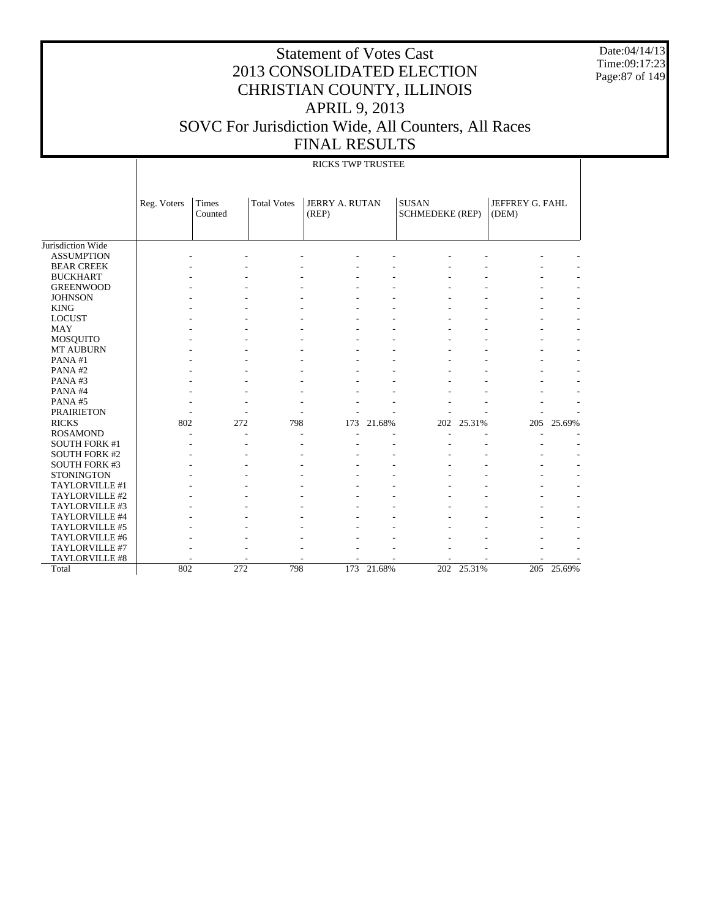Date:04/14/13 Time:09:17:23 Page:87 of 149

|                      |             |                  |                    | <b>RICKS TWP TRUSTEE</b> |            |                                        |            |                          |            |
|----------------------|-------------|------------------|--------------------|--------------------------|------------|----------------------------------------|------------|--------------------------|------------|
|                      | Reg. Voters | Times<br>Counted | <b>Total Votes</b> | JERRY A. RUTAN<br>(REP)  |            | <b>SUSAN</b><br><b>SCHMEDEKE (REP)</b> |            | JEFFREY G. FAHL<br>(DEM) |            |
| Jurisdiction Wide    |             |                  |                    |                          |            |                                        |            |                          |            |
| <b>ASSUMPTION</b>    |             |                  |                    |                          |            |                                        |            |                          |            |
| <b>BEAR CREEK</b>    |             |                  |                    |                          |            |                                        |            |                          |            |
| <b>BUCKHART</b>      |             |                  |                    |                          |            |                                        |            |                          |            |
| <b>GREENWOOD</b>     |             |                  |                    |                          |            |                                        |            |                          |            |
| <b>JOHNSON</b>       |             |                  |                    |                          |            |                                        |            |                          |            |
| <b>KING</b>          |             |                  |                    |                          |            |                                        |            |                          |            |
| <b>LOCUST</b>        |             |                  |                    |                          |            |                                        |            |                          |            |
| <b>MAY</b>           |             |                  |                    |                          |            |                                        |            |                          |            |
| <b>MOSQUITO</b>      |             |                  |                    |                          |            |                                        |            |                          |            |
| <b>MT AUBURN</b>     |             |                  |                    |                          |            |                                        |            |                          |            |
| PANA#1               |             |                  |                    |                          |            |                                        |            |                          |            |
| PANA#2               |             |                  |                    |                          |            |                                        |            |                          |            |
| PANA#3               |             |                  |                    |                          |            |                                        |            |                          |            |
| PANA#4               |             |                  |                    |                          |            |                                        |            |                          |            |
| PANA#5               |             |                  |                    |                          |            |                                        |            |                          |            |
| <b>PRAIRIETON</b>    |             |                  |                    |                          |            |                                        |            |                          |            |
| <b>RICKS</b>         | 802         | 272              | 798                | 173                      | 21.68%     | 202                                    | 25.31%     | 205                      | 25.69%     |
| <b>ROSAMOND</b>      |             |                  |                    |                          |            |                                        |            |                          |            |
| <b>SOUTH FORK #1</b> |             |                  |                    |                          |            |                                        |            |                          |            |
| <b>SOUTH FORK #2</b> |             |                  |                    |                          |            |                                        |            |                          |            |
| <b>SOUTH FORK #3</b> |             |                  |                    |                          |            |                                        |            |                          |            |
| <b>STONINGTON</b>    |             |                  |                    |                          |            |                                        |            |                          |            |
| TAYLORVILLE #1       |             |                  |                    |                          |            |                                        |            |                          |            |
| TAYLORVILLE #2       |             |                  |                    |                          |            |                                        |            |                          |            |
| TAYLORVILLE #3       |             |                  |                    |                          |            |                                        |            |                          |            |
| TAYLORVILLE #4       |             |                  |                    |                          |            |                                        |            |                          |            |
| TAYLORVILLE #5       |             |                  |                    |                          |            |                                        |            |                          |            |
| TAYLORVILLE #6       |             |                  |                    |                          |            |                                        |            |                          |            |
| TAYLORVILLE #7       |             |                  |                    |                          |            |                                        |            |                          |            |
| TAYLORVILLE #8       |             |                  |                    |                          |            |                                        |            |                          |            |
| Total                | 802         | 272              | 798                |                          | 173 21.68% |                                        | 202 25.31% |                          | 205 25.69% |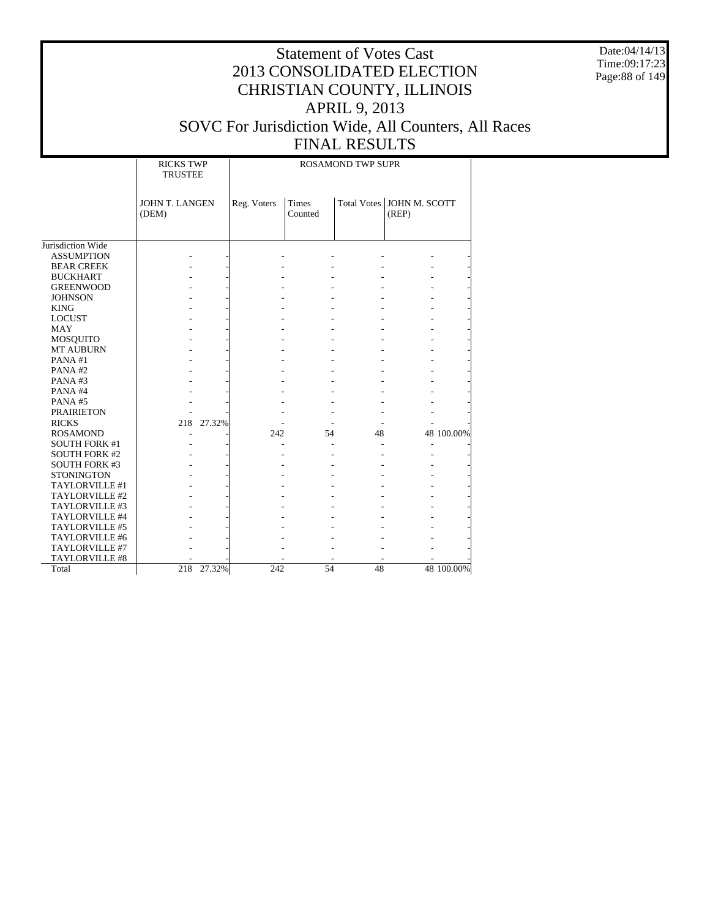Date:04/14/13 Time:09:17:23 Page:88 of 149

#### Statement of Votes Cast 2013 CONSOLIDATED ELECTION CHRISTIAN COUNTY, ILLINOIS APRIL 9, 2013 SOVC For Jurisdiction Wide, All Counters, All Races FINAL RESULTS

### ROSAMOND TWP SUPR

T

|                      | <b>RICKS TWP</b><br><b>TRUSTEE</b> |             |                         | <b>ROSAMOND TWP SUPR</b> |                                      |            |
|----------------------|------------------------------------|-------------|-------------------------|--------------------------|--------------------------------------|------------|
|                      | <b>JOHN T. LANGEN</b><br>(DEM)     | Reg. Voters | <b>Times</b><br>Counted |                          | Total Votes   JOHN M. SCOTT<br>(REP) |            |
| Jurisdiction Wide    |                                    |             |                         |                          |                                      |            |
| <b>ASSUMPTION</b>    |                                    |             |                         |                          |                                      |            |
| <b>BEAR CREEK</b>    |                                    |             |                         |                          |                                      |            |
| <b>BUCKHART</b>      |                                    |             |                         |                          |                                      |            |
| <b>GREENWOOD</b>     |                                    |             |                         |                          |                                      |            |
| <b>JOHNSON</b>       |                                    |             |                         |                          |                                      |            |
| <b>KING</b>          |                                    |             |                         |                          |                                      |            |
| <b>LOCUST</b>        |                                    |             |                         |                          |                                      |            |
| <b>MAY</b>           |                                    |             |                         |                          |                                      |            |
| <b>MOSQUITO</b>      |                                    |             |                         |                          |                                      |            |
| MT AUBURN            |                                    |             |                         |                          |                                      |            |
| PANA#1               |                                    |             |                         |                          |                                      |            |
| PANA#2               |                                    |             |                         |                          |                                      |            |
| PANA#3               |                                    |             |                         |                          |                                      |            |
| PANA#4               |                                    |             |                         |                          |                                      |            |
| PANA#5               |                                    |             |                         |                          |                                      |            |
| <b>PRAIRIETON</b>    |                                    |             |                         |                          |                                      |            |
| <b>RICKS</b>         | 218 27.32%                         |             |                         |                          |                                      |            |
| <b>ROSAMOND</b>      |                                    | 242         | 54                      | 48                       |                                      | 48 100.00% |
| <b>SOUTH FORK #1</b> |                                    |             |                         |                          |                                      |            |
| <b>SOUTH FORK #2</b> |                                    |             |                         |                          |                                      |            |
| <b>SOUTH FORK #3</b> |                                    |             |                         |                          |                                      |            |
| <b>STONINGTON</b>    |                                    |             |                         |                          |                                      |            |
| TAYLORVILLE #1       |                                    |             |                         |                          |                                      |            |
| TAYLORVILLE #2       |                                    |             |                         |                          |                                      |            |
| TAYLORVILLE #3       |                                    |             |                         |                          |                                      |            |
| TAYLORVILLE #4       |                                    |             |                         |                          |                                      |            |
| TAYLORVILLE #5       |                                    |             |                         |                          |                                      |            |
| TAYLORVILLE #6       |                                    |             |                         |                          |                                      |            |
| TAYLORVILLE #7       |                                    |             |                         |                          |                                      |            |
| TAYLORVILLE #8       |                                    |             |                         |                          |                                      |            |
| Total                | 218<br>27.32%                      | 242         | 54                      | 48                       |                                      | 48 100.00% |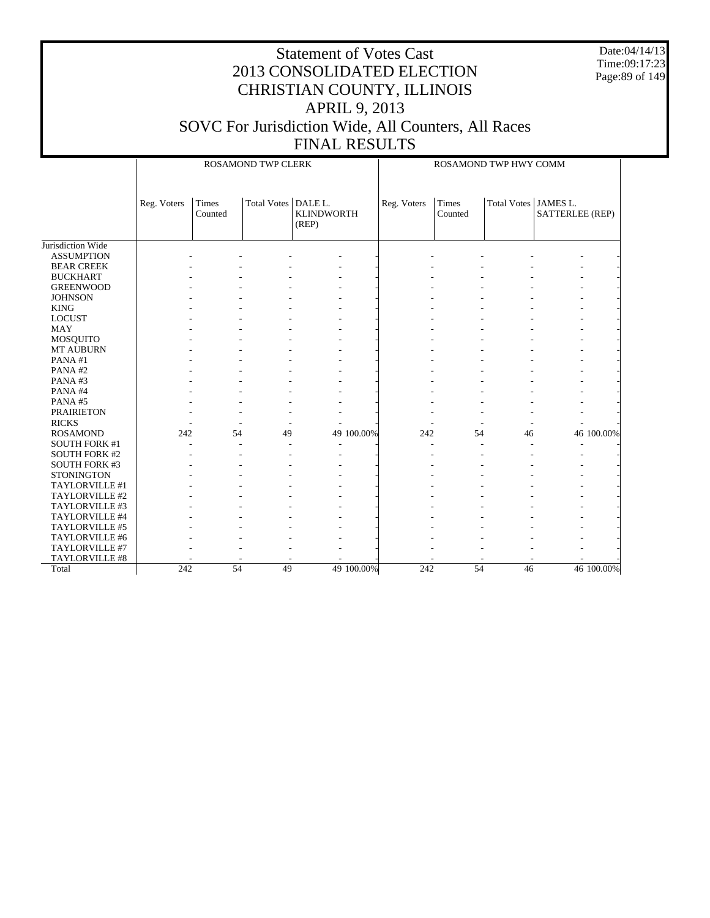Date:04/14/13 Time:09:17:23 Page:89 of 149

|                      |             | ROSAMOND TWP CLERK |                       |                            |            |             | ROSAMOND TWP HWY COMM   |                        |                 |            |  |  |
|----------------------|-------------|--------------------|-----------------------|----------------------------|------------|-------------|-------------------------|------------------------|-----------------|------------|--|--|
|                      | Reg. Voters | Times<br>Counted   | Total Votes   DALE L. | <b>KLINDWORTH</b><br>(REP) |            | Reg. Voters | <b>Times</b><br>Counted | Total Votes   JAMES L. | SATTERLEE (REP) |            |  |  |
| Jurisdiction Wide    |             |                    |                       |                            |            |             |                         |                        |                 |            |  |  |
| <b>ASSUMPTION</b>    |             |                    |                       |                            |            |             |                         |                        |                 |            |  |  |
| <b>BEAR CREEK</b>    |             |                    |                       |                            |            |             |                         |                        |                 |            |  |  |
| <b>BUCKHART</b>      |             |                    |                       |                            |            |             |                         |                        |                 |            |  |  |
| <b>GREENWOOD</b>     |             |                    |                       |                            |            |             |                         |                        |                 |            |  |  |
| <b>JOHNSON</b>       |             |                    |                       |                            |            |             |                         |                        |                 |            |  |  |
| <b>KING</b>          |             |                    |                       |                            |            |             |                         |                        |                 |            |  |  |
| <b>LOCUST</b>        |             |                    |                       |                            |            |             |                         |                        |                 |            |  |  |
| <b>MAY</b>           |             |                    |                       |                            |            |             |                         |                        |                 |            |  |  |
| <b>MOSQUITO</b>      |             |                    |                       |                            |            |             |                         |                        |                 |            |  |  |
| MT AUBURN            |             |                    |                       |                            |            |             |                         |                        |                 |            |  |  |
| PANA#1               |             |                    |                       |                            |            |             |                         |                        |                 |            |  |  |
| PANA#2               |             |                    |                       |                            |            |             |                         |                        |                 |            |  |  |
| PANA#3               |             |                    |                       |                            |            |             |                         |                        |                 |            |  |  |
| PANA#4               |             |                    |                       |                            |            |             |                         |                        |                 |            |  |  |
| PANA#5               |             |                    |                       |                            |            |             |                         |                        |                 |            |  |  |
| <b>PRAIRIETON</b>    |             |                    |                       |                            |            |             |                         |                        |                 |            |  |  |
| <b>RICKS</b>         |             |                    |                       |                            |            |             |                         |                        |                 |            |  |  |
| <b>ROSAMOND</b>      | 242         | 54                 | 49                    |                            | 49 100.00% | 242         | 54                      | 46                     |                 | 46 100.00% |  |  |
| <b>SOUTH FORK #1</b> |             |                    |                       |                            |            |             |                         |                        |                 |            |  |  |
| <b>SOUTH FORK #2</b> |             |                    |                       |                            |            |             |                         |                        |                 |            |  |  |
| <b>SOUTH FORK #3</b> |             |                    |                       |                            |            |             |                         |                        |                 |            |  |  |
| <b>STONINGTON</b>    |             |                    |                       |                            |            |             |                         |                        |                 |            |  |  |
| TAYLORVILLE #1       |             |                    |                       |                            |            |             |                         |                        |                 |            |  |  |
| TAYLORVILLE #2       |             |                    |                       |                            |            |             |                         |                        |                 |            |  |  |
| TAYLORVILLE #3       |             |                    |                       |                            |            |             |                         |                        |                 |            |  |  |
| TAYLORVILLE #4       |             |                    |                       |                            |            |             |                         |                        |                 |            |  |  |
| TAYLORVILLE #5       |             |                    |                       |                            |            |             |                         |                        |                 |            |  |  |
| TAYLORVILLE #6       |             |                    |                       |                            |            |             |                         |                        |                 |            |  |  |
| TAYLORVILLE #7       |             |                    |                       |                            |            |             |                         |                        |                 |            |  |  |
| TAYLORVILLE #8       |             |                    |                       |                            |            |             |                         |                        |                 |            |  |  |
| Total                | 242         | $\overline{54}$    | 49                    |                            | 49 100.00% | 242         | 54                      | 46                     |                 | 46 100.00% |  |  |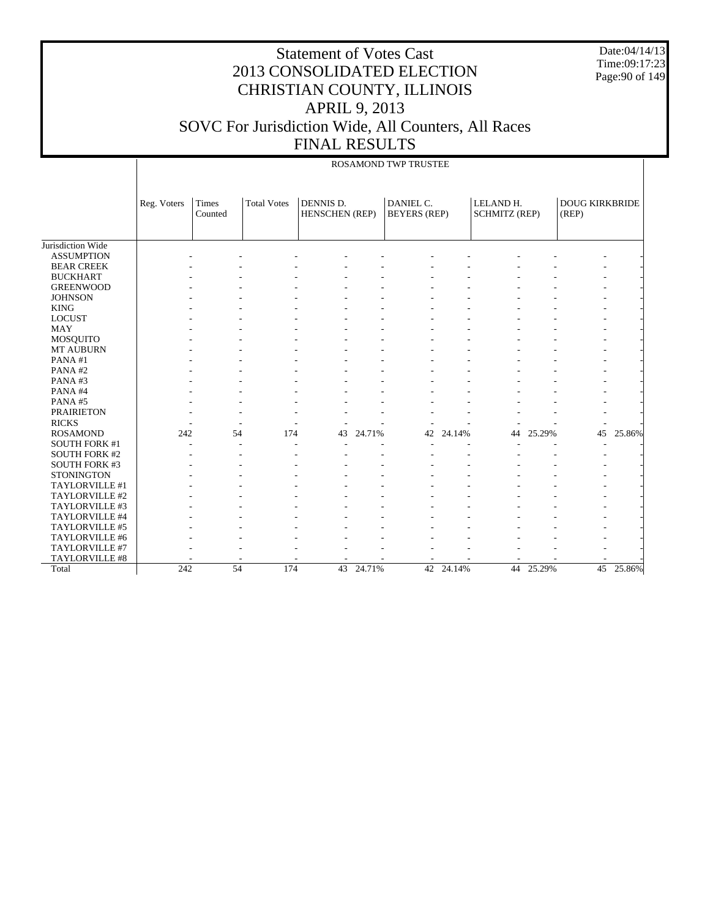Date:04/14/13 Time:09:17:23 Page:90 of 149

|                      |             |         |                    |                       |        | ROSAMOND TWP TRUSTEE |           |                      |        |                       |        |
|----------------------|-------------|---------|--------------------|-----------------------|--------|----------------------|-----------|----------------------|--------|-----------------------|--------|
|                      | Reg. Voters | Times   | <b>Total Votes</b> | DENNIS D.             |        | DANIEL C.            |           | LELAND H.            |        | <b>DOUG KIRKBRIDE</b> |        |
|                      |             | Counted |                    | <b>HENSCHEN</b> (REP) |        | <b>BEYERS</b> (REP)  |           | <b>SCHMITZ (REP)</b> |        | (REP)                 |        |
|                      |             |         |                    |                       |        |                      |           |                      |        |                       |        |
| Jurisdiction Wide    |             |         |                    |                       |        |                      |           |                      |        |                       |        |
| <b>ASSUMPTION</b>    |             |         |                    |                       |        |                      |           |                      |        |                       |        |
| <b>BEAR CREEK</b>    |             |         |                    |                       |        |                      |           |                      |        |                       |        |
| <b>BUCKHART</b>      |             |         |                    |                       |        |                      |           |                      |        |                       |        |
| <b>GREENWOOD</b>     |             |         |                    |                       |        |                      |           |                      |        |                       |        |
| <b>JOHNSON</b>       |             |         |                    |                       |        |                      |           |                      |        |                       |        |
| <b>KING</b>          |             |         |                    |                       |        |                      |           |                      |        |                       |        |
| <b>LOCUST</b>        |             |         |                    |                       |        |                      |           |                      |        |                       |        |
| <b>MAY</b>           |             |         |                    |                       |        |                      |           |                      |        |                       |        |
| <b>MOSQUITO</b>      |             |         |                    |                       |        |                      |           |                      |        |                       |        |
| MT AUBURN            |             |         |                    |                       |        |                      |           |                      |        |                       |        |
| PANA#1               |             |         |                    |                       |        |                      |           |                      |        |                       |        |
| PANA#2               |             |         |                    |                       |        |                      |           |                      |        |                       |        |
| PANA#3               |             |         |                    |                       |        |                      |           |                      |        |                       |        |
| PANA#4               |             |         |                    |                       |        |                      |           |                      |        |                       |        |
| PANA#5               |             |         |                    |                       |        |                      |           |                      |        |                       |        |
| <b>PRAIRIETON</b>    |             |         |                    |                       |        |                      |           |                      |        |                       |        |
| <b>RICKS</b>         |             |         |                    |                       |        |                      |           |                      |        |                       |        |
| <b>ROSAMOND</b>      | 242         | 54      | 174                | 43                    | 24.71% | 42                   | 24.14%    | 44                   | 25.29% | 45                    | 25.86% |
| <b>SOUTH FORK #1</b> |             |         |                    |                       |        |                      |           |                      |        |                       |        |
| <b>SOUTH FORK #2</b> |             |         |                    |                       |        |                      |           |                      |        |                       |        |
| <b>SOUTH FORK #3</b> |             |         |                    |                       |        |                      |           |                      |        |                       |        |
| <b>STONINGTON</b>    |             |         |                    |                       |        |                      |           |                      |        |                       |        |
| TAYLORVILLE #1       |             |         |                    |                       |        |                      |           |                      |        |                       |        |
| TAYLORVILLE #2       |             |         |                    |                       |        |                      |           |                      |        |                       |        |
| TAYLORVILLE #3       |             |         |                    |                       |        |                      |           |                      |        |                       |        |
| TAYLORVILLE #4       |             |         |                    |                       |        |                      |           |                      |        |                       |        |
| TAYLORVILLE #5       |             |         |                    |                       |        |                      |           |                      |        |                       |        |
| TAYLORVILLE #6       |             |         |                    |                       |        |                      |           |                      |        |                       |        |
| TAYLORVILLE #7       |             |         |                    |                       |        |                      |           |                      |        |                       |        |
| TAYLORVILLE #8       |             |         |                    |                       |        |                      |           |                      |        |                       |        |
| Total                | 242         | 54      | 174                | 43                    | 24.71% |                      | 42 24.14% | 44                   | 25.29% | 45                    | 25.86% |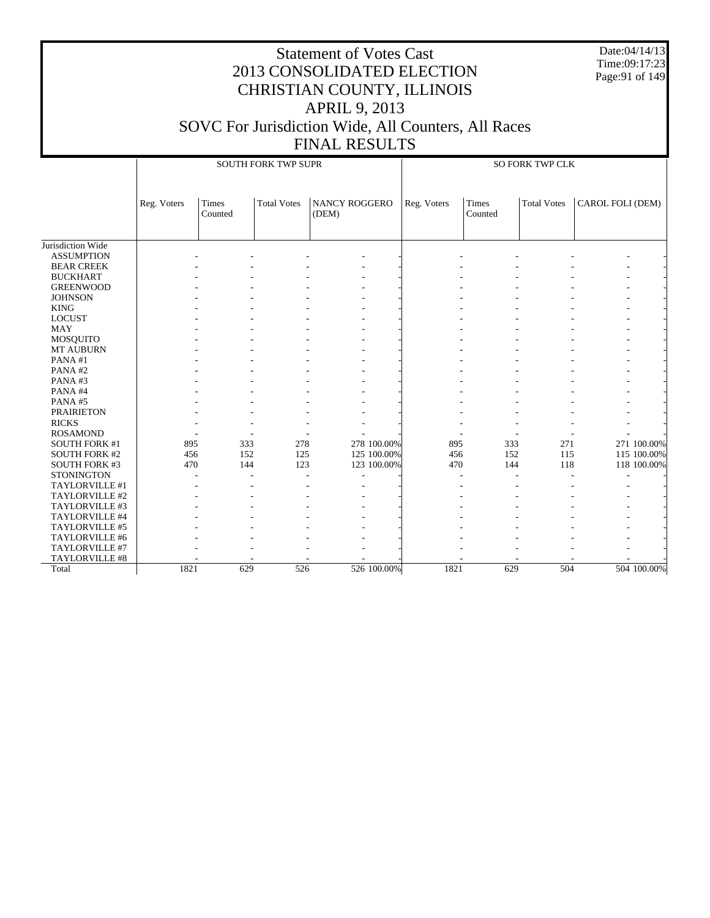|                             |             |                  |                            | <b>Statement of Votes Cast</b><br><b>APRIL 9, 2013</b> |             | 2013 CONSOLIDATED ELECTION<br>CHRISTIAN COUNTY, ILLINOIS |                  |                        |                  | Date:04/14/13<br>Time:09:17:23<br>Page: 91 of 149 |
|-----------------------------|-------------|------------------|----------------------------|--------------------------------------------------------|-------------|----------------------------------------------------------|------------------|------------------------|------------------|---------------------------------------------------|
|                             |             |                  |                            |                                                        |             |                                                          |                  |                        |                  |                                                   |
|                             |             |                  |                            |                                                        |             | SOVC For Jurisdiction Wide, All Counters, All Races      |                  |                        |                  |                                                   |
|                             |             |                  |                            | <b>FINAL RESULTS</b>                                   |             |                                                          |                  |                        |                  |                                                   |
|                             |             |                  | <b>SOUTH FORK TWP SUPR</b> |                                                        |             |                                                          |                  | <b>SO FORK TWP CLK</b> |                  |                                                   |
|                             |             |                  |                            |                                                        |             |                                                          |                  |                        |                  |                                                   |
|                             | Reg. Voters | Times<br>Counted | <b>Total Votes</b>         | <b>NANCY ROGGERO</b><br>(DEM)                          |             | Reg. Voters                                              | Times<br>Counted | <b>Total Votes</b>     | CAROL FOLI (DEM) |                                                   |
| Jurisdiction Wide           |             |                  |                            |                                                        |             |                                                          |                  |                        |                  |                                                   |
| <b>ASSUMPTION</b>           |             |                  |                            |                                                        |             |                                                          |                  |                        |                  |                                                   |
| <b>BEAR CREEK</b>           |             |                  |                            |                                                        |             |                                                          |                  |                        |                  |                                                   |
| <b>BUCKHART</b>             |             |                  |                            |                                                        |             |                                                          |                  |                        |                  |                                                   |
| <b>GREENWOOD</b>            |             |                  |                            |                                                        |             |                                                          |                  |                        |                  |                                                   |
| <b>JOHNSON</b>              |             |                  |                            |                                                        |             |                                                          |                  |                        |                  |                                                   |
| <b>KING</b>                 |             |                  |                            |                                                        |             |                                                          |                  |                        |                  |                                                   |
| <b>LOCUST</b>               |             |                  |                            |                                                        |             |                                                          |                  |                        |                  |                                                   |
| MAY                         |             |                  |                            |                                                        |             |                                                          |                  |                        |                  |                                                   |
| <b>MOSQUITO</b>             |             |                  |                            |                                                        |             |                                                          |                  |                        |                  |                                                   |
| <b>MT AUBURN</b>            |             |                  |                            |                                                        |             |                                                          |                  |                        |                  |                                                   |
| PANA#1                      |             |                  |                            |                                                        |             |                                                          |                  |                        |                  |                                                   |
| PANA#2                      |             |                  |                            |                                                        |             |                                                          |                  |                        |                  |                                                   |
| PANA#3                      |             |                  |                            |                                                        |             |                                                          |                  |                        |                  |                                                   |
| PANA#4                      |             |                  |                            |                                                        |             |                                                          |                  |                        |                  |                                                   |
| PANA#5<br><b>PRAIRIETON</b> |             |                  |                            |                                                        |             |                                                          |                  |                        |                  |                                                   |
| <b>RICKS</b>                |             |                  |                            |                                                        |             |                                                          |                  |                        |                  |                                                   |
| <b>ROSAMOND</b>             |             |                  |                            |                                                        |             |                                                          |                  |                        |                  |                                                   |
| <b>SOUTH FORK #1</b>        | 895         | 333              | 278                        |                                                        | 278 100.00% | 895                                                      | 333              | 271                    |                  | 271 100.00%                                       |
| <b>SOUTH FORK #2</b>        | 456         | 152              | 125                        |                                                        | 125 100.00% | 456                                                      | 152              | 115                    |                  | 115 100.00%                                       |
| <b>SOUTH FORK #3</b>        | 470         | 144              | 123                        |                                                        | 123 100.00% | 470                                                      | 144              | 118                    |                  | 118 100.00%                                       |
| <b>STONINGTON</b>           |             |                  |                            |                                                        |             |                                                          |                  |                        |                  |                                                   |
| TAYLORVILLE #1              |             |                  |                            |                                                        |             |                                                          |                  |                        |                  |                                                   |
| TAYLORVILLE #2              |             |                  |                            |                                                        |             |                                                          |                  |                        |                  |                                                   |
| TAYLORVILLE #3              |             |                  |                            |                                                        |             |                                                          |                  |                        |                  |                                                   |
| TAYLORVILLE #4              |             |                  |                            |                                                        |             |                                                          |                  |                        |                  |                                                   |
| TAYLORVILLE #5              |             |                  |                            |                                                        |             |                                                          |                  |                        |                  |                                                   |
| TAYLORVILLE #6              |             |                  |                            |                                                        |             |                                                          |                  |                        |                  |                                                   |
| TAYLORVILLE #7              |             |                  |                            |                                                        |             |                                                          |                  |                        |                  |                                                   |
| TAYLORVILLE #8              |             |                  |                            |                                                        |             |                                                          |                  |                        |                  |                                                   |
| Total                       | 1821        | 629              | 526                        |                                                        | 526 100.00% | 1821                                                     | 629              | 504                    |                  | 504 100.00%                                       |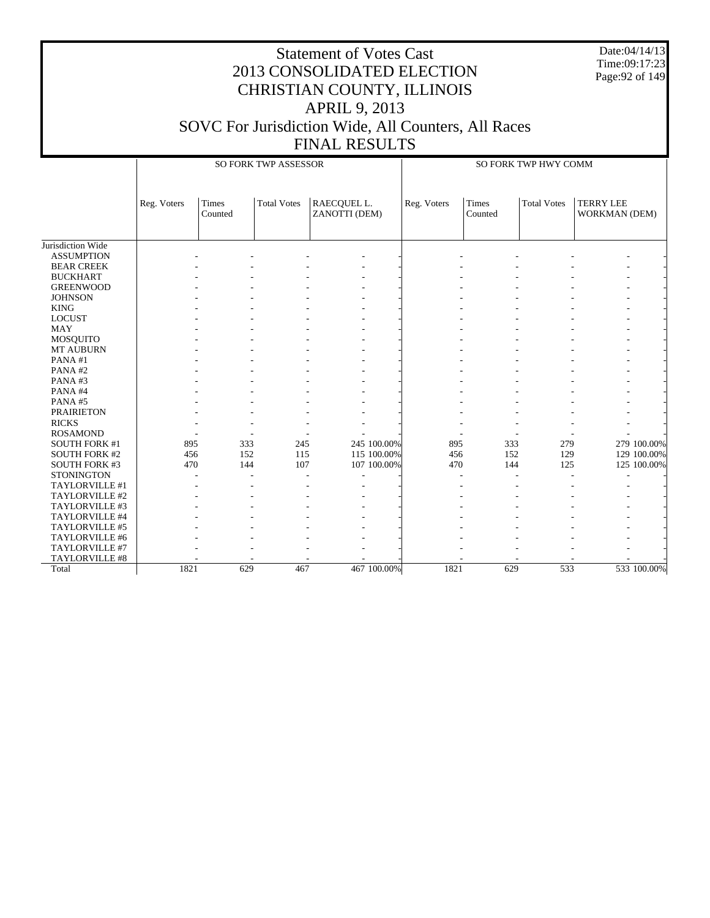Date:04/14/13 Time:09:17:23 Page:92 of 149

|                      |             |                         | <b>SO FORK TWP ASSESSOR</b> |                              |             | SO FORK TWP HWY COMM |                  |                    |                                   |             |
|----------------------|-------------|-------------------------|-----------------------------|------------------------------|-------------|----------------------|------------------|--------------------|-----------------------------------|-------------|
|                      | Reg. Voters | <b>Times</b><br>Counted | <b>Total Votes</b>          | RAECQUEL L.<br>ZANOTTI (DEM) |             | Reg. Voters          | Times<br>Counted | <b>Total Votes</b> | <b>TERRY LEE</b><br>WORKMAN (DEM) |             |
| Jurisdiction Wide    |             |                         |                             |                              |             |                      |                  |                    |                                   |             |
| <b>ASSUMPTION</b>    |             |                         |                             |                              |             |                      |                  |                    |                                   |             |
| <b>BEAR CREEK</b>    |             |                         |                             |                              |             |                      |                  |                    |                                   |             |
| <b>BUCKHART</b>      |             |                         |                             |                              |             |                      |                  |                    |                                   |             |
| <b>GREENWOOD</b>     |             |                         |                             |                              |             |                      |                  |                    |                                   |             |
| <b>JOHNSON</b>       |             |                         |                             |                              |             |                      |                  |                    |                                   |             |
| <b>KING</b>          |             |                         |                             |                              |             |                      |                  |                    |                                   |             |
| <b>LOCUST</b>        |             |                         |                             |                              |             |                      |                  |                    |                                   |             |
| <b>MAY</b>           |             |                         |                             |                              |             |                      |                  |                    |                                   |             |
| MOSQUITO             |             |                         |                             |                              |             |                      |                  |                    |                                   |             |
| MT AUBURN            |             |                         |                             |                              |             |                      |                  |                    |                                   |             |
| PANA#1               |             |                         |                             |                              |             |                      |                  |                    |                                   |             |
| PANA#2               |             |                         |                             |                              |             |                      |                  |                    |                                   |             |
| PANA#3               |             |                         |                             |                              |             |                      |                  |                    |                                   |             |
| PANA#4               |             |                         |                             |                              |             |                      |                  |                    |                                   |             |
| PANA#5               |             |                         |                             |                              |             |                      |                  |                    |                                   |             |
| <b>PRAIRIETON</b>    |             |                         |                             |                              |             |                      |                  |                    |                                   |             |
| <b>RICKS</b>         |             |                         |                             |                              |             |                      |                  |                    |                                   |             |
| <b>ROSAMOND</b>      |             |                         |                             |                              |             |                      |                  |                    |                                   |             |
| <b>SOUTH FORK #1</b> | 895         | 333                     | 245                         |                              | 245 100.00% | 895                  | 333              | 279                |                                   | 279 100.00% |
| <b>SOUTH FORK #2</b> | 456         | 152                     | 115                         |                              | 115 100.00% | 456                  | 152              | 129                |                                   | 129 100.00% |
| <b>SOUTH FORK #3</b> | 470         | 144                     | 107                         |                              | 107 100.00% | 470                  | 144              | 125                |                                   | 125 100.00% |
| <b>STONINGTON</b>    |             |                         |                             |                              |             |                      |                  |                    |                                   |             |
| TAYLORVILLE #1       |             |                         |                             |                              |             |                      |                  |                    |                                   |             |
| TAYLORVILLE #2       |             |                         |                             |                              |             |                      |                  |                    |                                   |             |
| TAYLORVILLE #3       |             |                         |                             |                              |             |                      |                  |                    |                                   |             |
| TAYLORVILLE #4       |             |                         |                             |                              |             |                      |                  |                    |                                   |             |
| TAYLORVILLE #5       |             |                         |                             |                              |             |                      |                  |                    |                                   |             |
| TAYLORVILLE #6       |             |                         |                             |                              |             |                      |                  |                    |                                   |             |
| TAYLORVILLE #7       |             |                         |                             |                              |             |                      |                  |                    |                                   |             |
| TAYLORVILLE #8       |             |                         |                             |                              |             |                      |                  |                    |                                   |             |
| Total                | 1821        | 629                     | 467                         |                              | 467 100.00% | 1821                 | 629              | 533                |                                   | 533 100.00% |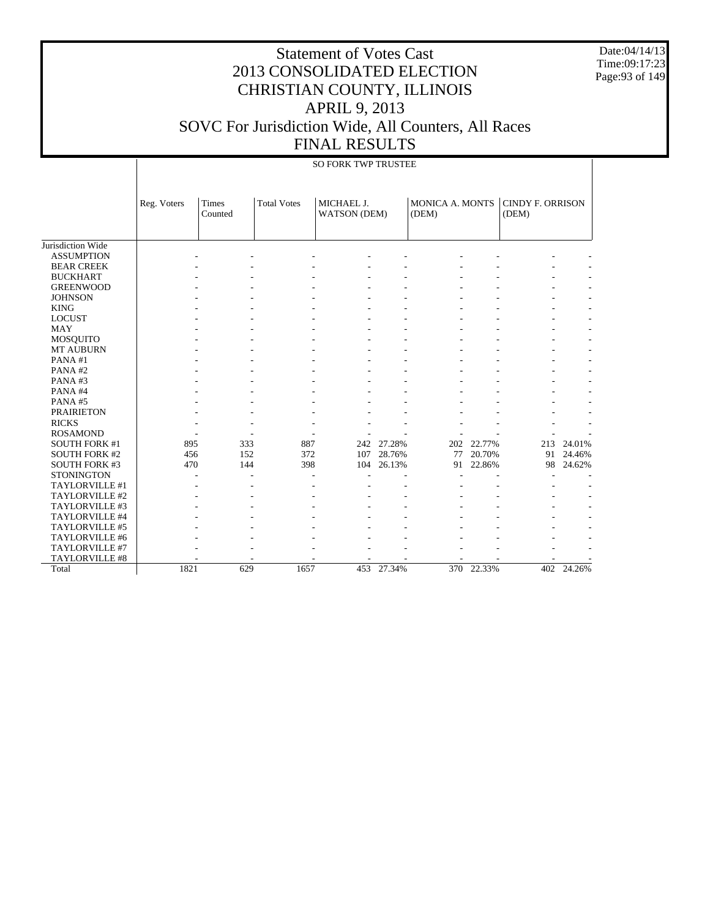Date:04/14/13 Time:09:17:23 Page:93 of 149

|                      | <b>SO FORK TWP TRUSTEE</b> |                  |                    |                                   |            |                                 |            |                                  |            |  |  |
|----------------------|----------------------------|------------------|--------------------|-----------------------------------|------------|---------------------------------|------------|----------------------------------|------------|--|--|
|                      | Reg. Voters                | Times<br>Counted | <b>Total Votes</b> | MICHAEL J.<br><b>WATSON</b> (DEM) |            | <b>MONICA A. MONTS</b><br>(DEM) |            | <b>CINDY F. ORRISON</b><br>(DEM) |            |  |  |
| Jurisdiction Wide    |                            |                  |                    |                                   |            |                                 |            |                                  |            |  |  |
| <b>ASSUMPTION</b>    |                            |                  |                    |                                   |            |                                 |            |                                  |            |  |  |
| <b>BEAR CREEK</b>    |                            |                  |                    |                                   |            |                                 |            |                                  |            |  |  |
| <b>BUCKHART</b>      |                            |                  |                    |                                   |            |                                 |            |                                  |            |  |  |
| <b>GREENWOOD</b>     |                            |                  |                    |                                   |            |                                 |            |                                  |            |  |  |
| <b>JOHNSON</b>       |                            |                  |                    |                                   |            |                                 |            |                                  |            |  |  |
| <b>KING</b>          |                            |                  |                    |                                   |            |                                 |            |                                  |            |  |  |
| <b>LOCUST</b>        |                            |                  |                    |                                   |            |                                 |            |                                  |            |  |  |
| <b>MAY</b>           |                            |                  |                    |                                   |            |                                 |            |                                  |            |  |  |
| <b>MOSQUITO</b>      |                            |                  |                    |                                   |            |                                 |            |                                  |            |  |  |
| <b>MT AUBURN</b>     |                            |                  |                    |                                   |            |                                 |            |                                  |            |  |  |
| PANA#1               |                            |                  |                    |                                   |            |                                 |            |                                  |            |  |  |
| PANA#2               |                            |                  |                    |                                   |            |                                 |            |                                  |            |  |  |
| PANA#3               |                            |                  |                    |                                   |            |                                 |            |                                  |            |  |  |
| PANA#4               |                            |                  |                    |                                   |            |                                 |            |                                  |            |  |  |
| PANA#5               |                            |                  |                    |                                   |            |                                 |            |                                  |            |  |  |
| <b>PRAIRIETON</b>    |                            |                  |                    |                                   |            |                                 |            |                                  |            |  |  |
| <b>RICKS</b>         |                            |                  |                    |                                   |            |                                 |            |                                  |            |  |  |
| <b>ROSAMOND</b>      |                            |                  |                    |                                   |            |                                 |            |                                  |            |  |  |
| <b>SOUTH FORK #1</b> | 895                        | 333              | 887                |                                   | 242 27.28% | 202                             | 22.77%     | 213                              | 24.01%     |  |  |
| <b>SOUTH FORK #2</b> | 456                        | 152              | 372                | 107                               | 28.76%     | 77                              | 20.70%     | 91                               | 24.46%     |  |  |
| <b>SOUTH FORK #3</b> | 470                        | 144              | 398                | 104                               | 26.13%     | 91                              | 22.86%     | 98                               | 24.62%     |  |  |
| <b>STONINGTON</b>    |                            |                  |                    |                                   |            |                                 |            |                                  |            |  |  |
| TAYLORVILLE #1       |                            |                  |                    |                                   |            |                                 |            |                                  |            |  |  |
| TAYLORVILLE #2       |                            |                  |                    |                                   |            |                                 |            |                                  |            |  |  |
| TAYLORVILLE #3       |                            |                  |                    |                                   |            |                                 |            |                                  |            |  |  |
| TAYLORVILLE #4       |                            |                  |                    |                                   |            |                                 |            |                                  |            |  |  |
| TAYLORVILLE #5       |                            |                  |                    |                                   |            |                                 |            |                                  |            |  |  |
| TAYLORVILLE #6       |                            |                  |                    |                                   |            |                                 |            |                                  |            |  |  |
| TAYLORVILLE #7       |                            |                  |                    |                                   |            |                                 |            |                                  |            |  |  |
| TAYLORVILLE #8       |                            |                  |                    |                                   |            |                                 |            |                                  |            |  |  |
| Total                | 1821                       | 629              | 1657               | 453                               | 27.34%     |                                 | 370 22.33% |                                  | 402 24.26% |  |  |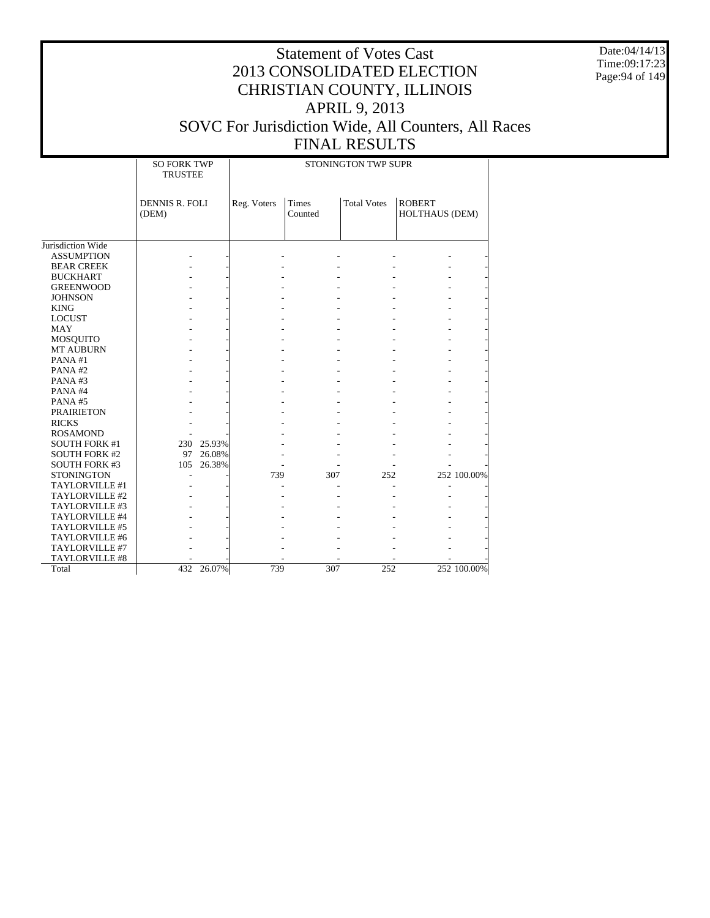Date:04/14/13 Time:09:17:23 Page:94 of 149

# Statement of Votes Cast 2013 CONSOLIDATED ELECTION CHRISTIAN COUNTY, ILLINOIS APRIL 9, 2013 SOVC For Jurisdiction Wide, All Counters, All Races

FINAL RESULTS

|                      | <b>SO FORK TWP</b><br><b>TRUSTEE</b> |            |             |                         | STONINGTON TWP SUPR |                                 |             |
|----------------------|--------------------------------------|------------|-------------|-------------------------|---------------------|---------------------------------|-------------|
|                      | <b>DENNIS R. FOLI</b><br>(DEM)       |            | Reg. Voters | <b>Times</b><br>Counted | <b>Total Votes</b>  | <b>ROBERT</b><br>HOLTHAUS (DEM) |             |
| Jurisdiction Wide    |                                      |            |             |                         |                     |                                 |             |
| <b>ASSUMPTION</b>    |                                      |            |             |                         |                     |                                 |             |
| <b>BEAR CREEK</b>    |                                      |            |             |                         |                     |                                 |             |
| <b>BUCKHART</b>      |                                      |            |             |                         |                     |                                 |             |
| <b>GREENWOOD</b>     |                                      |            |             |                         |                     |                                 |             |
| <b>JOHNSON</b>       |                                      |            |             |                         |                     |                                 |             |
| <b>KING</b>          |                                      |            |             |                         |                     |                                 |             |
| <b>LOCUST</b>        |                                      |            |             |                         |                     |                                 |             |
| <b>MAY</b>           |                                      |            |             |                         |                     |                                 |             |
| <b>MOSQUITO</b>      |                                      |            |             |                         |                     |                                 |             |
| MT AUBURN            |                                      |            |             |                         |                     |                                 |             |
| PANA#1               |                                      |            |             |                         |                     |                                 |             |
| PANA#2               |                                      |            |             |                         |                     |                                 |             |
| PANA#3               |                                      |            |             |                         |                     |                                 |             |
| PANA#4               |                                      |            |             |                         |                     |                                 |             |
| PANA#5               |                                      |            |             |                         |                     |                                 |             |
| <b>PRAIRIETON</b>    |                                      |            |             |                         |                     |                                 |             |
| <b>RICKS</b>         |                                      |            |             |                         |                     |                                 |             |
| <b>ROSAMOND</b>      |                                      |            |             |                         |                     |                                 |             |
| <b>SOUTH FORK #1</b> |                                      | 230 25.93% |             |                         |                     |                                 |             |
| <b>SOUTH FORK #2</b> | 97                                   | 26.08%     |             |                         |                     |                                 |             |
| <b>SOUTH FORK #3</b> | 105                                  | 26.38%     |             |                         |                     |                                 |             |
| <b>STONINGTON</b>    |                                      |            | 739         | 307                     | 252                 |                                 | 252 100.00% |
| TAYLORVILLE #1       |                                      |            |             |                         |                     |                                 |             |
| TAYLORVILLE #2       |                                      |            |             |                         |                     |                                 |             |
| TAYLORVILLE #3       |                                      |            |             |                         |                     |                                 |             |
| TAYLORVILLE #4       |                                      |            |             |                         |                     |                                 |             |
| TAYLORVILLE #5       |                                      |            |             |                         |                     |                                 |             |
| TAYLORVILLE #6       |                                      |            |             |                         |                     |                                 |             |
| TAYLORVILLE #7       |                                      |            |             |                         |                     |                                 |             |
| TAYLORVILLE #8       |                                      |            |             |                         |                     |                                 |             |
| Total                | 432                                  | 26.07%     | 739         | 307                     | 252                 |                                 | 252 100.00% |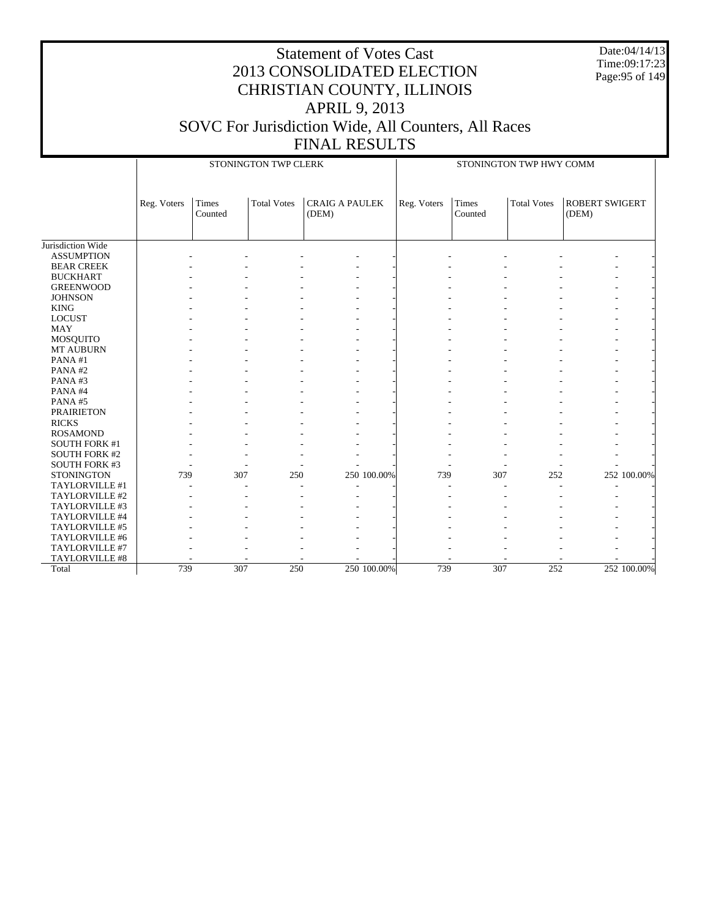Date:04/14/13 Time:09:17:23 Page:95 of 149

|                      |             |                  | STONINGTON TWP CLERK |                                |             |                         | STONINGTON TWP HWY COMM |                                |             |
|----------------------|-------------|------------------|----------------------|--------------------------------|-------------|-------------------------|-------------------------|--------------------------------|-------------|
|                      | Reg. Voters | Times<br>Counted | <b>Total Votes</b>   | <b>CRAIG A PAULEK</b><br>(DEM) | Reg. Voters | <b>Times</b><br>Counted | <b>Total Votes</b>      | <b>ROBERT SWIGERT</b><br>(DEM) |             |
| Jurisdiction Wide    |             |                  |                      |                                |             |                         |                         |                                |             |
| <b>ASSUMPTION</b>    |             |                  |                      |                                |             |                         |                         |                                |             |
| <b>BEAR CREEK</b>    |             |                  |                      |                                |             |                         |                         |                                |             |
| <b>BUCKHART</b>      |             |                  |                      |                                |             |                         |                         |                                |             |
| <b>GREENWOOD</b>     |             |                  |                      |                                |             |                         |                         |                                |             |
| <b>JOHNSON</b>       |             |                  |                      |                                |             |                         |                         |                                |             |
| <b>KING</b>          |             |                  |                      |                                |             |                         |                         | $\overline{a}$                 |             |
| <b>LOCUST</b>        |             |                  |                      |                                |             |                         |                         |                                |             |
| <b>MAY</b>           |             |                  |                      |                                |             |                         |                         |                                |             |
| MOSQUITO             |             |                  |                      |                                |             |                         |                         |                                |             |
| MT AUBURN            |             |                  |                      |                                |             |                         |                         |                                |             |
| PANA#1               |             |                  |                      |                                |             |                         |                         |                                |             |
| PANA#2               |             |                  |                      |                                |             |                         |                         |                                |             |
| PANA#3               |             |                  |                      |                                |             |                         |                         |                                |             |
| PANA#4               |             |                  |                      |                                |             |                         |                         | ۰                              |             |
| PANA#5               |             |                  |                      |                                |             |                         |                         |                                |             |
| <b>PRAIRIETON</b>    |             |                  |                      |                                |             |                         |                         |                                |             |
| <b>RICKS</b>         |             |                  |                      |                                |             |                         |                         |                                |             |
| <b>ROSAMOND</b>      |             |                  |                      |                                |             |                         |                         |                                |             |
| <b>SOUTH FORK #1</b> |             |                  |                      |                                |             |                         |                         |                                |             |
| <b>SOUTH FORK #2</b> |             |                  |                      |                                |             |                         |                         |                                |             |
| SOUTH FORK #3        |             |                  |                      |                                |             |                         |                         |                                |             |
| <b>STONINGTON</b>    | 739         | 307              | 250                  | 250 100.00%                    | 739         | 307                     | 252                     |                                | 252 100.00% |
| TAYLORVILLE #1       |             |                  |                      |                                |             |                         |                         | $\overline{a}$                 |             |
| TAYLORVILLE #2       |             |                  |                      |                                |             |                         |                         |                                |             |
| TAYLORVILLE #3       |             |                  |                      |                                |             |                         |                         |                                |             |
| TAYLORVILLE #4       |             |                  |                      |                                |             |                         |                         |                                |             |
| TAYLORVILLE #5       |             |                  |                      |                                |             |                         |                         |                                |             |
| TAYLORVILLE #6       |             |                  |                      |                                |             |                         |                         |                                |             |
| TAYLORVILLE #7       |             |                  |                      |                                |             |                         |                         |                                |             |
| TAYLORVILLE #8       |             |                  |                      |                                |             |                         |                         |                                |             |
| Total                | 739         | 307              | 250                  | 250 100.00%                    | 739         | 307                     | 252                     |                                | 252 100.00% |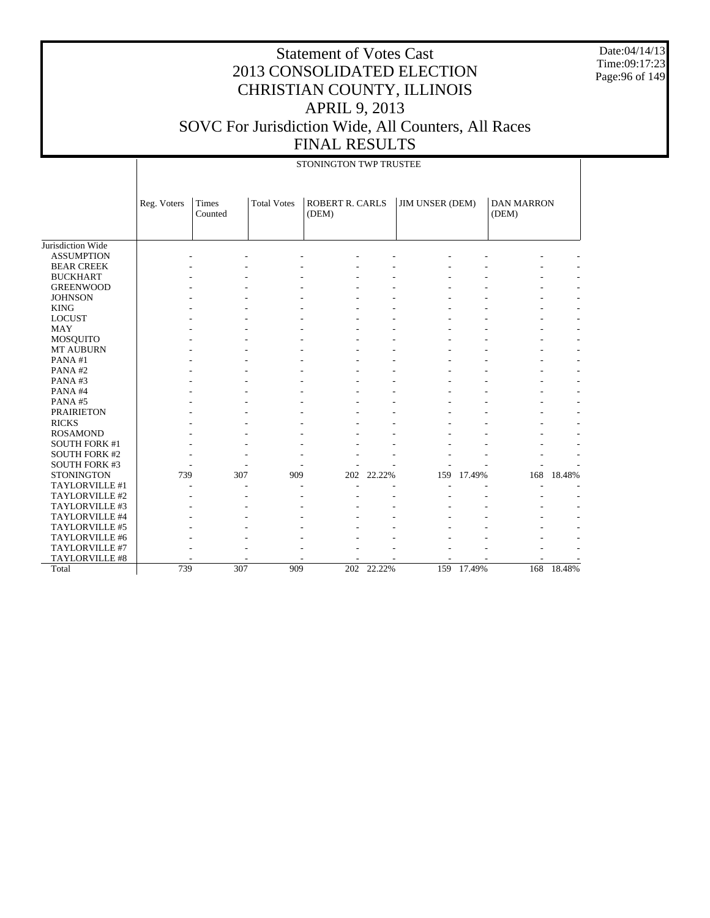Date:04/14/13 Time:09:17:23 Page:96 of 149

|                              |             | STONINGTON TWP TRUSTEE |                    |                                 |        |                        |        |                            |        |  |
|------------------------------|-------------|------------------------|--------------------|---------------------------------|--------|------------------------|--------|----------------------------|--------|--|
|                              | Reg. Voters | Times<br>Counted       | <b>Total Votes</b> | <b>ROBERT R. CARLS</b><br>(DEM) |        | <b>JIM UNSER (DEM)</b> |        | <b>DAN MARRON</b><br>(DEM) |        |  |
| Jurisdiction Wide            |             |                        |                    |                                 |        |                        |        |                            |        |  |
| <b>ASSUMPTION</b>            |             |                        |                    |                                 |        |                        |        |                            |        |  |
| <b>BEAR CREEK</b>            |             |                        |                    |                                 |        |                        |        |                            |        |  |
| <b>BUCKHART</b>              |             |                        |                    |                                 |        |                        |        |                            |        |  |
| <b>GREENWOOD</b>             |             |                        |                    |                                 |        |                        |        |                            |        |  |
| <b>JOHNSON</b>               |             |                        |                    |                                 |        |                        |        |                            |        |  |
| <b>KING</b>                  |             |                        |                    |                                 |        |                        |        |                            |        |  |
| <b>LOCUST</b>                |             |                        |                    |                                 |        |                        |        |                            |        |  |
| <b>MAY</b>                   |             |                        |                    |                                 |        |                        |        |                            |        |  |
|                              |             |                        |                    |                                 |        |                        |        |                            |        |  |
| MOSQUITO<br><b>MT AUBURN</b> |             |                        |                    |                                 |        |                        |        |                            |        |  |
|                              |             |                        |                    |                                 |        |                        |        |                            |        |  |
| PANA#1                       |             |                        |                    |                                 |        |                        |        |                            |        |  |
| PANA#2                       |             |                        |                    |                                 |        |                        |        |                            |        |  |
| PANA#3                       |             |                        |                    |                                 |        |                        |        |                            |        |  |
| PANA#4                       |             |                        |                    |                                 |        |                        |        |                            |        |  |
| PANA#5                       |             |                        |                    |                                 |        |                        |        |                            |        |  |
| <b>PRAIRIETON</b>            |             |                        |                    |                                 |        |                        |        |                            |        |  |
| <b>RICKS</b>                 |             |                        |                    |                                 |        |                        |        |                            |        |  |
| <b>ROSAMOND</b>              |             |                        |                    |                                 |        |                        |        |                            |        |  |
| <b>SOUTH FORK #1</b>         |             |                        |                    |                                 |        |                        |        |                            |        |  |
| <b>SOUTH FORK #2</b>         |             |                        |                    |                                 |        |                        |        |                            |        |  |
| <b>SOUTH FORK #3</b>         |             |                        |                    |                                 |        |                        |        |                            |        |  |
| <b>STONINGTON</b>            | 739         | 307                    | 909                | 202                             | 22.22% | 159                    | 17.49% | 168                        | 18.48% |  |
| TAYLORVILLE #1               |             |                        |                    |                                 |        |                        |        |                            |        |  |
| TAYLORVILLE #2               |             |                        |                    |                                 |        |                        |        |                            |        |  |
| TAYLORVILLE #3               |             |                        |                    |                                 |        |                        |        |                            |        |  |
| TAYLORVILLE #4               |             |                        |                    |                                 |        |                        |        |                            |        |  |
| TAYLORVILLE #5               |             |                        |                    |                                 |        |                        |        |                            |        |  |
| TAYLORVILLE #6               |             |                        |                    |                                 |        |                        |        |                            |        |  |
| TAYLORVILLE #7               |             |                        |                    |                                 |        |                        |        |                            |        |  |
| TAYLORVILLE #8               |             |                        |                    |                                 |        |                        |        |                            |        |  |
| Total                        | 739         | 307                    | 909                | 202                             | 22.22% | 159                    | 17.49% | 168                        | 18.48% |  |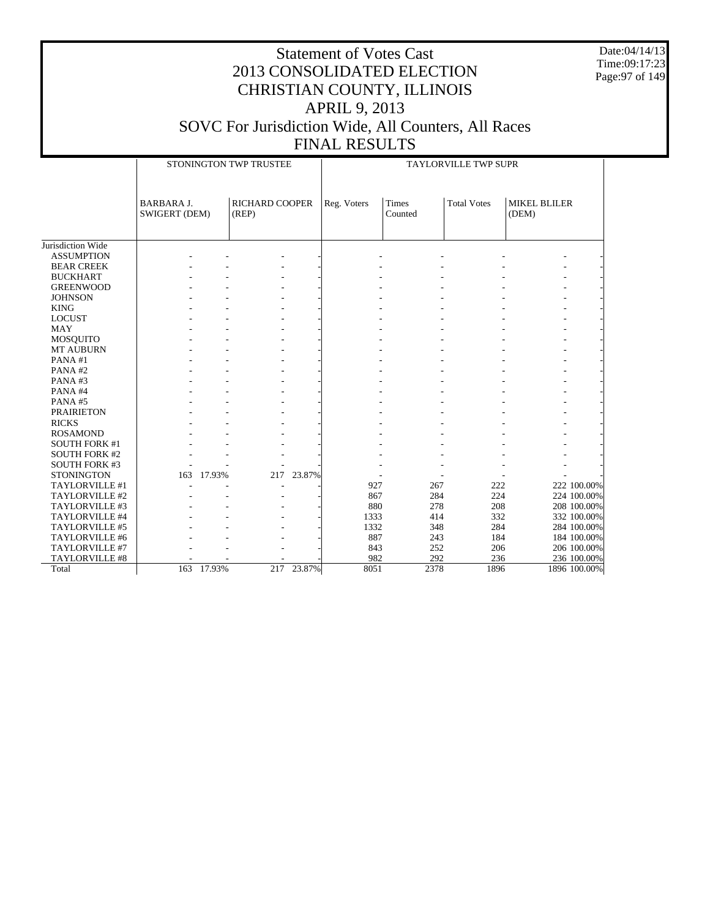Date:04/14/13 Time:09:17:23 Page:97 of 149

|                       |                                    |            | STONINGTON TWP TRUSTEE         |            | TAYLORVILLE TWP SUPR |                         |                    |                              |              |
|-----------------------|------------------------------------|------------|--------------------------------|------------|----------------------|-------------------------|--------------------|------------------------------|--------------|
|                       | <b>BARBARA J.</b><br>SWIGERT (DEM) |            | <b>RICHARD COOPER</b><br>(REP) |            | Reg. Voters          | <b>Times</b><br>Counted | <b>Total Votes</b> | <b>MIKEL BLILER</b><br>(DEM) |              |
| Jurisdiction Wide     |                                    |            |                                |            |                      |                         |                    |                              |              |
| <b>ASSUMPTION</b>     |                                    |            |                                |            |                      |                         |                    |                              |              |
| <b>BEAR CREEK</b>     |                                    |            |                                |            |                      |                         |                    |                              |              |
| <b>BUCKHART</b>       |                                    |            |                                |            |                      |                         |                    |                              |              |
| <b>GREENWOOD</b>      |                                    |            |                                |            |                      |                         |                    |                              |              |
| <b>JOHNSON</b>        |                                    |            |                                |            |                      |                         |                    |                              |              |
| <b>KING</b>           |                                    |            |                                |            |                      |                         |                    |                              |              |
| <b>LOCUST</b>         |                                    |            |                                |            |                      |                         |                    |                              |              |
| <b>MAY</b>            |                                    |            |                                |            |                      |                         |                    |                              |              |
| MOSQUITO              |                                    |            |                                |            |                      |                         |                    |                              |              |
| <b>MT AUBURN</b>      |                                    |            |                                |            |                      |                         |                    |                              |              |
| PANA#1                |                                    |            |                                |            |                      |                         |                    |                              |              |
| PANA#2                |                                    |            |                                |            |                      |                         |                    |                              |              |
| PANA#3                |                                    |            |                                |            |                      |                         |                    |                              |              |
| PANA#4                |                                    |            |                                |            |                      |                         |                    |                              |              |
| PANA#5                |                                    |            |                                |            |                      |                         |                    |                              |              |
| <b>PRAIRIETON</b>     |                                    |            |                                |            |                      |                         |                    |                              |              |
| <b>RICKS</b>          |                                    |            |                                |            |                      |                         |                    |                              |              |
| <b>ROSAMOND</b>       |                                    |            |                                |            |                      |                         |                    |                              |              |
| <b>SOUTH FORK #1</b>  |                                    |            |                                |            |                      |                         |                    |                              |              |
| <b>SOUTH FORK #2</b>  |                                    |            |                                |            |                      |                         |                    |                              |              |
| <b>SOUTH FORK #3</b>  |                                    |            |                                |            |                      |                         |                    |                              |              |
| <b>STONINGTON</b>     | 163                                | 17.93%     | 217                            | 23.87%     |                      |                         |                    |                              |              |
| TAYLORVILLE #1        |                                    |            |                                |            | 927                  | 267                     | 222                |                              | 222 100.00%  |
| TAYLORVILLE #2        |                                    |            |                                |            | 867                  | 284                     | 224                |                              | 224 100.00%  |
| TAYLORVILLE #3        |                                    |            |                                |            | 880                  | 278                     | 208                |                              | 208 100.00%  |
| TAYLORVILLE #4        |                                    |            |                                |            | 1333                 | 414                     | 332                |                              | 332 100.00%  |
| TAYLORVILLE #5        |                                    |            |                                |            | 1332                 | 348                     | 284                |                              | 284 100.00%  |
| TAYLORVILLE #6        |                                    |            |                                |            | 887                  | 243                     | 184                |                              | 184 100.00%  |
| TAYLORVILLE #7        |                                    |            |                                |            | 843                  | 252                     | 206                |                              | 206 100.00%  |
| <b>TAYLORVILLE #8</b> |                                    |            |                                |            | 982                  | 292                     | 236                |                              | 236 100.00%  |
| Total                 |                                    | 163 17.93% |                                | 217 23.87% | 8051                 | 2378                    | 1896               |                              | 1896 100.00% |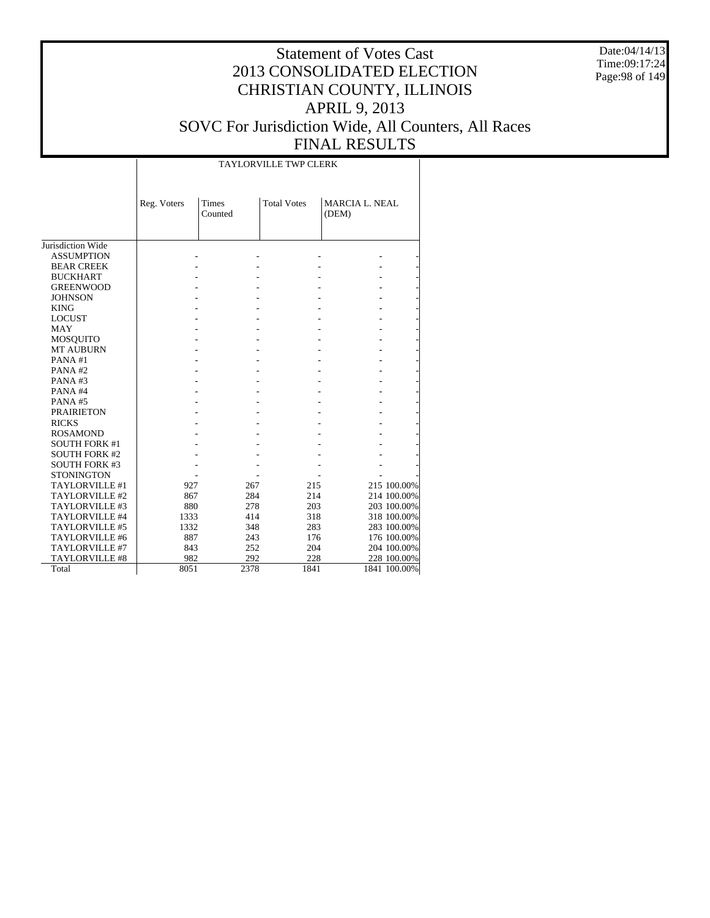Date:04/14/13 Time:09:17:24 Page:98 of 149

# Statement of Votes Cast 2013 CONSOLIDATED ELECTION CHRISTIAN COUNTY, ILLINOIS APRIL 9, 2013 SOVC For Jurisdiction Wide, All Counters, All Races

#### FINAL RESULTS TAYLORVILLE TWP CLERK

|                       | Reg. Voters | Times<br>Counted | <b>Total Votes</b> | <b>MARCIA L. NEAL</b><br>(DEM) |              |
|-----------------------|-------------|------------------|--------------------|--------------------------------|--------------|
|                       |             |                  |                    |                                |              |
| Jurisdiction Wide     |             |                  |                    |                                |              |
| <b>ASSUMPTION</b>     |             |                  |                    |                                |              |
| <b>BEAR CREEK</b>     |             |                  |                    |                                |              |
| <b>BUCKHART</b>       |             |                  |                    |                                |              |
| <b>GREENWOOD</b>      |             |                  |                    |                                |              |
| <b>JOHNSON</b>        |             |                  |                    |                                |              |
| <b>KING</b>           |             |                  |                    |                                |              |
| <b>LOCUST</b>         |             |                  |                    |                                |              |
| <b>MAY</b>            |             |                  |                    |                                |              |
| <b>MOSQUITO</b>       |             |                  |                    |                                |              |
| <b>MT AUBURN</b>      |             |                  |                    |                                |              |
| PANA#1                |             |                  |                    |                                |              |
| PANA#2                |             |                  |                    |                                |              |
| PANA#3                |             |                  |                    |                                |              |
| PANA#4                |             |                  |                    |                                |              |
| PANA#5                |             |                  |                    |                                |              |
| <b>PRAIRIETON</b>     |             |                  |                    |                                |              |
| <b>RICKS</b>          |             |                  |                    |                                |              |
| <b>ROSAMOND</b>       |             |                  |                    |                                |              |
| <b>SOUTH FORK #1</b>  |             |                  |                    |                                |              |
| <b>SOUTH FORK #2</b>  |             |                  |                    |                                |              |
| <b>SOUTH FORK #3</b>  |             |                  |                    |                                |              |
| <b>STONINGTON</b>     |             |                  |                    |                                |              |
| TAYLORVILLE #1        | 927         | 267              | 215                |                                | 215 100.00%  |
| TAYLORVILLE #2        | 867         | 284              | 214                |                                | 214 100.00%  |
| TAYLORVILLE #3        | 880         | 278              | 203                |                                | 203 100.00%  |
| TAYLORVILLE #4        | 1333        | 414              | 318                |                                | 318 100.00%  |
| TAYLORVILLE #5        | 1332        | 348              | 283                |                                | 283 100.00%  |
| TAYLORVILLE #6        | 887         | 243              | 176                |                                | 176 100.00%  |
| TAYLORVILLE #7        | 843         | 252              | 204                |                                | 204 100.00%  |
| <b>TAYLORVILLE #8</b> | 982         | 292              | 228                |                                | 228 100.00%  |
| Total                 | 8051        | 2378             | 1841               |                                | 1841 100.00% |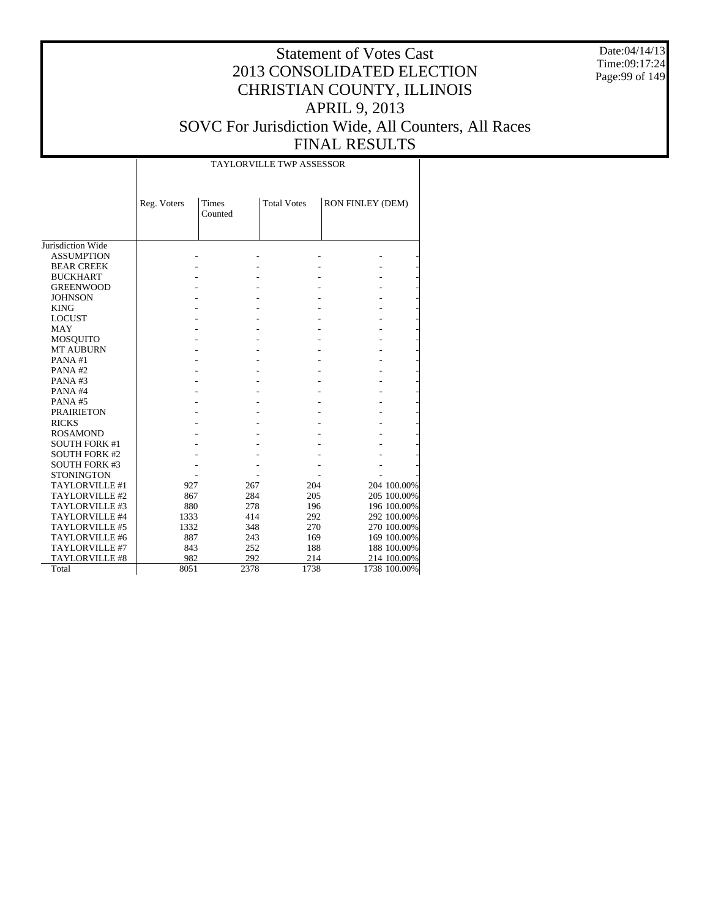Date:04/14/13 Time:09:17:24 Page:99 of 149

#### Statement of Votes Cast 2013 CONSOLIDATED ELECTION CHRISTIAN COUNTY, ILLINOIS APRIL 9, 2013 SOVC For Jurisdiction Wide, All Counters, All Races FINAL RESULTS

| <b>TAYLORVILLE TWP ASSESSOR</b> |  |
|---------------------------------|--|

|                      | Reg. Voters | <b>Times</b><br>Counted | <b>Total Votes</b> | RON FINLEY (DEM) |              |
|----------------------|-------------|-------------------------|--------------------|------------------|--------------|
| Jurisdiction Wide    |             |                         |                    |                  |              |
| <b>ASSUMPTION</b>    |             |                         |                    |                  |              |
| <b>BEAR CREEK</b>    |             |                         |                    |                  |              |
| <b>BUCKHART</b>      |             |                         |                    |                  |              |
| <b>GREENWOOD</b>     |             |                         |                    |                  |              |
| <b>JOHNSON</b>       |             |                         |                    |                  |              |
| <b>KING</b>          |             |                         |                    |                  |              |
| <b>LOCUST</b>        |             |                         |                    |                  |              |
| <b>MAY</b>           |             |                         |                    |                  |              |
| <b>MOSQUITO</b>      |             |                         |                    |                  |              |
| <b>MT AUBURN</b>     |             |                         |                    |                  |              |
| PANA#1               |             |                         |                    |                  |              |
| PANA#2               |             |                         |                    |                  |              |
| PANA#3               |             |                         |                    |                  |              |
| PANA#4               |             |                         |                    |                  |              |
| <b>PANA#5</b>        |             |                         |                    |                  |              |
| <b>PRAIRIETON</b>    |             |                         |                    |                  |              |
| <b>RICKS</b>         |             |                         |                    |                  |              |
| <b>ROSAMOND</b>      |             |                         |                    |                  |              |
| <b>SOUTH FORK #1</b> |             |                         |                    |                  |              |
| <b>SOUTH FORK #2</b> |             |                         |                    |                  |              |
| <b>SOUTH FORK #3</b> |             |                         |                    |                  |              |
| <b>STONINGTON</b>    |             |                         |                    |                  |              |
| TAYLORVILLE #1       | 927         | 267                     | 204                |                  | 204 100.00%  |
| TAYLORVILLE #2       | 867         | 284                     | 205                |                  | 205 100.00%  |
| TAYLORVILLE #3       | 880         | 278                     | 196                |                  | 196 100.00%  |
| TAYLORVILLE #4       | 1333        | 414                     | 292                |                  | 292 100.00%  |
| TAYLORVILLE #5       | 1332        | 348                     | 270                |                  | 270 100.00%  |
| TAYLORVILLE #6       | 887         | 243                     | 169                |                  | 169 100.00%  |
| TAYLORVILLE #7       | 843         | 252                     | 188                |                  | 188 100.00%  |
| TAYLORVILLE #8       | 982         | 292                     | 214                |                  | 214 100.00%  |
| Total                | 8051        | 2378                    | 1738               |                  | 1738 100.00% |

 $\overline{\phantom{a}}$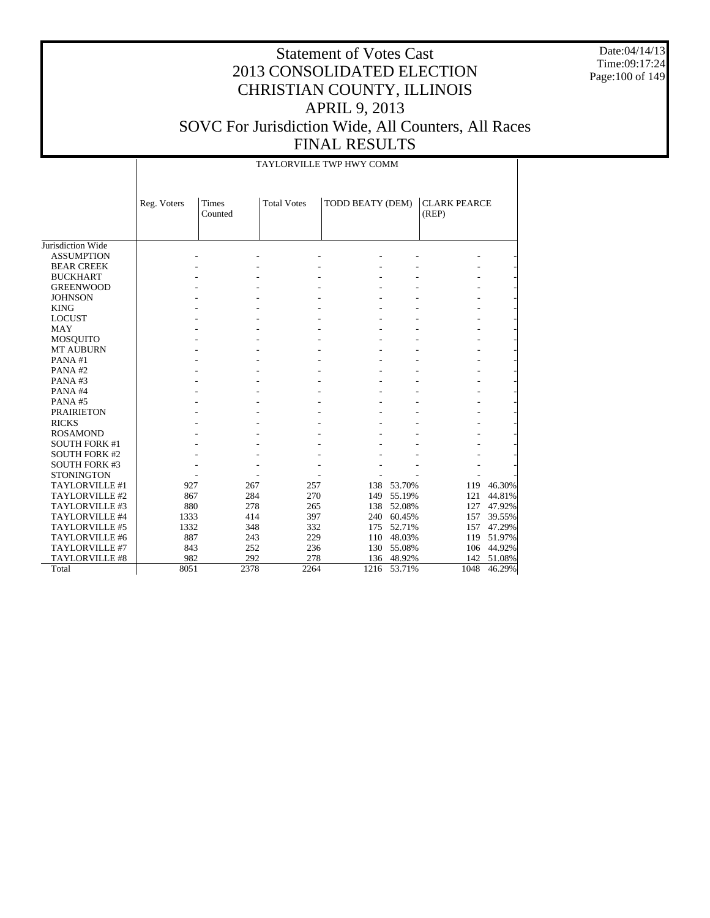Date:04/14/13 Time:09:17:24 Page:100 of 149

#### Statement of Votes Cast 2013 CONSOLIDATED ELECTION CHRISTIAN COUNTY, ILLINOIS APRIL 9, 2013 SOVC For Jurisdiction Wide, All Counters, All Races FINAL RESULTS

TAYLORVILLE TWP HWY COMM

|                      | Reg. Voters | Times   | <b>Total Votes</b> | TODD BEATY (DEM) |            | <b>CLARK PEARCE</b> |        |
|----------------------|-------------|---------|--------------------|------------------|------------|---------------------|--------|
|                      |             | Counted |                    |                  |            | (REP)               |        |
|                      |             |         |                    |                  |            |                     |        |
| Jurisdiction Wide    |             |         |                    |                  |            |                     |        |
| <b>ASSUMPTION</b>    |             |         |                    |                  |            |                     |        |
| <b>BEAR CREEK</b>    |             |         |                    |                  |            |                     |        |
| <b>BUCKHART</b>      |             |         |                    |                  |            |                     |        |
| <b>GREENWOOD</b>     |             |         |                    |                  |            |                     |        |
| <b>JOHNSON</b>       |             |         |                    |                  |            |                     |        |
| <b>KING</b>          |             |         |                    |                  |            |                     |        |
| <b>LOCUST</b>        |             |         |                    |                  |            |                     |        |
| <b>MAY</b>           |             |         |                    |                  |            |                     |        |
| <b>MOSQUITO</b>      |             |         |                    |                  |            |                     |        |
| <b>MT AUBURN</b>     |             |         |                    |                  |            |                     |        |
| PANA#1               |             |         |                    |                  |            |                     |        |
| PANA#2               |             |         |                    |                  |            |                     |        |
| PANA#3               |             |         |                    |                  |            |                     |        |
| PANA#4               |             |         |                    |                  |            |                     |        |
| PANA#5               |             |         |                    |                  |            |                     |        |
| <b>PRAIRIETON</b>    |             |         |                    |                  |            |                     |        |
| <b>RICKS</b>         |             |         |                    |                  |            |                     |        |
| <b>ROSAMOND</b>      |             |         |                    |                  |            |                     |        |
| <b>SOUTH FORK #1</b> |             |         |                    |                  |            |                     |        |
| <b>SOUTH FORK #2</b> |             |         |                    |                  |            |                     |        |
| <b>SOUTH FORK #3</b> |             |         |                    |                  |            |                     |        |
| <b>STONINGTON</b>    |             |         |                    |                  |            |                     |        |
| TAYLORVILLE #1       | 927         | 267     | 257                |                  | 138 53.70% | 119                 | 46.30% |
| TAYLORVILLE #2       | 867         | 284     | 270                | 149              | 55.19%     | 121                 | 44.81% |
| TAYLORVILLE #3       | 880         | 278     | 265                | 138              | 52.08%     | 127                 | 47.92% |
| TAYLORVILLE #4       | 1333        | 414     | 397                | 240              | 60.45%     | 157                 | 39.55% |
| TAYLORVILLE #5       | 1332        | 348     | 332                | 175              | 52.71%     | 157                 | 47.29% |
| TAYLORVILLE #6       | 887         | 243     | 229                | 110              | 48.03%     | 119                 | 51.97% |
| TAYLORVILLE #7       | 843         | 252     | 236                | 130              | 55.08%     | 106                 | 44.92% |
| TAYLORVILLE #8       | 982         | 292     | 278                | 136              | 48.92%     | 142                 | 51.08% |
| Total                | 8051        | 2378    | 2264               | 1216             | 53.71%     | 1048                | 46.29% |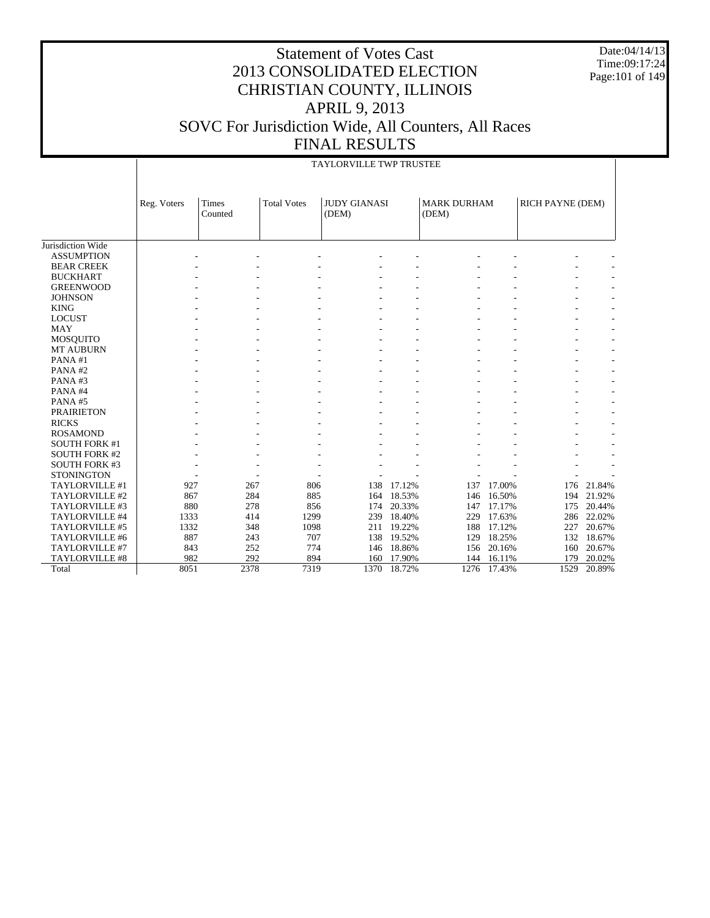Date:04/14/13 Time:09:17:24 Page:101 of 149

### Statement of Votes Cast 2013 CONSOLIDATED ELECTION CHRISTIAN COUNTY, ILLINOIS APRIL 9, 2013 SOVC For Jurisdiction Wide, All Counters, All Races FINAL RESULTS

#### TAYLORVILLE TWP TRUSTEE

|                       | Reg. Voters | <b>Times</b><br>Counted | <b>Total Votes</b> | <b>JUDY GIANASI</b><br>(DEM) |        | <b>MARK DURHAM</b><br>(DEM) |        | RICH PAYNE (DEM) |                          |
|-----------------------|-------------|-------------------------|--------------------|------------------------------|--------|-----------------------------|--------|------------------|--------------------------|
|                       |             |                         |                    |                              |        |                             |        |                  |                          |
| Jurisdiction Wide     |             |                         |                    |                              |        |                             |        |                  |                          |
| <b>ASSUMPTION</b>     |             |                         |                    |                              |        |                             |        |                  |                          |
| <b>BEAR CREEK</b>     |             |                         |                    |                              |        |                             |        |                  |                          |
| <b>BUCKHART</b>       |             |                         |                    |                              |        |                             |        |                  |                          |
| <b>GREENWOOD</b>      |             |                         |                    |                              |        |                             |        |                  |                          |
| <b>JOHNSON</b>        |             |                         |                    |                              |        |                             |        |                  |                          |
| <b>KING</b>           |             |                         |                    |                              |        |                             |        |                  |                          |
| <b>LOCUST</b>         |             |                         |                    |                              |        |                             |        |                  |                          |
| <b>MAY</b>            |             |                         |                    |                              |        |                             |        |                  |                          |
| <b>MOSQUITO</b>       |             |                         |                    |                              |        |                             |        | $\overline{a}$   |                          |
| <b>MT AUBURN</b>      |             |                         |                    |                              |        |                             |        |                  |                          |
| PANA#1                |             |                         |                    |                              |        |                             |        |                  |                          |
| PANA#2                |             |                         |                    |                              |        |                             |        | $\overline{a}$   | ٠                        |
| PANA#3                |             |                         |                    |                              |        |                             |        | $\overline{a}$   | $\overline{\phantom{a}}$ |
| PANA#4                |             |                         |                    |                              |        |                             |        | ٠                | $\overline{\phantom{a}}$ |
| PANA#5                |             |                         |                    |                              |        |                             |        | $\overline{a}$   | $\sim$                   |
| <b>PRAIRIETON</b>     |             |                         |                    |                              |        |                             |        | ٠                | $\overline{\phantom{a}}$ |
| <b>RICKS</b>          |             |                         |                    |                              |        |                             |        | L.               | $\overline{\phantom{a}}$ |
| <b>ROSAMOND</b>       |             |                         |                    |                              |        |                             |        | ۰                | ٠                        |
| <b>SOUTH FORK #1</b>  |             |                         |                    |                              |        |                             |        |                  |                          |
| <b>SOUTH FORK #2</b>  |             |                         |                    |                              |        |                             |        |                  |                          |
| <b>SOUTH FORK #3</b>  |             |                         |                    |                              |        |                             |        |                  |                          |
| <b>STONINGTON</b>     |             |                         |                    |                              |        |                             |        |                  |                          |
| TAYLORVILLE #1        | 927         | 267                     | 806                | 138                          | 17.12% | 137                         | 17.00% | 176              | 21.84%                   |
| TAYLORVILLE #2        | 867         | 284                     | 885                | 164                          | 18.53% | 146                         | 16.50% | 194              | 21.92%                   |
| TAYLORVILLE #3        | 880         | 278                     | 856                | 174                          | 20.33% | 147                         | 17.17% | 175              | 20.44%                   |
| TAYLORVILLE #4        | 1333        | 414                     | 1299               | 239                          | 18.40% | 229                         | 17.63% | 286              | 22.02%                   |
| TAYLORVILLE #5        | 1332        | 348                     | 1098               | 211                          | 19.22% | 188                         | 17.12% | 227              | 20.67%                   |
| TAYLORVILLE #6        | 887         | 243                     | 707                | 138                          | 19.52% | 129                         | 18.25% | 132              | 18.67%                   |
| TAYLORVILLE #7        | 843         | 252                     | 774                | 146                          | 18.86% | 156                         | 20.16% | 160              | 20.67%                   |
| <b>TAYLORVILLE #8</b> | 982         | 292                     | 894                | 160                          | 17.90% | 144                         | 16.11% | 179              | 20.02%                   |
| Total                 | 8051        | 2378                    | 7319               | 1370                         | 18.72% | 1276                        | 17.43% | 1529             | 20.89%                   |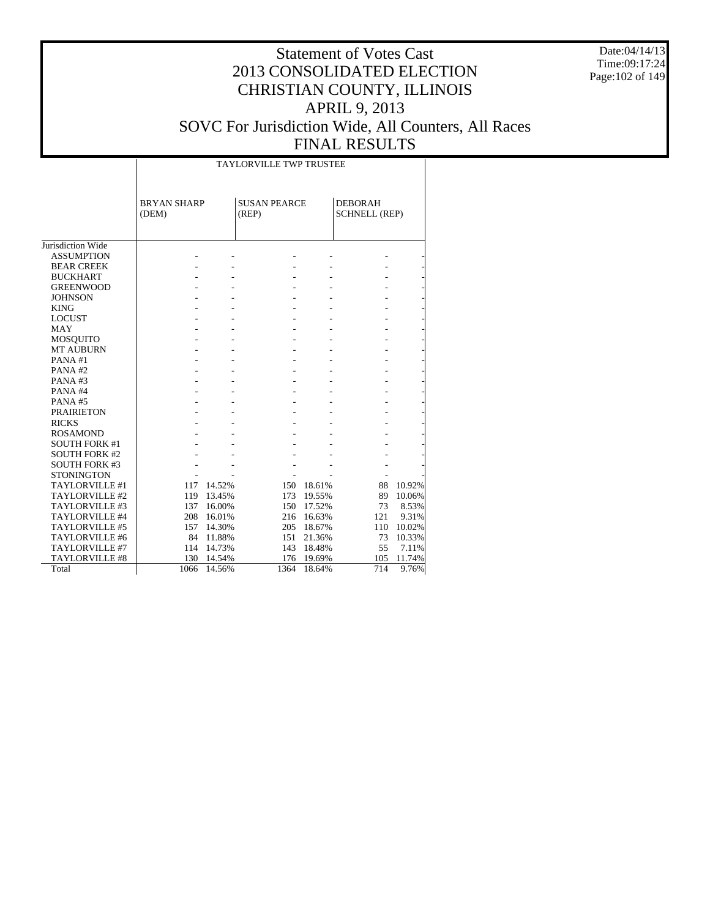Date:04/14/13 Time:09:17:24 Page:102 of 149

### Statement of Votes Cast 2013 CONSOLIDATED ELECTION CHRISTIAN COUNTY, ILLINOIS APRIL 9, 2013 SOVC For Jurisdiction Wide, All Counters, All Races

### FINAL RESULTS

|                       |                             |        | <b>TAYLORVILLE TWP TRUSTEE</b> |            |                                        |        |
|-----------------------|-----------------------------|--------|--------------------------------|------------|----------------------------------------|--------|
|                       | <b>BRYAN SHARP</b><br>(DEM) |        | <b>SUSAN PEARCE</b><br>(REP)   |            | <b>DEBORAH</b><br><b>SCHNELL (REP)</b> |        |
| Jurisdiction Wide     |                             |        |                                |            |                                        |        |
| <b>ASSUMPTION</b>     |                             |        |                                |            |                                        |        |
| <b>BEAR CREEK</b>     |                             |        |                                |            |                                        |        |
| <b>BUCKHART</b>       |                             |        |                                |            |                                        |        |
| <b>GREENWOOD</b>      |                             |        |                                |            |                                        |        |
| <b>JOHNSON</b>        |                             |        |                                |            |                                        |        |
| <b>KING</b>           |                             |        |                                |            |                                        |        |
| <b>LOCUST</b>         |                             |        |                                |            |                                        |        |
| <b>MAY</b>            |                             |        |                                |            |                                        |        |
| <b>MOSQUITO</b>       |                             |        |                                |            |                                        |        |
| <b>MT AUBURN</b>      |                             |        |                                |            |                                        |        |
| PANA#1                |                             |        |                                |            |                                        |        |
| PANA#2                |                             |        |                                |            |                                        |        |
| PANA#3                |                             |        |                                |            |                                        |        |
| PANA#4                |                             |        |                                |            |                                        |        |
| PANA#5                |                             |        |                                |            |                                        |        |
| <b>PRAIRIETON</b>     |                             |        |                                |            |                                        |        |
| <b>RICKS</b>          |                             |        |                                |            |                                        |        |
| <b>ROSAMOND</b>       |                             |        |                                |            |                                        |        |
| <b>SOUTH FORK #1</b>  |                             |        |                                |            |                                        |        |
| <b>SOUTH FORK #2</b>  |                             |        |                                |            |                                        |        |
| <b>SOUTH FORK #3</b>  |                             |        |                                |            |                                        |        |
| <b>STONINGTON</b>     |                             |        |                                |            |                                        |        |
| TAYLORVILLE #1        | 117                         | 14.52% |                                | 150 18.61% | 88                                     | 10.92% |
| TAYLORVILLE #2        | 119                         | 13.45% |                                | 173 19.55% | 89                                     | 10.06% |
| TAYLORVILLE #3        | 137                         | 16.00% |                                | 150 17.52% | 73                                     | 8.53%  |
| TAYLORVILLE #4        | 208                         | 16.01% |                                | 216 16.63% | 121                                    | 9.31%  |
| TAYLORVILLE #5        | 157                         | 14.30% |                                | 205 18.67% | 110                                    | 10.02% |
| TAYLORVILLE #6        | 84                          | 11.88% | 151                            | 21.36%     | 73                                     | 10.33% |
| TAYLORVILLE #7        | 114                         | 14.73% | 143                            | 18.48%     | 55                                     | 7.11%  |
| <b>TAYLORVILLE #8</b> | 130                         | 14.54% | 176                            | 19.69%     | 105                                    | 11.74% |
| Total                 | 1066                        | 14.56% | 1364                           | 18.64%     | 714                                    | 9.76%  |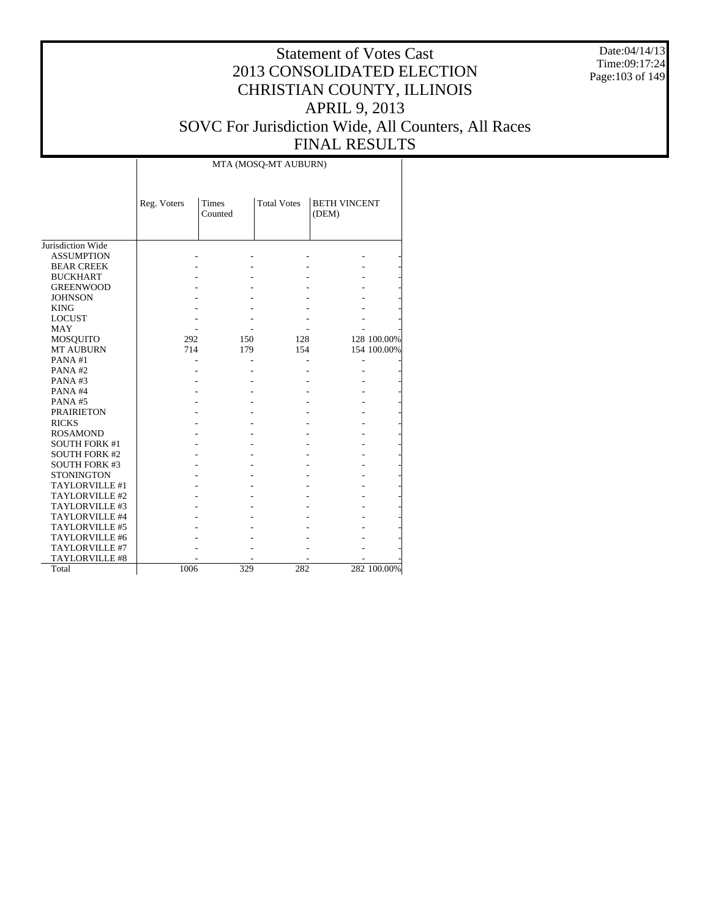Date:04/14/13 Time:09:17:24 Page:103 of 149

|                      |             |                         | MTA (MOSQ-MT AUBURN) |                              |             |
|----------------------|-------------|-------------------------|----------------------|------------------------------|-------------|
|                      | Reg. Voters | <b>Times</b><br>Counted | <b>Total Votes</b>   | <b>BETH VINCENT</b><br>(DEM) |             |
| Jurisdiction Wide    |             |                         |                      |                              |             |
| <b>ASSUMPTION</b>    |             |                         |                      |                              |             |
| <b>BEAR CREEK</b>    |             |                         |                      |                              |             |
| <b>BUCKHART</b>      |             |                         |                      |                              |             |
| <b>GREENWOOD</b>     |             |                         |                      |                              |             |
| <b>JOHNSON</b>       |             |                         |                      |                              |             |
| <b>KING</b>          |             |                         |                      |                              |             |
| <b>LOCUST</b>        |             |                         |                      |                              |             |
| <b>MAY</b>           |             |                         |                      |                              |             |
| MOSQUITO             | 292         | 150                     | 128                  |                              | 128 100.00% |
| <b>MT AUBURN</b>     | 714         | 179                     | 154                  |                              | 154 100.00% |
| PANA#1               |             |                         |                      |                              |             |
| PANA#2               |             |                         |                      |                              |             |
| PANA#3               |             |                         |                      |                              |             |
| PANA#4               |             |                         |                      |                              |             |
| PANA#5               |             |                         |                      |                              |             |
| <b>PRAIRIETON</b>    |             |                         |                      |                              |             |
| <b>RICKS</b>         |             |                         |                      |                              |             |
| <b>ROSAMOND</b>      |             |                         |                      |                              |             |
| <b>SOUTH FORK #1</b> |             |                         |                      |                              |             |
| <b>SOUTH FORK #2</b> |             |                         |                      |                              |             |
| <b>SOUTH FORK #3</b> |             |                         |                      |                              |             |
| <b>STONINGTON</b>    |             |                         |                      |                              |             |
| TAYLORVILLE #1       |             |                         |                      |                              |             |
| TAYLORVILLE #2       |             |                         |                      |                              |             |
| TAYLORVILLE #3       |             |                         |                      |                              |             |
| TAYLORVILLE #4       |             |                         |                      |                              |             |
| TAYLORVILLE #5       |             |                         |                      |                              |             |
| TAYLORVILLE #6       |             |                         |                      |                              |             |
| TAYLORVILLE #7       |             |                         |                      |                              |             |
| TAYLORVILLE #8       |             |                         |                      |                              |             |
| Total                | 1006        | 329                     | 282                  |                              | 282 100.00% |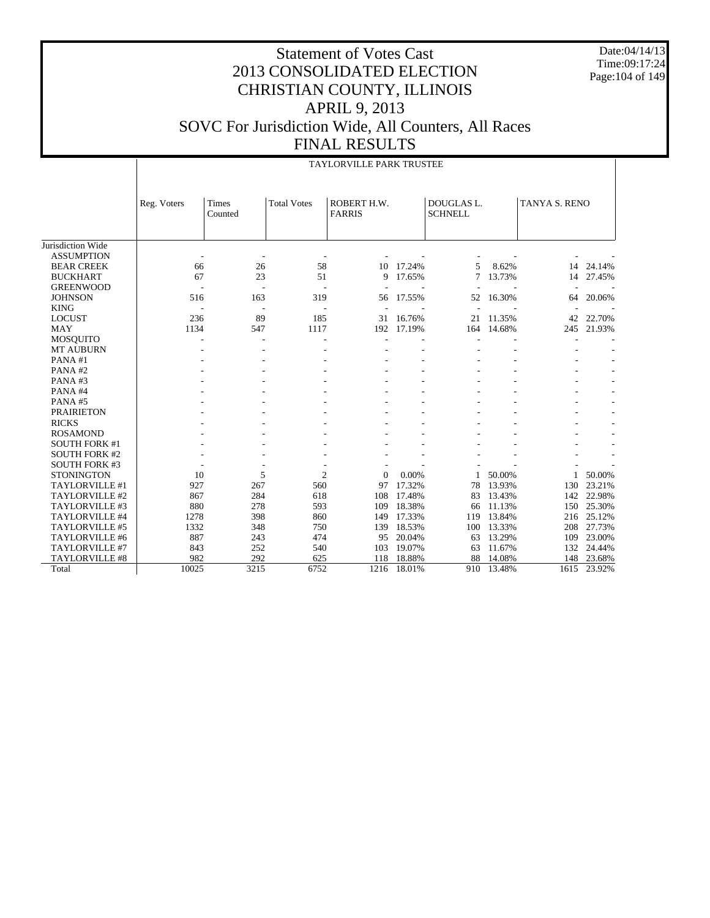Date:04/14/13 Time:09:17:24 Page:104 of 149

|                       |             |                  |                    | TAYLORVILLE PARK TRUSTEE     |        |                              |        |               |        |
|-----------------------|-------------|------------------|--------------------|------------------------------|--------|------------------------------|--------|---------------|--------|
|                       | Reg. Voters | Times<br>Counted | <b>Total Votes</b> | ROBERT H.W.<br><b>FARRIS</b> |        | DOUGLAS L.<br><b>SCHNELL</b> |        | TANYA S. RENO |        |
| Jurisdiction Wide     |             |                  |                    |                              |        |                              |        |               |        |
| <b>ASSUMPTION</b>     |             |                  |                    |                              |        |                              |        |               |        |
| <b>BEAR CREEK</b>     | 66          | 26               | 58                 | 10                           | 17.24% | 5                            | 8.62%  | 14            | 24.14% |
| <b>BUCKHART</b>       | 67          | 23               | 51                 | 9                            | 17.65% | 7                            | 13.73% | 14            | 27.45% |
| <b>GREENWOOD</b>      |             |                  | $\overline{a}$     |                              |        |                              |        |               |        |
| <b>JOHNSON</b>        | 516         | 163              | 319                | 56                           | 17.55% | 52                           | 16.30% | 64            | 20.06% |
| <b>KING</b>           |             |                  |                    |                              |        |                              |        |               |        |
| <b>LOCUST</b>         | 236         | 89               | 185                | 31                           | 16.76% | 21                           | 11.35% | 42            | 22.70% |
| <b>MAY</b>            | 1134        | 547              | 1117               | 192                          | 17.19% | 164                          | 14.68% | 245           | 21.93% |
| <b>MOSQUITO</b>       |             |                  | ٠                  |                              |        |                              |        |               |        |
| <b>MT AUBURN</b>      |             |                  |                    |                              |        |                              |        |               |        |
| PANA#1                |             |                  |                    |                              |        |                              |        |               |        |
| PANA#2                |             |                  |                    |                              |        |                              |        |               |        |
| PANA#3                |             |                  |                    |                              |        |                              |        |               |        |
| PANA#4                |             |                  |                    |                              |        |                              |        |               |        |
| PANA#5                |             |                  |                    |                              |        |                              |        |               |        |
| <b>PRAIRIETON</b>     |             |                  |                    |                              |        |                              |        |               |        |
| <b>RICKS</b>          |             |                  |                    |                              |        |                              |        |               |        |
| <b>ROSAMOND</b>       |             |                  |                    |                              |        |                              |        |               |        |
| <b>SOUTH FORK #1</b>  |             |                  |                    |                              |        |                              |        |               |        |
| <b>SOUTH FORK #2</b>  |             |                  |                    |                              |        |                              |        |               |        |
| <b>SOUTH FORK #3</b>  |             |                  |                    |                              |        |                              |        |               |        |
| <b>STONINGTON</b>     | 10          | 5                | $\overline{2}$     | $\mathbf{0}$                 | 0.00%  |                              | 50.00% |               | 50.00% |
| TAYLORVILLE #1        | 927         | 267              | 560                | 97                           | 17.32% | 78                           | 13.93% | 130           | 23.21% |
| TAYLORVILLE #2        | 867         | 284              | 618                | 108                          | 17.48% | 83                           | 13.43% | 142           | 22.98% |
| TAYLORVILLE #3        | 880         | 278              | 593                | 109                          | 18.38% | 66                           | 11.13% | 150           | 25.30% |
| TAYLORVILLE #4        | 1278        | 398              | 860                | 149                          | 17.33% | 119                          | 13.84% | 216           | 25.12% |
| TAYLORVILLE #5        | 1332        | 348              | 750                | 139                          | 18.53% | 100                          | 13.33% | 208           | 27.73% |
| TAYLORVILLE #6        | 887         | 243              | 474                | 95                           | 20.04% | 63                           | 13.29% | 109           | 23.00% |
| TAYLORVILLE #7        | 843         | 252              | 540                | 103                          | 19.07% | 63                           | 11.67% | 132           | 24.44% |
| <b>TAYLORVILLE #8</b> | 982         | 292              | 625                | 118                          | 18.88% | 88                           | 14.08% | 148           | 23.68% |
| Total                 | 10025       | 3215             | 6752               | 1216                         | 18.01% | 910                          | 13.48% | 1615          | 23.92% |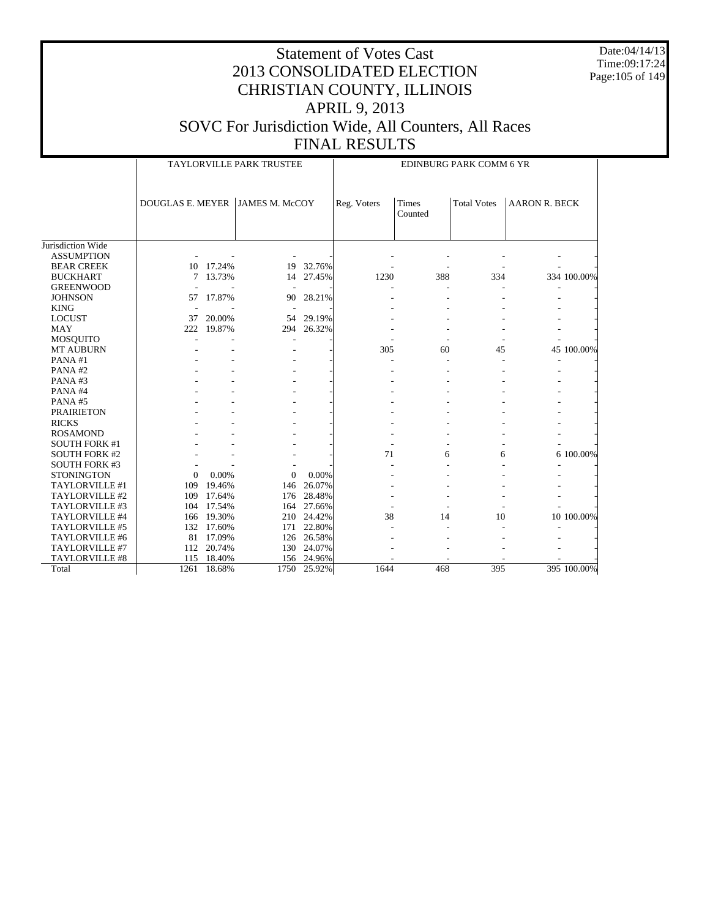Date:04/14/13 Time:09:17:24 Page:105 of 149

|                       | TAYLORVILLE PARK TRUSTEE |            |                       |            | EDINBURG PARK COMM 6 YR |                  |                    |                      |             |  |
|-----------------------|--------------------------|------------|-----------------------|------------|-------------------------|------------------|--------------------|----------------------|-------------|--|
|                       | <b>DOUGLAS E. MEYER</b>  |            | <b>JAMES M. McCOY</b> |            | Reg. Voters             | Times<br>Counted | <b>Total Votes</b> | <b>AARON R. BECK</b> |             |  |
| Jurisdiction Wide     |                          |            |                       |            |                         |                  |                    |                      |             |  |
| <b>ASSUMPTION</b>     |                          |            |                       |            |                         |                  |                    |                      |             |  |
| <b>BEAR CREEK</b>     | 10                       | 17.24%     | 19                    | 32.76%     |                         |                  |                    |                      |             |  |
| <b>BUCKHART</b>       | 7                        | 13.73%     | 14                    | 27.45%     | 1230                    | 388              | 334                |                      | 334 100.00% |  |
| <b>GREENWOOD</b>      |                          |            |                       |            |                         |                  |                    |                      |             |  |
| <b>JOHNSON</b>        |                          | 57 17.87%  | 90                    | 28.21%     |                         |                  |                    |                      |             |  |
| <b>KING</b>           |                          |            |                       |            |                         |                  |                    |                      |             |  |
| <b>LOCUST</b>         | 37                       | 20.00%     |                       | 54 29.19%  |                         |                  |                    |                      |             |  |
| <b>MAY</b>            | 222                      | 19.87%     | 294                   | 26.32%     |                         |                  |                    |                      |             |  |
| <b>MOSQUITO</b>       |                          |            |                       |            |                         |                  |                    |                      |             |  |
| <b>MT AUBURN</b>      |                          |            |                       |            | 305                     | 60               | 45                 |                      | 45 100.00%  |  |
| PANA#1                |                          |            |                       |            |                         |                  |                    |                      |             |  |
| PANA#2                |                          |            |                       |            |                         |                  |                    |                      |             |  |
| PANA#3                |                          |            |                       |            |                         |                  |                    |                      |             |  |
| PANA#4                |                          |            |                       |            |                         |                  |                    |                      |             |  |
| PANA#5                |                          |            |                       |            |                         |                  |                    |                      |             |  |
| <b>PRAIRIETON</b>     |                          |            |                       |            |                         |                  |                    |                      |             |  |
| <b>RICKS</b>          |                          |            |                       |            |                         |                  |                    |                      |             |  |
| <b>ROSAMOND</b>       |                          |            |                       |            |                         |                  |                    |                      |             |  |
| <b>SOUTH FORK #1</b>  |                          |            |                       |            |                         |                  |                    |                      |             |  |
| <b>SOUTH FORK #2</b>  |                          |            |                       |            | 71                      | 6                | 6                  |                      | 6 100.00%   |  |
| <b>SOUTH FORK #3</b>  |                          |            |                       |            |                         |                  |                    |                      |             |  |
| <b>STONINGTON</b>     | $\mathbf{0}$             | 0.00%      | $\Omega$              | 0.00%      |                         |                  |                    |                      |             |  |
| TAYLORVILLE #1        | 109                      | 19.46%     | 146                   | 26.07%     |                         |                  |                    |                      |             |  |
| TAYLORVILLE #2        | 109                      | 17.64%     | 176                   | 28.48%     |                         |                  |                    |                      |             |  |
| TAYLORVILLE #3        | 104                      | 17.54%     |                       | 164 27.66% |                         |                  |                    |                      |             |  |
| TAYLORVILLE #4        | 166                      | 19.30%     |                       | 210 24.42% | 38                      | 14               | 10                 |                      | 10 100.00%  |  |
| TAYLORVILLE #5        |                          | 132 17.60% |                       | 171 22.80% |                         |                  |                    |                      |             |  |
| TAYLORVILLE #6        |                          | 81 17.09%  |                       | 126 26.58% |                         |                  |                    |                      |             |  |
| TAYLORVILLE #7        | 112                      | 20.74%     |                       | 130 24.07% |                         |                  |                    |                      |             |  |
| <b>TAYLORVILLE #8</b> | 115                      | 18.40%     | 156                   | 24.96%     |                         |                  |                    |                      |             |  |
| Total                 | 1261                     | 18.68%     | 1750                  | 25.92%     | 1644                    | 468              | 395                |                      | 395 100.00% |  |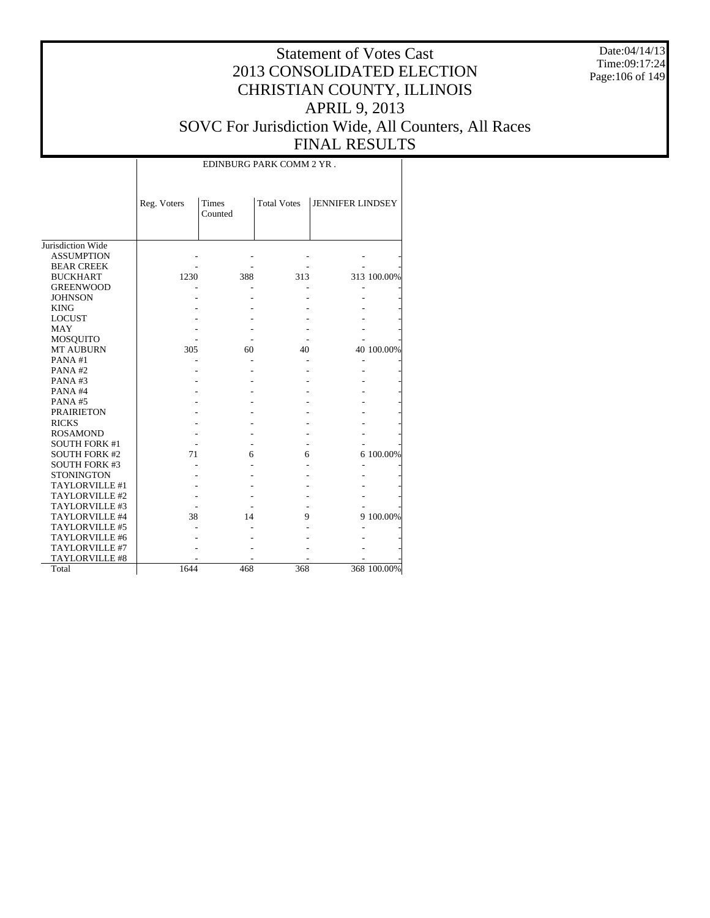Date:04/14/13 Time:09:17:24 Page:106 of 149

|                      |             | EDINBURG PARK COMM 2 YR. |                    |                         |             |  |  |  |  |  |  |
|----------------------|-------------|--------------------------|--------------------|-------------------------|-------------|--|--|--|--|--|--|
|                      | Reg. Voters | <b>Times</b><br>Counted  | <b>Total Votes</b> | <b>JENNIFER LINDSEY</b> |             |  |  |  |  |  |  |
| Jurisdiction Wide    |             |                          |                    |                         |             |  |  |  |  |  |  |
| <b>ASSUMPTION</b>    |             |                          |                    |                         |             |  |  |  |  |  |  |
| <b>BEAR CREEK</b>    |             |                          |                    |                         |             |  |  |  |  |  |  |
| <b>BUCKHART</b>      | 1230        | 388                      | 313                |                         | 313 100.00% |  |  |  |  |  |  |
| <b>GREENWOOD</b>     |             |                          |                    |                         |             |  |  |  |  |  |  |
| <b>JOHNSON</b>       |             |                          |                    |                         |             |  |  |  |  |  |  |
| <b>KING</b>          |             |                          |                    |                         |             |  |  |  |  |  |  |
| <b>LOCUST</b>        |             |                          |                    |                         |             |  |  |  |  |  |  |
| <b>MAY</b>           |             |                          |                    |                         |             |  |  |  |  |  |  |
| MOSQUITO             |             |                          |                    |                         |             |  |  |  |  |  |  |
| <b>MT AUBURN</b>     | 305         | 60                       | 40                 |                         | 40 100.00%  |  |  |  |  |  |  |
| PANA#1               |             |                          |                    |                         |             |  |  |  |  |  |  |
| PANA#2               |             |                          |                    |                         |             |  |  |  |  |  |  |
| PANA#3               |             |                          |                    |                         |             |  |  |  |  |  |  |
| PANA#4               |             |                          |                    |                         |             |  |  |  |  |  |  |
| PANA#5               |             |                          |                    |                         |             |  |  |  |  |  |  |
| <b>PRAIRIETON</b>    |             |                          |                    |                         |             |  |  |  |  |  |  |
| <b>RICKS</b>         |             |                          |                    |                         |             |  |  |  |  |  |  |
| <b>ROSAMOND</b>      |             |                          |                    |                         |             |  |  |  |  |  |  |
| <b>SOUTH FORK #1</b> |             |                          |                    |                         |             |  |  |  |  |  |  |
| <b>SOUTH FORK #2</b> | 71          | 6                        | 6                  |                         | 6 100.00%   |  |  |  |  |  |  |
| <b>SOUTH FORK #3</b> |             |                          |                    |                         |             |  |  |  |  |  |  |
| <b>STONINGTON</b>    |             |                          |                    |                         |             |  |  |  |  |  |  |
| TAYLORVILLE #1       |             |                          |                    |                         |             |  |  |  |  |  |  |
| TAYLORVILLE #2       |             |                          |                    |                         |             |  |  |  |  |  |  |
| TAYLORVILLE #3       |             |                          |                    |                         |             |  |  |  |  |  |  |
| TAYLORVILLE #4       | 38          | 14                       | 9                  |                         | 9 100.00%   |  |  |  |  |  |  |
| TAYLORVILLE #5       |             |                          |                    |                         |             |  |  |  |  |  |  |
| TAYLORVILLE #6       |             |                          |                    |                         |             |  |  |  |  |  |  |
| TAYLORVILLE #7       |             |                          |                    |                         |             |  |  |  |  |  |  |
| TAYLORVILLE #8       |             |                          |                    |                         |             |  |  |  |  |  |  |
| Total                | 1644        | 468                      | 368                |                         | 368 100.00% |  |  |  |  |  |  |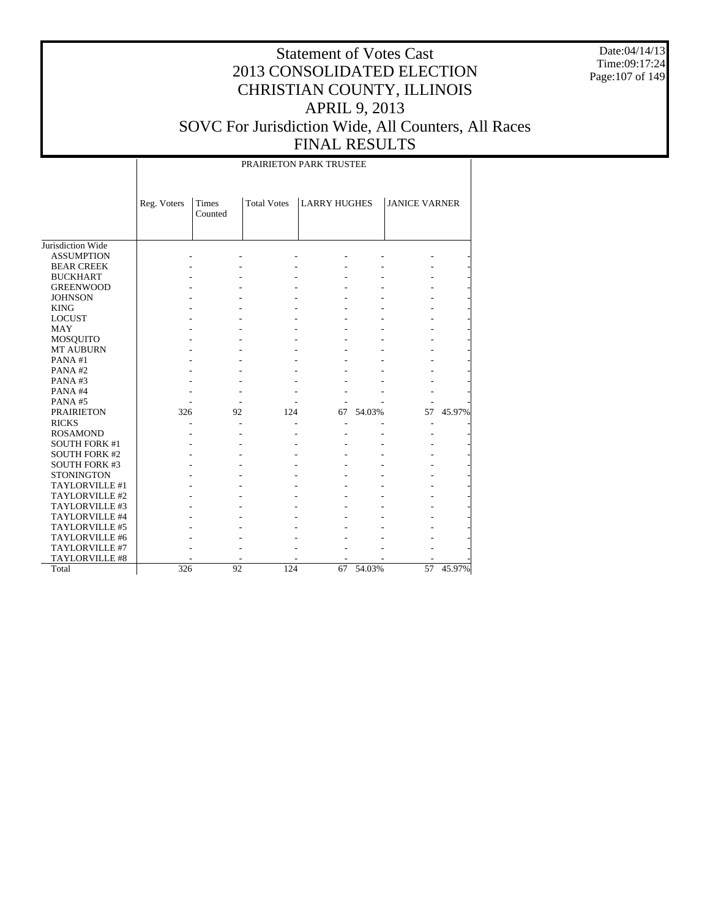Date:04/14/13 Time:09:17:24 Page:107 of 149

#### Statement of Votes Cast 2013 CONSOLIDATED ELECTION CHRISTIAN COUNTY, ILLINOIS APRIL 9, 2013 SOVC For Jurisdiction Wide, All Counters, All Races FINAL RESULTS

PRAIRIETON PARK TRUSTEE

|                       | Reg. Voters | Times<br>Counted | <b>Total Votes</b> | <b>LARRY HUGHES</b> |        | <b>JANICE VARNER</b> |        |
|-----------------------|-------------|------------------|--------------------|---------------------|--------|----------------------|--------|
| Jurisdiction Wide     |             |                  |                    |                     |        |                      |        |
| <b>ASSUMPTION</b>     |             |                  |                    |                     |        |                      |        |
| <b>BEAR CREEK</b>     |             |                  |                    |                     |        |                      |        |
| <b>BUCKHART</b>       |             |                  |                    |                     |        |                      |        |
| <b>GREENWOOD</b>      |             |                  |                    |                     |        |                      |        |
| <b>JOHNSON</b>        |             |                  |                    |                     |        |                      |        |
| <b>KING</b>           |             |                  |                    |                     |        |                      |        |
| <b>LOCUST</b>         |             |                  |                    |                     |        |                      |        |
| <b>MAY</b>            |             |                  |                    |                     |        |                      |        |
| MOSQUITO              |             |                  |                    |                     |        |                      |        |
| <b>MT AUBURN</b>      |             |                  |                    |                     |        |                      |        |
| PANA#1                |             |                  |                    |                     |        |                      |        |
| PANA#2                |             |                  |                    |                     |        |                      |        |
| PANA#3                |             |                  |                    |                     |        |                      |        |
| PANA#4                |             |                  |                    |                     |        |                      |        |
| PANA#5                |             |                  |                    |                     |        |                      |        |
| <b>PRAIRIETON</b>     | 326         | 92               | 124                | 67                  | 54.03% | 57                   | 45.97% |
| <b>RICKS</b>          |             |                  |                    |                     |        |                      |        |
| <b>ROSAMOND</b>       |             |                  |                    |                     |        |                      |        |
| <b>SOUTH FORK #1</b>  |             |                  |                    |                     |        |                      |        |
| <b>SOUTH FORK #2</b>  |             |                  |                    |                     |        |                      |        |
| <b>SOUTH FORK #3</b>  |             |                  |                    |                     |        |                      |        |
| <b>STONINGTON</b>     |             |                  |                    |                     |        |                      |        |
| TAYLORVILLE #1        |             |                  |                    |                     |        |                      |        |
| TAYLORVILLE #2        |             |                  |                    |                     |        |                      |        |
| TAYLORVILLE #3        |             |                  |                    |                     |        |                      |        |
| TAYLORVILLE #4        |             |                  |                    |                     |        |                      |        |
| TAYLORVILLE #5        |             |                  |                    |                     |        |                      |        |
| TAYLORVILLE #6        |             |                  |                    |                     |        |                      |        |
| <b>TAYLORVILLE #7</b> |             |                  |                    |                     |        |                      |        |
| TAYLORVILLE #8        |             |                  |                    |                     |        |                      |        |
| Total                 | 326         | 92               | 124                | 67                  | 54.03% | 57                   | 45.97% |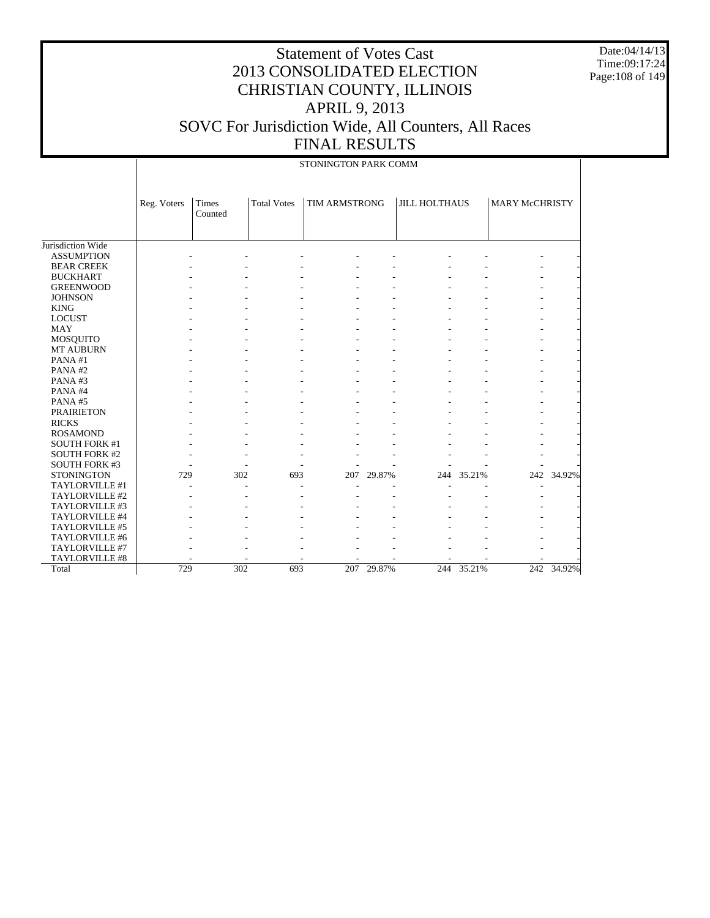Date:04/14/13 Time:09:17:24 Page:108 of 149

|                       | STONINGTON PARK COMM |                         |                    |               |            |                      |        |                |            |
|-----------------------|----------------------|-------------------------|--------------------|---------------|------------|----------------------|--------|----------------|------------|
|                       | Reg. Voters          | <b>Times</b><br>Counted | <b>Total Votes</b> | TIM ARMSTRONG |            | <b>JILL HOLTHAUS</b> |        | MARY McCHRISTY |            |
| Jurisdiction Wide     |                      |                         |                    |               |            |                      |        |                |            |
| <b>ASSUMPTION</b>     |                      |                         |                    |               |            |                      |        |                |            |
| <b>BEAR CREEK</b>     |                      |                         |                    |               |            |                      |        |                |            |
| <b>BUCKHART</b>       |                      |                         |                    |               |            |                      |        |                |            |
| <b>GREENWOOD</b>      |                      |                         |                    |               |            |                      |        |                |            |
| <b>JOHNSON</b>        |                      |                         |                    |               |            |                      |        |                |            |
| <b>KING</b>           |                      |                         |                    |               |            |                      |        |                |            |
| <b>LOCUST</b>         |                      |                         |                    |               |            |                      |        |                |            |
| <b>MAY</b>            |                      |                         |                    |               |            |                      |        |                |            |
| <b>MOSQUITO</b>       |                      |                         |                    |               |            |                      |        |                |            |
| <b>MT AUBURN</b>      |                      |                         |                    |               |            |                      |        |                |            |
| PANA#1                |                      |                         |                    |               |            |                      |        |                |            |
| PANA#2                |                      |                         |                    |               |            |                      |        |                |            |
| PANA#3                |                      |                         |                    |               |            |                      |        |                |            |
| PANA#4                |                      |                         |                    |               |            |                      |        |                |            |
| PANA#5                |                      |                         |                    |               |            |                      |        |                |            |
| <b>PRAIRIETON</b>     |                      |                         |                    |               |            |                      |        |                |            |
| <b>RICKS</b>          |                      |                         |                    |               |            |                      |        |                |            |
| <b>ROSAMOND</b>       |                      |                         |                    |               |            |                      |        |                |            |
| <b>SOUTH FORK #1</b>  |                      |                         |                    |               |            |                      |        |                |            |
| <b>SOUTH FORK #2</b>  |                      |                         |                    |               |            |                      |        |                |            |
| <b>SOUTH FORK #3</b>  |                      |                         |                    |               |            |                      |        |                |            |
| <b>STONINGTON</b>     | 729                  | 302                     | 693                | 207           | 29.87%     | 244                  | 35.21% |                | 242 34.92% |
| TAYLORVILLE #1        |                      |                         |                    |               |            |                      |        |                |            |
| TAYLORVILLE #2        |                      |                         |                    |               |            |                      |        |                |            |
| TAYLORVILLE #3        |                      |                         |                    |               |            |                      |        |                |            |
| TAYLORVILLE #4        |                      |                         |                    |               |            |                      |        |                |            |
| TAYLORVILLE #5        |                      |                         |                    |               |            |                      |        |                |            |
| TAYLORVILLE #6        |                      |                         |                    |               |            |                      |        |                |            |
| TAYLORVILLE #7        |                      |                         |                    |               |            |                      |        |                |            |
| <b>TAYLORVILLE #8</b> |                      |                         |                    |               |            |                      |        |                |            |
| Total                 | 729                  | $\overline{302}$        | 693                |               | 207 29.87% | 244                  | 35.21% |                | 242 34.92% |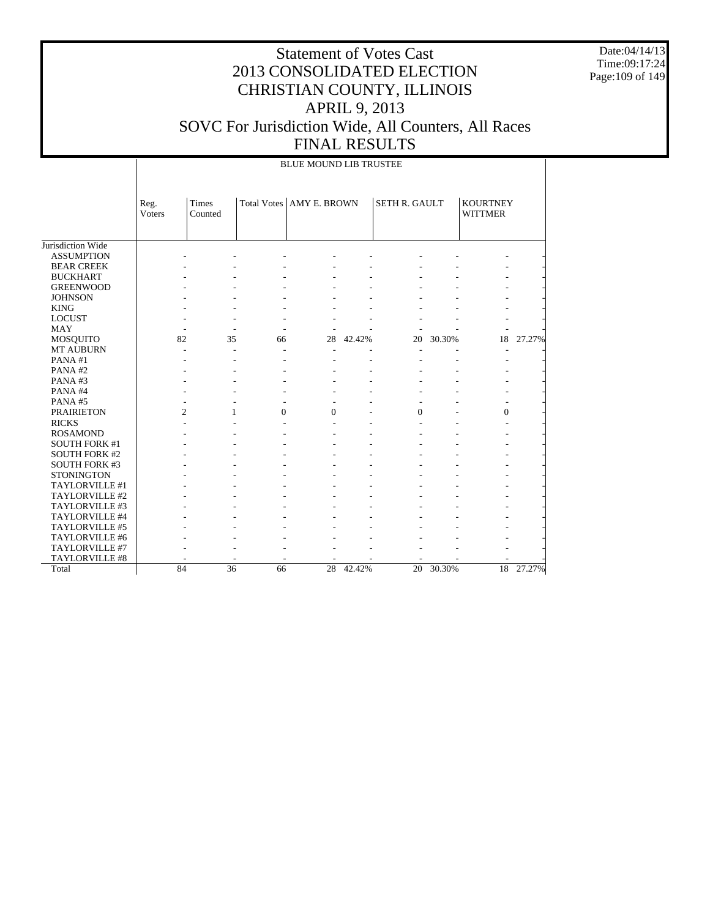Date:04/14/13 Time:09:17:24 Page:109 of 149

## Statement of Votes Cast 2013 CONSOLIDATED ELECTION CHRISTIAN COUNTY, ILLINOIS APRIL 9, 2013 SOVC For Jurisdiction Wide, All Counters, All Races FINAL RESULTS

#### BLUE MOUND LIB TRUSTEE

|                       | Reg.           | Times   |                | Total Votes   AMY E. BROWN |        | <b>SETH R. GAULT</b> |        | <b>KOURTNEY</b> |        |
|-----------------------|----------------|---------|----------------|----------------------------|--------|----------------------|--------|-----------------|--------|
|                       | Voters         | Counted |                |                            |        |                      |        | <b>WITTMER</b>  |        |
|                       |                |         |                |                            |        |                      |        |                 |        |
|                       |                |         |                |                            |        |                      |        |                 |        |
| Jurisdiction Wide     |                |         |                |                            |        |                      |        |                 |        |
| <b>ASSUMPTION</b>     |                |         |                |                            |        |                      |        |                 |        |
| <b>BEAR CREEK</b>     |                |         |                |                            |        |                      |        |                 |        |
| <b>BUCKHART</b>       |                |         |                |                            |        |                      |        |                 |        |
| <b>GREENWOOD</b>      |                |         |                |                            |        |                      |        |                 |        |
| <b>JOHNSON</b>        |                |         |                |                            |        |                      |        |                 |        |
| <b>KING</b>           |                |         |                |                            |        |                      |        |                 |        |
| <b>LOCUST</b>         |                |         |                |                            |        |                      |        |                 |        |
| <b>MAY</b>            |                |         | L,             |                            |        |                      |        |                 |        |
| <b>MOSQUITO</b>       | 82             | 35      | 66             | 28                         | 42.42% | 20                   | 30.30% | 18              | 27.27% |
| <b>MT AUBURN</b>      |                |         | $\overline{a}$ | ٠                          |        |                      |        |                 |        |
| PANA#1                |                |         |                |                            |        |                      |        |                 |        |
| PANA#2                |                |         |                |                            |        |                      |        |                 |        |
| PANA#3                |                |         |                |                            |        |                      |        |                 |        |
| PANA#4                |                |         |                |                            |        |                      |        |                 |        |
| PANA#5                |                |         |                |                            |        |                      |        |                 |        |
| <b>PRAIRIETON</b>     | $\overline{c}$ | 1       | $\mathbf{0}$   | $\Omega$                   |        | 0                    |        | $\overline{0}$  |        |
| <b>RICKS</b>          |                |         |                |                            |        |                      |        |                 |        |
| <b>ROSAMOND</b>       |                |         |                |                            |        |                      |        |                 |        |
| <b>SOUTH FORK #1</b>  |                |         |                |                            |        |                      |        |                 |        |
| <b>SOUTH FORK #2</b>  |                |         |                |                            |        |                      |        |                 |        |
| <b>SOUTH FORK #3</b>  |                |         |                |                            |        |                      |        |                 |        |
| <b>STONINGTON</b>     |                |         |                |                            |        |                      |        |                 |        |
| TAYLORVILLE #1        |                |         |                |                            |        |                      |        |                 |        |
| TAYLORVILLE #2        |                |         |                |                            |        |                      |        |                 |        |
| TAYLORVILLE #3        |                |         |                |                            |        |                      |        |                 |        |
| TAYLORVILLE #4        |                |         |                |                            |        |                      |        |                 |        |
| TAYLORVILLE #5        |                |         |                |                            |        |                      |        |                 |        |
| TAYLORVILLE #6        |                |         |                |                            |        |                      |        |                 |        |
| TAYLORVILLE #7        |                |         |                |                            |        |                      |        |                 |        |
| <b>TAYLORVILLE #8</b> |                |         |                |                            |        |                      |        |                 |        |
| Total                 | 84             | 36      | 66             | 28                         | 42.42% | 20                   | 30.30% | 18              | 27.27% |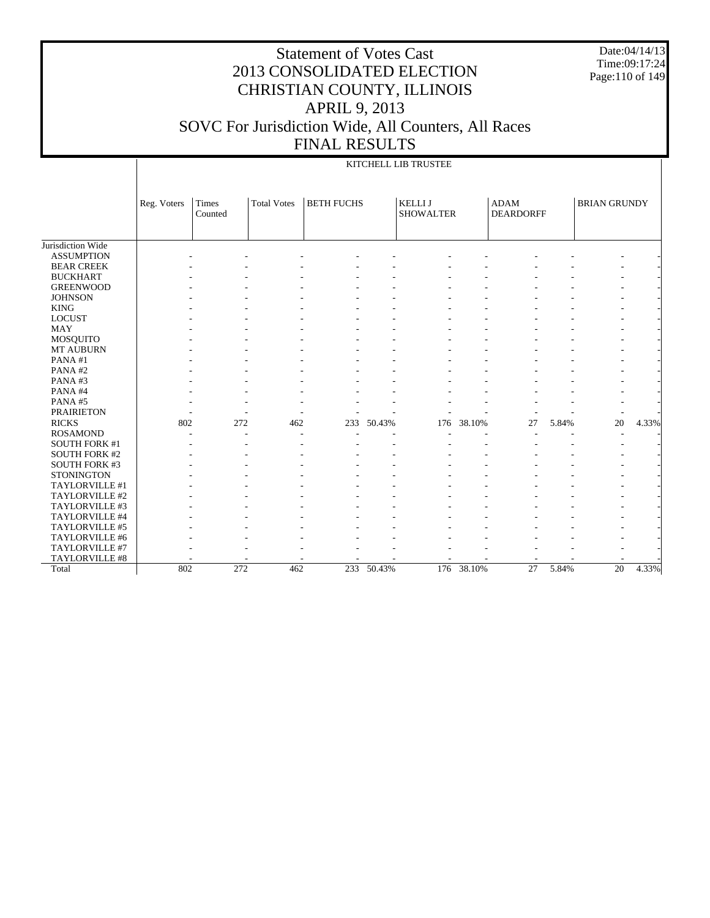Date:04/14/13 Time:09:17:24 Page:110 of 149

## Statement of Votes Cast 2013 CONSOLIDATED ELECTION CHRISTIAN COUNTY, ILLINOIS APRIL 9, 2013 SOVC For Jurisdiction Wide, All Counters, All Races FINAL RESULTS

#### KITCHELL LIB TRUSTEE

|                      | Reg. Voters | <b>Times</b><br>Counted | <b>Total Votes</b> | <b>BETH FUCHS</b> |        | <b>KELLIJ</b><br><b>SHOWALTER</b> |        | <b>ADAM</b><br><b>DEARDORFF</b> |       | <b>BRIAN GRUNDY</b> |       |
|----------------------|-------------|-------------------------|--------------------|-------------------|--------|-----------------------------------|--------|---------------------------------|-------|---------------------|-------|
|                      |             |                         |                    |                   |        |                                   |        |                                 |       |                     |       |
| Jurisdiction Wide    |             |                         |                    |                   |        |                                   |        |                                 |       |                     |       |
| <b>ASSUMPTION</b>    |             |                         |                    |                   |        |                                   |        |                                 |       |                     |       |
| <b>BEAR CREEK</b>    |             |                         |                    |                   |        |                                   |        |                                 |       |                     |       |
| <b>BUCKHART</b>      |             |                         |                    |                   |        |                                   |        |                                 |       |                     |       |
| <b>GREENWOOD</b>     |             |                         |                    |                   |        |                                   |        |                                 |       |                     |       |
| <b>JOHNSON</b>       |             |                         |                    |                   |        |                                   |        |                                 |       |                     |       |
| <b>KING</b>          |             |                         |                    |                   |        |                                   |        |                                 |       |                     |       |
| <b>LOCUST</b>        |             |                         |                    |                   |        |                                   |        |                                 |       |                     |       |
| <b>MAY</b>           |             |                         |                    |                   |        |                                   |        |                                 |       |                     |       |
| MOSQUITO             |             |                         |                    |                   |        |                                   |        |                                 |       |                     |       |
| <b>MT AUBURN</b>     |             |                         |                    |                   |        |                                   |        |                                 |       |                     |       |
| PANA#1               |             |                         |                    |                   |        |                                   |        |                                 |       |                     |       |
| PANA#2               |             |                         |                    |                   |        |                                   |        |                                 |       |                     |       |
| PANA#3               |             |                         |                    |                   |        |                                   |        |                                 |       |                     |       |
| PANA#4               |             |                         |                    |                   |        |                                   |        |                                 |       |                     |       |
| PANA#5               |             |                         |                    |                   |        |                                   |        |                                 |       |                     |       |
| <b>PRAIRIETON</b>    |             |                         |                    |                   |        |                                   |        |                                 |       |                     |       |
| <b>RICKS</b>         | 802         | 272                     | 462                | 233               | 50.43% | 176                               | 38.10% | 27                              | 5.84% | 20                  | 4.33% |
| <b>ROSAMOND</b>      |             |                         |                    |                   |        |                                   |        |                                 |       |                     |       |
| <b>SOUTH FORK #1</b> |             |                         |                    |                   |        |                                   |        |                                 |       |                     |       |
| <b>SOUTH FORK #2</b> |             |                         |                    |                   |        |                                   |        |                                 |       |                     |       |
| SOUTH FORK #3        |             |                         |                    |                   |        |                                   |        |                                 |       |                     |       |
| <b>STONINGTON</b>    |             |                         |                    |                   |        |                                   |        |                                 |       |                     |       |
| TAYLORVILLE #1       |             |                         |                    |                   |        |                                   |        |                                 |       |                     |       |
| TAYLORVILLE #2       |             |                         |                    |                   |        |                                   |        |                                 |       |                     |       |
| TAYLORVILLE #3       |             |                         |                    |                   |        |                                   |        |                                 |       |                     |       |
| TAYLORVILLE #4       |             |                         |                    |                   |        |                                   |        |                                 |       |                     |       |
| TAYLORVILLE #5       |             |                         |                    |                   |        |                                   |        |                                 |       |                     |       |
| TAYLORVILLE #6       |             |                         |                    |                   |        |                                   |        |                                 |       |                     |       |
| TAYLORVILLE #7       |             |                         |                    |                   |        |                                   |        |                                 |       |                     |       |
| TAYLORVILLE #8       |             |                         |                    |                   |        |                                   |        |                                 |       |                     |       |
| Total                | 802         | 272                     | 462                | 233               | 50.43% | 176                               | 38.10% | 27                              | 5.84% | 20                  | 4.33% |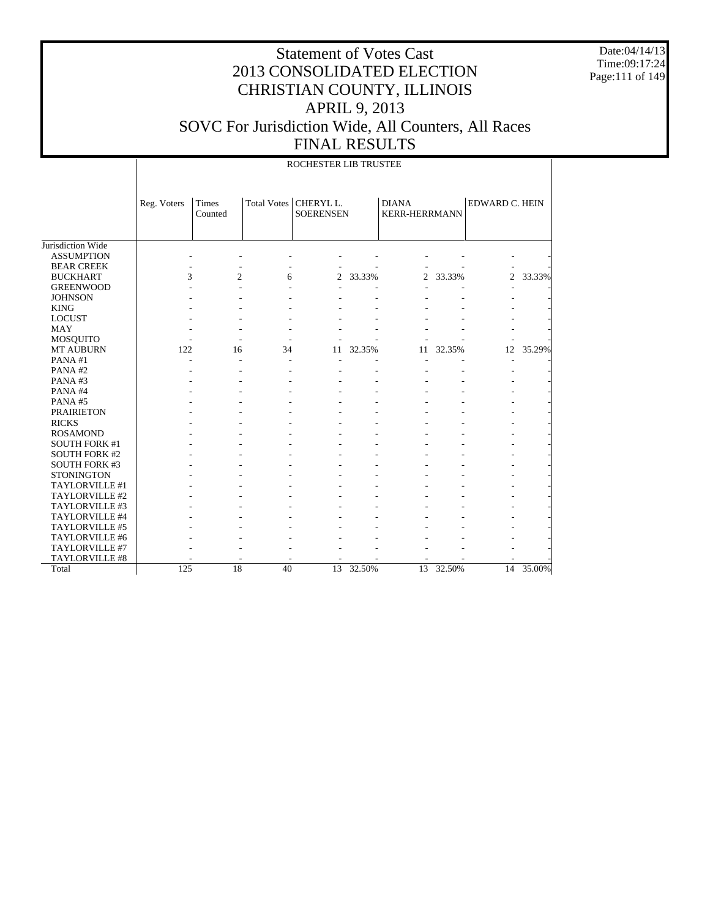Date:04/14/13 Time:09:17:24 Page:111 of 149

|                                         |             |                  |             | ROCHESTER LIB TRUSTEE                   |        |                                      |        |                |        |
|-----------------------------------------|-------------|------------------|-------------|-----------------------------------------|--------|--------------------------------------|--------|----------------|--------|
|                                         | Reg. Voters | Times<br>Counted | Total Votes | CHERYL <sub>L</sub><br><b>SOERENSEN</b> |        | <b>DIANA</b><br><b>KERR-HERRMANN</b> |        | EDWARD C. HEIN |        |
| Jurisdiction Wide                       |             |                  |             |                                         |        |                                      |        |                |        |
| <b>ASSUMPTION</b>                       |             |                  |             |                                         |        |                                      |        |                |        |
| <b>BEAR CREEK</b>                       |             |                  |             |                                         |        |                                      |        |                |        |
| <b>BUCKHART</b>                         | 3           | $\overline{c}$   | 6           | 2                                       | 33.33% | 2                                    | 33.33% | $\overline{2}$ | 33.33% |
| <b>GREENWOOD</b>                        |             |                  |             |                                         |        |                                      |        |                |        |
| <b>JOHNSON</b>                          |             |                  |             |                                         |        |                                      |        |                |        |
| <b>KING</b>                             |             |                  |             |                                         |        |                                      |        |                |        |
| <b>LOCUST</b>                           |             |                  |             |                                         |        |                                      |        |                |        |
| <b>MAY</b>                              |             |                  |             |                                         |        |                                      |        |                |        |
| MOSQUITO                                |             |                  |             |                                         |        |                                      |        |                |        |
| <b>MT AUBURN</b>                        | 122         | 16               | 34          | 11                                      | 32.35% | 11                                   | 32.35% | 12             | 35.29% |
| PANA#1                                  |             |                  |             |                                         |        |                                      |        | ٠              |        |
| PANA#2                                  |             |                  |             |                                         |        |                                      |        |                |        |
| PANA#3                                  |             |                  |             |                                         |        |                                      |        |                |        |
| PANA#4                                  |             |                  |             |                                         |        |                                      |        |                |        |
| PANA#5                                  |             |                  |             |                                         |        |                                      |        |                |        |
| <b>PRAIRIETON</b>                       |             |                  |             |                                         |        |                                      |        |                |        |
| <b>RICKS</b>                            |             |                  |             |                                         |        |                                      |        |                |        |
|                                         |             |                  |             |                                         |        |                                      |        |                |        |
| <b>ROSAMOND</b><br><b>SOUTH FORK #1</b> |             |                  |             |                                         |        |                                      |        |                |        |
| <b>SOUTH FORK #2</b>                    |             |                  |             |                                         |        |                                      |        |                |        |
|                                         |             |                  |             |                                         |        |                                      |        |                |        |
| SOUTH FORK #3<br><b>STONINGTON</b>      |             |                  |             |                                         |        |                                      |        |                |        |
| TAYLORVILLE #1                          |             |                  |             |                                         |        |                                      |        |                |        |
| TAYLORVILLE #2                          |             |                  |             |                                         |        |                                      |        |                |        |
|                                         |             |                  |             |                                         |        |                                      |        |                |        |
| TAYLORVILLE #3                          |             |                  |             |                                         |        |                                      |        |                |        |
| TAYLORVILLE #4                          |             |                  |             |                                         |        |                                      |        |                |        |
| TAYLORVILLE #5                          |             |                  |             |                                         |        |                                      |        |                |        |
| TAYLORVILLE #6                          |             |                  |             |                                         |        |                                      |        |                |        |
| TAYLORVILLE #7                          |             |                  |             |                                         |        |                                      |        |                |        |
| TAYLORVILLE #8                          |             |                  |             |                                         |        |                                      |        |                |        |
| Total                                   | 125         | 18               | 40          | 13                                      | 32.50% | 13                                   | 32.50% | 14             | 35.00% |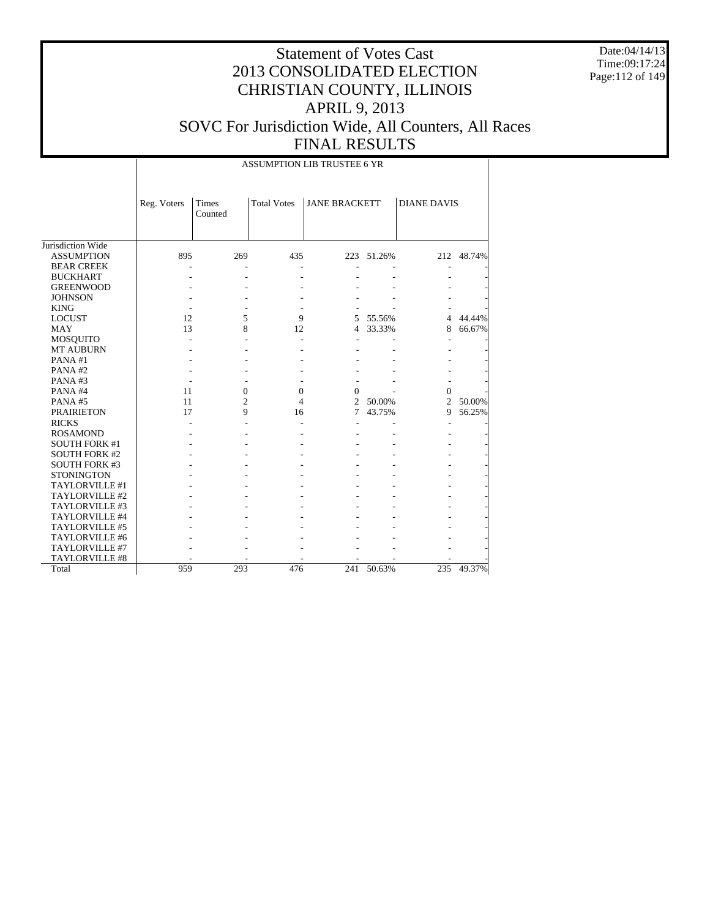Date:04/14/13 Time:09:17:24 Page:112 of 149

|                      |             |                  |                          | <b>ASSUMPTION LIB TRUSTEE 6 YR</b> |            |                    |            |
|----------------------|-------------|------------------|--------------------------|------------------------------------|------------|--------------------|------------|
|                      | Reg. Voters | Times<br>Counted | <b>Total Votes</b>       | <b>JANE BRACKETT</b>               |            | <b>DIANE DAVIS</b> |            |
| Jurisdiction Wide    |             |                  |                          |                                    |            |                    |            |
| <b>ASSUMPTION</b>    | 895         | 269              | 435                      |                                    | 223 51.26% |                    | 212 48.74% |
| <b>BEAR CREEK</b>    |             |                  | $\overline{\phantom{0}}$ |                                    |            |                    |            |
| <b>BUCKHART</b>      |             |                  |                          |                                    |            |                    |            |
| <b>GREENWOOD</b>     |             |                  |                          |                                    |            |                    |            |
| <b>JOHNSON</b>       |             |                  |                          |                                    |            |                    |            |
| <b>KING</b>          |             |                  |                          |                                    |            |                    |            |
| <b>LOCUST</b>        | 12          | 5                | 9                        | 5                                  | 55.56%     | 4                  | 44.44%     |
| <b>MAY</b>           | 13          | 8                | 12                       | 4                                  | 33.33%     | 8                  | 66.67%     |
| <b>MOSQUITO</b>      |             |                  | ÷                        |                                    |            |                    |            |
| <b>MT AUBURN</b>     |             |                  |                          |                                    |            |                    |            |
| PANA#1               |             |                  |                          |                                    |            |                    |            |
| PANA#2               |             |                  |                          |                                    |            |                    |            |
| PANA#3               |             |                  |                          |                                    |            |                    |            |
| PANA#4               | 11          | $\overline{0}$   | $\theta$                 | $\Omega$                           |            | $\Omega$           |            |
| PANA#5               | 11          | 2                | 4                        | $\overline{2}$                     | 50.00%     | $\overline{c}$     | 50.00%     |
| <b>PRAIRIETON</b>    | 17          | 9                | 16                       | $\tau$                             | 43.75%     | 9                  | 56.25%     |
| <b>RICKS</b>         |             |                  |                          |                                    |            |                    |            |
| <b>ROSAMOND</b>      |             |                  |                          |                                    |            |                    |            |
| <b>SOUTH FORK #1</b> |             |                  |                          |                                    |            |                    |            |
| <b>SOUTH FORK #2</b> |             |                  |                          |                                    |            |                    |            |
| <b>SOUTH FORK #3</b> |             |                  |                          |                                    |            |                    |            |
| <b>STONINGTON</b>    |             |                  |                          |                                    |            |                    |            |
| TAYLORVILLE #1       |             |                  |                          |                                    |            |                    |            |
| TAYLORVILLE #2       |             |                  |                          |                                    |            |                    |            |
| TAYLORVILLE #3       |             |                  |                          |                                    |            |                    |            |
| TAYLORVILLE #4       |             |                  |                          |                                    |            |                    |            |
| TAYLORVILLE #5       |             |                  |                          |                                    |            |                    |            |
| TAYLORVILLE #6       |             |                  |                          |                                    |            |                    |            |
| TAYLORVILLE #7       |             |                  |                          |                                    |            |                    |            |
| TAYLORVILLE #8       |             |                  |                          |                                    |            |                    |            |
| Total                | 959         | 293              | 476                      | 241                                | 50.63%     | 235                | 49.37%     |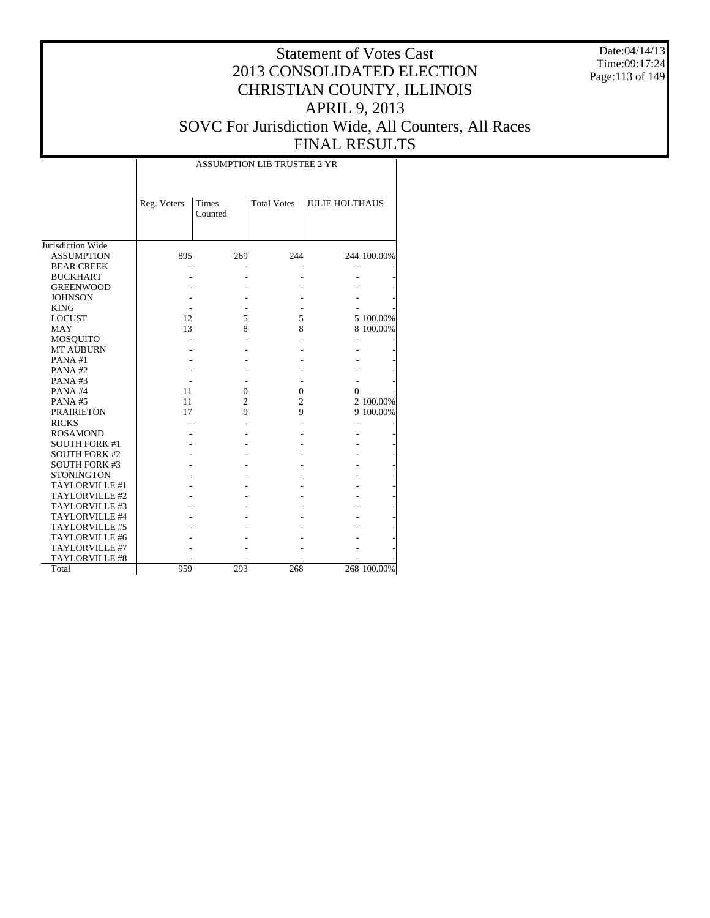Date:04/14/13 Time:09:17:24 Page:113 of 149

|                      |             |                  | <b>ASSUMPTION LIB TRUSTEE 2 YR</b> |                       |             |
|----------------------|-------------|------------------|------------------------------------|-----------------------|-------------|
|                      | Reg. Voters | Times<br>Counted | <b>Total Votes</b>                 | <b>JULIE HOLTHAUS</b> |             |
| Jurisdiction Wide    |             |                  |                                    |                       |             |
| <b>ASSUMPTION</b>    | 895         | 269              | 244                                |                       | 244 100.00% |
| <b>BEAR CREEK</b>    |             |                  |                                    |                       |             |
| <b>BUCKHART</b>      |             |                  |                                    |                       |             |
| <b>GREENWOOD</b>     |             |                  |                                    |                       |             |
| <b>JOHNSON</b>       |             |                  |                                    |                       |             |
| <b>KING</b>          |             |                  |                                    |                       |             |
| <b>LOCUST</b>        | 12          | 5                | 5                                  |                       | 5 100.00%   |
| MAY                  | 13          | 8                | 8                                  |                       | 8 100.00%   |
| <b>MOSQUITO</b>      |             |                  |                                    |                       |             |
| <b>MT AUBURN</b>     |             |                  |                                    |                       |             |
| PANA#1               |             |                  |                                    |                       |             |
| PANA#2               |             |                  |                                    |                       |             |
| PANA#3               |             |                  |                                    |                       |             |
| PANA#4               | 11          | $\mathbf{0}$     | $\mathbf{0}$                       | 0                     |             |
| PANA#5               | 11          | $\overline{c}$   | 2                                  |                       | 2 100.00%   |
| <b>PRAIRIETON</b>    | 17          | 9                | 9                                  |                       | 9 100.00%   |
| <b>RICKS</b>         |             |                  |                                    |                       |             |
| <b>ROSAMOND</b>      |             |                  |                                    |                       |             |
| <b>SOUTH FORK #1</b> |             |                  |                                    |                       |             |
| <b>SOUTH FORK #2</b> |             |                  |                                    |                       |             |
| <b>SOUTH FORK #3</b> |             |                  |                                    |                       |             |
| <b>STONINGTON</b>    |             |                  |                                    |                       |             |
| TAYLORVILLE #1       |             |                  |                                    |                       |             |
| TAYLORVILLE #2       |             |                  |                                    |                       |             |
| TAYLORVILLE #3       |             |                  |                                    |                       |             |
| TAYLORVILLE #4       |             |                  |                                    |                       |             |
| TAYLORVILLE #5       |             |                  |                                    |                       |             |
| TAYLORVILLE #6       |             |                  |                                    |                       |             |
| TAYLORVILLE #7       |             |                  |                                    |                       |             |
| TAYLORVILLE #8       |             |                  |                                    |                       |             |
| Total                | 959         | 293              | 268                                |                       | 268 100.00% |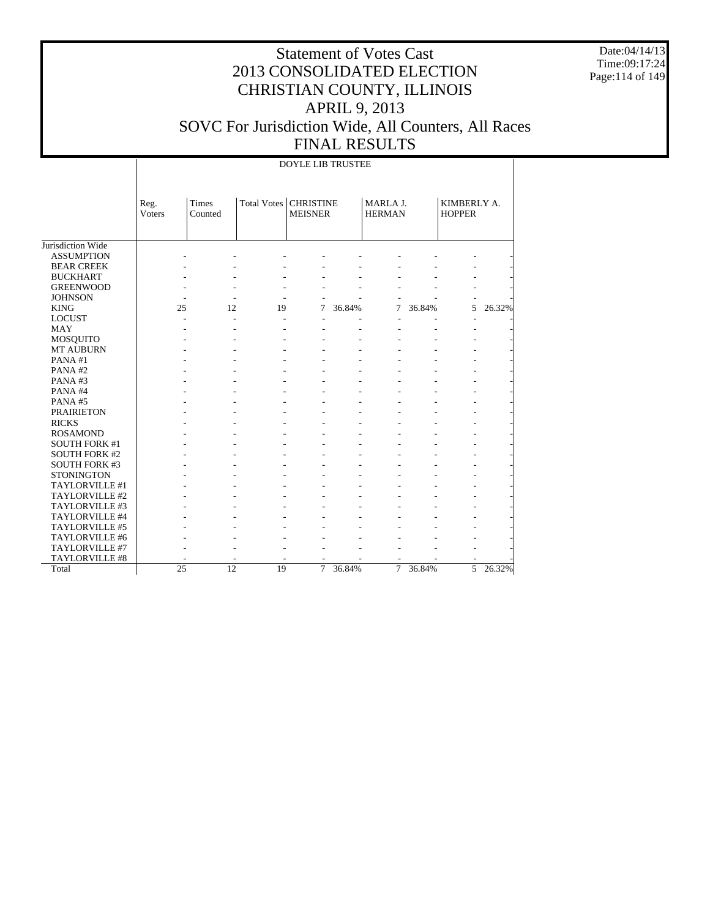Date:04/14/13 Time:09:17:24 Page:114 of 149

|                      |                |                  |             | <b>DOYLE LIB TRUSTEE</b>           |        |                           |        |                              |        |
|----------------------|----------------|------------------|-------------|------------------------------------|--------|---------------------------|--------|------------------------------|--------|
|                      | Reg.<br>Voters | Times<br>Counted | Total Votes | <b>CHRISTINE</b><br><b>MEISNER</b> |        | MARLA J.<br><b>HERMAN</b> |        | KIMBERLY A.<br><b>HOPPER</b> |        |
| Jurisdiction Wide    |                |                  |             |                                    |        |                           |        |                              |        |
| <b>ASSUMPTION</b>    |                |                  |             |                                    |        |                           |        |                              |        |
| <b>BEAR CREEK</b>    |                |                  |             |                                    |        |                           |        |                              |        |
| <b>BUCKHART</b>      |                |                  |             |                                    |        |                           |        |                              |        |
| <b>GREENWOOD</b>     |                |                  |             |                                    |        |                           |        |                              |        |
| <b>JOHNSON</b>       |                |                  |             |                                    |        |                           |        |                              |        |
| <b>KING</b>          | 25             | 12               | 19          | 7                                  | 36.84% | 7                         | 36.84% | 5                            | 26.32% |
| <b>LOCUST</b>        |                |                  |             |                                    |        |                           |        |                              |        |
| <b>MAY</b>           |                |                  |             |                                    |        |                           |        |                              |        |
| <b>MOSQUITO</b>      |                |                  |             |                                    |        |                           |        |                              |        |
| MT AUBURN            |                |                  |             |                                    |        |                           |        |                              |        |
| PANA#1               |                |                  |             |                                    |        |                           |        |                              |        |
| PANA#2               |                |                  |             |                                    |        |                           |        |                              |        |
| PANA#3               |                |                  |             |                                    |        |                           |        |                              |        |
| PANA#4               |                |                  |             |                                    |        |                           |        |                              |        |
| PANA#5               |                |                  |             |                                    |        |                           |        |                              |        |
| <b>PRAIRIETON</b>    |                |                  |             |                                    |        |                           |        |                              |        |
| <b>RICKS</b>         |                |                  |             |                                    |        |                           |        |                              |        |
| <b>ROSAMOND</b>      |                |                  |             |                                    |        |                           |        |                              |        |
| <b>SOUTH FORK #1</b> |                |                  |             |                                    |        |                           |        |                              |        |
| <b>SOUTH FORK #2</b> |                |                  |             |                                    |        |                           |        |                              |        |
| <b>SOUTH FORK #3</b> |                |                  |             |                                    |        |                           |        |                              |        |
| <b>STONINGTON</b>    |                |                  |             |                                    |        |                           |        |                              |        |
| TAYLORVILLE #1       |                |                  |             |                                    |        |                           |        |                              |        |
| TAYLORVILLE #2       |                |                  |             |                                    |        |                           |        |                              |        |
| TAYLORVILLE #3       |                |                  |             |                                    |        |                           |        |                              |        |
| TAYLORVILLE #4       |                |                  |             |                                    |        |                           |        |                              |        |
| TAYLORVILLE #5       |                |                  |             |                                    |        |                           |        |                              |        |
| TAYLORVILLE #6       |                |                  |             |                                    |        |                           |        |                              |        |
| TAYLORVILLE #7       |                |                  |             |                                    |        |                           |        |                              |        |
| TAYLORVILLE #8       |                |                  |             |                                    |        |                           |        |                              |        |
|                      | 25             | 12               | 19          | $\overline{7}$                     |        | $\overline{7}$            |        | 5                            | 26.32% |
| Total                |                |                  |             |                                    | 36.84% |                           | 36.84% |                              |        |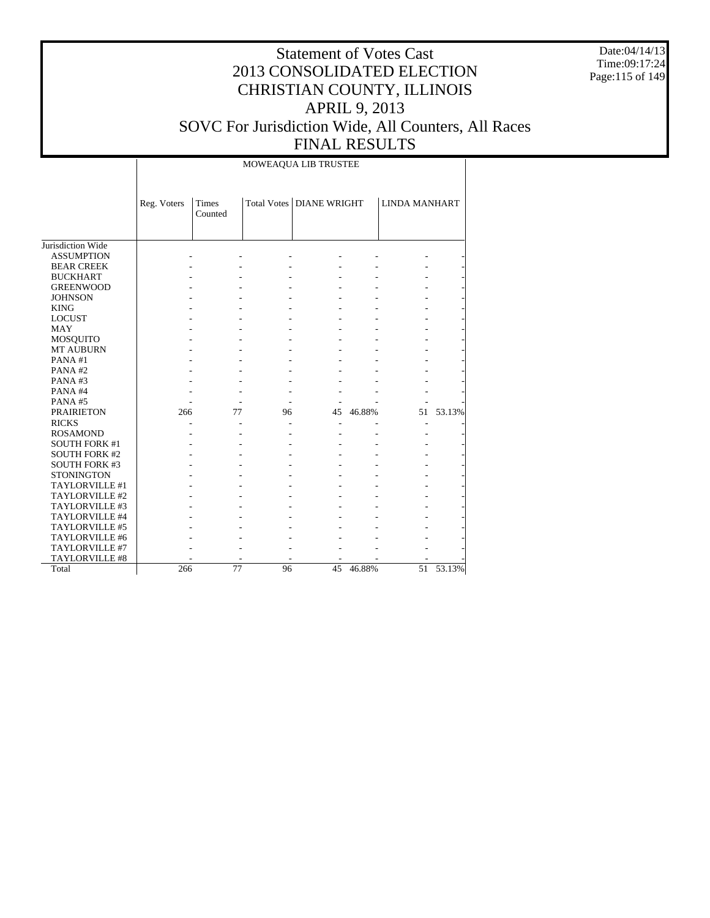Date:04/14/13 Time:09:17:24 Page:115 of 149

## Statement of Votes Cast 2013 CONSOLIDATED ELECTION CHRISTIAN COUNTY, ILLINOIS APRIL 9, 2013 SOVC For Jurisdiction Wide, All Counters, All Races FINAL RESULTS

MOWEAQUA LIB TRUSTEE

|                      | Reg. Voters | Times<br>Counted |    | Total Votes   DIANE WRIGHT |        | <b>LINDA MANHART</b> |        |
|----------------------|-------------|------------------|----|----------------------------|--------|----------------------|--------|
| Jurisdiction Wide    |             |                  |    |                            |        |                      |        |
| <b>ASSUMPTION</b>    |             |                  |    |                            |        |                      |        |
| <b>BEAR CREEK</b>    |             |                  |    |                            |        |                      |        |
| <b>BUCKHART</b>      |             |                  |    |                            |        |                      |        |
| <b>GREENWOOD</b>     |             |                  |    |                            |        |                      |        |
| <b>JOHNSON</b>       |             |                  |    |                            |        |                      |        |
| <b>KING</b>          |             |                  |    |                            |        |                      |        |
| <b>LOCUST</b>        |             |                  |    |                            |        |                      |        |
| <b>MAY</b>           |             |                  |    |                            |        |                      |        |
| MOSQUITO             |             |                  |    |                            |        |                      |        |
| <b>MT AUBURN</b>     |             |                  |    |                            |        |                      |        |
| PANA#1               |             |                  |    |                            |        |                      |        |
| PANA#2               |             |                  |    |                            |        |                      |        |
| PANA#3               |             |                  |    |                            |        |                      |        |
| PANA#4               |             |                  |    |                            |        |                      |        |
| PANA#5               |             |                  |    |                            |        |                      |        |
| <b>PRAIRIETON</b>    | 266         | 77               | 96 | 45                         | 46.88% | 51                   | 53.13% |
| <b>RICKS</b>         |             |                  |    |                            |        | ٠                    |        |
| <b>ROSAMOND</b>      |             |                  |    |                            |        |                      |        |
| <b>SOUTH FORK #1</b> |             |                  |    |                            |        |                      |        |
| <b>SOUTH FORK #2</b> |             |                  |    |                            |        |                      |        |
| <b>SOUTH FORK #3</b> |             |                  |    |                            |        |                      |        |
| <b>STONINGTON</b>    |             |                  |    |                            |        |                      |        |
| TAYLORVILLE #1       |             |                  |    |                            |        |                      |        |
| TAYLORVILLE #2       |             |                  |    |                            |        |                      |        |
| TAYLORVILLE #3       |             |                  |    |                            |        |                      |        |
| TAYLORVILLE #4       |             |                  |    |                            |        |                      |        |
| TAYLORVILLE #5       |             |                  |    |                            |        |                      |        |
| TAYLORVILLE #6       |             |                  |    |                            |        |                      |        |
| TAYLORVILLE #7       |             |                  |    |                            |        |                      |        |
| TAYLORVILLE #8       |             |                  |    |                            |        |                      |        |
| Total                | 266         | 77               | 96 | 45                         | 46.88% | 51                   | 53.13% |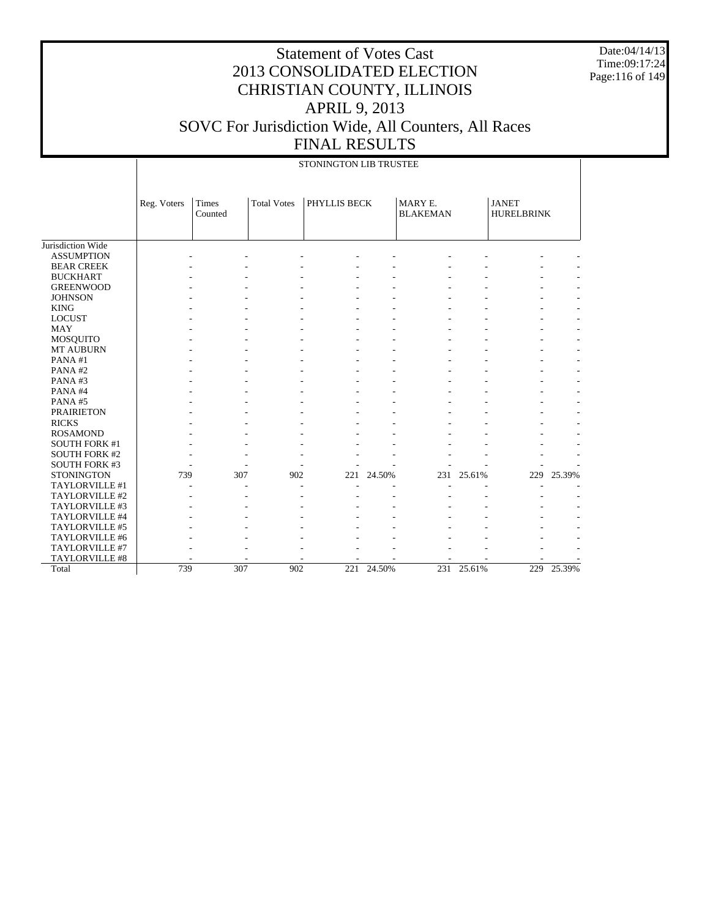Date:04/14/13 Time:09:17:24 Page:116 of 149

|                      |             |                  |                    | STONINGTON LIB TRUSTEE |        |                            |        |                                   |        |
|----------------------|-------------|------------------|--------------------|------------------------|--------|----------------------------|--------|-----------------------------------|--------|
|                      | Reg. Voters | Times<br>Counted | <b>Total Votes</b> | <b>PHYLLIS BECK</b>    |        | MARY E.<br><b>BLAKEMAN</b> |        | <b>JANET</b><br><b>HURELBRINK</b> |        |
| Jurisdiction Wide    |             |                  |                    |                        |        |                            |        |                                   |        |
| <b>ASSUMPTION</b>    |             |                  |                    |                        |        |                            |        |                                   |        |
| <b>BEAR CREEK</b>    |             |                  |                    |                        |        |                            |        |                                   |        |
| <b>BUCKHART</b>      |             |                  |                    |                        |        |                            |        |                                   |        |
| <b>GREENWOOD</b>     |             |                  |                    |                        |        |                            |        |                                   |        |
| <b>JOHNSON</b>       |             |                  |                    |                        |        |                            |        |                                   |        |
| <b>KING</b>          |             |                  |                    |                        |        |                            |        |                                   |        |
| <b>LOCUST</b>        |             |                  |                    |                        |        |                            |        |                                   |        |
| <b>MAY</b>           |             |                  |                    |                        |        |                            |        |                                   |        |
| <b>MOSQUITO</b>      |             |                  |                    |                        |        |                            |        |                                   |        |
| MT AUBURN            |             |                  |                    |                        |        |                            |        |                                   |        |
| PANA#1               |             |                  |                    |                        |        |                            |        |                                   |        |
| PANA#2               |             |                  |                    |                        |        |                            |        |                                   |        |
| PANA#3               |             |                  |                    |                        |        |                            |        |                                   |        |
| PANA#4               |             |                  |                    |                        |        |                            |        |                                   |        |
| PANA#5               |             |                  |                    |                        |        |                            |        |                                   |        |
| <b>PRAIRIETON</b>    |             |                  |                    |                        |        |                            |        |                                   |        |
| <b>RICKS</b>         |             |                  |                    |                        |        |                            |        |                                   |        |
| <b>ROSAMOND</b>      |             |                  |                    |                        |        |                            |        |                                   |        |
| <b>SOUTH FORK #1</b> |             |                  |                    |                        |        |                            |        |                                   |        |
| <b>SOUTH FORK #2</b> |             |                  |                    |                        |        |                            |        |                                   |        |
| <b>SOUTH FORK #3</b> |             |                  |                    |                        |        |                            |        |                                   |        |
| <b>STONINGTON</b>    | 739         | 307              | 902                | 221                    | 24.50% | 231                        | 25.61% | 229                               | 25.39% |
| TAYLORVILLE #1       |             |                  |                    | ÷                      |        |                            |        |                                   |        |
| TAYLORVILLE #2       |             |                  |                    |                        |        |                            |        |                                   |        |
| TAYLORVILLE #3       |             |                  |                    |                        |        |                            |        |                                   |        |
| TAYLORVILLE #4       |             |                  |                    |                        |        |                            |        |                                   |        |
| TAYLORVILLE #5       |             |                  |                    |                        |        |                            |        |                                   |        |
| TAYLORVILLE #6       |             |                  |                    |                        |        |                            |        |                                   |        |
| TAYLORVILLE #7       |             |                  |                    |                        |        |                            |        |                                   |        |
| TAYLORVILLE #8       |             |                  |                    |                        |        |                            |        |                                   |        |
| Total                | 739         | 307              | 902                | 221                    | 24.50% | 231                        | 25.61% | 229                               | 25.39% |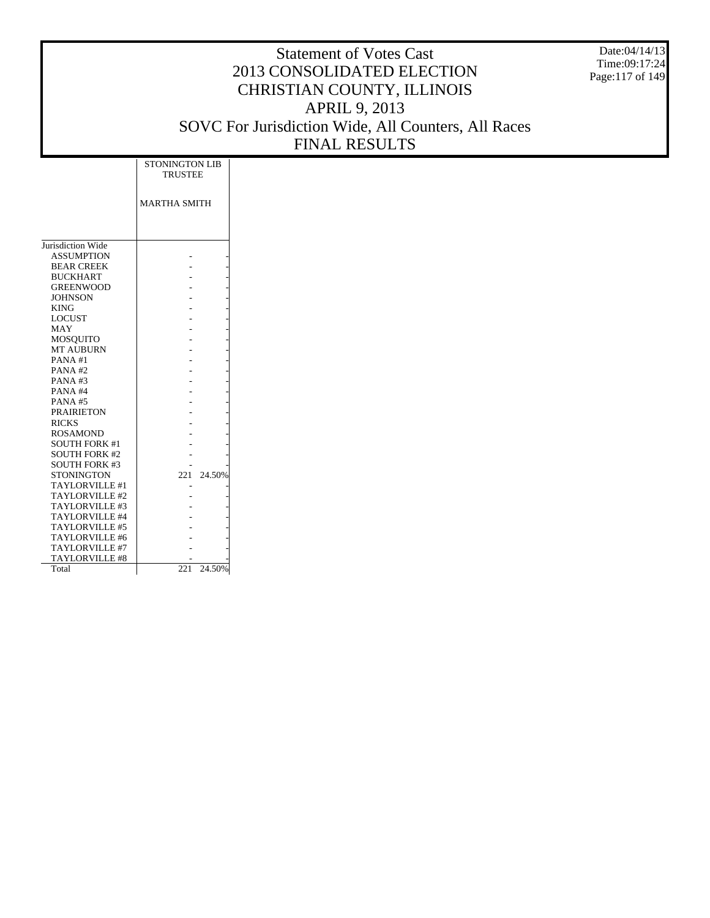Date:04/14/13 Time:09:17:24 Page:117 of 149

|                       | <b>STONINGTON LIB</b><br><b>TRUSTEE</b> |
|-----------------------|-----------------------------------------|
|                       | <b>MARTHA SMITH</b>                     |
|                       |                                         |
| Jurisdiction Wide     |                                         |
| <b>ASSUMPTION</b>     |                                         |
| <b>BEAR CREEK</b>     |                                         |
| <b>BUCKHART</b>       |                                         |
| <b>GREENWOOD</b>      |                                         |
| <b>JOHNSON</b>        |                                         |
| <b>KING</b>           |                                         |
| <b>LOCUST</b>         |                                         |
| <b>MAY</b>            |                                         |
| <b>MOSQUITO</b>       |                                         |
| <b>MT AUBURN</b>      |                                         |
| PANA#1                |                                         |
| PANA#2                |                                         |
| PANA#3                |                                         |
| PANA#4                |                                         |
| <b>PANA#5</b>         |                                         |
| <b>PRAIRIETON</b>     |                                         |
| <b>RICKS</b>          |                                         |
| <b>ROSAMOND</b>       |                                         |
| <b>SOUTH FORK #1</b>  |                                         |
| <b>SOUTH FORK #2</b>  |                                         |
| <b>SOUTH FORK #3</b>  |                                         |
| <b>STONINGTON</b>     | 24.50%<br>221                           |
| TAYLORVILLE #1        |                                         |
| TAYLORVILLE #2        |                                         |
| TAYLORVILLE #3        |                                         |
| TAYLORVILLE #4        |                                         |
| TAYLORVILLE #5        |                                         |
| TAYLORVILLE #6        |                                         |
| TAYLORVILLE #7        |                                         |
| <b>TAYLORVILLE #8</b> |                                         |
| Total                 | 24.50%<br>221                           |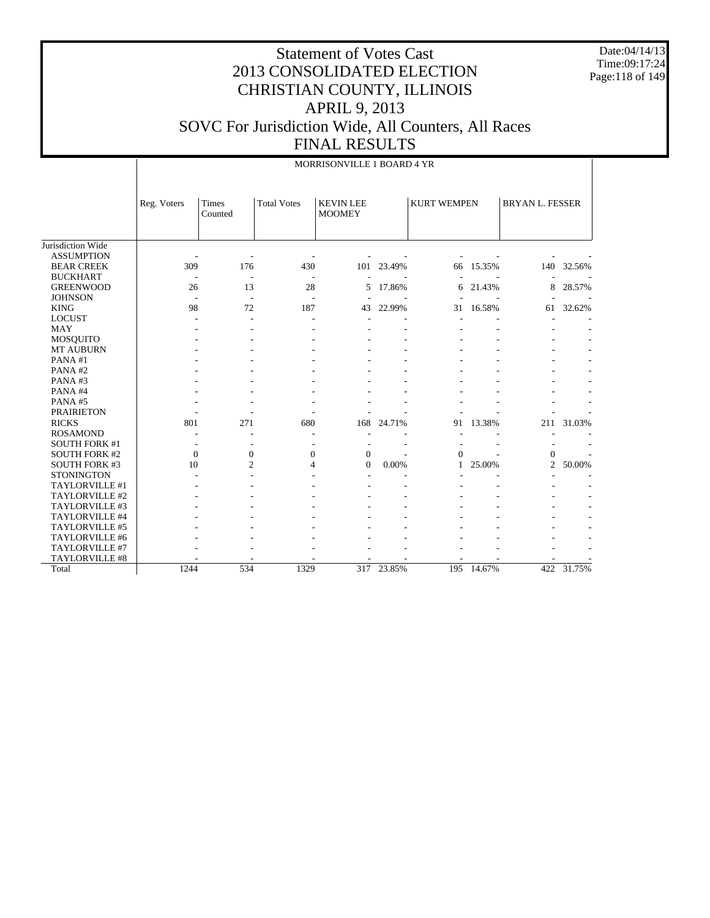Date:04/14/13 Time:09:17:24 Page:118 of 149

|                       |             |                          |                    | MORRISONVILLE 1 BOARD 4 YR        |            |                    |        |                        |            |
|-----------------------|-------------|--------------------------|--------------------|-----------------------------------|------------|--------------------|--------|------------------------|------------|
|                       | Reg. Voters | <b>Times</b><br>Counted  | <b>Total Votes</b> | <b>KEVIN LEE</b><br><b>MOOMEY</b> |            | <b>KURT WEMPEN</b> |        | <b>BRYAN L. FESSER</b> |            |
| Jurisdiction Wide     |             |                          |                    |                                   |            |                    |        |                        |            |
| <b>ASSUMPTION</b>     |             |                          |                    |                                   |            |                    |        |                        |            |
| <b>BEAR CREEK</b>     | 309         | 176                      | 430                | 101                               | 23.49%     | 66                 | 15.35% |                        | 140 32.56% |
| <b>BUCKHART</b>       |             |                          |                    |                                   |            |                    |        |                        |            |
| <b>GREENWOOD</b>      | 26          | 13                       | 28                 | 5                                 | 17.86%     | 6                  | 21.43% | 8                      | 28.57%     |
| <b>JOHNSON</b>        |             | $\overline{\phantom{a}}$ | ٠                  |                                   |            |                    |        |                        |            |
| <b>KING</b>           | 98          | 72                       | 187                | 43                                | 22.99%     | 31                 | 16.58% | 61                     | 32.62%     |
| <b>LOCUST</b>         |             |                          |                    |                                   |            |                    |        |                        |            |
| <b>MAY</b>            |             |                          |                    |                                   |            |                    |        |                        |            |
| <b>MOSQUITO</b>       |             |                          |                    |                                   |            |                    |        |                        |            |
| <b>MT AUBURN</b>      |             |                          |                    |                                   |            |                    |        |                        |            |
| PANA#1                |             |                          |                    |                                   |            |                    |        |                        |            |
| PANA#2                |             |                          |                    |                                   |            |                    |        |                        |            |
| PANA#3                |             |                          |                    |                                   |            |                    |        |                        |            |
| PANA#4                |             |                          |                    |                                   |            |                    |        |                        |            |
| PANA#5                |             |                          |                    |                                   |            |                    |        |                        |            |
| <b>PRAIRIETON</b>     |             |                          |                    |                                   |            |                    |        |                        |            |
| <b>RICKS</b>          | 801         | 271                      | 680                | 168                               | 24.71%     | 91                 | 13.38% | 211                    | 31.03%     |
| <b>ROSAMOND</b>       |             |                          |                    |                                   |            | ٠                  |        |                        |            |
| <b>SOUTH FORK #1</b>  | ٠           |                          |                    |                                   |            |                    |        |                        |            |
| <b>SOUTH FORK #2</b>  | $\Omega$    | $\mathbf{0}$             | $\overline{0}$     | $\mathbf{0}$                      |            | $\Omega$           |        | $\Omega$               |            |
| <b>SOUTH FORK #3</b>  | 10          | $\overline{c}$           | $\overline{4}$     | $\overline{0}$                    | 0.00%      | 1                  | 25.00% | $\overline{2}$         | 50.00%     |
| <b>STONINGTON</b>     |             |                          |                    |                                   |            |                    |        |                        |            |
| TAYLORVILLE #1        |             |                          |                    |                                   |            |                    |        |                        |            |
| TAYLORVILLE #2        |             |                          |                    |                                   |            |                    |        |                        |            |
| TAYLORVILLE #3        |             |                          |                    |                                   |            |                    |        |                        |            |
| TAYLORVILLE #4        |             |                          |                    |                                   |            |                    |        |                        |            |
| TAYLORVILLE #5        |             |                          |                    |                                   |            |                    |        |                        |            |
| TAYLORVILLE #6        |             |                          |                    |                                   |            |                    |        |                        |            |
| TAYLORVILLE #7        |             |                          |                    |                                   |            |                    |        |                        |            |
| <b>TAYLORVILLE #8</b> |             |                          |                    |                                   |            |                    |        |                        |            |
| Total                 | 1244        | 534                      | 1329               |                                   | 317 23.85% | 195                | 14.67% |                        | 422 31.75% |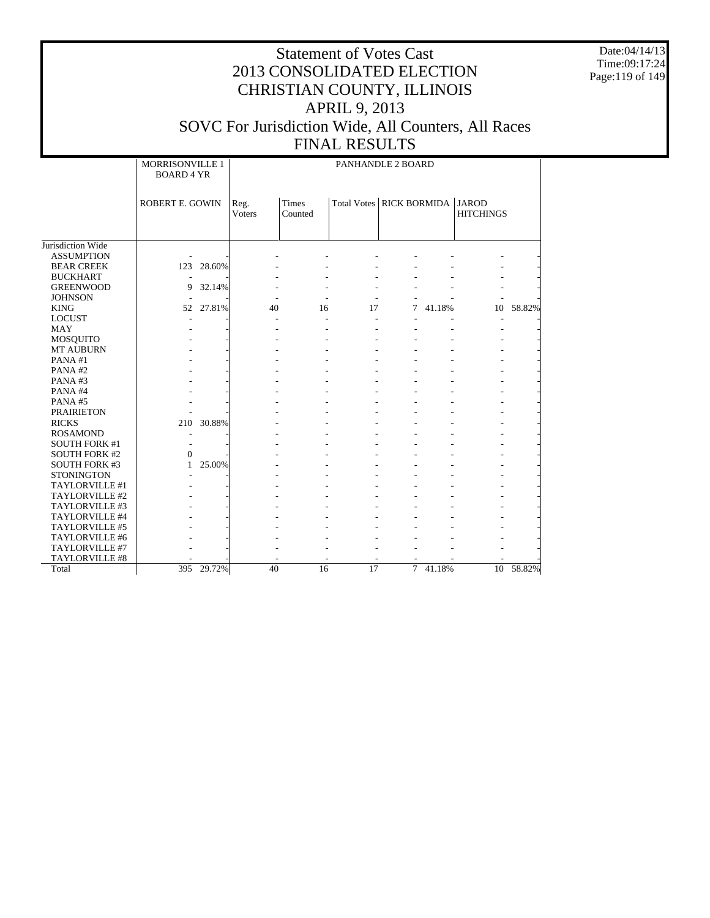Date:04/14/13 Time:09:17:24 Page:119 of 149

|                      | MORRISONVILLE 1<br><b>BOARD 4 YR</b> |            |                |                  | PANHANDLE 2 BOARD          |                |        |                                  |           |
|----------------------|--------------------------------------|------------|----------------|------------------|----------------------------|----------------|--------|----------------------------------|-----------|
|                      | ROBERT E. GOWIN                      |            | Reg.<br>Voters | Times<br>Counted | Total Votes   RICK BORMIDA |                |        | <b>JAROD</b><br><b>HITCHINGS</b> |           |
|                      |                                      |            |                |                  |                            |                |        |                                  |           |
| Jurisdiction Wide    |                                      |            |                |                  |                            |                |        |                                  |           |
| <b>ASSUMPTION</b>    |                                      |            |                |                  |                            |                |        |                                  |           |
| <b>BEAR CREEK</b>    |                                      | 123 28.60% |                |                  |                            |                |        |                                  |           |
| <b>BUCKHART</b>      |                                      |            |                |                  |                            |                |        |                                  |           |
| <b>GREENWOOD</b>     | 9                                    | 32.14%     |                |                  |                            |                |        |                                  |           |
| <b>JOHNSON</b>       |                                      |            |                |                  |                            |                |        |                                  |           |
| <b>KING</b>          |                                      | 52 27.81%  | 40             | 16               | 17                         | $\tau$         | 41.18% | 10                               | 58.82%    |
| <b>LOCUST</b>        |                                      |            |                |                  | $\blacksquare$             |                |        | ÷,                               |           |
| <b>MAY</b>           |                                      |            |                |                  |                            |                |        |                                  |           |
| MOSQUITO             |                                      |            |                |                  |                            |                |        |                                  |           |
| <b>MT AUBURN</b>     |                                      |            |                |                  |                            |                |        |                                  |           |
| PANA#1               |                                      |            |                |                  |                            |                |        |                                  |           |
| PANA#2               |                                      |            |                |                  |                            |                |        |                                  |           |
| PANA#3               |                                      |            |                |                  |                            |                |        |                                  |           |
| PANA#4               |                                      |            |                |                  |                            |                |        |                                  |           |
| PANA#5               |                                      |            |                |                  |                            |                |        |                                  |           |
| <b>PRAIRIETON</b>    |                                      |            |                |                  |                            |                |        |                                  |           |
| <b>RICKS</b>         |                                      | 210 30.88% |                |                  |                            |                |        |                                  |           |
| <b>ROSAMOND</b>      |                                      |            |                |                  |                            |                |        |                                  |           |
| <b>SOUTH FORK #1</b> |                                      |            |                |                  |                            |                |        |                                  |           |
| <b>SOUTH FORK #2</b> | $\Omega$                             |            |                |                  |                            |                |        |                                  |           |
| <b>SOUTH FORK #3</b> | 1                                    | 25.00%     |                |                  |                            |                |        |                                  |           |
| <b>STONINGTON</b>    |                                      |            |                |                  |                            |                |        |                                  |           |
| TAYLORVILLE #1       |                                      |            |                |                  |                            |                |        |                                  |           |
| TAYLORVILLE #2       |                                      |            |                |                  |                            |                |        |                                  |           |
| TAYLORVILLE #3       |                                      |            |                |                  |                            |                |        |                                  |           |
| TAYLORVILLE #4       |                                      |            |                |                  |                            |                |        |                                  |           |
| TAYLORVILLE #5       |                                      |            |                |                  |                            |                |        |                                  |           |
| TAYLORVILLE #6       |                                      |            |                |                  |                            |                |        |                                  |           |
| TAYLORVILLE #7       |                                      |            |                |                  |                            |                |        |                                  |           |
| TAYLORVILLE #8       |                                      |            |                |                  |                            |                |        |                                  |           |
| Total                |                                      | 395 29.72% | 40             | 16               | 17                         | $\overline{7}$ | 41.18% |                                  | 10 58.82% |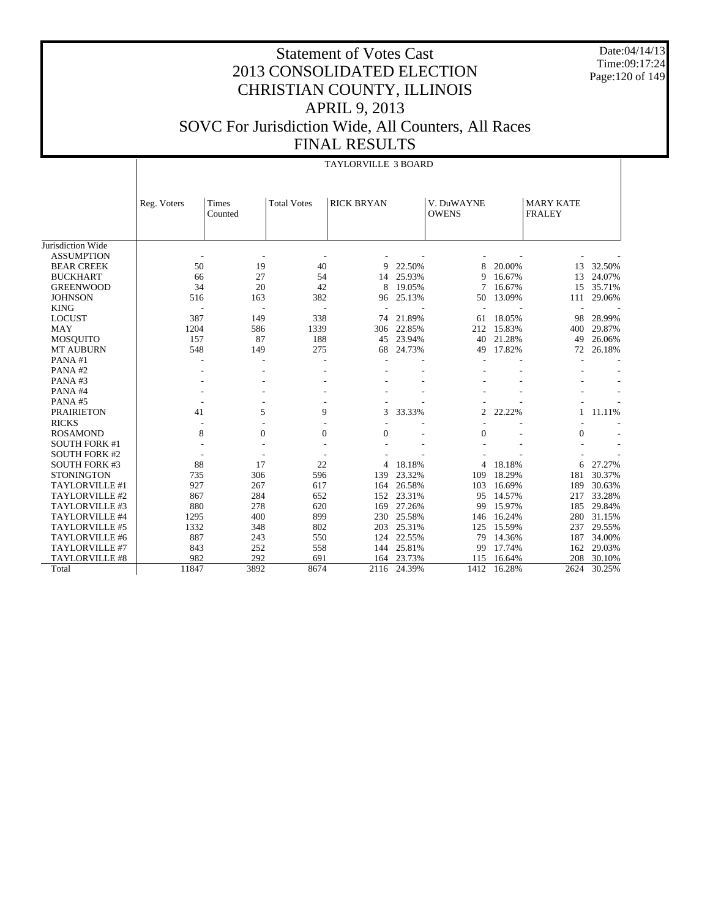Date:04/14/13 Time:09:17:24 Page:120 of 149

|                       |                |                          |                    | <b>TAYLORVILLE 3 BOARD</b> |        |                            |        |                                   |        |
|-----------------------|----------------|--------------------------|--------------------|----------------------------|--------|----------------------------|--------|-----------------------------------|--------|
|                       | Reg. Voters    | Times<br>Counted         | <b>Total Votes</b> | <b>RICK BRYAN</b>          |        | V. DuWAYNE<br><b>OWENS</b> |        | <b>MARY KATE</b><br><b>FRALEY</b> |        |
| Jurisdiction Wide     |                |                          |                    |                            |        |                            |        |                                   |        |
| <b>ASSUMPTION</b>     |                |                          |                    |                            |        |                            |        |                                   |        |
| <b>BEAR CREEK</b>     | 50             | 19                       | 40                 | 9                          | 22.50% | 8                          | 20.00% | 13                                | 32.50% |
| <b>BUCKHART</b>       | 66             | 27                       | 54                 | 14                         | 25.93% | 9                          | 16.67% | 13                                | 24.07% |
| <b>GREENWOOD</b>      | 34             | 20                       | 42                 | 8                          | 19.05% |                            | 16.67% | 15                                | 35.71% |
| <b>JOHNSON</b>        | 516            | 163                      | 382                | 96                         | 25.13% | 50                         | 13.09% | 111                               | 29.06% |
| <b>KING</b>           | $\overline{a}$ | $\overline{\phantom{a}}$ | ٠                  |                            |        |                            |        |                                   |        |
| <b>LOCUST</b>         | 387            | 149                      | 338                | 74                         | 21.89% | 61                         | 18.05% | 98                                | 28.99% |
| <b>MAY</b>            | 1204           | 586                      | 1339               | 306                        | 22.85% | 212                        | 15.83% | 400                               | 29.87% |
| <b>MOSQUITO</b>       | 157            | 87                       | 188                | 45                         | 23.94% | 40                         | 21.28% | 49                                | 26.06% |
| <b>MT AUBURN</b>      | 548            | 149                      | 275                | 68                         | 24.73% | 49                         | 17.82% | 72                                | 26.18% |
| PANA#1                |                |                          |                    |                            |        |                            |        |                                   |        |
| PANA#2                |                |                          |                    |                            |        |                            |        |                                   |        |
| PANA#3                |                |                          |                    |                            |        |                            |        |                                   |        |
| PANA#4                |                |                          |                    |                            |        |                            |        |                                   |        |
| PANA#5                |                |                          |                    |                            |        |                            |        |                                   |        |
| <b>PRAIRIETON</b>     | 41             | 5                        | 9                  | 3                          | 33.33% | $\overline{2}$             | 22.22% | 1                                 | 11.11% |
| <b>RICKS</b>          |                |                          |                    |                            |        |                            |        |                                   |        |
| <b>ROSAMOND</b>       | 8              | $\mathbf{0}$             | $\boldsymbol{0}$   | $\overline{0}$             |        | 0                          |        | $\mathbf{0}$                      |        |
| <b>SOUTH FORK #1</b>  |                |                          |                    |                            |        |                            |        |                                   |        |
| <b>SOUTH FORK #2</b>  |                |                          |                    |                            |        |                            |        |                                   |        |
| <b>SOUTH FORK #3</b>  | 88             | 17                       | 22                 |                            | 18.18% | 4                          | 18.18% | 6                                 | 27.27% |
| <b>STONINGTON</b>     | 735            | 306                      | 596                | 139                        | 23.32% | 109                        | 18.29% | 181                               | 30.37% |
| TAYLORVILLE #1        | 927            | 267                      | 617                | 164                        | 26.58% | 103                        | 16.69% | 189                               | 30.63% |
| TAYLORVILLE #2        | 867            | 284                      | 652                | 152                        | 23.31% | 95                         | 14.57% | 217                               | 33.28% |
| TAYLORVILLE #3        | 880            | 278                      | 620                | 169                        | 27.26% | 99                         | 15.97% | 185                               | 29.84% |
| TAYLORVILLE #4        | 1295           | 400                      | 899                | 230                        | 25.58% | 146                        | 16.24% | 280                               | 31.15% |
| TAYLORVILLE #5        | 1332           | 348                      | 802                | 203                        | 25.31% | 125                        | 15.59% | 237                               | 29.55% |
| TAYLORVILLE #6        | 887            | 243                      | 550                | 124                        | 22.55% | 79                         | 14.36% | 187                               | 34.00% |
| TAYLORVILLE #7        | 843            | 252                      | 558                | 144                        | 25.81% | 99                         | 17.74% | 162                               | 29.03% |
| <b>TAYLORVILLE #8</b> | 982            | 292                      | 691                | 164                        | 23.73% | 115                        | 16.64% | 208                               | 30.10% |
| Total                 | 11847          | 3892                     | 8674               | 2116                       | 24.39% | 1412                       | 16.28% | 2624                              | 30.25% |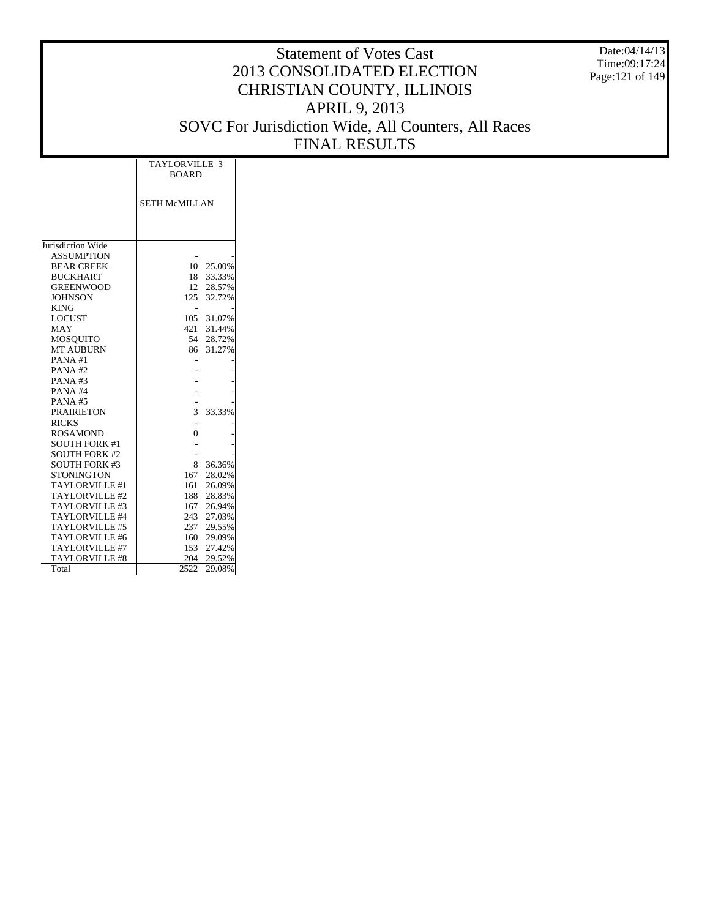Statement of Votes Cast 2013 CONSOLIDATED ELECTION CHRISTIAN COUNTY, ILLINOIS APRIL 9, 2013 SOVC For Jurisdiction Wide, All Counters, All Races FINAL RESULTS Date:04/14/13 Time:09:17:24 Page:121 of 149

Jurisdiction Wide ASSUMPTION BEAR CREEK BUCKHART GREENWOOD JOHNSON KING LOCUST MAY MOSQUITO MT AUBURN PANA #1 PANA #2 PANA #3 PANA #4 PANA #5 PRAIRIETON RICKS ROSAMOND SOUTH FORK #1 SOUTH FORK #2 SOUTH FORK #3 **STONINGTON**  TAYLORVILLE #1 TAYLORVILLE #2 TAYLORVILLE #3 TAYLORVILLE #4 TAYLORVILLE #5 TAYLORVILLE #6 TAYLORVILLE #7 TAYLORVILLE #8 Total SETH McMILLAN TAYLORVILLE 3 BOARD - - 10 25.00% 18 33.33% 12 28.57% 125 32.72% - - 105 31.07% 421 31.44% 54 28.72% 86 31.27% - - - - - - - - - - 3 33.33% - -  $\mathbf 0$ - - - - 8 36.36%<br>167 28.02% 28.02% 161 26.09%<br>188 28.83% 28.83% 167 26.94% 243 27.03%<br>237 29.55% 29.55% 160 29.09% 153 27.42% 204 29.52% 2522 29.08%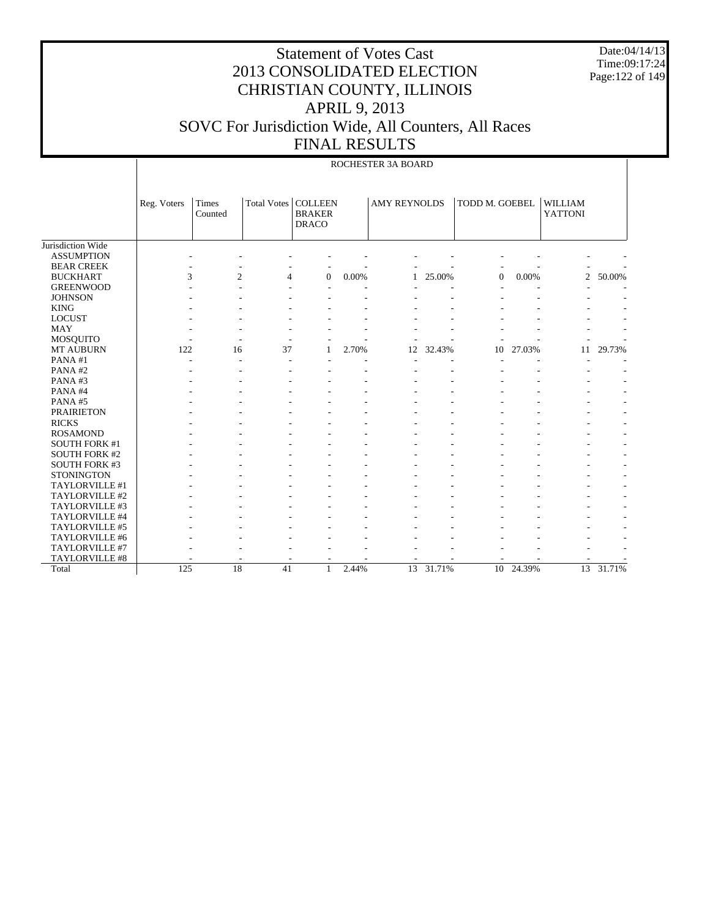Date:04/14/13 Time:09:17:24 Page:122 of 149

|                      |             |                         |                       |                               |          | ROCHESTER 3A BOARD  |        |                |           |                                  |        |
|----------------------|-------------|-------------------------|-----------------------|-------------------------------|----------|---------------------|--------|----------------|-----------|----------------------------------|--------|
|                      | Reg. Voters | <b>Times</b><br>Counted | Total Votes   COLLEEN | <b>BRAKER</b><br><b>DRACO</b> |          | <b>AMY REYNOLDS</b> |        | TODD M. GOEBEL |           | <b>WILLIAM</b><br><b>YATTONI</b> |        |
| Jurisdiction Wide    |             |                         |                       |                               |          |                     |        |                |           |                                  |        |
| <b>ASSUMPTION</b>    |             |                         |                       |                               |          |                     |        |                |           |                                  |        |
| <b>BEAR CREEK</b>    |             |                         |                       |                               |          |                     |        |                |           |                                  |        |
| <b>BUCKHART</b>      | 3           | $\overline{2}$          | 4                     | $\mathbf{0}$                  | 0.00%    | $\mathbf{1}$        | 25.00% | $\overline{0}$ | 0.00%     | $\overline{c}$                   | 50.00% |
| <b>GREENWOOD</b>     |             |                         |                       |                               |          |                     |        |                |           |                                  |        |
| <b>JOHNSON</b>       |             |                         |                       |                               |          |                     |        |                |           |                                  |        |
| <b>KING</b>          |             |                         |                       |                               |          |                     |        |                |           |                                  |        |
| <b>LOCUST</b>        |             |                         |                       |                               |          |                     |        |                |           |                                  |        |
| <b>MAY</b>           |             |                         |                       |                               |          |                     |        |                |           |                                  |        |
| <b>MOSQUITO</b>      |             |                         |                       |                               |          |                     |        |                |           |                                  |        |
| MT AUBURN            | 122         | 16                      | 37                    | 1                             | 2.70%    | 12                  | 32.43% | 10             | 27.03%    | 11                               | 29.73% |
| PANA#1               |             |                         | L,                    |                               |          |                     |        |                |           |                                  |        |
| PANA#2               |             |                         |                       |                               |          |                     |        |                |           |                                  |        |
| PANA#3               |             |                         |                       |                               |          |                     |        |                |           |                                  |        |
| PANA#4               |             |                         |                       |                               |          |                     |        |                |           |                                  |        |
| PANA#5               |             |                         |                       |                               |          |                     |        |                |           |                                  |        |
| <b>PRAIRIETON</b>    |             |                         |                       |                               |          |                     |        |                |           |                                  |        |
| <b>RICKS</b>         |             |                         |                       |                               |          |                     |        |                |           |                                  |        |
| <b>ROSAMOND</b>      |             |                         |                       |                               |          |                     |        |                |           |                                  |        |
| <b>SOUTH FORK #1</b> |             |                         |                       |                               |          |                     |        |                |           |                                  |        |
| <b>SOUTH FORK #2</b> |             |                         |                       |                               |          |                     |        |                |           |                                  |        |
| <b>SOUTH FORK #3</b> |             |                         |                       |                               |          |                     |        |                |           |                                  |        |
| <b>STONINGTON</b>    |             |                         |                       |                               |          |                     |        |                |           |                                  |        |
| TAYLORVILLE #1       |             |                         |                       |                               |          |                     |        |                |           |                                  |        |
| TAYLORVILLE #2       |             |                         |                       |                               |          |                     |        |                |           |                                  |        |
| TAYLORVILLE #3       |             |                         |                       |                               |          |                     |        |                |           |                                  |        |
| TAYLORVILLE #4       |             |                         |                       |                               |          |                     |        |                |           |                                  |        |
| TAYLORVILLE #5       |             |                         |                       |                               |          |                     |        |                |           |                                  |        |
| TAYLORVILLE #6       |             |                         |                       |                               |          |                     |        |                |           |                                  |        |
| TAYLORVILLE #7       |             |                         |                       |                               |          |                     |        |                |           |                                  |        |
| TAYLORVILLE #8       |             |                         |                       |                               |          |                     |        |                |           |                                  |        |
| Total                | 125         | $\overline{18}$         | 41                    | $\mathbf{1}$                  | $2.44\%$ | 13                  | 31.71% |                | 10 24.39% | $\overline{13}$                  | 31.71% |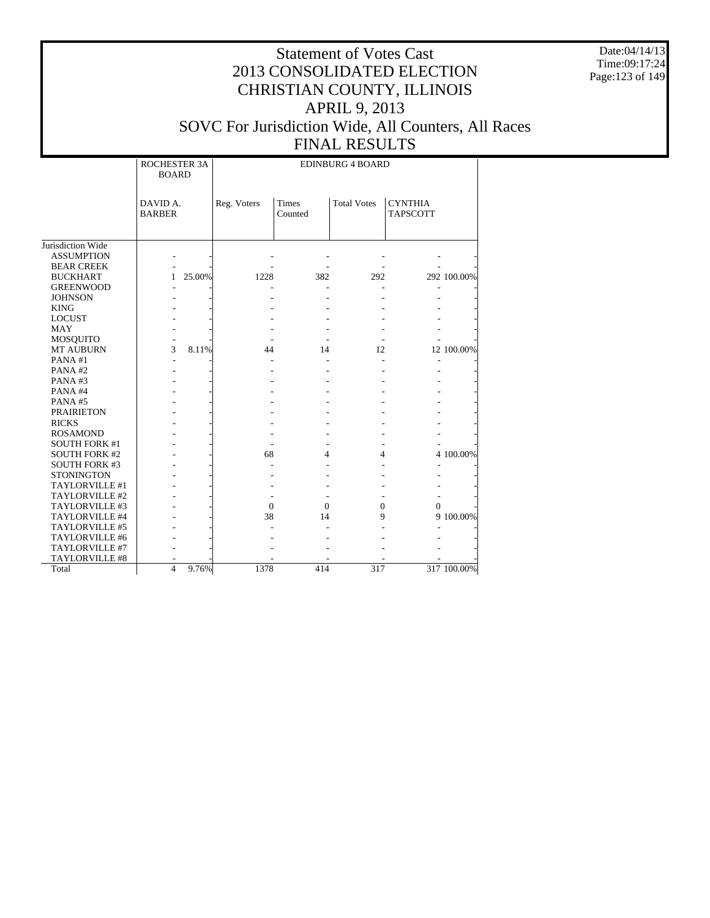Date:04/14/13 Time:09:17:24 Page:123 of 149

|                      | ROCHESTER 3A<br><b>BOARD</b> |        |              |                  | <b>EDINBURG 4 BOARD</b> |                            |             |
|----------------------|------------------------------|--------|--------------|------------------|-------------------------|----------------------------|-------------|
|                      | DAVID A.<br><b>BARBER</b>    |        | Reg. Voters  | Times<br>Counted | <b>Total Votes</b>      | <b>CYNTHIA</b><br>TAPSCOTT |             |
| Jurisdiction Wide    |                              |        |              |                  |                         |                            |             |
| <b>ASSUMPTION</b>    |                              |        |              |                  |                         |                            |             |
| <b>BEAR CREEK</b>    |                              |        |              |                  |                         |                            |             |
| <b>BUCKHART</b>      | 1                            | 25.00% | 1228         | 382              | 292                     |                            | 292 100.00% |
| <b>GREENWOOD</b>     |                              |        |              |                  |                         |                            |             |
| <b>JOHNSON</b>       |                              |        |              |                  |                         |                            |             |
| <b>KING</b>          |                              |        |              |                  |                         |                            |             |
| <b>LOCUST</b>        |                              |        |              |                  |                         |                            |             |
| <b>MAY</b>           |                              |        |              |                  |                         |                            |             |
| <b>MOSQUITO</b>      |                              |        |              |                  |                         |                            |             |
| <b>MT AUBURN</b>     | 3                            | 8.11%  | 44           | 14               | 12                      |                            | 12 100.00%  |
| PANA#1               |                              |        |              |                  |                         |                            |             |
| PANA#2               |                              |        |              |                  |                         |                            |             |
| PANA#3               |                              |        |              |                  |                         |                            |             |
| PANA#4               |                              |        |              |                  |                         |                            |             |
| PANA#5               |                              |        |              |                  |                         |                            |             |
| <b>PRAIRIETON</b>    |                              |        |              |                  |                         |                            |             |
| <b>RICKS</b>         |                              |        |              |                  |                         |                            |             |
| <b>ROSAMOND</b>      |                              |        |              |                  |                         |                            |             |
| <b>SOUTH FORK #1</b> |                              |        |              |                  |                         |                            |             |
| <b>SOUTH FORK #2</b> |                              |        | 68           | 4                | 4                       |                            | 4 100.00%   |
| <b>SOUTH FORK #3</b> |                              |        |              |                  |                         |                            |             |
| <b>STONINGTON</b>    |                              |        |              |                  |                         |                            |             |
| TAYLORVILLE #1       |                              |        |              |                  |                         |                            |             |
| TAYLORVILLE #2       |                              |        |              |                  |                         |                            |             |
| TAYLORVILLE #3       |                              |        | $\mathbf{0}$ | $\Omega$         | $\mathbf{0}$            | $\mathbf{0}$               |             |
| TAYLORVILLE #4       |                              |        | 38           | 14               | 9                       |                            | 9 100.00%   |
| TAYLORVILLE #5       |                              |        |              |                  |                         |                            |             |
| TAYLORVILLE #6       |                              |        |              |                  |                         |                            |             |
| TAYLORVILLE #7       |                              |        |              |                  |                         |                            |             |
| TAYLORVILLE #8       |                              |        |              |                  |                         |                            |             |
| Total                | $\overline{4}$               | 9.76%  | 1378         | 414              | 317                     |                            | 317 100.00% |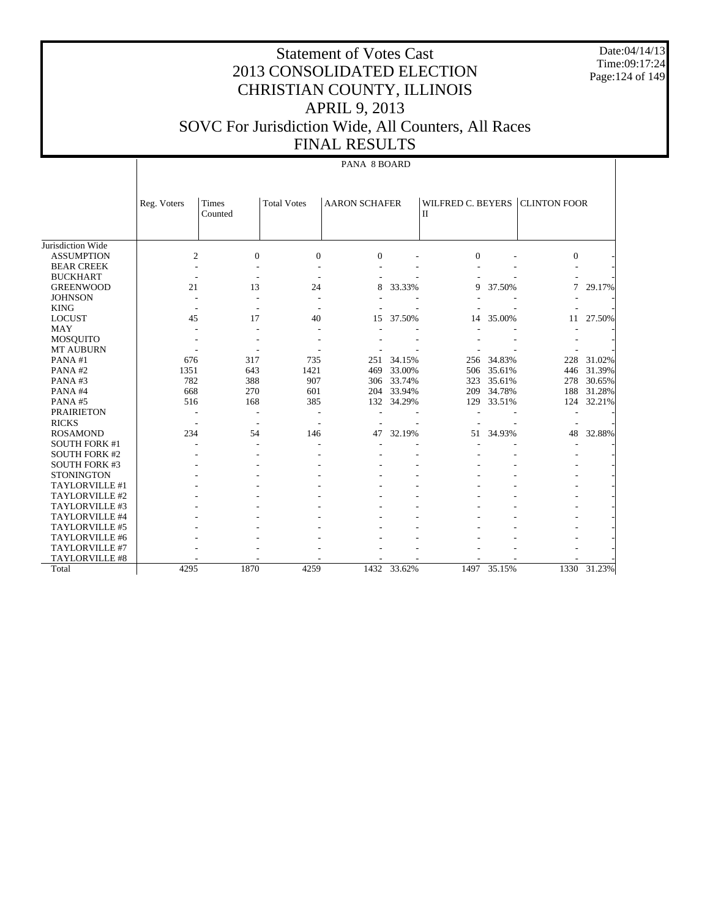Date:04/14/13 Time:09:17:24 Page:124 of 149

## Statement of Votes Cast 2013 CONSOLIDATED ELECTION CHRISTIAN COUNTY, ILLINOIS APRIL 9, 2013 SOVC For Jurisdiction Wide, All Counters, All Races FINAL RESULTS

#### PANA 8 BOARD

|                      | Reg. Voters              | <b>Times</b>     | <b>Total Votes</b> | <b>AARON SCHAFER</b> |        | <b>WILFRED C. BEYERS</b> |        | <b>CLINTON FOOR</b> |        |
|----------------------|--------------------------|------------------|--------------------|----------------------|--------|--------------------------|--------|---------------------|--------|
|                      |                          | Counted          |                    |                      |        | $\mathbf{I}$             |        |                     |        |
|                      |                          |                  |                    |                      |        |                          |        |                     |        |
|                      |                          |                  |                    |                      |        |                          |        |                     |        |
| Jurisdiction Wide    |                          |                  |                    |                      |        |                          |        |                     |        |
| <b>ASSUMPTION</b>    | $\overline{c}$           | $\boldsymbol{0}$ | $\boldsymbol{0}$   | $\boldsymbol{0}$     |        | $\mathbf{0}$             |        | $\boldsymbol{0}$    |        |
| <b>BEAR CREEK</b>    |                          |                  |                    |                      |        |                          |        |                     |        |
| <b>BUCKHART</b>      |                          |                  |                    |                      |        |                          |        |                     |        |
| <b>GREENWOOD</b>     | 21                       | 13               | 24                 | 8                    | 33.33% | 9                        | 37.50% | 7                   | 29.17% |
| <b>JOHNSON</b>       | $\overline{a}$           | ٠                |                    |                      |        |                          |        |                     |        |
| <b>KING</b>          |                          |                  |                    |                      |        |                          |        |                     |        |
| <b>LOCUST</b>        | 45                       | 17               | 40                 | 15                   | 37.50% | 14                       | 35.00% | 11                  | 27.50% |
| <b>MAY</b>           |                          |                  |                    |                      |        |                          |        |                     |        |
| <b>MOSQUITO</b>      |                          |                  |                    |                      |        |                          |        |                     |        |
| <b>MT AUBURN</b>     |                          |                  |                    |                      |        |                          |        |                     |        |
| PANA#1               | 676                      | 317              | 735                | 251                  | 34.15% | 256                      | 34.83% | 228                 | 31.02% |
| PANA#2               | 1351                     | 643              | 1421               | 469                  | 33.00% | 506                      | 35.61% | 446                 | 31.39% |
| PANA#3               | 782                      | 388              | 907                | 306                  | 33.74% | 323                      | 35.61% | 278                 | 30.65% |
| PANA#4               | 668                      | 270              | 601                | 204                  | 33.94% | 209                      | 34.78% | 188                 | 31.28% |
| PANA#5               | 516                      | 168              | 385                | 132                  | 34.29% | 129                      | 33.51% | 124                 | 32.21% |
| <b>PRAIRIETON</b>    | $\overline{\phantom{a}}$ | ٠                |                    |                      |        |                          |        |                     |        |
| <b>RICKS</b>         |                          |                  |                    |                      |        |                          |        |                     |        |
| <b>ROSAMOND</b>      | 234                      | 54               | 146                | 47                   | 32.19% | 51                       | 34.93% | 48                  | 32.88% |
| <b>SOUTH FORK #1</b> |                          |                  |                    |                      |        |                          |        |                     |        |
| <b>SOUTH FORK #2</b> |                          |                  |                    |                      |        |                          |        |                     |        |
| <b>SOUTH FORK #3</b> |                          |                  |                    |                      |        |                          |        |                     |        |
| <b>STONINGTON</b>    |                          |                  |                    |                      |        |                          |        |                     |        |
| TAYLORVILLE #1       |                          |                  |                    |                      |        |                          |        |                     |        |
| TAYLORVILLE #2       |                          |                  |                    |                      |        |                          |        |                     |        |
| TAYLORVILLE #3       |                          |                  |                    |                      |        |                          |        |                     |        |
| TAYLORVILLE #4       |                          |                  |                    |                      |        |                          |        |                     |        |
| TAYLORVILLE #5       |                          |                  |                    |                      |        |                          |        |                     |        |
| TAYLORVILLE #6       |                          |                  |                    |                      |        |                          |        |                     |        |
| TAYLORVILLE #7       |                          |                  |                    |                      |        |                          |        |                     |        |
| TAYLORVILLE #8       |                          |                  |                    |                      |        |                          |        |                     |        |
| Total                | 4295                     | 1870             | 4259               | 1432                 | 33.62% | 1497                     | 35.15% | 1330                | 31.23% |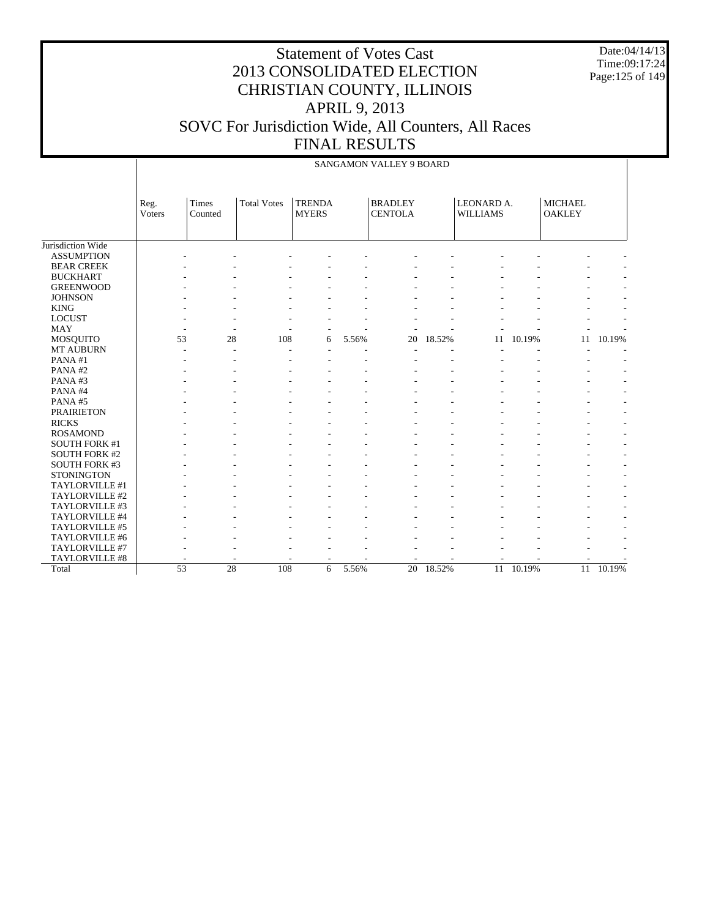Date:04/14/13 Time:09:17:24 Page:125 of 149

|                      |                |                       |                    |                               |       | <b>SANGAMON VALLEY 9 BOARD</b>   |        |                               |        |                                 |        |
|----------------------|----------------|-----------------------|--------------------|-------------------------------|-------|----------------------------------|--------|-------------------------------|--------|---------------------------------|--------|
|                      | Reg.<br>Voters | Times<br>Counted      | <b>Total Votes</b> | <b>TRENDA</b><br><b>MYERS</b> |       | <b>BRADLEY</b><br><b>CENTOLA</b> |        | LEONARD A.<br><b>WILLIAMS</b> |        | <b>MICHAEL</b><br><b>OAKLEY</b> |        |
| Jurisdiction Wide    |                |                       |                    |                               |       |                                  |        |                               |        |                                 |        |
| <b>ASSUMPTION</b>    |                |                       |                    |                               |       |                                  |        |                               |        |                                 |        |
| <b>BEAR CREEK</b>    |                |                       |                    |                               |       |                                  |        |                               |        |                                 |        |
| <b>BUCKHART</b>      |                |                       |                    |                               |       |                                  |        |                               |        |                                 |        |
| <b>GREENWOOD</b>     |                |                       |                    |                               |       |                                  |        |                               |        |                                 |        |
| <b>JOHNSON</b>       |                |                       |                    |                               |       |                                  |        |                               |        |                                 |        |
| <b>KING</b>          |                |                       |                    |                               |       |                                  |        |                               |        |                                 |        |
| <b>LOCUST</b>        |                |                       |                    |                               |       |                                  |        |                               |        |                                 |        |
| <b>MAY</b>           |                |                       | ÷                  |                               |       |                                  |        |                               |        |                                 |        |
| <b>MOSQUITO</b>      |                | 28<br>53              | 108                | 6                             | 5.56% | 20                               | 18.52% | 11                            | 10.19% | 11                              | 10.19% |
| MT AUBURN            |                | ÷                     | ÷<br>÷.            |                               |       | $\overline{a}$                   |        |                               |        |                                 |        |
| PANA#1               |                |                       |                    |                               |       |                                  |        |                               |        |                                 |        |
| PANA#2               |                |                       |                    |                               |       |                                  |        |                               |        |                                 |        |
| PANA#3               |                |                       |                    |                               |       |                                  |        |                               |        |                                 |        |
| PANA#4               |                |                       |                    |                               |       |                                  |        |                               |        |                                 |        |
| PANA#5               |                |                       |                    |                               |       |                                  |        |                               |        |                                 |        |
| <b>PRAIRIETON</b>    |                |                       |                    |                               |       |                                  |        |                               |        |                                 |        |
| <b>RICKS</b>         |                |                       |                    |                               |       |                                  |        |                               |        |                                 |        |
| <b>ROSAMOND</b>      |                |                       |                    |                               |       |                                  |        |                               |        |                                 |        |
| <b>SOUTH FORK #1</b> |                |                       |                    |                               |       |                                  |        |                               |        |                                 |        |
| <b>SOUTH FORK #2</b> |                |                       |                    |                               |       |                                  |        |                               |        |                                 |        |
| <b>SOUTH FORK #3</b> |                |                       |                    |                               |       |                                  |        |                               |        |                                 |        |
| <b>STONINGTON</b>    |                |                       |                    |                               |       |                                  |        |                               |        |                                 |        |
| TAYLORVILLE #1       |                |                       |                    |                               |       |                                  |        |                               |        |                                 |        |
| TAYLORVILLE #2       |                |                       |                    |                               |       |                                  |        |                               |        |                                 |        |
| TAYLORVILLE #3       |                |                       |                    |                               |       |                                  |        |                               |        |                                 |        |
| TAYLORVILLE #4       |                |                       |                    |                               |       |                                  |        |                               |        |                                 |        |
| TAYLORVILLE #5       |                |                       |                    |                               |       |                                  |        |                               |        |                                 |        |
| TAYLORVILLE #6       |                |                       |                    |                               |       |                                  |        |                               |        |                                 |        |
| TAYLORVILLE #7       |                |                       |                    |                               |       |                                  |        |                               |        |                                 |        |
| TAYLORVILLE #8       |                |                       |                    |                               |       |                                  |        |                               |        |                                 |        |
| Total                |                | $\overline{53}$<br>28 | 108                | 6                             | 5.56% | $\overline{20}$                  | 18.52% | 11                            | 10.19% | 11                              | 10.19% |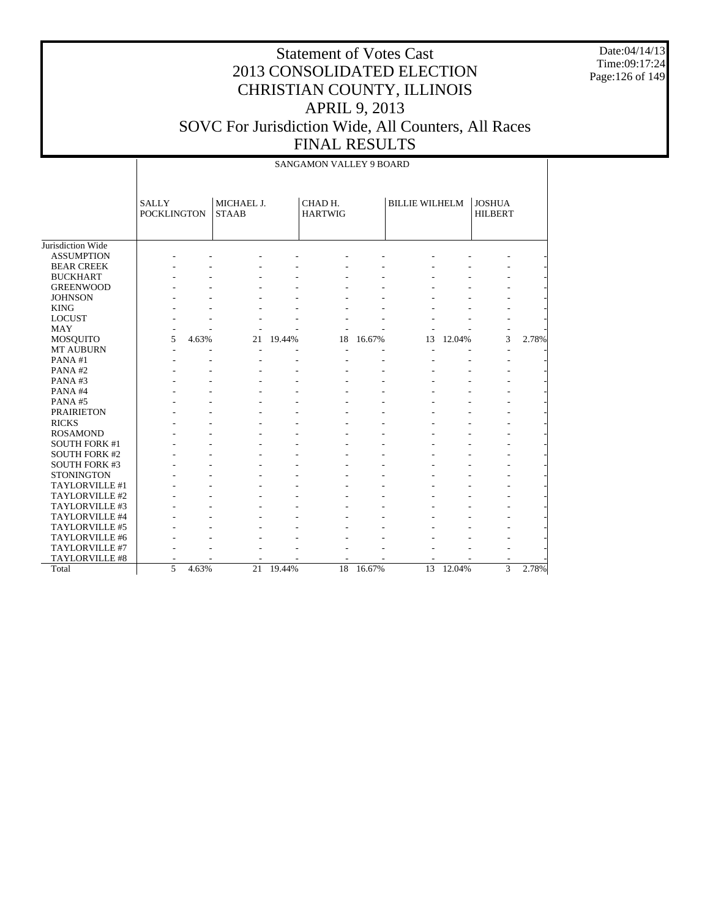Date:04/14/13 Time:09:17:24 Page:126 of 149

|                      |                                    | <b>SANGAMON VALLEY 9 BOARD</b> |                            |        |                           |                |                       |        |                                 |       |  |  |
|----------------------|------------------------------------|--------------------------------|----------------------------|--------|---------------------------|----------------|-----------------------|--------|---------------------------------|-------|--|--|
|                      | <b>SALLY</b><br><b>POCKLINGTON</b> |                                | MICHAEL J.<br><b>STAAB</b> |        | CHAD H.<br><b>HARTWIG</b> |                | <b>BILLIE WILHELM</b> |        | <b>JOSHUA</b><br><b>HILBERT</b> |       |  |  |
| Jurisdiction Wide    |                                    |                                |                            |        |                           |                |                       |        |                                 |       |  |  |
| <b>ASSUMPTION</b>    |                                    |                                |                            |        |                           |                |                       |        |                                 |       |  |  |
| <b>BEAR CREEK</b>    |                                    |                                |                            |        |                           |                |                       |        |                                 |       |  |  |
| <b>BUCKHART</b>      |                                    |                                |                            |        |                           |                |                       |        |                                 |       |  |  |
| <b>GREENWOOD</b>     |                                    |                                |                            |        |                           |                |                       |        |                                 |       |  |  |
| <b>JOHNSON</b>       |                                    |                                |                            |        |                           |                |                       |        |                                 |       |  |  |
| <b>KING</b>          |                                    |                                |                            |        |                           |                |                       |        |                                 |       |  |  |
| <b>LOCUST</b>        |                                    |                                |                            |        |                           |                |                       |        |                                 |       |  |  |
| <b>MAY</b>           |                                    |                                |                            |        |                           |                |                       |        |                                 |       |  |  |
| <b>MOSQUITO</b>      | 5                                  | 4.63%                          | 21                         | 19.44% | 18                        | 16.67%         | 13                    | 12.04% | 3                               | 2.78% |  |  |
| <b>MT AUBURN</b>     | L.                                 |                                |                            |        |                           |                |                       |        | $\overline{\phantom{a}}$        |       |  |  |
| PANA#1               |                                    |                                |                            |        |                           |                |                       |        |                                 |       |  |  |
| PANA#2               |                                    |                                |                            |        |                           |                |                       |        |                                 |       |  |  |
| PANA#3               |                                    |                                |                            |        |                           |                |                       |        |                                 |       |  |  |
| PANA#4               |                                    |                                |                            |        |                           |                |                       |        |                                 |       |  |  |
| PANA#5               |                                    |                                |                            |        |                           |                |                       |        |                                 |       |  |  |
| <b>PRAIRIETON</b>    |                                    |                                |                            |        |                           |                |                       |        |                                 |       |  |  |
| <b>RICKS</b>         |                                    |                                |                            |        |                           |                |                       |        |                                 |       |  |  |
| <b>ROSAMOND</b>      |                                    |                                |                            |        |                           |                |                       |        |                                 |       |  |  |
| <b>SOUTH FORK #1</b> |                                    |                                |                            |        |                           |                |                       |        |                                 |       |  |  |
| <b>SOUTH FORK #2</b> |                                    |                                |                            |        |                           |                |                       |        |                                 |       |  |  |
| <b>SOUTH FORK #3</b> |                                    |                                |                            |        |                           |                |                       |        |                                 |       |  |  |
| <b>STONINGTON</b>    |                                    |                                |                            |        |                           |                |                       |        |                                 |       |  |  |
| TAYLORVILLE #1       |                                    |                                |                            |        |                           | $\overline{a}$ |                       |        |                                 |       |  |  |
| TAYLORVILLE #2       |                                    |                                |                            |        |                           |                |                       |        |                                 |       |  |  |
| TAYLORVILLE #3       |                                    |                                |                            |        |                           |                |                       |        |                                 |       |  |  |
| TAYLORVILLE #4       |                                    |                                |                            |        |                           |                |                       |        |                                 |       |  |  |
| TAYLORVILLE #5       |                                    |                                |                            |        |                           |                |                       |        |                                 |       |  |  |
| TAYLORVILLE #6       |                                    |                                |                            |        |                           |                |                       |        |                                 |       |  |  |
| TAYLORVILLE #7       |                                    |                                |                            |        |                           |                |                       |        |                                 |       |  |  |
| TAYLORVILLE #8       |                                    |                                |                            |        |                           |                |                       |        |                                 |       |  |  |
| Total                | 5                                  | 4.63%                          | $\overline{21}$            | 19.44% | 18                        | 16.67%         | $\overline{13}$       | 12.04% | $\overline{3}$                  | 2.78% |  |  |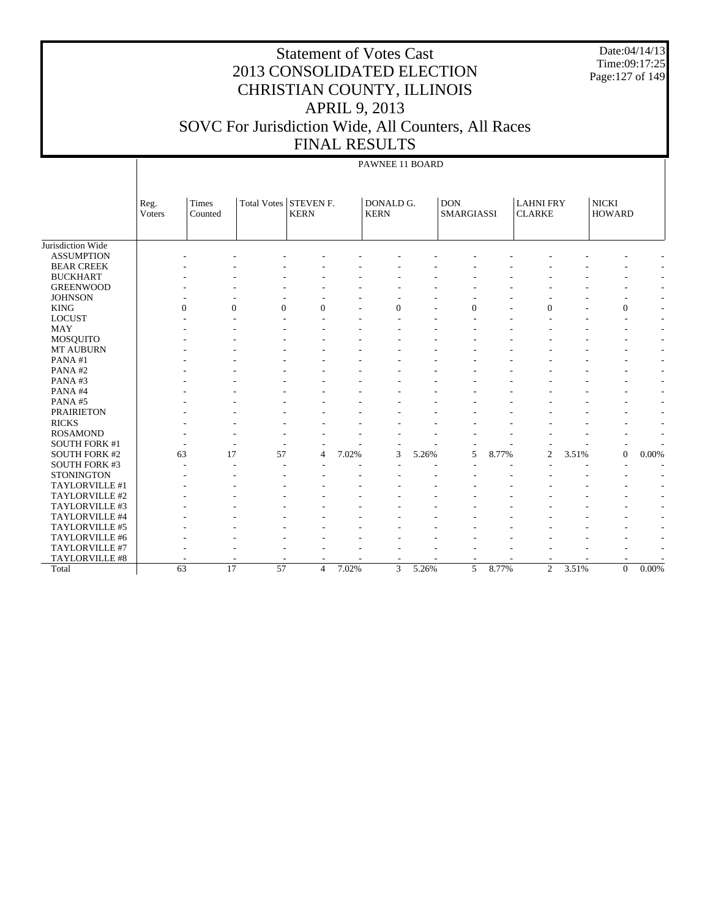#### Statement of Votes Cast 2013 CONSOLIDATED ELECTION CHRISTIAN COUNTY, ILLINOIS APRIL 9, 2013 SOVC For Jurisdiction Wide, All Counters, All Races FINAL RESULTS

Date:04/14/13 Time:09:17:25 Page:127 of 149

|                      |                |                      |                 |                                 |       | PAWNEE 11 BOARD          |       |                                 |       |                                   |       |                               |                          |
|----------------------|----------------|----------------------|-----------------|---------------------------------|-------|--------------------------|-------|---------------------------------|-------|-----------------------------------|-------|-------------------------------|--------------------------|
|                      | Reg.<br>Voters | Times<br>Counted     | Total Votes     | <b>STEVEN F.</b><br><b>KERN</b> |       | DONALD G.<br><b>KERN</b> |       | <b>DON</b><br><b>SMARGIASSI</b> |       | <b>LAHNI FRY</b><br><b>CLARKE</b> |       | <b>NICKI</b><br><b>HOWARD</b> |                          |
|                      |                |                      |                 |                                 |       |                          |       |                                 |       |                                   |       |                               |                          |
| Jurisdiction Wide    |                |                      |                 |                                 |       |                          |       |                                 |       |                                   |       |                               |                          |
| <b>ASSUMPTION</b>    |                |                      |                 |                                 |       |                          |       |                                 |       |                                   |       |                               |                          |
| <b>BEAR CREEK</b>    |                |                      |                 |                                 |       |                          |       |                                 |       |                                   |       |                               |                          |
| <b>BUCKHART</b>      |                |                      |                 |                                 |       |                          |       |                                 |       |                                   |       |                               |                          |
| <b>GREENWOOD</b>     |                |                      |                 |                                 |       |                          |       |                                 |       |                                   |       |                               |                          |
| <b>JOHNSON</b>       |                |                      |                 |                                 |       |                          |       |                                 |       |                                   |       |                               |                          |
| <b>KING</b>          |                | $\theta$<br>$\Omega$ | $\Omega$        | $\overline{0}$                  |       | $\Omega$                 |       | $\Omega$                        |       | $\Omega$                          |       | $\overline{0}$                | $\overline{a}$           |
| <b>LOCUST</b>        |                |                      |                 |                                 |       |                          |       |                                 |       |                                   |       | ٠                             | $\overline{a}$           |
| <b>MAY</b>           |                |                      |                 |                                 |       |                          |       |                                 |       |                                   |       |                               | $\overline{a}$           |
| MOSQUITO             |                |                      |                 |                                 |       |                          |       |                                 |       |                                   |       |                               | $\overline{a}$           |
| <b>MT AUBURN</b>     |                |                      |                 |                                 |       |                          |       |                                 |       |                                   |       |                               | $\overline{a}$           |
| PANA#1               |                |                      |                 |                                 |       |                          |       |                                 |       |                                   |       |                               | $\overline{a}$           |
| PANA#2               |                |                      |                 |                                 |       |                          |       |                                 |       |                                   |       |                               | $\overline{\phantom{0}}$ |
| PANA#3               |                |                      |                 |                                 |       |                          |       |                                 |       |                                   |       |                               | $\overline{\phantom{a}}$ |
| PANA#4               |                |                      |                 |                                 |       |                          |       |                                 |       |                                   |       |                               |                          |
| PANA#5               |                |                      |                 |                                 |       |                          |       |                                 |       |                                   |       |                               |                          |
| <b>PRAIRIETON</b>    |                |                      |                 |                                 |       |                          |       |                                 |       |                                   |       |                               |                          |
| <b>RICKS</b>         |                |                      |                 |                                 |       |                          |       |                                 |       |                                   |       |                               |                          |
| <b>ROSAMOND</b>      |                |                      |                 |                                 |       |                          |       |                                 |       |                                   |       |                               | $\overline{a}$           |
| <b>SOUTH FORK #1</b> |                |                      |                 |                                 |       |                          |       |                                 |       |                                   |       |                               |                          |
| <b>SOUTH FORK #2</b> | 63             | 17                   | 57              | $\overline{4}$                  | 7.02% | 3                        | 5.26% | 5                               | 8.77% | $\overline{2}$                    | 3.51% | $\mathbf{0}$                  | 0.00%                    |
| <b>SOUTH FORK #3</b> |                |                      |                 |                                 |       |                          |       |                                 |       |                                   |       |                               |                          |
| <b>STONINGTON</b>    |                |                      |                 |                                 |       |                          |       |                                 |       |                                   |       |                               |                          |
| TAYLORVILLE #1       |                |                      |                 |                                 |       |                          |       |                                 |       |                                   |       |                               |                          |
| TAYLORVILLE #2       |                |                      |                 |                                 |       |                          |       |                                 |       |                                   |       |                               |                          |
| TAYLORVILLE #3       |                |                      |                 |                                 |       |                          |       |                                 |       |                                   |       |                               | ٠                        |
| TAYLORVILLE #4       |                |                      |                 |                                 |       |                          |       |                                 |       |                                   |       |                               |                          |
| TAYLORVILLE #5       |                |                      |                 |                                 |       |                          |       |                                 |       |                                   |       |                               |                          |
| TAYLORVILLE #6       |                |                      |                 |                                 |       |                          |       |                                 |       |                                   |       |                               |                          |
| TAYLORVILLE #7       |                |                      |                 |                                 |       |                          |       |                                 |       |                                   |       |                               | $\overline{\phantom{a}}$ |
| TAYLORVILLE #8       |                |                      |                 |                                 |       |                          |       |                                 |       |                                   |       |                               |                          |
| Total                | 63             | 17                   | $\overline{57}$ | $\overline{4}$                  | 7.02% | 3                        | 5.26% | 5                               | 8.77% | $\overline{2}$                    | 3.51% | $\boldsymbol{0}$              | 0.00%                    |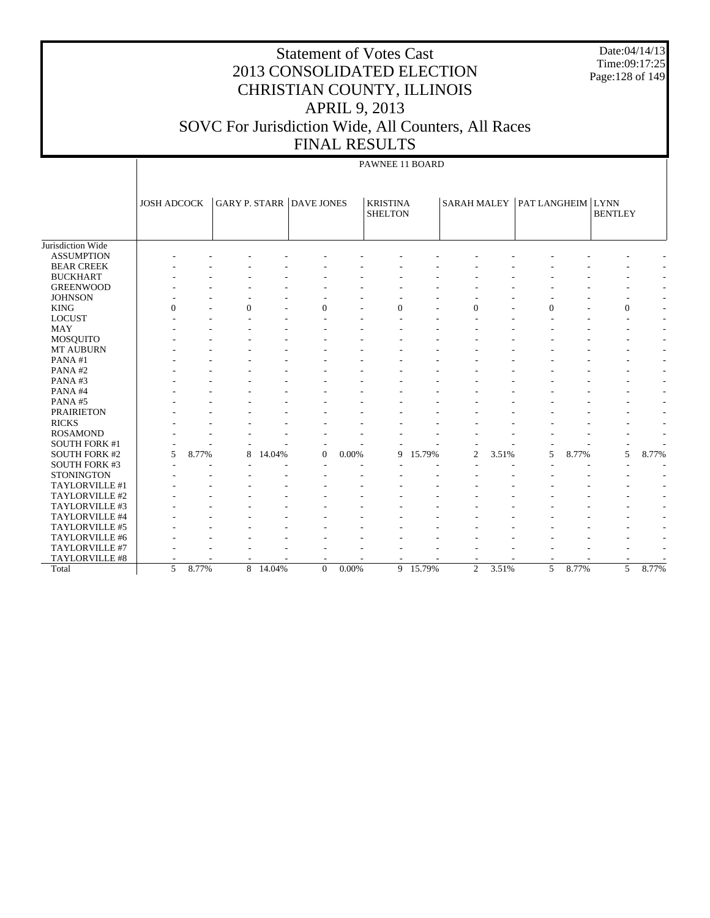|                                        |                    |       |          | <b>Statement of Votes Cast</b><br>2013 CONSOLIDATED ELECTION<br>CHRISTIAN COUNTY, ILLINOIS |       | <b>APRIL 9, 2013</b>              |          |          |       |                                 |       | Date:04/14/13<br>Time:09:17:25<br>Page: 128 of 149 |       |
|----------------------------------------|--------------------|-------|----------|--------------------------------------------------------------------------------------------|-------|-----------------------------------|----------|----------|-------|---------------------------------|-------|----------------------------------------------------|-------|
|                                        |                    |       |          | SOVC For Jurisdiction Wide, All Counters, All Races                                        |       | <b>FINAL RESULTS</b>              |          |          |       |                                 |       |                                                    |       |
|                                        |                    |       |          |                                                                                            |       | PAWNEE 11 BOARD                   |          |          |       |                                 |       |                                                    |       |
|                                        | <b>JOSH ADCOCK</b> |       |          | <b>GARY P. STARR DAVE JONES</b>                                                            |       | <b>KRISTINA</b><br><b>SHELTON</b> |          |          |       | SARAH MALEY   PAT LANGHEIM LYNN |       | <b>BENTLEY</b>                                     |       |
| Jurisdiction Wide                      |                    |       |          |                                                                                            |       |                                   |          |          |       |                                 |       |                                                    |       |
| <b>ASSUMPTION</b><br><b>BEAR CREEK</b> |                    |       |          |                                                                                            |       |                                   |          |          |       |                                 |       |                                                    |       |
| <b>BUCKHART</b>                        |                    |       |          |                                                                                            |       |                                   |          |          |       |                                 |       |                                                    |       |
| <b>GREENWOOD</b>                       |                    |       |          |                                                                                            |       |                                   |          |          |       |                                 |       |                                                    |       |
| <b>JOHNSON</b>                         |                    |       |          |                                                                                            |       |                                   |          |          |       |                                 |       |                                                    |       |
| <b>KING</b>                            | $\Omega$           |       |          |                                                                                            |       |                                   |          | $\Omega$ |       | $\Omega$                        |       | $\theta$                                           |       |
| <b>LOCUST</b>                          |                    |       |          |                                                                                            |       |                                   |          |          |       |                                 |       |                                                    |       |
| MAY                                    |                    |       |          |                                                                                            |       |                                   |          |          |       |                                 |       |                                                    |       |
| <b>MOSQUITO</b>                        |                    |       |          |                                                                                            |       |                                   |          |          |       |                                 |       |                                                    |       |
| <b>MT AUBURN</b>                       |                    |       |          |                                                                                            |       |                                   |          |          |       |                                 |       |                                                    |       |
| PANA#1                                 |                    |       |          |                                                                                            |       |                                   |          |          |       |                                 |       |                                                    |       |
| PANA#2                                 |                    |       |          |                                                                                            |       |                                   |          |          |       |                                 |       |                                                    |       |
| PANA#3                                 |                    |       |          |                                                                                            |       |                                   |          |          |       |                                 |       |                                                    |       |
| PANA#4                                 |                    |       |          |                                                                                            |       |                                   |          |          |       |                                 |       |                                                    |       |
| PANA#5                                 |                    |       |          |                                                                                            |       |                                   |          |          |       |                                 |       |                                                    |       |
| <b>PRAIRIETON</b>                      |                    |       |          |                                                                                            |       |                                   |          |          |       |                                 |       |                                                    |       |
| <b>RICKS</b>                           |                    |       |          |                                                                                            |       |                                   |          |          |       |                                 |       |                                                    |       |
| <b>ROSAMOND</b>                        |                    |       |          |                                                                                            |       |                                   |          |          |       |                                 |       |                                                    |       |
| <b>SOUTH FORK #1</b>                   |                    |       |          |                                                                                            |       |                                   |          |          |       |                                 |       |                                                    |       |
| <b>SOUTH FORK #2</b>                   | 5                  | 8.77% | 14.04%   | $\overline{0}$                                                                             | 0.00% |                                   | 9 15.79% | 2        | 3.51% | 5                               | 8.77% | 5                                                  | 8.77% |
| <b>SOUTH FORK #3</b>                   |                    |       |          |                                                                                            |       |                                   |          |          |       |                                 |       |                                                    |       |
| <b>STONINGTON</b>                      |                    |       |          |                                                                                            |       |                                   |          |          |       |                                 |       |                                                    |       |
| TAYLORVILLE #1                         |                    |       |          |                                                                                            |       |                                   |          |          |       |                                 |       |                                                    |       |
| TAYLORVILLE #2                         |                    |       |          |                                                                                            |       |                                   |          |          |       |                                 |       |                                                    |       |
| TAYLORVILLE #3                         |                    |       |          |                                                                                            |       |                                   |          |          |       |                                 |       |                                                    |       |
| TAYLORVILLE #4                         |                    |       |          |                                                                                            |       |                                   |          |          |       |                                 |       |                                                    |       |
| TAYLORVILLE #5                         |                    |       |          |                                                                                            |       |                                   |          |          |       |                                 |       |                                                    |       |
| TAYLORVILLE #6                         |                    |       |          |                                                                                            |       |                                   |          |          |       |                                 |       |                                                    |       |
| TAYLORVILLE #7                         |                    |       |          |                                                                                            |       |                                   |          |          |       |                                 |       |                                                    |       |
| TAYLORVILLE #8                         |                    |       |          |                                                                                            |       |                                   |          |          |       |                                 |       |                                                    |       |
| Total                                  | 5                  | 8.77% | 8 14.04% | $\Omega$                                                                                   | 0.00% |                                   | 9 15.79% | 2        | 3.51% | 5                               | 8.77% | 5                                                  | 8.77% |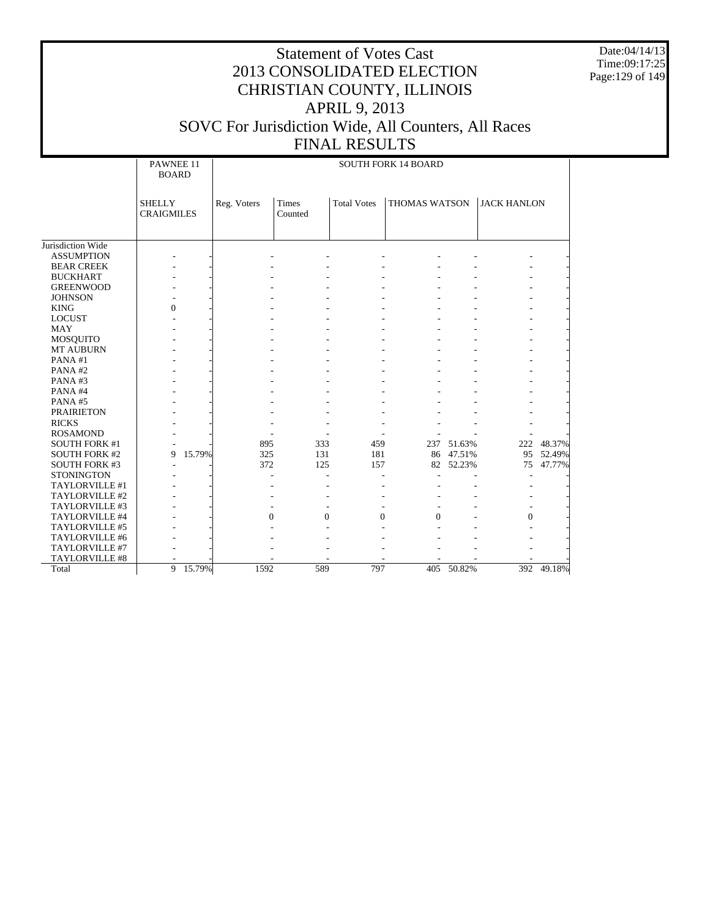Date:04/14/13 Time:09:17:25 Page:129 of 149

|                      | PAWNEE 11<br><b>BOARD</b>          |             |                              |                    | <b>SOUTH FORK 14 BOARD</b> |            |                    |            |
|----------------------|------------------------------------|-------------|------------------------------|--------------------|----------------------------|------------|--------------------|------------|
|                      | <b>SHELLY</b><br><b>CRAIGMILES</b> | Reg. Voters | Times<br>Counted             | <b>Total Votes</b> | <b>THOMAS WATSON</b>       |            | <b>JACK HANLON</b> |            |
| Jurisdiction Wide    |                                    |             |                              |                    |                            |            |                    |            |
| <b>ASSUMPTION</b>    |                                    |             |                              |                    |                            |            |                    |            |
| <b>BEAR CREEK</b>    |                                    |             |                              |                    |                            |            |                    |            |
| <b>BUCKHART</b>      |                                    |             |                              |                    |                            |            |                    |            |
| <b>GREENWOOD</b>     |                                    |             |                              |                    |                            |            |                    |            |
| <b>JOHNSON</b>       |                                    |             |                              |                    |                            |            |                    |            |
| <b>KING</b>          | 0                                  |             |                              |                    |                            |            |                    |            |
| <b>LOCUST</b>        |                                    |             |                              |                    |                            |            |                    |            |
| <b>MAY</b>           |                                    |             |                              |                    |                            |            |                    |            |
| <b>MOSQUITO</b>      |                                    |             |                              |                    |                            |            |                    |            |
| <b>MT AUBURN</b>     |                                    |             |                              |                    |                            |            |                    |            |
| PANA#1               |                                    |             |                              |                    |                            |            |                    |            |
| PANA#2               |                                    |             |                              |                    |                            |            |                    |            |
| PANA#3               |                                    |             |                              |                    |                            |            |                    |            |
| PANA#4               |                                    |             |                              |                    |                            |            |                    |            |
| PANA#5               |                                    |             |                              |                    |                            |            |                    |            |
| <b>PRAIRIETON</b>    |                                    |             |                              |                    |                            |            |                    |            |
| <b>RICKS</b>         |                                    |             |                              |                    |                            |            |                    |            |
| <b>ROSAMOND</b>      |                                    |             |                              |                    |                            |            |                    |            |
| <b>SOUTH FORK #1</b> |                                    | 895         | 333                          | 459                |                            | 237 51.63% |                    | 222 48.37% |
| <b>SOUTH FORK #2</b> | 15.79%<br>9                        | 325         | 131                          | 181                |                            | 86 47.51%  | 95                 | 52.49%     |
| <b>SOUTH FORK #3</b> |                                    | 372         | 125                          | 157                |                            | 82 52.23%  | 75                 | 47.77%     |
| <b>STONINGTON</b>    |                                    |             |                              |                    |                            |            |                    |            |
| TAYLORVILLE #1       |                                    |             |                              |                    |                            |            |                    |            |
| TAYLORVILLE #2       |                                    |             |                              |                    |                            |            |                    |            |
| TAYLORVILLE #3       |                                    |             |                              |                    |                            |            |                    |            |
| TAYLORVILLE #4       |                                    |             | $\mathbf{0}$<br>$\mathbf{0}$ | $\mathbf{0}$       | $\theta$                   |            | $\mathbf{0}$       |            |
| TAYLORVILLE #5       |                                    |             |                              |                    |                            |            |                    |            |
| TAYLORVILLE #6       |                                    |             |                              |                    |                            |            |                    |            |
| TAYLORVILLE #7       |                                    |             |                              |                    |                            |            |                    |            |
| TAYLORVILLE #8       |                                    |             |                              |                    |                            |            |                    |            |
| Total                | 9 15.79%                           | 1592        | 589                          | 797                |                            | 405 50.82% |                    | 392 49.18% |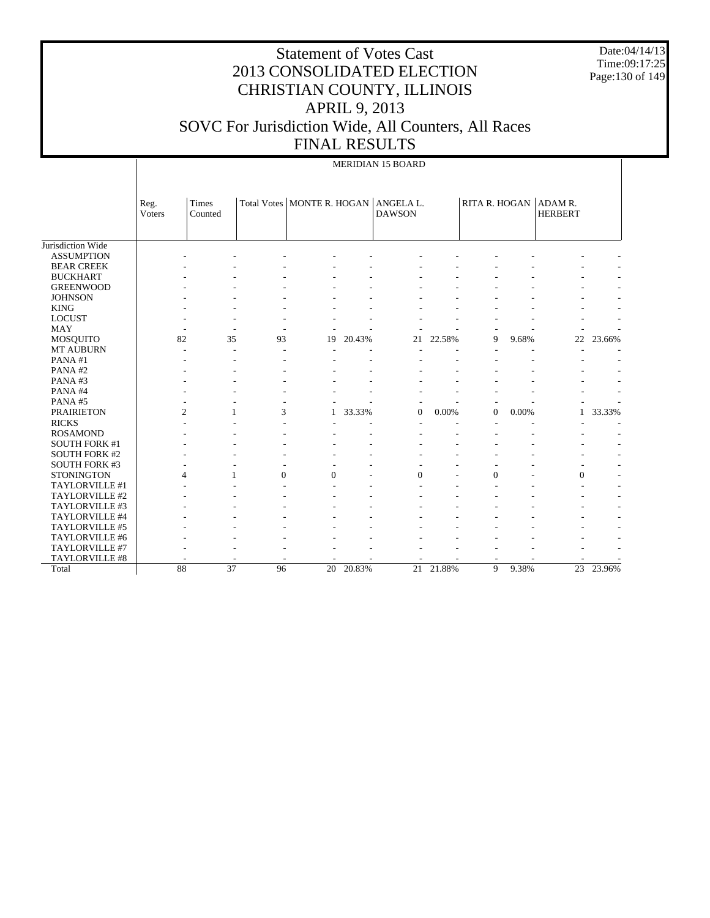Date:04/14/13 Time:09:17:25 Page:130 of 149

|                      |                       |                  |          |          |        | <b>MERIDIAN 15 BOARD</b>                                  |        |                          |       |                           |        |
|----------------------|-----------------------|------------------|----------|----------|--------|-----------------------------------------------------------|--------|--------------------------|-------|---------------------------|--------|
|                      | Reg.<br><b>Voters</b> | Times<br>Counted |          |          |        | Total Votes   MONTE R. HOGAN   ANGELA L.<br><b>DAWSON</b> |        | RITA R. HOGAN            |       | ADAM R.<br><b>HERBERT</b> |        |
| Jurisdiction Wide    |                       |                  |          |          |        |                                                           |        |                          |       |                           |        |
| <b>ASSUMPTION</b>    |                       |                  |          |          |        |                                                           |        |                          |       |                           |        |
| <b>BEAR CREEK</b>    |                       |                  |          |          |        |                                                           |        |                          |       |                           |        |
| <b>BUCKHART</b>      |                       |                  |          |          |        |                                                           |        |                          |       |                           |        |
| <b>GREENWOOD</b>     |                       |                  |          |          |        |                                                           |        |                          |       |                           |        |
| <b>JOHNSON</b>       |                       |                  |          |          |        |                                                           |        |                          |       |                           |        |
| <b>KING</b>          |                       |                  |          |          |        |                                                           |        |                          |       |                           |        |
| <b>LOCUST</b>        |                       |                  |          |          |        |                                                           |        |                          |       |                           |        |
| <b>MAY</b>           | ÷                     |                  | ÷,       |          |        |                                                           |        |                          |       |                           |        |
| <b>MOSQUITO</b>      | 82                    | 35               | 93       | 19       | 20.43% | 21                                                        | 22.58% | 9                        | 9.68% | 22                        | 23.66% |
| <b>MT AUBURN</b>     |                       |                  | L,       |          |        |                                                           |        |                          |       |                           |        |
| PANA#1               |                       |                  |          |          |        |                                                           |        |                          |       |                           |        |
| PANA#2               |                       |                  |          |          |        |                                                           |        |                          |       |                           |        |
| PANA#3               |                       |                  |          |          |        |                                                           |        |                          |       |                           |        |
| PANA#4               |                       |                  |          |          |        |                                                           |        |                          |       |                           |        |
| PANA#5               |                       |                  |          |          |        |                                                           |        |                          |       |                           |        |
| <b>PRAIRIETON</b>    | $\overline{c}$        |                  | 3        | 1        | 33.33% | $\mathbf{0}$                                              | 0.00%  | $\mathbf{0}$             | 0.00% |                           | 33.33% |
| <b>RICKS</b>         |                       |                  |          |          |        |                                                           |        |                          |       |                           |        |
| <b>ROSAMOND</b>      |                       |                  |          |          |        |                                                           |        |                          |       |                           |        |
| <b>SOUTH FORK #1</b> |                       |                  |          |          |        |                                                           |        |                          |       |                           |        |
| <b>SOUTH FORK #2</b> |                       |                  |          |          |        |                                                           |        |                          |       |                           |        |
| SOUTH FORK #3        |                       |                  |          |          |        |                                                           |        |                          |       |                           |        |
| <b>STONINGTON</b>    | 4                     | 1                | $\Omega$ | $\Omega$ |        | $\Omega$                                                  |        | $\Omega$                 |       | $\Omega$                  |        |
| TAYLORVILLE #1       |                       |                  |          |          |        |                                                           |        |                          |       |                           |        |
| TAYLORVILLE #2       |                       |                  |          |          |        |                                                           |        |                          |       |                           |        |
| TAYLORVILLE #3       |                       |                  |          |          |        |                                                           |        |                          |       |                           |        |
| TAYLORVILLE #4       |                       |                  |          |          |        |                                                           |        |                          |       |                           |        |
| TAYLORVILLE #5       |                       |                  |          |          |        |                                                           |        |                          |       |                           |        |
| TAYLORVILLE #6       |                       |                  |          |          |        |                                                           |        |                          |       |                           |        |
| TAYLORVILLE #7       |                       |                  |          |          |        |                                                           |        |                          |       |                           |        |
| TAYLORVILLE #8       |                       |                  |          |          |        |                                                           |        | $\overline{\phantom{a}}$ |       |                           |        |
| Total                | 88                    | 37               | 96       | 20       | 20.83% | 21                                                        | 21.88% | 9                        | 9.38% | $\overline{23}$           | 23.96% |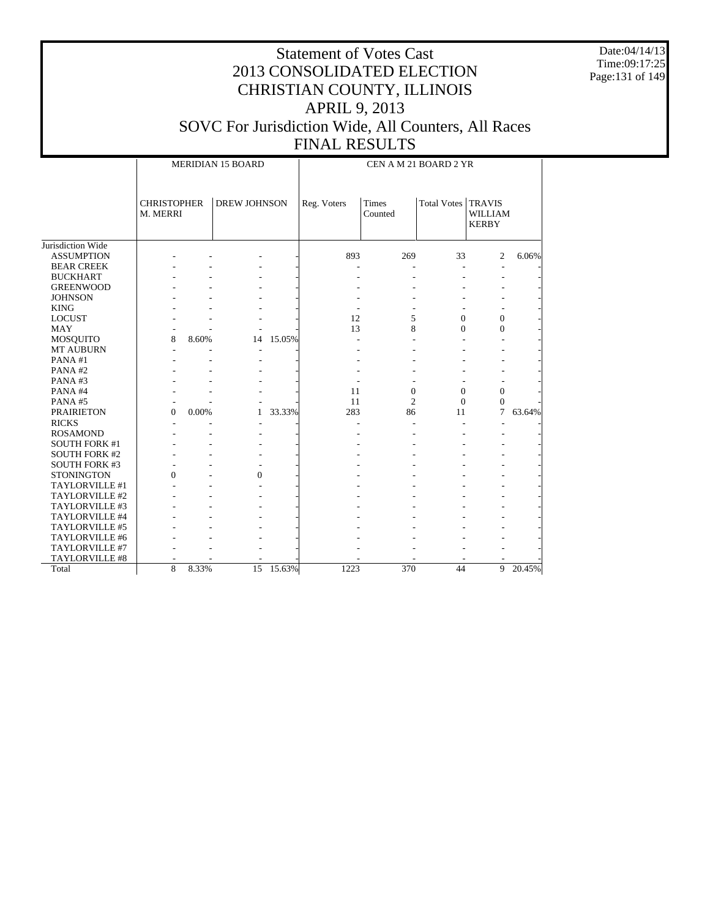Date:04/14/13 Time:09:17:25 Page:131 of 149

|                      |                                |       | <b>MERIDIAN 15 BOARD</b> |           |             | CEN A M 21 BOARD 2 YR   |              |                                                 |        |
|----------------------|--------------------------------|-------|--------------------------|-----------|-------------|-------------------------|--------------|-------------------------------------------------|--------|
|                      | <b>CHRISTOPHER</b><br>M. MERRI |       | <b>DREW JOHNSON</b>      |           | Reg. Voters | <b>Times</b><br>Counted | Total Votes  | <b>TRAVIS</b><br><b>WILLIAM</b><br><b>KERBY</b> |        |
| Jurisdiction Wide    |                                |       |                          |           |             |                         |              |                                                 |        |
| <b>ASSUMPTION</b>    |                                |       |                          |           | 893         | 269                     | 33           | 2                                               | 6.06%  |
| <b>BEAR CREEK</b>    |                                |       |                          |           |             |                         |              |                                                 |        |
| <b>BUCKHART</b>      |                                |       |                          |           |             |                         |              |                                                 |        |
| <b>GREENWOOD</b>     |                                |       |                          |           |             |                         |              |                                                 |        |
| <b>JOHNSON</b>       |                                |       |                          |           |             |                         |              |                                                 |        |
| <b>KING</b>          |                                |       |                          |           |             |                         |              |                                                 |        |
| <b>LOCUST</b>        |                                |       |                          |           | 12          | 5                       | $\Omega$     | $\mathbf{0}$                                    |        |
| <b>MAY</b>           |                                |       |                          |           | 13          | 8                       | $\Omega$     | $\mathbf{0}$                                    |        |
| <b>MOSQUITO</b>      | 8                              | 8.60% | 14                       | 15.05%    |             |                         |              |                                                 |        |
| <b>MT AUBURN</b>     |                                |       |                          |           |             |                         |              |                                                 |        |
| PANA#1               |                                |       |                          |           |             |                         |              |                                                 |        |
| PANA#2               |                                |       |                          |           |             |                         |              |                                                 |        |
| PANA#3               |                                |       |                          |           |             |                         |              |                                                 |        |
| PANA#4               |                                |       |                          |           | 11          | $\overline{0}$          | $\mathbf{0}$ | $\mathbf{0}$                                    |        |
| PANA#5               |                                |       |                          |           | 11          | $\overline{c}$          | $\Omega$     | $\mathbf{0}$                                    |        |
| <b>PRAIRIETON</b>    | $\overline{0}$                 | 0.00% | 1                        | 33.33%    | 283         | 86                      | 11           | 7                                               | 63.64% |
| <b>RICKS</b>         |                                |       |                          |           |             |                         |              |                                                 |        |
| <b>ROSAMOND</b>      |                                |       |                          |           |             |                         |              |                                                 |        |
| <b>SOUTH FORK #1</b> |                                |       |                          |           |             |                         |              |                                                 |        |
| <b>SOUTH FORK #2</b> |                                |       |                          |           |             |                         |              |                                                 |        |
| <b>SOUTH FORK #3</b> |                                |       |                          |           |             |                         |              |                                                 |        |
| <b>STONINGTON</b>    | $\theta$                       |       | $\theta$                 |           |             |                         |              |                                                 |        |
| TAYLORVILLE #1       |                                |       |                          |           |             |                         |              |                                                 |        |
| TAYLORVILLE #2       |                                |       |                          |           |             |                         |              |                                                 |        |
| TAYLORVILLE #3       |                                |       |                          |           |             |                         |              |                                                 |        |
| TAYLORVILLE #4       |                                |       |                          |           |             |                         |              |                                                 |        |
| TAYLORVILLE #5       |                                |       |                          |           |             |                         |              |                                                 |        |
| TAYLORVILLE #6       |                                |       |                          |           |             |                         |              |                                                 |        |
| TAYLORVILLE #7       |                                |       |                          |           |             |                         |              |                                                 |        |
| TAYLORVILLE #8       |                                |       |                          |           |             |                         |              |                                                 |        |
| Total                | 8                              | 8.33% |                          | 15 15.63% | 1223        | 370                     | 44           | 9                                               | 20.45% |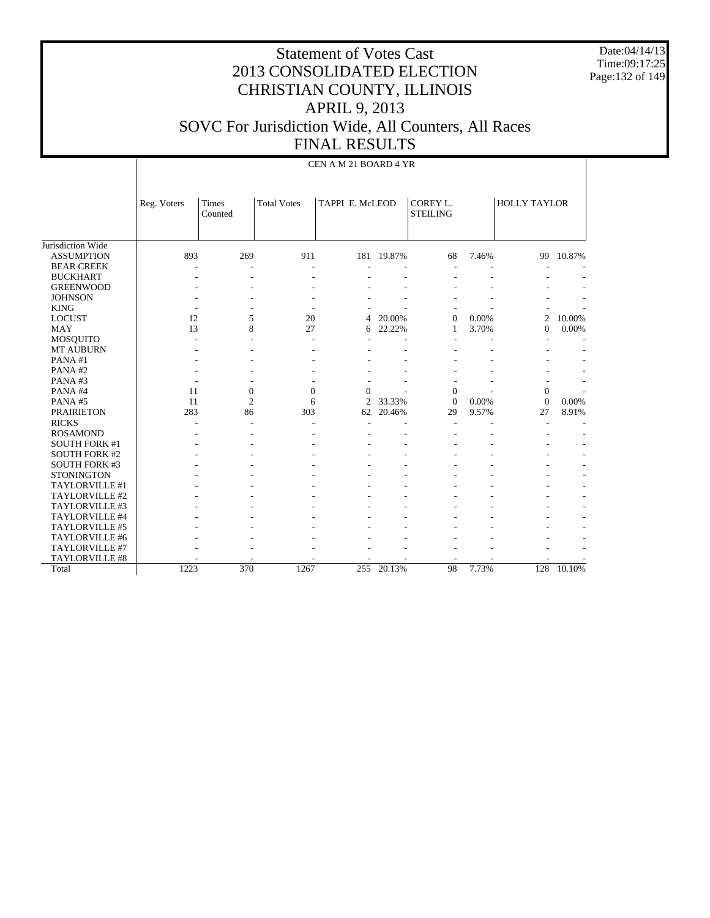Date:04/14/13 Time:09:17:25 Page:132 of 149

|                       |             |                  |                    | CEN A M 21 BOARD 4 YR |            |                             |       |                     |        |
|-----------------------|-------------|------------------|--------------------|-----------------------|------------|-----------------------------|-------|---------------------|--------|
|                       | Reg. Voters | Times<br>Counted | <b>Total Votes</b> | TAPPI E. McLEOD       |            | COREY L.<br><b>STEILING</b> |       | <b>HOLLY TAYLOR</b> |        |
| Jurisdiction Wide     |             |                  |                    |                       |            |                             |       |                     |        |
| <b>ASSUMPTION</b>     | 893         | 269              | 911                |                       | 181 19.87% | 68                          | 7.46% | 99                  | 10.87% |
| <b>BEAR CREEK</b>     |             |                  |                    |                       |            |                             |       |                     |        |
| <b>BUCKHART</b>       |             | ٠                | ٠                  |                       |            |                             |       |                     |        |
| <b>GREENWOOD</b>      |             |                  |                    |                       |            |                             |       |                     |        |
| <b>JOHNSON</b>        |             |                  |                    |                       |            |                             |       |                     |        |
| <b>KING</b>           |             |                  |                    |                       |            |                             |       |                     |        |
| <b>LOCUST</b>         | 12          | 5                | 20                 | 4                     | 20.00%     | $\mathbf{0}$                | 0.00% | $\overline{2}$      | 10.00% |
| <b>MAY</b>            | 13          | 8                | 27                 | 6                     | 22.22%     | $\mathbf{1}$                | 3.70% | $\Omega$            | 0.00%  |
| MOSQUITO              |             |                  |                    |                       |            |                             |       |                     |        |
| <b>MT AUBURN</b>      |             |                  |                    |                       |            |                             |       |                     |        |
| PANA#1                |             |                  |                    |                       |            |                             |       |                     |        |
| PANA#2                |             |                  |                    |                       |            |                             |       |                     |        |
| PANA#3                |             |                  |                    |                       |            |                             |       |                     |        |
| PANA#4                | 11          | $\boldsymbol{0}$ | $\mathbf{0}$       | $\Omega$              |            | $\boldsymbol{0}$            |       | $\boldsymbol{0}$    |        |
| PANA#5                | 11          | $\overline{2}$   | 6                  | $\overline{c}$        | 33.33%     | $\mathbf{0}$                | 0.00% | $\overline{0}$      | 0.00%  |
| <b>PRAIRIETON</b>     | 283         | 86               | 303                | 62                    | 20.46%     | 29                          | 9.57% | 27                  | 8.91%  |
| <b>RICKS</b>          |             |                  |                    |                       |            |                             |       |                     |        |
| <b>ROSAMOND</b>       |             |                  |                    |                       |            |                             |       |                     |        |
| <b>SOUTH FORK #1</b>  |             |                  |                    |                       |            |                             |       |                     |        |
| <b>SOUTH FORK #2</b>  |             |                  |                    |                       |            |                             |       |                     |        |
| <b>SOUTH FORK #3</b>  |             |                  |                    |                       |            |                             |       |                     |        |
| <b>STONINGTON</b>     |             |                  |                    |                       |            |                             |       |                     |        |
| TAYLORVILLE #1        |             |                  |                    |                       |            |                             |       |                     |        |
| TAYLORVILLE #2        |             |                  |                    |                       |            |                             |       |                     |        |
| TAYLORVILLE #3        |             |                  |                    |                       |            |                             |       |                     |        |
| TAYLORVILLE #4        |             |                  |                    |                       |            |                             |       |                     |        |
| TAYLORVILLE #5        |             |                  |                    |                       |            |                             |       |                     |        |
| TAYLORVILLE #6        |             |                  |                    |                       |            |                             |       |                     |        |
| TAYLORVILLE #7        |             |                  |                    |                       |            |                             |       |                     |        |
| <b>TAYLORVILLE #8</b> |             |                  |                    |                       |            |                             |       |                     |        |
| Total                 | 1223        | 370              | 1267               | 255                   | 20.13%     | 98                          | 7.73% | 128                 | 10.10% |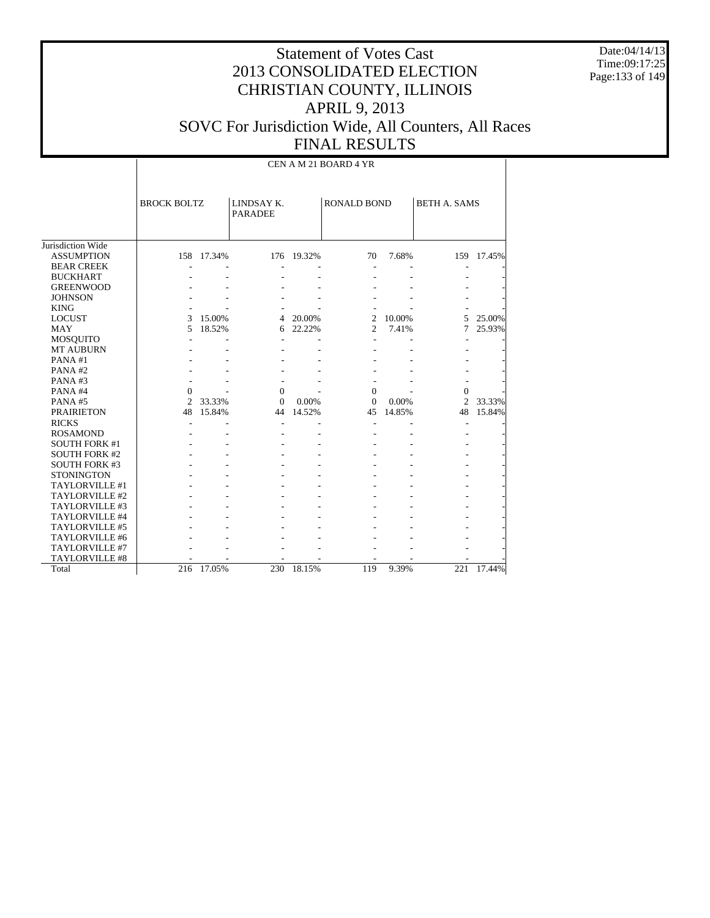Date:04/14/13 Time:09:17:25 Page:133 of 149

|                       |                    |            |                              |            | CEN A M 21 BOARD 4 YR |        |                     |            |
|-----------------------|--------------------|------------|------------------------------|------------|-----------------------|--------|---------------------|------------|
|                       | <b>BROCK BOLTZ</b> |            | LINDSAY K.<br><b>PARADEE</b> |            | <b>RONALD BOND</b>    |        | <b>BETH A. SAMS</b> |            |
| Jurisdiction Wide     |                    |            |                              |            |                       |        |                     |            |
| <b>ASSUMPTION</b>     |                    | 158 17.34% |                              | 176 19.32% | 70                    | 7.68%  |                     | 159 17.45% |
| <b>BEAR CREEK</b>     |                    |            |                              |            |                       |        |                     |            |
| <b>BUCKHART</b>       |                    |            |                              |            |                       |        |                     |            |
| <b>GREENWOOD</b>      |                    |            |                              |            |                       |        |                     |            |
| <b>JOHNSON</b>        |                    |            |                              |            |                       |        |                     |            |
| <b>KING</b>           |                    |            |                              |            |                       |        |                     |            |
| <b>LOCUST</b>         | 3                  | 15.00%     | 4                            | 20.00%     | 2                     | 10.00% |                     | 5 25.00%   |
| <b>MAY</b>            | 5                  | 18.52%     | 6                            | 22.22%     | $\overline{2}$        | 7.41%  | 7                   | 25.93%     |
| <b>MOSQUITO</b>       |                    |            |                              |            | $\overline{a}$        |        |                     |            |
| <b>MT AUBURN</b>      |                    |            |                              |            |                       |        |                     |            |
| PANA#1                |                    |            |                              |            |                       |        |                     |            |
| PANA#2                |                    |            |                              |            |                       |        |                     |            |
| PANA#3                |                    |            |                              |            |                       |        |                     |            |
| PANA#4                | $\Omega$           |            | $\overline{0}$               |            | $\Omega$              |        | $\Omega$            |            |
| PANA#5                | 2                  | 33.33%     | $\Omega$                     | 0.00%      | $\Omega$              | 0.00%  | $\overline{c}$      | 33.33%     |
| <b>PRAIRIETON</b>     | 48                 | 15.84%     | 44                           | 14.52%     | 45                    | 14.85% | 48                  | 15.84%     |
| <b>RICKS</b>          |                    |            |                              |            |                       |        |                     |            |
| <b>ROSAMOND</b>       |                    |            |                              |            |                       |        |                     |            |
| <b>SOUTH FORK #1</b>  |                    |            |                              |            |                       |        |                     |            |
| <b>SOUTH FORK #2</b>  |                    |            |                              |            |                       |        |                     |            |
| <b>SOUTH FORK #3</b>  |                    |            |                              |            |                       |        |                     |            |
| <b>STONINGTON</b>     |                    |            |                              |            |                       |        |                     |            |
| TAYLORVILLE #1        |                    |            |                              |            |                       |        |                     |            |
| TAYLORVILLE #2        |                    |            |                              |            |                       |        |                     |            |
| TAYLORVILLE #3        |                    |            |                              |            |                       |        |                     |            |
| TAYLORVILLE #4        |                    |            |                              |            |                       |        |                     |            |
| TAYLORVILLE #5        |                    |            |                              |            |                       |        |                     |            |
| TAYLORVILLE #6        |                    |            |                              |            |                       |        |                     |            |
| TAYLORVILLE #7        |                    |            |                              |            |                       |        |                     |            |
| <b>TAYLORVILLE #8</b> |                    |            |                              |            |                       |        |                     |            |
| Total                 | 216                | 17.05%     | 230                          | 18.15%     | 119                   | 9.39%  | 221                 | 17.44%     |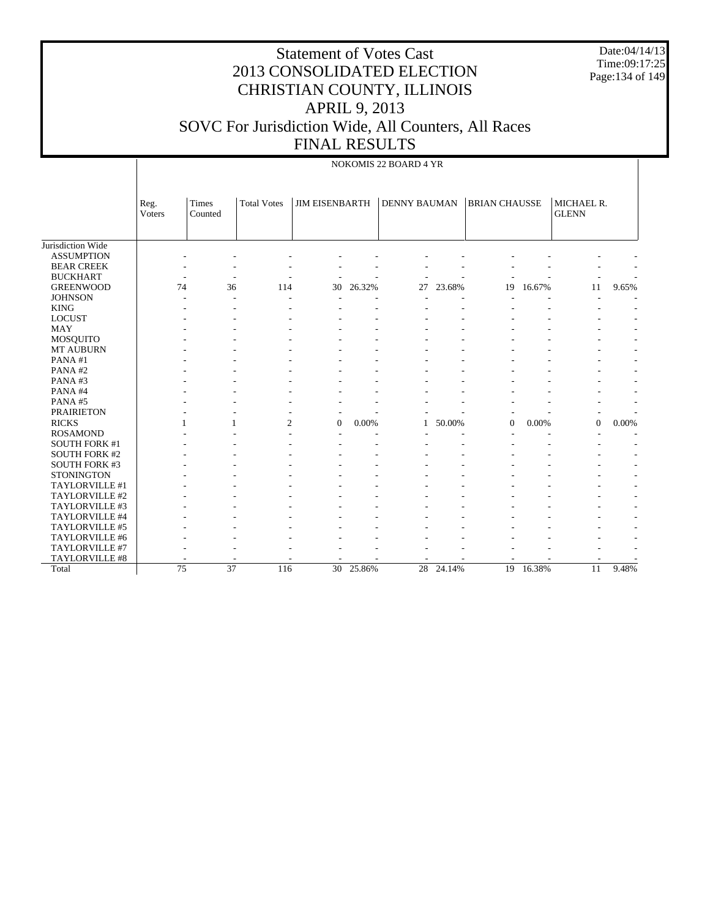# Statement of Votes Cast 2013 CONSOLIDATED ELECTION CHRISTIAN COUNTY, ILLINOIS APRIL 9, 2013 SOVC For Jurisdiction Wide, All Counters, All Races

Date:04/14/13 Time:09:17:25 Page:134 of 149

|                                                                   |                |                  |                    | <b>FINAL RESULTS</b>  |        |                       |        |                      |           |                                            |       |
|-------------------------------------------------------------------|----------------|------------------|--------------------|-----------------------|--------|-----------------------|--------|----------------------|-----------|--------------------------------------------|-------|
|                                                                   |                |                  |                    |                       |        | NOKOMIS 22 BOARD 4 YR |        |                      |           |                                            |       |
|                                                                   | Reg.<br>Voters | Times<br>Counted | <b>Total Votes</b> | <b>JIM EISENBARTH</b> |        | <b>DENNY BAUMAN</b>   |        | <b>BRIAN CHAUSSE</b> |           | MICHAEL R.<br><b>GLENN</b>                 |       |
| Jurisdiction Wide<br><b>ASSUMPTION</b><br><b>BEAR CREEK</b>       |                |                  |                    |                       |        |                       |        |                      |           |                                            |       |
| <b>BUCKHART</b><br><b>GREENWOOD</b><br><b>JOHNSON</b>             | 74             | ٠<br>36          | 114                | 30                    | 26.32% | 27                    | 23.68% | 19                   | 16.67%    | 11                                         | 9.65% |
| <b>KING</b><br><b>LOCUST</b>                                      |                |                  |                    |                       |        |                       |        |                      |           |                                            |       |
| <b>MAY</b><br><b>MOSQUITO</b>                                     |                |                  |                    |                       |        |                       |        |                      |           |                                            |       |
| MT AUBURN<br>PANA#1<br>PANA#2                                     |                |                  |                    |                       |        |                       |        |                      |           |                                            |       |
| PANA#3<br>PANA#4                                                  |                |                  |                    |                       |        |                       |        |                      |           |                                            |       |
| PANA#5<br><b>PRAIRIETON</b><br><b>RICKS</b>                       |                | 1                | $\overline{c}$     | $\overline{0}$        | 0.00%  |                       | 50.00% | $\mathbf{0}$         | 0.00%     | $\overline{\phantom{a}}$<br>$\overline{0}$ | 0.00% |
| <b>ROSAMOND</b><br><b>SOUTH FORK #1</b>                           |                |                  |                    |                       |        |                       |        |                      |           | $\overline{\phantom{a}}$                   |       |
| <b>SOUTH FORK #2</b><br><b>SOUTH FORK #3</b><br><b>STONINGTON</b> |                |                  |                    |                       |        |                       |        |                      |           |                                            |       |
| TAYLORVILLE #1<br>TAYLORVILLE #2                                  |                |                  |                    |                       |        |                       |        |                      |           |                                            |       |
| TAYLORVILLE #3<br>TAYLORVILLE #4<br>TAYLORVILLE #5                |                |                  |                    |                       |        |                       |        |                      |           |                                            |       |
| TAYLORVILLE #6<br>TAYLORVILLE #7                                  |                |                  |                    |                       |        |                       |        |                      |           |                                            |       |
| TAYLORVILLE #8<br>Total                                           |                | 75<br>37         | 116                | 30                    | 25.86% | 28                    | 24.14% |                      | 19 16.38% | $\overline{a}$<br>11                       | 9.48% |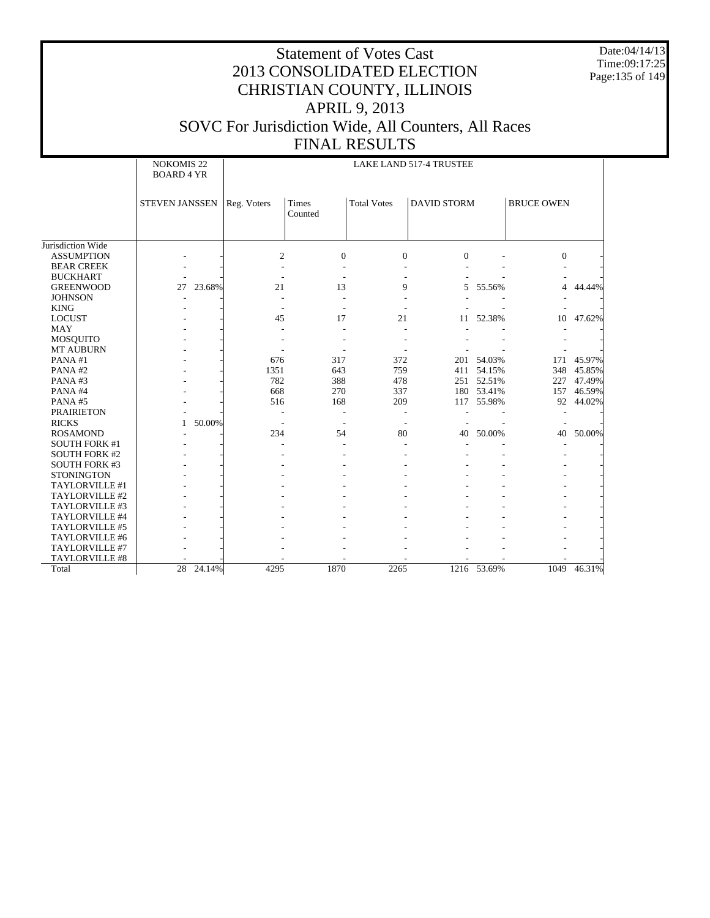Date:04/14/13 Time:09:17:25 Page:135 of 149

|                       | <b>NOKOMIS 22</b><br><b>BOARD 4 YR</b> |        |              | LAKE LAND 517-4 TRUSTEE  |                    |                    |             |                   |        |  |  |
|-----------------------|----------------------------------------|--------|--------------|--------------------------|--------------------|--------------------|-------------|-------------------|--------|--|--|
|                       | <b>STEVEN JANSSEN</b>                  |        | Reg. Voters  | Times<br>Counted         | <b>Total Votes</b> | <b>DAVID STORM</b> |             | <b>BRUCE OWEN</b> |        |  |  |
| Jurisdiction Wide     |                                        |        |              |                          |                    |                    |             |                   |        |  |  |
| <b>ASSUMPTION</b>     |                                        |        | $\mathbf{2}$ | $\boldsymbol{0}$         | $\boldsymbol{0}$   | $\mathbf{0}$       |             | $\boldsymbol{0}$  |        |  |  |
| <b>BEAR CREEK</b>     |                                        |        |              |                          |                    |                    |             |                   |        |  |  |
| <b>BUCKHART</b>       |                                        |        |              |                          |                    |                    |             |                   |        |  |  |
| <b>GREENWOOD</b>      | 27                                     | 23.68% | 21           | 13                       | 9                  | 5                  | 55.56%      | 4                 | 44.44% |  |  |
| <b>JOHNSON</b>        |                                        |        |              |                          |                    |                    |             |                   |        |  |  |
| <b>KING</b>           |                                        |        |              |                          |                    |                    |             |                   |        |  |  |
| <b>LOCUST</b>         |                                        |        | 45           | 17                       | 21                 | 11                 | 52.38%      | 10                | 47.62% |  |  |
| <b>MAY</b>            |                                        |        |              |                          |                    |                    |             |                   |        |  |  |
| <b>MOSQUITO</b>       |                                        |        |              |                          |                    |                    |             |                   |        |  |  |
| <b>MT AUBURN</b>      |                                        |        |              |                          |                    |                    |             |                   |        |  |  |
| PANA#1                |                                        |        | 676          | 317                      | 372                | 201                | 54.03%      | 171               | 45.97% |  |  |
| PANA#2                |                                        |        | 1351         | 643                      | 759                |                    | 411 54.15%  | 348               | 45.85% |  |  |
| PANA#3                |                                        |        | 782          | 388                      | 478                |                    | 251 52.51%  | 227               | 47.49% |  |  |
| PANA#4                |                                        |        | 668          | 270                      | 337                |                    | 180 53.41%  | 157               | 46.59% |  |  |
| PANA#5                |                                        |        | 516          | 168                      | 209                |                    | 117 55.98%  | 92                | 44.02% |  |  |
| <b>PRAIRIETON</b>     |                                        |        |              | $\overline{\phantom{a}}$ |                    |                    |             |                   |        |  |  |
| <b>RICKS</b>          | $\mathbf{1}$                           | 50.00% |              |                          |                    |                    |             |                   |        |  |  |
| <b>ROSAMOND</b>       |                                        |        | 234          | 54                       | 80                 | 40                 | 50.00%      | 40                | 50.00% |  |  |
| <b>SOUTH FORK #1</b>  |                                        |        |              |                          |                    |                    |             |                   |        |  |  |
| <b>SOUTH FORK #2</b>  |                                        |        |              |                          |                    |                    |             |                   |        |  |  |
| <b>SOUTH FORK #3</b>  |                                        |        |              |                          |                    |                    |             |                   |        |  |  |
| <b>STONINGTON</b>     |                                        |        |              |                          |                    |                    |             |                   |        |  |  |
| TAYLORVILLE #1        |                                        |        |              |                          |                    |                    |             |                   |        |  |  |
| TAYLORVILLE #2        |                                        |        |              |                          |                    |                    |             |                   |        |  |  |
| TAYLORVILLE #3        |                                        |        |              |                          |                    |                    |             |                   |        |  |  |
| TAYLORVILLE #4        |                                        |        |              |                          |                    |                    |             |                   |        |  |  |
| TAYLORVILLE #5        |                                        |        |              |                          |                    |                    |             |                   |        |  |  |
| TAYLORVILLE #6        |                                        |        |              |                          |                    |                    |             |                   |        |  |  |
| TAYLORVILLE #7        |                                        |        |              |                          |                    |                    |             |                   |        |  |  |
| <b>TAYLORVILLE #8</b> |                                        |        |              |                          |                    |                    |             |                   |        |  |  |
| Total                 | 28 24.14%                              |        | 4295         | 1870                     | 2265               |                    | 1216 53.69% | 1049              | 46.31% |  |  |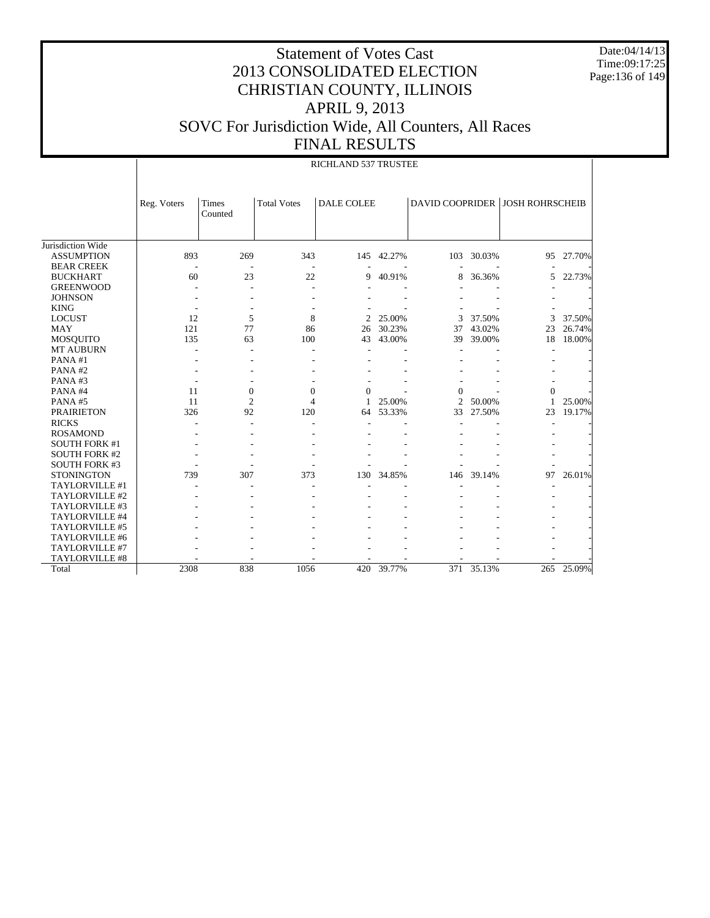Date:04/14/13 Time:09:17:25 Page:136 of 149

|                       |             |                  | RICHLAND 537 TRUSTEE |                   |            |                |        |                                 |           |  |  |  |  |
|-----------------------|-------------|------------------|----------------------|-------------------|------------|----------------|--------|---------------------------------|-----------|--|--|--|--|
|                       | Reg. Voters | Times<br>Counted | <b>Total Votes</b>   | <b>DALE COLEE</b> |            |                |        | DAVID COOPRIDER JOSH ROHRSCHEIB |           |  |  |  |  |
| Jurisdiction Wide     |             |                  |                      |                   |            |                |        |                                 |           |  |  |  |  |
| <b>ASSUMPTION</b>     | 893         | 269              | 343                  |                   | 145 42.27% | 103            | 30.03% |                                 | 95 27.70% |  |  |  |  |
| <b>BEAR CREEK</b>     |             |                  |                      |                   |            |                |        |                                 |           |  |  |  |  |
| <b>BUCKHART</b>       | 60          | 23               | 22                   | 9                 | 40.91%     | 8              | 36.36% | 5                               | 22.73%    |  |  |  |  |
| <b>GREENWOOD</b>      |             |                  |                      |                   |            |                |        |                                 |           |  |  |  |  |
| <b>JOHNSON</b>        |             |                  |                      |                   |            |                |        |                                 |           |  |  |  |  |
| <b>KING</b>           |             |                  |                      |                   |            |                |        |                                 |           |  |  |  |  |
| <b>LOCUST</b>         | 12          | 5                | 8                    | $\mathfrak{D}$    | 25.00%     | 3              | 37.50% | 3                               | 37.50%    |  |  |  |  |
| <b>MAY</b>            | 121         | 77               | 86                   | 26                | 30.23%     | 37             | 43.02% | 23                              | 26.74%    |  |  |  |  |
| <b>MOSQUITO</b>       | 135         | 63               | 100                  | 43                | 43.00%     | 39             | 39.00% | 18                              | 18.00%    |  |  |  |  |
| <b>MT AUBURN</b>      |             |                  | ٠                    |                   |            |                |        |                                 |           |  |  |  |  |
| PANA#1                |             |                  |                      |                   |            |                |        |                                 |           |  |  |  |  |
| PANA#2                |             |                  |                      |                   |            |                |        |                                 |           |  |  |  |  |
| PANA#3                |             |                  |                      |                   |            |                |        |                                 |           |  |  |  |  |
| PANA#4                | 11          | $\mathbf{0}$     | $\mathbf{0}$         | $\Omega$          |            | $\Omega$       |        | $\Omega$                        |           |  |  |  |  |
| PANA#5                | 11          | $\overline{2}$   | 4                    | 1                 | 25.00%     | $\mathfrak{D}$ | 50.00% | 1                               | 25.00%    |  |  |  |  |
| <b>PRAIRIETON</b>     | 326         | 92               | 120                  | 64                | 53.33%     | 33             | 27.50% | 23                              | 19.17%    |  |  |  |  |
| <b>RICKS</b>          |             |                  |                      |                   |            |                |        |                                 |           |  |  |  |  |
| <b>ROSAMOND</b>       |             |                  |                      |                   |            |                |        |                                 |           |  |  |  |  |
| <b>SOUTH FORK #1</b>  |             |                  |                      |                   |            |                |        |                                 |           |  |  |  |  |
| <b>SOUTH FORK #2</b>  |             |                  |                      |                   |            |                |        |                                 |           |  |  |  |  |
| <b>SOUTH FORK #3</b>  |             |                  |                      |                   |            |                |        |                                 |           |  |  |  |  |
| <b>STONINGTON</b>     | 739         | 307              | 373                  | 130               | 34.85%     | 146            | 39.14% | 97                              | 26.01%    |  |  |  |  |
| TAYLORVILLE #1        |             |                  |                      |                   |            |                |        |                                 |           |  |  |  |  |
| TAYLORVILLE #2        |             |                  |                      |                   |            |                |        |                                 |           |  |  |  |  |
| TAYLORVILLE #3        |             |                  |                      |                   |            |                |        |                                 |           |  |  |  |  |
| TAYLORVILLE #4        |             |                  |                      |                   |            |                |        |                                 |           |  |  |  |  |
| TAYLORVILLE #5        |             |                  |                      |                   |            |                |        |                                 |           |  |  |  |  |
| TAYLORVILLE #6        |             |                  |                      |                   |            |                |        |                                 |           |  |  |  |  |
| TAYLORVILLE #7        |             |                  |                      |                   |            |                |        |                                 |           |  |  |  |  |
| <b>TAYLORVILLE #8</b> |             |                  |                      |                   |            |                |        |                                 |           |  |  |  |  |
| Total                 | 2308        | 838              | 1056                 | 420               | 39.77%     | 371            | 35.13% | 265                             | 25.09%    |  |  |  |  |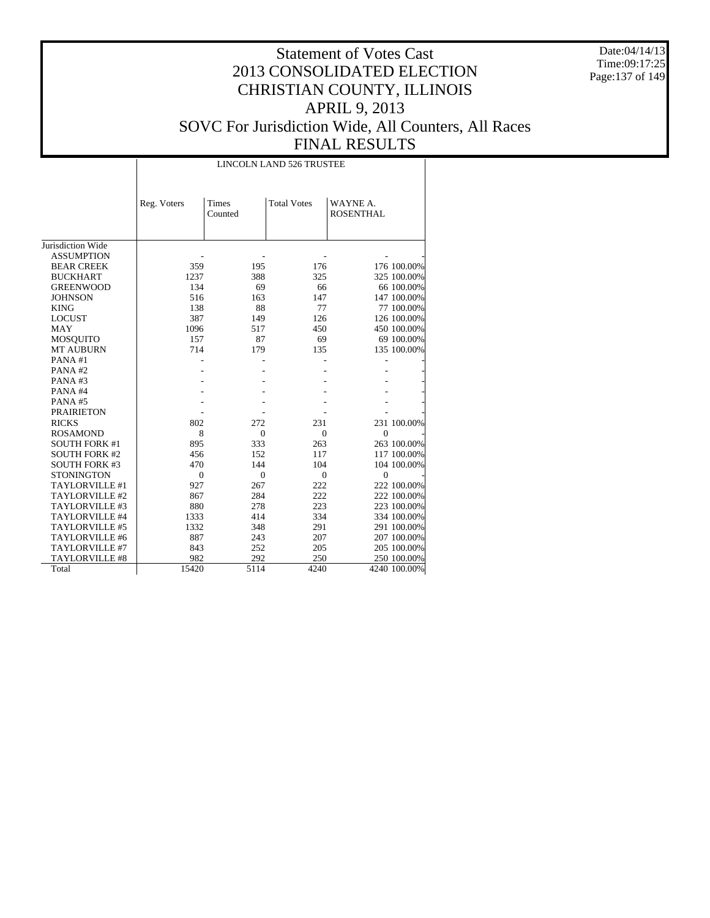Date:04/14/13 Time:09:17:25 Page:137 of 149

|                       |              |                  | <b>LINCOLN LAND 526 TRUSTEE</b> |                              |
|-----------------------|--------------|------------------|---------------------------------|------------------------------|
|                       | Reg. Voters  | Times<br>Counted | <b>Total Votes</b>              | WAYNE A.<br><b>ROSENTHAL</b> |
| Jurisdiction Wide     |              |                  |                                 |                              |
| <b>ASSUMPTION</b>     |              |                  |                                 |                              |
| <b>BEAR CREEK</b>     | 359          | 195              | 176                             | 176 100.00%                  |
| <b>BUCKHART</b>       | 1237         | 388              | 325                             | 325 100.00%                  |
| <b>GREENWOOD</b>      | 134          | 69               | 66                              | 66 100.00%                   |
| <b>JOHNSON</b>        | 516          | 163              | 147                             | 147 100.00%                  |
| <b>KING</b>           | 138          | 88               | 77                              | 77 100.00%                   |
| <b>LOCUST</b>         | 387          | 149              | 126                             | 126 100.00%                  |
| <b>MAY</b>            | 1096         | 517              | 450                             | 450 100.00%                  |
| MOSQUITO              | 157          | 87               | 69                              | 69 100.00%                   |
| <b>MT AUBURN</b>      | 714          | 179              | 135                             | 135 100.00%                  |
| PANA#1                |              |                  |                                 |                              |
| PANA#2                |              |                  |                                 |                              |
| PANA#3                |              |                  |                                 |                              |
| PANA#4                |              |                  |                                 |                              |
| PANA#5                |              |                  |                                 |                              |
| <b>PRAIRIETON</b>     |              |                  |                                 |                              |
| <b>RICKS</b>          | 802          | 272              | 231                             | 231 100.00%                  |
| <b>ROSAMOND</b>       | 8            | $\mathbf{0}$     | $\mathbf{0}$                    | $\overline{0}$               |
| <b>SOUTH FORK #1</b>  | 895          | 333              | 263                             | 263 100.00%                  |
| <b>SOUTH FORK #2</b>  | 456          | 152              | 117                             | 117 100.00%                  |
| <b>SOUTH FORK #3</b>  | 470          | 144              | 104                             | 104 100.00%                  |
| <b>STONINGTON</b>     | $\mathbf{0}$ | $\mathbf{0}$     | $\mathbf{0}$                    | $\theta$                     |
| TAYLORVILLE #1        | 927          | 267              | 222                             | 222 100.00%                  |
| TAYLORVILLE #2        | 867          | 284              | 222                             | 222 100.00%                  |
| TAYLORVILLE #3        | 880          | 278              | 223                             | 223 100.00%                  |
| TAYLORVILLE #4        | 1333         | 414              | 334                             | 334 100.00%                  |
| TAYLORVILLE #5        | 1332         | 348              | 291                             | 291 100.00%                  |
| TAYLORVILLE #6        | 887          | 243              | 207                             | 207 100.00%                  |
| TAYLORVILLE #7        | 843          | 252              | 205                             | 205 100.00%                  |
| <b>TAYLORVILLE #8</b> | 982          | 292              | 250                             | 250 100.00%                  |
| Total                 | 15420        | 5114             | 4240                            | 4240 100.00%                 |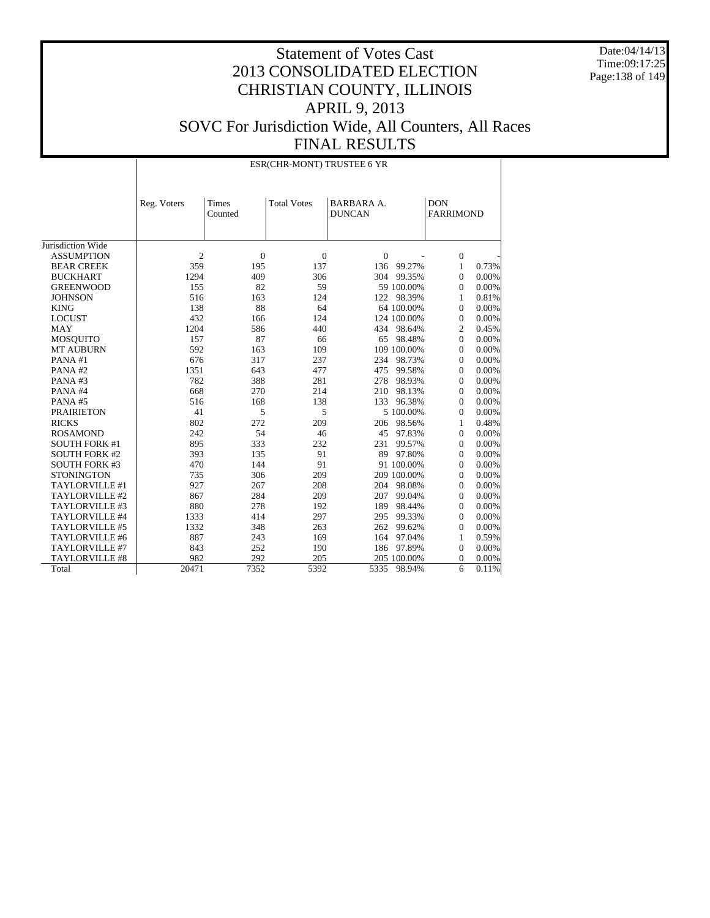Date:04/14/13 Time:09:17:25 Page:138 of 149

|                       |                |                  | ESR(CHR-MONT) TRUSTEE 6 YR |                                    |             |                                |       |
|-----------------------|----------------|------------------|----------------------------|------------------------------------|-------------|--------------------------------|-------|
|                       | Reg. Voters    | Times<br>Counted | <b>Total Votes</b>         | <b>BARBARA A.</b><br><b>DUNCAN</b> |             | <b>DON</b><br><b>FARRIMOND</b> |       |
| Jurisdiction Wide     |                |                  |                            |                                    |             |                                |       |
| <b>ASSUMPTION</b>     | $\overline{2}$ | $\overline{0}$   | $\theta$                   | $\overline{0}$                     |             | $\mathbf{0}$                   |       |
| <b>BEAR CREEK</b>     | 359            | 195              | 137                        |                                    | 136 99.27%  | 1                              | 0.73% |
| <b>BUCKHART</b>       | 1294           | 409              | 306                        | 304                                | 99.35%      | $\overline{0}$                 | 0.00% |
| <b>GREENWOOD</b>      | 155            | 82               | 59                         |                                    | 59 100.00%  | $\boldsymbol{0}$               | 0.00% |
| <b>JOHNSON</b>        | 516            | 163              | 124                        |                                    | 122 98.39%  | 1                              | 0.81% |
| <b>KING</b>           | 138            | 88               | 64                         |                                    | 64 100.00%  | $\mathbf{0}$                   | 0.00% |
| <b>LOCUST</b>         | 432            | 166              | 124                        |                                    | 124 100.00% | $\mathbf{0}$                   | 0.00% |
| MAY                   | 1204           | 586              | 440                        |                                    | 434 98.64%  | $\overline{c}$                 | 0.45% |
| <b>MOSQUITO</b>       | 157            | 87               | 66                         | 65                                 | 98.48%      | $\mathbf{0}$                   | 0.00% |
| <b>MT AUBURN</b>      | 592            | 163              | 109                        |                                    | 109 100.00% | $\mathbf{0}$                   | 0.00% |
| PANA#1                | 676            | 317              | 237                        |                                    | 234 98.73%  | $\boldsymbol{0}$               | 0.00% |
| PANA#2                | 1351           | 643              | 477                        | 475                                | 99.58%      | $\boldsymbol{0}$               | 0.00% |
| PANA#3                | 782            | 388              | 281                        | 278                                | 98.93%      | $\boldsymbol{0}$               | 0.00% |
| PANA#4                | 668            | 270              | 214                        | 210                                | 98.13%      | $\mathbf{0}$                   | 0.00% |
| PANA#5                | 516            | 168              | 138                        | 133                                | 96.38%      | $\boldsymbol{0}$               | 0.00% |
| <b>PRAIRIETON</b>     | 41             | 5                | 5                          |                                    | 5 100.00%   | $\boldsymbol{0}$               | 0.00% |
| <b>RICKS</b>          | 802            | 272              | 209                        |                                    | 206 98.56%  | 1                              | 0.48% |
| <b>ROSAMOND</b>       | 242            | 54               | 46                         |                                    | 45 97.83%   | $\boldsymbol{0}$               | 0.00% |
| <b>SOUTH FORK #1</b>  | 895            | 333              | 232                        | 231                                | 99.57%      | $\boldsymbol{0}$               | 0.00% |
| <b>SOUTH FORK #2</b>  | 393            | 135              | 91                         |                                    | 89 97.80%   | $\boldsymbol{0}$               | 0.00% |
| <b>SOUTH FORK #3</b>  | 470            | 144              | 91                         |                                    | 91 100.00%  | $\Omega$                       | 0.00% |
| <b>STONINGTON</b>     | 735            | 306              | 209                        |                                    | 209 100.00% | $\mathbf{0}$                   | 0.00% |
| TAYLORVILLE #1        | 927            | 267              | 208                        |                                    | 204 98.08%  | $\mathbf{0}$                   | 0.00% |
| TAYLORVILLE #2        | 867            | 284              | 209                        | 207                                | 99.04%      | $\mathbf{0}$                   | 0.00% |
| TAYLORVILLE #3        | 880            | 278              | 192                        | 189                                | 98.44%      | $\mathbf{0}$                   | 0.00% |
| TAYLORVILLE #4        | 1333           | 414              | 297                        | 295                                | 99.33%      | $\boldsymbol{0}$               | 0.00% |
| TAYLORVILLE #5        | 1332           | 348              | 263                        | 262                                | 99.62%      | $\boldsymbol{0}$               | 0.00% |
| TAYLORVILLE #6        | 887            | 243              | 169                        | 164                                | 97.04%      | 1                              | 0.59% |
| TAYLORVILLE #7        | 843            | 252              | 190                        |                                    | 186 97.89%  | $\boldsymbol{0}$               | 0.00% |
| <b>TAYLORVILLE #8</b> | 982            | 292              | 205                        |                                    | 205 100.00% | $\overline{0}$                 | 0.00% |
| Total                 | 20471          | 7352             | 5392                       | 5335                               | 98.94%      | 6                              | 0.11% |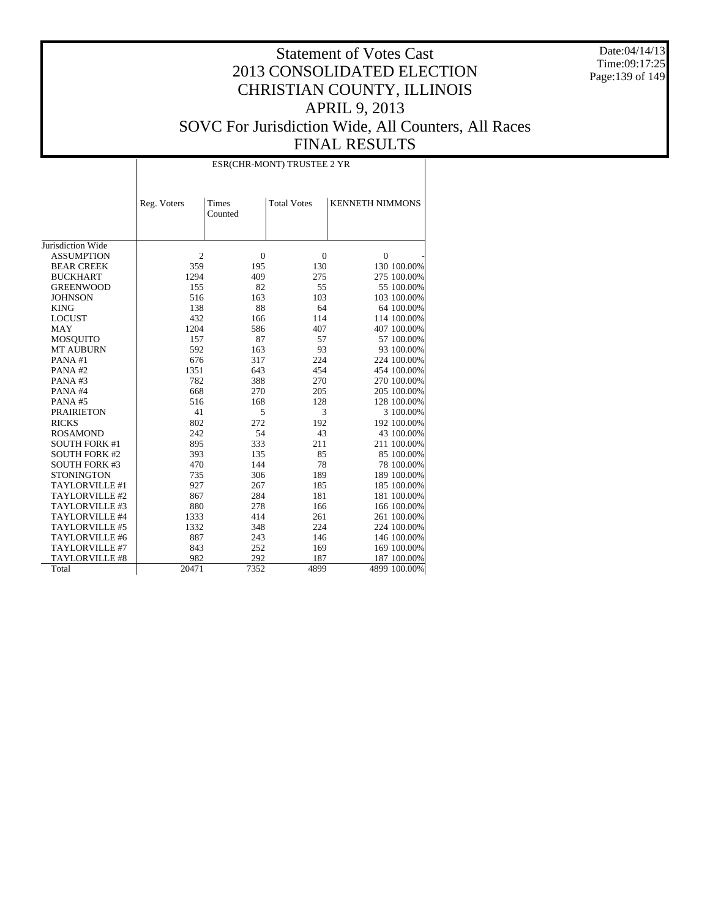Date:04/14/13 Time:09:17:25 Page:139 of 149

# Statement of Votes Cast 2013 CONSOLIDATED ELECTION CHRISTIAN COUNTY, ILLINOIS APRIL 9, 2013 SOVC For Jurisdiction Wide, All Counters, All Races

 $\top$ 

FINAL RESULTS

ESR(CHR-MONT) TRUSTEE 2 YR

|                       | Reg. Voters    | Times<br>Counted | <b>Total Votes</b> | <b>KENNETH NIMMONS</b> |
|-----------------------|----------------|------------------|--------------------|------------------------|
|                       |                |                  |                    |                        |
| Jurisdiction Wide     |                |                  |                    |                        |
| <b>ASSUMPTION</b>     | $\overline{c}$ | $\overline{0}$   | $\mathbf{0}$       | $\mathbf{0}$           |
| <b>BEAR CREEK</b>     | 359            | 195              | 130                | 130 100.00%            |
| <b>BUCKHART</b>       | 1294           | 409              | 275                | 275 100.00%            |
| <b>GREENWOOD</b>      | 155            | 82               | 55                 | 55 100,00%             |
| <b>JOHNSON</b>        | 516            | 163              | 103                | 103 100.00%            |
| <b>KING</b>           | 138            | 88               | 64                 | 64 100.00%             |
| <b>LOCUST</b>         | 432            | 166              | 114                | 114 100.00%            |
| <b>MAY</b>            | 1204           | 586              | 407                | 407 100.00%            |
| <b>MOSQUITO</b>       | 157            | 87               | 57                 | 57 100.00%             |
| <b>MT AUBURN</b>      | 592            | 163              | 93                 | 93 100.00%             |
| PANA#1                | 676            | 317              | 224                | 224 100.00%            |
| PANA#2                | 1351           | 643              | 454                | 454 100.00%            |
| PANA#3                | 782            | 388              | 270                | 270 100.00%            |
| PANA#4                | 668            | 270              | 205                | 205 100.00%            |
| PANA#5                | 516            | 168              | 128                | 128 100.00%            |
| <b>PRAIRIETON</b>     | 41             | 5                | 3                  | 3 100.00%              |
| <b>RICKS</b>          | 802            | 272              | 192                | 192 100.00%            |
| <b>ROSAMOND</b>       | 242            | 54               | 43                 | 43 100.00%             |
| <b>SOUTH FORK #1</b>  | 895            | 333              | 211                | 211 100.00%            |
| <b>SOUTH FORK #2</b>  | 393            | 135              | 85                 | 85 100.00%             |
| <b>SOUTH FORK #3</b>  | 470            | 144              | 78                 | 78 100.00%             |
| <b>STONINGTON</b>     | 735            | 306              | 189                | 189 100.00%            |
| TAYLORVILLE #1        | 927            | 267              | 185                | 185 100.00%            |
| TAYLORVILLE #2        | 867            | 284              | 181                | 181 100.00%            |
| TAYLORVILLE #3        | 880            | 278              | 166                | 166 100.00%            |
| TAYLORVILLE #4        | 1333           | 414              | 261                | 261 100.00%            |
| TAYLORVILLE #5        | 1332           | 348              | 224                | 224 100.00%            |
| TAYLORVILLE #6        | 887            | 243              | 146                | 146 100.00%            |
| TAYLORVILLE #7        | 843            | 252              | 169                | 169 100.00%            |
| <b>TAYLORVILLE #8</b> | 982            | 292              | 187                | 187 100.00%            |
| Total                 | 20471          | 7352             | 4899               | 4899 100.00%           |

 $\overline{\phantom{a}}$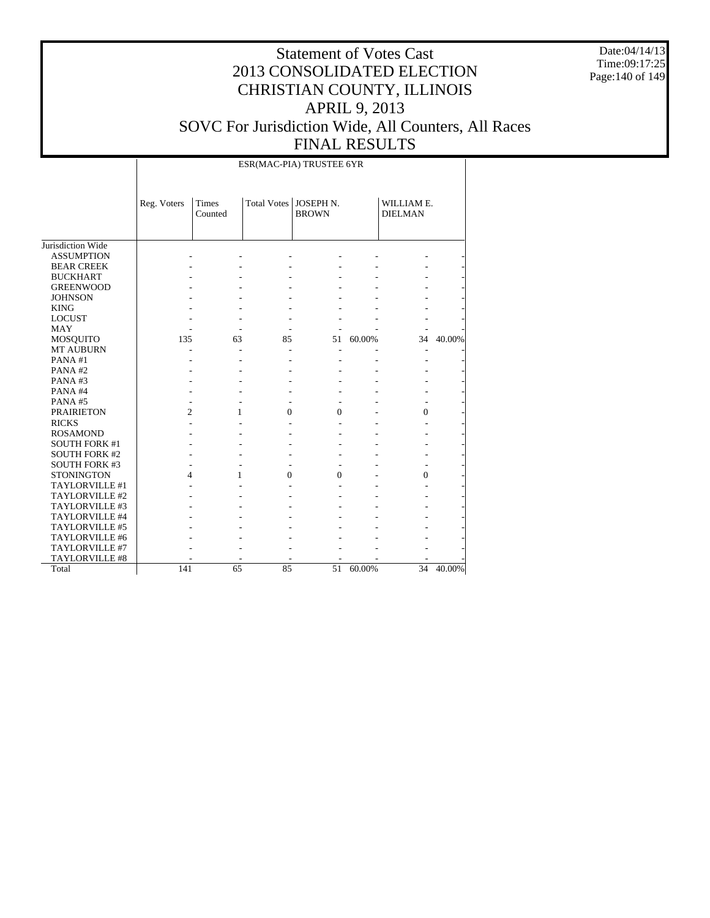Date:04/14/13 Time:09:17:25 Page:140 of 149

|                      |                | ESR(MAC-PIA) TRUSTEE 6YR |          |                                         |        |                              |        |  |  |  |
|----------------------|----------------|--------------------------|----------|-----------------------------------------|--------|------------------------------|--------|--|--|--|
|                      | Reg. Voters    | Times<br>Counted         |          | Total Votes   JOSEPH N.<br><b>BROWN</b> |        | WILLIAM E.<br><b>DIELMAN</b> |        |  |  |  |
| Jurisdiction Wide    |                |                          |          |                                         |        |                              |        |  |  |  |
| <b>ASSUMPTION</b>    |                |                          |          |                                         |        |                              |        |  |  |  |
| <b>BEAR CREEK</b>    |                |                          |          |                                         |        |                              |        |  |  |  |
| <b>BUCKHART</b>      |                |                          |          |                                         |        |                              |        |  |  |  |
| <b>GREENWOOD</b>     |                |                          |          |                                         |        |                              |        |  |  |  |
| <b>JOHNSON</b>       |                |                          |          |                                         |        |                              |        |  |  |  |
| <b>KING</b>          |                |                          |          |                                         |        |                              |        |  |  |  |
| <b>LOCUST</b>        |                |                          |          |                                         |        |                              |        |  |  |  |
| <b>MAY</b>           |                |                          |          |                                         |        |                              |        |  |  |  |
| <b>MOSQUITO</b>      | 135            | 63                       | 85       | 51                                      | 60.00% | 34                           | 40.00% |  |  |  |
| <b>MT AUBURN</b>     |                |                          |          |                                         |        |                              |        |  |  |  |
| PANA#1               |                |                          |          |                                         |        |                              |        |  |  |  |
| PANA#2               |                |                          |          |                                         |        |                              |        |  |  |  |
| PANA#3               |                |                          |          |                                         |        |                              |        |  |  |  |
| PANA#4               |                |                          |          |                                         |        |                              |        |  |  |  |
| PANA#5               |                |                          |          |                                         |        |                              |        |  |  |  |
| <b>PRAIRIETON</b>    | $\overline{c}$ | 1                        | $\Omega$ | $\overline{0}$                          |        | $\overline{0}$               |        |  |  |  |
| <b>RICKS</b>         |                |                          |          |                                         |        |                              |        |  |  |  |
| <b>ROSAMOND</b>      |                |                          |          |                                         |        |                              |        |  |  |  |
| <b>SOUTH FORK #1</b> |                |                          |          |                                         |        |                              |        |  |  |  |
| <b>SOUTH FORK #2</b> |                |                          |          |                                         |        |                              |        |  |  |  |
| <b>SOUTH FORK #3</b> |                |                          |          |                                         |        |                              |        |  |  |  |
| <b>STONINGTON</b>    | 4              | 1                        | $\Omega$ | $\theta$                                |        | $\theta$                     |        |  |  |  |
| TAYLORVILLE #1       |                |                          |          |                                         |        |                              |        |  |  |  |
| TAYLORVILLE #2       |                |                          |          |                                         |        |                              |        |  |  |  |
| TAYLORVILLE #3       |                |                          |          |                                         |        |                              |        |  |  |  |
| TAYLORVILLE #4       |                |                          |          |                                         |        |                              |        |  |  |  |
| TAYLORVILLE #5       |                |                          |          |                                         |        |                              |        |  |  |  |
| TAYLORVILLE #6       |                |                          |          |                                         |        |                              |        |  |  |  |
| TAYLORVILLE #7       |                |                          |          |                                         |        |                              |        |  |  |  |
| TAYLORVILLE #8       |                |                          |          |                                         |        |                              |        |  |  |  |
| Total                | 141            | 65                       | 85       | 51                                      | 60.00% | 34                           | 40.00% |  |  |  |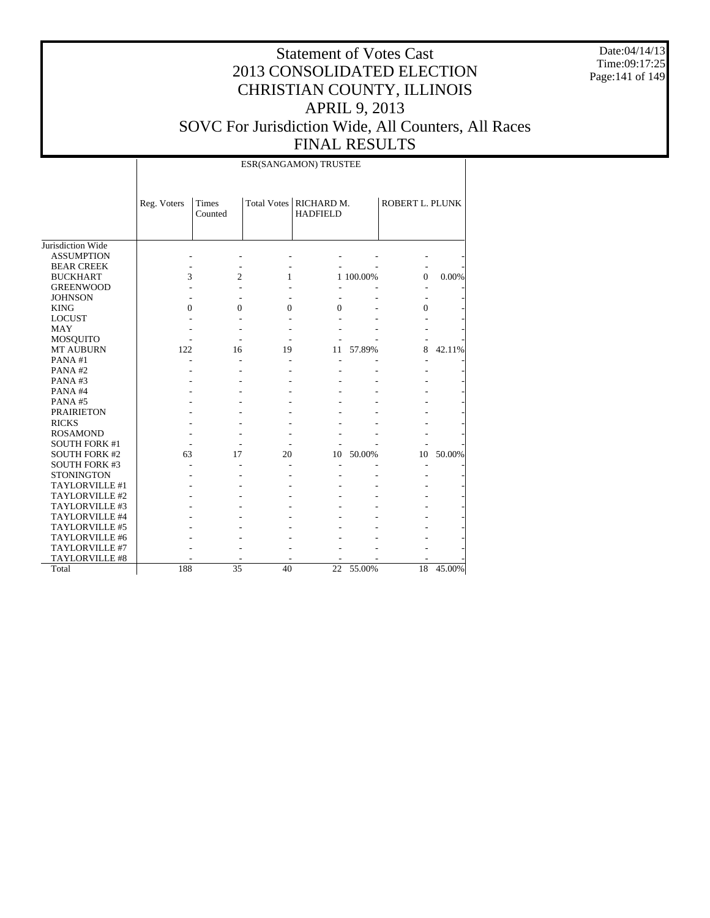Date:04/14/13 Time:09:17:25 Page:141 of 149

## Statement of Votes Cast 2013 CONSOLIDATED ELECTION CHRISTIAN COUNTY, ILLINOIS APRIL 9, 2013 SOVC For Jurisdiction Wide, All Counters, All Races FINAL RESULTS

ESR(SANGAMON) TRUSTEE

|                      | Reg. Voters | <b>Times</b><br>Counted |              | Total Votes   RICHARD M.<br><b>HADFIELD</b> |           | ROBERT L. PLUNK |        |
|----------------------|-------------|-------------------------|--------------|---------------------------------------------|-----------|-----------------|--------|
| Jurisdiction Wide    |             |                         |              |                                             |           |                 |        |
| <b>ASSUMPTION</b>    |             |                         |              |                                             |           |                 |        |
| <b>BEAR CREEK</b>    |             |                         |              |                                             |           |                 |        |
| <b>BUCKHART</b>      | 3           | 2                       | 1            |                                             | 1 100.00% | $\Omega$        | 0.00%  |
| <b>GREENWOOD</b>     |             |                         |              |                                             |           |                 |        |
| <b>JOHNSON</b>       |             |                         |              |                                             |           |                 |        |
| <b>KING</b>          | 0           | $\Omega$                | $\mathbf{0}$ | $\overline{0}$                              |           | $\Omega$        |        |
| <b>LOCUST</b>        |             |                         |              |                                             |           |                 |        |
| <b>MAY</b>           |             |                         |              |                                             |           |                 |        |
| <b>MOSQUITO</b>      |             |                         |              |                                             |           |                 |        |
| <b>MT AUBURN</b>     | 122         | 16                      | 19           | 11                                          | 57.89%    | 8               | 42.11% |
| PANA#1               |             |                         |              |                                             |           |                 |        |
| PANA#2               |             |                         |              |                                             |           |                 |        |
| PANA#3               |             |                         |              |                                             |           |                 |        |
| PANA#4               |             |                         |              |                                             |           |                 |        |
| PANA#5               |             |                         |              |                                             |           |                 |        |
| <b>PRAIRIETON</b>    |             |                         |              |                                             |           |                 |        |
| <b>RICKS</b>         |             |                         |              |                                             |           |                 |        |
| <b>ROSAMOND</b>      |             |                         |              |                                             |           |                 |        |
| <b>SOUTH FORK #1</b> |             |                         |              |                                             |           |                 |        |
| <b>SOUTH FORK #2</b> | 63          | 17                      | 20           | 10                                          | 50.00%    | 10              | 50.00% |
| <b>SOUTH FORK #3</b> |             |                         |              |                                             |           | ٠               |        |
| <b>STONINGTON</b>    |             |                         |              |                                             |           |                 |        |
| TAYLORVILLE #1       |             |                         |              |                                             |           |                 |        |
| TAYLORVILLE #2       |             |                         |              |                                             |           |                 |        |
| TAYLORVILLE #3       |             |                         |              |                                             |           |                 |        |
| TAYLORVILLE #4       |             |                         |              |                                             |           |                 |        |
| TAYLORVILLE #5       |             |                         |              |                                             |           |                 |        |
| TAYLORVILLE #6       |             |                         |              |                                             |           |                 |        |
| TAYLORVILLE #7       |             |                         |              |                                             |           |                 |        |
| TAYLORVILLE #8       |             |                         |              |                                             |           |                 |        |
| Total                | 188         | 35                      | 40           | 22                                          | 55.00%    | 18              | 45.00% |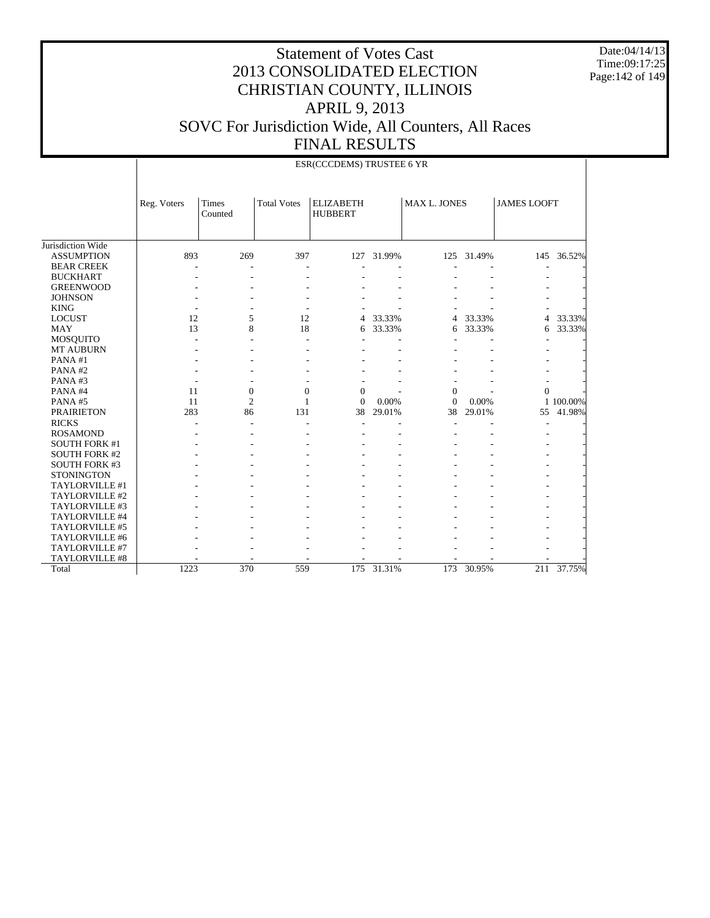Date:04/14/13 Time:09:17:25 Page:142 of 149

|                      |             | ESR(CCCDEMS) TRUSTEE 6 YR |                    |                                    |            |                     |            |                    |            |  |  |  |
|----------------------|-------------|---------------------------|--------------------|------------------------------------|------------|---------------------|------------|--------------------|------------|--|--|--|
|                      | Reg. Voters | Times<br>Counted          | <b>Total Votes</b> | <b>ELIZABETH</b><br><b>HUBBERT</b> |            | <b>MAX L. JONES</b> |            | <b>JAMES LOOFT</b> |            |  |  |  |
| Jurisdiction Wide    |             |                           |                    |                                    |            |                     |            |                    |            |  |  |  |
| <b>ASSUMPTION</b>    | 893         | 269                       | 397                |                                    | 127 31.99% |                     | 125 31.49% |                    | 145 36.52% |  |  |  |
| <b>BEAR CREEK</b>    |             |                           |                    |                                    |            |                     |            |                    |            |  |  |  |
| <b>BUCKHART</b>      |             |                           |                    |                                    |            |                     |            |                    |            |  |  |  |
| <b>GREENWOOD</b>     |             |                           |                    |                                    |            |                     |            |                    |            |  |  |  |
| <b>JOHNSON</b>       |             |                           |                    |                                    |            |                     |            |                    |            |  |  |  |
| <b>KING</b>          |             |                           |                    |                                    |            |                     |            |                    |            |  |  |  |
| <b>LOCUST</b>        | 12          | 5                         | 12                 | $\overline{4}$                     | 33.33%     | 4                   | 33.33%     | $\overline{4}$     | 33.33%     |  |  |  |
| <b>MAY</b>           | 13          | 8                         | 18                 | 6                                  | 33.33%     | 6                   | 33.33%     | 6                  | 33.33%     |  |  |  |
| <b>MOSQUITO</b>      |             |                           |                    |                                    |            |                     |            |                    |            |  |  |  |
| <b>MT AUBURN</b>     |             |                           |                    |                                    |            |                     |            |                    |            |  |  |  |
| PANA#1               |             |                           |                    |                                    |            |                     |            |                    |            |  |  |  |
| PANA#2               |             |                           |                    |                                    |            |                     |            |                    |            |  |  |  |
| PANA#3               |             |                           |                    |                                    |            |                     |            |                    |            |  |  |  |
| PANA#4               | 11          | $\boldsymbol{0}$          | $\mathbf{0}$       | $\Omega$                           |            | $\Omega$            |            | $\Omega$           |            |  |  |  |
| PANA#5               | 11          | $\overline{c}$            | 1                  | $\Omega$                           | 0.00%      | $\Omega$            | 0.00%      |                    | 1 100.00%  |  |  |  |
| <b>PRAIRIETON</b>    | 283         | 86                        | 131                | 38                                 | 29.01%     | 38                  | 29.01%     | 55                 | 41.98%     |  |  |  |
| <b>RICKS</b>         |             |                           |                    |                                    |            |                     |            |                    |            |  |  |  |
| <b>ROSAMOND</b>      |             |                           |                    |                                    |            |                     |            |                    |            |  |  |  |
| <b>SOUTH FORK #1</b> |             |                           |                    |                                    |            |                     |            |                    |            |  |  |  |
| <b>SOUTH FORK #2</b> |             |                           |                    |                                    |            |                     |            |                    |            |  |  |  |
| <b>SOUTH FORK #3</b> |             |                           |                    |                                    |            |                     |            |                    |            |  |  |  |
| <b>STONINGTON</b>    |             |                           |                    |                                    |            |                     |            |                    |            |  |  |  |
| TAYLORVILLE #1       |             |                           |                    |                                    |            |                     |            |                    |            |  |  |  |
| TAYLORVILLE #2       |             |                           |                    |                                    |            |                     |            |                    |            |  |  |  |
| TAYLORVILLE #3       |             |                           |                    |                                    |            |                     |            |                    |            |  |  |  |
| TAYLORVILLE #4       |             |                           |                    |                                    |            |                     |            |                    |            |  |  |  |
| TAYLORVILLE #5       |             |                           |                    |                                    |            |                     |            |                    |            |  |  |  |
| TAYLORVILLE #6       |             |                           |                    |                                    |            |                     |            |                    |            |  |  |  |
| TAYLORVILLE #7       |             |                           |                    |                                    |            |                     |            |                    |            |  |  |  |
| TAYLORVILLE #8       |             |                           |                    |                                    |            |                     |            |                    |            |  |  |  |
| Total                | 1223        | 370                       | 559                | 175                                | 31.31%     | 173                 | 30.95%     | 211                | 37.75%     |  |  |  |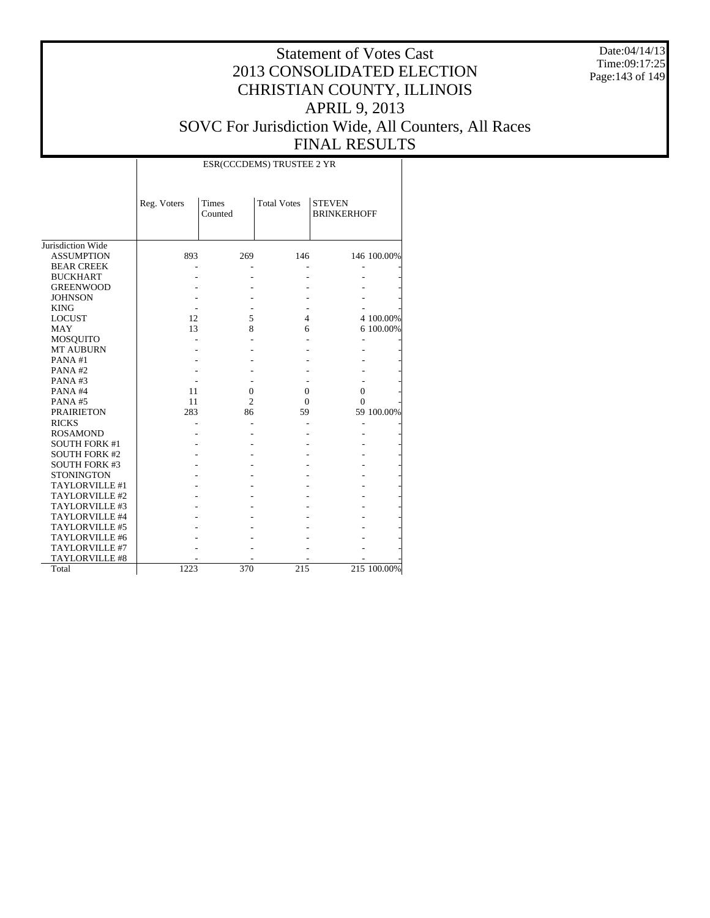Date:04/14/13 Time:09:17:25 Page:143 of 149

|                      |             | ESR(CCCDEMS) TRUSTEE 2 YR |                    |                                     |             |  |  |  |  |  |  |
|----------------------|-------------|---------------------------|--------------------|-------------------------------------|-------------|--|--|--|--|--|--|
|                      | Reg. Voters | Times<br>Counted          | <b>Total Votes</b> | <b>STEVEN</b><br><b>BRINKERHOFF</b> |             |  |  |  |  |  |  |
| Jurisdiction Wide    |             |                           |                    |                                     |             |  |  |  |  |  |  |
| <b>ASSUMPTION</b>    | 893         | 269                       | 146                |                                     | 146 100.00% |  |  |  |  |  |  |
| <b>BEAR CREEK</b>    |             |                           |                    |                                     |             |  |  |  |  |  |  |
| <b>BUCKHART</b>      |             |                           |                    |                                     |             |  |  |  |  |  |  |
| <b>GREENWOOD</b>     |             |                           |                    |                                     |             |  |  |  |  |  |  |
| <b>JOHNSON</b>       |             |                           |                    |                                     |             |  |  |  |  |  |  |
| <b>KING</b>          |             |                           |                    |                                     |             |  |  |  |  |  |  |
| <b>LOCUST</b>        | 12          | 5                         | $\overline{4}$     |                                     | 4 100.00%   |  |  |  |  |  |  |
| <b>MAY</b>           | 13          | 8                         | 6                  |                                     | 6 100.00%   |  |  |  |  |  |  |
| <b>MOSQUITO</b>      |             |                           |                    | ٠                                   |             |  |  |  |  |  |  |
| <b>MT AUBURN</b>     |             |                           |                    |                                     |             |  |  |  |  |  |  |
| PANA#1               |             |                           |                    |                                     |             |  |  |  |  |  |  |
| PANA#2               |             |                           |                    |                                     |             |  |  |  |  |  |  |
| PANA#3               |             |                           |                    |                                     |             |  |  |  |  |  |  |
| PANA#4               | 11          | $\overline{0}$            | $\mathbf{0}$       | $\overline{0}$                      |             |  |  |  |  |  |  |
| PANA#5               | 11          | $\overline{c}$            | 0                  | $\Omega$                            |             |  |  |  |  |  |  |
| <b>PRAIRIETON</b>    | 283         | 86                        | 59                 |                                     | 59 100.00%  |  |  |  |  |  |  |
| <b>RICKS</b>         |             |                           |                    |                                     |             |  |  |  |  |  |  |
| <b>ROSAMOND</b>      |             |                           |                    |                                     |             |  |  |  |  |  |  |
| <b>SOUTH FORK #1</b> |             |                           |                    |                                     |             |  |  |  |  |  |  |
| <b>SOUTH FORK #2</b> |             |                           |                    |                                     |             |  |  |  |  |  |  |
| <b>SOUTH FORK #3</b> |             |                           |                    |                                     |             |  |  |  |  |  |  |
| <b>STONINGTON</b>    |             |                           |                    |                                     |             |  |  |  |  |  |  |
| TAYLORVILLE #1       |             |                           |                    |                                     |             |  |  |  |  |  |  |
| TAYLORVILLE #2       |             |                           |                    |                                     |             |  |  |  |  |  |  |
| TAYLORVILLE #3       |             |                           |                    |                                     |             |  |  |  |  |  |  |
| TAYLORVILLE #4       |             |                           |                    |                                     |             |  |  |  |  |  |  |
| TAYLORVILLE #5       |             |                           |                    |                                     |             |  |  |  |  |  |  |
| TAYLORVILLE #6       |             |                           |                    |                                     |             |  |  |  |  |  |  |
| TAYLORVILLE #7       |             |                           |                    |                                     |             |  |  |  |  |  |  |
| TAYLORVILLE #8       |             |                           |                    |                                     |             |  |  |  |  |  |  |
| Total                | 1223        | 370                       | 215                |                                     | 215 100.00% |  |  |  |  |  |  |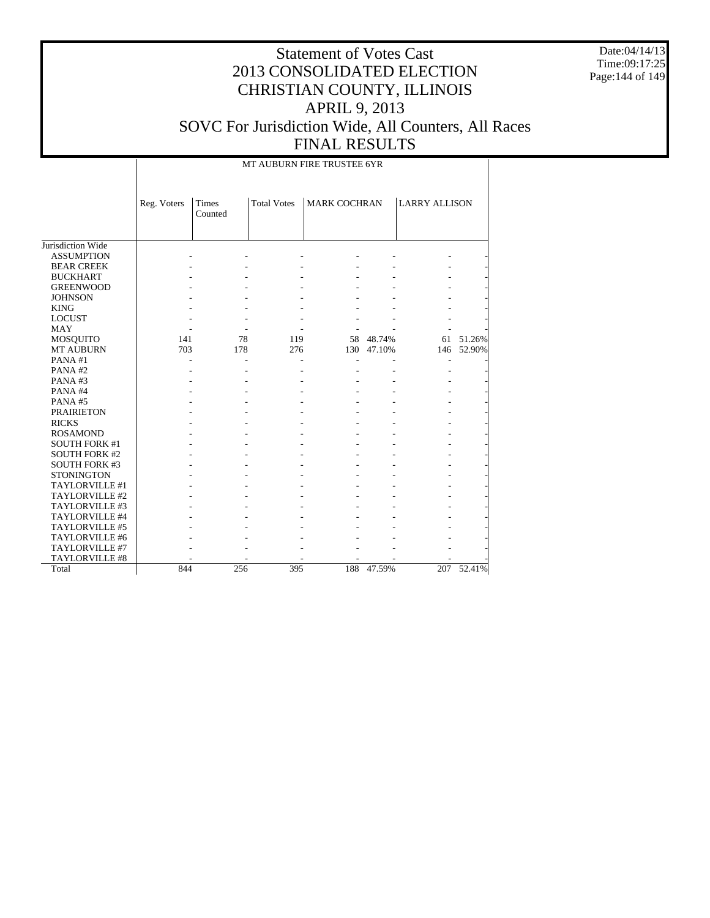Date:04/14/13 Time:09:17:25 Page:144 of 149

#### Statement of Votes Cast 2013 CONSOLIDATED ELECTION CHRISTIAN COUNTY, ILLINOIS APRIL 9, 2013 SOVC For Jurisdiction Wide, All Counters, All Races FINAL RESULTS

MT AUBURN FIRE TRUSTEE 6YR

|                      | Reg. Voters | <b>Times</b><br>Counted | <b>Total Votes</b> | <b>MARK COCHRAN</b> |        | <b>LARRY ALLISON</b> |        |
|----------------------|-------------|-------------------------|--------------------|---------------------|--------|----------------------|--------|
| Jurisdiction Wide    |             |                         |                    |                     |        |                      |        |
| <b>ASSUMPTION</b>    |             |                         |                    |                     |        |                      |        |
| <b>BEAR CREEK</b>    |             |                         |                    |                     |        |                      |        |
| <b>BUCKHART</b>      |             |                         |                    |                     |        |                      |        |
| <b>GREENWOOD</b>     |             |                         |                    |                     |        |                      |        |
| <b>JOHNSON</b>       |             |                         |                    |                     |        |                      |        |
| <b>KING</b>          |             |                         |                    |                     |        |                      |        |
| <b>LOCUST</b>        |             |                         |                    |                     |        |                      |        |
| <b>MAY</b>           |             |                         |                    |                     |        |                      |        |
| <b>MOSQUITO</b>      | 141         | 78                      | 119                | 58                  | 48.74% | 61                   | 51.26% |
| MT AUBURN            | 703         | 178                     | 276                | 130                 | 47.10% | 146                  | 52.90% |
| PANA#1               |             |                         |                    |                     |        |                      |        |
| PANA#2               |             |                         |                    |                     |        |                      |        |
| PANA#3               |             |                         |                    |                     |        |                      |        |
| PANA#4               |             |                         |                    |                     |        |                      |        |
| PANA#5               |             |                         |                    |                     |        |                      |        |
| <b>PRAIRIETON</b>    |             |                         |                    |                     |        |                      |        |
| <b>RICKS</b>         |             |                         |                    |                     |        |                      |        |
| <b>ROSAMOND</b>      |             |                         |                    |                     |        |                      |        |
| <b>SOUTH FORK #1</b> |             |                         |                    |                     |        |                      |        |
| <b>SOUTH FORK #2</b> |             |                         |                    |                     |        |                      |        |
| <b>SOUTH FORK #3</b> |             |                         |                    |                     |        |                      |        |
| <b>STONINGTON</b>    |             |                         |                    |                     |        |                      |        |
| TAYLORVILLE #1       |             |                         |                    |                     |        |                      |        |
| TAYLORVILLE #2       |             |                         |                    |                     |        |                      |        |
| TAYLORVILLE #3       |             |                         |                    |                     |        |                      |        |
| TAYLORVILLE #4       |             |                         |                    |                     |        |                      |        |
| TAYLORVILLE #5       |             |                         |                    |                     |        |                      |        |
| TAYLORVILLE #6       |             |                         |                    |                     |        |                      |        |
| TAYLORVILLE #7       |             |                         |                    |                     |        |                      |        |
| TAYLORVILLE #8       |             |                         |                    |                     |        |                      |        |
| Total                | 844         | 256                     | 395                | 188                 | 47.59% | 207                  | 52.41% |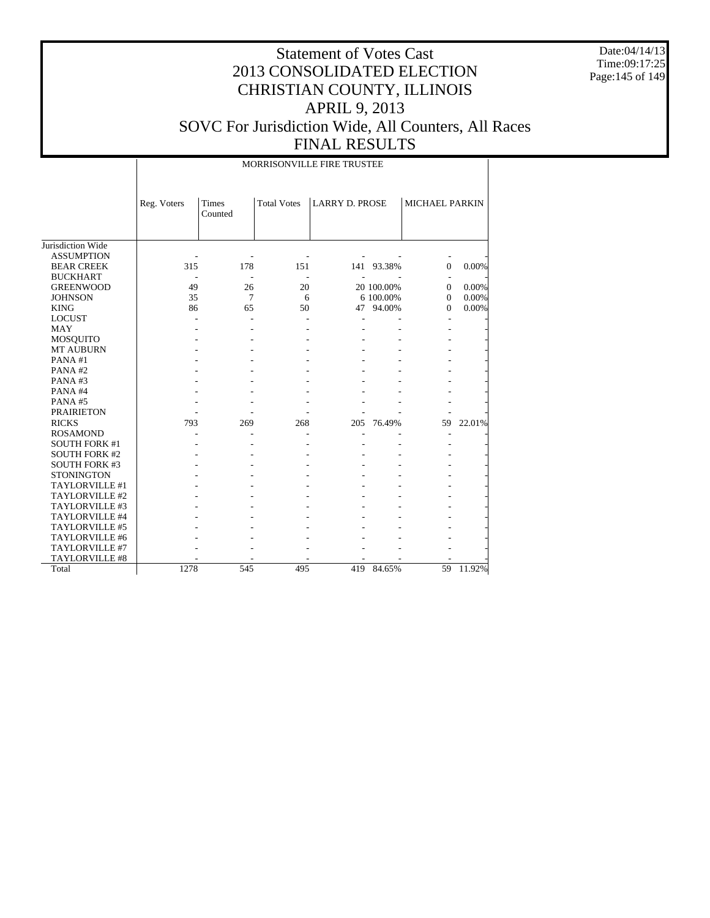Date:04/14/13 Time:09:17:25 Page:145 of 149

### Statement of Votes Cast 2013 CONSOLIDATED ELECTION CHRISTIAN COUNTY, ILLINOIS APRIL 9, 2013 SOVC For Jurisdiction Wide, All Counters, All Races FINAL RESULTS

Jurisdiction Wide ASSUMPTION BEAR CREEK BUCKHART GREENWOOD **JOHNSON**  KING LOCUST MAY MOSQUITO MT AUBURN PANA #1 PANA #2 PANA #3 PANA #4 PANA #5 PRAIRIETON RICKS ROSAMOND SOUTH FORK #1 SOUTH FORK #2 SOUTH FORK #3 **STONINGTON**  TAYLORVILLE #1 TAYLORVILLE #2 TAYLORVILLE #3 TAYLORVILLE #4 TAYLORVILLE #5 TAYLORVILLE #6 TAYLORVILLE #7 TAYLORVILLE #8 Total Reg. Voters Times Counted Total Votes | LARRY D. PROSE | MICHAEL PARKIN MORRISONVILLE FIRE TRUSTEE - - - - - - - 315 178 151 141 93.38% 0 0.00% - - - - - - - 49 26 20 20 100.00% 0 0.00%<br>35 7 6 6 100.00% 0 0.00%  $6 \t 6 \t 100.00\%$ 86 65 50 47 94.00% 0 0.00% - - - - - - - - - - - - - - - - - - - - - - - - - - - - - - - - - - - - - - - - - - - - - - - - - - - - - - - - - - - - - - - - - - - - - - 793 269 268 205 76.49% 59 22.01% - - - - - - - - - - - - - - - - - - - - - - - - - - - - - - - - - - - - - - - - - - - - - - - - - - - - - - - - - - - - - - - - - - - - - - - - - - - - - - - - - - - - - - - - - - - 1278 545 495 419 84.65% 59 11.92%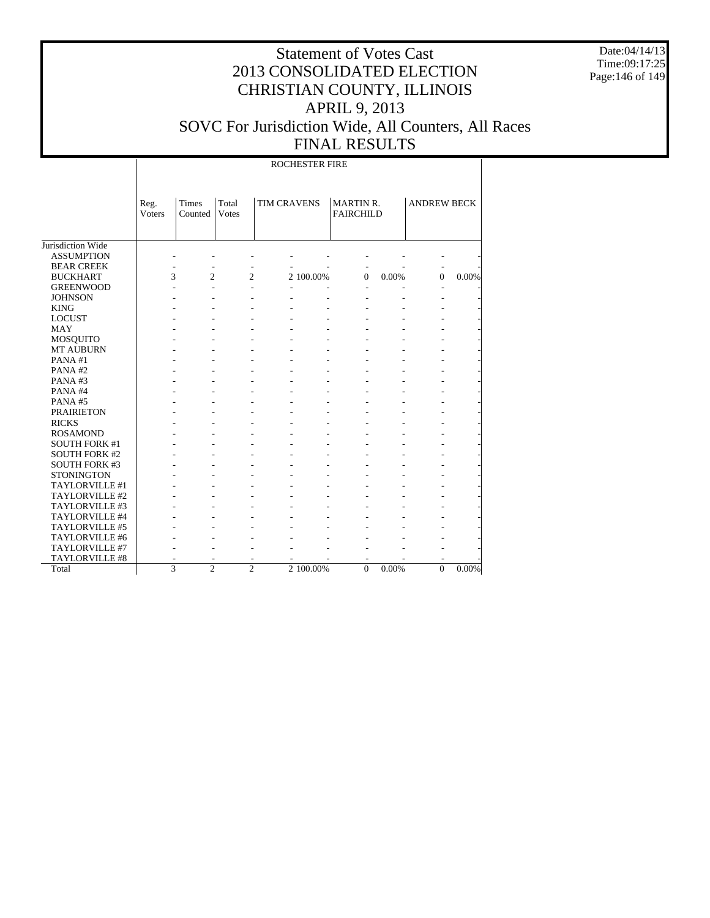Date:04/14/13 Time:09:17:25 Page:146 of 149

# Statement of Votes Cast 2013 CONSOLIDATED ELECTION CHRISTIAN COUNTY, ILLINOIS APRIL 9, 2013 SOVC For Jurisdiction Wide, All Counters, All Races FINAL RESULTS

ROCHESTER FIRE

|                       | Reg.   | <b>Times</b>             | Total          | <b>TIM CRAVENS</b> |           | <b>MARTIN R.</b> |       | <b>ANDREW BECK</b> |          |
|-----------------------|--------|--------------------------|----------------|--------------------|-----------|------------------|-------|--------------------|----------|
|                       | Voters | Counted                  | Votes          |                    |           | <b>FAIRCHILD</b> |       |                    |          |
|                       |        |                          |                |                    |           |                  |       |                    |          |
|                       |        |                          |                |                    |           |                  |       |                    |          |
| Jurisdiction Wide     |        |                          |                |                    |           |                  |       |                    |          |
| <b>ASSUMPTION</b>     |        |                          |                |                    |           |                  |       |                    |          |
| <b>BEAR CREEK</b>     |        | $\overline{a}$           |                |                    |           | $\overline{a}$   |       | $\overline{a}$     |          |
| <b>BUCKHART</b>       | 3      | $\overline{c}$           | $\overline{c}$ |                    | 2 100.00% | $\theta$         | 0.00% | $\Omega$           | 0.00%    |
| <b>GREENWOOD</b>      |        | $\overline{a}$           |                | ٠                  |           |                  |       |                    |          |
| <b>JOHNSON</b>        |        | $\overline{\phantom{a}}$ |                |                    |           |                  |       |                    |          |
| <b>KING</b>           |        |                          |                |                    |           |                  |       |                    |          |
| <b>LOCUST</b>         |        |                          |                |                    |           |                  |       |                    |          |
| <b>MAY</b>            |        |                          |                |                    |           |                  |       |                    |          |
| <b>MOSQUITO</b>       |        |                          |                |                    |           |                  |       |                    |          |
| <b>MT AUBURN</b>      |        |                          |                |                    |           |                  |       |                    |          |
| PANA#1                |        |                          |                |                    |           |                  |       |                    |          |
| PANA#2                |        |                          |                |                    |           |                  |       |                    |          |
| PANA#3                |        |                          |                |                    |           |                  |       |                    |          |
| PANA#4                |        |                          |                |                    |           |                  |       |                    |          |
| PANA#5                |        |                          |                |                    |           |                  |       |                    |          |
| <b>PRAIRIETON</b>     |        |                          |                |                    |           |                  |       |                    |          |
| <b>RICKS</b>          |        |                          |                |                    |           |                  |       |                    |          |
| <b>ROSAMOND</b>       |        |                          |                |                    |           |                  |       |                    |          |
| <b>SOUTH FORK #1</b>  |        |                          |                |                    |           |                  |       |                    |          |
| <b>SOUTH FORK #2</b>  |        |                          |                |                    |           |                  |       |                    |          |
| <b>SOUTH FORK #3</b>  |        |                          |                |                    |           |                  |       |                    |          |
| <b>STONINGTON</b>     |        |                          |                |                    |           |                  |       |                    |          |
| TAYLORVILLE #1        |        |                          |                |                    |           |                  |       |                    |          |
| TAYLORVILLE #2        |        |                          |                |                    |           |                  |       |                    |          |
| TAYLORVILLE #3        |        |                          |                |                    |           |                  |       |                    |          |
| TAYLORVILLE #4        |        |                          |                |                    |           |                  |       |                    |          |
| <b>TAYLORVILLE #5</b> |        |                          |                |                    |           |                  |       |                    |          |
| TAYLORVILLE #6        |        |                          |                |                    |           |                  |       |                    |          |
| TAYLORVILLE #7        |        |                          |                |                    |           |                  |       |                    |          |
| TAYLORVILLE #8        |        |                          |                |                    |           |                  |       |                    |          |
| Total                 | 3      | $\mathfrak{D}$           | $\mathfrak{D}$ |                    | 2 100.00% | $\theta$         | 0.00% | $\mathbf{0}$       | $0.00\%$ |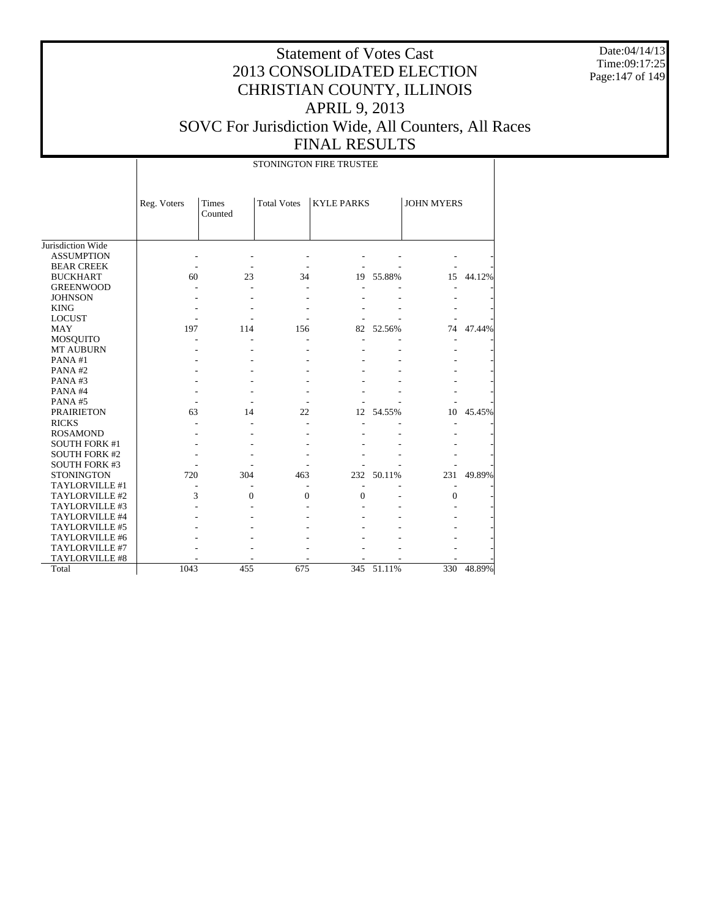Date:04/14/13 Time:09:17:25 Page:147 of 149

# Statement of Votes Cast 2013 CONSOLIDATED ELECTION CHRISTIAN COUNTY, ILLINOIS APRIL 9, 2013 SOVC For Jurisdiction Wide, All Counters, All Races FINAL RESULTS

|                      | STONINGTON FIRE TRUSTEE |                  |                    |                   |           |                   |           |  |
|----------------------|-------------------------|------------------|--------------------|-------------------|-----------|-------------------|-----------|--|
|                      | Reg. Voters             | Times<br>Counted | <b>Total Votes</b> | <b>KYLE PARKS</b> |           | <b>JOHN MYERS</b> |           |  |
| Jurisdiction Wide    |                         |                  |                    |                   |           |                   |           |  |
| <b>ASSUMPTION</b>    |                         |                  |                    |                   |           |                   |           |  |
| <b>BEAR CREEK</b>    |                         |                  |                    |                   |           |                   |           |  |
| <b>BUCKHART</b>      | 60                      | 23               | 34                 |                   | 19 55.88% |                   | 15 44.12% |  |
| <b>GREENWOOD</b>     |                         |                  |                    |                   |           |                   |           |  |
| <b>JOHNSON</b>       |                         |                  |                    |                   |           |                   |           |  |
| <b>KING</b>          |                         |                  |                    |                   |           |                   |           |  |
| <b>LOCUST</b>        |                         |                  |                    |                   |           |                   |           |  |
| MAY                  | 197                     | 114              | 156                | 82                | 52.56%    | 74                | 47.44%    |  |
| <b>MOSQUITO</b>      |                         |                  |                    |                   |           | ٠                 |           |  |
| <b>MT AUBURN</b>     |                         |                  |                    |                   |           |                   |           |  |
| PANA#1               |                         |                  |                    |                   |           |                   |           |  |
| PANA#2               |                         |                  |                    |                   |           |                   |           |  |
| PANA#3               |                         |                  |                    |                   |           |                   |           |  |
| PANA#4               |                         |                  |                    |                   |           |                   |           |  |
| PANA#5               |                         |                  |                    |                   |           |                   |           |  |
| <b>PRAIRIETON</b>    | 63                      | 14               | 22                 | 12                | 54.55%    | 10                | 45.45%    |  |
| <b>RICKS</b>         |                         |                  | L.                 |                   |           |                   |           |  |
| <b>ROSAMOND</b>      |                         |                  |                    |                   |           |                   |           |  |
| <b>SOUTH FORK #1</b> |                         |                  |                    |                   |           |                   |           |  |
| <b>SOUTH FORK #2</b> |                         |                  |                    |                   |           |                   |           |  |
| <b>SOUTH FORK #3</b> |                         |                  |                    |                   |           |                   |           |  |
| <b>STONINGTON</b>    | 720                     | 304              | 463                | 232               | 50.11%    | 231               | 49.89%    |  |
| TAYLORVILLE #1       | $\overline{a}$          |                  |                    | $\overline{a}$    |           |                   |           |  |
| TAYLORVILLE #2       | 3                       | $\theta$         | $\theta$           | $\theta$          |           | $\Omega$          |           |  |
| TAYLORVILLE #3       |                         |                  |                    |                   |           |                   |           |  |
| TAYLORVILLE #4       |                         |                  |                    |                   |           |                   |           |  |
| TAYLORVILLE #5       |                         |                  |                    |                   |           |                   |           |  |
| TAYLORVILLE #6       |                         |                  |                    |                   |           |                   |           |  |
| TAYLORVILLE #7       |                         |                  |                    |                   |           |                   |           |  |
| TAYLORVILLE #8       |                         |                  |                    |                   |           |                   |           |  |
| Total                | 1043                    | 455              | 675                | 345               | 51.11%    | 330               | 48.89%    |  |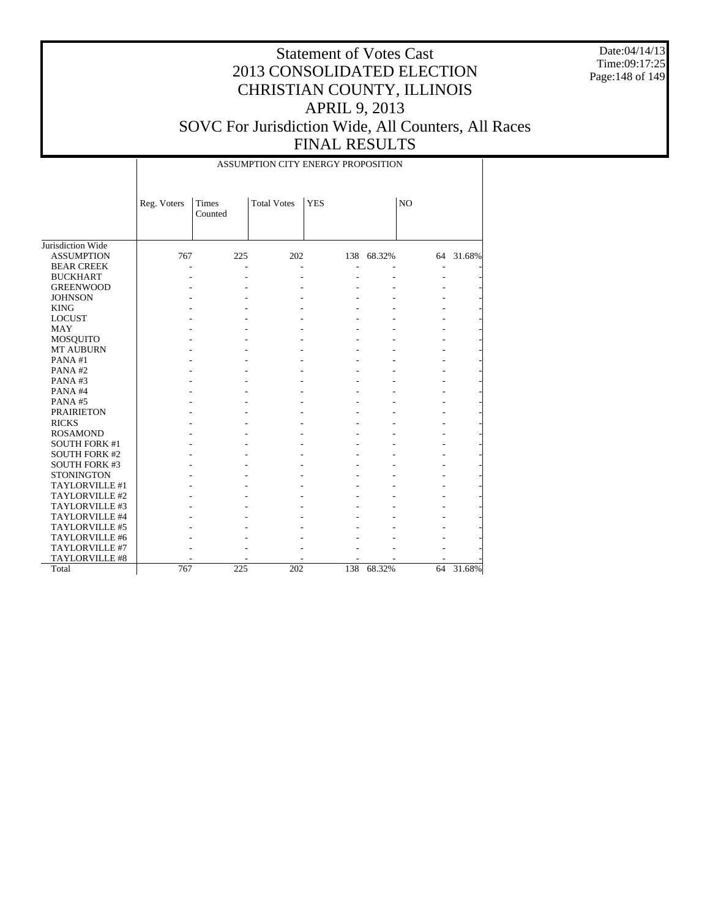Date:04/14/13 Time:09:17:25 Page:148 of 149

### Statement of Votes Cast 2013 CONSOLIDATED ELECTION CHRISTIAN COUNTY, ILLINOIS APRIL 9, 2013 SOVC For Jurisdiction Wide, All Counters, All Races FINAL RESULTS

Jurisdiction Wide ASSUMPTION BEAR CREEK BUCKHART GREENWOOD JOHNSON KING LOCUST MAY MOSQUITO MT AUBURN PANA #1 PANA #2 PANA #3 PANA #4 PANA #5 PRAIRIETON RICKS ROSAMOND SOUTH FORK #1 SOUTH FORK #2 SOUTH FORK #3 **STONINGTON**  TAYLORVILLE #1 TAYLORVILLE #2 TAYLORVILLE #3 TAYLORVILLE #4 TAYLORVILLE #5 TAYLORVILLE #6 TAYLORVILLE #7 TAYLORVILLE #8 Total Reg. Voters | Times Counted Total Votes | YES | NO ASSUMPTION CITY ENERGY PROPOSITION 767 225 202 138 68.32% 64 31.68% - - - - - - - - - - - - - - - - - - - - - - - - - - - - - - - - - - - - - - - - - - - - - - - - - - - - - - - - - - - - - - - - - - - - - - - - - - - - - - - - - - - - - - - - - - - - - - - - - - - - - - - - - - - - - - - - - - - - - - - - - - - - - - - - - - - - - - - - - - - - - - - - - - - - - - - - - - - - - - - - - - - - - - - - - - - - - - - - - - - - - - - - - - - - - - - - - - - - - - - - - - - 767 225 202 138 68.32% 64 31.68%